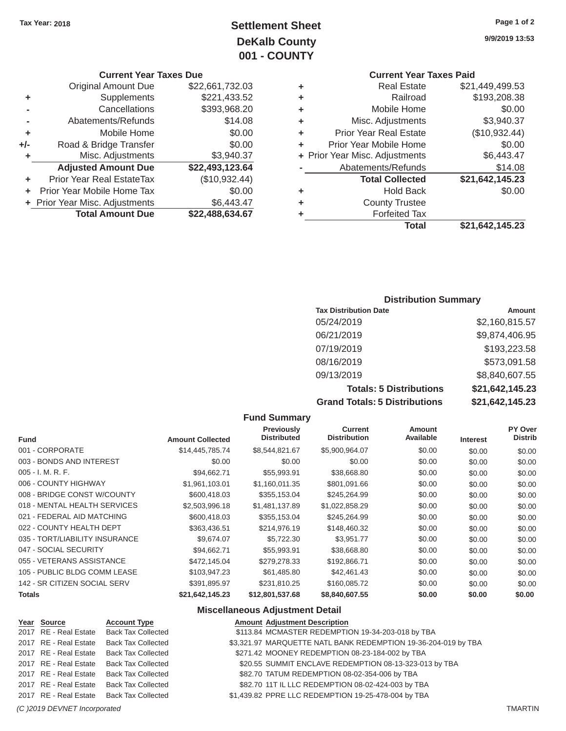# **Tax Year: 2018 Page 1 of 2 Settlement Sheet 9/9/2019 13:53 DeKalb County 001 - COUNTY**

|       | <b>Original Amount Due</b>       | \$22,661,732.03 |   | <b>Real Estate</b>             | \$21,449,499.53 |
|-------|----------------------------------|-----------------|---|--------------------------------|-----------------|
| ٠     | Supplements                      | \$221,433.52    | ٠ | Railroad                       | \$193,208.38    |
|       | Cancellations                    | \$393,968.20    | ٠ | Mobile Home                    | \$0.00          |
|       | Abatements/Refunds               | \$14.08         | ٠ | Misc. Adjustments              | \$3,940.37      |
| ٠     | Mobile Home                      | \$0.00          |   | <b>Prior Year Real Estate</b>  | (\$10,932.44)   |
| $+/-$ | Road & Bridge Transfer           | \$0.00          |   | Prior Year Mobile Home         | \$0.00          |
|       | Misc. Adjustments                | \$3,940.37      |   | + Prior Year Misc. Adjustments | \$6,443.47      |
|       | <b>Adjusted Amount Due</b>       | \$22,493,123.64 |   | Abatements/Refunds             | \$14.08         |
| ÷.    | <b>Prior Year Real EstateTax</b> | (\$10,932.44)   |   | <b>Total Collected</b>         | \$21,642,145.23 |
|       | Prior Year Mobile Home Tax       | \$0.00          | ٠ | <b>Hold Back</b>               | \$0.00          |
|       | + Prior Year Misc. Adjustments   | \$6,443.47      | ٠ | <b>County Trustee</b>          |                 |
|       | <b>Total Amount Due</b>          | \$22,488,634.67 |   | <b>Forfeited Tax</b>           |                 |
|       |                                  |                 |   |                                |                 |

# **Current Year Taxes Due Current Year Taxes Paid Current Year Taxes Paid**

| \$22,661,732.03 |   | <b>Real Estate</b>            | \$21,449,499.53                                                        |
|-----------------|---|-------------------------------|------------------------------------------------------------------------|
| \$221,433.52    |   | Railroad                      | \$193,208.38                                                           |
| \$393,968.20    |   | Mobile Home                   | \$0.00                                                                 |
| \$14.08         |   | Misc. Adjustments             | \$3,940.37                                                             |
| \$0.00          |   | <b>Prior Year Real Estate</b> | (\$10,932.44)                                                          |
| \$0.00          |   | Prior Year Mobile Home        | \$0.00                                                                 |
| \$3,940.37      |   |                               | \$6,443.47                                                             |
| \$22,493,123.64 |   | Abatements/Refunds            | \$14.08                                                                |
| (\$10,932.44)   |   | <b>Total Collected</b>        | \$21,642,145.23                                                        |
| \$0.00          |   | <b>Hold Back</b>              | \$0.00                                                                 |
| \$6,443.47      |   | <b>County Trustee</b>         |                                                                        |
| \$22,488,634.67 | ٠ | <b>Forfeited Tax</b>          |                                                                        |
|                 |   | <b>Total</b>                  | \$21,642,145.23                                                        |
|                 |   |                               | ÷<br>٠<br>٠<br>٠<br>÷<br>÷<br>+ Prior Year Misc. Adjustments<br>÷<br>٠ |

### **Distribution Summary**

| <b>Tax Distribution Date</b>         | <b>Amount</b>   |
|--------------------------------------|-----------------|
| 05/24/2019                           | \$2,160,815.57  |
| 06/21/2019                           | \$9,874,406.95  |
| 07/19/2019                           | \$193,223.58    |
| 08/16/2019                           | \$573,091.58    |
| 09/13/2019                           | \$8,840,607.55  |
| <b>Totals: 5 Distributions</b>       | \$21,642,145.23 |
| <b>Grand Totals: 5 Distributions</b> | \$21,642,145.23 |

|                                |                         | <b>Fund Summary</b>                     |                                       |                            |                 |                           |
|--------------------------------|-------------------------|-----------------------------------------|---------------------------------------|----------------------------|-----------------|---------------------------|
| <b>Fund</b>                    | <b>Amount Collected</b> | <b>Previously</b><br><b>Distributed</b> | <b>Current</b><br><b>Distribution</b> | <b>Amount</b><br>Available | <b>Interest</b> | PY Over<br><b>Distrib</b> |
| 001 - CORPORATE                | \$14,445,785.74         | \$8,544,821.67                          | \$5,900,964.07                        | \$0.00                     | \$0.00          | \$0.00                    |
| 003 - BONDS AND INTEREST       | \$0.00                  | \$0.00                                  | \$0.00                                | \$0.00                     | \$0.00          | \$0.00                    |
| $005 - I. M. R. F.$            | \$94,662.71             | \$55,993.91                             | \$38,668.80                           | \$0.00                     | \$0.00          | \$0.00                    |
| 006 - COUNTY HIGHWAY           | \$1,961,103.01          | \$1,160,011.35                          | \$801,091.66                          | \$0.00                     | \$0.00          | \$0.00                    |
| 008 - BRIDGE CONST W/COUNTY    | \$600,418.03            | \$355,153.04                            | \$245,264.99                          | \$0.00                     | \$0.00          | \$0.00                    |
| 018 - MENTAL HEALTH SERVICES   | \$2,503,996.18          | \$1,481,137.89                          | \$1,022,858.29                        | \$0.00                     | \$0.00          | \$0.00                    |
| 021 - FEDERAL AID MATCHING     | \$600,418.03            | \$355,153.04                            | \$245,264.99                          | \$0.00                     | \$0.00          | \$0.00                    |
| 022 - COUNTY HEALTH DEPT       | \$363,436.51            | \$214,976.19                            | \$148,460.32                          | \$0.00                     | \$0.00          | \$0.00                    |
| 035 - TORT/LIABILITY INSURANCE | \$9,674.07              | \$5,722.30                              | \$3,951.77                            | \$0.00                     | \$0.00          | \$0.00                    |
| 047 - SOCIAL SECURITY          | \$94,662.71             | \$55,993.91                             | \$38,668.80                           | \$0.00                     | \$0.00          | \$0.00                    |
| 055 - VETERANS ASSISTANCE      | \$472.145.04            | \$279,278.33                            | \$192,866.71                          | \$0.00                     | \$0.00          | \$0.00                    |
| 105 - PUBLIC BLDG COMM LEASE   | \$103,947.23            | \$61,485.80                             | \$42,461.43                           | \$0.00                     | \$0.00          | \$0.00                    |
| 142 - SR CITIZEN SOCIAL SERV   | \$391,895.97            | \$231,810.25                            | \$160,085.72                          | \$0.00                     | \$0.00          | \$0.00                    |
| <b>Totals</b>                  | \$21,642,145.23         | \$12,801,537.68                         | \$8,840,607.55                        | \$0.00                     | \$0.00          | \$0.00                    |

### **Miscellaneous Adjustment Detail**

| Year Source | <b>Account Type</b>                      | <b>Amount Adjustment Description</b>                           |
|-------------|------------------------------------------|----------------------------------------------------------------|
|             | 2017 RE - Real Estate Back Tax Collected | \$113.84 MCMASTER REDEMPTION 19-34-203-018 by TBA              |
|             | 2017 RE - Real Estate Back Tax Collected | \$3,321.97 MARQUETTE NATL BANK REDEMPTION 19-36-204-019 by TBA |
|             | 2017 RE - Real Estate Back Tax Collected | \$271.42 MOONEY REDEMPTION 08-23-184-002 by TBA                |
|             | 2017 RE - Real Estate Back Tax Collected | \$20.55 SUMMIT ENCLAVE REDEMPTION 08-13-323-013 by TBA         |
|             | 2017 RE - Real Estate Back Tax Collected | \$82.70 TATUM REDEMPTION 08-02-354-006 by TBA                  |
|             | 2017 RE - Real Estate Back Tax Collected | \$82.70 11T IL LLC REDEMPTION 08-02-424-003 by TBA             |
|             | 2017 RE - Real Estate Back Tax Collected | \$1,439.82 PPRE LLC REDEMPTION 19-25-478-004 by TBA            |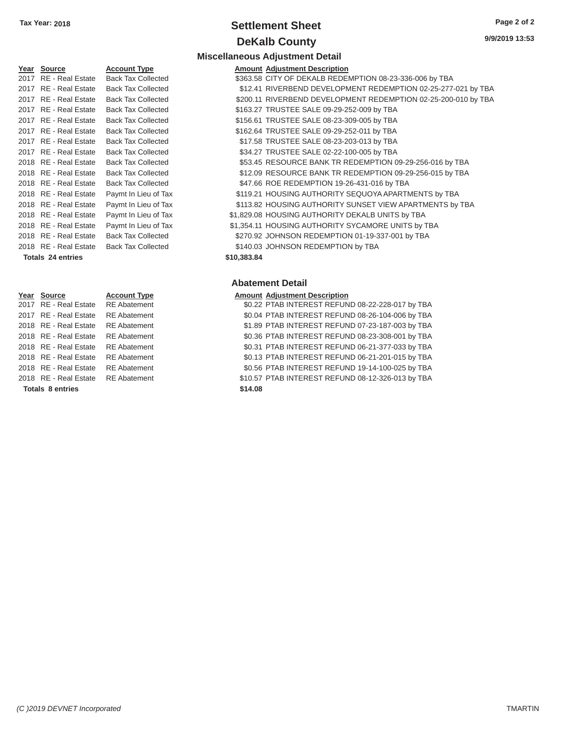# **Tax Year: 2018 Settlement Sheet Page 2 of 2 DeKalb County** 9/9/2

#### Year Source **Account Type** 2017 RE - Real Estate Back Tax Collected 2017 RE - Real Estate Back Tax Collected 2017 RE - Real Estate Back Tax Collected 2017 RE - Real Estate Back Tax Collected 2017 RE - Real Estate Back Tax Collected 2017 RE - Real Estate Back Tax Collected 2018 RE - Real Estate Back Tax Collected 2018 RE - Real Estate Back Tax Collected 2018 RE - Real Estate Back Tax Collected 2018 RE - Real Estate Paymt In Lieu of Tax 2018 RE - Real Estate Paymt In Lieu of Tax 2018 RE - Real Estate Paymt In Lieu of Tax 2018 RE - Real Estate Paymt In Lieu of Tax 2018 RE - Real Estate Back Tax Collected 2018 RE - Real Estate Back Tax Collected **Totals 24 entries**

| Year Source             | <b>Account Type</b> |         | <b>Amount Adjustment Description</b> |
|-------------------------|---------------------|---------|--------------------------------------|
| 2017 RE - Real Estate   | <b>RE</b> Abatement |         | \$0.22 PTAB INTEREST REFUN           |
| 2017 RE - Real Estate   | <b>RE</b> Abatement |         | \$0.04 PTAB INTEREST REFUN           |
| 2018 RE - Real Estate   | <b>RE</b> Abatement |         | \$1.89 PTAB INTEREST REFUN           |
| 2018 RE - Real Estate   | <b>RE</b> Abatement |         | \$0.36 PTAB INTEREST REFUN           |
| 2018 RE - Real Estate   | <b>RE</b> Abatement |         | \$0.31 PTAB INTEREST REFUN           |
| 2018 RE - Real Estate   | <b>RE</b> Abatement |         | \$0.13 PTAB INTEREST REFUN           |
| 2018 RE - Real Estate   | <b>RE</b> Abatement |         | \$0.56 PTAB INTEREST REFUN           |
| 2018 RE - Real Estate   | <b>RE</b> Abatement |         | \$10.57 PTAB INTEREST REFUN          |
| <b>Totals 8 entries</b> |                     | \$14.08 |                                      |

# **Miscellaneous Adjustment Detail**

| Year Source              | <b>Account Type</b>       |             | <b>Amount Adjustment Description</b>                           |
|--------------------------|---------------------------|-------------|----------------------------------------------------------------|
| 2017 RE - Real Estate    | <b>Back Tax Collected</b> |             | \$363.58 CITY OF DEKALB REDEMPTION 08-23-336-006 by TBA        |
| 2017 RE - Real Estate    | <b>Back Tax Collected</b> |             | \$12.41 RIVERBEND DEVELOPMENT REDEMPTION 02-25-277-021 by TBA  |
| 2017 RE - Real Estate    | <b>Back Tax Collected</b> |             | \$200.11 RIVERBEND DEVELOPMENT REDEMPTION 02-25-200-010 by TBA |
| 2017 RE - Real Estate    | <b>Back Tax Collected</b> |             | \$163.27 TRUSTEE SALE 09-29-252-009 by TBA                     |
| 2017 RE - Real Estate    | <b>Back Tax Collected</b> |             | \$156.61 TRUSTEE SALE 08-23-309-005 by TBA                     |
| 2017 RE - Real Estate    | <b>Back Tax Collected</b> |             | \$162.64 TRUSTEE SALE 09-29-252-011 by TBA                     |
| 2017 RE - Real Estate    | <b>Back Tax Collected</b> |             | \$17.58 TRUSTEE SALE 08-23-203-013 by TBA                      |
| 2017 RE - Real Estate    | <b>Back Tax Collected</b> |             | \$34.27 TRUSTEE SALE 02-22-100-005 by TBA                      |
| 2018 RE - Real Estate    | <b>Back Tax Collected</b> |             | \$53.45 RESOURCE BANK TR REDEMPTION 09-29-256-016 by TBA       |
| 2018 RE - Real Estate    | <b>Back Tax Collected</b> |             | \$12.09 RESOURCE BANK TR REDEMPTION 09-29-256-015 by TBA       |
| 2018 RE - Real Estate    | <b>Back Tax Collected</b> |             | \$47.66 ROE REDEMPTION 19-26-431-016 by TBA                    |
| 2018 RE - Real Estate    | Paymt In Lieu of Tax      |             | \$119.21 HOUSING AUTHORITY SEQUOYA APARTMENTS by TBA           |
| 2018 RE - Real Estate    | Paymt In Lieu of Tax      |             | \$113.82 HOUSING AUTHORITY SUNSET VIEW APARTMENTS by TBA       |
| 2018 RE - Real Estate    | Paymt In Lieu of Tax      |             | \$1,829.08 HOUSING AUTHORITY DEKALB UNITS by TBA               |
| 2018 RE - Real Estate    | Paymt In Lieu of Tax      |             | \$1,354.11 HOUSING AUTHORITY SYCAMORE UNITS by TBA             |
| 2018 RE - Real Estate    | <b>Back Tax Collected</b> |             | \$270.92 JOHNSON REDEMPTION 01-19-337-001 by TBA               |
| 2018 RE - Real Estate    | <b>Back Tax Collected</b> |             | \$140.03 JOHNSON REDEMPTION by TBA                             |
| <b>Totals 24 entries</b> |                           | \$10,383.84 |                                                                |
|                          |                           |             |                                                                |

#### **Abatement Detail**

| Year Source             | <b>Account Type</b> |         | <b>Amount Adjustment Description</b>              |
|-------------------------|---------------------|---------|---------------------------------------------------|
| 2017 RE - Real Estate   | <b>RE</b> Abatement |         | \$0.22 PTAB INTEREST REFUND 08-22-228-017 by TBA  |
| 2017 RE - Real Estate   | <b>RE</b> Abatement |         | \$0.04 PTAB INTEREST REFUND 08-26-104-006 by TBA  |
| 2018 RE - Real Estate   | <b>RE</b> Abatement |         | \$1.89 PTAB INTEREST REFUND 07-23-187-003 by TBA  |
| 2018 RE - Real Estate   | <b>RE</b> Abatement |         | \$0.36 PTAB INTEREST REFUND 08-23-308-001 by TBA  |
| 2018 RE - Real Estate   | <b>RE</b> Abatement |         | \$0.31 PTAB INTEREST REFUND 06-21-377-033 by TBA  |
| 2018 RE - Real Estate   | <b>RE</b> Abatement |         | \$0.13 PTAB INTEREST REFUND 06-21-201-015 by TBA  |
| 2018 RE - Real Estate   | <b>RE</b> Abatement |         | \$0.56 PTAB INTEREST REFUND 19-14-100-025 by TBA  |
| 2018 RE - Real Estate   | <b>RE</b> Abatement |         | \$10.57 PTAB INTEREST REFUND 08-12-326-013 by TBA |
| <b>Totals 8 entries</b> |                     | \$14.08 |                                                   |
|                         |                     |         |                                                   |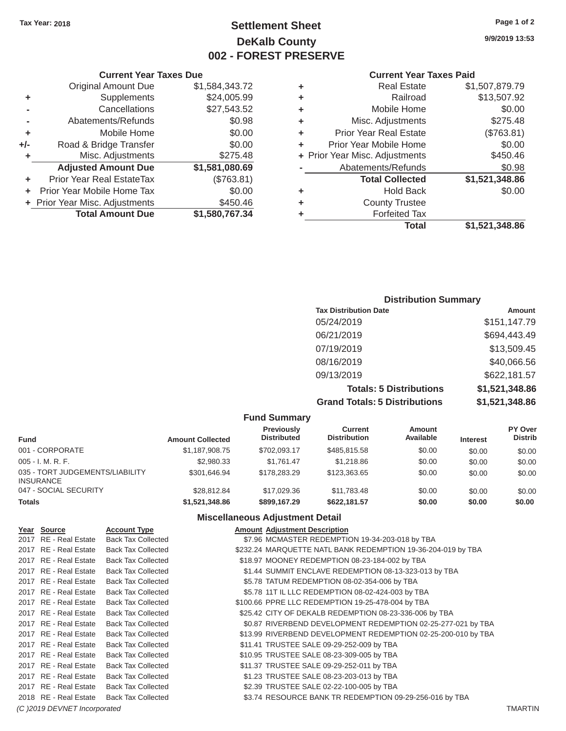# **Tax Year: 2018 Page 1 of 2 Settlement Sheet 9/9/2019 13:53 DeKalb County 002 - FOREST PRESERVE**

|                            |                                                                                      |             |                               | \$1,521,348.86                          |
|----------------------------|--------------------------------------------------------------------------------------|-------------|-------------------------------|-----------------------------------------|
| <b>Total Amount Due</b>    | \$1,580,767.34                                                                       |             | <b>Forfeited Tax</b>          |                                         |
|                            | \$450.46                                                                             | ٠           | <b>County Trustee</b>         |                                         |
|                            | \$0.00                                                                               | ÷           | <b>Hold Back</b>              | \$0.00                                  |
| Prior Year Real EstateTax  | (\$763.81)                                                                           |             | <b>Total Collected</b>        | \$1,521,348.86                          |
| <b>Adjusted Amount Due</b> | \$1,581,080.69                                                                       |             | Abatements/Refunds            | \$0.98                                  |
| Misc. Adjustments          | \$275.48                                                                             |             |                               | \$450.46                                |
| Road & Bridge Transfer     | \$0.00                                                                               | ٠           | Prior Year Mobile Home        | \$0.00                                  |
| Mobile Home                | \$0.00                                                                               | ٠           | <b>Prior Year Real Estate</b> | (\$763.81)                              |
| Abatements/Refunds         | \$0.98                                                                               | ٠           | Misc. Adjustments             | \$275.48                                |
| Cancellations              | \$27,543.52                                                                          | ٠           | Mobile Home                   | \$0.00                                  |
|                            |                                                                                      | ٠           | Railroad                      | \$13,507.92                             |
| <b>Original Amount Due</b> | \$1,584,343.72                                                                       | ٠           | <b>Real Estate</b>            | \$1,507,879.79                          |
|                            | <b>Supplements</b><br>+ Prior Year Mobile Home Tax<br>+ Prior Year Misc. Adjustments | \$24,005.99 |                               | + Prior Year Misc. Adjustments<br>Total |

# **Current Year Taxes Due Current Year Taxes Paid**  Original Amount Due \$1,584,343.72 **-** Abatements/Refunds **\$0.98 +** Mobile Home  $$0.00$ **+/-** Road & Bridge Transfer \$0.00 **+** Misc. Adjustments \$275.48 **+** Prior Year Misc. Adjustments \$450.46 **Adjusted Amount Due \$1,581,080.69 +** Prior Year Real EstateTax (\$763.81) **+** Prior Year Mobile Home Tax  $$0.00$ **+** Prior Year Misc. Adjustments \$450.46 **Total Amount Due \$1,580,767.34**

### **Distribution Summary**

| <b>Tax Distribution Date</b>         | Amount         |
|--------------------------------------|----------------|
| 05/24/2019                           | \$151,147.79   |
| 06/21/2019                           | \$694,443.49   |
| 07/19/2019                           | \$13,509.45    |
| 08/16/2019                           | \$40,066.56    |
| 09/13/2019                           | \$622,181.57   |
| <b>Totals: 5 Distributions</b>       | \$1,521,348.86 |
| <b>Grand Totals: 5 Distributions</b> | \$1,521,348.86 |

#### **Fund Summary Previously Current Amount PY Over<br>
Distributed Distribution Available Interest Distributed Fund Amount Collected Distributed Distribution Available Interest** 001 - CORPORATE 6 \$1,187,908.75 \$702,093.17 \$485,815.58 \$0.00 \$0.00 \$0.00 005 - I. M. R. F. \$2,980.33 \$1,761.47 \$1,218.86 \$0.00 \$0.00 \$0.00 035 - TORT JUDGEMENTS/LIABILITY \$301,646.94 \$178,283.29 \$123,363.65 \$0.00 \$0.00 \$0.00 \$0.00 INSURANCE 047 - SOCIAL SECURITY \$28,812.84 \$17,029.36 \$11,783.48 \$0.00 \$0.00 \$0.00 \$0.00 **Totals \$1,521,348.86 \$899,167.29 \$622,181.57 \$0.00 \$0.00 \$0.00**

#### **Miscellaneous Adjustment Detail**

| Year Source                  | <b>Account Type</b>       | <b>Amount Adjustment Description</b>                          |                |
|------------------------------|---------------------------|---------------------------------------------------------------|----------------|
| 2017 RE - Real Estate        | <b>Back Tax Collected</b> | \$7.96 MCMASTER REDEMPTION 19-34-203-018 by TBA               |                |
| 2017 RE - Real Estate        | <b>Back Tax Collected</b> | \$232.24 MARQUETTE NATL BANK REDEMPTION 19-36-204-019 by TBA  |                |
| 2017 RE - Real Estate        | <b>Back Tax Collected</b> | \$18.97 MOONEY REDEMPTION 08-23-184-002 by TBA                |                |
| 2017 RE - Real Estate        | <b>Back Tax Collected</b> | \$1.44 SUMMIT ENCLAVE REDEMPTION 08-13-323-013 by TBA         |                |
| 2017 RE - Real Estate        | <b>Back Tax Collected</b> | \$5.78 TATUM REDEMPTION 08-02-354-006 by TBA                  |                |
| 2017 RE - Real Estate        | <b>Back Tax Collected</b> | \$5.78 11T IL LLC REDEMPTION 08-02-424-003 by TBA             |                |
| 2017 RE - Real Estate        | <b>Back Tax Collected</b> | \$100.66 PPRE LLC REDEMPTION 19-25-478-004 by TBA             |                |
| 2017 RE - Real Estate        | <b>Back Tax Collected</b> | \$25.42 CITY OF DEKALB REDEMPTION 08-23-336-006 by TBA        |                |
| 2017 RE - Real Estate        | <b>Back Tax Collected</b> | \$0.87 RIVERBEND DEVELOPMENT REDEMPTION 02-25-277-021 by TBA  |                |
| 2017 RE - Real Estate        | <b>Back Tax Collected</b> | \$13.99 RIVERBEND DEVELOPMENT REDEMPTION 02-25-200-010 by TBA |                |
| 2017 RE - Real Estate        | <b>Back Tax Collected</b> | \$11.41 TRUSTEE SALE 09-29-252-009 by TBA                     |                |
| 2017 RE - Real Estate        | <b>Back Tax Collected</b> | \$10.95 TRUSTEE SALE 08-23-309-005 by TBA                     |                |
| 2017 RE - Real Estate        | <b>Back Tax Collected</b> | \$11.37 TRUSTEE SALE 09-29-252-011 by TBA                     |                |
| 2017 RE - Real Estate        | <b>Back Tax Collected</b> | \$1.23 TRUSTEE SALE 08-23-203-013 by TBA                      |                |
| 2017 RE - Real Estate        | <b>Back Tax Collected</b> | \$2.39 TRUSTEE SALE 02-22-100-005 by TBA                      |                |
| 2018 RE - Real Estate        | <b>Back Tax Collected</b> | \$3.74 RESOURCE BANK TR REDEMPTION 09-29-256-016 by TBA       |                |
| (C) 2019 DEVNET Incorporated |                           |                                                               | <b>TMARTIN</b> |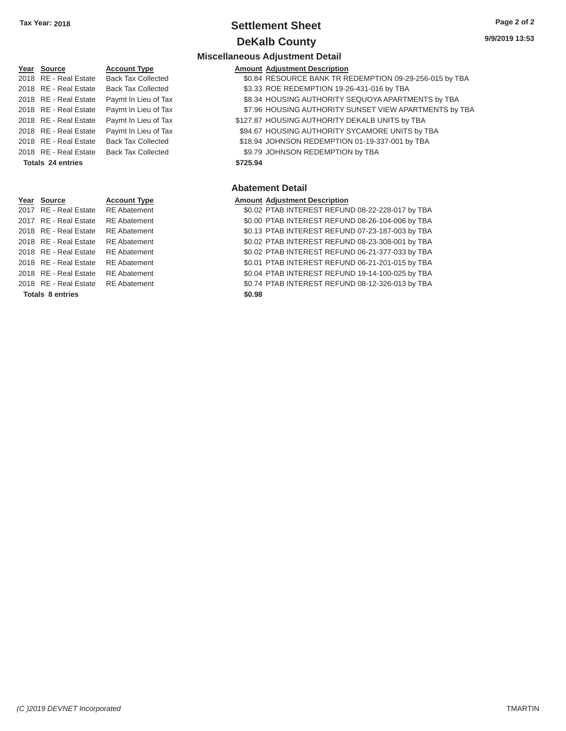# **Tax Year: 2018 Settlement Sheet Page 2 of 2 DeKalb County 9/9/2019 13:53**

# **Year Source Account Type Amount Adjustment Description**  2018 RE - Real Estate Back Tax Collected \$9.79 JOHNSON REDEMPTION by TBA **Totals 24 entries \$725.94 Year** Source **Account Type Aggle 2016** Amount Adjustment Description

Totals 8 entries \$0.98

# **Miscellaneous Adjustment Detail**  2018 RE - Real Estate Back Tax Collected \$0.84 RESOURCE BANK TR REDEMPTION 09-29-256-015 by TBA 2018 RE - Real Estate Back Tax Collected \$3.33 ROE REDEMPTION 19-26-431-016 by TBA 2018 RE - Real Estate Paymt In Lieu of Tax \$8.34 HOUSING AUTHORITY SEQUOYA APARTMENTS by TBA 2018 RE - Real Estate Paymt In Lieu of Tax \$7.96 HOUSING AUTHORITY SUNSET VIEW APARTMENTS by TBA 2018 RE - Real Estate Paymt In Lieu of Tax \$127.87 HOUSING AUTHORITY DEKALB UNITS by TBA 2018 RE - Real Estate Paymt In Lieu of Tax \$94.67 HOUSING AUTHORITY SYCAMORE UNITS by TBA 2018 RE - Real Estate Back Tax Collected \$18.94 JOHNSON REDEMPTION 01-19-337-001 by TBA

#### **Abatement Detail**

2017 RE - Real Estate RE Abatement \$0.02 PTAB INTEREST REFUND 08-22-228-017 by TBA 2017 RE - Real Estate RE Abatement \$0.00 PTAB INTEREST REFUND 08-26-104-006 by TBA 2018 RE - Real Estate RE Abatement \$0.13 PTAB INTEREST REFUND 07-23-187-003 by TBA 2018 RE - Real Estate RE Abatement \$0.02 PTAB INTEREST REFUND 08-23-308-001 by TBA 2018 RE - Real Estate RE Abatement \$0.02 PTAB INTEREST REFUND 06-21-377-033 by TBA 2018 RE - Real Estate RE Abatement \$0.01 PTAB INTEREST REFUND 06-21-201-015 by TBA 2018 RE - Real Estate RE Abatement \$0.04 PTAB INTEREST REFUND 19-14-100-025 by TBA 2018 RE - Real Estate RE Abatement \$0.74 PTAB INTEREST REFUND 08-12-326-013 by TBA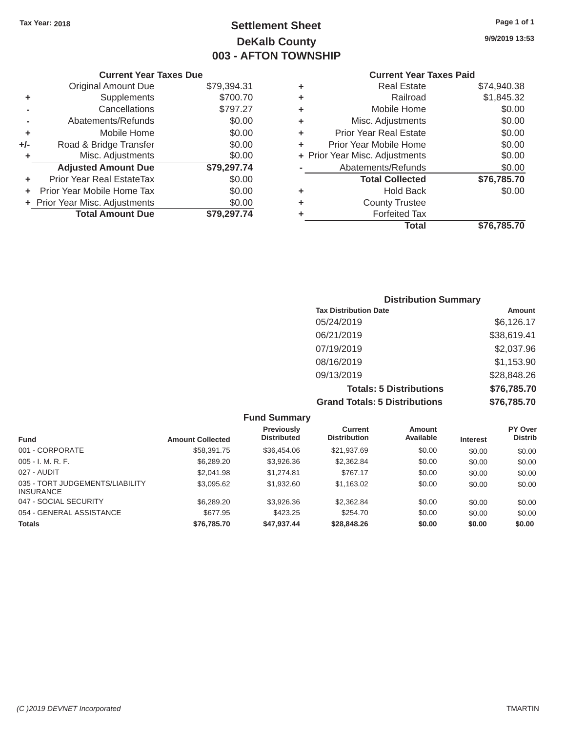# Tax Year: 2018 **Page 1 of 1 Page 1 of 1 Settlement Sheet Page 1 of 1 Page 1 of 1 9/9/2019 13:53 DeKalb County 003 - AFTON TOWNSHIP**

# **Current Year Taxes Due Current Year Taxes Paid Current Year Taxes Paid**

|       | OUITUIR TUUT TUAGU DUG         |             |    |                                |             |
|-------|--------------------------------|-------------|----|--------------------------------|-------------|
|       | <b>Original Amount Due</b>     | \$79,394.31 | ٠  | <b>Real Estate</b>             | \$74,940.38 |
| ٠     | Supplements                    | \$700.70    | ٠  | Railroad                       | \$1,845.32  |
|       | Cancellations                  | \$797.27    | ٠  | Mobile Home                    | \$0.00      |
|       | Abatements/Refunds             | \$0.00      | ٠  | Misc. Adjustments              | \$0.00      |
| ٠     | Mobile Home                    | \$0.00      | ÷. | <b>Prior Year Real Estate</b>  | \$0.00      |
| $+/-$ | Road & Bridge Transfer         | \$0.00      |    | Prior Year Mobile Home         | \$0.00      |
|       | Misc. Adjustments              | \$0.00      |    | + Prior Year Misc. Adjustments | \$0.00      |
|       | <b>Adjusted Amount Due</b>     | \$79,297.74 |    | Abatements/Refunds             | \$0.00      |
| ٠     | Prior Year Real EstateTax      | \$0.00      |    | <b>Total Collected</b>         | \$76,785.70 |
|       | + Prior Year Mobile Home Tax   | \$0.00      | ٠  | <b>Hold Back</b>               | \$0.00      |
|       | + Prior Year Misc. Adjustments | \$0.00      | ٠  | <b>County Trustee</b>          |             |
|       | <b>Total Amount Due</b>        | \$79,297.74 |    | <b>Forfeited Tax</b>           |             |
|       |                                |             |    |                                | $\cdots$    |

| Supplements<br>\$700.70<br>Railroad<br>÷<br>Cancellations<br>\$797.27<br>Mobile Home<br>÷<br>\$0.00<br>Abatements/Refunds<br>Misc. Adjustments<br>÷<br>\$0.00<br>Mobile Home<br><b>Prior Year Real Estate</b><br>٠<br>Road & Bridge Transfer<br>\$0.00<br>Prior Year Mobile Home<br>÷<br>Misc. Adjustments<br>+ Prior Year Misc. Adjustments<br>\$0.00<br><b>Adjusted Amount Due</b><br>\$79,297.74<br>Abatements/Refunds<br>ior Year Real EstateTax<br>\$0.00<br><b>Total Collected</b><br>r Year Mobile Home Tax<br>\$0.00<br><b>Hold Back</b><br>٠<br>Year Misc. Adjustments<br>\$0.00<br><b>County Trustee</b><br>÷<br><b>Total Amount Due</b><br>\$79,297.74<br><b>Forfeited Tax</b><br>٠<br><b>Total</b> | \$74,940.38 | <b>Real Estate</b> | ÷ | \$79,394.31 | <b>Original Amount Due</b> |
|----------------------------------------------------------------------------------------------------------------------------------------------------------------------------------------------------------------------------------------------------------------------------------------------------------------------------------------------------------------------------------------------------------------------------------------------------------------------------------------------------------------------------------------------------------------------------------------------------------------------------------------------------------------------------------------------------------------|-------------|--------------------|---|-------------|----------------------------|
|                                                                                                                                                                                                                                                                                                                                                                                                                                                                                                                                                                                                                                                                                                                | \$1,845.32  |                    |   |             |                            |
|                                                                                                                                                                                                                                                                                                                                                                                                                                                                                                                                                                                                                                                                                                                | \$0.00      |                    |   |             |                            |
|                                                                                                                                                                                                                                                                                                                                                                                                                                                                                                                                                                                                                                                                                                                | \$0.00      |                    |   |             |                            |
|                                                                                                                                                                                                                                                                                                                                                                                                                                                                                                                                                                                                                                                                                                                | \$0.00      |                    |   |             |                            |
|                                                                                                                                                                                                                                                                                                                                                                                                                                                                                                                                                                                                                                                                                                                | \$0.00      |                    |   |             |                            |
|                                                                                                                                                                                                                                                                                                                                                                                                                                                                                                                                                                                                                                                                                                                | \$0.00      |                    |   |             |                            |
|                                                                                                                                                                                                                                                                                                                                                                                                                                                                                                                                                                                                                                                                                                                | \$0.00      |                    |   |             |                            |
|                                                                                                                                                                                                                                                                                                                                                                                                                                                                                                                                                                                                                                                                                                                | \$76,785.70 |                    |   |             |                            |
|                                                                                                                                                                                                                                                                                                                                                                                                                                                                                                                                                                                                                                                                                                                | \$0.00      |                    |   |             |                            |
|                                                                                                                                                                                                                                                                                                                                                                                                                                                                                                                                                                                                                                                                                                                |             |                    |   |             |                            |
|                                                                                                                                                                                                                                                                                                                                                                                                                                                                                                                                                                                                                                                                                                                |             |                    |   |             |                            |
|                                                                                                                                                                                                                                                                                                                                                                                                                                                                                                                                                                                                                                                                                                                | \$76,785.70 |                    |   |             |                            |

### **Distribution Summary Tax Distribution Date Amount Amount** 05/24/2019 \$6,126.17 06/21/2019 \$38,619.41 07/19/2019 \$2,037.96 08/16/2019 \$1,153.90 09/13/2019 \$28,848.26 **Totals: 5 Distributions \$76,785.70 Grand Totals: 5 Distributions \$76,785.70**

|                                                     |                         | <b>Fund Summary</b>                     |                                |                     |                 |                           |
|-----------------------------------------------------|-------------------------|-----------------------------------------|--------------------------------|---------------------|-----------------|---------------------------|
| <b>Fund</b>                                         | <b>Amount Collected</b> | <b>Previously</b><br><b>Distributed</b> | Current<br><b>Distribution</b> | Amount<br>Available | <b>Interest</b> | PY Over<br><b>Distrib</b> |
| 001 - CORPORATE                                     | \$58,391,75             | \$36,454.06                             | \$21,937.69                    | \$0.00              | \$0.00          | \$0.00                    |
| $005 - I. M. R. F.$                                 | \$6,289.20              | \$3,926.36                              | \$2,362.84                     | \$0.00              | \$0.00          | \$0.00                    |
| 027 - AUDIT                                         | \$2,041.98              | \$1,274.81                              | \$767.17                       | \$0.00              | \$0.00          | \$0.00                    |
| 035 - TORT JUDGEMENTS/LIABILITY<br><b>INSURANCE</b> | \$3,095.62              | \$1,932.60                              | \$1,163.02                     | \$0.00              | \$0.00          | \$0.00                    |
| 047 - SOCIAL SECURITY                               | \$6,289,20              | \$3,926,36                              | \$2,362.84                     | \$0.00              | \$0.00          | \$0.00                    |
| 054 - GENERAL ASSISTANCE                            | \$677.95                | \$423.25                                | \$254.70                       | \$0.00              | \$0.00          | \$0.00                    |
| <b>Totals</b>                                       | \$76,785.70             | \$47,937.44                             | \$28,848,26                    | \$0.00              | \$0.00          | \$0.00                    |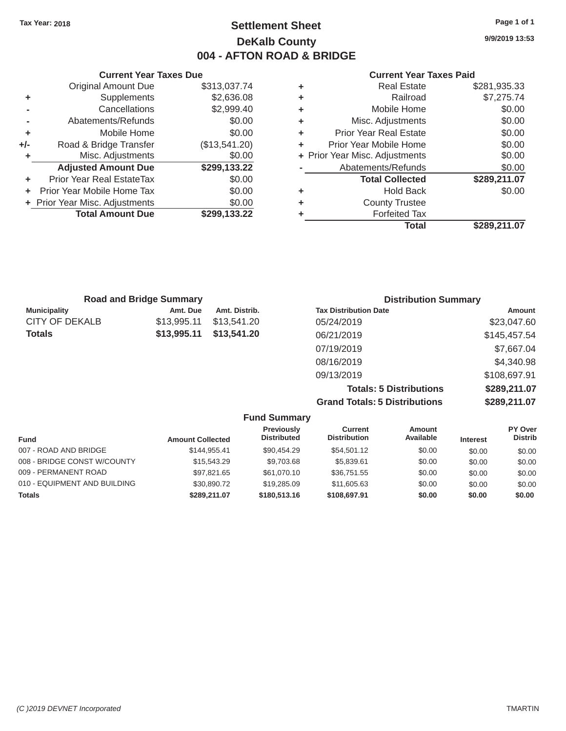# Tax Year: 2018 **Page 1 of 1 Settlement Sheet Page 1 of 1 Page 1 of 1 9/9/2019 13:53 DeKalb County 004 - AFTON ROAD & BRIDGE**

#### **Current Year Taxes Due Current Year Taxes Paid Current Year Taxes Paid**

|     | Original Amount Due              | \$313,037.74  | ٠  | <b>Real Estate</b>             | \$281,935.33       |
|-----|----------------------------------|---------------|----|--------------------------------|--------------------|
| ٠   | Supplements                      | \$2,636.08    | ٠  | Railroad                       | \$7,275.74         |
|     | Cancellations                    | \$2,999.40    | ٠  | Mobile Home                    | \$0.00             |
|     | Abatements/Refunds               | \$0.00        | ٠  | Misc. Adjustments              | \$0.00             |
| ٠   | Mobile Home                      | \$0.00        | ÷. | <b>Prior Year Real Estate</b>  | \$0.00             |
| +/- | Road & Bridge Transfer           | (\$13,541.20) | ٠  | Prior Year Mobile Home         | \$0.00             |
|     | Misc. Adjustments                | \$0.00        |    | + Prior Year Misc. Adjustments | \$0.00             |
|     | <b>Adjusted Amount Due</b>       | \$299,133.22  |    | Abatements/Refunds             | \$0.00             |
| ٠   | <b>Prior Year Real EstateTax</b> | \$0.00        |    | <b>Total Collected</b>         | \$289,211.07       |
| ÷.  | Prior Year Mobile Home Tax       | \$0.00        | ٠  | <b>Hold Back</b>               | \$0.00             |
|     | + Prior Year Misc. Adjustments   | \$0.00        | ٠  | <b>County Trustee</b>          |                    |
|     | <b>Total Amount Due</b>          | \$299,133.22  |    | <b>Forfeited Tax</b>           |                    |
|     |                                  |               |    |                                | <b>AAAA AJJ AM</b> |

| <b>Original Amount Due</b> | \$313,037.74  | ÷ | <b>Real Estate</b>             | \$281,935.33 |
|----------------------------|---------------|---|--------------------------------|--------------|
| Supplements                | \$2,636.08    | ٠ | Railroad                       | \$7,275.74   |
| Cancellations              | \$2,999.40    | ٠ | Mobile Home                    | \$0.00       |
| Abatements/Refunds         | \$0.00        | ٠ | Misc. Adjustments              | \$0.00       |
| Mobile Home                | \$0.00        | ÷ | <b>Prior Year Real Estate</b>  | \$0.00       |
| Road & Bridge Transfer     | (\$13,541.20) | ÷ | Prior Year Mobile Home         | \$0.00       |
| Misc. Adjustments          | \$0.00        |   | + Prior Year Misc. Adjustments | \$0.00       |
| <b>Adjusted Amount Due</b> | \$299,133.22  |   | Abatements/Refunds             | \$0.00       |
| ior Year Real EstateTax    | \$0.00        |   | <b>Total Collected</b>         | \$289,211.07 |
| r Year Mobile Home Tax     | \$0.00        | ٠ | <b>Hold Back</b>               | \$0.00       |
| Year Misc. Adjustments     | \$0.00        | ٠ | <b>County Trustee</b>          |              |
| <b>Total Amount Due</b>    | \$299,133.22  | ٠ | <b>Forfeited Tax</b>           |              |
|                            |               |   | <b>Total</b>                   | \$289,211.07 |

| <b>Road and Bridge Summary</b> |             |               | <b>Distribution Summary</b>  |                |  |
|--------------------------------|-------------|---------------|------------------------------|----------------|--|
| <b>Municipality</b>            | Amt. Due    | Amt. Distrib. | <b>Tax Distribution Date</b> | Amount         |  |
| <b>CITY OF DEKALB</b>          | \$13.995.11 | \$13,541,20   | 05/24/2019                   | \$23,047.60    |  |
| <b>Totals</b>                  | \$13,995.11 | \$13,541,20   | 06/21/2019                   | \$145,457.54   |  |
|                                |             |               | 07/19/2019                   | \$7,667.04     |  |
|                                |             |               | 08/16/2019                   | \$4,340.98     |  |
|                                |             |               | 09/13/2019                   | \$108,697.91   |  |
|                                |             |               | Tatala: E Diatributiana      | 0.000, 211, 07 |  |

**Totals: 5 Distributions \$289,211.07 Grand Totals: 5 Distributions \$289,211.07** 

|                              |                         | <b>Fund Summary</b>              |                                       |                     |                 |                           |
|------------------------------|-------------------------|----------------------------------|---------------------------------------|---------------------|-----------------|---------------------------|
| <b>Fund</b>                  | <b>Amount Collected</b> | Previously<br><b>Distributed</b> | <b>Current</b><br><b>Distribution</b> | Amount<br>Available | <b>Interest</b> | PY Over<br><b>Distrib</b> |
| 007 - ROAD AND BRIDGE        | \$144,955.41            | \$90.454.29                      | \$54.501.12                           | \$0.00              | \$0.00          | \$0.00                    |
| 008 - BRIDGE CONST W/COUNTY  | \$15,543.29             | \$9,703.68                       | \$5,839.61                            | \$0.00              | \$0.00          | \$0.00                    |
| 009 - PERMANENT ROAD         | \$97.821.65             | \$61,070.10                      | \$36,751.55                           | \$0.00              | \$0.00          | \$0.00                    |
| 010 - EQUIPMENT AND BUILDING | \$30,890.72             | \$19,285,09                      | \$11,605,63                           | \$0.00              | \$0.00          | \$0.00                    |
| <b>Totals</b>                | \$289,211,07            | \$180,513,16                     | \$108,697.91                          | \$0.00              | \$0.00          | \$0.00                    |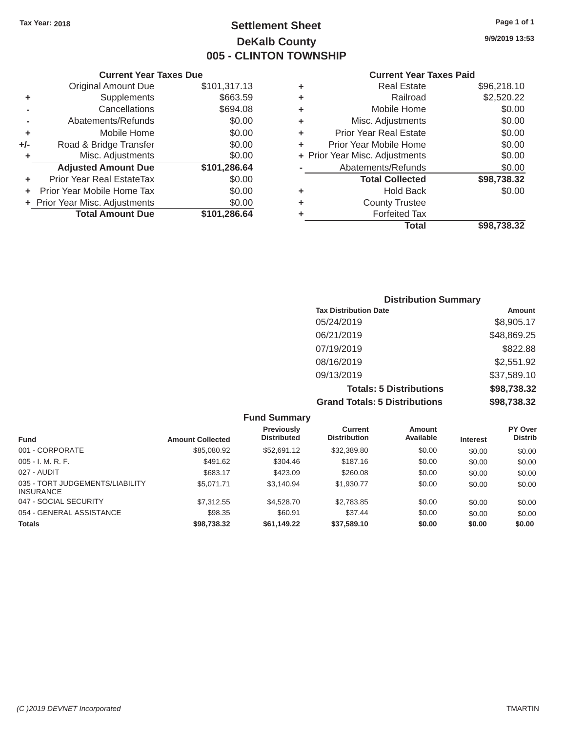# Tax Year: 2018 **Page 1 of 1 Settlement Sheet Page 1 of 1 Page 1 of 1 9/9/2019 13:53 DeKalb County 005 - CLINTON TOWNSHIP**

#### **Current Year Taxes Due Current Year Taxes Paid Current Year Taxes Paid**

|       | Original Amount Due            | \$101,317.13 | ٠  | <b>Real Estate</b>             | \$96,218.10        |
|-------|--------------------------------|--------------|----|--------------------------------|--------------------|
|       | Supplements                    | \$663.59     | ٠  | Railroad                       | \$2,520.22         |
|       | Cancellations                  | \$694.08     | ٠  | Mobile Home                    | \$0.00             |
|       | Abatements/Refunds             | \$0.00       | ٠  | Misc. Adjustments              | \$0.00             |
| ÷     | Mobile Home                    | \$0.00       | ÷. | <b>Prior Year Real Estate</b>  | \$0.00             |
| $+/-$ | Road & Bridge Transfer         | \$0.00       | ٠  | Prior Year Mobile Home         | \$0.00             |
|       | Misc. Adjustments              | \$0.00       |    | + Prior Year Misc. Adjustments | \$0.00             |
|       | <b>Adjusted Amount Due</b>     | \$101,286.64 |    | Abatements/Refunds             | \$0.00             |
| ٠     | Prior Year Real EstateTax      | \$0.00       |    | <b>Total Collected</b>         | \$98,738.32        |
|       | Prior Year Mobile Home Tax     | \$0.00       | ٠  | <b>Hold Back</b>               | \$0.00             |
|       | + Prior Year Misc. Adjustments | \$0.00       | ٠  | <b>County Trustee</b>          |                    |
|       | <b>Total Amount Due</b>        | \$101,286.64 |    | <b>Forfeited Tax</b>           |                    |
|       |                                |              |    |                                | <b>A</b> - - - - - |

| <b>Original Amount Due</b> | \$101,317.13 | ÷ | <b>Real Estate</b>             | \$96,218.10 |
|----------------------------|--------------|---|--------------------------------|-------------|
| Supplements                | \$663.59     | ÷ | Railroad                       | \$2,520.22  |
| Cancellations              | \$694.08     | ÷ | Mobile Home                    | \$0.00      |
| Abatements/Refunds         | \$0.00       | ÷ | Misc. Adjustments              | \$0.00      |
| Mobile Home                | \$0.00       | ÷ | <b>Prior Year Real Estate</b>  | \$0.00      |
| Road & Bridge Transfer     | \$0.00       | ÷ | Prior Year Mobile Home         | \$0.00      |
| Misc. Adjustments          | \$0.00       |   | + Prior Year Misc. Adjustments | \$0.00      |
| <b>Adjusted Amount Due</b> | \$101,286.64 |   | Abatements/Refunds             | \$0.00      |
| ior Year Real EstateTax    | \$0.00       |   | <b>Total Collected</b>         | \$98,738.32 |
| r Year Mobile Home Tax     | \$0.00       | ÷ | <b>Hold Back</b>               | \$0.00      |
| Year Misc. Adjustments     | \$0.00       | ÷ | <b>County Trustee</b>          |             |
| <b>Total Amount Due</b>    | \$101,286.64 | ٠ | <b>Forfeited Tax</b>           |             |
|                            |              |   | <b>Total</b>                   | \$98,738.32 |

| <b>Distribution Summary</b>          |             |  |  |  |  |
|--------------------------------------|-------------|--|--|--|--|
| <b>Tax Distribution Date</b>         | Amount      |  |  |  |  |
| 05/24/2019                           | \$8,905.17  |  |  |  |  |
| 06/21/2019                           | \$48,869.25 |  |  |  |  |
| 07/19/2019                           | \$822.88    |  |  |  |  |
| 08/16/2019                           | \$2,551.92  |  |  |  |  |
| 09/13/2019                           | \$37,589.10 |  |  |  |  |
| <b>Totals: 5 Distributions</b>       | \$98,738.32 |  |  |  |  |
| <b>Grand Totals: 5 Distributions</b> | \$98,738.32 |  |  |  |  |

|                                                     |                         | <b>Fund Summary</b>                     |                                |                     |                 |                           |
|-----------------------------------------------------|-------------------------|-----------------------------------------|--------------------------------|---------------------|-----------------|---------------------------|
| <b>Fund</b>                                         | <b>Amount Collected</b> | <b>Previously</b><br><b>Distributed</b> | Current<br><b>Distribution</b> | Amount<br>Available | <b>Interest</b> | PY Over<br><b>Distrib</b> |
| 001 - CORPORATE                                     | \$85,080.92             | \$52,691.12                             | \$32,389.80                    | \$0.00              | \$0.00          | \$0.00                    |
| $005 - I. M. R. F.$                                 | \$491.62                | \$304.46                                | \$187.16                       | \$0.00              | \$0.00          | \$0.00                    |
| 027 - AUDIT                                         | \$683.17                | \$423.09                                | \$260.08                       | \$0.00              | \$0.00          | \$0.00                    |
| 035 - TORT JUDGEMENTS/LIABILITY<br><b>INSURANCE</b> | \$5,071.71              | \$3.140.94                              | \$1,930.77                     | \$0.00              | \$0.00          | \$0.00                    |
| 047 - SOCIAL SECURITY                               | \$7,312.55              | \$4,528,70                              | \$2,783.85                     | \$0.00              | \$0.00          | \$0.00                    |
| 054 - GENERAL ASSISTANCE                            | \$98.35                 | \$60.91                                 | \$37.44                        | \$0.00              | \$0.00          | \$0.00                    |
| <b>Totals</b>                                       | \$98,738.32             | \$61,149.22                             | \$37,589.10                    | \$0.00              | \$0.00          | \$0.00                    |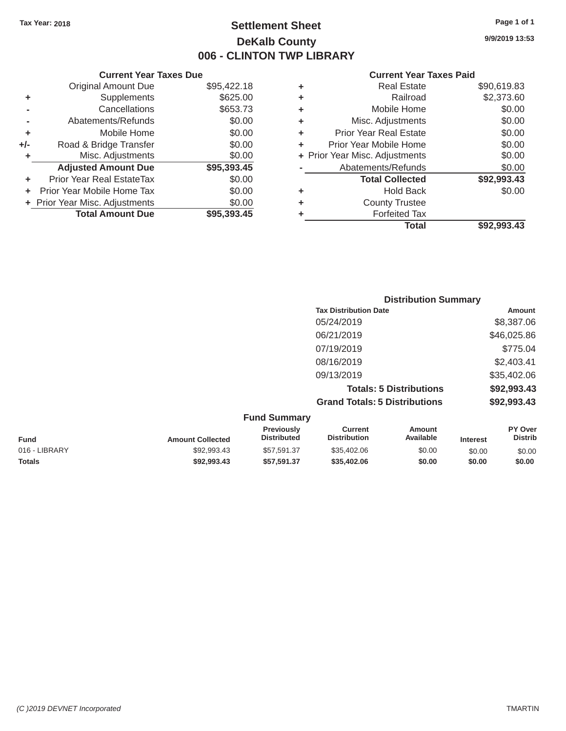# Tax Year: 2018 **Page 1 of 1 Page 1 of 1 Settlement Sheet Page 1 of 1 Page 1 of 1 9/9/2019 13:53 DeKalb County 006 - CLINTON TWP LIBRARY**

#### **Current Year Taxes Due Current Year Taxes Paid Current Year Taxes Paid Current Year Taxes Paid** Original Amount Due **+** Supplements **-** Cancellations **-** Abatements/Refunds **+** Mobile Home **+/-** Road & Bridge Transfer **+** Misc. Adjustments  $$95,422.18$  $$653.73$ Adjusted Amount Due \$95,393.45 **+** Prior Year Real EstateTax \$0.00 **+** Prior Year Mobile Home Tax  $$0.00$ **+** Prior Year Misc. Adjustments  $$0.00$ **Total Amount Due \$95,393.45**

| 5,422.18 | ٠ | <b>Real Estate</b>             | \$90,619.83 |
|----------|---|--------------------------------|-------------|
| \$625.00 | ٠ | Railroad                       | \$2,373.60  |
| \$653.73 | ٠ | Mobile Home                    | \$0.00      |
| \$0.00   | ٠ | Misc. Adjustments              | \$0.00      |
| \$0.00   | ٠ | <b>Prior Year Real Estate</b>  | \$0.00      |
| \$0.00   | ٠ | Prior Year Mobile Home         | \$0.00      |
| \$0.00   |   | + Prior Year Misc. Adjustments | \$0.00      |
| 5,393.45 |   | Abatements/Refunds             | \$0.00      |
| \$0.00   |   | <b>Total Collected</b>         | \$92,993.43 |
| \$0.00   | ٠ | <b>Hold Back</b>               | \$0.00      |
| \$0.00   | ٠ | <b>County Trustee</b>          |             |
| 5.393.45 |   | <b>Forfeited Tax</b>           |             |
|          |   | <b>Total</b>                   | \$92,993.43 |

| <b>Distribution Summary</b>          |             |
|--------------------------------------|-------------|
| <b>Tax Distribution Date</b>         | Amount      |
| 05/24/2019                           | \$8,387.06  |
| 06/21/2019                           | \$46,025.86 |
| 07/19/2019                           | \$775.04    |
| 08/16/2019                           | \$2,403.41  |
| 09/13/2019                           | \$35,402.06 |
| <b>Totals: 5 Distributions</b>       | \$92,993.43 |
| <b>Grand Totals: 5 Distributions</b> | \$92,993.43 |

| <b>Fund Summary</b> |                         |                                         |                                |                     |                 |                           |
|---------------------|-------------------------|-----------------------------------------|--------------------------------|---------------------|-----------------|---------------------------|
| Fund                | <b>Amount Collected</b> | <b>Previously</b><br><b>Distributed</b> | Current<br><b>Distribution</b> | Amount<br>Available | <b>Interest</b> | PY Over<br><b>Distrib</b> |
| 016 - LIBRARY       | \$92,993.43             | \$57.591.37                             | \$35,402.06                    | \$0.00              | \$0.00          | \$0.00                    |
| <b>Totals</b>       | \$92,993,43             | \$57.591.37                             | \$35,402.06                    | \$0.00              | \$0.00          | \$0.00                    |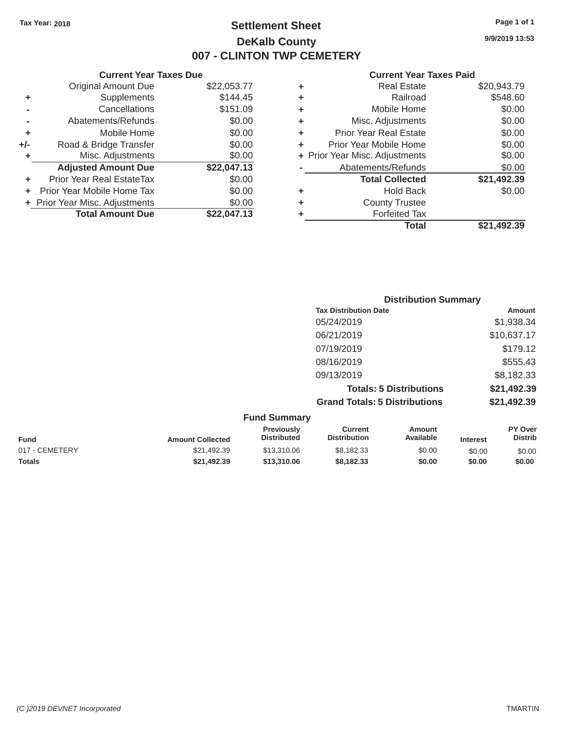**+/-** Road & Bridge Transfer

# Tax Year: 2018 **Page 1 of 1 Settlement Sheet Page 1 of 1 Page 1 of 1 9/9/2019 13:53 DeKalb County 007 - CLINTON TWP CEMETERY**

#### **Current Year Taxes Due Current Year Taxes Paid Current Year Taxes Paid**

|                | <b>Original Amount Due</b>     | \$22,053.77 | ٠ | <b>Real Estate</b>             | \$20,943.79 |  |  |
|----------------|--------------------------------|-------------|---|--------------------------------|-------------|--|--|
| ÷              | Supplements                    | \$144.45    | ٠ | Railroad                       | \$548.60    |  |  |
| $\blacksquare$ | Cancellations                  | \$151.09    | ٠ | Mobile Home                    | \$0.00      |  |  |
|                | Abatements/Refunds             | \$0.00      | ٠ | Misc. Adjustments              | \$0.00      |  |  |
| ÷              | Mobile Home                    | \$0.00      | ٠ | <b>Prior Year Real Estate</b>  | \$0.00      |  |  |
| ∙/-            | Road & Bridge Transfer         | \$0.00      | ٠ | Prior Year Mobile Home         | \$0.00      |  |  |
| ÷              | Misc. Adjustments              | \$0.00      |   | + Prior Year Misc. Adjustments | \$0.00      |  |  |
|                | <b>Adjusted Amount Due</b>     | \$22,047.13 |   | Abatements/Refunds             | \$0.00      |  |  |
| ÷              | Prior Year Real EstateTax      | \$0.00      |   | <b>Total Collected</b>         | \$21,492.39 |  |  |
|                | + Prior Year Mobile Home Tax   | \$0.00      | ٠ | <b>Hold Back</b>               | \$0.00      |  |  |
|                | + Prior Year Misc. Adjustments | \$0.00      | ٠ | <b>County Trustee</b>          |             |  |  |
|                | <b>Total Amount Due</b>        | \$22,047.13 |   | <b>Forfeited Tax</b>           |             |  |  |
|                |                                |             |   |                                |             |  |  |

| \$22,053.77 | ٠ | <b>Real Estate</b>             | \$20,943.79 |
|-------------|---|--------------------------------|-------------|
| \$144.45    | ٠ | Railroad                       | \$548.60    |
| \$151.09    | ٠ | Mobile Home                    | \$0.00      |
| \$0.00      | ٠ | Misc. Adjustments              | \$0.00      |
| \$0.00      | ٠ | <b>Prior Year Real Estate</b>  | \$0.00      |
| \$0.00      | ٠ | Prior Year Mobile Home         | \$0.00      |
| \$0.00      |   | + Prior Year Misc. Adjustments | \$0.00      |
| \$22,047.13 |   | Abatements/Refunds             | \$0.00      |
| \$0.00      |   | <b>Total Collected</b>         | \$21,492.39 |
| \$0.00      | ٠ | <b>Hold Back</b>               | \$0.00      |
| \$0.00      | ٠ | <b>County Trustee</b>          |             |
| \$22,047.13 |   | <b>Forfeited Tax</b>           |             |
|             |   | <b>Total</b>                   | \$21,492.39 |

| <b>Distribution Summary</b>          |             |
|--------------------------------------|-------------|
| <b>Tax Distribution Date</b>         | Amount      |
| 05/24/2019                           | \$1,938.34  |
| 06/21/2019                           | \$10,637.17 |
| 07/19/2019                           | \$179.12    |
| 08/16/2019                           | \$555.43    |
| 09/13/2019                           | \$8,182.33  |
| <b>Totals: 5 Distributions</b>       | \$21,492.39 |
| <b>Grand Totals: 5 Distributions</b> | \$21,492.39 |
| $E_{t}$                              |             |

| <b>Fund Summary</b> |                         |                                         |                                |                     |                 |                           |
|---------------------|-------------------------|-----------------------------------------|--------------------------------|---------------------|-----------------|---------------------------|
| <b>Fund</b>         | <b>Amount Collected</b> | <b>Previously</b><br><b>Distributed</b> | Current<br><b>Distribution</b> | Amount<br>Available | <b>Interest</b> | PY Over<br><b>Distrib</b> |
| 017 - CEMETERY      | \$21,492.39             | \$13,310.06                             | \$8,182.33                     | \$0.00              | \$0.00          | \$0.00                    |
| <b>Totals</b>       | \$21.492.39             | \$13,310,06                             | \$8,182,33                     | \$0.00              | \$0.00          | \$0.00                    |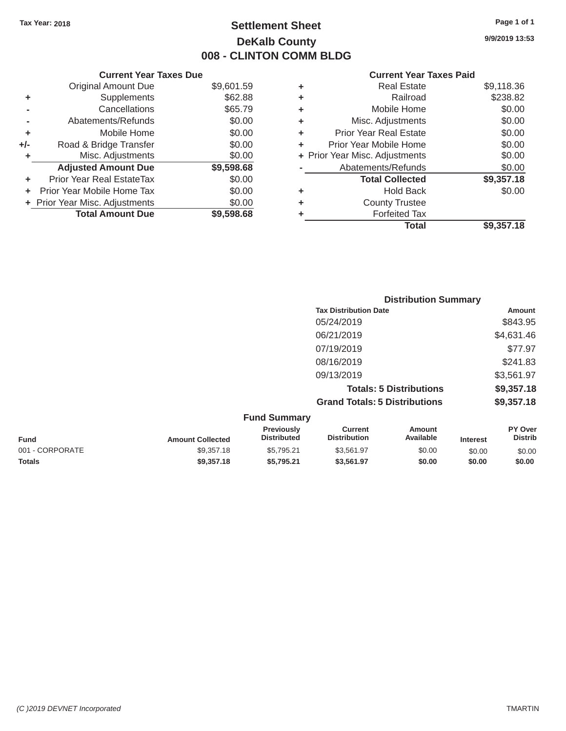# Tax Year: 2018 **Page 1 of 1 Settlement Sheet Page 1 of 1 Page 1 of 1 9/9/2019 13:53 DeKalb County 008 - CLINTON COMM BLDG**

#### **Current Year Taxes Due Current Year Taxes Paid Current Year Taxes Paid**

|       | OUITUIR TUUT TUAGO DUG           |            |   |                                |            |
|-------|----------------------------------|------------|---|--------------------------------|------------|
|       | <b>Original Amount Due</b>       | \$9,601.59 | ٠ | <b>Real Estate</b>             | \$9,118.36 |
|       | <b>Supplements</b>               | \$62.88    | ٠ | Railroad                       | \$238.82   |
|       | Cancellations                    | \$65.79    |   | Mobile Home                    | \$0.00     |
|       | Abatements/Refunds               | \$0.00     | ٠ | Misc. Adjustments              | \$0.00     |
| ٠     | Mobile Home                      | \$0.00     | ٠ | <b>Prior Year Real Estate</b>  | \$0.00     |
| $+/-$ | Road & Bridge Transfer           | \$0.00     | ٠ | Prior Year Mobile Home         | \$0.00     |
|       | Misc. Adjustments                | \$0.00     |   | + Prior Year Misc. Adjustments | \$0.00     |
|       | <b>Adjusted Amount Due</b>       | \$9,598.68 |   | Abatements/Refunds             | \$0.00     |
| ٠     | <b>Prior Year Real EstateTax</b> | \$0.00     |   | <b>Total Collected</b>         | \$9,357.18 |
|       | Prior Year Mobile Home Tax       | \$0.00     | ٠ | <b>Hold Back</b>               | \$0.00     |
|       | + Prior Year Misc. Adjustments   | \$0.00     | ٠ | <b>County Trustee</b>          |            |
|       | <b>Total Amount Due</b>          | \$9,598.68 |   | <b>Forfeited Tax</b>           |            |
|       |                                  |            |   |                                |            |

| \$9,601.59 | ٠ | <b>Real Estate</b>            | \$9,118.36                     |
|------------|---|-------------------------------|--------------------------------|
| \$62.88    | ٠ | Railroad                      | \$238.82                       |
| \$65.79    | ÷ | Mobile Home                   | \$0.00                         |
| \$0.00     | ٠ | Misc. Adjustments             | \$0.00                         |
| \$0.00     | ٠ | <b>Prior Year Real Estate</b> | \$0.00                         |
| \$0.00     | ÷ | Prior Year Mobile Home        | \$0.00                         |
| \$0.00     |   |                               | \$0.00                         |
| \$9,598.68 |   | Abatements/Refunds            | \$0.00                         |
| \$0.00     |   | <b>Total Collected</b>        | \$9,357.18                     |
| \$0.00     | ٠ | <b>Hold Back</b>              | \$0.00                         |
| \$0.00     | ٠ | <b>County Trustee</b>         |                                |
| \$9,598.68 | ٠ | <b>Forfeited Tax</b>          |                                |
|            |   | <b>Total</b>                  | \$9,357.18                     |
|            |   |                               | + Prior Year Misc. Adjustments |

|                     | <b>Distribution Summary</b>          |            |  |  |
|---------------------|--------------------------------------|------------|--|--|
|                     | <b>Tax Distribution Date</b>         | Amount     |  |  |
|                     | 05/24/2019                           | \$843.95   |  |  |
|                     | 06/21/2019                           | \$4,631.46 |  |  |
|                     | 07/19/2019                           | \$77.97    |  |  |
|                     | 08/16/2019                           | \$241.83   |  |  |
|                     | 09/13/2019                           | \$3,561.97 |  |  |
|                     | <b>Totals: 5 Distributions</b>       | \$9,357.18 |  |  |
|                     | <b>Grand Totals: 5 Distributions</b> | \$9,357.18 |  |  |
| <b>Fund Summary</b> |                                      |            |  |  |

| <b>Amount Collected</b> | <b>Previously</b><br><b>Distributed</b> | Current<br><b>Distribution</b> | Amount<br>Available | <b>Interest</b> | <b>PY Over</b><br><b>Distrib</b> |  |
|-------------------------|-----------------------------------------|--------------------------------|---------------------|-----------------|----------------------------------|--|
| \$9,357.18              | \$5.795.21                              | \$3.561.97                     | \$0.00              | \$0.00          | \$0.00                           |  |
| \$9,357,18              | \$5.795.21                              | \$3.561.97                     | \$0.00              | \$0.00          | \$0.00                           |  |
|                         |                                         | $\mathsf{u}$ nu Jumina y       |                     |                 |                                  |  |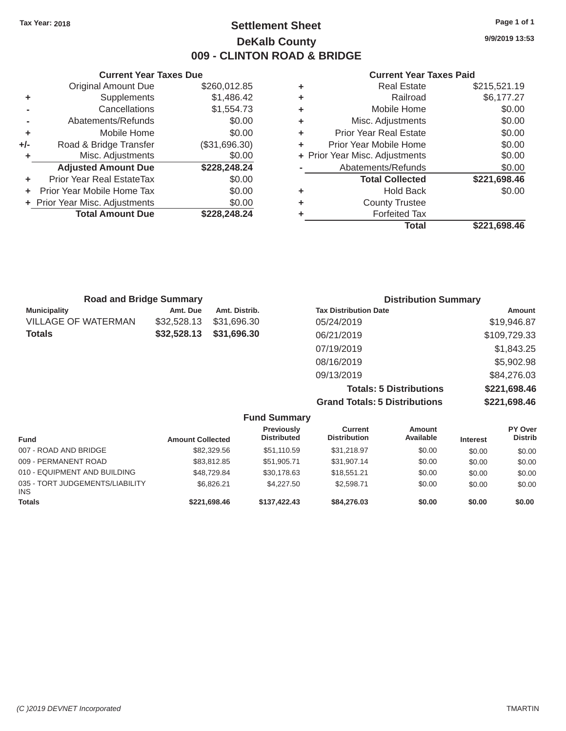# Tax Year: 2018 **Page 1 of 1 Page 1 of 1 Settlement Sheet Page 1 of 1 Page 1 of 1 9/9/2019 13:53 DeKalb County 009 - CLINTON ROAD & BRIDGE**

#### **Current Year Taxes Due Current Year Taxes Paid Current Year Taxes Paid**

|       | <b>Original Amount Due</b>       | \$260,012.85  |   | <b>Real Estate</b>             | \$215,521.19 |
|-------|----------------------------------|---------------|---|--------------------------------|--------------|
|       | <b>Supplements</b>               | \$1,486.42    | ٠ | Railroad                       | \$6,177.27   |
|       | Cancellations                    | \$1,554.73    |   | Mobile Home                    | \$0.00       |
|       | Abatements/Refunds               | \$0.00        | ٠ | Misc. Adjustments              | \$0.00       |
|       | Mobile Home                      | \$0.00        | ÷ | <b>Prior Year Real Estate</b>  | \$0.00       |
| $+/-$ | Road & Bridge Transfer           | (\$31,696.30) | ÷ | Prior Year Mobile Home         | \$0.00       |
|       | Misc. Adjustments                | \$0.00        |   | + Prior Year Misc. Adjustments | \$0.00       |
|       | <b>Adjusted Amount Due</b>       | \$228,248.24  |   | Abatements/Refunds             | \$0.00       |
| ÷.    | <b>Prior Year Real EstateTax</b> | \$0.00        |   | <b>Total Collected</b>         | \$221,698.46 |
| ÷.    | Prior Year Mobile Home Tax       | \$0.00        | ٠ | <b>Hold Back</b>               | \$0.00       |
|       | + Prior Year Misc. Adjustments   | \$0.00        | ٠ | <b>County Trustee</b>          |              |
|       | <b>Total Amount Due</b>          | \$228,248.24  |   | <b>Forfeited Tax</b>           |              |
|       |                                  |               |   | 77 - A - A                     |              |

| \$260,012.85  | ٠ | <b>Real Estate</b>            | \$215,521.19                   |
|---------------|---|-------------------------------|--------------------------------|
| \$1,486.42    | ÷ | Railroad                      | \$6,177.27                     |
| \$1,554.73    | ÷ | Mobile Home                   | \$0.00                         |
| \$0.00        | ÷ | Misc. Adjustments             | \$0.00                         |
| \$0.00        | ÷ | <b>Prior Year Real Estate</b> | \$0.00                         |
| (\$31,696.30) | ÷ | Prior Year Mobile Home        | \$0.00                         |
| \$0.00        |   |                               | \$0.00                         |
| \$228,248.24  |   | Abatements/Refunds            | \$0.00                         |
| \$0.00        |   | <b>Total Collected</b>        | \$221,698.46                   |
| \$0.00        | ÷ | <b>Hold Back</b>              | \$0.00                         |
| \$0.00        | ٠ | <b>County Trustee</b>         |                                |
| \$228,248.24  | ٠ | <b>Forfeited Tax</b>          |                                |
|               |   | <b>Total</b>                  | \$221,698.46                   |
|               |   |                               | + Prior Year Misc. Adjustments |

| <b>Road and Bridge Summary</b> |             |               | <b>Distribution Summary</b>  |              |  |
|--------------------------------|-------------|---------------|------------------------------|--------------|--|
| <b>Municipality</b>            | Amt. Due    | Amt. Distrib. | <b>Tax Distribution Date</b> | Amount       |  |
| VILLAGE OF WATERMAN            | \$32,528.13 | \$31,696.30   | 05/24/2019                   | \$19,946.87  |  |
| Totals                         | \$32,528.13 | \$31,696.30   | 06/21/2019                   | \$109,729.33 |  |
|                                |             |               | 07/19/2019                   | \$1,843.25   |  |
|                                |             |               | 08/16/2019                   | \$5,902.98   |  |
|                                |             |               | 09/13/2019                   | \$84,276.03  |  |
|                                |             |               |                              |              |  |

**Totals: 5 Distributions \$221,698.46 Grand Totals: 5 Distributions \$221,698.46**

|                                               |                         | <b>Fund Summary</b>              |                                |                            |                 |                           |
|-----------------------------------------------|-------------------------|----------------------------------|--------------------------------|----------------------------|-----------------|---------------------------|
| <b>Fund</b>                                   | <b>Amount Collected</b> | Previously<br><b>Distributed</b> | Current<br><b>Distribution</b> | <b>Amount</b><br>Available | <b>Interest</b> | PY Over<br><b>Distrib</b> |
| 007 - ROAD AND BRIDGE                         | \$82,329.56             | \$51,110.59                      | \$31.218.97                    | \$0.00                     | \$0.00          | \$0.00                    |
| 009 - PERMANENT ROAD                          | \$83,812.85             | \$51,905.71                      | \$31,907.14                    | \$0.00                     | \$0.00          | \$0.00                    |
| 010 - EQUIPMENT AND BUILDING                  | \$48,729.84             | \$30.178.63                      | \$18,551.21                    | \$0.00                     | \$0.00          | \$0.00                    |
| 035 - TORT JUDGEMENTS/LIABILITY<br><b>INS</b> | \$6.826.21              | \$4,227.50                       | \$2,598.71                     | \$0.00                     | \$0.00          | \$0.00                    |
| <b>Totals</b>                                 | \$221,698.46            | \$137.422.43                     | \$84,276.03                    | \$0.00                     | \$0.00          | \$0.00                    |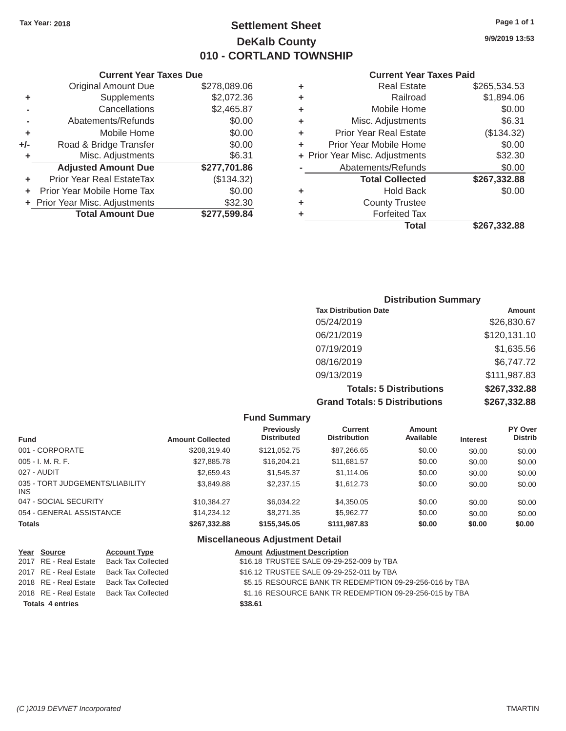# Tax Year: 2018 **Page 1 of 1 Settlement Sheet Page 1 of 1 Page 1 of 1 9/9/2019 13:53 DeKalb County 010 - CORTLAND TOWNSHIP**

|       | <b>Current Year Taxes Due</b>  |              |   | <b>Current Year Taxes Paid</b> |              |
|-------|--------------------------------|--------------|---|--------------------------------|--------------|
|       | Original Amount Due            | \$278,089.06 | ٠ | <b>Real Estate</b>             | \$265,534.53 |
|       | Supplements                    | \$2,072.36   | ٠ | Railroad                       | \$1,894.06   |
|       | Cancellations                  | \$2,465.87   | ٠ | Mobile Home                    | \$0.00       |
|       | Abatements/Refunds             | \$0.00       | ٠ | Misc. Adjustments              | \$6.31       |
| ٠     | Mobile Home                    | \$0.00       | ٠ | <b>Prior Year Real Estate</b>  | (\$134.32)   |
| $+/-$ | Road & Bridge Transfer         | \$0.00       |   | Prior Year Mobile Home         | \$0.00       |
|       | Misc. Adjustments              | \$6.31       |   | + Prior Year Misc. Adjustments | \$32.30      |
|       | <b>Adjusted Amount Due</b>     | \$277,701.86 |   | Abatements/Refunds             | \$0.00       |
| ÷     | Prior Year Real EstateTax      | (\$134.32)   |   | <b>Total Collected</b>         | \$267,332.88 |
| ÷.    | Prior Year Mobile Home Tax     | \$0.00       | ٠ | <b>Hold Back</b>               | \$0.00       |
|       | + Prior Year Misc. Adjustments | \$32.30      |   | <b>County Trustee</b>          |              |
|       | <b>Total Amount Due</b>        | \$277,599.84 |   | <b>Forfeited Tax</b>           |              |
|       |                                |              |   |                                |              |

| <b>Current Year Taxes Due</b> |   | <b>Current Year Taxes Paid</b> |                                |  |  |
|-------------------------------|---|--------------------------------|--------------------------------|--|--|
| \$278,089.06                  | ٠ | <b>Real Estate</b>             | \$265,534.53                   |  |  |
| \$2,072.36                    | ٠ | Railroad                       | \$1,894.06                     |  |  |
| \$2,465.87                    | ÷ | Mobile Home                    | \$0.00                         |  |  |
| \$0.00                        | ٠ | Misc. Adjustments              | \$6.31                         |  |  |
| \$0.00                        | ÷ | <b>Prior Year Real Estate</b>  | (\$134.32)                     |  |  |
| \$0.00                        | ٠ | Prior Year Mobile Home         | \$0.00                         |  |  |
| \$6.31                        |   |                                | \$32.30                        |  |  |
| \$277,701.86                  |   | Abatements/Refunds             | \$0.00                         |  |  |
| (\$134.32)                    |   | <b>Total Collected</b>         | \$267,332.88                   |  |  |
| \$0.00                        | ٠ | <b>Hold Back</b>               | \$0.00                         |  |  |
| \$32.30                       | ÷ | <b>County Trustee</b>          |                                |  |  |
| \$277,599.84                  | ٠ | <b>Forfeited Tax</b>           |                                |  |  |
|                               |   | <b>Total</b>                   | \$267,332.88                   |  |  |
|                               |   |                                | + Prior Year Misc. Adjustments |  |  |

| <b>Distribution Summary</b>          |              |  |  |  |  |
|--------------------------------------|--------------|--|--|--|--|
| <b>Tax Distribution Date</b>         | Amount       |  |  |  |  |
| 05/24/2019                           | \$26,830.67  |  |  |  |  |
| 06/21/2019                           | \$120,131.10 |  |  |  |  |
| 07/19/2019                           | \$1,635.56   |  |  |  |  |
| 08/16/2019                           | \$6,747.72   |  |  |  |  |
| 09/13/2019                           | \$111,987.83 |  |  |  |  |
| <b>Totals: 5 Distributions</b>       | \$267,332.88 |  |  |  |  |
| <b>Grand Totals: 5 Distributions</b> | \$267,332.88 |  |  |  |  |

| <b>Fund Summary</b>                           |                         |                                         |                                       |                            |                 |                           |
|-----------------------------------------------|-------------------------|-----------------------------------------|---------------------------------------|----------------------------|-----------------|---------------------------|
| <b>Fund</b>                                   | <b>Amount Collected</b> | <b>Previously</b><br><b>Distributed</b> | <b>Current</b><br><b>Distribution</b> | <b>Amount</b><br>Available | <b>Interest</b> | PY Over<br><b>Distrib</b> |
| 001 - CORPORATE                               | \$208,319.40            | \$121,052.75                            | \$87,266.65                           | \$0.00                     | \$0.00          | \$0.00                    |
| $005 - I. M. R. F.$                           | \$27,885.78             | \$16,204.21                             | \$11,681.57                           | \$0.00                     | \$0.00          | \$0.00                    |
| 027 - AUDIT                                   | \$2,659.43              | \$1,545.37                              | \$1,114.06                            | \$0.00                     | \$0.00          | \$0.00                    |
| 035 - TORT JUDGEMENTS/LIABILITY<br><b>INS</b> | \$3,849.88              | \$2,237.15                              | \$1,612.73                            | \$0.00                     | \$0.00          | \$0.00                    |
| 047 - SOCIAL SECURITY                         | \$10.384.27             | \$6,034.22                              | \$4,350.05                            | \$0.00                     | \$0.00          | \$0.00                    |
| 054 - GENERAL ASSISTANCE                      | \$14,234,12             | \$8,271,35                              | \$5.962.77                            | \$0.00                     | \$0.00          | \$0.00                    |
| <b>Totals</b>                                 | \$267,332.88            | \$155,345.05                            | \$111,987.83                          | \$0.00                     | \$0.00          | \$0.00                    |

### **Miscellaneous Adjustment Detail**

| Year Source             | <b>Account Type</b>       | <b>Amount Adjustment Description</b>                    |
|-------------------------|---------------------------|---------------------------------------------------------|
| 2017 RE - Real Estate   | Back Tax Collected        | \$16.18 TRUSTEE SALE 09-29-252-009 by TBA               |
| 2017 RE - Real Estate   | <b>Back Tax Collected</b> | \$16.12 TRUSTEE SALE 09-29-252-011 by TBA               |
| 2018 RE - Real Estate   | <b>Back Tax Collected</b> | \$5.15 RESOURCE BANK TR REDEMPTION 09-29-256-016 by TBA |
| 2018 RE - Real Estate   | Back Tax Collected        | \$1.16 RESOURCE BANK TR REDEMPTION 09-29-256-015 by TBA |
| <b>Totals 4 entries</b> |                           | \$38.61                                                 |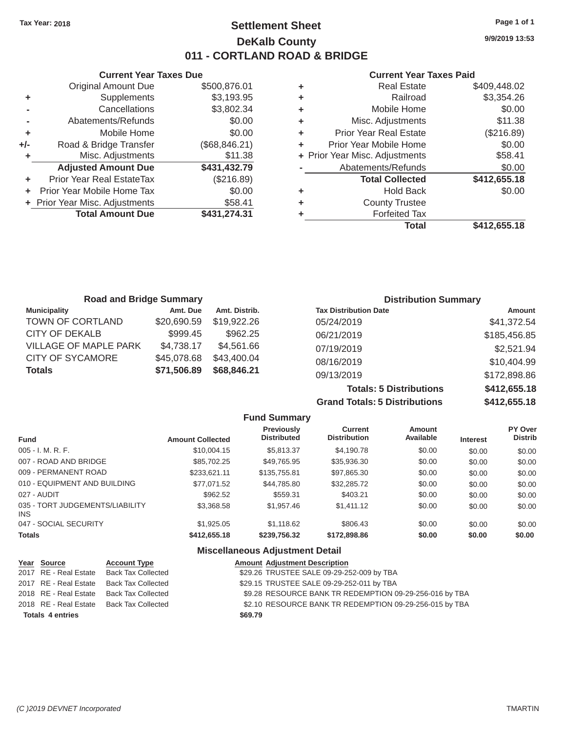# Tax Year: 2018 **Page 1 of 1 Page 1 of 1 Settlement Sheet Page 1 of 1 Page 1 of 1 9/9/2019 13:53 DeKalb County 011 - CORTLAND ROAD & BRIDGE**

|     | <b>Current Year Taxes Due</b>  |               |   | <b>Current Year Taxes Paid</b> |                |
|-----|--------------------------------|---------------|---|--------------------------------|----------------|
|     | <b>Original Amount Due</b>     | \$500,876.01  | ٠ | <b>Real Estate</b>             | \$409,448.02   |
| ٠   | Supplements                    | \$3,193.95    | ٠ | Railroad                       | \$3,354.26     |
|     | Cancellations                  | \$3,802.34    | ٠ | Mobile Home                    | \$0.00         |
|     | Abatements/Refunds             | \$0.00        | ٠ | Misc. Adjustments              | \$11.38        |
|     | Mobile Home                    | \$0.00        | ٠ | <b>Prior Year Real Estate</b>  | (\$216.89)     |
| +/- | Road & Bridge Transfer         | (\$68,846.21) | ٠ | Prior Year Mobile Home         | \$0.00         |
| ٠   | Misc. Adjustments              | \$11.38       |   | + Prior Year Misc. Adjustments | \$58.41        |
|     | <b>Adjusted Amount Due</b>     | \$431,432.79  |   | Abatements/Refunds             | \$0.00         |
|     | Prior Year Real EstateTax      | (\$216.89)    |   | <b>Total Collected</b>         | \$412,655.18   |
|     | Prior Year Mobile Home Tax     | \$0.00        | ٠ | <b>Hold Back</b>               | \$0.00         |
|     | + Prior Year Misc. Adjustments | \$58.41       | ٠ | <b>County Trustee</b>          |                |
|     | <b>Total Amount Due</b>        | \$431,274.31  |   | <b>Forfeited Tax</b>           |                |
|     |                                |               |   | Tatal                          | $0.442$ CEE 40 |

|   | Total                          | \$412,655.18 |
|---|--------------------------------|--------------|
|   | <b>Forfeited Tax</b>           |              |
| ٠ | <b>County Trustee</b>          |              |
| ٠ | <b>Hold Back</b>               | \$0.00       |
|   | <b>Total Collected</b>         | \$412,655.18 |
|   | Abatements/Refunds             | \$0.00       |
|   | + Prior Year Misc. Adjustments | \$58.41      |
| ٠ | Prior Year Mobile Home         | \$0.00       |
| ٠ | Prior Year Real Estate         | (\$216.89)   |
| ٠ | Misc. Adjustments              | \$11.38      |
| ÷ | Mobile Home                    | \$0.00       |
| ÷ | Railroad                       | \$3,354.26   |
| ٠ | Real Estate                    | \$409.448.02 |

| <b>Road and Bridge Summary</b> |             |               | <b>Distribution Summary</b>  |               |  |
|--------------------------------|-------------|---------------|------------------------------|---------------|--|
| <b>Municipality</b>            | Amt. Due    | Amt. Distrib. | <b>Tax Distribution Date</b> | <b>Amount</b> |  |
| TOWN OF CORTLAND               | \$20,690.59 | \$19,922.26   | 05/24/2019                   | \$41,372.54   |  |
| CITY OF DEKALB                 | \$999.45    | \$962.25      | 06/21/2019                   | \$185,456.85  |  |
| <b>VILLAGE OF MAPLE PARK</b>   | \$4,738.17  | \$4,561.66    | 07/19/2019                   | \$2,521.94    |  |
| <b>CITY OF SYCAMORE</b>        | \$45,078.68 | \$43,400.04   | 08/16/2019                   | \$10,404.99   |  |
| <b>Totals</b>                  | \$71,506.89 | \$68,846.21   | 09/13/2019                   | \$172,898.86  |  |

**Totals: 5 Distributions \$412,655.18 Grand Totals: 5 Distributions \$412,655.18**

|                                         |                         | <b>Fund Summary</b>                     |                                       |                            |                 |                           |
|-----------------------------------------|-------------------------|-----------------------------------------|---------------------------------------|----------------------------|-----------------|---------------------------|
| <b>Fund</b>                             | <b>Amount Collected</b> | <b>Previously</b><br><b>Distributed</b> | <b>Current</b><br><b>Distribution</b> | <b>Amount</b><br>Available | <b>Interest</b> | PY Over<br><b>Distrib</b> |
| 005 - I. M. R. F.                       | \$10,004.15             | \$5.813.37                              | \$4,190.78                            | \$0.00                     | \$0.00          | \$0.00                    |
| 007 - ROAD AND BRIDGE                   | \$85,702.25             | \$49,765.95                             | \$35,936.30                           | \$0.00                     | \$0.00          | \$0.00                    |
| 009 - PERMANENT ROAD                    | \$233.621.11            | \$135,755.81                            | \$97,865.30                           | \$0.00                     | \$0.00          | \$0.00                    |
| 010 - EQUIPMENT AND BUILDING            | \$77.071.52             | \$44,785.80                             | \$32,285.72                           | \$0.00                     | \$0.00          | \$0.00                    |
| 027 - AUDIT                             | \$962.52                | \$559.31                                | \$403.21                              | \$0.00                     | \$0.00          | \$0.00                    |
| 035 - TORT JUDGEMENTS/LIABILITY<br>INS. | \$3,368,58              | \$1,957.46                              | \$1,411.12                            | \$0.00                     | \$0.00          | \$0.00                    |
| 047 - SOCIAL SECURITY                   | \$1,925.05              | \$1,118,62                              | \$806.43                              | \$0.00                     | \$0.00          | \$0.00                    |
| <b>Totals</b>                           | \$412,655.18            | \$239,756.32                            | \$172,898.86                          | \$0.00                     | \$0.00          | \$0.00                    |

#### **Miscellaneous Adjustment Detail**

| Year Source             | <b>Account Type</b> |         | <b>Amount Adjustment Description</b>                    |
|-------------------------|---------------------|---------|---------------------------------------------------------|
| 2017 RE - Real Estate   | Back Tax Collected  |         | \$29.26 TRUSTEE SALE 09-29-252-009 by TBA               |
| 2017 RE - Real Estate   | Back Tax Collected  |         | \$29.15 TRUSTEE SALE 09-29-252-011 by TBA               |
| 2018 RE - Real Estate   | Back Tax Collected  |         | \$9.28 RESOURCE BANK TR REDEMPTION 09-29-256-016 by TBA |
| 2018 RE - Real Estate   | Back Tax Collected  |         | \$2.10 RESOURCE BANK TR REDEMPTION 09-29-256-015 by TBA |
| <b>Totals 4 entries</b> |                     | \$69.79 |                                                         |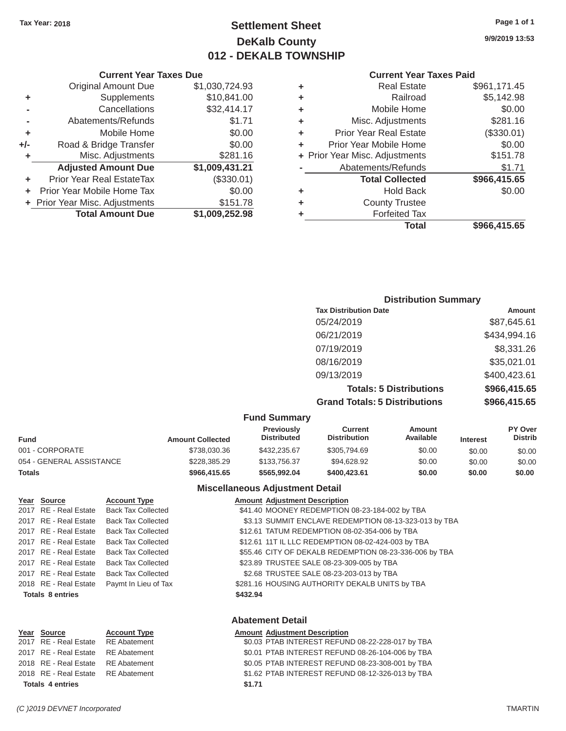# Tax Year: 2018 **Page 1 of 1 Page 1 of 1 Settlement Sheet Page 1 of 1 Page 1 of 1 9/9/2019 13:53 DeKalb County 012 - DEKALB TOWNSHIP**

#### **Current Year Taxes Paid**

|     | <b>Original Amount Due</b>     | \$1,030,724.93 | ٠ | <b>Real Estate</b>             | \$961,171.45 |
|-----|--------------------------------|----------------|---|--------------------------------|--------------|
| ٠   | Supplements                    | \$10,841.00    | ٠ | Railroad                       | \$5,142.98   |
|     | Cancellations                  | \$32,414.17    | ٠ | Mobile Home                    | \$0.00       |
|     | Abatements/Refunds             | \$1.71         | ٠ | Misc. Adjustments              | \$281.16     |
| ٠   | Mobile Home                    | \$0.00         | ٠ | <b>Prior Year Real Estate</b>  | (\$330.01)   |
| +/- | Road & Bridge Transfer         | \$0.00         | ٠ | Prior Year Mobile Home         | \$0.00       |
|     | Misc. Adjustments              | \$281.16       |   | + Prior Year Misc. Adjustments | \$151.78     |
|     | <b>Adjusted Amount Due</b>     | \$1,009,431.21 |   | Abatements/Refunds             | \$1.71       |
|     | Prior Year Real EstateTax      | (\$330.01)     |   | <b>Total Collected</b>         | \$966,415.65 |
|     | Prior Year Mobile Home Tax     | \$0.00         | ٠ | <b>Hold Back</b>               | \$0.00       |
|     | + Prior Year Misc. Adjustments | \$151.78       | ٠ | <b>County Trustee</b>          |              |
|     | <b>Total Amount Due</b>        | \$1,009,252.98 |   | <b>Forfeited Tax</b>           |              |
|     |                                |                |   | Total                          | \$966,415.65 |
|     |                                |                |   |                                |              |

|    | <b>Current Year Taxes Due</b>    |                |   | <b>Current Year</b>            |
|----|----------------------------------|----------------|---|--------------------------------|
|    | <b>Original Amount Due</b>       | \$1,030,724.93 | ٠ | <b>Real Estate</b>             |
| ÷  | Supplements                      | \$10,841.00    | ٠ | Railroad                       |
|    | Cancellations                    | \$32,414.17    | ٠ | Mobile Home                    |
|    | Abatements/Refunds               | \$1.71         | ٠ | Misc. Adjustments              |
| ÷. | Mobile Home                      | \$0.00         | ٠ | <b>Prior Year Real Estate</b>  |
| /- | Road & Bridge Transfer           | \$0.00         |   | Prior Year Mobile Home         |
| ÷  | Misc. Adjustments                | \$281.16       |   | + Prior Year Misc. Adjustments |
|    | <b>Adjusted Amount Due</b>       | \$1,009,431.21 |   | Abatements/Refunds             |
| ÷  | <b>Prior Year Real EstateTax</b> | (\$330.01)     |   | <b>Total Collected</b>         |
|    | + Prior Year Mobile Home Tax     | \$0.00         | ٠ | <b>Hold Back</b>               |
|    | + Prior Year Misc. Adjustments   | \$151.78       | ٠ | <b>County Trustee</b>          |
|    | <b>Total Amount Due</b>          | \$1,009,252.98 |   | <b>Forfeited Tax</b>           |

| <b>Distribution Summary</b> |
|-----------------------------|
| Amount                      |
| \$87,645.61                 |
| \$434,994.16                |
| \$8,331.26                  |
| \$35,021.01                 |
| \$400,423.61                |
| \$966,415.65                |
| \$966,415.65                |
|                             |

#### **Fund Summary**

| Fund                     | <b>Amount Collected</b> | <b>Previously</b><br><b>Distributed</b> | Current<br><b>Distribution</b> | Amount<br>Available | <b>Interest</b> | <b>PY Over</b><br><b>Distrib</b> |
|--------------------------|-------------------------|-----------------------------------------|--------------------------------|---------------------|-----------------|----------------------------------|
| 001 - CORPORATE          | \$738,030.36            | \$432,235.67                            | \$305,794.69                   | \$0.00              | \$0.00          | \$0.00                           |
| 054 - GENERAL ASSISTANCE | \$228,385,29            | \$133,756.37                            | \$94.628.92                    | \$0.00              | \$0.00          | \$0.00                           |
| Totals                   | \$966,415.65            | \$565.992.04                            | \$400,423.61                   | \$0.00              | \$0.00          | \$0.00                           |

#### **Miscellaneous Adjustment Detail**

| Year Source             | <b>Account Type</b>                      |          | <b>Amount Adjustment Description</b>                   |
|-------------------------|------------------------------------------|----------|--------------------------------------------------------|
| 2017 RE - Real Estate   | Back Tax Collected                       |          | \$41.40 MOONEY REDEMPTION 08-23-184-002 by TBA         |
| 2017 RE - Real Estate   | Back Tax Collected                       |          | \$3.13 SUMMIT ENCLAVE REDEMPTION 08-13-323-013 by TBA  |
| 2017 RE - Real Estate   | <b>Back Tax Collected</b>                |          | \$12.61 TATUM REDEMPTION 08-02-354-006 by TBA          |
| 2017 RE - Real Estate   | Back Tax Collected                       |          | \$12.61 11T IL LLC REDEMPTION 08-02-424-003 by TBA     |
|                         | 2017 RE - Real Estate Back Tax Collected |          | \$55.46 CITY OF DEKALB REDEMPTION 08-23-336-006 by TBA |
| 2017 RE - Real Estate   | Back Tax Collected                       |          | \$23.89 TRUSTEE SALE 08-23-309-005 by TBA              |
| 2017 RE - Real Estate   | <b>Back Tax Collected</b>                |          | \$2.68 TRUSTEE SALE 08-23-203-013 by TBA               |
| 2018 RE - Real Estate   | Paymt In Lieu of Tax                     |          | \$281.16 HOUSING AUTHORITY DEKALB UNITS by TBA         |
| <b>Totals 8 entries</b> |                                          | \$432.94 |                                                        |
|                         |                                          |          |                                                        |

### **Abatement Detail**

### **Year** Source **Account Type Account Adjustment Description**

| <b>Totals 4 entries</b> |                                    | \$1.71                                           |
|-------------------------|------------------------------------|--------------------------------------------------|
|                         | 2018 RE - Real Estate RE Abatement | \$1.62 PTAB INTEREST REFUND 08-12-326-013 by TBA |
|                         | 2018 RE - Real Estate RE Abatement | \$0.05 PTAB INTEREST REFUND 08-23-308-001 by TBA |
|                         | 2017 RE - Real Estate RE Abatement | \$0.01 PTAB INTEREST REFUND 08-26-104-006 by TBA |
|                         | 2017 RE - Real Estate RE Abatement | \$0.03 PTAB INTEREST REFUND 08-22-228-017 by TBA |
|                         |                                    |                                                  |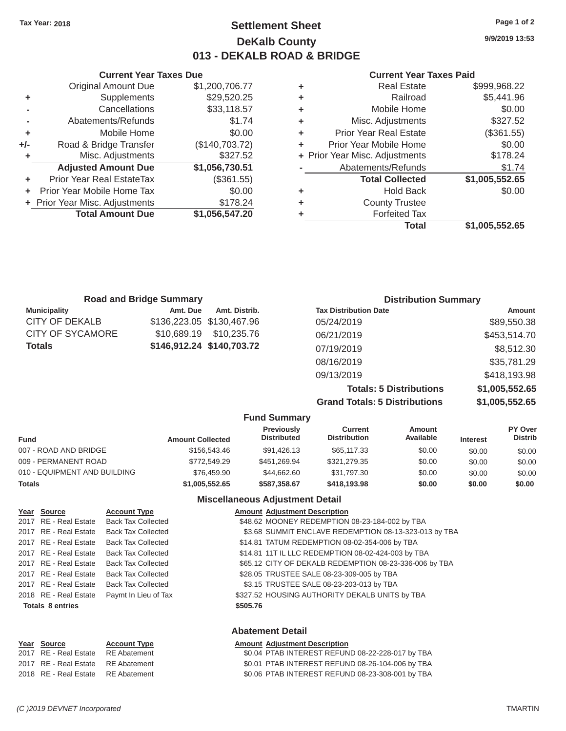# **Tax Year: 2018 Page 1 of 2 Settlement Sheet 9/9/2019 13:53 DeKalb County 013 - DEKALB ROAD & BRIDGE**

# **Current Year Taxes Due Current Year Taxes Paid**

| \$999,968.22   | <b>Real Estate</b>             | ٠ | \$1,200,706.77 | <b>Original Amount Due</b> |
|----------------|--------------------------------|---|----------------|----------------------------|
| \$5,441.96     | Railroad                       | ٠ | \$29,520.25    | Supplements                |
| \$0.00         | Mobile Home                    | ٠ | \$33,118.57    | Cancellations              |
| \$327.52       | Misc. Adjustments              | ٠ | \$1.74         | Abatements/Refunds         |
| (\$361.55)     | <b>Prior Year Real Estate</b>  | ÷ | \$0.00         | Mobile Home                |
| \$0.00         | Prior Year Mobile Home         | ٠ | (\$140,703.72) | Road & Bridge Transfer     |
| \$178.24       | + Prior Year Misc. Adjustments |   | \$327.52       | Misc. Adjustments          |
| \$1.74         | Abatements/Refunds             |   | \$1,056,730.51 | <b>Adjusted Amount Due</b> |
| \$1,005,552.65 | <b>Total Collected</b>         |   | (\$361.55)     | ior Year Real EstateTax    |
| \$0.00         | <b>Hold Back</b>               | ÷ | \$0.00         | r Year Mobile Home Tax     |
|                | <b>County Trustee</b>          | ٠ | \$178.24       | Year Misc. Adjustments     |
|                | <b>Forfeited Tax</b>           |   | \$1,056,547.20 | <b>Total Amount Due</b>    |
| \$1,005,552.65 | <b>Total</b>                   |   |                |                            |
|                |                                |   |                |                            |

|         | Current Year Taxes Due           |                |   | Current Year Taxes Pald        |                      |  |
|---------|----------------------------------|----------------|---|--------------------------------|----------------------|--|
|         | <b>Original Amount Due</b>       | \$1,200,706.77 | ٠ | <b>Real Estate</b>             | \$999,968.22         |  |
| ٠       | <b>Supplements</b>               | \$29,520.25    | ٠ | Railroad                       | \$5,441.96           |  |
|         | Cancellations                    | \$33,118.57    | ٠ | Mobile Home                    | \$0.00               |  |
|         | Abatements/Refunds               | \$1.74         | ٠ | Misc. Adjustments              | \$327.52             |  |
| ٠       | Mobile Home                      | \$0.00         | ٠ | <b>Prior Year Real Estate</b>  | (\$361.55)           |  |
| +/-     | Road & Bridge Transfer           | (\$140,703.72) | ٠ | Prior Year Mobile Home         | \$0.00               |  |
|         | Misc. Adjustments                | \$327.52       |   | + Prior Year Misc. Adjustments | \$178.24             |  |
|         | <b>Adjusted Amount Due</b>       | \$1,056,730.51 |   | Abatements/Refunds             | \$1.74               |  |
| ÷.      | <b>Prior Year Real EstateTax</b> | (\$361.55)     |   | <b>Total Collected</b>         | \$1,005,552.65       |  |
| $+$ $-$ | Prior Year Mobile Home Tax       | \$0.00         | ٠ | <b>Hold Back</b>               | \$0.00               |  |
|         | + Prior Year Misc. Adjustments   | \$178.24       | ٠ | <b>County Trustee</b>          |                      |  |
|         | <b>Total Amount Due</b>          | \$1,056,547.20 |   | <b>Forfeited Tax</b>           |                      |  |
|         |                                  |                |   | <b>Total</b>                   | <b>C4 OOE EEQ CE</b> |  |

|                     | <b>Road and Bridge Summary</b> |                           | <b>Distribution Summary</b>    |                |  |
|---------------------|--------------------------------|---------------------------|--------------------------------|----------------|--|
| <b>Municipality</b> | Amt. Due                       | Amt. Distrib.             | <b>Tax Distribution Date</b>   | <b>Amount</b>  |  |
| CITY OF DEKALB      |                                | \$136,223.05 \$130,467.96 | 05/24/2019                     | \$89,550.38    |  |
| CITY OF SYCAMORE    | \$10,689.19                    | \$10,235,76               | 06/21/2019                     | \$453,514.70   |  |
| Totals              |                                | \$146,912.24 \$140,703.72 | 07/19/2019                     | \$8,512.30     |  |
|                     |                                |                           | 08/16/2019                     | \$35,781.29    |  |
|                     |                                |                           | 09/13/2019                     | \$418,193.98   |  |
|                     |                                |                           | <b>Totals: 5 Distributions</b> | \$1,005,552.65 |  |

**Grand Totals: 5 Distributions \$1,005,552.65**

|                              |                         | <b>Fund Summary</b>                     |                                       |                     |                 |                                  |
|------------------------------|-------------------------|-----------------------------------------|---------------------------------------|---------------------|-----------------|----------------------------------|
| <b>Fund</b>                  | <b>Amount Collected</b> | <b>Previously</b><br><b>Distributed</b> | <b>Current</b><br><b>Distribution</b> | Amount<br>Available | <b>Interest</b> | <b>PY Over</b><br><b>Distrib</b> |
| 007 - ROAD AND BRIDGE        | \$156,543.46            | \$91,426.13                             | \$65,117,33                           | \$0.00              | \$0.00          | \$0.00                           |
| 009 - PERMANENT ROAD         | \$772,549.29            | \$451.269.94                            | \$321.279.35                          | \$0.00              | \$0.00          | \$0.00                           |
| 010 - EQUIPMENT AND BUILDING | \$76,459.90             | \$44.662.60                             | \$31,797.30                           | \$0.00              | \$0.00          | \$0.00                           |
| <b>Totals</b>                | \$1,005,552,65          | \$587.358.67                            | \$418,193,98                          | \$0.00              | \$0.00          | \$0.00                           |

### **Miscellaneous Adjustment Detail**

| Year Source             | <b>Account Type</b>       |          | <b>Amount Adjustment Description</b>                   |
|-------------------------|---------------------------|----------|--------------------------------------------------------|
| 2017 RE - Real Estate   | <b>Back Tax Collected</b> |          | \$48.62 MOONEY REDEMPTION 08-23-184-002 by TBA         |
| 2017 RE - Real Estate   | <b>Back Tax Collected</b> |          | \$3.68 SUMMIT ENCLAVE REDEMPTION 08-13-323-013 by TBA  |
| 2017 RE - Real Estate   | <b>Back Tax Collected</b> |          | \$14.81 TATUM REDEMPTION 08-02-354-006 by TBA          |
| 2017 RE - Real Estate   | <b>Back Tax Collected</b> |          | \$14.81 11T IL LLC REDEMPTION 08-02-424-003 by TBA     |
| 2017 RE - Real Estate   | <b>Back Tax Collected</b> |          | \$65.12 CITY OF DEKALB REDEMPTION 08-23-336-006 by TBA |
| 2017 RE - Real Estate   | <b>Back Tax Collected</b> |          | \$28.05 TRUSTEE SALE 08-23-309-005 by TBA              |
| 2017 RE - Real Estate   | <b>Back Tax Collected</b> |          | \$3.15 TRUSTEE SALE 08-23-203-013 by TBA               |
| 2018 RE - Real Estate   | Paymt In Lieu of Tax      |          | \$327.52 HOUSING AUTHORITY DEKALB UNITS by TBA         |
| <b>Totals 8 entries</b> |                           | \$505.76 |                                                        |
|                         |                           |          |                                                        |
|                         |                           |          |                                                        |

### **Abatement Detail**

#### **Year Source Account Type Amount Adjustment Description**

| 2017 RE - Real Estate RE Abatement | \$0.04 PTAB INTEREST REFUND 08-22-228-017 by TBA |
|------------------------------------|--------------------------------------------------|
| 2017 RE - Real Estate RE Abatement | \$0.01 PTAB INTEREST REFUND 08-26-104-006 by TBA |
| 2018 RE - Real Estate RE Abatement | \$0.06 PTAB INTEREST REFUND 08-23-308-001 by TBA |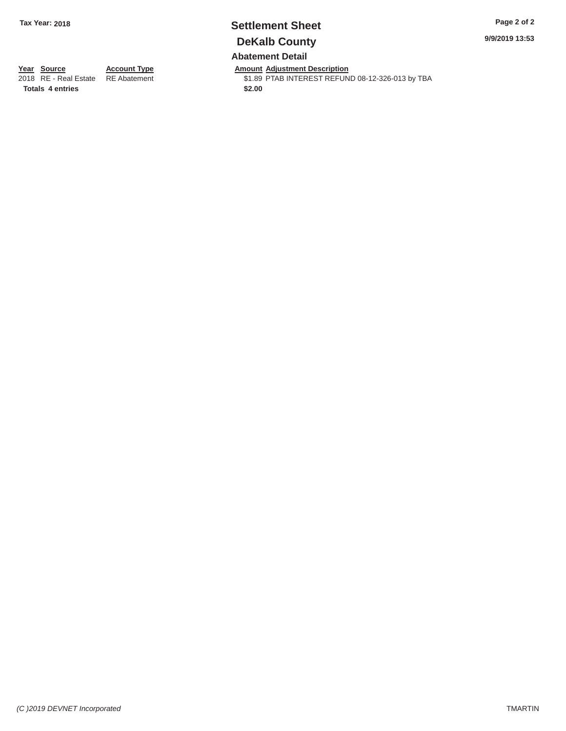# **Tax Year: 2018 Settlement Sheet Page 2 of 2 DeKalb County Abatement Detail**

**9/9/2019 13:53** 

**Year Source** 2018 RE - Real Estate **Totals 4 entries** 

**Account Type**  RE Abatement

**Amount Adjustment Description**  \$1.89 PTAB INTEREST REFUND 08-12-326-013 by TBA **\$2.00**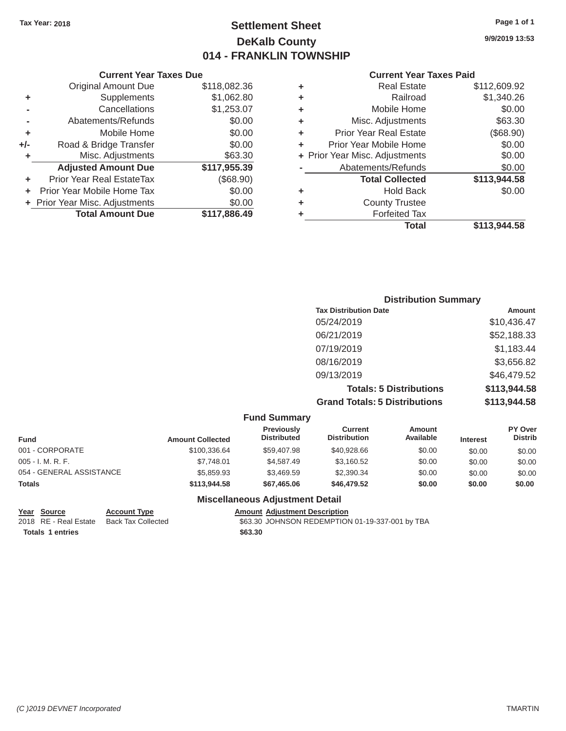# Tax Year: 2018 **Page 1 of 1 Page 1 of 1 Settlement Sheet Page 1 of 1 Page 1 of 1 9/9/2019 13:53 DeKalb County 014 - FRANKLIN TOWNSHIP**

#### **Current Year Taxes Paid**

| <b>Adjusted Amount Due</b><br><b>Prior Year Real EstateTax</b><br>Prior Year Mobile Home Tax<br>+ Prior Year Misc. Adjustments<br><b>Total Amount Due</b> | \$117,955.39<br>(\$68.90)<br>\$0.00<br>\$0.00<br>\$117,886.49 | ٠<br>٠ | Abatements/Refunds<br><b>Total Collected</b><br><b>Hold Back</b><br><b>County Trustee</b><br><b>Forfeited Tax</b> | \$0.00<br>\$113,944.58<br>\$0.00<br>\$113,944.58 |
|-----------------------------------------------------------------------------------------------------------------------------------------------------------|---------------------------------------------------------------|--------|-------------------------------------------------------------------------------------------------------------------|--------------------------------------------------|
|                                                                                                                                                           |                                                               |        |                                                                                                                   |                                                  |
|                                                                                                                                                           |                                                               |        |                                                                                                                   |                                                  |
|                                                                                                                                                           |                                                               |        |                                                                                                                   |                                                  |
|                                                                                                                                                           |                                                               |        |                                                                                                                   |                                                  |
|                                                                                                                                                           |                                                               |        |                                                                                                                   |                                                  |
| Misc. Adjustments                                                                                                                                         | \$63.30                                                       |        | + Prior Year Misc. Adjustments                                                                                    | \$0.00                                           |
| Road & Bridge Transfer                                                                                                                                    | \$0.00                                                        | ٠      | Prior Year Mobile Home                                                                                            | \$0.00                                           |
| Mobile Home                                                                                                                                               | \$0.00                                                        | ٠      | <b>Prior Year Real Estate</b>                                                                                     | (\$68.90)                                        |
| Abatements/Refunds                                                                                                                                        | \$0.00                                                        | ٠      | Misc. Adjustments                                                                                                 | \$63.30                                          |
| Cancellations                                                                                                                                             | \$1,253.07                                                    | ٠      | Mobile Home                                                                                                       | \$0.00                                           |
| Supplements                                                                                                                                               | \$1,062.80                                                    | ٠      | Railroad                                                                                                          | \$1,340.26                                       |
| <b>Original Amount Due</b>                                                                                                                                | \$118,082.36                                                  | ٠      | <b>Real Estate</b>                                                                                                | \$112,609.92                                     |
|                                                                                                                                                           |                                                               |        |                                                                                                                   |                                                  |

| <b>Current Year</b>            |   | <b>Current Year Taxes Due</b> |                                |     |  |  |  |
|--------------------------------|---|-------------------------------|--------------------------------|-----|--|--|--|
| <b>Real Estate</b>             | ٠ | \$118,082.36                  | Original Amount Due            |     |  |  |  |
| Railroad                       | ٠ | \$1,062.80                    | Supplements                    | ٠   |  |  |  |
| Mobile Home                    | ٠ | \$1,253.07                    | Cancellations                  |     |  |  |  |
| Misc. Adjustments              | ٠ | \$0.00                        | Abatements/Refunds             |     |  |  |  |
| <b>Prior Year Real Estate</b>  | ÷ | \$0.00                        | Mobile Home                    |     |  |  |  |
| Prior Year Mobile Home         | ٠ | \$0.00                        | Road & Bridge Transfer         | ⊦/- |  |  |  |
| + Prior Year Misc. Adjustments |   | \$63.30                       | Misc. Adjustments              |     |  |  |  |
| Abatements/Refunds             |   | \$117,955.39                  | <b>Adjusted Amount Due</b>     |     |  |  |  |
| <b>Total Collected</b>         |   | (\$68.90)                     | Prior Year Real EstateTax      |     |  |  |  |
| <b>Hold Back</b>               | ٠ | \$0.00                        | Prior Year Mobile Home Tax     |     |  |  |  |
| <b>County Trustee</b>          | ٠ | \$0.00                        | + Prior Year Misc. Adjustments |     |  |  |  |
| <b>Forfeited Tax</b>           |   | \$117,886.49                  | <b>Total Amount Due</b>        |     |  |  |  |
|                                |   |                               |                                |     |  |  |  |

| <b>Distribution Summary</b>          |              |
|--------------------------------------|--------------|
| <b>Tax Distribution Date</b>         | Amount       |
| 05/24/2019                           | \$10,436.47  |
| 06/21/2019                           | \$52,188.33  |
| 07/19/2019                           | \$1,183.44   |
| 08/16/2019                           | \$3,656.82   |
| 09/13/2019                           | \$46,479.52  |
| <b>Totals: 5 Distributions</b>       | \$113,944.58 |
| <b>Grand Totals: 5 Distributions</b> | \$113,944.58 |

| <b>Fund Summary</b>      |                         |                                         |                                |                     |                 |                                  |
|--------------------------|-------------------------|-----------------------------------------|--------------------------------|---------------------|-----------------|----------------------------------|
| <b>Fund</b>              | <b>Amount Collected</b> | <b>Previously</b><br><b>Distributed</b> | Current<br><b>Distribution</b> | Amount<br>Available | <b>Interest</b> | <b>PY Over</b><br><b>Distrib</b> |
| 001 - CORPORATE          | \$100.336.64            | \$59,407.98                             | \$40,928,66                    | \$0.00              | \$0.00          | \$0.00                           |
| $005 - I. M. R. F.$      | \$7.748.01              | \$4,587.49                              | \$3,160.52                     | \$0.00              | \$0.00          | \$0.00                           |
| 054 - GENERAL ASSISTANCE | \$5,859.93              | \$3,469.59                              | \$2,390,34                     | \$0.00              | \$0.00          | \$0.00                           |
| <b>Totals</b>            | \$113,944.58            | \$67,465,06                             | \$46,479.52                    | \$0.00              | \$0.00          | \$0.00                           |

#### **Miscellaneous Adjustment Detail**

**Totals 1 entries \$63.30** 

Year Source **Account Type Account Adjustment Description** 2018 RE - Real Estate Back Tax Collected \$63.30 JOHNSON REDEMPTION 01-19-337-001 by TBA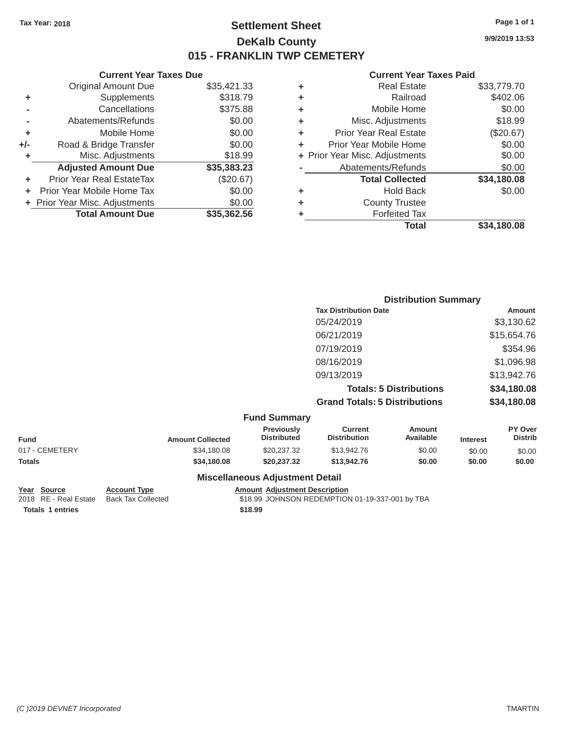**+ -**

**- + +/- +**

> **+ +**

# Tax Year: 2018 **Page 1 of 1 Page 1 of 1 Settlement Sheet Page 1 of 1 Page 1 of 1 9/9/2019 13:53 DeKalb County 015 - FRANKLIN TWP CEMETERY**

#### **Current Year Taxes Due Current Year Taxes Paid Current Year Taxes Paid**

|       | OUITUR TUUT TUAUU DUU            |             |   |                  |
|-------|----------------------------------|-------------|---|------------------|
|       | <b>Original Amount Due</b>       | \$35,421.33 | ٠ |                  |
| ÷     | Supplements                      | \$318.79    | ÷ |                  |
|       | Cancellations                    | \$375.88    | ÷ |                  |
|       | Abatements/Refunds               | \$0.00      | ٠ | <b>Mis</b>       |
| ÷     | Mobile Home                      | \$0.00      | ٠ | Prior Y          |
| I-    | Road & Bridge Transfer           | \$0.00      |   | Prior Yea        |
| ÷.    | Misc. Adjustments                | \$18.99     |   | + Prior Year Mis |
|       | <b>Adjusted Amount Due</b>       | \$35,383.23 |   | Abate            |
| ÷     | <b>Prior Year Real EstateTax</b> | (\$20.67)   |   |                  |
| $+$ . | Prior Year Mobile Home Tax       | \$0.00      |   |                  |
|       | + Prior Year Misc. Adjustments   | \$0.00      | ٠ |                  |
|       | <b>Total Amount Due</b>          | \$35,362.56 |   |                  |
|       |                                  |             |   |                  |

| ٠ | <b>Real Estate</b>             | \$33,779.70 |
|---|--------------------------------|-------------|
| ٠ | Railroad                       | \$402.06    |
| ٠ | Mobile Home                    | \$0.00      |
| ٠ | Misc. Adjustments              | \$18.99     |
| ٠ | <b>Prior Year Real Estate</b>  | (\$20.67)   |
| ÷ | Prior Year Mobile Home         | \$0.00      |
|   | + Prior Year Misc. Adjustments | \$0.00      |
|   | Abatements/Refunds             | \$0.00      |
|   | <b>Total Collected</b>         | \$34,180.08 |
| ٠ | <b>Hold Back</b>               | \$0.00      |
| ٠ | <b>County Trustee</b>          |             |
|   | <b>Forfeited Tax</b>           |             |
|   | Total                          | \$34,180.08 |
|   |                                |             |

|                |                         |                                  | <b>Distribution Summary</b>           |                                |                 |                           |
|----------------|-------------------------|----------------------------------|---------------------------------------|--------------------------------|-----------------|---------------------------|
|                |                         |                                  | <b>Tax Distribution Date</b>          |                                |                 | Amount                    |
|                |                         |                                  | 05/24/2019                            |                                |                 | \$3,130.62                |
|                |                         |                                  | 06/21/2019                            |                                |                 | \$15,654.76               |
|                |                         |                                  | 07/19/2019                            |                                |                 | \$354.96                  |
|                |                         |                                  | 08/16/2019                            |                                |                 | \$1,096.98                |
|                |                         |                                  | 09/13/2019                            |                                |                 | \$13,942.76               |
|                |                         |                                  |                                       | <b>Totals: 5 Distributions</b> |                 | \$34,180.08               |
|                |                         |                                  | <b>Grand Totals: 5 Distributions</b>  |                                |                 | \$34,180.08               |
|                |                         | <b>Fund Summary</b>              |                                       |                                |                 |                           |
| <b>Fund</b>    | <b>Amount Collected</b> | Previously<br><b>Distributed</b> | <b>Current</b><br><b>Distribution</b> | <b>Amount</b><br>Available     | <b>Interest</b> | PY Over<br><b>Distrib</b> |
| 017 - CEMETERY | \$34,180.08             | \$20,237.32                      | \$13,942.76                           | \$0.00                         | \$0.00          | \$0.00                    |

| Year Source       |
|-------------------|
| 2018 RE - Real Es |
|                   |

**Miscellaneous Adjustment Detail**  Account Type **Amount Adjustment Description** 

**Totals \$34,180.08 \$20,237.32 \$13,942.76 \$0.00 \$0.00 \$0.00** 

<sup>2</sup> External Back Tax Collected **2018 REAL ESTATE BACk Tax Collected** \$18.99 JOHNSON REDEMPTION 01-19-337-001 by TBA **Totals 1 entries \$18.99**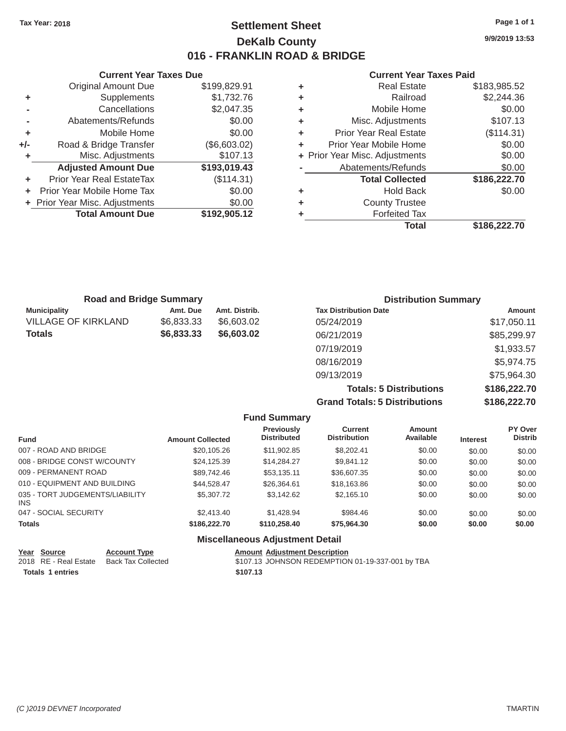# Tax Year: 2018 **Page 1 of 1 Settlement Sheet Page 1 of 1 Page 1 of 1 9/9/2019 13:53 DeKalb County 016 - FRANKLIN ROAD & BRIDGE**

#### **Current Year Taxes Due Current Year Taxes Paid Current Year Taxes Paid**

|     | <b>Original Amount Due</b>       | \$199,829.91 | ٠ | <b>Real Estate</b>             | \$183,985.52                                                                               |  |
|-----|----------------------------------|--------------|---|--------------------------------|--------------------------------------------------------------------------------------------|--|
| ٠   | <b>Supplements</b>               | \$1,732.76   | ٠ | Railroad                       | \$2,244.36                                                                                 |  |
|     | Cancellations                    | \$2,047.35   | ٠ | Mobile Home                    | \$0.00                                                                                     |  |
|     | Abatements/Refunds               | \$0.00       | ٠ | Misc. Adjustments              | \$107.13                                                                                   |  |
| ٠   | Mobile Home                      | \$0.00       | ٠ | <b>Prior Year Real Estate</b>  | (\$114.31)                                                                                 |  |
| +/- | Road & Bridge Transfer           | (\$6,603.02) | ٠ | Prior Year Mobile Home         | \$0.00                                                                                     |  |
|     | Misc. Adjustments                | \$107.13     |   | + Prior Year Misc. Adjustments | \$0.00                                                                                     |  |
|     | <b>Adjusted Amount Due</b>       | \$193,019.43 |   | Abatements/Refunds             | \$0.00                                                                                     |  |
| ÷.  | <b>Prior Year Real EstateTax</b> | (\$114.31)   |   | <b>Total Collected</b>         | \$186,222.70                                                                               |  |
|     | Prior Year Mobile Home Tax       | \$0.00       | ٠ | <b>Hold Back</b>               | \$0.00                                                                                     |  |
|     | + Prior Year Misc. Adjustments   | \$0.00       | ٠ | <b>County Trustee</b>          |                                                                                            |  |
|     | <b>Total Amount Due</b>          | \$192,905.12 |   | <b>Forfeited Tax</b>           |                                                                                            |  |
|     |                                  |              |   | アーチード                          | $\begin{array}{c} \n \text{A} & \text{A} & \text{A} & \text{A} & \text{B} \\  \end{array}$ |  |

| \$199,829.91 | ٠ | <b>Real Estate</b>            | \$183,985.52                   |
|--------------|---|-------------------------------|--------------------------------|
| \$1,732.76   | ٠ | Railroad                      | \$2,244.36                     |
| \$2,047.35   | ٠ | Mobile Home                   | \$0.00                         |
| \$0.00       | ٠ | Misc. Adjustments             | \$107.13                       |
| \$0.00       | ÷ | <b>Prior Year Real Estate</b> | (\$114.31)                     |
| (\$6,603.02) | ÷ | Prior Year Mobile Home        | \$0.00                         |
| \$107.13     |   |                               | \$0.00                         |
| \$193,019.43 |   | Abatements/Refunds            | \$0.00                         |
| (\$114.31)   |   | <b>Total Collected</b>        | \$186,222.70                   |
| \$0.00       | ٠ | <b>Hold Back</b>              | \$0.00                         |
| \$0.00       | ÷ | <b>County Trustee</b>         |                                |
| \$192,905.12 | ٠ | <b>Forfeited Tax</b>          |                                |
|              |   | <b>Total</b>                  | \$186,222.70                   |
|              |   |                               | + Prior Year Misc. Adjustments |

| <b>Road and Bridge Summary</b> |            |               | <b>Distribution Summary</b>    |               |
|--------------------------------|------------|---------------|--------------------------------|---------------|
| <b>Municipality</b>            | Amt. Due   | Amt. Distrib. | <b>Tax Distribution Date</b>   | <b>Amount</b> |
| VILLAGE OF KIRKLAND            | \$6,833.33 | \$6,603.02    | 05/24/2019                     | \$17,050.11   |
| Totals                         | \$6,833.33 | \$6,603.02    | 06/21/2019                     | \$85,299.97   |
|                                |            |               | 07/19/2019                     | \$1,933.57    |
|                                |            |               | 08/16/2019                     | \$5,974.75    |
|                                |            |               | 09/13/2019                     | \$75,964.30   |
|                                |            |               | <b>Totals: 5 Distributions</b> | \$186,222.70  |

**Grand Totals: 5 Distributions \$186,222.70**

|                                         |                         | <b>Fund Summary</b>                     |                                       |                     |                 |                           |
|-----------------------------------------|-------------------------|-----------------------------------------|---------------------------------------|---------------------|-----------------|---------------------------|
| <b>Fund</b>                             | <b>Amount Collected</b> | <b>Previously</b><br><b>Distributed</b> | <b>Current</b><br><b>Distribution</b> | Amount<br>Available | <b>Interest</b> | PY Over<br><b>Distrib</b> |
| 007 - ROAD AND BRIDGE                   | \$20,105.26             | \$11.902.85                             | \$8,202.41                            | \$0.00              | \$0.00          | \$0.00                    |
| 008 - BRIDGE CONST W/COUNTY             | \$24.125.39             | \$14,284,27                             | \$9.841.12                            | \$0.00              | \$0.00          | \$0.00                    |
| 009 - PERMANENT ROAD                    | \$89,742.46             | \$53,135.11                             | \$36,607.35                           | \$0.00              | \$0.00          | \$0.00                    |
| 010 - EQUIPMENT AND BUILDING            | \$44.528.47             | \$26.364.61                             | \$18,163.86                           | \$0.00              | \$0.00          | \$0.00                    |
| 035 - TORT JUDGEMENTS/LIABILITY<br>INS. | \$5,307.72              | \$3.142.62                              | \$2.165.10                            | \$0.00              | \$0.00          | \$0.00                    |
| 047 - SOCIAL SECURITY                   | \$2,413.40              | \$1,428.94                              | \$984.46                              | \$0.00              | \$0.00          | \$0.00                    |
| <b>Totals</b>                           | \$186,222,70            | \$110,258,40                            | \$75,964.30                           | \$0.00              | \$0.00          | \$0.00                    |

#### **Miscellaneous Adjustment Detail**

| Year Source             | <b>Account Type</b>                      | <b>Amount Adjustment Description</b>             |
|-------------------------|------------------------------------------|--------------------------------------------------|
|                         | 2018 RE - Real Estate Back Tax Collected | \$107.13 JOHNSON REDEMPTION 01-19-337-001 by TBA |
| <b>Totals 1 entries</b> |                                          | \$107.13                                         |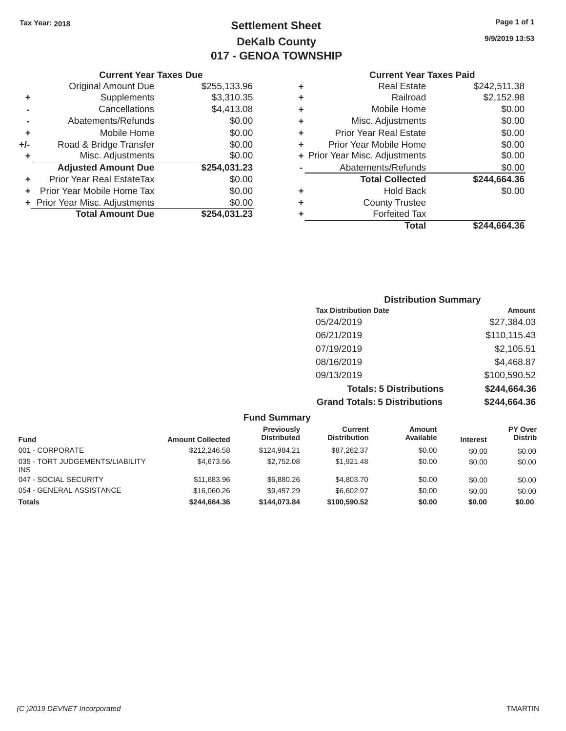# Tax Year: 2018 **Page 1 of 1 Settlement Sheet Page 1 of 1 Page 1 of 1 9/9/2019 13:53 DeKalb County 017 - GENOA TOWNSHIP**

#### **Current Year Taxes Paid**

|     | <b>Original Amount Due</b>     | \$255,133.96 | ٠ | <b>Real Estate</b>             | \$242,511.38 |
|-----|--------------------------------|--------------|---|--------------------------------|--------------|
| ٠   | Supplements                    | \$3,310.35   | ٠ | Railroad                       | \$2,152.98   |
|     | Cancellations                  | \$4,413.08   | ٠ | Mobile Home                    | \$0.00       |
|     | Abatements/Refunds             | \$0.00       | ٠ | Misc. Adjustments              | \$0.00       |
| ٠   | Mobile Home                    | \$0.00       | ٠ | <b>Prior Year Real Estate</b>  | \$0.00       |
| +/- | Road & Bridge Transfer         | \$0.00       | ٠ | Prior Year Mobile Home         | \$0.00       |
|     | Misc. Adjustments              | \$0.00       |   | + Prior Year Misc. Adjustments | \$0.00       |
|     | <b>Adjusted Amount Due</b>     | \$254,031.23 |   | Abatements/Refunds             | \$0.00       |
|     | Prior Year Real EstateTax      | \$0.00       |   | <b>Total Collected</b>         | \$244,664.36 |
|     | Prior Year Mobile Home Tax     | \$0.00       | ٠ | <b>Hold Back</b>               | \$0.00       |
|     | + Prior Year Misc. Adjustments | \$0.00       | ٠ | <b>County Trustee</b>          |              |
|     | <b>Total Amount Due</b>        | \$254,031.23 |   | <b>Forfeited Tax</b>           |              |
|     |                                |              |   | <b>Total</b>                   | \$244,664.36 |

|                | <b>Current Year Taxes Due</b>  |              |   | <b>Current Year</b>            |
|----------------|--------------------------------|--------------|---|--------------------------------|
|                | <b>Original Amount Due</b>     | \$255,133.96 | ٠ | <b>Real Estate</b>             |
| ٠              | Supplements                    | \$3,310.35   | ٠ | Railroad                       |
| $\blacksquare$ | Cancellations                  | \$4,413.08   | ٠ | Mobile Home                    |
|                | Abatements/Refunds             | \$0.00       | ÷ | Misc. Adjustments              |
| ٠              | Mobile Home                    | \$0.00       | ٠ | <b>Prior Year Real Estate</b>  |
| ı-             | Road & Bridge Transfer         | \$0.00       |   | Prior Year Mobile Home         |
| ٠              | Misc. Adjustments              | \$0.00       |   | + Prior Year Misc. Adjustments |
|                | <b>Adjusted Amount Due</b>     | \$254,031.23 |   | Abatements/Refunds             |
| ٠              | Prior Year Real EstateTax      | \$0.00       |   | <b>Total Collected</b>         |
|                | + Prior Year Mobile Home Tax   | \$0.00       | ٠ | <b>Hold Back</b>               |
|                | + Prior Year Misc. Adjustments | \$0.00       | ٠ | <b>County Trustee</b>          |
|                | <b>Total Amount Due</b>        | \$254,031.23 |   | Forfeited Tax                  |

| <b>Distribution Summary</b>          |              |  |  |  |
|--------------------------------------|--------------|--|--|--|
| <b>Tax Distribution Date</b>         | Amount       |  |  |  |
| 05/24/2019                           | \$27,384.03  |  |  |  |
| 06/21/2019                           | \$110,115.43 |  |  |  |
| 07/19/2019                           | \$2,105.51   |  |  |  |
| 08/16/2019                           | \$4,468.87   |  |  |  |
| 09/13/2019                           | \$100,590.52 |  |  |  |
| <b>Totals: 5 Distributions</b>       | \$244,664.36 |  |  |  |
| <b>Grand Totals: 5 Distributions</b> | \$244,664.36 |  |  |  |

| <b>Fund Summary</b>                           |                         |                                  |                                |                            |                 |                           |
|-----------------------------------------------|-------------------------|----------------------------------|--------------------------------|----------------------------|-----------------|---------------------------|
| <b>Fund</b>                                   | <b>Amount Collected</b> | Previously<br><b>Distributed</b> | Current<br><b>Distribution</b> | <b>Amount</b><br>Available | <b>Interest</b> | PY Over<br><b>Distrib</b> |
| 001 - CORPORATE                               | \$212,246.58            | \$124.984.21                     | \$87,262.37                    | \$0.00                     | \$0.00          | \$0.00                    |
| 035 - TORT JUDGEMENTS/LIABILITY<br><b>INS</b> | \$4,673.56              | \$2,752.08                       | \$1.921.48                     | \$0.00                     | \$0.00          | \$0.00                    |
| 047 - SOCIAL SECURITY                         | \$11,683.96             | \$6,880,26                       | \$4,803.70                     | \$0.00                     | \$0.00          | \$0.00                    |
| 054 - GENERAL ASSISTANCE                      | \$16,060.26             | \$9,457.29                       | \$6,602.97                     | \$0.00                     | \$0.00          | \$0.00                    |
| <b>Totals</b>                                 | \$244.664.36            | \$144,073,84                     | \$100.590.52                   | \$0.00                     | \$0.00          | \$0.00                    |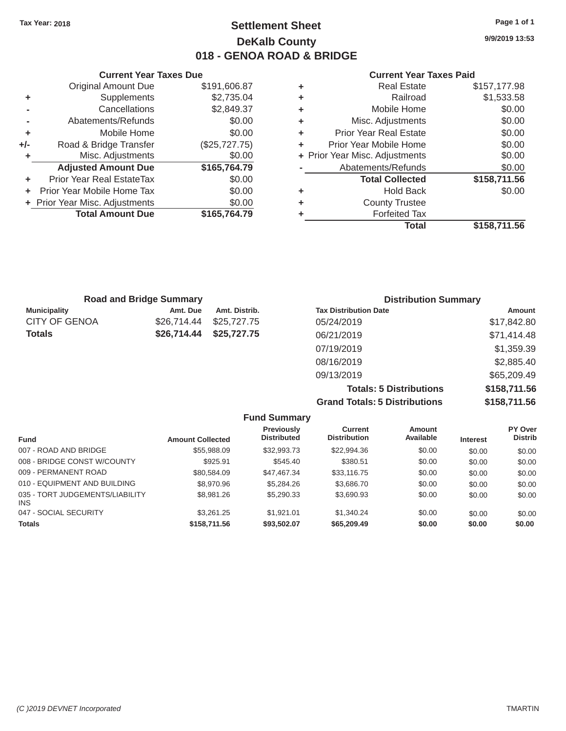# Tax Year: 2018 **Page 1 of 1 Page 1 of 1 Settlement Sheet Page 1 of 1 Page 1 of 1 9/9/2019 13:53 DeKalb County 018 - GENOA ROAD & BRIDGE**

#### **Current Year Taxes Due Current Year Taxes Paid Current Year Taxes Paid**

|       | <b>Total Amount Due</b>        | \$165,764.79  |   | <b>Forfeited Tax</b>           |              |  |
|-------|--------------------------------|---------------|---|--------------------------------|--------------|--|
|       | + Prior Year Misc. Adjustments | \$0.00        | ٠ | <b>County Trustee</b>          |              |  |
| $\pm$ | Prior Year Mobile Home Tax     | \$0.00        | ٠ | <b>Hold Back</b>               | \$0.00       |  |
| ٠     | Prior Year Real EstateTax      | \$0.00        |   | <b>Total Collected</b>         | \$158,711.56 |  |
|       | <b>Adjusted Amount Due</b>     | \$165,764.79  |   | Abatements/Refunds             | \$0.00       |  |
|       | Misc. Adjustments              | \$0.00        |   | + Prior Year Misc. Adjustments | \$0.00       |  |
| $+/-$ | Road & Bridge Transfer         | (\$25,727.75) | ٠ | Prior Year Mobile Home         | \$0.00       |  |
|       | Mobile Home                    | \$0.00        | ٠ | <b>Prior Year Real Estate</b>  | \$0.00       |  |
|       | Abatements/Refunds             | \$0.00        | ٠ | Misc. Adjustments              | \$0.00       |  |
|       | Cancellations                  | \$2,849.37    | ٠ | Mobile Home                    | \$0.00       |  |
|       | Supplements                    | \$2,735.04    | ٠ | Railroad                       | \$1,533.58   |  |
|       | Original Amount Due            | \$191,606.87  |   | <b>Real Estate</b>             | \$157,177.98 |  |
|       |                                |               |   |                                |              |  |

| \$191,606.87  | ÷ | <b>Real Estate</b>            | \$157,177.98                   |
|---------------|---|-------------------------------|--------------------------------|
| \$2,735.04    | ٠ | Railroad                      | \$1,533.58                     |
| \$2,849.37    | ٠ | Mobile Home                   | \$0.00                         |
| \$0.00        | ٠ | Misc. Adjustments             | \$0.00                         |
| \$0.00        | ٠ | <b>Prior Year Real Estate</b> | \$0.00                         |
| (\$25,727.75) | ÷ | Prior Year Mobile Home        | \$0.00                         |
| \$0.00        |   |                               | \$0.00                         |
| \$165,764.79  |   | Abatements/Refunds            | \$0.00                         |
| \$0.00        |   | <b>Total Collected</b>        | \$158,711.56                   |
| \$0.00        | ٠ | <b>Hold Back</b>              | \$0.00                         |
| \$0.00        | ÷ | <b>County Trustee</b>         |                                |
| \$165,764.79  | ٠ | <b>Forfeited Tax</b>          |                                |
|               |   | <b>Total</b>                  | \$158,711.56                   |
|               |   |                               | + Prior Year Misc. Adjustments |

| <b>Road and Bridge Summary</b> |             |               | <b>Distribution Summary</b>  |             |  |
|--------------------------------|-------------|---------------|------------------------------|-------------|--|
| <b>Municipality</b>            | Amt. Due    | Amt. Distrib. | <b>Tax Distribution Date</b> | Amount      |  |
| <b>CITY OF GENOA</b>           | \$26,714.44 | \$25,727.75   | 05/24/2019                   | \$17,842.80 |  |
| <b>Totals</b>                  | \$26,714.44 | \$25,727.75   | 06/21/2019                   | \$71,414.48 |  |
|                                |             |               | 07/19/2019                   | \$1,359.39  |  |
|                                |             |               | 08/16/2019                   | \$2,885.40  |  |
|                                |             |               | 09/13/2019                   | \$65,209.49 |  |

**Totals: 5 Distributions \$158,711.56 Grand Totals: 5 Distributions \$158,711.56** 

|                                               |                         | <b>Fund Summary</b>                     |                                |                     |                 |                           |
|-----------------------------------------------|-------------------------|-----------------------------------------|--------------------------------|---------------------|-----------------|---------------------------|
| Fund                                          | <b>Amount Collected</b> | <b>Previously</b><br><b>Distributed</b> | Current<br><b>Distribution</b> | Amount<br>Available | <b>Interest</b> | PY Over<br><b>Distrib</b> |
| 007 - ROAD AND BRIDGE                         | \$55,988.09             | \$32,993.73                             | \$22,994.36                    | \$0.00              | \$0.00          | \$0.00                    |
| 008 - BRIDGE CONST W/COUNTY                   | \$925.91                | \$545.40                                | \$380.51                       | \$0.00              | \$0.00          | \$0.00                    |
| 009 - PERMANENT ROAD                          | \$80,584.09             | \$47,467.34                             | \$33,116.75                    | \$0.00              | \$0.00          | \$0.00                    |
| 010 - EQUIPMENT AND BUILDING                  | \$8,970.96              | \$5,284.26                              | \$3,686.70                     | \$0.00              | \$0.00          | \$0.00                    |
| 035 - TORT JUDGEMENTS/LIABILITY<br><b>INS</b> | \$8,981.26              | \$5,290.33                              | \$3.690.93                     | \$0.00              | \$0.00          | \$0.00                    |
| 047 - SOCIAL SECURITY                         | \$3,261,25              | \$1.921.01                              | \$1.340.24                     | \$0.00              | \$0.00          | \$0.00                    |
| <b>Totals</b>                                 | \$158,711.56            | \$93,502.07                             | \$65,209.49                    | \$0.00              | \$0.00          | \$0.00                    |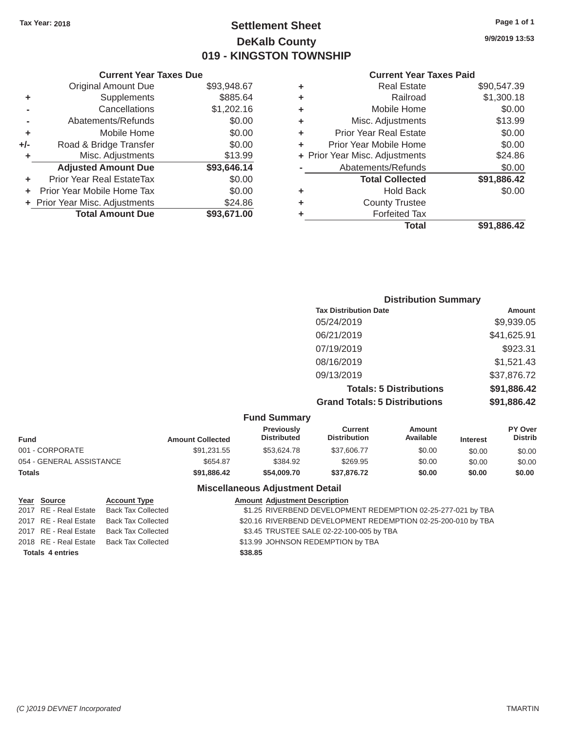# Tax Year: 2018 **Page 1 of 1 Settlement Sheet Page 1 of 1 Page 1 of 1 9/9/2019 13:53 DeKalb County 019 - KINGSTON TOWNSHIP**

#### **Current Year Taxes Due Current Year Taxes Paid Current Year Taxes Paid**

|     | <b>Original Amount Due</b>       | \$93,948.67 | ٠ | <b>Real Estate</b>             | \$90,547.39 |  |  |
|-----|----------------------------------|-------------|---|--------------------------------|-------------|--|--|
| ٠   | <b>Supplements</b>               | \$885.64    | ٠ | Railroad                       | \$1,300.18  |  |  |
|     | Cancellations                    | \$1,202.16  | ٠ | Mobile Home                    | \$0.00      |  |  |
|     | Abatements/Refunds               | \$0.00      | ٠ | Misc. Adjustments              | \$13.99     |  |  |
|     | Mobile Home                      | \$0.00      | ٠ | <b>Prior Year Real Estate</b>  | \$0.00      |  |  |
| +/- | Road & Bridge Transfer           | \$0.00      | ٠ | Prior Year Mobile Home         | \$0.00      |  |  |
|     | Misc. Adjustments                | \$13.99     |   | + Prior Year Misc. Adjustments | \$24.86     |  |  |
|     | <b>Adjusted Amount Due</b>       | \$93,646.14 |   | Abatements/Refunds             | \$0.00      |  |  |
|     | <b>Prior Year Real EstateTax</b> | \$0.00      |   | <b>Total Collected</b>         | \$91,886.42 |  |  |
|     | Prior Year Mobile Home Tax       | \$0.00      | ٠ | <b>Hold Back</b>               | \$0.00      |  |  |
|     | + Prior Year Misc. Adjustments   | \$24.86     | ٠ | <b>County Trustee</b>          |             |  |  |
|     | <b>Total Amount Due</b>          | \$93,671.00 |   | <b>Forfeited Tax</b>           |             |  |  |
|     |                                  |             |   |                                |             |  |  |

| <b>Original Amount Due</b> | \$93,948.67 | ÷ | <b>Real Estate</b>             | \$90,547.39 |
|----------------------------|-------------|---|--------------------------------|-------------|
| Supplements                | \$885.64    | ÷ | Railroad                       | \$1,300.18  |
| Cancellations              | \$1,202.16  | ÷ | Mobile Home                    | \$0.00      |
| Abatements/Refunds         | \$0.00      | ÷ | Misc. Adjustments              | \$13.99     |
| Mobile Home                | \$0.00      | ÷ | <b>Prior Year Real Estate</b>  | \$0.00      |
| Road & Bridge Transfer     | \$0.00      | ÷ | Prior Year Mobile Home         | \$0.00      |
| Misc. Adjustments          | \$13.99     |   | + Prior Year Misc. Adjustments | \$24.86     |
| <b>Adjusted Amount Due</b> | \$93,646.14 |   | Abatements/Refunds             | \$0.00      |
| ior Year Real EstateTax    | \$0.00      |   | <b>Total Collected</b>         | \$91,886.42 |
| r Year Mobile Home Tax     | \$0.00      | ÷ | <b>Hold Back</b>               | \$0.00      |
| Year Misc. Adjustments     | \$24.86     | ÷ | <b>County Trustee</b>          |             |
| <b>Total Amount Due</b>    | \$93,671.00 | ٠ | <b>Forfeited Tax</b>           |             |
|                            |             |   | <b>Total</b>                   | \$91,886.42 |

| <b>Distribution Summary</b>          |             |
|--------------------------------------|-------------|
| <b>Tax Distribution Date</b>         | Amount      |
| 05/24/2019                           | \$9,939.05  |
| 06/21/2019                           | \$41,625.91 |
| 07/19/2019                           | \$923.31    |
| 08/16/2019                           | \$1,521.43  |
| 09/13/2019                           | \$37,876.72 |
| <b>Totals: 5 Distributions</b>       | \$91,886.42 |
| <b>Grand Totals: 5 Distributions</b> | \$91,886.42 |

|  | <b>Fund Summary</b> |
|--|---------------------|
|--|---------------------|

| <b>Amount Collected</b> | <b>Previously</b><br><b>Distributed</b> | Current<br><b>Distribution</b> | Amount<br>Available | <b>Interest</b> | <b>PY Over</b><br><b>Distrib</b> |
|-------------------------|-----------------------------------------|--------------------------------|---------------------|-----------------|----------------------------------|
| \$91,231.55             | \$53,624.78                             | \$37,606.77                    | \$0.00              | \$0.00          | \$0.00                           |
| \$654.87                | \$384.92                                | \$269.95                       | \$0.00              | \$0.00          | \$0.00                           |
| \$91,886.42             | \$54,009,70                             | \$37,876.72                    | \$0.00              | \$0.00          | \$0.00                           |
|                         |                                         |                                |                     |                 |                                  |

#### **Miscellaneous Adjustment Detail**

| Year Source             | <b>Account Type</b>       |         | <b>Amount Adjustment Description</b>                          |
|-------------------------|---------------------------|---------|---------------------------------------------------------------|
| 2017 RE - Real Estate   | Back Tax Collected        |         | \$1.25 RIVERBEND DEVELOPMENT REDEMPTION 02-25-277-021 by TBA  |
| 2017 RE - Real Estate   | Back Tax Collected        |         | \$20.16 RIVERBEND DEVELOPMENT REDEMPTION 02-25-200-010 by TBA |
| 2017 RE - Real Estate   | Back Tax Collected        |         | \$3.45 TRUSTEE SALE 02-22-100-005 by TBA                      |
| 2018 RE - Real Estate   | <b>Back Tax Collected</b> |         | \$13.99 JOHNSON REDEMPTION by TBA                             |
| <b>Totals 4 entries</b> |                           | \$38.85 |                                                               |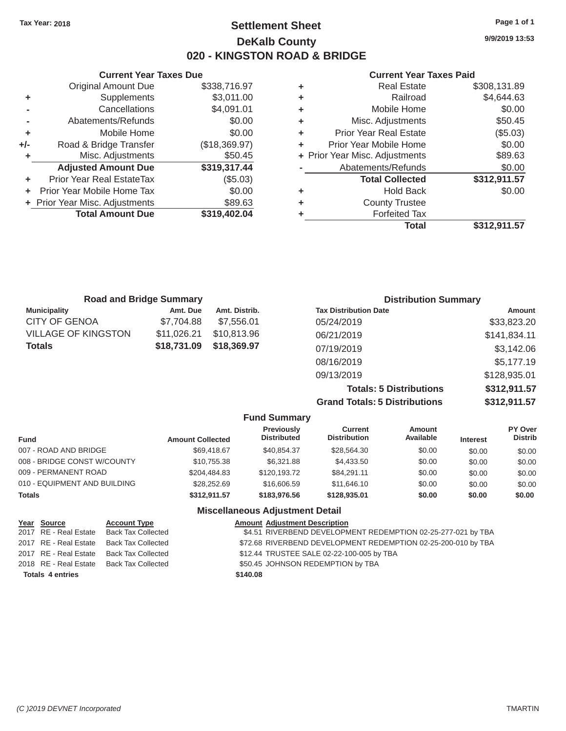# Tax Year: 2018 **Page 1 of 1 Page 1 of 1 Settlement Sheet Page 1 of 1 Page 1 of 1 9/9/2019 13:53 DeKalb County 020 - KINGSTON ROAD & BRIDGE**

**Current Year Taxes Due Current Year Taxes Paid**  Original Amount Due \$338,716.97 **+** Supplements \$3,011.00 **-** Cancellations \$4,091.01 **-** Abatements/Refunds \$0.00 **+** Mobile Home \$0.00 **+/-** Road & Bridge Transfer (\$18,369.97) **+** Misc. Adjustments \$50.45 Adjusted Amount Due \$319,317.44 **+** Prior Year Real EstateTax (\$5.03) **+** Prior Year Mobile Home Tax  $$0.00$ **+** Prior Year Misc. Adjustments  $$89.63$ **Total Amount Due \$319,402.04** 

| ٠ | <b>Real Estate</b>             | \$308,131.89 |
|---|--------------------------------|--------------|
| ٠ | Railroad                       | \$4,644.63   |
| ٠ | Mobile Home                    | \$0.00       |
| ٠ | Misc. Adjustments              | \$50.45      |
| ٠ | <b>Prior Year Real Estate</b>  | (\$5.03)     |
| ٠ | Prior Year Mobile Home         | \$0.00       |
|   | + Prior Year Misc. Adjustments | \$89.63      |
|   | Abatements/Refunds             | \$0.00       |
|   | <b>Total Collected</b>         | \$312,911.57 |
| ٠ | <b>Hold Back</b>               | \$0.00       |
| ٠ | <b>County Trustee</b>          |              |
| ٠ | <b>Forfeited Tax</b>           |              |
|   | <b>Total</b>                   | \$312,911.57 |
|   |                                |              |

|                     | <b>Road and Bridge Summary</b> |               | <b>Distribution Summary</b>    |              |
|---------------------|--------------------------------|---------------|--------------------------------|--------------|
| <b>Municipality</b> | Amt. Due                       | Amt. Distrib. | <b>Tax Distribution Date</b>   | Amount       |
| CITY OF GENOA       | \$7,704.88                     | \$7,556.01    | 05/24/2019                     | \$33,823.20  |
| VILLAGE OF KINGSTON | \$11,026.21                    | \$10,813.96   | 06/21/2019                     | \$141,834.11 |
| Totals              | \$18,731.09                    | \$18,369.97   | 07/19/2019                     | \$3,142.06   |
|                     |                                |               | 08/16/2019                     | \$5,177.19   |
|                     |                                |               | 09/13/2019                     | \$128,935.01 |
|                     |                                |               | <b>Totals: 5 Distributions</b> | \$312,911.57 |

**Grand Totals: 5 Distributions \$312,911.57** 

|                              |                         | <b>Fund Summary</b>                     |                                |                     |                 |                                  |
|------------------------------|-------------------------|-----------------------------------------|--------------------------------|---------------------|-----------------|----------------------------------|
| <b>Fund</b>                  | <b>Amount Collected</b> | <b>Previously</b><br><b>Distributed</b> | Current<br><b>Distribution</b> | Amount<br>Available | <b>Interest</b> | <b>PY Over</b><br><b>Distrib</b> |
| 007 - ROAD AND BRIDGE        | \$69,418.67             | \$40.854.37                             | \$28,564.30                    | \$0.00              | \$0.00          | \$0.00                           |
| 008 - BRIDGE CONST W/COUNTY  | \$10.755.38             | \$6,321.88                              | \$4,433.50                     | \$0.00              | \$0.00          | \$0.00                           |
| 009 - PERMANENT ROAD         | \$204,484.83            | \$120,193.72                            | \$84,291.11                    | \$0.00              | \$0.00          | \$0.00                           |
| 010 - EQUIPMENT AND BUILDING | \$28,252,69             | \$16,606.59                             | \$11,646.10                    | \$0.00              | \$0.00          | \$0.00                           |
| <b>Totals</b>                | \$312.911.57            | \$183,976.56                            | \$128,935.01                   | \$0.00              | \$0.00          | \$0.00                           |
|                              |                         | <b>Miscellaneous Adjustment Detail</b>  |                                |                     |                 |                                  |

| Year Source             | <b>Account Type</b> |          | <b>Amount Adjustment Description</b>                          |
|-------------------------|---------------------|----------|---------------------------------------------------------------|
| 2017 RE - Real Estate   | Back Tax Collected  |          | \$4.51 RIVERBEND DEVELOPMENT REDEMPTION 02-25-277-021 by TBA  |
| 2017 RE - Real Estate   | Back Tax Collected  |          | \$72.68 RIVERBEND DEVELOPMENT REDEMPTION 02-25-200-010 by TBA |
| 2017 RE - Real Estate   | Back Tax Collected  |          | \$12.44 TRUSTEE SALE 02-22-100-005 by TBA                     |
| 2018 RE - Real Estate   | Back Tax Collected  |          | \$50.45 JOHNSON REDEMPTION by TBA                             |
| <b>Totals 4 entries</b> |                     | \$140.08 |                                                               |

|  | ι αγσιν |  |
|--|---------|--|
|  |         |  |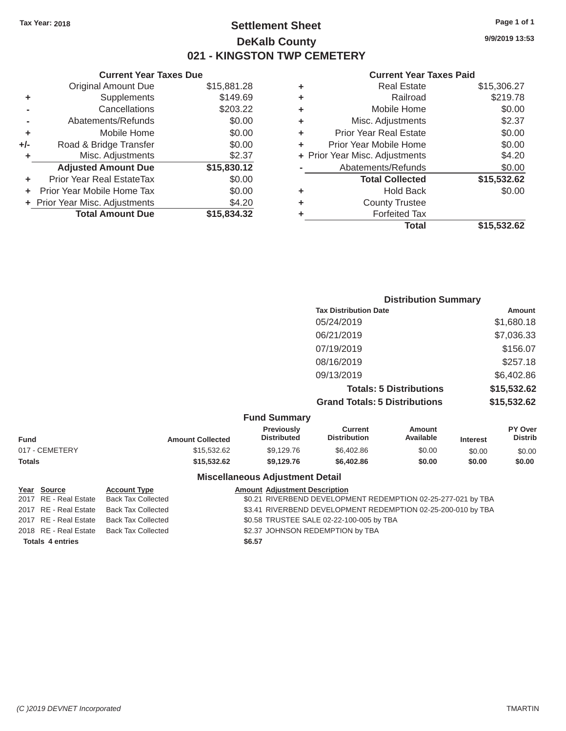# Tax Year: 2018 **Page 1 of 1 Page 1 of 1 Settlement Sheet Page 1 of 1 Page 1 of 1 9/9/2019 13:53 DeKalb County 021 - KINGSTON TWP CEMETERY**

**Current Year Taxes Due Current Year Taxes Paid Current Year Taxes Paid** 

|       | Gurrent rear Taxes Due         |             |  |
|-------|--------------------------------|-------------|--|
|       | <b>Original Amount Due</b>     | \$15,881.28 |  |
| ٠     | Supplements                    | \$149.69    |  |
|       | Cancellations                  | \$203.22    |  |
|       | Abatements/Refunds             | \$0.00      |  |
| ٠     | Mobile Home                    | \$0.00      |  |
| $+/-$ | Road & Bridge Transfer         | \$0.00      |  |
| ٠     | Misc. Adjustments              | \$2.37      |  |
|       | <b>Adjusted Amount Due</b>     | \$15,830.12 |  |
| ٠     | Prior Year Real EstateTax      | \$0.00      |  |
|       | Prior Year Mobile Home Tax     | \$0.00      |  |
|       | + Prior Year Misc. Adjustments | \$4.20      |  |
|       | <b>Total Amount Due</b>        | \$15,834.32 |  |
|       |                                |             |  |

| ٠ | <b>Real Estate</b>             | \$15,306.27 |
|---|--------------------------------|-------------|
| ٠ | Railroad                       | \$219.78    |
| ٠ | Mobile Home                    | \$0.00      |
| ٠ | Misc. Adjustments              | \$2.37      |
| ٠ | <b>Prior Year Real Estate</b>  | \$0.00      |
| ٠ | Prior Year Mobile Home         | \$0.00      |
|   | + Prior Year Misc. Adjustments | \$4.20      |
|   | Abatements/Refunds             | \$0.00      |
|   | <b>Total Collected</b>         | \$15,532.62 |
| ٠ | <b>Hold Back</b>               | \$0.00      |
| ٠ | <b>County Trustee</b>          |             |
| ٠ | <b>Forfeited Tax</b>           |             |
|   | Total                          | \$15,532.62 |
|   |                                |             |

| <b>Distribution Summary</b>          |             |
|--------------------------------------|-------------|
| <b>Tax Distribution Date</b>         | Amount      |
| 05/24/2019                           | \$1,680.18  |
| 06/21/2019                           | \$7,036.33  |
| 07/19/2019                           | \$156.07    |
| 08/16/2019                           | \$257.18    |
| 09/13/2019                           | \$6,402.86  |
| <b>Totals: 5 Distributions</b>       | \$15,532.62 |
| <b>Grand Totals: 5 Distributions</b> | \$15,532.62 |

#### **Fund Summary**

| <b>Fund</b>    | <b>Amount Collected</b> | -------------------<br><b>Previously</b><br><b>Distributed</b> | Current<br><b>Distribution</b> | Amount<br>Available | <b>Interest</b> | PY Over<br><b>Distrib</b> |
|----------------|-------------------------|----------------------------------------------------------------|--------------------------------|---------------------|-----------------|---------------------------|
| 017 - CEMETERY | \$15,532,62             | \$9,129.76                                                     | \$6,402.86                     | \$0.00              | \$0.00          | \$0.00                    |
| Totals         | \$15,532.62             | \$9.129.76                                                     | \$6,402.86                     | \$0.00              | \$0.00          | \$0.00                    |

#### **Miscellaneous Adjustment Detail**

| Year Source             | <b>Account Type</b> |        | <b>Amount Adjustment Description</b>                         |
|-------------------------|---------------------|--------|--------------------------------------------------------------|
| 2017 RE - Real Estate   | Back Tax Collected  |        | \$0.21 RIVERBEND DEVELOPMENT REDEMPTION 02-25-277-021 by TBA |
| 2017 RE - Real Estate   | Back Tax Collected  |        | \$3.41 RIVERBEND DEVELOPMENT REDEMPTION 02-25-200-010 by TBA |
| 2017 RE - Real Estate   | Back Tax Collected  |        | \$0.58 TRUSTEE SALE 02-22-100-005 by TBA                     |
| 2018 RE - Real Estate   | Back Tax Collected  |        | \$2.37 JOHNSON REDEMPTION by TBA                             |
| <b>Totals 4 entries</b> |                     | \$6.57 |                                                              |
|                         |                     |        |                                                              |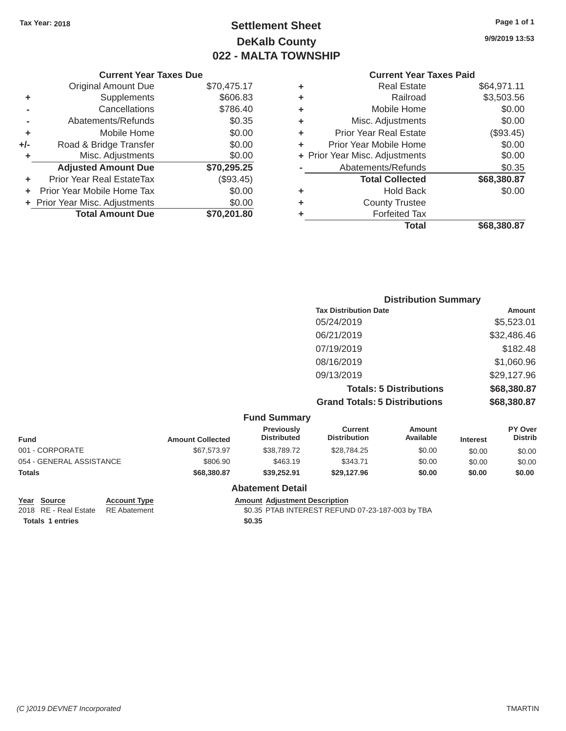# Tax Year: 2018 **Page 1 of 1 Page 1 of 1 Settlement Sheet Page 1 of 1 Page 1 of 1 9/9/2019 13:53 DeKalb County 022 - MALTA TOWNSHIP**

### **Current Year Taxes Due Current Year Taxes Paid Current Year Taxes Paid**

|     | Original Amount Due            | \$70,475.17 | ٠ | <b>Real Estate</b>             | \$64,971.11 |  |
|-----|--------------------------------|-------------|---|--------------------------------|-------------|--|
| ٠   | Supplements                    | \$606.83    | ٠ | Railroad                       | \$3,503.56  |  |
|     | Cancellations                  | \$786.40    | ٠ | Mobile Home                    | \$0.00      |  |
|     | Abatements/Refunds             | \$0.35      | ٠ | Misc. Adjustments              | \$0.00      |  |
|     | Mobile Home                    | \$0.00      | ٠ | <b>Prior Year Real Estate</b>  | (\$93.45)   |  |
| +/- | Road & Bridge Transfer         | \$0.00      |   | Prior Year Mobile Home         | \$0.00      |  |
|     | Misc. Adjustments              | \$0.00      |   | + Prior Year Misc. Adjustments | \$0.00      |  |
|     | <b>Adjusted Amount Due</b>     | \$70,295.25 |   | Abatements/Refunds             | \$0.35      |  |
|     | Prior Year Real EstateTax      | (\$93.45)   |   | <b>Total Collected</b>         | \$68,380.87 |  |
|     | + Prior Year Mobile Home Tax   | \$0.00      | ٠ | <b>Hold Back</b>               | \$0.00      |  |
|     | + Prior Year Misc. Adjustments | \$0.00      | ٠ | <b>County Trustee</b>          |             |  |
|     | <b>Total Amount Due</b>        | \$70,201.80 |   | <b>Forfeited Tax</b>           |             |  |
|     |                                |             |   |                                | $\cdots$    |  |

| \$70,475.17 | ÷ | <b>Real Estate</b>            | \$64,971.11                    |
|-------------|---|-------------------------------|--------------------------------|
| \$606.83    | ÷ | Railroad                      | \$3,503.56                     |
| \$786.40    | ÷ | Mobile Home                   | \$0.00                         |
| \$0.35      | ÷ | Misc. Adjustments             | \$0.00                         |
| \$0.00      | ÷ | <b>Prior Year Real Estate</b> | (\$93.45)                      |
| \$0.00      | ÷ | Prior Year Mobile Home        | \$0.00                         |
| \$0.00      |   |                               | \$0.00                         |
| \$70,295.25 |   | Abatements/Refunds            | \$0.35                         |
| (\$93.45)   |   | <b>Total Collected</b>        | \$68,380.87                    |
| \$0.00      | ÷ | <b>Hold Back</b>              | \$0.00                         |
| \$0.00      | ٠ | <b>County Trustee</b>         |                                |
| \$70,201.80 | ٠ | <b>Forfeited Tax</b>          |                                |
|             |   | <b>Total</b>                  | \$68,380.87                    |
|             |   |                               | + Prior Year Misc. Adjustments |

| <b>Distribution Summary</b>          |             |
|--------------------------------------|-------------|
| <b>Tax Distribution Date</b>         | Amount      |
| 05/24/2019                           | \$5,523.01  |
| 06/21/2019                           | \$32,486.46 |
| 07/19/2019                           | \$182.48    |
| 08/16/2019                           | \$1,060.96  |
| 09/13/2019                           | \$29,127.96 |
| <b>Totals: 5 Distributions</b>       | \$68,380.87 |
| <b>Grand Totals: 5 Distributions</b> | \$68,380.87 |

|                          |                         | <b>Fund Summary</b>                     |                                       |                            |                 |                                  |
|--------------------------|-------------------------|-----------------------------------------|---------------------------------------|----------------------------|-----------------|----------------------------------|
| <b>Fund</b>              | <b>Amount Collected</b> | <b>Previously</b><br><b>Distributed</b> | <b>Current</b><br><b>Distribution</b> | <b>Amount</b><br>Available | <b>Interest</b> | <b>PY Over</b><br><b>Distrib</b> |
| 001 - CORPORATE          | \$67,573.97             | \$38,789.72                             | \$28,784.25                           | \$0.00                     | \$0.00          | \$0.00                           |
| 054 - GENERAL ASSISTANCE | \$806.90                | \$463.19                                | \$343.71                              | \$0.00                     | \$0.00          | \$0.00                           |
| <b>Totals</b>            | \$68,380.87             | \$39,252.91                             | \$29,127.96                           | \$0.00                     | \$0.00          | \$0.00                           |
|                          |                         | <b>Abatement Detail</b>                 |                                       |                            |                 |                                  |

Totals 1 entries \$0.35

**Year Source Account Type Account Type Amount Adjustment Description**<br>2018 RE - Real Estate RE Abatement **Amount Adjustment REFUN** 

\$0.35 PTAB INTEREST REFUND 07-23-187-003 by TBA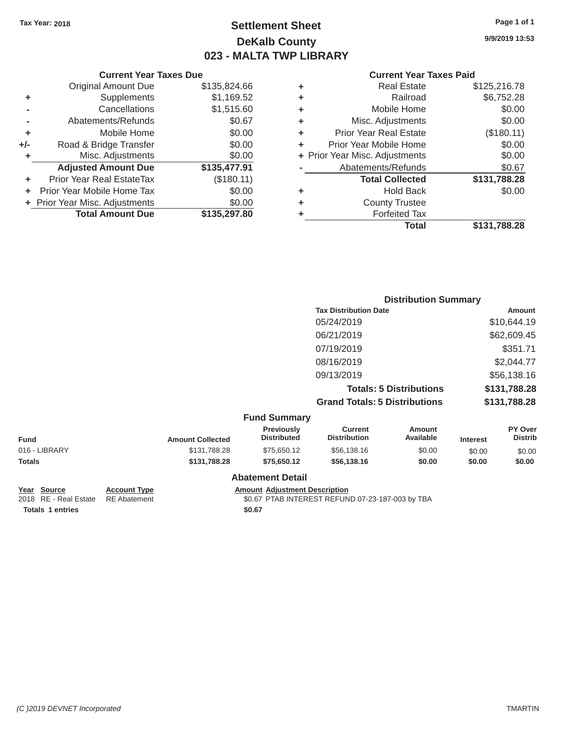# Tax Year: 2018 **Page 1 of 1 Page 1 of 1 Settlement Sheet Page 1 of 1 Page 1 of 1 9/9/2019 13:53 DeKalb County 023 - MALTA TWP LIBRARY**

#### **Current Year Taxes Due Current Year Taxes Paid Current Year Taxes Paid**

|     | <b>UGITUR TUGI TUAUS DUU</b>     |              |           |
|-----|----------------------------------|--------------|-----------|
|     | <b>Original Amount Due</b>       | \$135,824.66 | ٠         |
|     | Supplements                      | \$1,169.52   | ٠         |
|     | Cancellations                    | \$1,515.60   | ٠         |
|     | Abatements/Refunds               | \$0.67       | ٠         |
|     | Mobile Home                      | \$0.00       | ٠         |
| +/- | Road & Bridge Transfer           | \$0.00       | Р         |
|     | Misc. Adjustments                | \$0.00       | + Prior Y |
|     | <b>Adjusted Amount Due</b>       | \$135,477.91 |           |
|     | <b>Prior Year Real EstateTax</b> | (\$180.11)   |           |
|     | Prior Year Mobile Home Tax       | \$0.00       | ٠         |
|     | + Prior Year Misc. Adjustments   | \$0.00       |           |
|     | <b>Total Amount Due</b>          | \$135,297.80 |           |
|     |                                  |              |           |

| ٠ | <b>Real Estate</b>             | \$125,216.78 |
|---|--------------------------------|--------------|
| ٠ | Railroad                       | \$6,752.28   |
| ٠ | Mobile Home                    | \$0.00       |
| ٠ | Misc. Adjustments              | \$0.00       |
| ٠ | <b>Prior Year Real Estate</b>  | (\$180.11)   |
| ٠ | Prior Year Mobile Home         | \$0.00       |
|   | + Prior Year Misc. Adjustments | \$0.00       |
|   | Abatements/Refunds             | \$0.67       |
|   | <b>Total Collected</b>         | \$131,788.28 |
| ٠ | <b>Hold Back</b>               | \$0.00       |
| ٠ | <b>County Trustee</b>          |              |
| ٠ | <b>Forfeited Tax</b>           |              |
|   | <b>Total</b>                   | \$131.788.28 |
|   |                                |              |

|                                                                                                                                                                                                                                              | <b>Distribution Summary</b>                       |                                |                                 |  |
|----------------------------------------------------------------------------------------------------------------------------------------------------------------------------------------------------------------------------------------------|---------------------------------------------------|--------------------------------|---------------------------------|--|
|                                                                                                                                                                                                                                              | <b>Tax Distribution Date</b>                      |                                | Amount                          |  |
|                                                                                                                                                                                                                                              | 05/24/2019                                        |                                | \$10,644.19                     |  |
|                                                                                                                                                                                                                                              | 06/21/2019                                        |                                | \$62,609.45                     |  |
|                                                                                                                                                                                                                                              | 07/19/2019                                        |                                | \$351.71                        |  |
|                                                                                                                                                                                                                                              | 08/16/2019                                        |                                | \$2,044.77                      |  |
|                                                                                                                                                                                                                                              | 09/13/2019                                        |                                | \$56,138.16                     |  |
|                                                                                                                                                                                                                                              |                                                   | <b>Totals: 5 Distributions</b> | \$131,788.28                    |  |
|                                                                                                                                                                                                                                              | <b>Grand Totals: 5 Distributions</b>              |                                | \$131,788.28                    |  |
| <b>Fund Summary</b>                                                                                                                                                                                                                          |                                                   |                                |                                 |  |
| Previously<br>For the first contract to the first state of the state of the state of the state of the state of the state of the state of the state of the state of the state of the state of the state of the state of the state of the stat | <b>Current</b><br>Fig. 1. And the contribution of | Amount<br>$A - -11 - 1 - 1 -$  | PY Over<br>matic and the second |  |

| <b>Fund</b>             | <b>Amount Collected</b> | Previously<br><b>Distributed</b> | Current<br><b>Distribution</b> | <b>Amount</b><br>Available | <b>Interest</b> | <b>PY Over</b><br><b>Distrib</b> |
|-------------------------|-------------------------|----------------------------------|--------------------------------|----------------------------|-----------------|----------------------------------|
| 016 - LIBRARY           | \$131,788.28            | \$75,650.12                      | \$56,138.16                    | \$0.00                     | \$0.00          | \$0.00                           |
| <b>Totals</b>           | \$131,788,28            | \$75,650,12                      | \$56,138,16                    | \$0.00                     | \$0.00          | \$0.00                           |
| <b>Abatement Detail</b> |                         |                                  |                                |                            |                 |                                  |

2018 RE - Real Estate RE Abatement **Totals 1 entries** 

Year Source **Account Type** 

**Amount Adjustment Description** 

\$0.67 PTAB INTEREST REFUND 07-23-187-003 by TBA **\$0.67**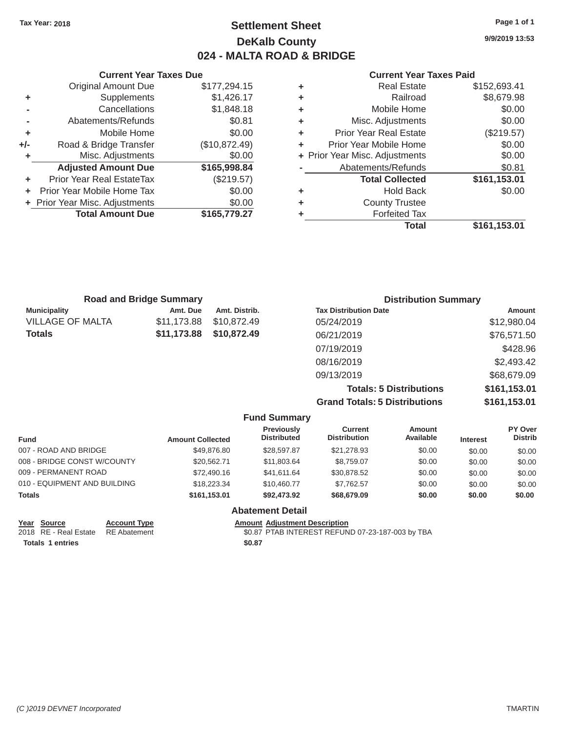# Tax Year: 2018 **Page 1 of 1 Page 1 of 1 Settlement Sheet Page 1 of 1 Page 1 of 1 9/9/2019 13:53 DeKalb County 024 - MALTA ROAD & BRIDGE**

| <b>Current Year Taxes Due</b> | <b>Current Year Taxes Paid</b> |  |  |
|-------------------------------|--------------------------------|--|--|
|                               |                                |  |  |

|       | <b>Original Amount Due</b>     | \$177,294.15  | ٠ | <b>Real Estate</b>             | \$152,693.41      |  |
|-------|--------------------------------|---------------|---|--------------------------------|-------------------|--|
|       | <b>Supplements</b>             | \$1,426.17    | ٠ | Railroad                       | \$8,679.98        |  |
|       | Cancellations                  | \$1,848.18    | ٠ | Mobile Home                    | \$0.00            |  |
|       | Abatements/Refunds             | \$0.81        | ٠ | Misc. Adjustments              | \$0.00            |  |
|       | Mobile Home                    | \$0.00        | ٠ | <b>Prior Year Real Estate</b>  | (\$219.57)        |  |
| $+/-$ | Road & Bridge Transfer         | (\$10,872.49) |   | Prior Year Mobile Home         | \$0.00            |  |
|       | Misc. Adjustments              | \$0.00        |   | + Prior Year Misc. Adjustments | \$0.00            |  |
|       | <b>Adjusted Amount Due</b>     | \$165,998.84  |   | Abatements/Refunds             | \$0.81            |  |
| ÷.    | Prior Year Real EstateTax      | (\$219.57)    |   | <b>Total Collected</b>         | \$161,153.01      |  |
| ÷.    | Prior Year Mobile Home Tax     | \$0.00        | ٠ | <b>Hold Back</b>               | \$0.00            |  |
|       | + Prior Year Misc. Adjustments | \$0.00        | ٠ | <b>County Trustee</b>          |                   |  |
|       | <b>Total Amount Due</b>        | \$165,779.27  |   | <b>Forfeited Tax</b>           |                   |  |
|       |                                |               |   | 77 - A - A                     | $A A A A A B A A$ |  |

| <b>Original Amount Due</b> | \$177,294.15  | ٠ | <b>Real Estate</b>             | \$152,693.41 |
|----------------------------|---------------|---|--------------------------------|--------------|
| Supplements                | \$1,426.17    | ÷ | Railroad                       | \$8,679.98   |
| Cancellations              | \$1,848.18    | ÷ | Mobile Home                    | \$0.00       |
| Abatements/Refunds         | \$0.81        | ÷ | Misc. Adjustments              | \$0.00       |
| Mobile Home                | \$0.00        | ÷ | <b>Prior Year Real Estate</b>  | (\$219.57)   |
| Road & Bridge Transfer     | (\$10,872.49) | ÷ | Prior Year Mobile Home         | \$0.00       |
| Misc. Adjustments          | \$0.00        |   | + Prior Year Misc. Adjustments | \$0.00       |
| <b>Adjusted Amount Due</b> | \$165,998.84  |   | Abatements/Refunds             | \$0.81       |
| ior Year Real EstateTax    | (\$219.57)    |   | <b>Total Collected</b>         | \$161,153.01 |
| r Year Mobile Home Tax     | \$0.00        | ÷ | <b>Hold Back</b>               | \$0.00       |
| Year Misc. Adjustments     | \$0.00        | ÷ | <b>County Trustee</b>          |              |
| <b>Total Amount Due</b>    | \$165,779.27  | ٠ | <b>Forfeited Tax</b>           |              |
|                            |               |   | <b>Total</b>                   | \$161,153.01 |

|                     | <b>Road and Bridge Summary</b> |               | <b>Distribution Summary</b>    |               |
|---------------------|--------------------------------|---------------|--------------------------------|---------------|
| <b>Municipality</b> | Amt. Due                       | Amt. Distrib. | <b>Tax Distribution Date</b>   | <b>Amount</b> |
| VILLAGE OF MALTA    | \$11,173.88                    | \$10.872.49   | 05/24/2019                     | \$12,980.04   |
| Totals              | \$11,173.88                    | \$10,872,49   | 06/21/2019                     | \$76,571.50   |
|                     |                                |               | 07/19/2019                     | \$428.96      |
|                     |                                |               | 08/16/2019                     | \$2,493.42    |
|                     |                                |               | 09/13/2019                     | \$68,679.09   |
|                     |                                |               | <b>Totals: 5 Distributions</b> | \$161,153.01  |
|                     |                                |               |                                |               |

**Grand Totals: 5 Distributions \$161,153.01**

|                              |                     |                         | <b>Fund Summary</b>                     |                                |                     |                 |                           |
|------------------------------|---------------------|-------------------------|-----------------------------------------|--------------------------------|---------------------|-----------------|---------------------------|
| <b>Fund</b>                  |                     | <b>Amount Collected</b> | <b>Previously</b><br><b>Distributed</b> | Current<br><b>Distribution</b> | Amount<br>Available | <b>Interest</b> | PY Over<br><b>Distrib</b> |
| 007 - ROAD AND BRIDGE        |                     | \$49,876.80             | \$28,597.87                             | \$21,278.93                    | \$0.00              | \$0.00          | \$0.00                    |
| 008 - BRIDGE CONST W/COUNTY  |                     | \$20,562.71             | \$11,803.64                             | \$8,759.07                     | \$0.00              | \$0.00          | \$0.00                    |
| 009 - PERMANENT ROAD         |                     | \$72,490.16             | \$41.611.64                             | \$30,878.52                    | \$0.00              | \$0.00          | \$0.00                    |
| 010 - EQUIPMENT AND BUILDING |                     | \$18,223.34             | \$10,460.77                             | \$7,762.57                     | \$0.00              | \$0.00          | \$0.00                    |
| <b>Totals</b>                |                     | \$161,153.01            | \$92,473.92                             | \$68,679.09                    | \$0.00              | \$0.00          | \$0.00                    |
|                              |                     |                         | <b>Abatement Detail</b>                 |                                |                     |                 |                           |
| Year<br><b>Source</b>        | <b>Account Type</b> |                         | <b>Amount Adiustment Description</b>    |                                |                     |                 |                           |

| . | ------                | .               |
|---|-----------------------|-----------------|
|   | 2018 RE - Real Estate | <b>RE</b> Abate |

Totals 1 entries \$0.87

ement **2018 REAL ESTATE REAL ESTATE REFUND 07-23-187-003 by TBA**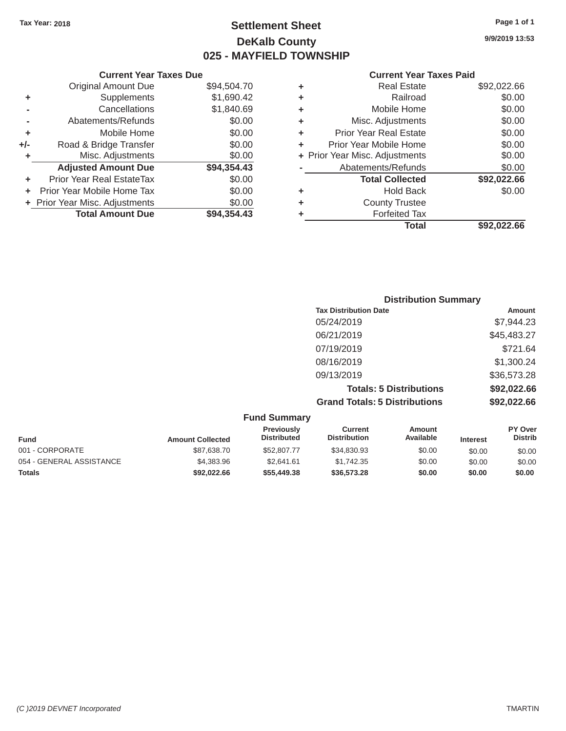Original Amount Due

**Total Amount Due** 

Adjusted Amount Due \$94,354.43

**+** Prior Year Real EstateTax \$0.00 **+** Prior Year Mobile Home Tax  $$0.00$ **+** Prior Year Misc. Adjustments  $$0.00$ 

**+** Supplements **-** Cancellations **-** Abatements/Refunds **+** Mobile Home **+/-** Road & Bridge Transfer **+** Misc. Adjustments

# Tax Year: 2018 **Page 1 of 1 Page 1 of 1 Settlement Sheet Page 1 of 1 Page 1 of 1 9/9/2019 13:53 DeKalb County 025 - MAYFIELD TOWNSHIP**

 $$94,504.70$  $$1,690.42$  $$1,840.69$ 

\$94,354.43

#### **Current Year Taxes Due Current Year Taxes Paid**

## **Distribution Summary Tax Distribution Date Amount Amount** 05/24/2019 \$7,944.23 06/21/2019 \$45,483.27 07/19/2019 \$721.64 08/16/2019 \$1,300.24 09/13/2019 \$36,573.28 **Totals: 5 Distributions \$92,022.66 Grand Totals: 5 Distributions \$92,022.66**

|                          |                         | <b>Fund Summary</b>              |                                       |                     |                 |                           |
|--------------------------|-------------------------|----------------------------------|---------------------------------------|---------------------|-----------------|---------------------------|
| <b>Fund</b>              | <b>Amount Collected</b> | Previously<br><b>Distributed</b> | <b>Current</b><br><b>Distribution</b> | Amount<br>Available | <b>Interest</b> | PY Over<br><b>Distrib</b> |
| 001 - CORPORATE          | \$87,638.70             | \$52,807.77                      | \$34,830.93                           | \$0.00              | \$0.00          | \$0.00                    |
| 054 - GENERAL ASSISTANCE | \$4,383.96              | \$2.641.61                       | \$1.742.35                            | \$0.00              | \$0.00          | \$0.00                    |
| <b>Totals</b>            | \$92,022.66             | \$55,449.38                      | \$36,573,28                           | \$0.00              | \$0.00          | \$0.00                    |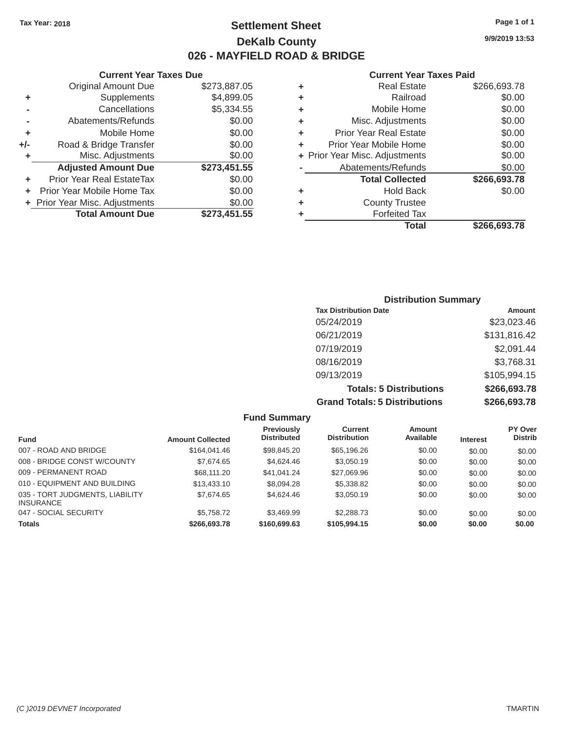# Tax Year: 2018 **Page 1 of 1 Settlement Sheet Page 1 of 1 Page 1 of 1 9/9/2019 13:53 DeKalb County 026 - MAYFIELD ROAD & BRIDGE**

#### **Current Year Taxes Due Current Year Taxes Paid Current Year Taxes Paid**

|     |                                  |              |   | Total                          | \$266,693.78 |
|-----|----------------------------------|--------------|---|--------------------------------|--------------|
|     | <b>Total Amount Due</b>          | \$273,451.55 |   | <b>Forfeited Tax</b>           |              |
|     | + Prior Year Misc. Adjustments   | \$0.00       | ٠ | <b>County Trustee</b>          |              |
|     | Prior Year Mobile Home Tax       | \$0.00       | ٠ | <b>Hold Back</b>               | \$0.00       |
|     | <b>Prior Year Real EstateTax</b> | \$0.00       |   | <b>Total Collected</b>         | \$266,693.78 |
|     | <b>Adjusted Amount Due</b>       | \$273,451.55 |   | Abatements/Refunds             | \$0.00       |
|     | Misc. Adjustments                | \$0.00       |   | + Prior Year Misc. Adjustments | \$0.00       |
| +/- | Road & Bridge Transfer           | \$0.00       | ٠ | Prior Year Mobile Home         | \$0.00       |
| ٠   | Mobile Home                      | \$0.00       | ٠ | <b>Prior Year Real Estate</b>  | \$0.00       |
|     | Abatements/Refunds               | \$0.00       | ٠ | Misc. Adjustments              | \$0.00       |
|     | Cancellations                    | \$5,334.55   | ٠ | Mobile Home                    | \$0.00       |
| ٠   | Supplements                      | \$4,899.05   | ٠ | Railroad                       | \$0.00       |
|     | <b>Original Amount Due</b>       | \$273,887.05 | ٠ | <b>Real Estate</b>             | \$266,693.78 |

|                | Original Amount Due            | \$273,887.05 |   | <b>Real Estate</b>             |
|----------------|--------------------------------|--------------|---|--------------------------------|
| ÷              | <b>Supplements</b>             | \$4,899.05   | ٠ | Railroad                       |
| $\blacksquare$ | Cancellations                  | \$5,334.55   | ٠ | Mobile Home                    |
| ۰              | Abatements/Refunds             | \$0.00       | ÷ | Misc. Adjustments              |
| ÷              | Mobile Home                    | \$0.00       | ٠ | Prior Year Real Estate         |
| I-             | Road & Bridge Transfer         | \$0.00       |   | Prior Year Mobile Home         |
| ٠              | Misc. Adjustments              | \$0.00       |   | + Prior Year Misc. Adjustments |
|                | <b>Adjusted Amount Due</b>     | \$273,451.55 |   | Abatements/Refunds             |
| ٠              | Prior Year Real EstateTax      | \$0.00       |   | <b>Total Collected</b>         |
|                | + Prior Year Mobile Home Tax   | \$0.00       | ٠ | Hold Back                      |
|                | + Prior Year Misc. Adjustments | \$0.00       | ٠ | <b>County Trustee</b>          |
|                | <b>Total Amount Due</b>        | \$273,451.55 | ٠ | <b>Forfeited Tax</b>           |

| <b>Distribution Summary</b>          |              |  |  |  |  |  |
|--------------------------------------|--------------|--|--|--|--|--|
| <b>Tax Distribution Date</b>         | Amount       |  |  |  |  |  |
| 05/24/2019                           | \$23,023.46  |  |  |  |  |  |
| 06/21/2019                           | \$131,816.42 |  |  |  |  |  |
| 07/19/2019                           | \$2,091.44   |  |  |  |  |  |
| 08/16/2019                           | \$3,768.31   |  |  |  |  |  |
| 09/13/2019                           | \$105,994.15 |  |  |  |  |  |
| <b>Totals: 5 Distributions</b>       | \$266,693.78 |  |  |  |  |  |
| <b>Grand Totals: 5 Distributions</b> | \$266,693.78 |  |  |  |  |  |

|                                                     |                         | <b>Fund Summary</b>                     |                                       |                     |                 |                           |
|-----------------------------------------------------|-------------------------|-----------------------------------------|---------------------------------------|---------------------|-----------------|---------------------------|
| <b>Fund</b>                                         | <b>Amount Collected</b> | <b>Previously</b><br><b>Distributed</b> | <b>Current</b><br><b>Distribution</b> | Amount<br>Available | <b>Interest</b> | PY Over<br><b>Distrib</b> |
| 007 - ROAD AND BRIDGE                               | \$164,041.46            | \$98,845.20                             | \$65,196.26                           | \$0.00              | \$0.00          | \$0.00                    |
| 008 - BRIDGE CONST W/COUNTY                         | \$7.674.65              | \$4,624,46                              | \$3.050.19                            | \$0.00              | \$0.00          | \$0.00                    |
| 009 - PERMANENT ROAD                                | \$68,111,20             | \$41.041.24                             | \$27,069.96                           | \$0.00              | \$0.00          | \$0.00                    |
| 010 - EQUIPMENT AND BUILDING                        | \$13,433,10             | \$8,094.28                              | \$5,338.82                            | \$0.00              | \$0.00          | \$0.00                    |
| 035 - TORT JUDGMENTS, LIABILITY<br><b>INSURANCE</b> | \$7.674.65              | \$4,624,46                              | \$3.050.19                            | \$0.00              | \$0.00          | \$0.00                    |
| 047 - SOCIAL SECURITY                               | \$5,758.72              | \$3,469.99                              | \$2,288.73                            | \$0.00              | \$0.00          | \$0.00                    |
| <b>Totals</b>                                       | \$266,693.78            | \$160,699,63                            | \$105,994.15                          | \$0.00              | \$0.00          | \$0.00                    |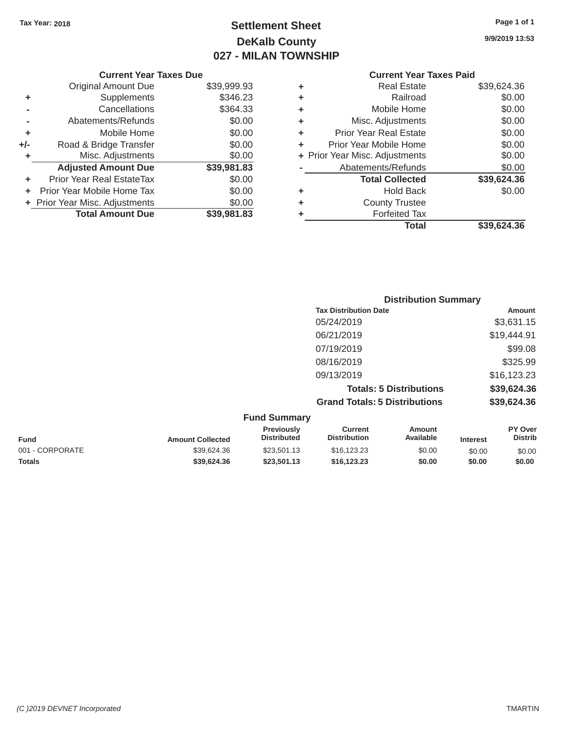# Tax Year: 2018 **Page 1 of 1 Page 1 of 1 Settlement Sheet Page 1 of 1 Page 1 of 1 9/9/2019 13:53 DeKalb County 027 - MILAN TOWNSHIP**

|       | <b>Current Year Taxes Due</b>  |             |   | <b>Current Year Taxes Paid</b> |             |
|-------|--------------------------------|-------------|---|--------------------------------|-------------|
|       | <b>Original Amount Due</b>     | \$39,999.93 | ٠ | <b>Real Estate</b>             | \$39,624.36 |
| ٠     | Supplements                    | \$346.23    | ٠ | Railroad                       | \$0.00      |
|       | Cancellations                  | \$364.33    | ٠ | Mobile Home                    | \$0.00      |
|       | Abatements/Refunds             | \$0.00      | ٠ | Misc. Adjustments              | \$0.00      |
| ٠     | Mobile Home                    | \$0.00      |   | <b>Prior Year Real Estate</b>  | \$0.00      |
| $+/-$ | Road & Bridge Transfer         | \$0.00      |   | Prior Year Mobile Home         | \$0.00      |
|       | Misc. Adjustments              | \$0.00      |   | + Prior Year Misc. Adjustments | \$0.00      |
|       | <b>Adjusted Amount Due</b>     | \$39,981.83 |   | Abatements/Refunds             | \$0.00      |
| ٠     | Prior Year Real EstateTax      | \$0.00      |   | <b>Total Collected</b>         | \$39,624.36 |
| ÷.    | Prior Year Mobile Home Tax     | \$0.00      | ٠ | <b>Hold Back</b>               | \$0.00      |
|       | + Prior Year Misc. Adjustments | \$0.00      | ٠ | <b>County Trustee</b>          |             |
|       | <b>Total Amount Due</b>        | \$39,981.83 |   | <b>Forfeited Tax</b>           |             |

# **Current Year Taxes Paid** \$39,999.93 **+** Real Estate \$39,624.36 \$346.23 **+** Railroad \$0.00  $\uparrow$  **+** Mobile Home \$0.00 \$0.00 **+** Misc. Adjustments \$0.00 \$0.00 **+** Prior Year Real Estate \$0.00 **+** Prior Year Mobile Home \$0.00<br> **+** Prior Year Misc. Adjustments \$0.00  $+$  Prior Year Misc. Adjustments **Abatements/Refunds** \$0.00 **+** Prior Year Real EstateTax \$0.00 **Total Collected \$39,624.36 +** Prior Year Misc. Adjustments \$0.00 **+** County Trustee **\$39,981.83 +** Forfeited Tax **Total \$39,624.36**

|                     | <b>Distribution Summary</b>          |             |
|---------------------|--------------------------------------|-------------|
|                     | <b>Tax Distribution Date</b>         | Amount      |
|                     | 05/24/2019                           | \$3,631.15  |
|                     | 06/21/2019                           | \$19,444.91 |
|                     | 07/19/2019                           | \$99.08     |
|                     | 08/16/2019                           | \$325.99    |
|                     | 09/13/2019                           | \$16,123.23 |
|                     | <b>Totals: 5 Distributions</b>       | \$39,624.36 |
|                     | <b>Grand Totals: 5 Distributions</b> | \$39,624.36 |
| <b>Fund Summary</b> |                                      |             |

| <b>Amount Collected</b> | <b>Previously</b><br><b>Distributed</b> | Current<br><b>Distribution</b> | Amount<br>Available | <b>Interest</b> | PY Over<br><b>Distrib</b> |
|-------------------------|-----------------------------------------|--------------------------------|---------------------|-----------------|---------------------------|
| \$39,624.36             | \$23,501.13                             | \$16.123.23                    | \$0.00              | \$0.00          | \$0.00                    |
| \$39.624.36             | \$23,501.13                             | \$16,123,23                    | \$0.00              | \$0.00          | \$0.00                    |
|                         |                                         | . and canning ,                |                     |                 |                           |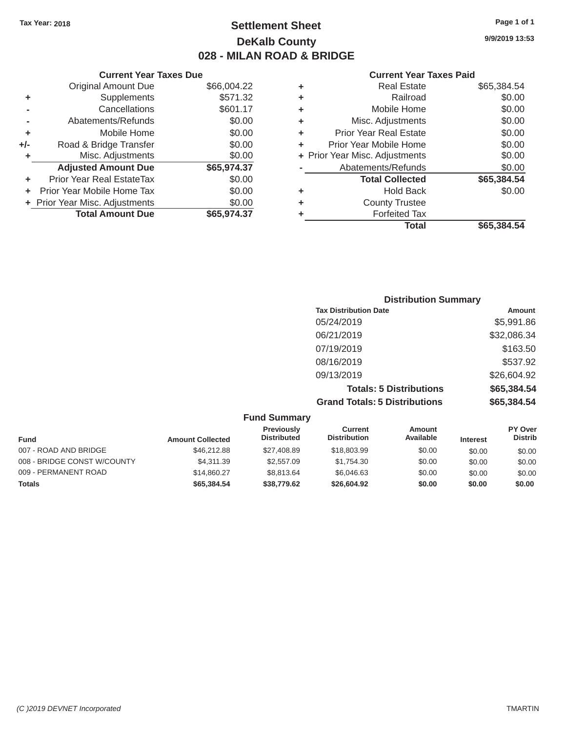# Tax Year: 2018 **Page 1 of 1 Settlement Sheet Page 1 of 1 Page 1 of 1 9/9/2019 13:53 DeKalb County 028 - MILAN ROAD & BRIDGE**

#### **Current Year Taxes Due Current Year Taxes Paid Current Year Taxes Paid**

|     | <b>Original Amount Due</b>     | \$66,004.22 | ٠ | <b>Real Estate</b>             | \$65,384.54 |
|-----|--------------------------------|-------------|---|--------------------------------|-------------|
| ٠   | Supplements                    | \$571.32    | ٠ | Railroad                       | \$0.00      |
|     | Cancellations                  | \$601.17    | ٠ | Mobile Home                    | \$0.00      |
|     | Abatements/Refunds             | \$0.00      | ٠ | Misc. Adjustments              | \$0.00      |
|     | Mobile Home                    | \$0.00      | ٠ | <b>Prior Year Real Estate</b>  | \$0.00      |
| +/- | Road & Bridge Transfer         | \$0.00      | ٠ | Prior Year Mobile Home         | \$0.00      |
|     | Misc. Adjustments              | \$0.00      |   | + Prior Year Misc. Adjustments | \$0.00      |
|     | <b>Adjusted Amount Due</b>     | \$65,974.37 |   | Abatements/Refunds             | \$0.00      |
|     | Prior Year Real EstateTax      | \$0.00      |   | <b>Total Collected</b>         | \$65,384.54 |
|     | Prior Year Mobile Home Tax     | \$0.00      | ٠ | <b>Hold Back</b>               | \$0.00      |
|     | + Prior Year Misc. Adjustments | \$0.00      | ٠ | <b>County Trustee</b>          |             |
|     | <b>Total Amount Due</b>        | \$65,974.37 |   | <b>Forfeited Tax</b>           |             |
|     |                                |             |   |                                |             |

| ٠ | <b>Real Estate</b>             | \$65,384.54 |
|---|--------------------------------|-------------|
| ٠ | Railroad                       | \$0.00      |
| ٠ | Mobile Home                    | \$0.00      |
| ٠ | Misc. Adjustments              | \$0.00      |
| ٠ | <b>Prior Year Real Estate</b>  | \$0.00      |
| ٠ | Prior Year Mobile Home         | \$0.00      |
|   | + Prior Year Misc. Adjustments | \$0.00      |
|   | Abatements/Refunds             | \$0.00      |
|   | <b>Total Collected</b>         | \$65,384.54 |
| ٠ | <b>Hold Back</b>               | \$0.00      |
| ٠ | <b>County Trustee</b>          |             |
| ٠ | <b>Forfeited Tax</b>           |             |
|   | <b>Total</b>                   | \$65.384.54 |
|   |                                |             |

| <b>Distribution Summary</b>          |             |
|--------------------------------------|-------------|
| <b>Tax Distribution Date</b>         | Amount      |
| 05/24/2019                           | \$5,991.86  |
| 06/21/2019                           | \$32,086.34 |
| 07/19/2019                           | \$163.50    |
| 08/16/2019                           | \$537.92    |
| 09/13/2019                           | \$26,604.92 |
| <b>Totals: 5 Distributions</b>       | \$65,384.54 |
| <b>Grand Totals: 5 Distributions</b> | \$65,384.54 |

|                             |                         | <b>Fund Summary</b>              |                                |                            |                 |                           |
|-----------------------------|-------------------------|----------------------------------|--------------------------------|----------------------------|-----------------|---------------------------|
| <b>Fund</b>                 | <b>Amount Collected</b> | Previously<br><b>Distributed</b> | Current<br><b>Distribution</b> | <b>Amount</b><br>Available | <b>Interest</b> | PY Over<br><b>Distrib</b> |
| 007 - ROAD AND BRIDGE       | \$46,212.88             | \$27,408.89                      | \$18,803.99                    | \$0.00                     | \$0.00          | \$0.00                    |
| 008 - BRIDGE CONST W/COUNTY | \$4,311,39              | \$2,557.09                       | \$1,754.30                     | \$0.00                     | \$0.00          | \$0.00                    |
| 009 - PERMANENT ROAD        | \$14,860.27             | \$8,813,64                       | \$6,046,63                     | \$0.00                     | \$0.00          | \$0.00                    |
| <b>Totals</b>               | \$65,384,54             | \$38,779.62                      | \$26,604.92                    | \$0.00                     | \$0.00          | \$0.00                    |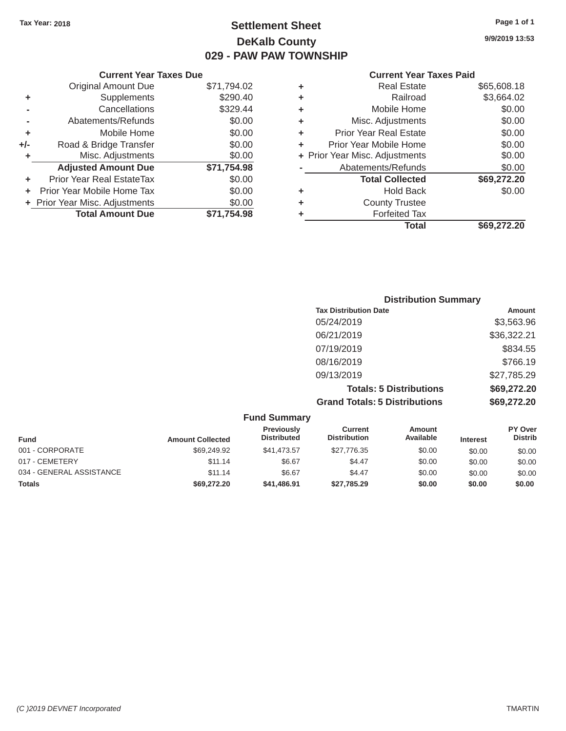# Tax Year: 2018 **Page 1 of 1 Settlement Sheet Page 1 of 1 Page 1 of 1 9/9/2019 13:53 DeKalb County 029 - PAW PAW TOWNSHIP**

|           |    | Cur |
|-----------|----|-----|
| 71,794.02 | ÷  | R   |
| \$290.40  | ÷. |     |

|                                  | <b>Current Year Taxes Paid</b>                                 |                               |                               |                                |
|----------------------------------|----------------------------------------------------------------|-------------------------------|-------------------------------|--------------------------------|
| Original Amount Due              | \$71,794.02                                                    | ٠                             | <b>Real Estate</b>            | \$65,608.18                    |
| Supplements                      | \$290.40                                                       | ٠                             | Railroad                      | \$3,664.02                     |
| Cancellations                    | \$329.44                                                       | ٠                             | Mobile Home                   | \$0.00                         |
| Abatements/Refunds               | \$0.00                                                         | ٠                             | Misc. Adjustments             | \$0.00                         |
| Mobile Home                      | \$0.00                                                         | ٠                             | <b>Prior Year Real Estate</b> | \$0.00                         |
| Road & Bridge Transfer           | \$0.00                                                         | ٠                             | Prior Year Mobile Home        | \$0.00                         |
| Misc. Adjustments                | \$0.00                                                         |                               |                               | \$0.00                         |
| <b>Adjusted Amount Due</b>       | \$71,754.98                                                    |                               | Abatements/Refunds            | \$0.00                         |
| <b>Prior Year Real EstateTax</b> | \$0.00                                                         |                               | <b>Total Collected</b>        | \$69,272.20                    |
|                                  | \$0.00                                                         | ٠                             | <b>Hold Back</b>              | \$0.00                         |
|                                  | \$0.00                                                         | ٠                             | <b>County Trustee</b>         |                                |
| <b>Total Amount Due</b>          | \$71,754.98                                                    |                               | <b>Forfeited Tax</b>          |                                |
|                                  |                                                                |                               | <b>Total</b>                  | \$69,272.20                    |
|                                  | + Prior Year Mobile Home Tax<br>+ Prior Year Misc. Adjustments | <b>Current Year Taxes Due</b> |                               | + Prior Year Misc. Adjustments |

| <b>Current Year Taxes Due</b>    |               |             |   | <b>Current Year Taxes Paid</b> |             |
|----------------------------------|---------------|-------------|---|--------------------------------|-------------|
| Original Amount Due              |               | \$71,794.02 | ٠ | <b>Real Estate</b>             | \$65,608.18 |
| ٠                                | Supplements   | \$290.40    | ٠ | Railroad                       | \$3,664.02  |
|                                  | Cancellations | \$329.44    | ٠ | Mobile Home                    | \$0.00      |
| Abatements/Refunds               |               | \$0.00      | ٠ | Misc. Adjustments              | \$0.00      |
|                                  | Mobile Home   | \$0.00      | ٠ | <b>Prior Year Real Estate</b>  | \$0.00      |
| Road & Bridge Transfer<br>+/-    |               | \$0.00      |   | Prior Year Mobile Home         | \$0.00      |
| Misc. Adjustments                |               | \$0.00      |   | + Prior Year Misc. Adjustments | \$0.00      |
| <b>Adjusted Amount Due</b>       |               | \$71,754.98 |   | Abatements/Refunds             | \$0.00      |
| <b>Prior Year Real EstateTax</b> |               | \$0.00      |   | <b>Total Collected</b>         | \$69,272.20 |
| + Prior Year Mobile Home Tax     |               | \$0.00      | ٠ | <b>Hold Back</b>               | \$0.00      |
| + Prior Year Misc. Adjustments   |               | \$0.00      | ٠ | <b>County Trustee</b>          |             |
| <b>Total Amount Due</b>          |               | \$71,754.98 |   | <b>Forfeited Tax</b>           |             |

| <b>Distribution Summary</b>          |             |
|--------------------------------------|-------------|
| <b>Tax Distribution Date</b>         | Amount      |
| 05/24/2019                           | \$3,563.96  |
| 06/21/2019                           | \$36,322.21 |
| 07/19/2019                           | \$834.55    |
| 08/16/2019                           | \$766.19    |
| 09/13/2019                           | \$27,785.29 |
| <b>Totals: 5 Distributions</b>       | \$69,272.20 |
| <b>Grand Totals: 5 Distributions</b> | \$69,272.20 |

|                          |                         | <b>Fund Summary</b>              |                                       |                            |                 |                           |
|--------------------------|-------------------------|----------------------------------|---------------------------------------|----------------------------|-----------------|---------------------------|
| <b>Fund</b>              | <b>Amount Collected</b> | Previously<br><b>Distributed</b> | <b>Current</b><br><b>Distribution</b> | <b>Amount</b><br>Available | <b>Interest</b> | PY Over<br><b>Distrib</b> |
| 001 - CORPORATE          | \$69,249.92             | \$41,473.57                      | \$27.776.35                           | \$0.00                     | \$0.00          | \$0.00                    |
| 017 - CEMETERY           | \$11.14                 | \$6.67                           | \$4.47                                | \$0.00                     | \$0.00          | \$0.00                    |
| 034 - GENERAL ASSISTANCE | \$11.14                 | \$6.67                           | \$4.47                                | \$0.00                     | \$0.00          | \$0.00                    |
| <b>Totals</b>            | \$69,272.20             | \$41,486.91                      | \$27,785.29                           | \$0.00                     | \$0.00          | \$0.00                    |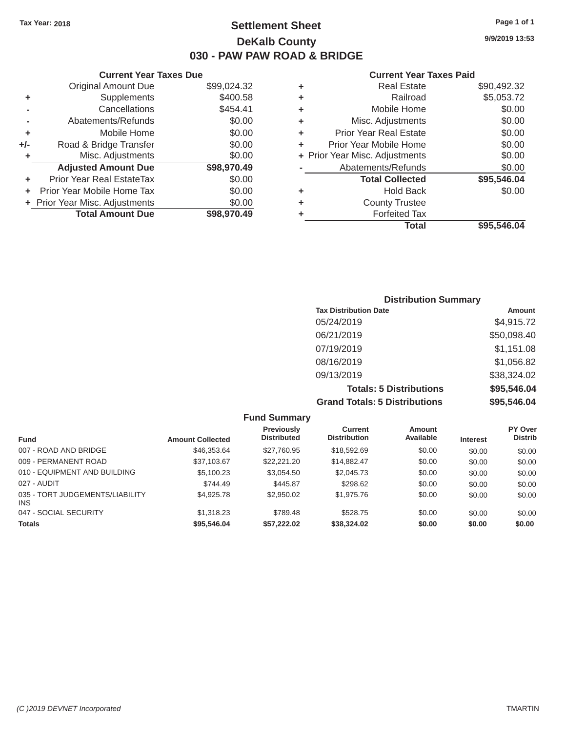# Tax Year: 2018 **Page 1 of 1 Settlement Sheet Page 1 of 1 Page 1 of 1 9/9/2019 13:53 DeKalb County 030 - PAW PAW ROAD & BRIDGE**

#### **Current Year Taxes Due Current Year Taxes Paid Current Year Taxes Paid**

|       | Original Amount Due            | \$99,024.32 | ٠  | <b>Real Estate</b>             | \$90,492.32 |  |
|-------|--------------------------------|-------------|----|--------------------------------|-------------|--|
| ٠     | Supplements                    | \$400.58    | ٠  | Railroad                       | \$5,053.72  |  |
|       | Cancellations                  | \$454.41    | ٠  | Mobile Home                    | \$0.00      |  |
|       | Abatements/Refunds             | \$0.00      | ÷  | Misc. Adjustments              | \$0.00      |  |
| ٠     | Mobile Home                    | \$0.00      | ÷. | <b>Prior Year Real Estate</b>  | \$0.00      |  |
| $+/-$ | Road & Bridge Transfer         | \$0.00      |    | Prior Year Mobile Home         | \$0.00      |  |
|       | Misc. Adjustments              | \$0.00      |    | + Prior Year Misc. Adjustments | \$0.00      |  |
|       | <b>Adjusted Amount Due</b>     | \$98,970.49 |    | Abatements/Refunds             | \$0.00      |  |
| ٠     | Prior Year Real EstateTax      | \$0.00      |    | <b>Total Collected</b>         | \$95,546.04 |  |
| ÷.    | Prior Year Mobile Home Tax     | \$0.00      | ٠  | <b>Hold Back</b>               | \$0.00      |  |
|       | + Prior Year Misc. Adjustments | \$0.00      | ٠  | <b>County Trustee</b>          |             |  |
|       | <b>Total Amount Due</b>        | \$98,970.49 |    | <b>Forfeited Tax</b>           |             |  |
|       |                                |             |    |                                |             |  |

| <b>Original Amount Due</b> | \$99,024.32 | ٠ | <b>Real Estate</b>             | \$90,492.32 |
|----------------------------|-------------|---|--------------------------------|-------------|
| Supplements                | \$400.58    | ٠ | Railroad                       | \$5,053.72  |
| Cancellations              | \$454.41    | ٠ | Mobile Home                    | \$0.00      |
| Abatements/Refunds         | \$0.00      | ٠ | Misc. Adjustments              | \$0.00      |
| Mobile Home                | \$0.00      | ٠ | <b>Prior Year Real Estate</b>  | \$0.00      |
| Road & Bridge Transfer     | \$0.00      | ÷ | Prior Year Mobile Home         | \$0.00      |
| Misc. Adjustments          | \$0.00      |   | + Prior Year Misc. Adjustments | \$0.00      |
| <b>Adjusted Amount Due</b> | \$98,970.49 |   | Abatements/Refunds             | \$0.00      |
| ior Year Real EstateTax    | \$0.00      |   | <b>Total Collected</b>         | \$95,546.04 |
| r Year Mobile Home Tax     | \$0.00      | ٠ | <b>Hold Back</b>               | \$0.00      |
| Year Misc. Adjustments     | \$0.00      | ٠ | <b>County Trustee</b>          |             |
| <b>Total Amount Due</b>    | \$98,970.49 | ٠ | <b>Forfeited Tax</b>           |             |
|                            |             |   | <b>Total</b>                   | \$95,546.04 |

| <b>Distribution Summary</b>          |             |
|--------------------------------------|-------------|
| <b>Tax Distribution Date</b>         | Amount      |
| 05/24/2019                           | \$4,915.72  |
| 06/21/2019                           | \$50,098.40 |
| 07/19/2019                           | \$1,151.08  |
| 08/16/2019                           | \$1,056.82  |
| 09/13/2019                           | \$38,324.02 |
| <b>Totals: 5 Distributions</b>       | \$95,546.04 |
| <b>Grand Totals: 5 Distributions</b> | \$95,546.04 |

| <b>Fund Summary</b>                    |                         |                                         |                                |                     |                 |                           |
|----------------------------------------|-------------------------|-----------------------------------------|--------------------------------|---------------------|-----------------|---------------------------|
| <b>Fund</b>                            | <b>Amount Collected</b> | <b>Previously</b><br><b>Distributed</b> | Current<br><b>Distribution</b> | Amount<br>Available | <b>Interest</b> | PY Over<br><b>Distrib</b> |
| 007 - ROAD AND BRIDGE                  | \$46,353.64             | \$27,760.95                             | \$18,592.69                    | \$0.00              | \$0.00          | \$0.00                    |
| 009 - PERMANENT ROAD                   | \$37,103.67             | \$22,221,20                             | \$14,882.47                    | \$0.00              | \$0.00          | \$0.00                    |
| 010 - EQUIPMENT AND BUILDING           | \$5,100.23              | \$3.054.50                              | \$2,045.73                     | \$0.00              | \$0.00          | \$0.00                    |
| 027 - AUDIT                            | \$744.49                | \$445.87                                | \$298.62                       | \$0.00              | \$0.00          | \$0.00                    |
| 035 - TORT JUDGEMENTS/LIABILITY<br>INS | \$4,925.78              | \$2,950.02                              | \$1,975.76                     | \$0.00              | \$0.00          | \$0.00                    |
| 047 - SOCIAL SECURITY                  | \$1,318.23              | \$789.48                                | \$528.75                       | \$0.00              | \$0.00          | \$0.00                    |
| <b>Totals</b>                          | \$95,546.04             | \$57,222.02                             | \$38,324.02                    | \$0.00              | \$0.00          | \$0.00                    |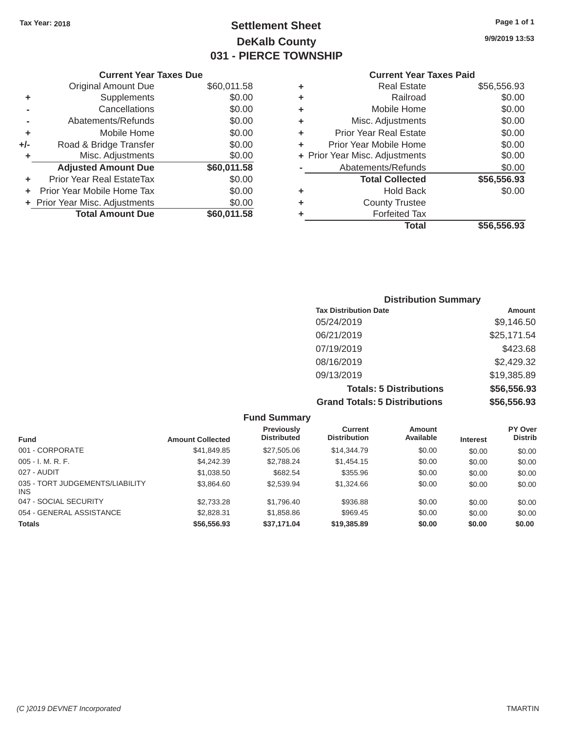# Tax Year: 2018 **Page 1 of 1 Page 1 of 1 Settlement Sheet Page 1 of 1 Page 1 of 1 9/9/2019 13:53 DeKalb County 031 - PIERCE TOWNSHIP**

|       | <b>Current Year Taxes Due</b>  |             |    | <b>Current Year Taxes Paid</b> |             |  |
|-------|--------------------------------|-------------|----|--------------------------------|-------------|--|
|       | Original Amount Due            | \$60,011.58 |    | <b>Real Estate</b>             | \$56,556.93 |  |
|       | Supplements                    | \$0.00      |    | Railroad                       | \$0.00      |  |
|       | Cancellations                  | \$0.00      |    | Mobile Home                    | \$0.00      |  |
|       | Abatements/Refunds             | \$0.00      | ٠  | Misc. Adjustments              | \$0.00      |  |
| ٠     | Mobile Home                    | \$0.00      | ÷. | Prior Year Real Estate         | \$0.00      |  |
| $+/-$ | Road & Bridge Transfer         | \$0.00      |    | Prior Year Mobile Home         | \$0.00      |  |
|       | Misc. Adjustments              | \$0.00      |    | + Prior Year Misc. Adjustments | \$0.00      |  |
|       | <b>Adjusted Amount Due</b>     | \$60,011.58 |    | Abatements/Refunds             | \$0.00      |  |
| ٠     | Prior Year Real EstateTax      | \$0.00      |    | <b>Total Collected</b>         | \$56,556.93 |  |
| ÷.    | Prior Year Mobile Home Tax     | \$0.00      | ٠  | <b>Hold Back</b>               | \$0.00      |  |
|       | + Prior Year Misc. Adjustments | \$0.00      | ٠  | <b>County Trustee</b>          |             |  |
|       | <b>Total Amount Due</b>        | \$60,011.58 |    | <b>Forfeited Tax</b>           |             |  |
|       |                                |             |    |                                |             |  |

# **Current Year Taxes Paid**

| <b>Original Amount Due</b> | \$60,011.58 | ÷ | <b>Real Estate</b>             | \$56,556.93 |
|----------------------------|-------------|---|--------------------------------|-------------|
| Supplements                | \$0.00      | ٠ | Railroad                       | \$0.00      |
| Cancellations              | \$0.00      | ٠ | Mobile Home                    | \$0.00      |
| Abatements/Refunds         | \$0.00      | ٠ | Misc. Adjustments              | \$0.00      |
| Mobile Home                | \$0.00      | ÷ | <b>Prior Year Real Estate</b>  | \$0.00      |
| Road & Bridge Transfer     | \$0.00      | ÷ | Prior Year Mobile Home         | \$0.00      |
| Misc. Adjustments          | \$0.00      |   | + Prior Year Misc. Adjustments | \$0.00      |
| <b>Adjusted Amount Due</b> | \$60,011.58 |   | Abatements/Refunds             | \$0.00      |
| ior Year Real EstateTax    | \$0.00      |   | <b>Total Collected</b>         | \$56,556.93 |
| r Year Mobile Home Tax     | \$0.00      | ٠ | <b>Hold Back</b>               | \$0.00      |
| Year Misc. Adjustments     | \$0.00      | ٠ | <b>County Trustee</b>          |             |
| <b>Total Amount Due</b>    | \$60,011.58 | ٠ | <b>Forfeited Tax</b>           |             |
|                            |             |   | <b>Total</b>                   | \$56,556.93 |

### **Distribution Summary Tax Distribution Date Amount Amount** 05/24/2019 \$9,146.50 06/21/2019 \$25,171.54 07/19/2019 \$423.68 08/16/2019 \$2,429.32 09/13/2019 \$19,385.89 **Totals: 5 Distributions \$56,556.93 Grand Totals: 5 Distributions \$56,556.93**

| <b>Fund Summary</b>                     |                         |                                         |                                |                            |                 |                           |
|-----------------------------------------|-------------------------|-----------------------------------------|--------------------------------|----------------------------|-----------------|---------------------------|
| <b>Fund</b>                             | <b>Amount Collected</b> | <b>Previously</b><br><b>Distributed</b> | Current<br><b>Distribution</b> | <b>Amount</b><br>Available | <b>Interest</b> | PY Over<br><b>Distrib</b> |
| 001 - CORPORATE                         | \$41,849.85             | \$27,505.06                             | \$14,344.79                    | \$0.00                     | \$0.00          | \$0.00                    |
| $005 - I. M. R. F.$                     | \$4,242,39              | \$2,788.24                              | \$1,454.15                     | \$0.00                     | \$0.00          | \$0.00                    |
| 027 - AUDIT                             | \$1,038.50              | \$682.54                                | \$355.96                       | \$0.00                     | \$0.00          | \$0.00                    |
| 035 - TORT JUDGEMENTS/LIABILITY<br>INS. | \$3,864.60              | \$2,539.94                              | \$1,324.66                     | \$0.00                     | \$0.00          | \$0.00                    |
| 047 - SOCIAL SECURITY                   | \$2,733,28              | \$1,796.40                              | \$936.88                       | \$0.00                     | \$0.00          | \$0.00                    |
| 054 - GENERAL ASSISTANCE                | \$2,828.31              | \$1,858.86                              | \$969.45                       | \$0.00                     | \$0.00          | \$0.00                    |
| <b>Totals</b>                           | \$56,556.93             | \$37,171.04                             | \$19,385.89                    | \$0.00                     | \$0.00          | \$0.00                    |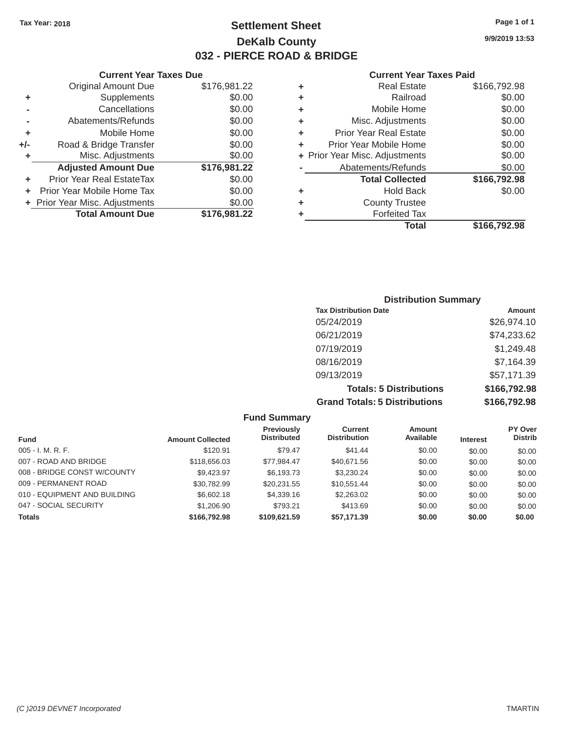# Tax Year: 2018 **Page 1 of 1 Settlement Sheet Page 1 of 1 Page 1 of 1 9/9/2019 13:53 DeKalb County 032 - PIERCE ROAD & BRIDGE**

#### **Current Year Taxes Due Current Year Taxes Paid Current Year Taxes Paid**

| OUITUIK TUUT TUAGO DUG |                                  |              |   |                                |              |  |  |
|------------------------|----------------------------------|--------------|---|--------------------------------|--------------|--|--|
|                        | <b>Original Amount Due</b>       | \$176,981.22 | ٠ | <b>Real Estate</b>             | \$166,792.98 |  |  |
| ٠                      | Supplements                      | \$0.00       | ٠ | Railroad                       | \$0.00       |  |  |
|                        | Cancellations                    | \$0.00       | ٠ | Mobile Home                    | \$0.00       |  |  |
|                        | Abatements/Refunds               | \$0.00       | ٠ | Misc. Adjustments              | \$0.00       |  |  |
|                        | Mobile Home                      | \$0.00       | ٠ | <b>Prior Year Real Estate</b>  | \$0.00       |  |  |
| +/-                    | Road & Bridge Transfer           | \$0.00       | ÷ | Prior Year Mobile Home         | \$0.00       |  |  |
|                        | Misc. Adjustments                | \$0.00       |   | + Prior Year Misc. Adjustments | \$0.00       |  |  |
|                        | <b>Adjusted Amount Due</b>       | \$176,981.22 |   | Abatements/Refunds             | \$0.00       |  |  |
|                        | <b>Prior Year Real EstateTax</b> | \$0.00       |   | <b>Total Collected</b>         | \$166,792.98 |  |  |
|                        | Prior Year Mobile Home Tax       | \$0.00       | ٠ | <b>Hold Back</b>               | \$0.00       |  |  |
|                        | + Prior Year Misc. Adjustments   | \$0.00       | ٠ | <b>County Trustee</b>          |              |  |  |
|                        | <b>Total Amount Due</b>          | \$176,981.22 |   | <b>Forfeited Tax</b>           |              |  |  |
|                        |                                  |              |   |                                |              |  |  |

| Original Amount Due     | \$176,981.22 | ٠ | <b>Real Estate</b>             | \$166,792.98 |
|-------------------------|--------------|---|--------------------------------|--------------|
| Supplements             | \$0.00       | ٠ | Railroad                       | \$0.00       |
| Cancellations           | \$0.00       | ٠ | Mobile Home                    | \$0.00       |
| Abatements/Refunds      | \$0.00       | ÷ | Misc. Adjustments              | \$0.00       |
| Mobile Home             | \$0.00       | ٠ | <b>Prior Year Real Estate</b>  | \$0.00       |
| ad & Bridge Transfer    | \$0.00       | ٠ | Prior Year Mobile Home         | \$0.00       |
| Misc. Adjustments       | \$0.00       |   | + Prior Year Misc. Adjustments | \$0.00       |
| justed Amount Due       | \$176,981.22 |   | Abatements/Refunds             | \$0.00       |
| Year Real EstateTax     | \$0.00       |   | <b>Total Collected</b>         | \$166,792.98 |
| ear Mobile Home Tax     | \$0.00       | ٠ | <b>Hold Back</b>               | \$0.00       |
| ar Misc. Adjustments    | \$0.00       | ٠ | <b>County Trustee</b>          |              |
| <b>Total Amount Due</b> | \$176,981.22 |   | <b>Forfeited Tax</b>           |              |
|                         |              |   | <b>Total</b>                   | \$166,792.98 |

| <b>Distribution Summary</b>          |              |  |  |  |  |
|--------------------------------------|--------------|--|--|--|--|
| <b>Tax Distribution Date</b>         | Amount       |  |  |  |  |
| 05/24/2019                           | \$26,974.10  |  |  |  |  |
| 06/21/2019                           | \$74,233.62  |  |  |  |  |
| 07/19/2019                           | \$1,249.48   |  |  |  |  |
| 08/16/2019                           | \$7,164.39   |  |  |  |  |
| 09/13/2019                           | \$57,171.39  |  |  |  |  |
| <b>Totals: 5 Distributions</b>       | \$166,792.98 |  |  |  |  |
| <b>Grand Totals: 5 Distributions</b> | \$166,792.98 |  |  |  |  |

| <b>Fund Summary</b>          |                         |                                         |                                |                            |                 |                           |
|------------------------------|-------------------------|-----------------------------------------|--------------------------------|----------------------------|-----------------|---------------------------|
| <b>Fund</b>                  | <b>Amount Collected</b> | <b>Previously</b><br><b>Distributed</b> | Current<br><b>Distribution</b> | <b>Amount</b><br>Available | <b>Interest</b> | PY Over<br><b>Distrib</b> |
| $005 - I. M. R. F.$          | \$120.91                | \$79.47                                 | \$41.44                        | \$0.00                     | \$0.00          | \$0.00                    |
| 007 - ROAD AND BRIDGE        | \$118,656.03            | \$77,984.47                             | \$40,671.56                    | \$0.00                     | \$0.00          | \$0.00                    |
| 008 - BRIDGE CONST W/COUNTY  | \$9.423.97              | \$6,193.73                              | \$3.230.24                     | \$0.00                     | \$0.00          | \$0.00                    |
| 009 - PERMANENT ROAD         | \$30,782.99             | \$20.231.55                             | \$10,551.44                    | \$0.00                     | \$0.00          | \$0.00                    |
| 010 - EQUIPMENT AND BUILDING | \$6,602.18              | \$4,339.16                              | \$2,263.02                     | \$0.00                     | \$0.00          | \$0.00                    |
| 047 - SOCIAL SECURITY        | \$1,206.90              | \$793.21                                | \$413.69                       | \$0.00                     | \$0.00          | \$0.00                    |
| <b>Totals</b>                | \$166,792.98            | \$109.621.59                            | \$57,171.39                    | \$0.00                     | \$0.00          | \$0.00                    |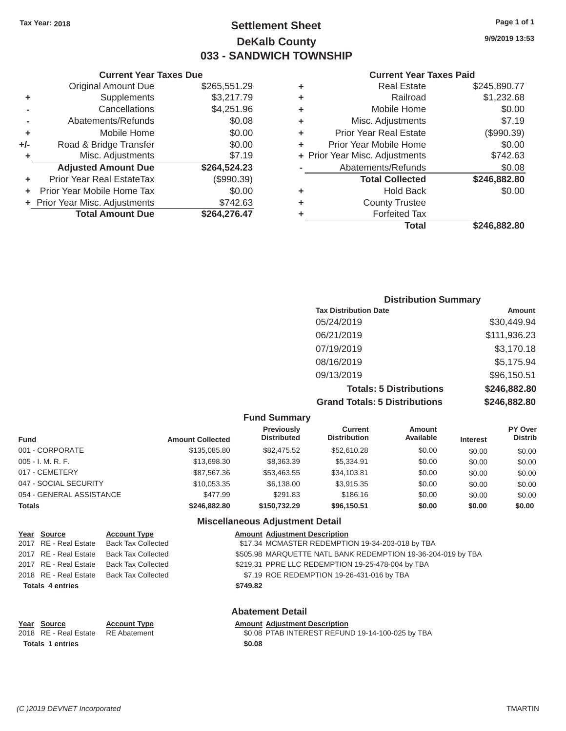**+**

# Tax Year: 2018 **Page 1 of 1 Page 1 of 1 Settlement Sheet Page 1 of 1 Page 1 of 1 9/9/2019 13:53 DeKalb County 033 - SANDWICH TOWNSHIP**

|                   |   | <b>Total</b>                   | \$246,882.80 |
|-------------------|---|--------------------------------|--------------|
|                   |   | <b>Forfeited Tax</b>           |              |
| $\frac{.63}{.47}$ | ٠ | <b>County Trustee</b>          |              |
| .00               | ٠ | <b>Hold Back</b>               | \$0.00       |
| 39)               |   | <b>Total Collected</b>         | \$246,882.80 |
| $\overline{23}$   |   | Abatements/Refunds             | \$0.08       |
| .19               |   | + Prior Year Misc. Adjustments | \$742.63     |
| .00               | ٠ | Prior Year Mobile Home         | \$0.00       |
| .00               | ٠ | <b>Prior Year Real Estate</b>  | (\$990.39)   |
| .08               | ٠ | Misc. Adjustments              | \$7.19       |
| .96               | ٠ | Mobile Home                    | \$0.00       |
| .79               | ٠ | Railroad                       | \$1,232.68   |
| .29               | ٠ | <b>Real Estate</b>             | \$245,890.77 |
|                   |   |                                |              |

#### **Current Year Taxes Due Current Year Taxes Paid Current Year Taxes Paid** Original Amount Due \$265,551 **+** Supplements \$3,217 **-** Cancellations \$4,251 **-** Abatements/Refunds \$0. **+** Mobile Home \$0. **+/-** Road & Bridge Transfer \$0.<br> **+** Misc. Adiustments \$7. **+** Misc. Adjustments **Adjusted Amount Due**  Prior Year Real EstateTax **\$264,524.23** (\$990.3 **+** Prior Year Mobile Home Tax **+** Prior Year Misc. Adjustments **Total Amount Due**  \$0 \$742 **\$264,276.47**

### **Distribution Summary Tax Distribution Date Amount Amount** 05/24/2019 \$30,449.94 06/21/2019 \$111,936.23 07/19/2019 \$3,170.18 08/16/2019 \$5,175.94 09/13/2019 \$96,150.51 **Totals: 5 Distributions \$246,882.80 Grand Totals: 5 Distributions \$246,882.80**

| <b>Fund Summary</b>      |                         |                                         |                                |                            |                 |                           |
|--------------------------|-------------------------|-----------------------------------------|--------------------------------|----------------------------|-----------------|---------------------------|
| <b>Fund</b>              | <b>Amount Collected</b> | <b>Previously</b><br><b>Distributed</b> | Current<br><b>Distribution</b> | <b>Amount</b><br>Available | <b>Interest</b> | PY Over<br><b>Distrib</b> |
| 001 - CORPORATE          | \$135,085.80            | \$82,475.52                             | \$52,610.28                    | \$0.00                     | \$0.00          | \$0.00                    |
| $005 - I. M. R. F.$      | \$13,698.30             | \$8,363.39                              | \$5,334.91                     | \$0.00                     | \$0.00          | \$0.00                    |
| 017 - CEMETERY           | \$87,567.36             | \$53,463.55                             | \$34,103.81                    | \$0.00                     | \$0.00          | \$0.00                    |
| 047 - SOCIAL SECURITY    | \$10,053.35             | \$6,138.00                              | \$3,915.35                     | \$0.00                     | \$0.00          | \$0.00                    |
| 054 - GENERAL ASSISTANCE | \$477.99                | \$291.83                                | \$186.16                       | \$0.00                     | \$0.00          | \$0.00                    |
| <b>Totals</b>            | \$246,882,80            | \$150,732.29                            | \$96.150.51                    | \$0.00                     | \$0.00          | \$0.00                    |
|                          |                         |                                         |                                |                            |                 |                           |

**Fund Summary** 

#### **Miscellaneous Adjustment Detail**

| Year Source             | <b>Account Type</b>                      |          | <b>Amount Adjustment Description</b>                         |
|-------------------------|------------------------------------------|----------|--------------------------------------------------------------|
|                         | 2017 RE - Real Estate Back Tax Collected |          | \$17.34 MCMASTER REDEMPTION 19-34-203-018 by TBA             |
|                         | 2017 RE - Real Estate Back Tax Collected |          | \$505.98 MARQUETTE NATL BANK REDEMPTION 19-36-204-019 by TBA |
|                         | 2017 RE - Real Estate Back Tax Collected |          | \$219.31 PPRE LLC REDEMPTION 19-25-478-004 by TBA            |
|                         | 2018 RE - Real Estate Back Tax Collected |          | \$7.19 ROE REDEMPTION 19-26-431-016 by TBA                   |
| <b>Totals 4 entries</b> |                                          | \$749.82 |                                                              |
|                         |                                          |          |                                                              |

#### **Year Source** 2018 RE - Real Estate **Totals 1 entries**

**Account Type**  RE Abatement

#### **Abatement Detail**

#### **Amount Adjustment Description**

\$0.08 PTAB INTEREST REFUND 19-14-100-025 by TBA **\$0.08**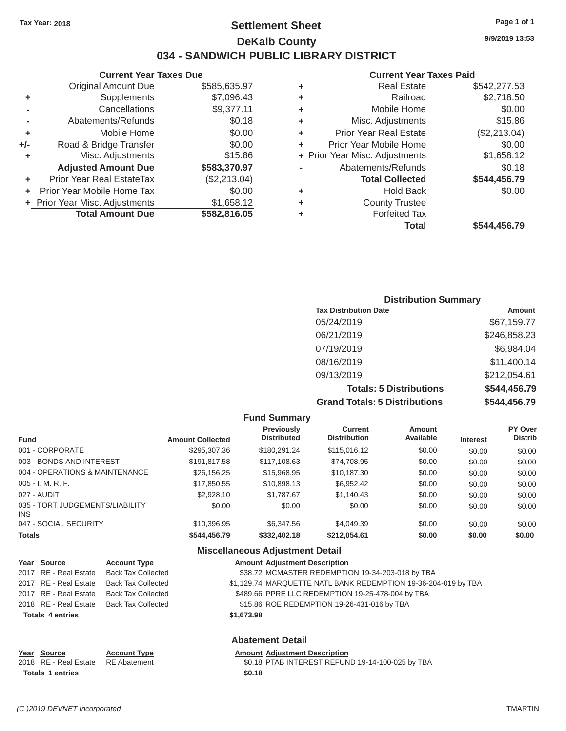**Current Year Taxes Due** 

**Adjusted Amount Due \$583,370.97**

**Total Amount Due \$582,816.05**

**+** Prior Year Real EstateTax (\$2,213.04) **+** Prior Year Mobile Home Tax \$0.00 **+** Prior Year Misc. Adjustments \$1,658.12

Original Amount Due

**+** Supplements **-** Cancellations **-** Abatements/Refunds **+** Mobile Home **+/-** Road & Bridge Transfer **+** Misc. Adjustments

### Tax Year: 2018 **Page 1 of 1 Page 1 of 1 Settlement Sheet Page 1 of 1 Page 1 of 1 9/9/2019 13:53 DeKalb County 034 - SANDWICH PUBLIC LIBRARY DISTRICT**

\$585,635.97 \$7,096.43 \$9,377.11 \$0.18 \$0.00 \$0.00 \$15.86

### **Current Year Taxes Paid**

|   | UUITUITTI TUATU TAAGS TAATU    |              |
|---|--------------------------------|--------------|
| ٠ | <b>Real Estate</b>             | \$542,277.53 |
| ٠ | Railroad                       | \$2,718.50   |
| ٠ | Mobile Home                    | \$0.00       |
| ٠ | Misc. Adjustments              | \$15.86      |
| ٠ | <b>Prior Year Real Estate</b>  | (\$2,213.04) |
|   | Prior Year Mobile Home         | \$0.00       |
|   | + Prior Year Misc. Adjustments | \$1,658.12   |
|   | Abatements/Refunds             | \$0.18       |
|   | <b>Total Collected</b>         | \$544,456.79 |
| ٠ | <b>Hold Back</b>               | \$0.00       |
| ٠ | <b>County Trustee</b>          |              |
|   | <b>Forfeited Tax</b>           |              |
|   | Total                          | \$544,456.79 |
|   |                                |              |

#### **Distribution Summary Tax Distribution Date**  05/24/2019 06/21/2019 07/19/2019 08/16/2019 09/13/2019 **Totals: 5 Distributions Grand Totals: 5 Distributions Amount**  \$67,159.77 \$246,858.23 \$6,984.04 \$11,400.14 \$212,054.61 **\$544,456.79 \$544,456.79**

|                                         |                         | <b>Fund Summary</b>                     |                                       |                     |                 |                           |
|-----------------------------------------|-------------------------|-----------------------------------------|---------------------------------------|---------------------|-----------------|---------------------------|
| Fund                                    | <b>Amount Collected</b> | <b>Previously</b><br><b>Distributed</b> | <b>Current</b><br><b>Distribution</b> | Amount<br>Available | <b>Interest</b> | PY Over<br><b>Distrib</b> |
| 001 - CORPORATE                         | \$295,307.36            | \$180.291.24                            | \$115,016.12                          | \$0.00              | \$0.00          | \$0.00                    |
| 003 - BONDS AND INTEREST                | \$191.817.58            | \$117,108,63                            | \$74.708.95                           | \$0.00              | \$0.00          | \$0.00                    |
| 004 - OPERATIONS & MAINTENANCE          | \$26,156,25             | \$15,968,95                             | \$10,187.30                           | \$0.00              | \$0.00          | \$0.00                    |
| 005 - I. M. R. F.                       | \$17,850.55             | \$10,898.13                             | \$6.952.42                            | \$0.00              | \$0.00          | \$0.00                    |
| 027 - AUDIT                             | \$2,928.10              | \$1,787.67                              | \$1,140.43                            | \$0.00              | \$0.00          | \$0.00                    |
| 035 - TORT JUDGEMENTS/LIABILITY<br>INS. | \$0.00                  | \$0.00                                  | \$0.00                                | \$0.00              | \$0.00          | \$0.00                    |
| 047 - SOCIAL SECURITY                   | \$10,396.95             | \$6,347.56                              | \$4.049.39                            | \$0.00              | \$0.00          | \$0.00                    |
| <b>Totals</b>                           | \$544,456.79            | \$332,402.18                            | \$212.054.61                          | \$0.00              | \$0.00          | \$0.00                    |
|                                         |                         | <b>Miscellaneous Adjustment Detail</b>  |                                       |                     |                 |                           |

| Year Source             | <b>Account Type</b>       | <b>Amount Adjustment Description</b>                           |
|-------------------------|---------------------------|----------------------------------------------------------------|
| 2017 RE - Real Estate   | <b>Back Tax Collected</b> | \$38.72 MCMASTER REDEMPTION 19-34-203-018 by TBA               |
| 2017 RE - Real Estate   | <b>Back Tax Collected</b> | \$1,129.74 MARQUETTE NATL BANK REDEMPTION 19-36-204-019 by TBA |
| 2017 RE - Real Estate   | <b>Back Tax Collected</b> | \$489.66 PPRE LLC REDEMPTION 19-25-478-004 by TBA              |
| 2018 RE - Real Estate   | <b>Back Tax Collected</b> | \$15.86 ROE REDEMPTION 19-26-431-016 by TBA                    |
| <b>Totals 4 entries</b> |                           | \$1,673.98                                                     |
|                         |                           | <b>Abatement Detail</b>                                        |
| Year Source             | <b>Account Type</b>       | <b>Amount Adjustment Description</b>                           |

| 2018 RE - Real Estate   | <b>RE</b> Abatement |
|-------------------------|---------------------|
| <b>Totals 1 entries</b> |                     |

\$0.18 PTAB INTEREST REFUND 19-14-100-025 by TBA

**\$0.18**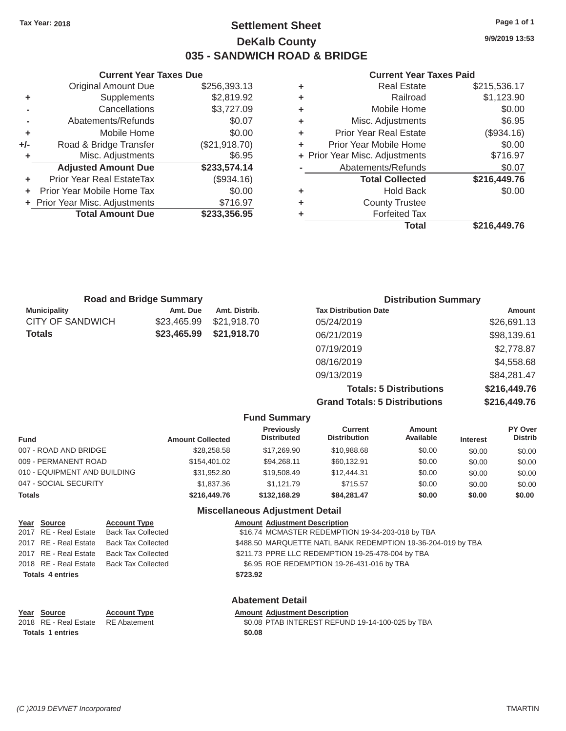### Tax Year: 2018 **Page 1 of 1 Page 1 of 1 Settlement Sheet Page 1 of 1 Page 1 of 1 9/9/2019 13:53 DeKalb County 035 - SANDWICH ROAD & BRIDGE**

**Current Year Taxes Due Current Year Taxes Paid**  Original Amount Due \$256,393.13<br>
Supplements \$2,819.92 **+** Supplements \$2,819.92 **+** Railroad \$1,123.90 **-** Cancellations \$3,727.09 **-** Abatements/Refunds \$0.07 **+** Mobile Home \$0.00 **+/-** Road & Bridge Transfer (\$21,918.70) **+** Misc. Adjustments  $$6.95$ Adjusted Amount Due \$233,574.14 **+** Prior Year Real EstateTax (\$934.16) **+** Prior Year Mobile Home Tax  $$0.00$ **+** Prior Year Misc. Adjustments \$716.97 **Total Amount Due \$233,356.95** 

| ٠ | <b>Real Estate</b>             | \$215,536.17 |
|---|--------------------------------|--------------|
| ٠ | Railroad                       | \$1,123.90   |
| ٠ | Mobile Home                    | \$0.00       |
| ٠ | Misc. Adjustments              | \$6.95       |
| ٠ | <b>Prior Year Real Estate</b>  | (\$934.16)   |
| ٠ | Prior Year Mobile Home         | \$0.00       |
|   | + Prior Year Misc. Adjustments | \$716.97     |
|   | Abatements/Refunds             | \$0.07       |
|   | <b>Total Collected</b>         | \$216,449.76 |
| ٠ | <b>Hold Back</b>               | \$0.00       |
| ٠ | <b>County Trustee</b>          |              |
| ٠ | <b>Forfeited Tax</b>           |              |
|   | Total                          | \$216,449.76 |
|   |                                |              |

| <b>Road and Bridge Summary</b> |             |               | <b>Distribution Summary</b>  |             |
|--------------------------------|-------------|---------------|------------------------------|-------------|
| <b>Municipality</b>            | Amt. Due    | Amt. Distrib. | <b>Tax Distribution Date</b> | Amount      |
| CITY OF SANDWICH               | \$23,465.99 | \$21,918.70   | 05/24/2019                   | \$26,691.13 |
| Totals                         | \$23,465.99 | \$21,918.70   | 06/21/2019                   | \$98,139.61 |
|                                |             |               | 07/19/2019                   | \$2,778.87  |
|                                |             |               | 08/16/2019                   | \$4,558.68  |
|                                |             |               | 09/13/2019                   | \$84,281.47 |

**Totals: 5 Distributions \$216,449.76 Grand Totals: 5 Distributions \$216,449.76**

|                              |                         | <b>Fund Summary</b>                     |                                       |                     |                 |                                  |
|------------------------------|-------------------------|-----------------------------------------|---------------------------------------|---------------------|-----------------|----------------------------------|
| <b>Fund</b>                  | <b>Amount Collected</b> | <b>Previously</b><br><b>Distributed</b> | <b>Current</b><br><b>Distribution</b> | Amount<br>Available | <b>Interest</b> | <b>PY Over</b><br><b>Distrib</b> |
| 007 - ROAD AND BRIDGE        | \$28.258.58             | \$17,269.90                             | \$10,988.68                           | \$0.00              | \$0.00          | \$0.00                           |
| 009 - PERMANENT ROAD         | \$154,401.02            | \$94.268.11                             | \$60,132.91                           | \$0.00              | \$0.00          | \$0.00                           |
| 010 - EQUIPMENT AND BUILDING | \$31.952.80             | \$19,508.49                             | \$12,444.31                           | \$0.00              | \$0.00          | \$0.00                           |
| 047 - SOCIAL SECURITY        | \$1,837,36              | \$1.121.79                              | \$715.57                              | \$0.00              | \$0.00          | \$0.00                           |
| <b>Totals</b>                | \$216,449.76            | \$132,168,29                            | \$84.281.47                           | \$0.00              | \$0.00          | \$0.00                           |
|                              |                         | Miscellaneous Adiustment Detail         |                                       |                     |                 |                                  |

|      | Year Source             | <b>Account Type</b>       | <b>Amount Adjustment Description</b>                         |
|------|-------------------------|---------------------------|--------------------------------------------------------------|
|      | 2017 RE - Real Estate   | <b>Back Tax Collected</b> | \$16.74 MCMASTER REDEMPTION 19-34-203-018 by TBA             |
|      | 2017 RE - Real Estate   | <b>Back Tax Collected</b> | \$488.50 MARQUETTE NATL BANK REDEMPTION 19-36-204-019 by TBA |
|      | 2017 RE - Real Estate   | <b>Back Tax Collected</b> | \$211.73 PPRE LLC REDEMPTION 19-25-478-004 by TBA            |
|      | 2018 RE - Real Estate   | <b>Back Tax Collected</b> | \$6.95 ROE REDEMPTION 19-26-431-016 by TBA                   |
|      | <b>Totals 4 entries</b> |                           | \$723.92                                                     |
|      |                         |                           | <b>Abatement Detail</b>                                      |
| Year | <b>Source</b>           | <b>Account Type</b>       | <b>Amount Adjustment Description</b>                         |

2018 RE - Real Estate RE Abatement \$0.08 PTAB INTEREST REFUND 19-14-100-025 by TBA Totals 1 entries \$0.08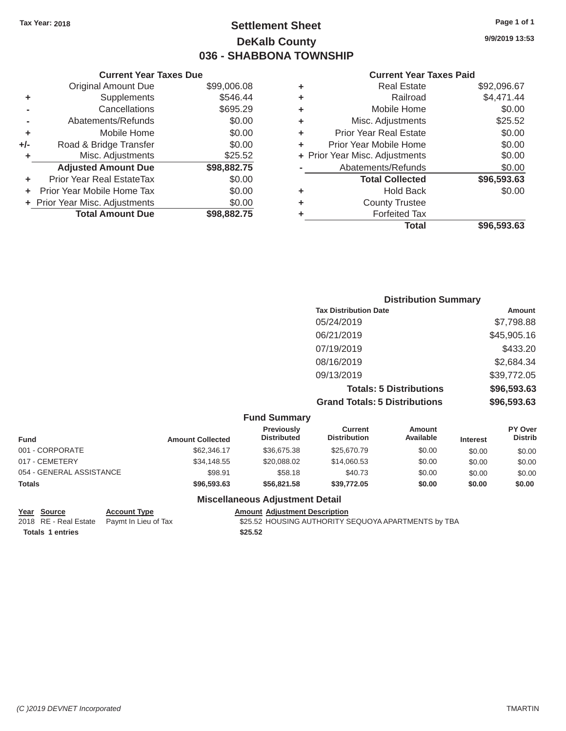### Tax Year: 2018 **Page 1 of 1 Page 1 of 1 Settlement Sheet Page 1 of 1 Page 1 of 1 9/9/2019 13:53 DeKalb County 036 - SHABBONA TOWNSHIP**

#### **Current Year Taxes Due Current Year Taxes Paid**

|     |                                  |             |   | Total                          | \$96,593.63 |
|-----|----------------------------------|-------------|---|--------------------------------|-------------|
|     | <b>Total Amount Due</b>          | \$98,882.75 |   | <b>Forfeited Tax</b>           |             |
|     | + Prior Year Misc. Adjustments   | \$0.00      | ٠ | <b>County Trustee</b>          |             |
|     | Prior Year Mobile Home Tax       | \$0.00      | ٠ | <b>Hold Back</b>               | \$0.00      |
|     | <b>Prior Year Real EstateTax</b> | \$0.00      |   | <b>Total Collected</b>         | \$96,593.63 |
|     | <b>Adjusted Amount Due</b>       | \$98,882.75 |   | Abatements/Refunds             | \$0.00      |
|     | Misc. Adjustments                | \$25.52     |   | + Prior Year Misc. Adjustments | \$0.00      |
| +/- | Road & Bridge Transfer           | \$0.00      | ٠ | Prior Year Mobile Home         | \$0.00      |
| ٠   | Mobile Home                      | \$0.00      | ٠ | <b>Prior Year Real Estate</b>  | \$0.00      |
|     | Abatements/Refunds               | \$0.00      | ٠ | Misc. Adjustments              | \$25.52     |
|     | Cancellations                    | \$695.29    | ٠ | Mobile Home                    | \$0.00      |
| ٠   | Supplements                      | \$546.44    | ٠ | Railroad                       | \$4,471.44  |
|     | <b>Original Amount Due</b>       | \$99,006.08 | ٠ | <b>Real Estate</b>             | \$92,096.67 |

|                                |             |                        | <b>Current Year</b>            |
|--------------------------------|-------------|------------------------|--------------------------------|
| <b>Original Amount Due</b>     | \$99,006.08 | ٠                      | <b>Real Estate</b>             |
| Supplements                    | \$546.44    | ٠                      | Railroad                       |
| Cancellations                  | \$695.29    | ٠                      | Mobile Home                    |
| Abatements/Refunds             | \$0.00      | ٠                      | Misc. Adjustments              |
| Mobile Home                    | \$0.00      | ٠                      | Prior Year Real Estate         |
| Road & Bridge Transfer         | \$0.00      |                        | Prior Year Mobile Home         |
| Misc. Adjustments              | \$25.52     |                        | + Prior Year Misc. Adjustments |
| <b>Adjusted Amount Due</b>     | \$98,882.75 |                        | Abatements/Refunds             |
| Prior Year Real EstateTax      | \$0.00      |                        | <b>Total Collected</b>         |
| Prior Year Mobile Home Tax     | \$0.00      | ٠                      | Hold Back                      |
| + Prior Year Misc. Adjustments | \$0.00      | ٠                      | <b>County Trustee</b>          |
| <b>Total Amount Due</b>        | \$98,882.75 | ٠                      | <b>Forfeited Tax</b>           |
|                                |             | Current rear laxes Due |                                |

| <b>Distribution Summary</b>          |             |
|--------------------------------------|-------------|
| <b>Tax Distribution Date</b>         | Amount      |
| 05/24/2019                           | \$7,798.88  |
| 06/21/2019                           | \$45,905.16 |
| 07/19/2019                           | \$433.20    |
| 08/16/2019                           | \$2,684.34  |
| 09/13/2019                           | \$39,772.05 |
| <b>Totals: 5 Distributions</b>       | \$96,593.63 |
| <b>Grand Totals: 5 Distributions</b> | \$96,593.63 |

| <b>Fund Summary</b>      |                         |                                  |                                       |                     |                 |                                  |  |
|--------------------------|-------------------------|----------------------------------|---------------------------------------|---------------------|-----------------|----------------------------------|--|
| <b>Fund</b>              | <b>Amount Collected</b> | Previously<br><b>Distributed</b> | <b>Current</b><br><b>Distribution</b> | Amount<br>Available | <b>Interest</b> | <b>PY Over</b><br><b>Distrib</b> |  |
| 001 - CORPORATE          | \$62,346.17             | \$36,675.38                      | \$25,670.79                           | \$0.00              | \$0.00          | \$0.00                           |  |
| 017 - CEMETERY           | \$34,148.55             | \$20,088,02                      | \$14,060.53                           | \$0.00              | \$0.00          | \$0.00                           |  |
| 054 - GENERAL ASSISTANCE | \$98.91                 | \$58.18                          | \$40.73                               | \$0.00              | \$0.00          | \$0.00                           |  |
| <b>Totals</b>            | \$96,593,63             | \$56,821.58                      | \$39,772.05                           | \$0.00              | \$0.00          | \$0.00                           |  |

### **Miscellaneous Adjustment Detail**

**<u>Year Source</u> Account Type<br>
2018 RE - Real Estate Paymt In Lieu of Tax Totals 1 entries \$25.52** 

Amount Adjustment Description<br>\$25.52 HOUSING AUTHORITY SEQUOYA APARTMENTS by TBA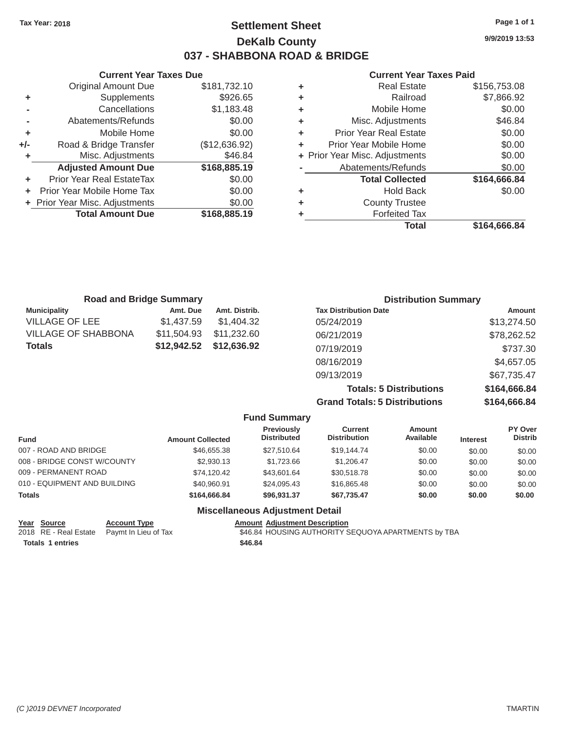### Tax Year: 2018 **Page 1 of 1 Page 1 of 1 Settlement Sheet Page 1 of 1 Page 1 of 1 9/9/2019 13:53 DeKalb County 037 - SHABBONA ROAD & BRIDGE**

#### **Current Year Taxes Due Current Year Taxes Paid Current Year Taxes Paid**

|     |                                |               |   | Total                          | \$164,666.84 |
|-----|--------------------------------|---------------|---|--------------------------------|--------------|
|     | <b>Total Amount Due</b>        | \$168,885.19  |   | <b>Forfeited Tax</b>           |              |
|     | + Prior Year Misc. Adjustments | \$0.00        | ٠ | <b>County Trustee</b>          |              |
|     | Prior Year Mobile Home Tax     | \$0.00        | ٠ | <b>Hold Back</b>               | \$0.00       |
|     | Prior Year Real EstateTax      | \$0.00        |   | <b>Total Collected</b>         | \$164,666.84 |
|     | <b>Adjusted Amount Due</b>     | \$168,885.19  |   | Abatements/Refunds             | \$0.00       |
|     | Misc. Adjustments              | \$46.84       |   | + Prior Year Misc. Adjustments | \$0.00       |
| +/- | Road & Bridge Transfer         | (\$12,636.92) | ٠ | Prior Year Mobile Home         | \$0.00       |
| ÷   | Mobile Home                    | \$0.00        | ٠ | <b>Prior Year Real Estate</b>  | \$0.00       |
|     | Abatements/Refunds             | \$0.00        | ٠ | Misc. Adjustments              | \$46.84      |
|     | Cancellations                  | \$1,183.48    | ٠ | Mobile Home                    | \$0.00       |
| ٠   | Supplements                    | \$926.65      | ٠ | Railroad                       | \$7,866.92   |
|     | <b>Original Amount Due</b>     | \$181,732.10  | ٠ | <b>Real Estate</b>             | \$156,753.08 |

| <b>Road and Bridge Summary</b> |             |               | <b>Distribution Summary</b>  |               |  |
|--------------------------------|-------------|---------------|------------------------------|---------------|--|
| <b>Municipality</b>            | Amt. Due    | Amt. Distrib. | <b>Tax Distribution Date</b> | <b>Amount</b> |  |
| <b>VILLAGE OF LEE</b>          | \$1,437.59  | \$1,404.32    | 05/24/2019                   | \$13,274.50   |  |
| <b>VILLAGE OF SHABBONA</b>     | \$11,504.93 | \$11,232.60   | 06/21/2019                   | \$78,262.52   |  |
| <b>Totals</b>                  | \$12,942.52 | \$12,636.92   | 07/19/2019                   | \$737.30      |  |
|                                |             |               | 08/16/2019                   | \$4,657.05    |  |
|                                |             |               | 09/13/2019                   | \$67,735.47   |  |
|                                |             |               |                              | .             |  |

**Totals: 5 Distributions \$164,666.84 Grand Totals: 5 Distributions \$164,666.84**

|                              |                     |                         | <b>Fund Summary</b>                     |                                       |                     |                 |                           |
|------------------------------|---------------------|-------------------------|-----------------------------------------|---------------------------------------|---------------------|-----------------|---------------------------|
| <b>Fund</b>                  |                     | <b>Amount Collected</b> | <b>Previously</b><br><b>Distributed</b> | <b>Current</b><br><b>Distribution</b> | Amount<br>Available | <b>Interest</b> | PY Over<br><b>Distrib</b> |
| 007 - ROAD AND BRIDGE        |                     | \$46,655.38             | \$27,510.64                             | \$19,144,74                           | \$0.00              | \$0.00          | \$0.00                    |
| 008 - BRIDGE CONST W/COUNTY  |                     | \$2,930.13              | \$1,723.66                              | \$1,206.47                            | \$0.00              | \$0.00          | \$0.00                    |
| 009 - PERMANENT ROAD         |                     | \$74,120.42             | \$43,601.64                             | \$30,518.78                           | \$0.00              | \$0.00          | \$0.00                    |
| 010 - EQUIPMENT AND BUILDING |                     | \$40,960.91             | \$24.095.43                             | \$16,865,48                           | \$0.00              | \$0.00          | \$0.00                    |
| <b>Totals</b>                |                     | \$164,666,84            | \$96.931.37                             | \$67.735.47                           | \$0.00              | \$0.00          | \$0.00                    |
|                              |                     |                         | <b>Miscellaneous Adjustment Detail</b>  |                                       |                     |                 |                           |
| Year Source                  | <b>Account Type</b> |                         | <b>Amount Adjustment Description</b>    |                                       |                     |                 |                           |

| $18a$ <u>bounce</u>     | AGGOUIL TYPE                               | Allivant Aujustinent Description                    |
|-------------------------|--------------------------------------------|-----------------------------------------------------|
|                         | 2018 RE - Real Estate Paymt In Lieu of Tax | \$46.84 HOUSING AUTHORITY SEQUOYA APARTMENTS by TBA |
| <b>Totals 1 entries</b> |                                            | \$46.84                                             |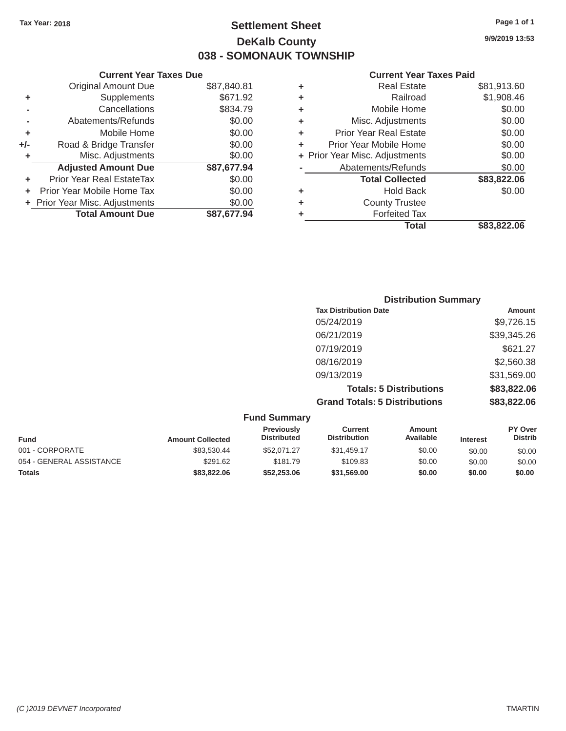### Tax Year: 2018 **Page 1 of 1 Settlement Sheet Page 1 of 1 Page 1 of 1 9/9/2019 13:53 DeKalb County 038 - SOMONAUK TOWNSHIP**

#### **Current Year Taxes Due Current Year Taxes Paid Current Year Taxes Paid**

|     | <b>Original Amount Due</b>       | \$87,840.81 | ٠ | <b>Real Estate</b>             | \$81,913.60 |  |  |
|-----|----------------------------------|-------------|---|--------------------------------|-------------|--|--|
| ٠   | Supplements                      | \$671.92    | ٠ | Railroad                       | \$1,908.46  |  |  |
|     | Cancellations                    | \$834.79    | ٠ | Mobile Home                    | \$0.00      |  |  |
|     | Abatements/Refunds               | \$0.00      | ٠ | Misc. Adjustments              | \$0.00      |  |  |
|     | Mobile Home                      | \$0.00      | ٠ | <b>Prior Year Real Estate</b>  | \$0.00      |  |  |
| +/- | Road & Bridge Transfer           | \$0.00      |   | Prior Year Mobile Home         | \$0.00      |  |  |
|     | Misc. Adjustments                | \$0.00      |   | + Prior Year Misc. Adjustments | \$0.00      |  |  |
|     | <b>Adjusted Amount Due</b>       | \$87,677.94 |   | Abatements/Refunds             | \$0.00      |  |  |
|     | <b>Prior Year Real EstateTax</b> | \$0.00      |   | <b>Total Collected</b>         | \$83,822.06 |  |  |
|     | Prior Year Mobile Home Tax       | \$0.00      | ٠ | <b>Hold Back</b>               | \$0.00      |  |  |
|     | + Prior Year Misc. Adjustments   | \$0.00      | ٠ | <b>County Trustee</b>          |             |  |  |
|     | <b>Total Amount Due</b>          | \$87,677.94 |   | <b>Forfeited Tax</b>           |             |  |  |
|     |                                  |             |   |                                |             |  |  |

| Original Amount Due        | \$87,840.81 | ٠ | <b>Real Estate</b>             | \$81,913.60 |
|----------------------------|-------------|---|--------------------------------|-------------|
| Supplements                | \$671.92    | ٠ | Railroad                       | \$1,908.46  |
| Cancellations              | \$834.79    | ٠ | Mobile Home                    | \$0.00      |
| Abatements/Refunds         | \$0.00      | ٠ | Misc. Adjustments              | \$0.00      |
| Mobile Home                | \$0.00      | ٠ | <b>Prior Year Real Estate</b>  | \$0.00      |
| Road & Bridge Transfer     | \$0.00      | ÷ | Prior Year Mobile Home         | \$0.00      |
| Misc. Adjustments          | \$0.00      |   | + Prior Year Misc. Adjustments | \$0.00      |
| <b>Adjusted Amount Due</b> | \$87,677.94 |   | Abatements/Refunds             | \$0.00      |
| ior Year Real EstateTax    | \$0.00      |   | <b>Total Collected</b>         | \$83,822.06 |
| r Year Mobile Home Tax     | \$0.00      | ٠ | <b>Hold Back</b>               | \$0.00      |
| Year Misc. Adjustments     | \$0.00      | ٠ | <b>County Trustee</b>          |             |
| <b>Total Amount Due</b>    | \$87,677.94 | ٠ | <b>Forfeited Tax</b>           |             |
|                            |             |   | <b>Total</b>                   | \$83,822.06 |

| <b>Distribution Summary</b>          |             |
|--------------------------------------|-------------|
| <b>Tax Distribution Date</b>         | Amount      |
| 05/24/2019                           | \$9,726.15  |
| 06/21/2019                           | \$39,345.26 |
| 07/19/2019                           | \$621.27    |
| 08/16/2019                           | \$2,560.38  |
| 09/13/2019                           | \$31,569.00 |
| <b>Totals: 5 Distributions</b>       | \$83,822.06 |
| <b>Grand Totals: 5 Distributions</b> | \$83,822.06 |

| <b>Fund Summary</b>      |                         |                                         |                                |                     |                 |                                  |
|--------------------------|-------------------------|-----------------------------------------|--------------------------------|---------------------|-----------------|----------------------------------|
| <b>Fund</b>              | <b>Amount Collected</b> | <b>Previously</b><br><b>Distributed</b> | Current<br><b>Distribution</b> | Amount<br>Available | <b>Interest</b> | <b>PY Over</b><br><b>Distrib</b> |
| 001 - CORPORATE          | \$83,530.44             | \$52,071.27                             | \$31.459.17                    | \$0.00              | \$0.00          | \$0.00                           |
| 054 - GENERAL ASSISTANCE | \$291.62                | \$181.79                                | \$109.83                       | \$0.00              | \$0.00          | \$0.00                           |
| <b>Totals</b>            | \$83,822.06             | \$52,253.06                             | \$31,569.00                    | \$0.00              | \$0.00          | \$0.00                           |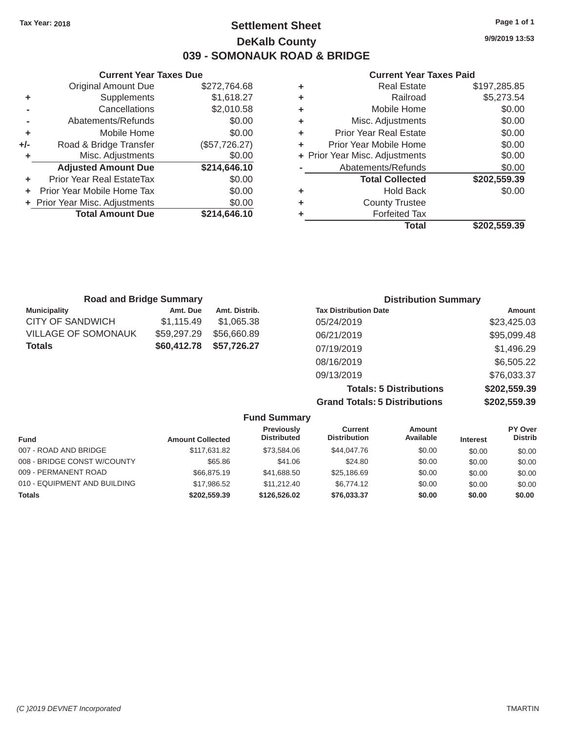### Tax Year: 2018 **Page 1 of 1 Settlement Sheet Page 1 of 1 Page 1 of 1 9/9/2019 13:53 DeKalb County 039 - SOMONAUK ROAD & BRIDGE**

#### **Current Year Taxes Due Current Year Taxes Paid Current Year Taxes Paid**

|         | OUITUIR TUUT TUAGO DUG           |               |   |                                |              |
|---------|----------------------------------|---------------|---|--------------------------------|--------------|
|         | <b>Original Amount Due</b>       | \$272,764.68  | ٠ | <b>Real Estate</b>             | \$197,285.85 |
| ٠       | Supplements                      | \$1,618.27    | ٠ | Railroad                       | \$5,273.54   |
|         | Cancellations                    | \$2,010.58    | ٠ | Mobile Home                    | \$0.00       |
|         | Abatements/Refunds               | \$0.00        | ٠ | Misc. Adjustments              | \$0.00       |
| ٠       | Mobile Home                      | \$0.00        | ٠ | <b>Prior Year Real Estate</b>  | \$0.00       |
| +/-     | Road & Bridge Transfer           | (\$57,726.27) |   | Prior Year Mobile Home         | \$0.00       |
|         | Misc. Adjustments                | \$0.00        |   | + Prior Year Misc. Adjustments | \$0.00       |
|         | <b>Adjusted Amount Due</b>       | \$214,646.10  |   | Abatements/Refunds             | \$0.00       |
|         | <b>Prior Year Real EstateTax</b> | \$0.00        |   | <b>Total Collected</b>         | \$202,559.39 |
| $+$ $-$ | Prior Year Mobile Home Tax       | \$0.00        | ٠ | <b>Hold Back</b>               | \$0.00       |
|         | + Prior Year Misc. Adjustments   | \$0.00        | ٠ | <b>County Trustee</b>          |              |
|         | <b>Total Amount Due</b>          | \$214,646.10  |   | <b>Forfeited Tax</b>           |              |
|         |                                  |               |   |                                |              |

|                            |               |   | <b>Total</b>                   | \$202,559.39 |
|----------------------------|---------------|---|--------------------------------|--------------|
| <b>Total Amount Due</b>    | \$214,646.10  | ٠ | <b>Forfeited Tax</b>           |              |
| Year Misc. Adjustments     | \$0.00        | ÷ | <b>County Trustee</b>          |              |
| r Year Mobile Home Tax     | \$0.00        | ÷ | <b>Hold Back</b>               | \$0.00       |
| ior Year Real EstateTax    | \$0.00        |   | <b>Total Collected</b>         | \$202,559.39 |
| <b>Adjusted Amount Due</b> | \$214,646.10  |   | Abatements/Refunds             | \$0.00       |
| Misc. Adjustments          | \$0.00        |   | + Prior Year Misc. Adjustments | \$0.00       |
| Road & Bridge Transfer     | (\$57,726.27) | ÷ | Prior Year Mobile Home         | \$0.00       |
| Mobile Home                | \$0.00        | ÷ | <b>Prior Year Real Estate</b>  | \$0.00       |
| Abatements/Refunds         | \$0.00        | ÷ | Misc. Adjustments              | \$0.00       |
| Cancellations              | \$2,010.58    | ÷ | Mobile Home                    | \$0.00       |
| Supplements                | \$1,618.27    | ÷ | Railroad                       | \$5,273.54   |
| <b>Original Amount Due</b> | \$272,764.68  | ÷ | <b>Real Estate</b>             | \$197,285.85 |

| <b>Road and Bridge Summary</b> |             |               | <b>Distribution Summary</b>  |             |
|--------------------------------|-------------|---------------|------------------------------|-------------|
| <b>Municipality</b>            | Amt. Due    | Amt. Distrib. | <b>Tax Distribution Date</b> | Amount      |
| <b>CITY OF SANDWICH</b>        | \$1,115.49  | \$1,065,38    | 05/24/2019                   | \$23,425.03 |
| <b>VILLAGE OF SOMONAUK</b>     | \$59,297.29 | \$56,660.89   | 06/21/2019                   | \$95,099.48 |
| <b>Totals</b>                  | \$60,412.78 | \$57,726.27   | 07/19/2019                   | \$1,496.29  |
|                                |             |               | 08/16/2019                   | \$6,505.22  |
|                                |             |               | 09/13/2019                   | \$76,033.37 |

**Totals: 5 Distributions \$202,559.39 Grand Totals: 5 Distributions \$202,559.39**

|                              |                         | <b>Fund Summary</b>                     |                                       |                            |                 |                                  |
|------------------------------|-------------------------|-----------------------------------------|---------------------------------------|----------------------------|-----------------|----------------------------------|
| <b>Fund</b>                  | <b>Amount Collected</b> | <b>Previously</b><br><b>Distributed</b> | <b>Current</b><br><b>Distribution</b> | <b>Amount</b><br>Available | <b>Interest</b> | <b>PY Over</b><br><b>Distrib</b> |
| 007 - ROAD AND BRIDGE        | \$117,631,82            | \$73,584.06                             | \$44,047.76                           | \$0.00                     | \$0.00          | \$0.00                           |
| 008 - BRIDGE CONST W/COUNTY  | \$65.86                 | \$41.06                                 | \$24.80                               | \$0.00                     | \$0.00          | \$0.00                           |
| 009 - PERMANENT ROAD         | \$66,875.19             | \$41,688.50                             | \$25,186.69                           | \$0.00                     | \$0.00          | \$0.00                           |
| 010 - EQUIPMENT AND BUILDING | \$17.986.52             | \$11,212,40                             | \$6,774.12                            | \$0.00                     | \$0.00          | \$0.00                           |
| <b>Totals</b>                | \$202,559.39            | \$126,526.02                            | \$76,033.37                           | \$0.00                     | \$0.00          | \$0.00                           |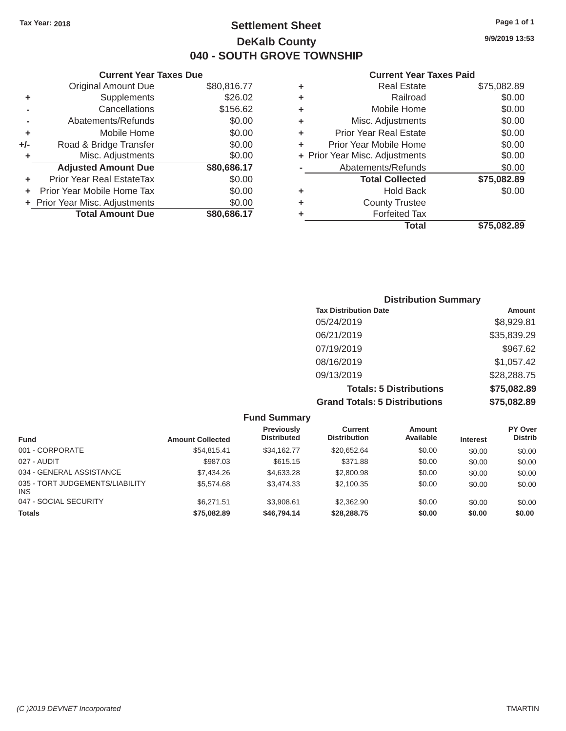### Tax Year: 2018 **Page 1 of 1 Page 1 of 1 Settlement Sheet Page 1 of 1 Page 1 of 1 9/9/2019 13:53 DeKalb County 040 - SOUTH GROVE TOWNSHIP**

### **Current Year Taxes Due Current Year Taxes Paid Current Year Taxes Paid**

|       | OUITCHE TCUL TUACS DUC         |             |   | OUII CHI I CUI TUACO I UIU     |              |  |
|-------|--------------------------------|-------------|---|--------------------------------|--------------|--|
|       | Original Amount Due            | \$80,816.77 | ٠ | <b>Real Estate</b>             | \$75,082.89  |  |
| ٠     | Supplements                    | \$26.02     | ٠ | Railroad                       | \$0.00       |  |
|       | Cancellations                  | \$156.62    | ٠ | Mobile Home                    | \$0.00       |  |
|       | Abatements/Refunds             | \$0.00      | ٠ | Misc. Adjustments              | \$0.00       |  |
| ٠     | Mobile Home                    | \$0.00      |   | <b>Prior Year Real Estate</b>  | \$0.00       |  |
| $+/-$ | Road & Bridge Transfer         | \$0.00      |   | Prior Year Mobile Home         | \$0.00       |  |
|       | Misc. Adjustments              | \$0.00      |   | + Prior Year Misc. Adjustments | \$0.00       |  |
|       | <b>Adjusted Amount Due</b>     | \$80,686.17 |   | Abatements/Refunds             | \$0.00       |  |
| ٠     | Prior Year Real EstateTax      | \$0.00      |   | <b>Total Collected</b>         | \$75,082.89  |  |
| ÷.    | Prior Year Mobile Home Tax     | \$0.00      | ٠ | <b>Hold Back</b>               | \$0.00       |  |
|       | + Prior Year Misc. Adjustments | \$0.00      | ٠ | <b>County Trustee</b>          |              |  |
|       | <b>Total Amount Due</b>        | \$80,686.17 |   | <b>Forfeited Tax</b>           |              |  |
|       |                                |             |   | <b>Total</b>                   | $ETE$ 000.00 |  |

|   | <b>Total</b>                   | \$75,082.89 |
|---|--------------------------------|-------------|
| ÷ | <b>Forfeited Tax</b>           |             |
| ÷ | <b>County Trustee</b>          |             |
| ٠ | <b>Hold Back</b>               | \$0.00      |
|   | <b>Total Collected</b>         | \$75,082.89 |
|   | Abatements/Refunds             | \$0.00      |
|   | + Prior Year Misc. Adjustments | \$0.00      |
| ÷ | Prior Year Mobile Home         | \$0.00      |
| ÷ | Prior Year Real Estate         | \$0.00      |
| ٠ | Misc. Adjustments              | \$0.00      |
| ÷ | Mobile Home                    | \$0.00      |
| ÷ | Railroad                       | \$0.00      |
| ٠ | <b>Real Estate</b>             | \$75,082.89 |

|                                      | <b>Distribution Summary</b> |
|--------------------------------------|-----------------------------|
| <b>Tax Distribution Date</b>         | Amount                      |
| 05/24/2019                           | \$8,929.81                  |
| 06/21/2019                           | \$35,839.29                 |
| 07/19/2019                           | \$967.62                    |
| 08/16/2019                           | \$1,057.42                  |
| 09/13/2019                           | \$28,288.75                 |
| <b>Totals: 5 Distributions</b>       | \$75,082.89                 |
| <b>Grand Totals: 5 Distributions</b> | \$75,082.89                 |

|                                               |                         | <b>Fund Summary</b>                     |                                       |                     |                 |                           |
|-----------------------------------------------|-------------------------|-----------------------------------------|---------------------------------------|---------------------|-----------------|---------------------------|
| <b>Fund</b>                                   | <b>Amount Collected</b> | <b>Previously</b><br><b>Distributed</b> | <b>Current</b><br><b>Distribution</b> | Amount<br>Available | <b>Interest</b> | PY Over<br><b>Distrib</b> |
| 001 - CORPORATE                               | \$54.815.41             | \$34.162.77                             | \$20.652.64                           | \$0.00              | \$0.00          | \$0.00                    |
| 027 - AUDIT                                   | \$987.03                | \$615.15                                | \$371.88                              | \$0.00              | \$0.00          | \$0.00                    |
| 034 - GENERAL ASSISTANCE                      | \$7,434.26              | \$4,633,28                              | \$2,800.98                            | \$0.00              | \$0.00          | \$0.00                    |
| 035 - TORT JUDGEMENTS/LIABILITY<br><b>INS</b> | \$5,574.68              | \$3,474.33                              | \$2.100.35                            | \$0.00              | \$0.00          | \$0.00                    |
| 047 - SOCIAL SECURITY                         | \$6,271.51              | \$3,908.61                              | \$2,362.90                            | \$0.00              | \$0.00          | \$0.00                    |
| <b>Totals</b>                                 | \$75,082.89             | \$46,794,14                             | \$28,288.75                           | \$0.00              | \$0.00          | \$0.00                    |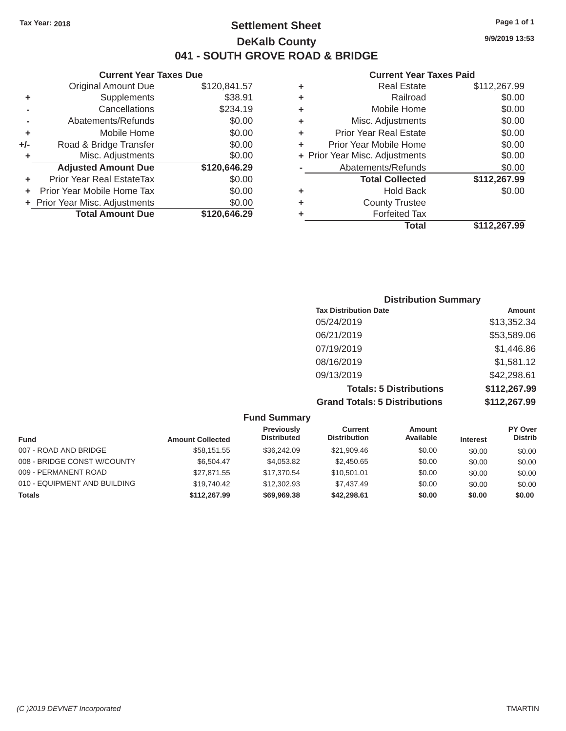### Tax Year: 2018 **Page 1 of 1 Settlement Sheet Page 1 of 1 Page 1 of 1 9/9/2019 13:53 DeKalb County 041 - SOUTH GROVE ROAD & BRIDGE**

|         | <b>Original Amount Due</b>     | \$120,841.57 | ٠ | <b>Real Estate</b>             | \$112,267.99                              |
|---------|--------------------------------|--------------|---|--------------------------------|-------------------------------------------|
| ٠       | Supplements                    | \$38.91      | ٠ | Railroad                       | \$0.00                                    |
|         | Cancellations                  | \$234.19     | ٠ | Mobile Home                    | \$0.00                                    |
|         | Abatements/Refunds             | \$0.00       | ٠ | Misc. Adjustments              | \$0.00                                    |
| ٠       | Mobile Home                    | \$0.00       | ÷ | <b>Prior Year Real Estate</b>  | \$0.00                                    |
| $+/-$   | Road & Bridge Transfer         | \$0.00       | ٠ | Prior Year Mobile Home         | \$0.00                                    |
|         | Misc. Adjustments              | \$0.00       |   | + Prior Year Misc. Adjustments | \$0.00                                    |
|         | <b>Adjusted Amount Due</b>     | \$120,646.29 |   | Abatements/Refunds             | \$0.00                                    |
| ٠       | Prior Year Real EstateTax      | \$0.00       |   | <b>Total Collected</b>         | \$112,267.99                              |
| $+$ $-$ | Prior Year Mobile Home Tax     | \$0.00       | ٠ | <b>Hold Back</b>               | \$0.00                                    |
|         | + Prior Year Misc. Adjustments | \$0.00       | ٠ | <b>County Trustee</b>          |                                           |
|         | <b>Total Amount Due</b>        | \$120,646.29 |   | <b>Forfeited Tax</b>           |                                           |
|         |                                |              |   |                                | $\sim$ $\sim$ $\sim$ $\sim$ $\sim$ $\sim$ |

#### **Current Year Taxes Due Current Year Taxes Paid Current Year Taxes Paid**

| Supplements<br>\$38.91<br>Railroad<br>٠<br>Cancellations<br>\$234.19<br>Mobile Home<br>٠<br>\$0.00<br>Misc. Adjustments<br>Abatements/Refunds<br>٠<br>\$0.00<br>Mobile Home<br><b>Prior Year Real Estate</b><br>٠<br>Road & Bridge Transfer<br>Prior Year Mobile Home<br>\$0.00<br>÷<br>Misc. Adjustments<br>\$0.00<br>+ Prior Year Misc. Adjustments<br>\$120,646.29<br><b>Adjusted Amount Due</b><br>Abatements/Refunds | \$112,267.99 |
|---------------------------------------------------------------------------------------------------------------------------------------------------------------------------------------------------------------------------------------------------------------------------------------------------------------------------------------------------------------------------------------------------------------------------|--------------|
|                                                                                                                                                                                                                                                                                                                                                                                                                           | \$0.00       |
|                                                                                                                                                                                                                                                                                                                                                                                                                           | \$0.00       |
|                                                                                                                                                                                                                                                                                                                                                                                                                           | \$0.00       |
|                                                                                                                                                                                                                                                                                                                                                                                                                           | \$0.00       |
|                                                                                                                                                                                                                                                                                                                                                                                                                           | \$0.00       |
|                                                                                                                                                                                                                                                                                                                                                                                                                           | \$0.00       |
|                                                                                                                                                                                                                                                                                                                                                                                                                           | \$0.00       |
| \$112,267.99<br>ior Year Real EstateTax<br>\$0.00<br><b>Total Collected</b>                                                                                                                                                                                                                                                                                                                                               |              |
| r Year Mobile Home Tax<br>\$0.00<br><b>Hold Back</b><br>٠                                                                                                                                                                                                                                                                                                                                                                 | \$0.00       |
| Year Misc. Adjustments<br>\$0.00<br><b>County Trustee</b><br>٠                                                                                                                                                                                                                                                                                                                                                            |              |
| <b>Total Amount Due</b><br>\$120,646.29<br><b>Forfeited Tax</b><br>٠                                                                                                                                                                                                                                                                                                                                                      |              |
| \$112,267.99<br><b>Total</b>                                                                                                                                                                                                                                                                                                                                                                                              |              |

| <b>Distribution Summary</b>          |              |
|--------------------------------------|--------------|
| <b>Tax Distribution Date</b>         | Amount       |
| 05/24/2019                           | \$13,352.34  |
| 06/21/2019                           | \$53,589.06  |
| 07/19/2019                           | \$1,446.86   |
| 08/16/2019                           | \$1,581.12   |
| 09/13/2019                           | \$42,298.61  |
| <b>Totals: 5 Distributions</b>       | \$112,267.99 |
| <b>Grand Totals: 5 Distributions</b> | \$112,267.99 |

|                              |                         | <b>Fund Summary</b>                     |                                |                            |                 |                           |
|------------------------------|-------------------------|-----------------------------------------|--------------------------------|----------------------------|-----------------|---------------------------|
| <b>Fund</b>                  | <b>Amount Collected</b> | <b>Previously</b><br><b>Distributed</b> | Current<br><b>Distribution</b> | <b>Amount</b><br>Available | <b>Interest</b> | PY Over<br><b>Distrib</b> |
| 007 - ROAD AND BRIDGE        | \$58,151.55             | \$36,242.09                             | \$21,909.46                    | \$0.00                     | \$0.00          | \$0.00                    |
| 008 - BRIDGE CONST W/COUNTY  | \$6.504.47              | \$4,053.82                              | \$2,450.65                     | \$0.00                     | \$0.00          | \$0.00                    |
| 009 - PERMANENT ROAD         | \$27,871.55             | \$17,370.54                             | \$10,501.01                    | \$0.00                     | \$0.00          | \$0.00                    |
| 010 - EQUIPMENT AND BUILDING | \$19,740.42             | \$12,302.93                             | \$7.437.49                     | \$0.00                     | \$0.00          | \$0.00                    |
| <b>Totals</b>                | \$112,267.99            | \$69,969,38                             | \$42,298.61                    | \$0.00                     | \$0.00          | \$0.00                    |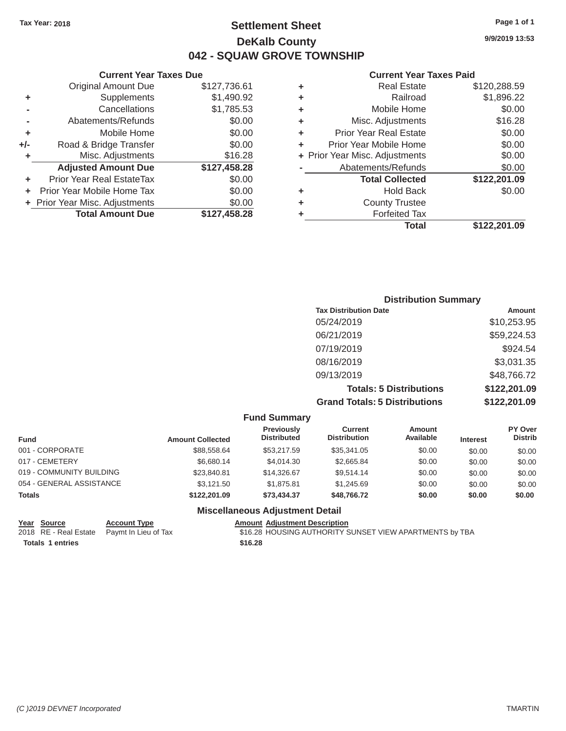### Tax Year: 2018 **Page 1 of 1 Settlement Sheet Page 1 of 1 Page 1 of 1 9/9/2019 13:53 DeKalb County 042 - SQUAW GROVE TOWNSHIP**

#### **Current Year Taxes Paid**

|     | <b>Original Amount Due</b>     | \$127,736.61 | ٠ | <b>Real Estate</b>             | \$120,288.59 |
|-----|--------------------------------|--------------|---|--------------------------------|--------------|
| ٠   | <b>Supplements</b>             | \$1,490.92   | ٠ | Railroad                       | \$1,896.22   |
|     | Cancellations                  | \$1,785.53   | ٠ | Mobile Home                    | \$0.00       |
|     | Abatements/Refunds             | \$0.00       | ٠ | Misc. Adjustments              | \$16.28      |
| ٠   | Mobile Home                    | \$0.00       | ٠ | <b>Prior Year Real Estate</b>  | \$0.00       |
| +/- | Road & Bridge Transfer         | \$0.00       | ٠ | Prior Year Mobile Home         | \$0.00       |
|     | Misc. Adjustments              | \$16.28      |   | + Prior Year Misc. Adjustments | \$0.00       |
|     | <b>Adjusted Amount Due</b>     | \$127,458.28 |   | Abatements/Refunds             | \$0.00       |
|     | Prior Year Real EstateTax      | \$0.00       |   | <b>Total Collected</b>         | \$122,201.09 |
|     | Prior Year Mobile Home Tax     | \$0.00       | ٠ | <b>Hold Back</b>               | \$0.00       |
|     | + Prior Year Misc. Adjustments | \$0.00       | ٠ | <b>County Trustee</b>          |              |
|     | <b>Total Amount Due</b>        | \$127,458.28 |   | <b>Forfeited Tax</b>           |              |
|     |                                |              |   | Total                          | \$122,201.09 |

|                          | <b>Current Year Taxes Due</b>  |              |   | <b>Current Year</b>            |
|--------------------------|--------------------------------|--------------|---|--------------------------------|
|                          | <b>Original Amount Due</b>     | \$127,736.61 | ٠ | <b>Real Estate</b>             |
| ٠                        | Supplements                    | \$1,490.92   | ٠ | Railroad                       |
| $\overline{\phantom{0}}$ | Cancellations                  | \$1,785.53   | ÷ | Mobile Home                    |
|                          | Abatements/Refunds             | \$0.00       | ٠ | Misc. Adjustments              |
| ٠                        | Mobile Home                    | \$0.00       | ÷ | <b>Prior Year Real Estate</b>  |
| I-                       | Road & Bridge Transfer         | \$0.00       |   | Prior Year Mobile Home         |
| ٠                        | Misc. Adjustments              | \$16.28      |   | + Prior Year Misc. Adjustments |
|                          | <b>Adjusted Amount Due</b>     | \$127,458.28 |   | Abatements/Refunds             |
| ٠                        | Prior Year Real EstateTax      | \$0.00       |   | <b>Total Collected</b>         |
|                          | + Prior Year Mobile Home Tax   | \$0.00       | ٠ | <b>Hold Back</b>               |
|                          | + Prior Year Misc. Adjustments | \$0.00       | ÷ | <b>County Trustee</b>          |
|                          | <b>Total Amount Due</b>        | \$127,458.28 | ٠ | <b>Forfeited Tax</b>           |

| <b>Distribution Summary</b>          |              |
|--------------------------------------|--------------|
| <b>Tax Distribution Date</b>         | Amount       |
| 05/24/2019                           | \$10,253.95  |
| 06/21/2019                           | \$59,224.53  |
| 07/19/2019                           | \$924.54     |
| 08/16/2019                           | \$3,031.35   |
| 09/13/2019                           | \$48,766.72  |
| <b>Totals: 5 Distributions</b>       | \$122,201.09 |
| <b>Grand Totals: 5 Distributions</b> | \$122,201.09 |

|                          |                     |                         | <b>Fund Summary</b>                     |                                |                            |                 |                           |
|--------------------------|---------------------|-------------------------|-----------------------------------------|--------------------------------|----------------------------|-----------------|---------------------------|
| <b>Fund</b>              |                     | <b>Amount Collected</b> | <b>Previously</b><br><b>Distributed</b> | Current<br><b>Distribution</b> | <b>Amount</b><br>Available | <b>Interest</b> | PY Over<br><b>Distrib</b> |
| 001 - CORPORATE          |                     | \$88,558.64             | \$53,217.59                             | \$35,341.05                    | \$0.00                     | \$0.00          | \$0.00                    |
| 017 - CEMETERY           |                     | \$6,680.14              | \$4,014.30                              | \$2,665.84                     | \$0.00                     | \$0.00          | \$0.00                    |
| 019 - COMMUNITY BUILDING |                     | \$23,840.81             | \$14,326.67                             | \$9,514.14                     | \$0.00                     | \$0.00          | \$0.00                    |
| 054 - GENERAL ASSISTANCE |                     | \$3,121.50              | \$1,875.81                              | \$1,245.69                     | \$0.00                     | \$0.00          | \$0.00                    |
| <b>Totals</b>            |                     | \$122,201.09            | \$73,434,37                             | \$48,766.72                    | \$0.00                     | \$0.00          | \$0.00                    |
|                          |                     |                         | <b>Miscellaneous Adjustment Detail</b>  |                                |                            |                 |                           |
| Voar Source              | <b>Account Type</b> |                         | <b>Amount Adjustment Description</b>    |                                |                            |                 |                           |

| rear <b>Source</b>      | ACCOUNT TYPE                               | Allioulit Aujustinent Description                       |
|-------------------------|--------------------------------------------|---------------------------------------------------------|
|                         | 2018 RE - Real Estate Paymt In Lieu of Tax | \$16.28 HOUSING AUTHORITY SUNSET VIEW APARTMENTS by TBA |
| <b>Totals 1 entries</b> |                                            | \$16.28                                                 |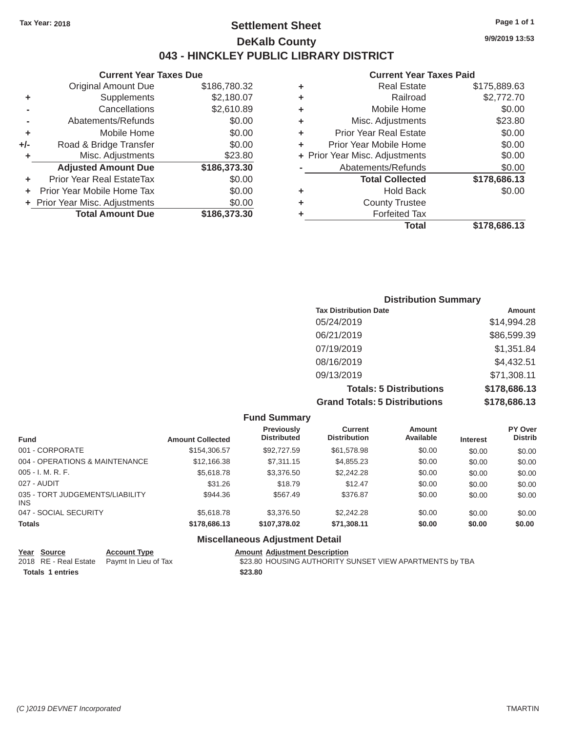### Tax Year: 2018 **Page 1 of 1 Page 1 of 1 Settlement Sheet Page 1 of 1 Page 1 of 1 9/9/2019 13:53 DeKalb County 043 - HINCKLEY PUBLIC LIBRARY DISTRICT**

|       | <b>Current Year Taxes Due</b>  |              |
|-------|--------------------------------|--------------|
|       | <b>Original Amount Due</b>     | \$186,780.32 |
| ٠     | Supplements                    | \$2,180.07   |
|       | Cancellations                  | \$2,610.89   |
|       | Abatements/Refunds             | \$0.00       |
| ٠     | Mobile Home                    | \$0.00       |
| $+/-$ | Road & Bridge Transfer         | \$0.00       |
| ٠     | Misc. Adjustments              | \$23.80      |
|       | <b>Adjusted Amount Due</b>     | \$186,373.30 |
| ÷     | Prior Year Real EstateTax      | \$0.00       |
|       | Prior Year Mobile Home Tax     | \$0.00       |
|       | + Prior Year Misc. Adjustments | \$0.00       |
|       | <b>Total Amount Due</b>        | \$186,373.30 |
|       |                                |              |

#### **Current Year Taxes Paid**

| ٠ | <b>Real Estate</b>             | \$175,889.63 |
|---|--------------------------------|--------------|
| ٠ | Railroad                       | \$2,772.70   |
| ٠ | Mobile Home                    | \$0.00       |
| ٠ | Misc. Adjustments              | \$23.80      |
| ٠ | <b>Prior Year Real Estate</b>  | \$0.00       |
| ٠ | Prior Year Mobile Home         | \$0.00       |
|   | + Prior Year Misc. Adjustments | \$0.00       |
|   | Abatements/Refunds             | \$0.00       |
|   | <b>Total Collected</b>         | \$178,686.13 |
| ٠ | <b>Hold Back</b>               | \$0.00       |
| ٠ | <b>County Trustee</b>          |              |
| ٠ | <b>Forfeited Tax</b>           |              |
|   | Total                          | \$178,686.13 |
|   |                                |              |

#### **Distribution Summary Tax Distribution Date**  05/24/2019 06/21/2019 07/19/2019 08/16/2019 09/13/2019 **Totals: 5 Distributions Grand Totals: 5 Distributions Amount**  \$14,994.28 \$86,599.39 \$1,351.84 \$4,432.51 \$71,308.11 **\$178,686.13 \$178,686.13**

|                                         |                         | <b>Fund Summary</b>                     |                                       |                     |                 |                           |
|-----------------------------------------|-------------------------|-----------------------------------------|---------------------------------------|---------------------|-----------------|---------------------------|
| <b>Fund</b>                             | <b>Amount Collected</b> | <b>Previously</b><br><b>Distributed</b> | <b>Current</b><br><b>Distribution</b> | Amount<br>Available | <b>Interest</b> | PY Over<br><b>Distrib</b> |
| 001 - CORPORATE                         | \$154,306.57            | \$92,727.59                             | \$61,578.98                           | \$0.00              | \$0.00          | \$0.00                    |
| 004 - OPERATIONS & MAINTENANCE          | \$12,166,38             | \$7,311.15                              | \$4,855.23                            | \$0.00              | \$0.00          | \$0.00                    |
| $005 - I. M. R. F.$                     | \$5,618.78              | \$3,376.50                              | \$2,242.28                            | \$0.00              | \$0.00          | \$0.00                    |
| 027 - AUDIT                             | \$31.26                 | \$18.79                                 | \$12.47                               | \$0.00              | \$0.00          | \$0.00                    |
| 035 - TORT JUDGEMENTS/LIABILITY<br>INS. | \$944.36                | \$567.49                                | \$376.87                              | \$0.00              | \$0.00          | \$0.00                    |
| 047 - SOCIAL SECURITY                   | \$5,618.78              | \$3,376.50                              | \$2,242.28                            | \$0.00              | \$0.00          | \$0.00                    |
| <b>Totals</b>                           | \$178,686.13            | \$107.378.02                            | \$71,308.11                           | \$0.00              | \$0.00          | \$0.00                    |
|                                         |                         | <b>Miscellaneous Adjustment Detail</b>  |                                       |                     |                 |                           |

| Year Source             | <b>Account Type</b>                        | <b>Amount Adjustment Description</b>                    |  |
|-------------------------|--------------------------------------------|---------------------------------------------------------|--|
|                         | 2018 RE - Real Estate Paymt In Lieu of Tax | \$23.80 HOUSING AUTHORITY SUNSET VIEW APARTMENTS by TBA |  |
| <b>Totals 1 entries</b> |                                            | \$23.80                                                 |  |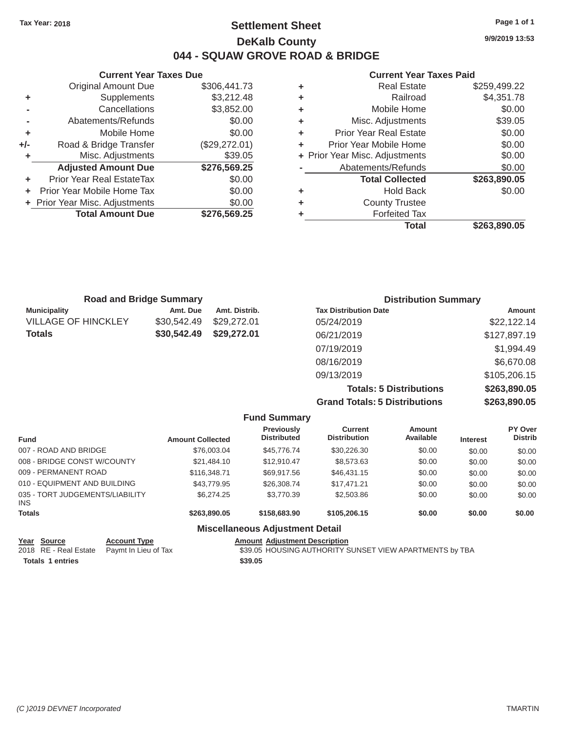### Tax Year: 2018 **Page 1 of 1 Page 1 of 1 Settlement Sheet Page 1 of 1 Page 1 of 1 9/9/2019 13:53 DeKalb County 044 - SQUAW GROVE ROAD & BRIDGE**

**Current Year Taxes Due Current Year Taxes Paid**  Original Amount Due \$306,441.73 **+** Supplements \$3,212.48 **+** Railroad \$4,351.78 **-** Cancellations \$3,852.00 **+** Mobile Home \$0.00 **-** Abatements/Refunds \$0.00 **+** Mobile Home  $$0.00$ **+/-** Road & Bridge Transfer (\$29,272.01) **+** Misc. Adjustments \$39.05 Adjusted Amount Due \$276,569.25 **+** Prior Year Real EstateTax \$0.00 **+** Prior Year Mobile Home Tax  $$0.00$ **+** Prior Year Misc. Adjustments  $$0.00$ **Total Amount Due \$276,569.25** 

| ٠ | <b>Real Estate</b>             | \$259,499.22 |
|---|--------------------------------|--------------|
| ٠ | Railroad                       | \$4,351.78   |
| ٠ | Mobile Home                    | \$0.00       |
| ٠ | Misc. Adjustments              | \$39.05      |
| ٠ | <b>Prior Year Real Estate</b>  | \$0.00       |
| ÷ | Prior Year Mobile Home         | \$0.00       |
|   | + Prior Year Misc. Adjustments | \$0.00       |
|   | Abatements/Refunds             | \$0.00       |
|   | <b>Total Collected</b>         | \$263,890.05 |
| ٠ | <b>Hold Back</b>               | \$0.00       |
| ٠ | <b>County Trustee</b>          |              |
| ٠ | <b>Forfeited Tax</b>           |              |
|   | <b>Total</b>                   | \$263.890.05 |
|   |                                |              |

| <b>Road and Bridge Summary</b> |             |               | <b>Distribution Summary</b>  |              |
|--------------------------------|-------------|---------------|------------------------------|--------------|
| <b>Municipality</b>            | Amt. Due    | Amt. Distrib. | <b>Tax Distribution Date</b> | Amount       |
| <b>VILLAGE OF HINCKLEY</b>     | \$30,542.49 | \$29,272.01   | 05/24/2019                   | \$22,122.14  |
| Totals                         | \$30,542.49 | \$29,272.01   | 06/21/2019                   | \$127,897.19 |
|                                |             |               | 07/19/2019                   | \$1,994.49   |
|                                |             |               | 08/16/2019                   | \$6,670.08   |
|                                |             |               | 09/13/2019                   | \$105,206.15 |
|                                |             |               |                              | $\cdots$     |

**Totals: 5 Distributions \$263,890.05 Grand Totals: 5 Distributions \$263,890.05**

|                                         |                         | <b>Fund Summary</b>                     |                                       |                     |                 |                           |
|-----------------------------------------|-------------------------|-----------------------------------------|---------------------------------------|---------------------|-----------------|---------------------------|
| <b>Fund</b>                             | <b>Amount Collected</b> | <b>Previously</b><br><b>Distributed</b> | <b>Current</b><br><b>Distribution</b> | Amount<br>Available | <b>Interest</b> | PY Over<br><b>Distrib</b> |
| 007 - ROAD AND BRIDGE                   | \$76,003.04             | \$45,776.74                             | \$30,226.30                           | \$0.00              | \$0.00          | \$0.00                    |
| 008 - BRIDGE CONST W/COUNTY             | \$21,484.10             | \$12,910.47                             | \$8,573.63                            | \$0.00              | \$0.00          | \$0.00                    |
| 009 - PERMANENT ROAD                    | \$116,348.71            | \$69,917.56                             | \$46,431.15                           | \$0.00              | \$0.00          | \$0.00                    |
| 010 - EQUIPMENT AND BUILDING            | \$43,779.95             | \$26,308.74                             | \$17.471.21                           | \$0.00              | \$0.00          | \$0.00                    |
| 035 - TORT JUDGEMENTS/LIABILITY<br>INS. | \$6,274.25              | \$3,770.39                              | \$2,503.86                            | \$0.00              | \$0.00          | \$0.00                    |
| <b>Totals</b>                           | \$263,890,05            | \$158,683,90                            | \$105,206.15                          | \$0.00              | \$0.00          | \$0.00                    |
|                                         |                         | <b>Miscellaneous Adjustment Detail</b>  |                                       |                     |                 |                           |

#### **Year Source Account Type Account Type Amount Adjustment Description**<br>2018 RE - Real Estate Paymt In Lieu of Tax \$39.05 HOUSING AUTHORITY S \$39.05 HOUSING AUTHORITY SUNSET VIEW APARTMENTS by TBA **Totals 1 entries \$39.05**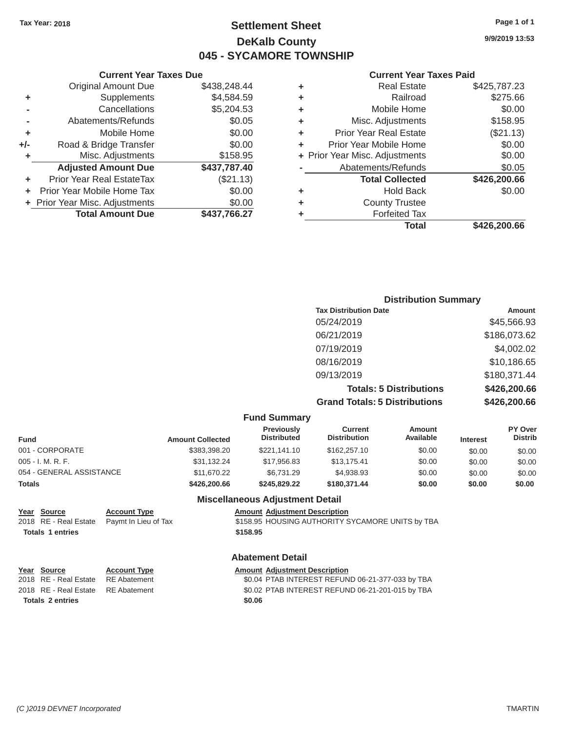### Tax Year: 2018 **Page 1 of 1 Settlement Sheet Page 1 of 1 Page 1 of 1 9/9/2019 13:53 DeKalb County 045 - SYCAMORE TOWNSHIP**

#### **Current Year Taxes Paid**

| \$425,787.23 | <b>Real Estate</b>             | ٠ | \$438,248.44 | <b>Original Amount Due</b>     |     |
|--------------|--------------------------------|---|--------------|--------------------------------|-----|
| \$275.66     | Railroad                       | ÷ | \$4,584.59   | Supplements                    | ٠   |
| \$0.00       | Mobile Home                    | ÷ | \$5,204.53   | Cancellations                  |     |
| \$158.95     | Misc. Adjustments              | ٠ | \$0.05       | Abatements/Refunds             |     |
| (\$21.13)    | <b>Prior Year Real Estate</b>  | ٠ | \$0.00       | Mobile Home                    |     |
| \$0.00       | Prior Year Mobile Home         | ٠ | \$0.00       | Road & Bridge Transfer         | +/- |
| \$0.00       | + Prior Year Misc. Adjustments |   | \$158.95     | Misc. Adjustments              |     |
| \$0.05       | Abatements/Refunds             |   | \$437,787.40 | <b>Adjusted Amount Due</b>     |     |
| \$426,200.66 | <b>Total Collected</b>         |   | (\$21.13)    | Prior Year Real EstateTax      |     |
| \$0.00       | <b>Hold Back</b>               | ÷ | \$0.00       | + Prior Year Mobile Home Tax   |     |
|              | <b>County Trustee</b>          | ٠ | \$0.00       | + Prior Year Misc. Adjustments |     |
|              | <b>Forfeited Tax</b>           |   | \$437,766.27 | <b>Total Amount Due</b>        |     |
| \$426,200.66 | <b>Total</b>                   |   |              |                                |     |

| <b>Current Year</b>            |   |              | <b>Current Year Taxes Due</b>  |     |
|--------------------------------|---|--------------|--------------------------------|-----|
| <b>Real Estate</b>             | ٠ | \$438,248.44 | <b>Original Amount Due</b>     |     |
| Railroad                       | ٠ | \$4,584.59   | Supplements                    | ٠   |
| Mobile Home                    | ٠ | \$5,204.53   | Cancellations                  |     |
| Misc. Adjustments              | ÷ | \$0.05       | Abatements/Refunds             |     |
| <b>Prior Year Real Estate</b>  | ÷ | \$0.00       | Mobile Home                    | ٠   |
| Prior Year Mobile Home         | ÷ | \$0.00       | Road & Bridge Transfer         | +/- |
| + Prior Year Misc. Adjustments |   | \$158.95     | Misc. Adjustments              | ٠   |
| Abatements/Refunds             |   | \$437,787.40 | <b>Adjusted Amount Due</b>     |     |
| <b>Total Collected</b>         |   | (\$21.13)    | Prior Year Real EstateTax      | ٠   |
| <b>Hold Back</b>               | ٠ | \$0.00       | Prior Year Mobile Home Tax     | ÷.  |
| <b>County Trustee</b>          | ٠ | \$0.00       | + Prior Year Misc. Adjustments |     |
| Forfeited Tax                  |   | \$437,766.27 | <b>Total Amount Due</b>        |     |
|                                |   |              |                                |     |

| <b>Distribution Summary</b> |
|-----------------------------|
| Amount                      |
| \$45,566.93                 |
| \$186,073.62                |
| \$4,002.02                  |
| \$10,186.65                 |
| \$180,371.44                |
| \$426,200.66                |
| \$426,200.66                |
|                             |

|                          |                         | <b>Fund Summary</b>                    |                                       |                            |                 |                           |
|--------------------------|-------------------------|----------------------------------------|---------------------------------------|----------------------------|-----------------|---------------------------|
| <b>Fund</b>              | <b>Amount Collected</b> | Previously<br><b>Distributed</b>       | <b>Current</b><br><b>Distribution</b> | <b>Amount</b><br>Available | <b>Interest</b> | PY Over<br><b>Distrib</b> |
| 001 - CORPORATE          | \$383,398,20            | \$221.141.10                           | \$162,257.10                          | \$0.00                     | \$0.00          | \$0.00                    |
| $005 - I. M. R. F.$      | \$31.132.24             | \$17,956.83                            | \$13.175.41                           | \$0.00                     | \$0.00          | \$0.00                    |
| 054 - GENERAL ASSISTANCE | \$11,670.22             | \$6.731.29                             | \$4,938.93                            | \$0.00                     | \$0.00          | \$0.00                    |
| <b>Totals</b>            | \$426,200.66            | \$245.829.22                           | \$180,371,44                          | \$0.00                     | \$0.00          | \$0.00                    |
|                          |                         | <b>Miscellaneous Adjustment Detail</b> |                                       |                            |                 |                           |

| Year Source             | <b>Account Type</b>  | <b>Amount Adjustment Description</b>             |
|-------------------------|----------------------|--------------------------------------------------|
| 2018 RE - Real Estate   | Paymt In Lieu of Tax | \$158.95 HOUSING AUTHORITY SYCAMORE UNITS by TBA |
| <b>Totals 1 entries</b> |                      | \$158.95                                         |
|                         |                      | <b>Abatement Detail</b>                          |

| Year Source                        | <b>Account Type</b> | <b>Amount Adjustment Description</b>             |
|------------------------------------|---------------------|--------------------------------------------------|
| 2018 RE - Real Estate              | RE Abatement        | \$0.04 PTAB INTEREST REFUND 06-21-377-033 by TBA |
| 2018 RE - Real Estate RE Abatement |                     | \$0.02 PTAB INTEREST REFUND 06-21-201-015 by TBA |
| Totals 2 entries                   |                     | \$0.06                                           |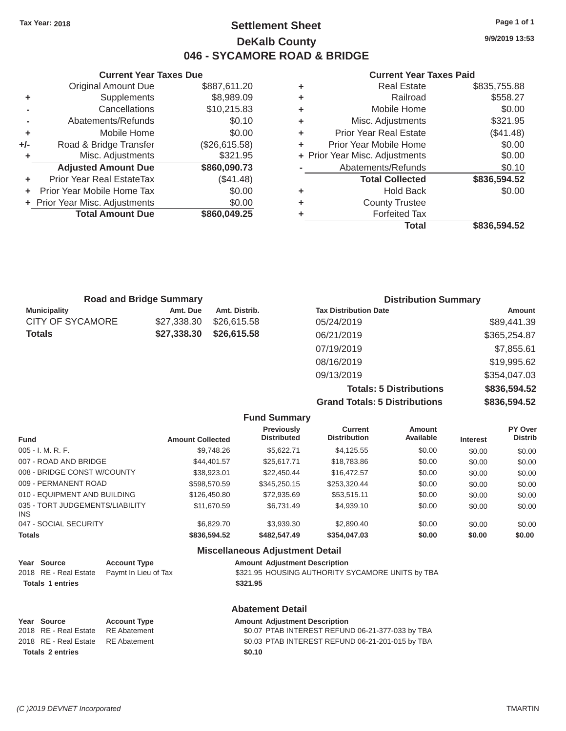### Tax Year: 2018 **Page 1 of 1 Page 1 of 1 Settlement Sheet Page 1 of 1 Page 1 of 1 9/9/2019 13:53 DeKalb County 046 - SYCAMORE ROAD & BRIDGE**

### **Current Year Taxes Due Current Year Taxes Paid Current Year Taxes Paid**

|                            |                                                                                      |   | Total                         | \$836,594.52                   |
|----------------------------|--------------------------------------------------------------------------------------|---|-------------------------------|--------------------------------|
| <b>Total Amount Due</b>    | \$860,049.25                                                                         |   | <b>Forfeited Tax</b>          |                                |
|                            | \$0.00                                                                               | ٠ | <b>County Trustee</b>         |                                |
|                            | \$0.00                                                                               | ÷ | <b>Hold Back</b>              | \$0.00                         |
| Prior Year Real EstateTax  | (\$41.48)                                                                            |   | <b>Total Collected</b>        | \$836,594.52                   |
| <b>Adjusted Amount Due</b> | \$860,090.73                                                                         |   | Abatements/Refunds            | \$0.10                         |
| Misc. Adjustments          | \$321.95                                                                             |   |                               | \$0.00                         |
| Road & Bridge Transfer     | (\$26,615.58)                                                                        | ٠ | Prior Year Mobile Home        | \$0.00                         |
| Mobile Home                | \$0.00                                                                               | ٠ | <b>Prior Year Real Estate</b> | (\$41.48)                      |
| Abatements/Refunds         | \$0.10                                                                               | ٠ | Misc. Adjustments             | \$321.95                       |
| Cancellations              | \$10,215.83                                                                          | ٠ | Mobile Home                   | \$0.00                         |
|                            | \$8,989.09                                                                           | ٠ | Railroad                      | \$558.27                       |
| <b>Original Amount Due</b> | \$887,611.20                                                                         | ٠ | <b>Real Estate</b>            | \$835,755.88                   |
|                            | <b>Supplements</b><br>+ Prior Year Mobile Home Tax<br>+ Prior Year Misc. Adjustments |   |                               | + Prior Year Misc. Adjustments |

|       | Current Year Taxes Due         |               |   | Current Year Taxes Pald        |               |  |
|-------|--------------------------------|---------------|---|--------------------------------|---------------|--|
|       | <b>Original Amount Due</b>     | \$887,611.20  |   | <b>Real Estate</b>             | \$835,755.88  |  |
| ٠     | Supplements                    | \$8,989.09    |   | Railroad                       | \$558.27      |  |
|       | Cancellations                  | \$10,215.83   | ٠ | Mobile Home                    | \$0.00        |  |
|       | Abatements/Refunds             | \$0.10        | ٠ | Misc. Adjustments              | \$321.95      |  |
| ٠     | Mobile Home                    | \$0.00        |   | <b>Prior Year Real Estate</b>  | (\$41.48)     |  |
| $+/-$ | Road & Bridge Transfer         | (\$26,615.58) |   | Prior Year Mobile Home         | \$0.00        |  |
|       | Misc. Adjustments              | \$321.95      |   | + Prior Year Misc. Adjustments | \$0.00        |  |
|       | <b>Adjusted Amount Due</b>     | \$860,090.73  |   | Abatements/Refunds             | \$0.10        |  |
| ٠     | Prior Year Real EstateTax      | (\$41.48)     |   | <b>Total Collected</b>         | \$836,594.52  |  |
|       | + Prior Year Mobile Home Tax   | \$0.00        | ٠ | <b>Hold Back</b>               | \$0.00        |  |
|       | + Prior Year Misc. Adjustments | \$0.00        | ٠ | <b>County Trustee</b>          |               |  |
|       | <b>Total Amount Due</b>        | \$860,049.25  |   | <b>Forfeited Tax</b>           |               |  |
|       |                                |               |   | アーチール                          | 0.00000000000 |  |

|                     | <b>Road and Bridge Summary</b> |               | <b>Distribution Summary</b>    |              |  |
|---------------------|--------------------------------|---------------|--------------------------------|--------------|--|
| <b>Municipality</b> | Amt. Due                       | Amt. Distrib. | <b>Tax Distribution Date</b>   | Amount       |  |
| CITY OF SYCAMORE    | \$27,338,30                    | \$26,615,58   | 05/24/2019                     | \$89,441.39  |  |
| Totals              | \$27,338.30                    | \$26,615,58   | 06/21/2019                     | \$365,254.87 |  |
|                     |                                |               | 07/19/2019                     | \$7,855.61   |  |
|                     |                                |               | 08/16/2019                     | \$19,995.62  |  |
|                     |                                |               | 09/13/2019                     | \$354,047.03 |  |
|                     |                                |               | <b>Totals: 5 Distributions</b> | \$836,594.52 |  |

**Grand Totals: 5 Distributions \$836,594.52**

|                                         |                         | <b>Fund Summary</b>                     |                                       |                     |                 |                           |
|-----------------------------------------|-------------------------|-----------------------------------------|---------------------------------------|---------------------|-----------------|---------------------------|
| <b>Fund</b>                             | <b>Amount Collected</b> | <b>Previously</b><br><b>Distributed</b> | <b>Current</b><br><b>Distribution</b> | Amount<br>Available | <b>Interest</b> | PY Over<br><b>Distrib</b> |
| $005 - I. M. R. F.$                     | \$9,748.26              | \$5.622.71                              | \$4.125.55                            | \$0.00              | \$0.00          | \$0.00                    |
| 007 - ROAD AND BRIDGE                   | \$44,401.57             | \$25.617.71                             | \$18,783.86                           | \$0.00              | \$0.00          | \$0.00                    |
| 008 - BRIDGE CONST W/COUNTY             | \$38,923.01             | \$22,450.44                             | \$16,472.57                           | \$0.00              | \$0.00          | \$0.00                    |
| 009 - PERMANENT ROAD                    | \$598,570.59            | \$345,250.15                            | \$253.320.44                          | \$0.00              | \$0.00          | \$0.00                    |
| 010 - EQUIPMENT AND BUILDING            | \$126,450.80            | \$72.935.69                             | \$53.515.11                           | \$0.00              | \$0.00          | \$0.00                    |
| 035 - TORT JUDGEMENTS/LIABILITY<br>INS. | \$11.670.59             | \$6.731.49                              | \$4.939.10                            | \$0.00              | \$0.00          | \$0.00                    |
| 047 - SOCIAL SECURITY                   | \$6,829,70              | \$3,939,30                              | \$2,890.40                            | \$0.00              | \$0.00          | \$0.00                    |
| <b>Totals</b>                           | \$836,594.52            | \$482,547,49                            | \$354,047.03                          | \$0.00              | \$0.00          | \$0.00                    |

### **Miscellaneous Adjustment Detail**

| <b>Totals 1 entries</b> |                                            | \$321.95                                         |
|-------------------------|--------------------------------------------|--------------------------------------------------|
|                         | 2018 RE - Real Estate Paymt In Lieu of Tax | \$321.95 HOUSING AUTHORITY SYCAMORE UNITS by TBA |
| Year Source             | <b>Account Type</b>                        | <b>Amount Adjustment Description</b>             |
|                         |                                            |                                                  |

|                                    | <b>Abatement Detail</b> |                                                  |  |  |  |
|------------------------------------|-------------------------|--------------------------------------------------|--|--|--|
| Year Source                        | <b>Account Type</b>     | <b>Amount Adjustment Description</b>             |  |  |  |
| 2018 RE - Real Estate RE Abatement |                         | \$0.07 PTAB INTEREST REFUND 06-21-377-033 by TBA |  |  |  |
| 2018 RE - Real Estate RE Abatement |                         | \$0.03 PTAB INTEREST REFUND 06-21-201-015 by TBA |  |  |  |
| <b>Totals 2 entries</b>            |                         | \$0.10                                           |  |  |  |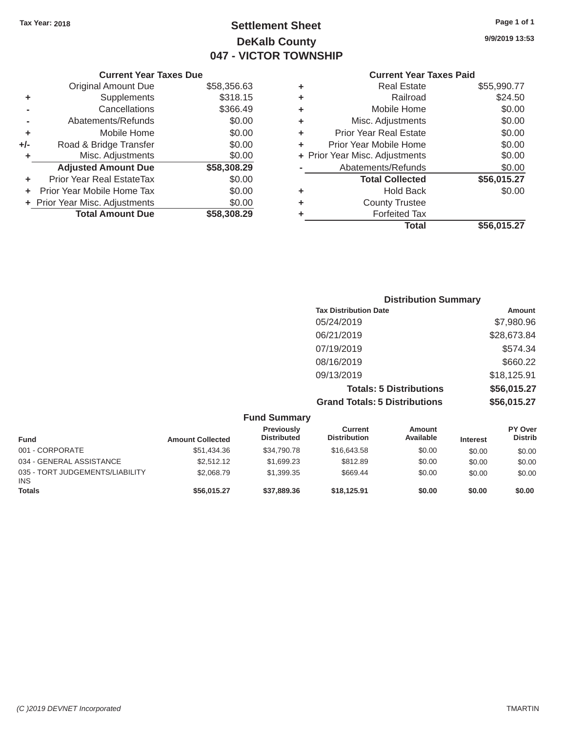## Tax Year: 2018 **Page 1 of 1 Settlement Sheet Page 1 of 1 Page 1 of 1 9/9/2019 13:53 DeKalb County 047 - VICTOR TOWNSHIP**

| <b>Current Year Taxes Paid</b> |     |
|--------------------------------|-----|
| <b>Real Estate</b>             | \$5 |

|     | <b>Current Year Taxes Due</b>  |             |   | <b>Current Year Taxes Paid</b> |             |
|-----|--------------------------------|-------------|---|--------------------------------|-------------|
|     | Original Amount Due            | \$58,356.63 | ٠ | <b>Real Estate</b>             | \$55,990.77 |
| ٠   | Supplements                    | \$318.15    | ٠ | Railroad                       | \$24.50     |
|     | Cancellations                  | \$366.49    | ٠ | Mobile Home                    | \$0.00      |
|     | Abatements/Refunds             | \$0.00      | ٠ | Misc. Adjustments              | \$0.00      |
|     | Mobile Home                    | \$0.00      | ٠ | <b>Prior Year Real Estate</b>  | \$0.00      |
| +/- | Road & Bridge Transfer         | \$0.00      | ٠ | Prior Year Mobile Home         | \$0.00      |
|     | Misc. Adjustments              | \$0.00      |   | + Prior Year Misc. Adjustments | \$0.00      |
|     | <b>Adjusted Amount Due</b>     | \$58,308.29 |   | Abatements/Refunds             | \$0.00      |
| ٠   | Prior Year Real EstateTax      | \$0.00      |   | <b>Total Collected</b>         | \$56,015.27 |
|     | Prior Year Mobile Home Tax     | \$0.00      | ٠ | <b>Hold Back</b>               | \$0.00      |
|     | + Prior Year Misc. Adjustments | \$0.00      | ٠ | <b>County Trustee</b>          |             |
|     | <b>Total Amount Due</b>        | \$58,308.29 |   | <b>Forfeited Tax</b>           |             |
|     |                                |             |   |                                |             |

| Original Amount Due        | \$58,356.63 | ٠ | Real Estate                    | \$55,990.77 |
|----------------------------|-------------|---|--------------------------------|-------------|
| Supplements                | \$318.15    | ÷ | Railroad                       | \$24.50     |
| Cancellations              | \$366.49    | ÷ | Mobile Home                    | \$0.00      |
| Abatements/Refunds         | \$0.00      | ÷ | Misc. Adjustments              | \$0.00      |
| Mobile Home                | \$0.00      | ÷ | <b>Prior Year Real Estate</b>  | \$0.00      |
| Road & Bridge Transfer     | \$0.00      | ÷ | Prior Year Mobile Home         | \$0.00      |
| Misc. Adjustments          | \$0.00      |   | + Prior Year Misc. Adjustments | \$0.00      |
| <b>Adjusted Amount Due</b> | \$58,308.29 |   | Abatements/Refunds             | \$0.00      |
| ior Year Real EstateTax    | \$0.00      |   | <b>Total Collected</b>         | \$56,015.27 |
| r Year Mobile Home Tax     | \$0.00      | ÷ | <b>Hold Back</b>               | \$0.00      |
| Year Misc. Adjustments     | \$0.00      | ÷ | <b>County Trustee</b>          |             |
| <b>Total Amount Due</b>    | \$58,308.29 | ٠ | <b>Forfeited Tax</b>           |             |
|                            |             |   | <b>Total</b>                   | \$56,015.27 |
|                            |             |   |                                |             |

| <b>Distribution Summary</b>          |             |
|--------------------------------------|-------------|
| <b>Tax Distribution Date</b>         | Amount      |
| 05/24/2019                           | \$7,980.96  |
| 06/21/2019                           | \$28,673.84 |
| 07/19/2019                           | \$574.34    |
| 08/16/2019                           | \$660.22    |
| 09/13/2019                           | \$18,125.91 |
| <b>Totals: 5 Distributions</b>       | \$56,015.27 |
| <b>Grand Totals: 5 Distributions</b> | \$56,015.27 |

|                                               |                         | <b>Fund Summary</b>              |                                |                     |                 |                           |
|-----------------------------------------------|-------------------------|----------------------------------|--------------------------------|---------------------|-----------------|---------------------------|
| <b>Fund</b>                                   | <b>Amount Collected</b> | Previously<br><b>Distributed</b> | Current<br><b>Distribution</b> | Amount<br>Available | <b>Interest</b> | PY Over<br><b>Distrib</b> |
| 001 - CORPORATE                               | \$51,434.36             | \$34,790.78                      | \$16,643.58                    | \$0.00              | \$0.00          | \$0.00                    |
| 034 - GENERAL ASSISTANCE                      | \$2,512.12              | \$1,699.23                       | \$812.89                       | \$0.00              | \$0.00          | \$0.00                    |
| 035 - TORT JUDGEMENTS/LIABILITY<br><b>INS</b> | \$2,068.79              | \$1,399.35                       | \$669.44                       | \$0.00              | \$0.00          | \$0.00                    |
| <b>Totals</b>                                 | \$56,015.27             | \$37,889,36                      | \$18.125.91                    | \$0.00              | \$0.00          | \$0.00                    |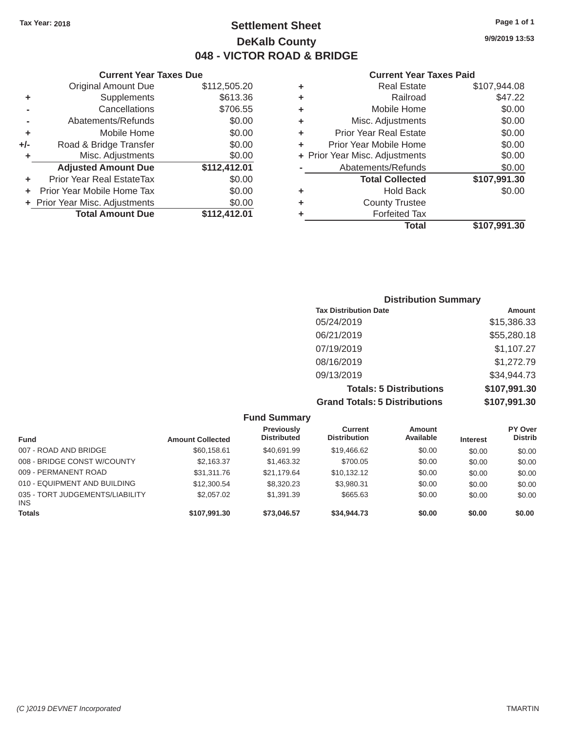### Tax Year: 2018 **Page 1 of 1 Settlement Sheet Page 1 of 1 Page 1 of 1 9/9/2019 13:53 DeKalb County 048 - VICTOR ROAD & BRIDGE**

#### **Current Year Taxes Paid**

|     | <b>Original Amount Due</b>     | \$112,505.20 | ٠ | <b>Real Estate</b>             | \$107,944.08 |
|-----|--------------------------------|--------------|---|--------------------------------|--------------|
| ٠   | Supplements                    | \$613.36     | ٠ | Railroad                       | \$47.22      |
|     | Cancellations                  | \$706.55     | ٠ | Mobile Home                    | \$0.00       |
|     | Abatements/Refunds             | \$0.00       | ٠ | Misc. Adjustments              | \$0.00       |
| ٠   | Mobile Home                    | \$0.00       | ٠ | <b>Prior Year Real Estate</b>  | \$0.00       |
| +/- | Road & Bridge Transfer         | \$0.00       | ٠ | Prior Year Mobile Home         | \$0.00       |
|     | Misc. Adjustments              | \$0.00       |   | + Prior Year Misc. Adjustments | \$0.00       |
|     | <b>Adjusted Amount Due</b>     | \$112,412.01 |   | Abatements/Refunds             | \$0.00       |
|     | Prior Year Real EstateTax      | \$0.00       |   | <b>Total Collected</b>         | \$107,991.30 |
|     | Prior Year Mobile Home Tax     | \$0.00       | ٠ | <b>Hold Back</b>               | \$0.00       |
|     | + Prior Year Misc. Adjustments | \$0.00       | ٠ | <b>County Trustee</b>          |              |
|     | <b>Total Amount Due</b>        | \$112,412.01 |   | <b>Forfeited Tax</b>           |              |
|     |                                |              |   | <b>Total</b>                   | \$107,991.30 |

|                | <b>Current Year Taxes Due</b>  |              |   | <b>Current Year</b>            |
|----------------|--------------------------------|--------------|---|--------------------------------|
|                | <b>Original Amount Due</b>     | \$112,505.20 | ٠ | <b>Real Estate</b>             |
| ٠              | Supplements                    | \$613.36     | ٠ | Railroad                       |
| $\blacksquare$ | Cancellations                  | \$706.55     | ٠ | Mobile Home                    |
|                | Abatements/Refunds             | \$0.00       | ٠ | Misc. Adjustments              |
| ٠              | Mobile Home                    | \$0.00       | ÷ | <b>Prior Year Real Estate</b>  |
| ı-             | Road & Bridge Transfer         | \$0.00       |   | Prior Year Mobile Home         |
| ٠              | Misc. Adjustments              | \$0.00       |   | + Prior Year Misc. Adjustments |
|                | <b>Adjusted Amount Due</b>     | \$112,412.01 |   | Abatements/Refunds             |
| ٠              | Prior Year Real EstateTax      | \$0.00       |   | <b>Total Collected</b>         |
|                | + Prior Year Mobile Home Tax   | \$0.00       | ٠ | <b>Hold Back</b>               |
|                | + Prior Year Misc. Adjustments | \$0.00       | ٠ | <b>County Trustee</b>          |
|                | <b>Total Amount Due</b>        | \$112,412.01 |   | <b>Forfeited Tax</b>           |
|                |                                |              |   |                                |

| <b>Distribution Summary</b>          |               |
|--------------------------------------|---------------|
| <b>Tax Distribution Date</b>         | <b>Amount</b> |
| 05/24/2019                           | \$15,386.33   |
| 06/21/2019                           | \$55,280.18   |
| 07/19/2019                           | \$1,107.27    |
| 08/16/2019                           | \$1,272.79    |
| 09/13/2019                           | \$34,944.73   |
| <b>Totals: 5 Distributions</b>       | \$107,991.30  |
| <b>Grand Totals: 5 Distributions</b> | \$107,991.30  |

|                                         |                         | <b>Fund Summary</b>                     |                                |                     |                 |                           |
|-----------------------------------------|-------------------------|-----------------------------------------|--------------------------------|---------------------|-----------------|---------------------------|
| <b>Fund</b>                             | <b>Amount Collected</b> | <b>Previously</b><br><b>Distributed</b> | Current<br><b>Distribution</b> | Amount<br>Available | <b>Interest</b> | PY Over<br><b>Distrib</b> |
| 007 - ROAD AND BRIDGE                   | \$60,158.61             | \$40,691.99                             | \$19,466.62                    | \$0.00              | \$0.00          | \$0.00                    |
| 008 - BRIDGE CONST W/COUNTY             | \$2.163.37              | \$1,463.32                              | \$700.05                       | \$0.00              | \$0.00          | \$0.00                    |
| 009 - PERMANENT ROAD                    | \$31,311,76             | \$21.179.64                             | \$10,132.12                    | \$0.00              | \$0.00          | \$0.00                    |
| 010 - EQUIPMENT AND BUILDING            | \$12,300.54             | \$8,320.23                              | \$3,980.31                     | \$0.00              | \$0.00          | \$0.00                    |
| 035 - TORT JUDGEMENTS/LIABILITY<br>INS. | \$2,057.02              | \$1,391.39                              | \$665.63                       | \$0.00              | \$0.00          | \$0.00                    |
| <b>Totals</b>                           | \$107,991.30            | \$73,046.57                             | \$34,944.73                    | \$0.00              | \$0.00          | \$0.00                    |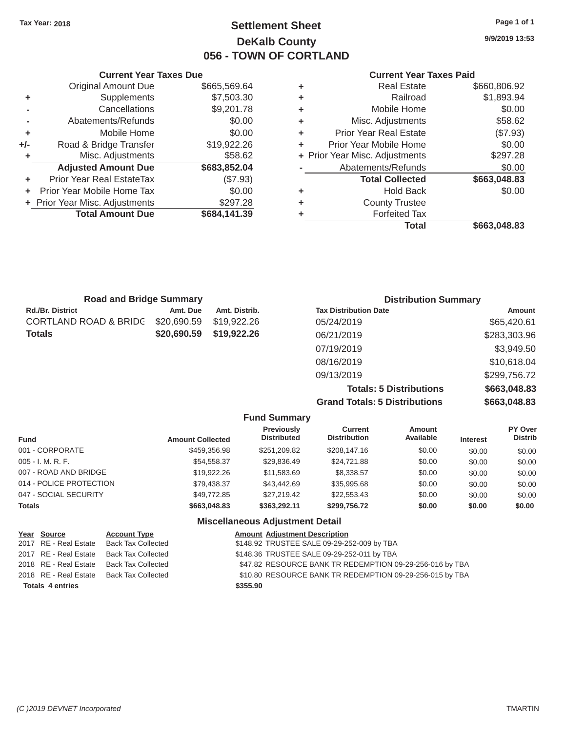## Tax Year: 2018 **Page 1 of 1 Settlement Sheet Page 1 of 1 Page 1 of 1 9/9/2019 13:53 DeKalb County 056 - TOWN OF CORTLAND**

### **Current Year Taxes Due Current Year Taxes Paid**

|    |                                |              |   | Total                          | \$663,048.83 |
|----|--------------------------------|--------------|---|--------------------------------|--------------|
|    | <b>Total Amount Due</b>        | \$684,141.39 |   | <b>Forfeited Tax</b>           |              |
|    | + Prior Year Misc. Adjustments | \$297.28     | ٠ | <b>County Trustee</b>          |              |
|    | + Prior Year Mobile Home Tax   | \$0.00       | ٠ | <b>Hold Back</b>               | \$0.00       |
| ٠  | Prior Year Real EstateTax      | (\$7.93)     |   | <b>Total Collected</b>         | \$663,048.83 |
|    | <b>Adjusted Amount Due</b>     | \$683,852.04 |   | Abatements/Refunds             | \$0.00       |
| ٠  | Misc. Adjustments              | \$58.62      |   | + Prior Year Misc. Adjustments | \$297.28     |
| I- | Road & Bridge Transfer         | \$19,922.26  | ٠ | Prior Year Mobile Home         | \$0.00       |
| ٠  | Mobile Home                    | \$0.00       | ٠ | <b>Prior Year Real Estate</b>  | (\$7.93)     |
| ۰  | Abatements/Refunds             | \$0.00       | ٠ | Misc. Adjustments              | \$58.62      |
| ۰  | Cancellations                  | \$9,201.78   | ٠ | Mobile Home                    | \$0.00       |
| ٠  | Supplements                    | \$7,503.30   | ٠ | Railroad                       | \$1,893.94   |
|    | <b>Original Amount Due</b>     | \$665,569.64 | ٠ | <b>Real Estate</b>             | \$660,806.92 |
|    |                                |              |   |                                |              |

| Current rear laxes Due |                                |              | Current Year Taxes Pald |                                |              |  |
|------------------------|--------------------------------|--------------|-------------------------|--------------------------------|--------------|--|
|                        | <b>Original Amount Due</b>     | \$665,569.64 |                         | <b>Real Estate</b>             | \$660,806.92 |  |
| ٠                      | Supplements                    | \$7,503.30   |                         | Railroad                       | \$1,893.94   |  |
|                        | Cancellations                  | \$9,201.78   | ٠                       | Mobile Home                    | \$0.00       |  |
|                        | Abatements/Refunds             | \$0.00       | ÷.                      | Misc. Adjustments              | \$58.62      |  |
| ٠                      | Mobile Home                    | \$0.00       | ÷.                      | <b>Prior Year Real Estate</b>  | (\$7.93)     |  |
| $+/-$                  | Road & Bridge Transfer         | \$19,922.26  |                         | Prior Year Mobile Home         | \$0.00       |  |
|                        | Misc. Adjustments              | \$58.62      |                         | + Prior Year Misc. Adjustments | \$297.28     |  |
|                        | <b>Adjusted Amount Due</b>     | \$683,852.04 |                         | Abatements/Refunds             | \$0.00       |  |
| ٠                      | Prior Year Real EstateTax      | (\$7.93)     |                         | <b>Total Collected</b>         | \$663,048.83 |  |
| ÷.                     | Prior Year Mobile Home Tax     | \$0.00       | ٠                       | <b>Hold Back</b>               | \$0.00       |  |
|                        | + Prior Year Misc. Adjustments | \$297.28     | ٠                       | <b>County Trustee</b>          |              |  |
|                        | <b>Total Amount Due</b>        | \$684,141.39 |                         | <b>Forfeited Tax</b>           |              |  |
|                        |                                |              |                         |                                | $\cdots$     |  |

| <b>Road and Bridge Summary</b> |             |               | <b>Distribution Summary</b>    |               |  |
|--------------------------------|-------------|---------------|--------------------------------|---------------|--|
| <b>Rd./Br. District</b>        | Amt. Due    | Amt. Distrib. | <b>Tax Distribution Date</b>   | <b>Amount</b> |  |
| CORTLAND ROAD & BRIDG          | \$20,690.59 | \$19,922.26   | 05/24/2019                     | \$65,420.61   |  |
| Totals                         | \$20,690.59 | \$19,922.26   | 06/21/2019                     | \$283,303.96  |  |
|                                |             |               | 07/19/2019                     | \$3,949.50    |  |
|                                |             |               | 08/16/2019                     | \$10,618.04   |  |
|                                |             |               | 09/13/2019                     | \$299,756.72  |  |
|                                |             |               | <b>Totals: 5 Distributions</b> | \$663,048.83  |  |

**Grand Totals: 5 Distributions \$663,048.83**

|                         |                         | <b>Fund Summary</b>                     |                                       |                     |                 |                           |
|-------------------------|-------------------------|-----------------------------------------|---------------------------------------|---------------------|-----------------|---------------------------|
| <b>Fund</b>             | <b>Amount Collected</b> | <b>Previously</b><br><b>Distributed</b> | <b>Current</b><br><b>Distribution</b> | Amount<br>Available | <b>Interest</b> | PY Over<br><b>Distrib</b> |
| 001 - CORPORATE         | \$459,356.98            | \$251,209.82                            | \$208,147.16                          | \$0.00              | \$0.00          | \$0.00                    |
| 005 - I. M. R. F.       | \$54,558.37             | \$29,836.49                             | \$24,721.88                           | \$0.00              | \$0.00          | \$0.00                    |
| 007 - ROAD AND BRIDGE   | \$19,922.26             | \$11,583.69                             | \$8,338.57                            | \$0.00              | \$0.00          | \$0.00                    |
| 014 - POLICE PROTECTION | \$79,438.37             | \$43,442.69                             | \$35,995.68                           | \$0.00              | \$0.00          | \$0.00                    |
| 047 - SOCIAL SECURITY   | \$49,772.85             | \$27.219.42                             | \$22,553.43                           | \$0.00              | \$0.00          | \$0.00                    |
| <b>Totals</b>           | \$663,048.83            | \$363,292.11                            | \$299,756.72                          | \$0.00              | \$0.00          | \$0.00                    |
|                         |                         | <b>Miscellaneous Adjustment Detail</b>  |                                       |                     |                 |                           |

|                         | Year Source | <b>Account Type</b>                      | <b>Amount Adjustment Description</b>                     |
|-------------------------|-------------|------------------------------------------|----------------------------------------------------------|
|                         |             | 2017 RE - Real Estate Back Tax Collected | \$148.92 TRUSTEE SALE 09-29-252-009 by TBA               |
|                         |             | 2017 RE - Real Estate Back Tax Collected | \$148.36 TRUSTEE SALE 09-29-252-011 by TBA               |
|                         |             | 2018 RE - Real Estate Back Tax Collected | \$47.82 RESOURCE BANK TR REDEMPTION 09-29-256-016 by TBA |
|                         |             | 2018 RE - Real Estate Back Tax Collected | \$10.80 RESOURCE BANK TR REDEMPTION 09-29-256-015 by TBA |
| <b>Totals 4 entries</b> |             |                                          | \$355.90                                                 |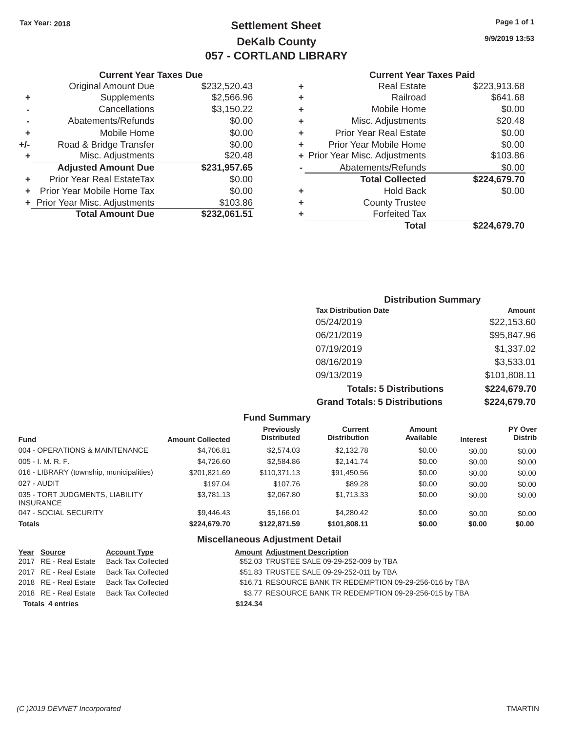### Tax Year: 2018 **Page 1 of 1 Page 1 of 1 Settlement Sheet Page 1 of 1 Page 1 of 1 9/9/2019 13:53 DeKalb County 057 - CORTLAND LIBRARY**

#### **Current Year Taxes Due Current Year Taxes Paid Current Year Taxes Paid**

|     | GUITELL TEAL TAAES DUE           |              |   |                                | Gulltill Ital Taxts Falu |  |
|-----|----------------------------------|--------------|---|--------------------------------|--------------------------|--|
|     | Original Amount Due              | \$232,520.43 | ٠ | <b>Real Estate</b>             | \$223,913.68             |  |
| ٠   | Supplements                      | \$2,566.96   | ٠ | Railroad                       | \$641.68                 |  |
|     | Cancellations                    | \$3,150.22   | ٠ | Mobile Home                    | \$0.00                   |  |
|     | Abatements/Refunds               | \$0.00       | ٠ | Misc. Adjustments              | \$20.48                  |  |
|     | Mobile Home                      | \$0.00       | ٠ | <b>Prior Year Real Estate</b>  | \$0.00                   |  |
| +/- | Road & Bridge Transfer           | \$0.00       |   | Prior Year Mobile Home         | \$0.00                   |  |
|     | Misc. Adjustments                | \$20.48      |   | + Prior Year Misc. Adjustments | \$103.86                 |  |
|     | <b>Adjusted Amount Due</b>       | \$231,957.65 |   | Abatements/Refunds             | \$0.00                   |  |
|     | <b>Prior Year Real EstateTax</b> | \$0.00       |   | <b>Total Collected</b>         | \$224,679.70             |  |
|     | Prior Year Mobile Home Tax       | \$0.00       | ٠ | <b>Hold Back</b>               | \$0.00                   |  |
|     | + Prior Year Misc. Adjustments   | \$103.86     | ٠ | <b>County Trustee</b>          |                          |  |
|     | <b>Total Amount Due</b>          | \$232,061.51 |   | <b>Forfeited Tax</b>           |                          |  |
|     |                                  |              |   |                                |                          |  |

| Original Amount Due     | \$232,520.43 | ٠ | <b>Real Estate</b>             | \$223,913.68 |
|-------------------------|--------------|---|--------------------------------|--------------|
| Supplements             | \$2,566.96   | ÷ | Railroad                       | \$641.68     |
| Cancellations           | \$3,150.22   | ÷ | Mobile Home                    | \$0.00       |
| Abatements/Refunds      | \$0.00       | ÷ | Misc. Adjustments              | \$20.48      |
| Mobile Home             | \$0.00       | ٠ | <b>Prior Year Real Estate</b>  | \$0.00       |
| ad & Bridge Transfer    | \$0.00       | ٠ | Prior Year Mobile Home         | \$0.00       |
| Misc. Adjustments       | \$20.48      |   | + Prior Year Misc. Adjustments | \$103.86     |
| justed Amount Due       | \$231,957.65 |   | Abatements/Refunds             | \$0.00       |
| Year Real EstateTax     | \$0.00       |   | <b>Total Collected</b>         | \$224,679.70 |
| ear Mobile Home Tax     | \$0.00       | ٠ | <b>Hold Back</b>               | \$0.00       |
| ar Misc. Adjustments    | \$103.86     | ÷ | <b>County Trustee</b>          |              |
| <b>Total Amount Due</b> | \$232,061.51 |   | <b>Forfeited Tax</b>           |              |
|                         |              |   | <b>Total</b>                   | \$224,679.70 |

#### **Distribution Summary Tax Distribution Date Amount Amount** 05/24/2019 \$22,153.60 06/21/2019 \$95,847.96 07/19/2019 \$1,337.02 08/16/2019 \$3,533.01 09/13/2019 \$101,808.11 **Totals: 5 Distributions \$224,679.70 Grand Totals: 5 Distributions \$224,679.70**

|                                                     |                         | <b>Fund Summary</b>                     |                                       |                            |                 |                           |
|-----------------------------------------------------|-------------------------|-----------------------------------------|---------------------------------------|----------------------------|-----------------|---------------------------|
| <b>Fund</b>                                         | <b>Amount Collected</b> | <b>Previously</b><br><b>Distributed</b> | <b>Current</b><br><b>Distribution</b> | <b>Amount</b><br>Available | <b>Interest</b> | PY Over<br><b>Distrib</b> |
| 004 - OPERATIONS & MAINTENANCE                      | \$4,706.81              | \$2,574.03                              | \$2,132.78                            | \$0.00                     | \$0.00          | \$0.00                    |
| $005 - I. M. R. F.$                                 | \$4,726.60              | \$2,584.86                              | \$2.141.74                            | \$0.00                     | \$0.00          | \$0.00                    |
| 016 - LIBRARY (township, municipalities)            | \$201,821.69            | \$110,371.13                            | \$91,450.56                           | \$0.00                     | \$0.00          | \$0.00                    |
| 027 - AUDIT                                         | \$197.04                | \$107.76                                | \$89.28                               | \$0.00                     | \$0.00          | \$0.00                    |
| 035 - TORT JUDGMENTS, LIABILITY<br><b>INSURANCE</b> | \$3,781.13              | \$2,067.80                              | \$1,713.33                            | \$0.00                     | \$0.00          | \$0.00                    |
| 047 - SOCIAL SECURITY                               | \$9,446.43              | \$5,166.01                              | \$4,280,42                            | \$0.00                     | \$0.00          | \$0.00                    |
| <b>Totals</b>                                       | \$224,679.70            | \$122,871,59                            | \$101,808.11                          | \$0.00                     | \$0.00          | \$0.00                    |
|                                                     |                         | ____                                    |                                       |                            |                 |                           |

#### **Miscellaneous Adjustment Detail**

| Year Source             | <b>Account Type</b>       | <b>Amount Adjustment Description</b>                     |
|-------------------------|---------------------------|----------------------------------------------------------|
| 2017 RE - Real Estate   | Back Tax Collected        | \$52.03 TRUSTEE SALE 09-29-252-009 by TBA                |
| 2017 RE - Real Estate   | <b>Back Tax Collected</b> | \$51.83 TRUSTEE SALE 09-29-252-011 by TBA                |
| 2018 RE - Real Estate   | <b>Back Tax Collected</b> | \$16.71 RESOURCE BANK TR REDEMPTION 09-29-256-016 by TBA |
| 2018 RE - Real Estate   | Back Tax Collected        | \$3.77 RESOURCE BANK TR REDEMPTION 09-29-256-015 by TBA  |
| <b>Totals 4 entries</b> |                           | \$124.34                                                 |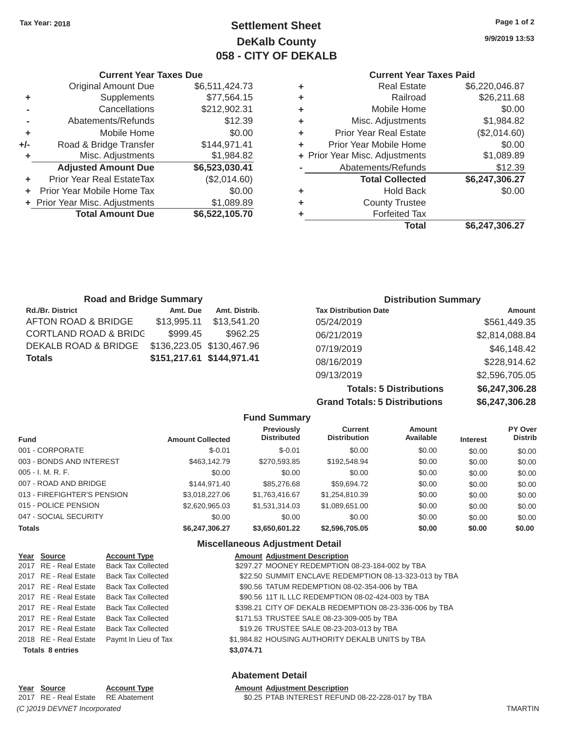## **Tax Year: 2018 Page 1 of 2 Settlement Sheet 9/9/2019 13:53 DeKalb County 058 - CITY OF DEKALB**

### **Current Year Taxes Due Current Year Taxes Paid**

| <b>Original Amount Due</b> | \$6,511,424.73 | ٠ | <b>Real Estate</b>             | \$6,220,046.87 |
|----------------------------|----------------|---|--------------------------------|----------------|
| Supplements                | \$77,564.15    | ٠ | Railroad                       | \$26,211.68    |
| Cancellations              | \$212,902.31   | ٠ | Mobile Home                    | \$0.00         |
| Abatements/Refunds         | \$12.39        | ٠ | Misc. Adjustments              | \$1,984.82     |
| Mobile Home                | \$0.00         | ٠ | <b>Prior Year Real Estate</b>  | (\$2,014.60)   |
| Road & Bridge Transfer     | \$144,971.41   | ÷ | Prior Year Mobile Home         | \$0.00         |
| Misc. Adjustments          | \$1,984.82     |   | + Prior Year Misc. Adjustments | \$1,089.89     |
| <b>Adjusted Amount Due</b> | \$6,523,030.41 |   | Abatements/Refunds             | \$12.39        |
| ior Year Real EstateTax    | (\$2,014.60)   |   | <b>Total Collected</b>         | \$6,247,306.27 |
| r Year Mobile Home Tax     | \$0.00         | ÷ | <b>Hold Back</b>               | \$0.00         |
| Year Misc. Adjustments     | \$1,089.89     | ٠ | <b>County Trustee</b>          |                |
| <b>Total Amount Due</b>    | \$6,522,105.70 |   | <b>Forfeited Tax</b>           |                |
|                            |                |   | <b>Total</b>                   | \$6,247,306.27 |
|                            |                |   |                                |                |

|     | Current Year Taxes Due         |                | Current Year Taxes Paid |                                |                |
|-----|--------------------------------|----------------|-------------------------|--------------------------------|----------------|
|     | <b>Original Amount Due</b>     | \$6,511,424.73 | ٠                       | <b>Real Estate</b>             | \$6,220,046.87 |
| ٠   | Supplements                    | \$77,564.15    | ٠                       | Railroad                       | \$26,211.68    |
|     | Cancellations                  | \$212,902.31   | ٠                       | Mobile Home                    | \$0.00         |
|     | Abatements/Refunds             | \$12.39        | ٠                       | Misc. Adjustments              | \$1,984.82     |
| ٠   | Mobile Home                    | \$0.00         | ٠                       | <b>Prior Year Real Estate</b>  | (\$2,014.60)   |
| +/- | Road & Bridge Transfer         | \$144,971.41   | ٠                       | Prior Year Mobile Home         | \$0.00         |
| ٠   | Misc. Adjustments              | \$1,984.82     |                         | + Prior Year Misc. Adjustments | \$1,089.89     |
|     | <b>Adjusted Amount Due</b>     | \$6,523,030.41 |                         | Abatements/Refunds             | \$12.39        |
|     | Prior Year Real EstateTax      | (\$2,014.60)   |                         | <b>Total Collected</b>         | \$6,247,306.27 |
|     | + Prior Year Mobile Home Tax   | \$0.00         | ÷                       | <b>Hold Back</b>               | \$0.00         |
|     | + Prior Year Misc. Adjustments | \$1,089.89     | ٠                       | <b>County Trustee</b>          |                |
|     | <b>Total Amount Due</b>        | \$6,522,105.70 |                         | <b>Forfeited Tax</b>           |                |
|     |                                |                |                         |                                |                |

| <b>Road and Bridge Summary</b> |             |                           | <b>Distribution Summary</b>  |                |  |
|--------------------------------|-------------|---------------------------|------------------------------|----------------|--|
| <b>Rd./Br. District</b>        | Amt. Due    | Amt. Distrib.             | <b>Tax Distribution Date</b> | <b>Amount</b>  |  |
| AFTON ROAD & BRIDGE            | \$13,995.11 | \$13,541.20               | 05/24/2019                   | \$561,449.35   |  |
| CORTLAND ROAD & BRIDC          | \$999.45    | \$962.25                  | 06/21/2019                   | \$2,814,088.84 |  |
| DEKALB ROAD & BRIDGE           |             | \$136,223.05 \$130,467.96 | 07/19/2019                   | \$46,148.42    |  |
| Totals                         |             | \$151,217.61 \$144,971.41 | 08/16/2019                   | \$228,914.62   |  |
|                                |             |                           | 09/13/2019                   | \$2,596,705.05 |  |

**Totals: 5 Distributions \$6,247,306.28 Grand Totals: 5 Distributions \$6,247,306.28**

| <b>Fund Summary</b>         |                         |                                         |                                       |                     |                 |                                  |
|-----------------------------|-------------------------|-----------------------------------------|---------------------------------------|---------------------|-----------------|----------------------------------|
| <b>Fund</b>                 | <b>Amount Collected</b> | <b>Previously</b><br><b>Distributed</b> | <b>Current</b><br><b>Distribution</b> | Amount<br>Available | <b>Interest</b> | <b>PY Over</b><br><b>Distrib</b> |
| 001 - CORPORATE             | $$-0.01$                | $$-0.01$                                | \$0.00                                | \$0.00              | \$0.00          | \$0.00                           |
| 003 - BONDS AND INTEREST    | \$463,142.79            | \$270,593.85                            | \$192,548.94                          | \$0.00              | \$0.00          | \$0.00                           |
| 005 - I. M. R. F.           | \$0.00                  | \$0.00                                  | \$0.00                                | \$0.00              | \$0.00          | \$0.00                           |
| 007 - ROAD AND BRIDGE       | \$144.971.40            | \$85,276.68                             | \$59,694.72                           | \$0.00              | \$0.00          | \$0.00                           |
| 013 - FIREFIGHTER'S PENSION | \$3.018.227.06          | \$1,763,416.67                          | \$1,254,810.39                        | \$0.00              | \$0.00          | \$0.00                           |
| 015 - POLICE PENSION        | \$2,620,965.03          | \$1,531,314.03                          | \$1,089,651.00                        | \$0.00              | \$0.00          | \$0.00                           |
| 047 - SOCIAL SECURITY       | \$0.00                  | \$0.00                                  | \$0.00                                | \$0.00              | \$0.00          | \$0.00                           |
| <b>Totals</b>               | \$6,247,306.27          | \$3,650,601.22                          | \$2,596,705.05                        | \$0.00              | \$0.00          | \$0.00                           |

#### **Miscellaneous Adjustment Detail**

| Year Source             | <b>Account Type</b>                      |            | <b>Amount Adjustment Description</b>                    |
|-------------------------|------------------------------------------|------------|---------------------------------------------------------|
|                         | 2017 RE - Real Estate Back Tax Collected |            | \$297.27 MOONEY REDEMPTION 08-23-184-002 by TBA         |
|                         | 2017 RE - Real Estate Back Tax Collected |            | \$22.50 SUMMIT ENCLAVE REDEMPTION 08-13-323-013 by TBA  |
|                         | 2017 RE - Real Estate Back Tax Collected |            | \$90.56 TATUM REDEMPTION 08-02-354-006 by TBA           |
|                         | 2017 RE - Real Estate Back Tax Collected |            | \$90.56 11T IL LLC REDEMPTION 08-02-424-003 by TBA      |
|                         | 2017 RE - Real Estate Back Tax Collected |            | \$398.21 CITY OF DEKALB REDEMPTION 08-23-336-006 by TBA |
|                         | 2017 RE - Real Estate Back Tax Collected |            | \$171.53 TRUSTEE SALE 08-23-309-005 by TBA              |
| 2017 RE - Real Estate   | Back Tax Collected                       |            | \$19.26 TRUSTEE SALE 08-23-203-013 by TBA               |
| 2018 RE - Real Estate   | Paymt In Lieu of Tax                     |            | \$1,984.82 HOUSING AUTHORITY DEKALB UNITS by TBA        |
| <b>Totals 8 entries</b> |                                          | \$3,074.71 |                                                         |

#### **Abatement Detail**

**Amount Adjustment Description** 

|                              | Year Source           | <b>Account Type</b> |  |  |  |
|------------------------------|-----------------------|---------------------|--|--|--|
|                              | 2017 RE - Real Estate | RE Abatement        |  |  |  |
| (C) 2019 DEVNET Incorporated |                       |                     |  |  |  |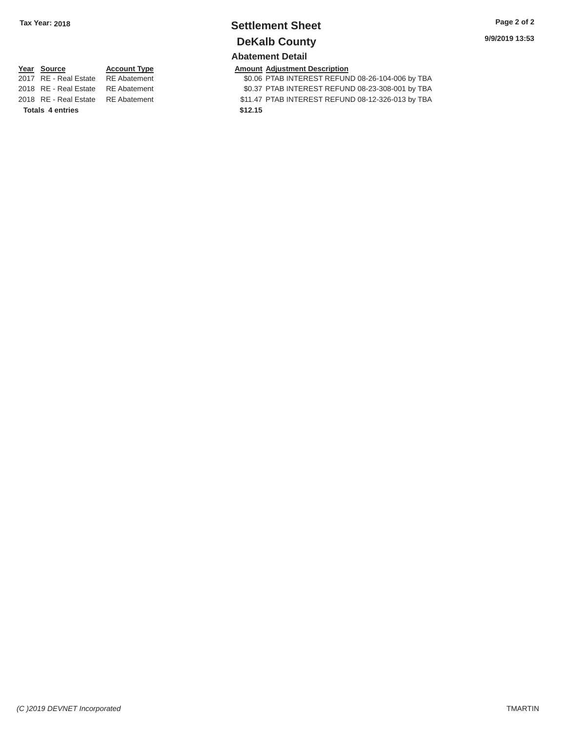### **Tax Year: 2018 Settlement Sheet Page 2 of 2 DeKalb County Abatement Detail**

#### **Year Source**

#### 2017 RE - Real Estate RE Abatement **Account Type**

2018 RE - Real Estate RE Abatement 2018 RE - Real Estate RE Abatement **Totals 4 entries** 

**Amount Adjustment Description** 

\$0.06 PTAB INTEREST REFUND 08-26-104-006 by TBA \$0.37 PTAB INTEREST REFUND 08-23-308-001 by TBA \$11.47 PTAB INTEREST REFUND 08-12-326-013 by TBA **\$12.15**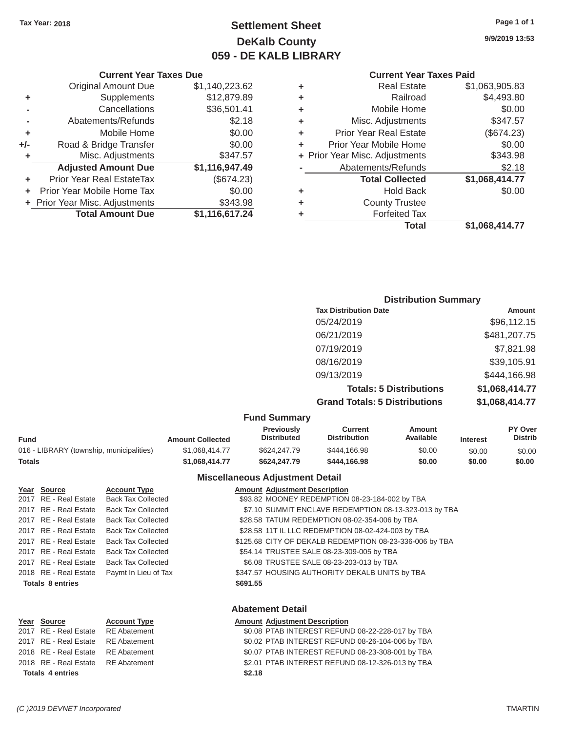### Tax Year: 2018 **Page 1 of 1 Page 1 of 1 Settlement Sheet Page 1 of 1 Page 1 of 1 9/9/2019 13:53 DeKalb County 059 - DE KALB LIBRARY**

| ٠ | <b>Real Estate</b>             | \$1,063,905.83 |
|---|--------------------------------|----------------|
| ٠ | Railroad                       | \$4,493.80     |
| ÷ | Mobile Home                    | \$0.00         |
| ٠ | Misc. Adjustments              | \$347.57       |
| ٠ | <b>Prior Year Real Estate</b>  | (\$674.23)     |
| ٠ | Prior Year Mobile Home         | \$0.00         |
|   | + Prior Year Misc. Adjustments | \$343.98       |
|   | Abatements/Refunds             | \$2.18         |
|   | <b>Total Collected</b>         | \$1,068,414.77 |
| ٠ | <b>Hold Back</b>               | \$0.00         |
| ÷ | <b>County Trustee</b>          |                |
| ٠ | <b>Forfeited Tax</b>           |                |
|   | Total                          | \$1,068,414.77 |
|   |                                |                |

#### **Current Year Taxes Due Current Year Taxes Paid Current Year Taxes Paid Original Amount Due \$1,140,223.62 +** Supplements \$12,879.89 **-** Cancellations \$36,501.41 **-** Abatements/Refunds **\$2.18 +** Mobile Home \$0.00 **+/-** Road & Bridge Transfer \$0.00 **+** Misc. Adjustments \$347.57 Adjusted Amount Due \$1,116,947.49 **+** Prior Year Real EstateTax (\$674.23) **+** Prior Year Mobile Home Tax  $$0.00$ **+** Prior Year Misc. Adjustments \$343.98 **Total Amount Due \$1,116,617.24**

| <b>Distribution Summary</b>          |                |
|--------------------------------------|----------------|
| <b>Tax Distribution Date</b>         | Amount         |
| 05/24/2019                           | \$96,112.15    |
| 06/21/2019                           | \$481,207.75   |
| 07/19/2019                           | \$7,821.98     |
| 08/16/2019                           | \$39,105.91    |
| 09/13/2019                           | \$444.166.98   |
| <b>Totals: 5 Distributions</b>       | \$1,068,414.77 |
| <b>Grand Totals: 5 Distributions</b> | \$1,068,414.77 |

#### **Fund Summary**

| Fund                                     | <b>Amount Collected</b> | <b>Previously</b><br><b>Distributed</b> | Current<br><b>Distribution</b> | Amount<br>Available | <b>Interest</b> | <b>PY Over</b><br><b>Distrib</b> |
|------------------------------------------|-------------------------|-----------------------------------------|--------------------------------|---------------------|-----------------|----------------------------------|
| 016 - LIBRARY (township, municipalities) | \$1,068,414.77          | \$624,247.79                            | \$444.166.98                   | \$0.00              | \$0.00          | \$0.00                           |
| Totals                                   | \$1,068,414,77          | \$624.247.79                            | \$444.166.98                   | \$0.00              | \$0.00          | \$0.00                           |

#### **Miscellaneous Adjustment Detail**

**Abatement Detail** 

| Year Source             | <b>Account Type</b>       |          | <b>Amount Adjustment Description</b>                    |
|-------------------------|---------------------------|----------|---------------------------------------------------------|
| 2017 RE - Real Estate   | <b>Back Tax Collected</b> |          | \$93.82 MOONEY REDEMPTION 08-23-184-002 by TBA          |
| 2017 RE - Real Estate   | <b>Back Tax Collected</b> |          | \$7.10 SUMMIT ENCLAVE REDEMPTION 08-13-323-013 by TBA   |
| 2017 RE - Real Estate   | <b>Back Tax Collected</b> |          | \$28.58 TATUM REDEMPTION 08-02-354-006 by TBA           |
| 2017 RE - Real Estate   | <b>Back Tax Collected</b> |          | \$28.58 11T IL LLC REDEMPTION 08-02-424-003 by TBA      |
| 2017 RE - Real Estate   | <b>Back Tax Collected</b> |          | \$125.68 CITY OF DEKALB REDEMPTION 08-23-336-006 by TBA |
| 2017 RE - Real Estate   | <b>Back Tax Collected</b> |          | \$54.14 TRUSTEE SALE 08-23-309-005 by TBA               |
| 2017 RE - Real Estate   | <b>Back Tax Collected</b> |          | \$6.08 TRUSTEE SALE 08-23-203-013 by TBA                |
| 2018 RE - Real Estate   | Paymt In Lieu of Tax      |          | \$347.57 HOUSING AUTHORITY DEKALB UNITS by TBA          |
| <b>Totals 8 entries</b> |                           | \$691.55 |                                                         |
|                         |                           |          |                                                         |
|                         |                           |          |                                                         |

| Year Source                        | <b>Account Type</b> | <b>Amount Adjustment Description</b>             |
|------------------------------------|---------------------|--------------------------------------------------|
| 2017 RE - Real Estate RE Abatement |                     | \$0.08 PTAB INTEREST REFUND 08-22-228-017 by TBA |
| 2017 RE - Real Estate RE Abatement |                     | \$0.02 PTAB INTEREST REFUND 08-26-104-006 by TBA |
| 2018 RE - Real Estate RE Abatement |                     | \$0.07 PTAB INTEREST REFUND 08-23-308-001 by TBA |
| 2018 RE - Real Estate RE Abatement |                     | \$2.01 PTAB INTEREST REFUND 08-12-326-013 by TBA |
| <b>Totals 4 entries</b>            |                     | \$2.18                                           |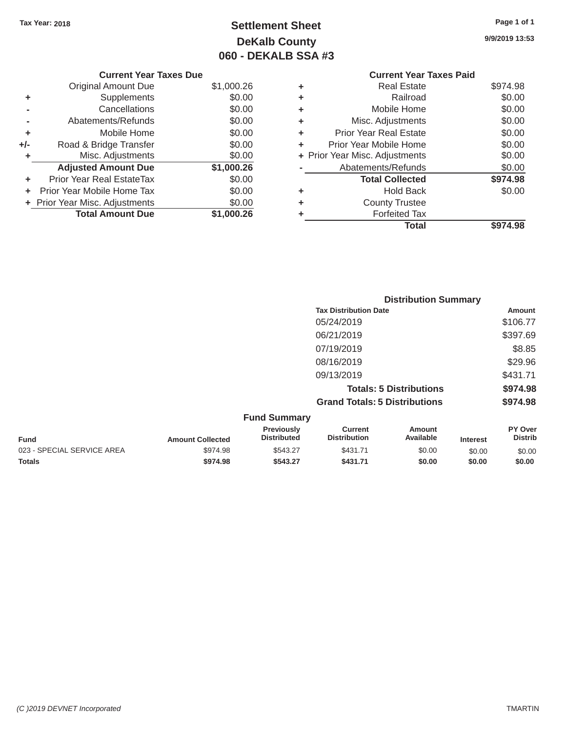## Tax Year: 2018 **Page 1 of 1 Settlement Sheet Page 1 of 1 Page 1 of 1 9/9/2019 13:53 DeKalb County 060 - DEKALB SSA #3**

|     | <b>Current Year Taxes Due</b>    |            |   | <b>Current Year Taxes Paid</b> |          |
|-----|----------------------------------|------------|---|--------------------------------|----------|
|     | Original Amount Due              | \$1,000.26 | ٠ | <b>Real Estate</b>             | \$974.98 |
| ٠   | Supplements                      | \$0.00     | ٠ | Railroad                       | \$0.00   |
|     | Cancellations                    | \$0.00     | ٠ | Mobile Home                    | \$0.00   |
|     | Abatements/Refunds               | \$0.00     | ٠ | Misc. Adjustments              | \$0.00   |
| ٠   | Mobile Home                      | \$0.00     | ٠ | <b>Prior Year Real Estate</b>  | \$0.00   |
| +/- | Road & Bridge Transfer           | \$0.00     | ٠ | Prior Year Mobile Home         | \$0.00   |
|     | Misc. Adjustments                | \$0.00     |   | + Prior Year Misc. Adjustments | \$0.00   |
|     | <b>Adjusted Amount Due</b>       | \$1,000.26 |   | Abatements/Refunds             | \$0.00   |
|     | <b>Prior Year Real EstateTax</b> | \$0.00     |   | <b>Total Collected</b>         | \$974.98 |
|     | Prior Year Mobile Home Tax       | \$0.00     | ٠ | <b>Hold Back</b>               | \$0.00   |
|     | + Prior Year Misc. Adjustments   | \$0.00     | ٠ | <b>County Trustee</b>          |          |
|     | <b>Total Amount Due</b>          | \$1,000.26 |   | <b>Forfeited Tax</b>           |          |
|     |                                  |            |   | Total                          | \$974.98 |
|     |                                  |            |   |                                |          |

| <b>Current Year</b>            |   |            | <b>Current Year Taxes Due</b>  |                |
|--------------------------------|---|------------|--------------------------------|----------------|
| <b>Real Estate</b>             | ٠ | \$1,000.26 | <b>Original Amount Due</b>     |                |
| Railroad                       | ٠ | \$0.00     | <b>Supplements</b>             | ٠              |
| Mobile Home                    | ٠ | \$0.00     | Cancellations                  | $\blacksquare$ |
| Misc. Adjustments              | ٠ | \$0.00     | Abatements/Refunds             |                |
| <b>Prior Year Real Estate</b>  | ÷ | \$0.00     | Mobile Home                    | ٠              |
| Prior Year Mobile Home         |   | \$0.00     | Road & Bridge Transfer         | ı-             |
| + Prior Year Misc. Adjustments |   | \$0.00     | Misc. Adjustments              | ٠              |
| Abatements/Refunds             |   | \$1,000.26 | <b>Adjusted Amount Due</b>     |                |
| <b>Total Collected</b>         |   | \$0.00     | Prior Year Real EstateTax      | ٠              |
| <b>Hold Back</b>               | ٠ | \$0.00     | + Prior Year Mobile Home Tax   |                |
| <b>County Trustee</b>          | ٠ | \$0.00     | + Prior Year Misc. Adjustments |                |
| Forfeited Tax                  |   | \$1,000.26 | <b>Total Amount Due</b>        |                |
|                                |   |            |                                |                |

|                     |                                      | <b>Distribution Summary</b>    |          |
|---------------------|--------------------------------------|--------------------------------|----------|
|                     | <b>Tax Distribution Date</b>         |                                | Amount   |
|                     | 05/24/2019                           |                                | \$106.77 |
|                     | 06/21/2019                           |                                | \$397.69 |
|                     | 07/19/2019                           |                                | \$8.85   |
|                     | 08/16/2019                           |                                | \$29.96  |
|                     | 09/13/2019                           |                                | \$431.71 |
|                     |                                      | <b>Totals: 5 Distributions</b> | \$974.98 |
|                     | <b>Grand Totals: 5 Distributions</b> |                                | \$974.98 |
| <b>Fund Summary</b> |                                      |                                |          |
| Previously          | <b>Current</b>                       | Amount                         | PY Over  |

|                            |                         | Previously         | Current             | Amount    |                 | <b>PY Over</b> |
|----------------------------|-------------------------|--------------------|---------------------|-----------|-----------------|----------------|
| <b>Fund</b>                | <b>Amount Collected</b> | <b>Distributed</b> | <b>Distribution</b> | Available | <b>Interest</b> | <b>Distrib</b> |
| 023 - SPECIAL SERVICE AREA | \$974.98                | \$543.27           | \$431.71            | \$0.00    | \$0.00          | \$0.00         |
| <b>Totals</b>              | \$974.98                | \$543.27           | \$431.71            | \$0.00    | \$0.00          | \$0.00         |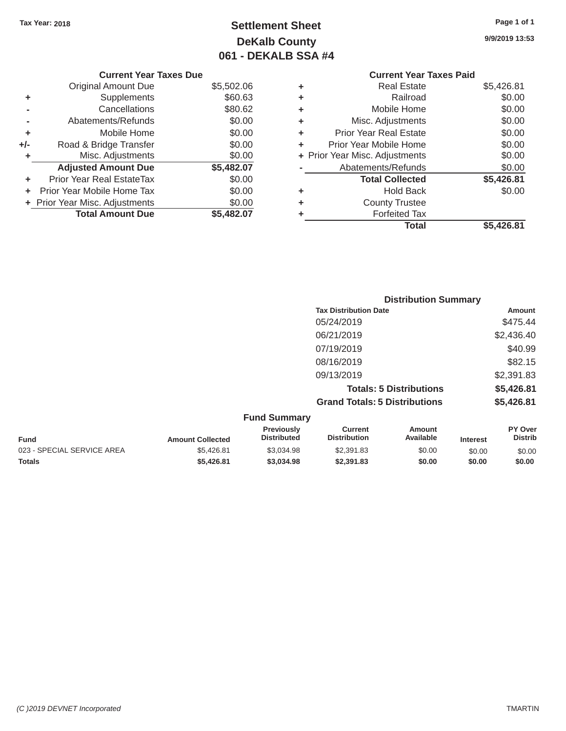**Current Year Taxes Due** 

Adjusted Amount Due \$5,482.07

**+** Prior Year Real EstateTax \$0.00 **+** Prior Year Mobile Home Tax  $$0.00$ **+** Prior Year Misc. Adjustments  $$0.00$ 

Original Amount Due

**Total Amount Due** 

**+** Supplements **-** Cancellations **-** Abatements/Refunds **+** Mobile Home **+/-** Road & Bridge Transfer **+** Misc. Adjustments

## Tax Year: 2018 **Page 1 of 1 Page 1 of 1 Settlement Sheet Page 1 of 1 Page 1 of 1 9/9/2019 13:53 DeKalb County 061 - DEKALB SSA #4**

 $$5,502.06$ 

\$5,482.07

| <b>Current Year Taxes Paid</b> |                                |
|--------------------------------|--------------------------------|
| <b>Real Estate</b>             | \$5,426.81                     |
| Railroad                       | \$0.00                         |
| Mobile Home                    | \$0.00                         |
| Misc. Adjustments              | \$0.00                         |
| <b>Prior Year Real Estate</b>  | \$0.00                         |
| Prior Year Mobile Home         | \$0.00                         |
|                                | \$0.00                         |
| Abatements/Refunds             | \$0.00                         |
| <b>Total Collected</b>         | \$5,426.81                     |
| <b>Hold Back</b>               | \$0.00                         |
| <b>County Trustee</b>          |                                |
| <b>Forfeited Tax</b>           |                                |
| Total                          | \$5.426.81                     |
|                                | + Prior Year Misc. Adjustments |

\$5,426.81 \$3,034.98 \$2,391.83 \$0.00 \$0.00 \$0.00 \$0.00 **\$5,426.81 \$3,034.98 \$2,391.83 \$0.00 \$0.00 \$0.00** 

|             |                         |                                  |                                       | <b>Distribution Summary</b>    |                 |                           |
|-------------|-------------------------|----------------------------------|---------------------------------------|--------------------------------|-----------------|---------------------------|
|             |                         |                                  | <b>Tax Distribution Date</b>          |                                |                 | Amount                    |
|             |                         |                                  | 05/24/2019                            |                                |                 | \$475.44                  |
|             |                         |                                  | 06/21/2019                            |                                |                 | \$2,436.40                |
|             |                         |                                  | 07/19/2019                            |                                |                 | \$40.99                   |
|             |                         |                                  | 08/16/2019                            |                                |                 | \$82.15                   |
|             |                         |                                  | 09/13/2019                            |                                |                 | \$2,391.83                |
|             |                         |                                  |                                       | <b>Totals: 5 Distributions</b> |                 | \$5,426.81                |
|             |                         |                                  | <b>Grand Totals: 5 Distributions</b>  |                                |                 | \$5,426.81                |
|             |                         | <b>Fund Summary</b>              |                                       |                                |                 |                           |
| <b>Fund</b> | <b>Amount Collected</b> | Previously<br><b>Distributed</b> | <b>Current</b><br><b>Distribution</b> | <b>Amount</b><br>Available     | <b>Interest</b> | PY Over<br><b>Distrib</b> |

023 - SPECIAL SERVICE AREA

**Totals**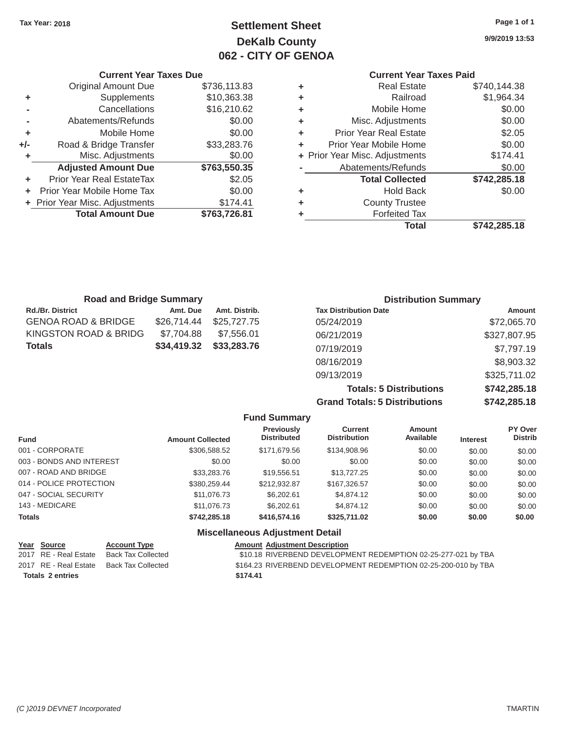## Tax Year: 2018 **Page 1 of 1 Page 1 of 1 Settlement Sheet Page 1 of 1 Page 1 of 1 9/9/2019 13:53 DeKalb County 062 - CITY OF GENOA**

#### **Current Year Taxes Due Current Year Taxes Paid Current Year Taxes Paid**

|       | OUITCHL TCUL TUACS DUC           |              |   | OUIICHL ICUI IUACO I UIU       |              |
|-------|----------------------------------|--------------|---|--------------------------------|--------------|
|       | Original Amount Due              | \$736,113.83 | ٠ | <b>Real Estate</b>             | \$740,144.38 |
| ٠     | <b>Supplements</b>               | \$10,363.38  | ٠ | Railroad                       | \$1,964.34   |
|       | Cancellations                    | \$16,210.62  | ٠ | Mobile Home                    | \$0.00       |
|       | Abatements/Refunds               | \$0.00       | ٠ | Misc. Adjustments              | \$0.00       |
|       | Mobile Home                      | \$0.00       | ٠ | <b>Prior Year Real Estate</b>  | \$2.05       |
| $+/-$ | Road & Bridge Transfer           | \$33,283.76  | ٠ | Prior Year Mobile Home         | \$0.00       |
|       | Misc. Adjustments                | \$0.00       |   | + Prior Year Misc. Adjustments | \$174.41     |
|       | <b>Adjusted Amount Due</b>       | \$763,550.35 |   | Abatements/Refunds             | \$0.00       |
| ٠     | <b>Prior Year Real EstateTax</b> | \$2.05       |   | <b>Total Collected</b>         | \$742,285.18 |
|       | Prior Year Mobile Home Tax       | \$0.00       | ٠ | <b>Hold Back</b>               | \$0.00       |
|       | + Prior Year Misc. Adjustments   | \$174.41     | ٠ | <b>County Trustee</b>          |              |
|       | <b>Total Amount Due</b>          | \$763,726.81 |   | <b>Forfeited Tax</b>           |              |
|       |                                  |              |   | <b>Total</b>                   | 471220510    |

| \$736,113.83 | ٠ | <b>Real Estate</b>            | \$740,144.38                   |
|--------------|---|-------------------------------|--------------------------------|
| \$10,363.38  | ٠ | Railroad                      | \$1,964.34                     |
| \$16,210.62  | ÷ | Mobile Home                   | \$0.00                         |
| \$0.00       | ٠ | Misc. Adjustments             | \$0.00                         |
| \$0.00       | ٠ | <b>Prior Year Real Estate</b> | \$2.05                         |
| \$33,283.76  | ÷ | Prior Year Mobile Home        | \$0.00                         |
| \$0.00       |   |                               | \$174.41                       |
| \$763,550.35 |   | Abatements/Refunds            | \$0.00                         |
| \$2.05       |   | <b>Total Collected</b>        | \$742,285.18                   |
| \$0.00       | ٠ | <b>Hold Back</b>              | \$0.00                         |
| \$174.41     | ٠ | <b>County Trustee</b>         |                                |
| \$763,726.81 |   | <b>Forfeited Tax</b>          |                                |
|              |   | <b>Total</b>                  | \$742,285.18                   |
|              |   |                               | + Prior Year Misc. Adjustments |

| <b>Road and Bridge Summary</b> |             |               | <b>Distribution Summary</b>    |              |  |
|--------------------------------|-------------|---------------|--------------------------------|--------------|--|
| <b>Rd./Br. District</b>        | Amt. Due    | Amt. Distrib. | <b>Tax Distribution Date</b>   | Amount       |  |
| GENOA ROAD & BRIDGE            | \$26,714.44 | \$25,727,75   | 05/24/2019                     | \$72,065.70  |  |
| KINGSTON ROAD & BRIDG          | \$7,704.88  | \$7,556.01    | 06/21/2019                     | \$327,807.95 |  |
| Totals                         | \$34,419.32 | \$33,283.76   | 07/19/2019                     | \$7,797.19   |  |
|                                |             |               | 08/16/2019                     | \$8,903.32   |  |
|                                |             |               | 09/13/2019                     | \$325,711.02 |  |
|                                |             |               | <b>Totals: 5 Distributions</b> | \$742,285.18 |  |

**Grand Totals: 5 Distributions \$742,285.18 Fund Summary** 

| <b>Fund</b>              | <b>Amount Collected</b> | Previously<br><b>Distributed</b>       | Current<br><b>Distribution</b> | Amount<br>Available | <b>Interest</b> | PY Over<br><b>Distrib</b> |
|--------------------------|-------------------------|----------------------------------------|--------------------------------|---------------------|-----------------|---------------------------|
| 001 - CORPORATE          | \$306,588.52            | \$171,679.56                           | \$134,908.96                   | \$0.00              | \$0.00          | \$0.00                    |
| 003 - BONDS AND INTEREST | \$0.00                  | \$0.00                                 | \$0.00                         | \$0.00              | \$0.00          | \$0.00                    |
| 007 - ROAD AND BRIDGE    | \$33,283,76             | \$19,556.51                            | \$13,727.25                    | \$0.00              | \$0.00          | \$0.00                    |
| 014 - POLICE PROTECTION  | \$380,259,44            | \$212.932.87                           | \$167,326.57                   | \$0.00              | \$0.00          | \$0.00                    |
| 047 - SOCIAL SECURITY    | \$11,076.73             | \$6,202.61                             | \$4,874.12                     | \$0.00              | \$0.00          | \$0.00                    |
| 143 - MEDICARE           | \$11,076.73             | \$6,202.61                             | \$4,874.12                     | \$0.00              | \$0.00          | \$0.00                    |
| <b>Totals</b>            | \$742,285,18            | \$416,574.16                           | \$325,711.02                   | \$0.00              | \$0.00          | \$0.00                    |
|                          |                         | <b>Miscellaneous Adiustment Detail</b> |                                |                     |                 |                           |

#### **Year Source Account Type Account Adjustment Description**<br>2017 RE - Real Estate Back Tax Collected \$10.18 RIVERBEND DEVELOPN \$10.18 RIVERBEND DEVELOPMENT REDEMPTION 02-25-277-021 by TBA 2017 RE - Real Estate Back Tax Collected \$164.23 RIVERBEND DEVELOPMENT REDEMPTION 02-25-200-010 by TBA **Totals 2 entries \$174.41**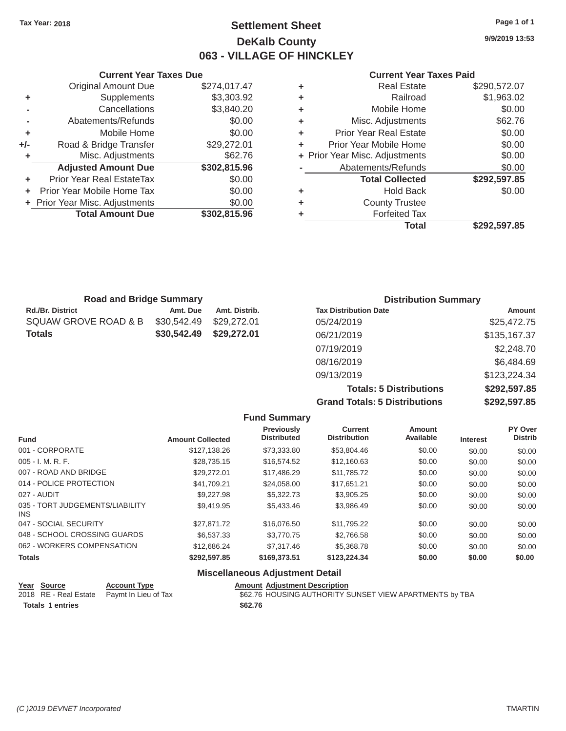### Tax Year: 2018 **Page 1 of 1 Settlement Sheet Page 1 of 1 Page 1 of 1 9/9/2019 13:53 DeKalb County 063 - VILLAGE OF HINCKLEY**

#### **Current Year Taxes Due Current Year Taxes Paid Current Year Taxes Paid Current Year Taxes Paid**

|     | <b>Original Amount Due</b>       | \$274,017.47 | ٠ | <b>Real Estate</b>             | \$290,572.07      |
|-----|----------------------------------|--------------|---|--------------------------------|-------------------|
| ٠   | Supplements                      | \$3,303.92   | ٠ | Railroad                       | \$1,963.02        |
|     | Cancellations                    | \$3,840.20   | ٠ | Mobile Home                    | \$0.00            |
|     | Abatements/Refunds               | \$0.00       | ٠ | Misc. Adjustments              | \$62.76           |
| ٠   | Mobile Home                      | \$0.00       | ÷ | <b>Prior Year Real Estate</b>  | \$0.00            |
| +/- | Road & Bridge Transfer           | \$29,272.01  | ٠ | Prior Year Mobile Home         | \$0.00            |
|     | Misc. Adjustments                | \$62.76      |   | + Prior Year Misc. Adjustments | \$0.00            |
|     | <b>Adjusted Amount Due</b>       | \$302,815.96 |   | Abatements/Refunds             | \$0.00            |
|     | <b>Prior Year Real EstateTax</b> | \$0.00       |   | <b>Total Collected</b>         | \$292,597.85      |
|     | + Prior Year Mobile Home Tax     | \$0.00       | ٠ | <b>Hold Back</b>               | \$0.00            |
|     | + Prior Year Misc. Adjustments   | \$0.00       | ٠ | <b>County Trustee</b>          |                   |
|     | <b>Total Amount Due</b>          | \$302,815.96 |   | <b>Forfeited Tax</b>           |                   |
|     |                                  |              |   |                                | $A A A A F A F A$ |

| <b>Original Amount Due</b> | \$274,017.47 | ÷ | <b>Real Estate</b>             | \$290,572.07 |
|----------------------------|--------------|---|--------------------------------|--------------|
| Supplements                | \$3,303.92   | ÷ | Railroad                       | \$1,963.02   |
| Cancellations              | \$3,840.20   | ÷ | Mobile Home                    | \$0.00       |
| Abatements/Refunds         | \$0.00       | ÷ | Misc. Adjustments              | \$62.76      |
| Mobile Home                | \$0.00       | ÷ | <b>Prior Year Real Estate</b>  | \$0.00       |
| Road & Bridge Transfer     | \$29,272.01  | ÷ | Prior Year Mobile Home         | \$0.00       |
| Misc. Adjustments          | \$62.76      |   | + Prior Year Misc. Adjustments | \$0.00       |
| <b>Adjusted Amount Due</b> | \$302,815.96 |   | Abatements/Refunds             | \$0.00       |
| ior Year Real EstateTax    | \$0.00       |   | <b>Total Collected</b>         | \$292,597.85 |
| r Year Mobile Home Tax     | \$0.00       | ÷ | <b>Hold Back</b>               | \$0.00       |
| Year Misc. Adjustments     | \$0.00       | ٠ | <b>County Trustee</b>          |              |
| <b>Total Amount Due</b>    | \$302,815.96 | ٠ | <b>Forfeited Tax</b>           |              |
|                            |              |   | <b>Total</b>                   | \$292,597.85 |

| <b>Road and Bridge Summary</b> |             |               | <b>Distribution Summary</b>  |              |  |
|--------------------------------|-------------|---------------|------------------------------|--------------|--|
| Rd./Br. District               | Amt. Due    | Amt. Distrib. | <b>Tax Distribution Date</b> | Amount       |  |
| SQUAW GROVE ROAD & B           | \$30,542.49 | \$29,272.01   | 05/24/2019                   | \$25,472.75  |  |
| Totals                         | \$30,542.49 | \$29,272.01   | 06/21/2019                   | \$135,167.37 |  |
|                                |             |               | 07/19/2019                   | \$2,248.70   |  |
|                                |             |               | 08/16/2019                   | \$6,484.69   |  |
|                                |             |               | 09/13/2019                   | \$123,224.34 |  |

**Totals: 5 Distributions \$292,597.85 Grand Totals: 5 Distributions \$292,597.85**

| <b>Fund Summary</b>                     |                         |                                         |                                       |                            |                 |                           |
|-----------------------------------------|-------------------------|-----------------------------------------|---------------------------------------|----------------------------|-----------------|---------------------------|
| <b>Fund</b>                             | <b>Amount Collected</b> | <b>Previously</b><br><b>Distributed</b> | <b>Current</b><br><b>Distribution</b> | <b>Amount</b><br>Available | <b>Interest</b> | PY Over<br><b>Distrib</b> |
| 001 - CORPORATE                         | \$127,138.26            | \$73,333.80                             | \$53,804.46                           | \$0.00                     | \$0.00          | \$0.00                    |
| $005 - I. M. R. F.$                     | \$28,735.15             | \$16,574.52                             | \$12,160.63                           | \$0.00                     | \$0.00          | \$0.00                    |
| 007 - ROAD AND BRIDGE                   | \$29,272.01             | \$17,486.29                             | \$11.785.72                           | \$0.00                     | \$0.00          | \$0.00                    |
| 014 - POLICE PROTECTION                 | \$41,709.21             | \$24,058.00                             | \$17.651.21                           | \$0.00                     | \$0.00          | \$0.00                    |
| 027 - AUDIT                             | \$9,227.98              | \$5,322,73                              | \$3,905.25                            | \$0.00                     | \$0.00          | \$0.00                    |
| 035 - TORT JUDGEMENTS/LIABILITY<br>INS. | \$9.419.95              | \$5,433,46                              | \$3,986.49                            | \$0.00                     | \$0.00          | \$0.00                    |
| 047 - SOCIAL SECURITY                   | \$27,871.72             | \$16,076.50                             | \$11,795.22                           | \$0.00                     | \$0.00          | \$0.00                    |
| 048 - SCHOOL CROSSING GUARDS            | \$6,537,33              | \$3,770.75                              | \$2,766.58                            | \$0.00                     | \$0.00          | \$0.00                    |
| 062 - WORKERS COMPENSATION              | \$12,686.24             | \$7,317.46                              | \$5,368.78                            | \$0.00                     | \$0.00          | \$0.00                    |
| <b>Totals</b>                           | \$292,597.85            | \$169,373.51                            | \$123,224.34                          | \$0.00                     | \$0.00          | \$0.00                    |

#### **Miscellaneous Adjustment Detail**

| <u>Year Source</u>      | <b>Account Type</b>                        | <b>Amount Adiustment Description</b>                    |
|-------------------------|--------------------------------------------|---------------------------------------------------------|
|                         | 2018 RE - Real Estate Paymt In Lieu of Tax | \$62.76 HOUSING AUTHORITY SUNSET VIEW APARTMENTS by TBA |
| <b>Totals 1 entries</b> |                                            | \$62.76                                                 |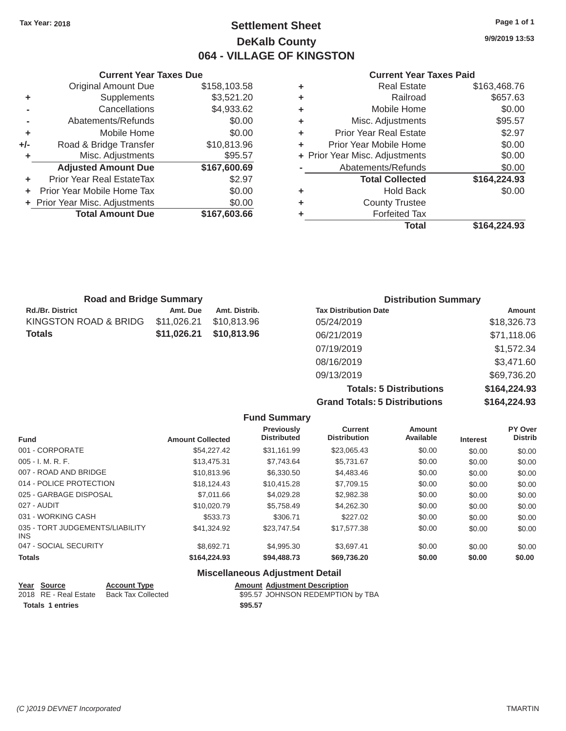### Tax Year: 2018 **Page 1 of 1 Settlement Sheet Page 1 of 1 Page 1 of 1 9/9/2019 13:53 DeKalb County 064 - VILLAGE OF KINGSTON**

|         | Gurrent rear laxes Due         |              |    | Gurrent rear Taxes Palu        |              |
|---------|--------------------------------|--------------|----|--------------------------------|--------------|
|         | <b>Original Amount Due</b>     | \$158,103.58 |    | <b>Real Estate</b>             | \$163,468.76 |
| ٠       | <b>Supplements</b>             | \$3,521.20   | ٠  | Railroad                       | \$657.63     |
|         | Cancellations                  | \$4,933.62   | ٠  | Mobile Home                    | \$0.00       |
|         | Abatements/Refunds             | \$0.00       | ÷. | Misc. Adjustments              | \$95.57      |
| ٠       | Mobile Home                    | \$0.00       | ÷. | <b>Prior Year Real Estate</b>  | \$2.97       |
| $+/-$   | Road & Bridge Transfer         | \$10,813.96  |    | Prior Year Mobile Home         | \$0.00       |
|         | Misc. Adjustments              | \$95.57      |    | + Prior Year Misc. Adjustments | \$0.00       |
|         | <b>Adjusted Amount Due</b>     | \$167,600.69 |    | Abatements/Refunds             | \$0.00       |
| ÷.      | Prior Year Real EstateTax      | \$2.97       |    | <b>Total Collected</b>         | \$164,224.93 |
| $+$ $-$ | Prior Year Mobile Home Tax     | \$0.00       |    | <b>Hold Back</b>               | \$0.00       |
|         | + Prior Year Misc. Adjustments | \$0.00       |    | <b>County Trustee</b>          |              |
|         | <b>Total Amount Due</b>        | \$167,603.66 |    | <b>Forfeited Tax</b>           |              |
|         |                                |              |    |                                |              |

#### **Current Year Taxes Due Current Year Taxes Paid Current Year Taxes Paid**

| <b>Original Amount Due</b> | \$158,103.58 | ÷ | <b>Real Estate</b>             | \$163,468.76 |
|----------------------------|--------------|---|--------------------------------|--------------|
| Supplements                | \$3,521.20   | ÷ | Railroad                       | \$657.63     |
| Cancellations              | \$4,933.62   | ÷ | Mobile Home                    | \$0.00       |
| Abatements/Refunds         | \$0.00       | ÷ | Misc. Adjustments              | \$95.57      |
| Mobile Home                | \$0.00       | ÷ | <b>Prior Year Real Estate</b>  | \$2.97       |
| Road & Bridge Transfer     | \$10,813.96  | ÷ | Prior Year Mobile Home         | \$0.00       |
| Misc. Adjustments          | \$95.57      |   | + Prior Year Misc. Adjustments | \$0.00       |
| <b>Adjusted Amount Due</b> | \$167,600.69 |   | Abatements/Refunds             | \$0.00       |
| ior Year Real EstateTax    | \$2.97       |   | <b>Total Collected</b>         | \$164,224.93 |
| r Year Mobile Home Tax     | \$0.00       | ÷ | <b>Hold Back</b>               | \$0.00       |
| Year Misc. Adjustments     | \$0.00       | ÷ | <b>County Trustee</b>          |              |
| <b>Total Amount Due</b>    | \$167,603.66 | ٠ | <b>Forfeited Tax</b>           |              |
|                            |              |   | <b>Total</b>                   | \$164,224.93 |

| <b>Road and Bridge Summary</b> |             |               | <b>Distribution Summary</b>  |               |  |
|--------------------------------|-------------|---------------|------------------------------|---------------|--|
| <b>Rd./Br. District</b>        | Amt. Due    | Amt. Distrib. | <b>Tax Distribution Date</b> | <b>Amount</b> |  |
| KINGSTON ROAD & BRIDG          | \$11,026.21 | \$10,813,96   | 05/24/2019                   | \$18,326.73   |  |
| Totals                         | \$11,026.21 | \$10,813.96   | 06/21/2019                   | \$71,118.06   |  |
|                                |             |               | 07/19/2019                   | \$1,572.34    |  |
|                                |             |               | 08/16/2019                   | \$3,471.60    |  |
|                                |             |               | 09/13/2019                   | \$69,736.20   |  |

**Totals: 5 Distributions \$164,224.93 Grand Totals: 5 Distributions \$164,224.93**

|                                               |                         | <b>Fund Summary</b>                     |                                |                            |                 |                           |
|-----------------------------------------------|-------------------------|-----------------------------------------|--------------------------------|----------------------------|-----------------|---------------------------|
| <b>Fund</b>                                   | <b>Amount Collected</b> | <b>Previously</b><br><b>Distributed</b> | Current<br><b>Distribution</b> | <b>Amount</b><br>Available | <b>Interest</b> | PY Over<br><b>Distrib</b> |
| 001 - CORPORATE                               | \$54,227,42             | \$31.161.99                             | \$23,065.43                    | \$0.00                     | \$0.00          | \$0.00                    |
| $005 - I. M. R. F.$                           | \$13,475.31             | \$7,743.64                              | \$5,731.67                     | \$0.00                     | \$0.00          | \$0.00                    |
| 007 - ROAD AND BRIDGE                         | \$10,813.96             | \$6,330.50                              | \$4,483.46                     | \$0.00                     | \$0.00          | \$0.00                    |
| 014 - POLICE PROTECTION                       | \$18,124.43             | \$10,415.28                             | \$7,709.15                     | \$0.00                     | \$0.00          | \$0.00                    |
| 025 - GARBAGE DISPOSAL                        | \$7,011.66              | \$4,029.28                              | \$2,982.38                     | \$0.00                     | \$0.00          | \$0.00                    |
| 027 - AUDIT                                   | \$10,020.79             | \$5.758.49                              | \$4,262.30                     | \$0.00                     | \$0.00          | \$0.00                    |
| 031 - WORKING CASH                            | \$533.73                | \$306.71                                | \$227.02                       | \$0.00                     | \$0.00          | \$0.00                    |
| 035 - TORT JUDGEMENTS/LIABILITY<br><b>INS</b> | \$41.324.92             | \$23,747.54                             | \$17,577.38                    | \$0.00                     | \$0.00          | \$0.00                    |
| 047 - SOCIAL SECURITY                         | \$8.692.71              | \$4,995.30                              | \$3,697.41                     | \$0.00                     | \$0.00          | \$0.00                    |
| <b>Totals</b>                                 | \$164,224.93            | \$94,488.73                             | \$69,736.20                    | \$0.00                     | \$0.00          | \$0.00                    |
|                                               | --- --                  |                                         |                                |                            |                 |                           |

#### **Miscellaneous Adjustment Detail**

| Year Source             | <b>Account Type</b>       | <b>Amount Adjustment Description</b> |
|-------------------------|---------------------------|--------------------------------------|
| 2018 RE - Real Estate   | <b>Back Tax Collected</b> | \$95.57 JOHNSON REDEMPTION by TBA    |
| <b>Totals 1 entries</b> |                           | \$95.57                              |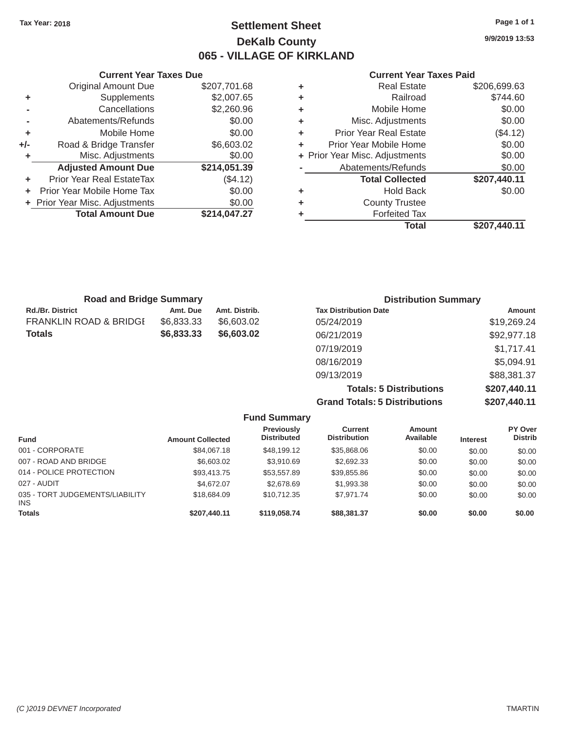## Tax Year: 2018 **Page 1 of 1 Page 1 of 1 Settlement Sheet Page 1 of 1 Page 1 of 1 9/9/2019 13:53 DeKalb County 065 - VILLAGE OF KIRKLAND**

### **Current Year Taxes Due Current Year Taxes Paid Current Year Taxes Paid**

|     | <b>Original Amount Due</b>     | \$207,701.68 | ٠ | <b>Real Estate</b>             | \$206,699.63 |
|-----|--------------------------------|--------------|---|--------------------------------|--------------|
| ٠   | Supplements                    | \$2,007.65   | ٠ | Railroad                       | \$744.60     |
|     | Cancellations                  | \$2,260.96   | ٠ | Mobile Home                    | \$0.00       |
|     | Abatements/Refunds             | \$0.00       | ٠ | Misc. Adjustments              | \$0.00       |
| ٠   | Mobile Home                    | \$0.00       | ٠ | <b>Prior Year Real Estate</b>  | (\$4.12)     |
| +/- | Road & Bridge Transfer         | \$6,603.02   | ٠ | Prior Year Mobile Home         | \$0.00       |
|     | Misc. Adjustments              | \$0.00       |   | + Prior Year Misc. Adjustments | \$0.00       |
|     | <b>Adjusted Amount Due</b>     | \$214,051.39 |   | Abatements/Refunds             | \$0.00       |
|     | Prior Year Real EstateTax      | (\$4.12)     |   | <b>Total Collected</b>         | \$207,440.11 |
|     | Prior Year Mobile Home Tax     | \$0.00       | ٠ | <b>Hold Back</b>               | \$0.00       |
|     | + Prior Year Misc. Adjustments | \$0.00       | ٠ | <b>County Trustee</b>          |              |
|     | <b>Total Amount Due</b>        | \$214,047.27 |   | <b>Forfeited Tax</b>           |              |
|     |                                |              |   | <b>Total</b>                   | \$207,440.11 |

| Current rear                   |   |              | Gurrent rear laxes Due         |       |
|--------------------------------|---|--------------|--------------------------------|-------|
| <b>Real Estate</b>             | ٠ | \$207,701.68 | <b>Original Amount Due</b>     |       |
| Railroad                       | ÷ | \$2,007.65   | Supplements                    | ÷     |
| Mobile Home                    | ÷ | \$2,260.96   | Cancellations                  |       |
| Misc. Adjustments              | ٠ | \$0.00       | Abatements/Refunds             |       |
| <b>Prior Year Real Estate</b>  | ÷ | \$0.00       | Mobile Home                    | ÷     |
| Prior Year Mobile Home         | ÷ | \$6,603.02   | Road & Bridge Transfer         | $+/-$ |
| + Prior Year Misc. Adjustments |   | \$0.00       | Misc. Adjustments              |       |
| Abatements/Refunds             |   | \$214,051.39 | <b>Adjusted Amount Due</b>     |       |
| <b>Total Collected</b>         |   | (\$4.12)     | Prior Year Real EstateTax      |       |
| <b>Hold Back</b>               | ٠ | \$0.00       | Prior Year Mobile Home Tax     |       |
| <b>County Trustee</b>          | ٠ | \$0.00       | + Prior Year Misc. Adjustments |       |
| Forfeited Tax                  |   | \$214,047.27 | <b>Total Amount Due</b>        |       |
|                                |   |              |                                |       |

| <b>Road and Bridge Summary</b> |            |               | <b>Distribution Summary</b>    |              |  |
|--------------------------------|------------|---------------|--------------------------------|--------------|--|
| <b>Rd./Br. District</b>        | Amt. Due   | Amt. Distrib. | <b>Tax Distribution Date</b>   | Amount       |  |
| FRANKLIN ROAD & BRIDGI         | \$6,833.33 | \$6,603.02    | 05/24/2019                     | \$19,269.24  |  |
| Totals                         | \$6,833.33 | \$6,603.02    | 06/21/2019                     | \$92,977.18  |  |
|                                |            |               | 07/19/2019                     | \$1,717.41   |  |
|                                |            |               | 08/16/2019                     | \$5,094.91   |  |
|                                |            |               | 09/13/2019                     | \$88,381.37  |  |
|                                |            |               | <b>Totals: 5 Distributions</b> | \$207,440.11 |  |
|                                |            |               |                                |              |  |

**Grand Totals: 5 Distributions \$207,440.11** 

| <b>Fund Summary</b>                           |                         |                                  |                                |                            |                 |                           |  |  |
|-----------------------------------------------|-------------------------|----------------------------------|--------------------------------|----------------------------|-----------------|---------------------------|--|--|
| <b>Fund</b>                                   | <b>Amount Collected</b> | Previously<br><b>Distributed</b> | Current<br><b>Distribution</b> | <b>Amount</b><br>Available | <b>Interest</b> | PY Over<br><b>Distrib</b> |  |  |
| 001 - CORPORATE                               | \$84,067.18             | \$48,199,12                      | \$35,868.06                    | \$0.00                     | \$0.00          | \$0.00                    |  |  |
| 007 - ROAD AND BRIDGE                         | \$6,603.02              | \$3,910.69                       | \$2,692.33                     | \$0.00                     | \$0.00          | \$0.00                    |  |  |
| 014 - POLICE PROTECTION                       | \$93,413.75             | \$53,557.89                      | \$39,855.86                    | \$0.00                     | \$0.00          | \$0.00                    |  |  |
| 027 - AUDIT                                   | \$4,672,07              | \$2,678.69                       | \$1,993.38                     | \$0.00                     | \$0.00          | \$0.00                    |  |  |
| 035 - TORT JUDGEMENTS/LIABILITY<br><b>INS</b> | \$18,684.09             | \$10.712.35                      | \$7.971.74                     | \$0.00                     | \$0.00          | \$0.00                    |  |  |
| <b>Totals</b>                                 | \$207,440.11            | \$119,058,74                     | \$88,381.37                    | \$0.00                     | \$0.00          | \$0.00                    |  |  |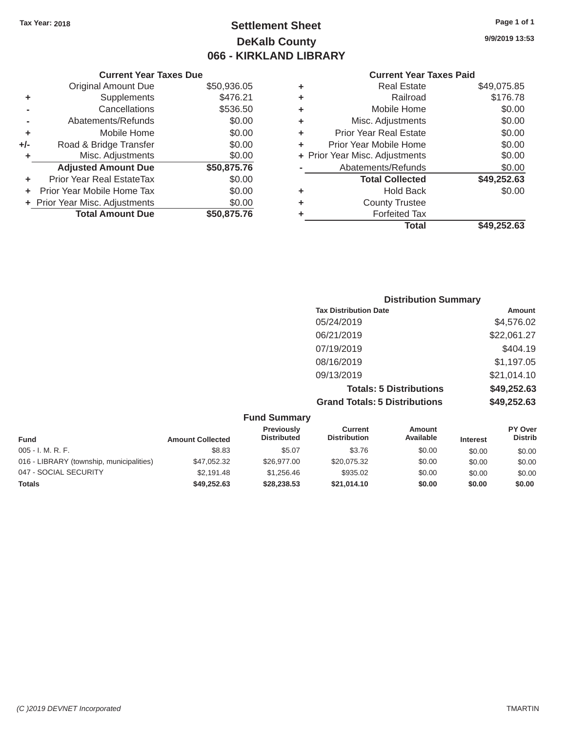## Tax Year: 2018 **Page 1 of 1 Settlement Sheet Page 1 of 1 Page 1 of 1 9/9/2019 13:53 DeKalb County 066 - KIRKLAND LIBRARY**

#### **Current Year Taxes Due Current Year Taxes Paid Current Year Taxes Paid**

|     | Original Amount Due            | \$50,936.05 | ٠ | <b>Real Estate</b>             | \$49,075.85 |  |
|-----|--------------------------------|-------------|---|--------------------------------|-------------|--|
| ٠   | Supplements                    | \$476.21    | ٠ | Railroad                       | \$176.78    |  |
|     | Cancellations                  | \$536.50    | ٠ | Mobile Home                    | \$0.00      |  |
|     | Abatements/Refunds             | \$0.00      | ٠ | Misc. Adjustments              | \$0.00      |  |
| ٠   | Mobile Home                    | \$0.00      | ٠ | <b>Prior Year Real Estate</b>  | \$0.00      |  |
| +/- | Road & Bridge Transfer         | \$0.00      |   | Prior Year Mobile Home         | \$0.00      |  |
|     | Misc. Adjustments              | \$0.00      |   | + Prior Year Misc. Adjustments | \$0.00      |  |
|     | <b>Adjusted Amount Due</b>     | \$50,875.76 |   | Abatements/Refunds             | \$0.00      |  |
|     | Prior Year Real EstateTax      | \$0.00      |   | <b>Total Collected</b>         | \$49,252.63 |  |
|     | Prior Year Mobile Home Tax     | \$0.00      | ٠ | <b>Hold Back</b>               | \$0.00      |  |
|     | + Prior Year Misc. Adjustments | \$0.00      | ٠ | <b>County Trustee</b>          |             |  |
|     | <b>Total Amount Due</b>        | \$50,875.76 |   | <b>Forfeited Tax</b>           |             |  |
|     |                                |             |   |                                |             |  |

| \$49,075.85 | <b>Real Estate</b>             | ÷ | \$50,936.05 | <b>Original Amount Due</b> |
|-------------|--------------------------------|---|-------------|----------------------------|
| \$176.78    | Railroad                       | ٠ | \$476.21    | <b>Supplements</b>         |
| \$0.00      | Mobile Home                    | ٠ | \$536.50    | Cancellations              |
| \$0.00      | Misc. Adjustments              | ÷ | \$0.00      | Abatements/Refunds         |
| \$0.00      | <b>Prior Year Real Estate</b>  | ٠ | \$0.00      | Mobile Home                |
| \$0.00      | Prior Year Mobile Home         | ٠ | \$0.00      | Road & Bridge Transfer     |
| \$0.00      | + Prior Year Misc. Adjustments |   | \$0.00      | Misc. Adjustments          |
| \$0.00      | Abatements/Refunds             |   | \$50,875.76 | <b>Adjusted Amount Due</b> |
| \$49,252.63 | <b>Total Collected</b>         |   | \$0.00      | ior Year Real EstateTax    |
| \$0.00      | <b>Hold Back</b>               | ٠ | \$0.00      | r Year Mobile Home Tax     |
|             | <b>County Trustee</b>          | ٠ | \$0.00      | Year Misc. Adjustments     |
|             | <b>Forfeited Tax</b>           | ٠ | \$50,875.76 | <b>Total Amount Due</b>    |
| \$49,252.63 | <b>Total</b>                   |   |             |                            |
|             |                                |   |             |                            |

| <b>Distribution Summary</b>          |             |
|--------------------------------------|-------------|
| <b>Tax Distribution Date</b>         | Amount      |
| 05/24/2019                           | \$4,576.02  |
| 06/21/2019                           | \$22,061.27 |
| 07/19/2019                           | \$404.19    |
| 08/16/2019                           | \$1,197.05  |
| 09/13/2019                           | \$21,014.10 |
| <b>Totals: 5 Distributions</b>       | \$49,252.63 |
| <b>Grand Totals: 5 Distributions</b> | \$49,252.63 |

| <b>Fund Summary</b>                      |                         |                                         |                                |                            |                 |                                  |  |
|------------------------------------------|-------------------------|-----------------------------------------|--------------------------------|----------------------------|-----------------|----------------------------------|--|
| <b>Fund</b>                              | <b>Amount Collected</b> | <b>Previously</b><br><b>Distributed</b> | Current<br><b>Distribution</b> | <b>Amount</b><br>Available | <b>Interest</b> | <b>PY Over</b><br><b>Distrib</b> |  |
| $005 - I. M. R. F.$                      | \$8.83                  | \$5.07                                  | \$3.76                         | \$0.00                     | \$0.00          | \$0.00                           |  |
| 016 - LIBRARY (township, municipalities) | \$47,052.32             | \$26,977.00                             | \$20,075.32                    | \$0.00                     | \$0.00          | \$0.00                           |  |
| 047 - SOCIAL SECURITY                    | \$2.191.48              | \$1.256.46                              | \$935.02                       | \$0.00                     | \$0.00          | \$0.00                           |  |
| <b>Totals</b>                            | \$49,252.63             | \$28,238.53                             | \$21,014.10                    | \$0.00                     | \$0.00          | \$0.00                           |  |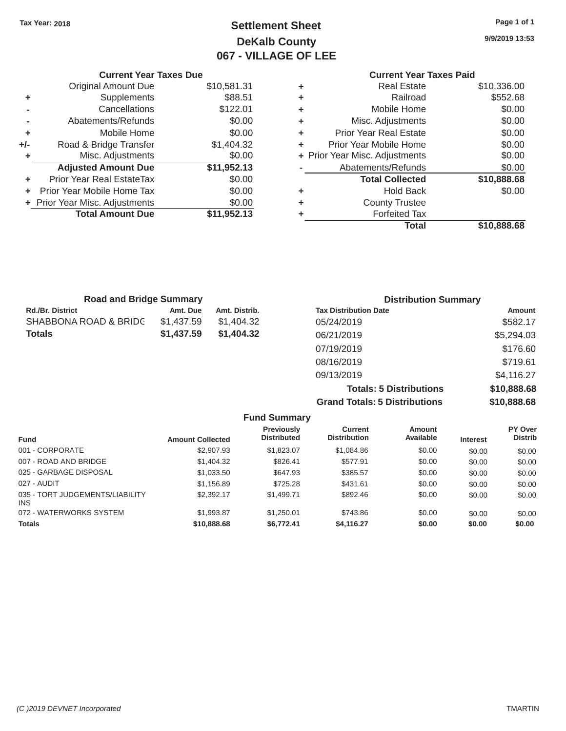## Tax Year: 2018 **Page 1 of 1 Page 1 of 1 Settlement Sheet Page 1 of 1 Page 1 of 1 9/9/2019 13:53 DeKalb County 067 - VILLAGE OF LEE**

|       | <b>Current Year Taxes Due</b>    |             |   | <b>Current Year Taxes Paid</b> |             |  |
|-------|----------------------------------|-------------|---|--------------------------------|-------------|--|
|       | Original Amount Due              | \$10,581.31 |   | <b>Real Estate</b>             | \$10,336.00 |  |
|       | Supplements                      | \$88.51     |   | Railroad                       | \$552.68    |  |
|       | Cancellations                    | \$122.01    | ٠ | Mobile Home                    | \$0.00      |  |
|       | Abatements/Refunds               | \$0.00      | ٠ | Misc. Adjustments              | \$0.00      |  |
| ٠     | Mobile Home                      | \$0.00      | ٠ | <b>Prior Year Real Estate</b>  | \$0.00      |  |
| $+/-$ | Road & Bridge Transfer           | \$1,404.32  |   | Prior Year Mobile Home         | \$0.00      |  |
|       | Misc. Adjustments                | \$0.00      |   | + Prior Year Misc. Adjustments | \$0.00      |  |
|       | <b>Adjusted Amount Due</b>       | \$11,952.13 |   | Abatements/Refunds             | \$0.00      |  |
| ٠     | <b>Prior Year Real EstateTax</b> | \$0.00      |   | <b>Total Collected</b>         | \$10,888.68 |  |
| ÷.    | Prior Year Mobile Home Tax       | \$0.00      | ٠ | <b>Hold Back</b>               | \$0.00      |  |
|       | + Prior Year Misc. Adjustments   | \$0.00      | ٠ | <b>County Trustee</b>          |             |  |
|       | <b>Total Amount Due</b>          | \$11,952.13 |   | <b>Forfeited Tax</b>           |             |  |

## **Current Year Taxes Paid +**<br>
Real Estate \$10,336.00<br>
Railroad \$552.68 **+** Misc. Adjustments \$0.00 **+** Prior Year Real Estate \$0.00 **+** Misc. Adjustments \$0.00 **+** Prior Year Misc. Adjustments \$0.00 **Abatements/Refunds** \$0.00 **+** Prior Year Real EstateTax \$0.00 **Total Collected \$10,888.68 +** Prior Year Misc. Adjustments \$0.00 **+** County Trustee **Total Amount Due \$11,952.13 +** Forfeited Tax **Total \$10,888.68**

| <b>Road and Bridge Summary</b> |            |               | <b>Distribution Summary</b>  |            |  |  |
|--------------------------------|------------|---------------|------------------------------|------------|--|--|
| Rd./Br. District               | Amt. Due   | Amt. Distrib. | <b>Tax Distribution Date</b> | Amount     |  |  |
| SHABBONA ROAD & BRIDC          | \$1,437.59 | \$1,404.32    | 05/24/2019                   | \$582.17   |  |  |
| Totals                         | \$1,437.59 | \$1,404.32    | 06/21/2019                   | \$5,294.03 |  |  |
|                                |            |               | 07/19/2019                   | \$176.60   |  |  |
|                                |            |               | 08/16/2019                   | \$719.61   |  |  |
|                                |            |               | 09/13/2019                   | \$4,116.27 |  |  |

**Totals: 5 Distributions \$10,888.68 Grand Totals: 5 Distributions \$10,888.68**

|                                         |                         | <b>Fund Summary</b>                     |                                       |                     |                 |                           |
|-----------------------------------------|-------------------------|-----------------------------------------|---------------------------------------|---------------------|-----------------|---------------------------|
| <b>Fund</b>                             | <b>Amount Collected</b> | <b>Previously</b><br><b>Distributed</b> | <b>Current</b><br><b>Distribution</b> | Amount<br>Available | <b>Interest</b> | PY Over<br><b>Distrib</b> |
| 001 - CORPORATE                         | \$2,907.93              | \$1,823,07                              | \$1,084.86                            | \$0.00              | \$0.00          | \$0.00                    |
| 007 - ROAD AND BRIDGE                   | \$1,404.32              | \$826.41                                | \$577.91                              | \$0.00              | \$0.00          | \$0.00                    |
| 025 - GARBAGE DISPOSAL                  | \$1,033.50              | \$647.93                                | \$385.57                              | \$0.00              | \$0.00          | \$0.00                    |
| 027 - AUDIT                             | \$1,156.89              | \$725.28                                | \$431.61                              | \$0.00              | \$0.00          | \$0.00                    |
| 035 - TORT JUDGEMENTS/LIABILITY<br>INS. | \$2,392.17              | \$1,499.71                              | \$892.46                              | \$0.00              | \$0.00          | \$0.00                    |
| 072 - WATERWORKS SYSTEM                 | \$1,993.87              | \$1,250.01                              | \$743.86                              | \$0.00              | \$0.00          | \$0.00                    |
| <b>Totals</b>                           | \$10,888.68             | \$6,772.41                              | \$4,116.27                            | \$0.00              | \$0.00          | \$0.00                    |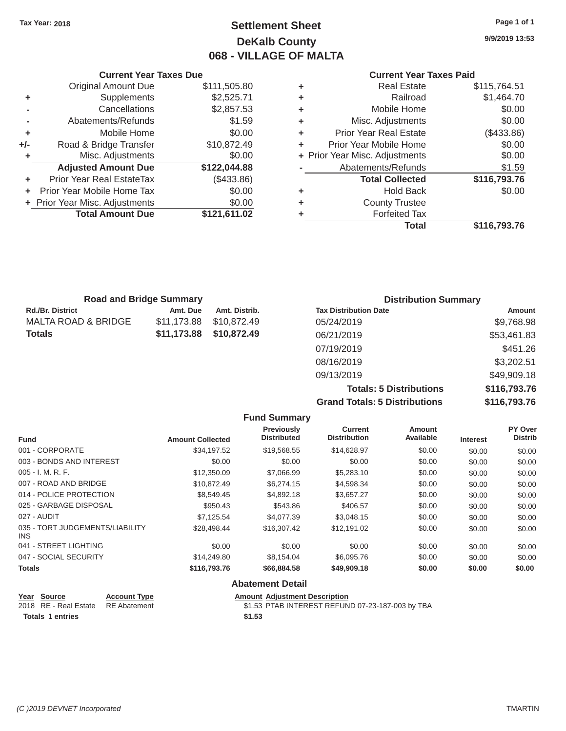## Tax Year: 2018 **Page 1 of 1 Page 1 of 1 Settlement Sheet Page 1 of 1 Page 1 of 1 9/9/2019 13:53 DeKalb County 068 - VILLAGE OF MALTA**

#### **Current Year Taxes Due Current Year Taxes Paid Current Year Taxes Paid**

|     | <b>Original Amount Due</b>       | \$111,505.80 | ٠ | <b>Real Estate</b>             | \$115,764.51                                                                             |
|-----|----------------------------------|--------------|---|--------------------------------|------------------------------------------------------------------------------------------|
| ٠   | Supplements                      | \$2,525.71   | ٠ | Railroad                       | \$1,464.70                                                                               |
|     | Cancellations                    | \$2,857.53   | ٠ | Mobile Home                    | \$0.00                                                                                   |
|     | Abatements/Refunds               | \$1.59       | ٠ | Misc. Adjustments              | \$0.00                                                                                   |
| ٠   | Mobile Home                      | \$0.00       | ٠ | <b>Prior Year Real Estate</b>  | (\$433.86)                                                                               |
| +/- | Road & Bridge Transfer           | \$10,872.49  | ٠ | Prior Year Mobile Home         | \$0.00                                                                                   |
|     | Misc. Adjustments                | \$0.00       |   | + Prior Year Misc. Adjustments | \$0.00                                                                                   |
|     | <b>Adjusted Amount Due</b>       | \$122,044.88 |   | Abatements/Refunds             | \$1.59                                                                                   |
| ٠   | <b>Prior Year Real EstateTax</b> | (\$433.86)   |   | <b>Total Collected</b>         | \$116,793.76                                                                             |
|     | Prior Year Mobile Home Tax       | \$0.00       | ٠ | <b>Hold Back</b>               | \$0.00                                                                                   |
|     | + Prior Year Misc. Adjustments   | \$0.00       | ٠ | <b>County Trustee</b>          |                                                                                          |
|     | <b>Total Amount Due</b>          | \$121,611.02 |   | <b>Forfeited Tax</b>           |                                                                                          |
|     |                                  |              |   | — <b>.</b>                     | $\begin{array}{c} \bullet & \bullet & \bullet & \bullet & \bullet & \bullet \end{array}$ |

| <b>Original Amount Due</b> | \$111,505.80 | ÷ | <b>Real Estate</b>             | \$115,764.51 |
|----------------------------|--------------|---|--------------------------------|--------------|
| Supplements                | \$2,525.71   | ÷ | Railroad                       | \$1,464.70   |
| Cancellations              | \$2,857.53   | ٠ | Mobile Home                    | \$0.00       |
| Abatements/Refunds         | \$1.59       | ÷ | Misc. Adjustments              | \$0.00       |
| Mobile Home                | \$0.00       | ÷ | <b>Prior Year Real Estate</b>  | (\$433.86)   |
| Road & Bridge Transfer     | \$10,872.49  | ÷ | Prior Year Mobile Home         | \$0.00       |
| Misc. Adjustments          | \$0.00       |   | + Prior Year Misc. Adjustments | \$0.00       |
| <b>Adjusted Amount Due</b> | \$122,044.88 |   | Abatements/Refunds             | \$1.59       |
| ior Year Real EstateTax    | (\$433.86)   |   | <b>Total Collected</b>         | \$116,793.76 |
| r Year Mobile Home Tax     | \$0.00       | ÷ | <b>Hold Back</b>               | \$0.00       |
| Year Misc. Adjustments     | \$0.00       | ٠ | <b>County Trustee</b>          |              |
| <b>Total Amount Due</b>    | \$121,611.02 | ٠ | <b>Forfeited Tax</b>           |              |
|                            |              |   | <b>Total</b>                   | \$116,793.76 |

| <b>Road and Bridge Summary</b> |             |               | <b>Distribution Summary</b>  |             |  |
|--------------------------------|-------------|---------------|------------------------------|-------------|--|
| <b>Rd./Br. District</b>        | Amt. Due    | Amt. Distrib. | <b>Tax Distribution Date</b> | Amount      |  |
| MALTA ROAD & BRIDGE            | \$11,173.88 | \$10,872.49   | 05/24/2019                   | \$9,768.98  |  |
| <b>Totals</b>                  | \$11,173.88 | \$10,872.49   | 06/21/2019                   | \$53,461.83 |  |
|                                |             |               | 07/19/2019                   | \$451.26    |  |
|                                |             |               | 08/16/2019                   | \$3,202.51  |  |
|                                |             |               | 09/13/2019                   | \$49,909.18 |  |

**Totals: 5 Distributions \$116,793.76 Grand Totals: 5 Distributions \$116,793.76** 

|                                               |                         | <b>Fund Summary</b>                     |                                |                            |                 |                           |
|-----------------------------------------------|-------------------------|-----------------------------------------|--------------------------------|----------------------------|-----------------|---------------------------|
| <b>Fund</b>                                   | <b>Amount Collected</b> | <b>Previously</b><br><b>Distributed</b> | Current<br><b>Distribution</b> | <b>Amount</b><br>Available | <b>Interest</b> | PY Over<br><b>Distrib</b> |
| 001 - CORPORATE                               | \$34,197.52             | \$19,568.55                             | \$14,628.97                    | \$0.00                     | \$0.00          | \$0.00                    |
| 003 - BONDS AND INTEREST                      | \$0.00                  | \$0.00                                  | \$0.00                         | \$0.00                     | \$0.00          | \$0.00                    |
| $005 - I. M. R. F.$                           | \$12,350.09             | \$7,066.99                              | \$5,283.10                     | \$0.00                     | \$0.00          | \$0.00                    |
| 007 - ROAD AND BRIDGE                         | \$10,872.49             | \$6,274.15                              | \$4,598.34                     | \$0.00                     | \$0.00          | \$0.00                    |
| 014 - POLICE PROTECTION                       | \$8,549.45              | \$4,892.18                              | \$3,657.27                     | \$0.00                     | \$0.00          | \$0.00                    |
| 025 - GARBAGE DISPOSAL                        | \$950.43                | \$543.86                                | \$406.57                       | \$0.00                     | \$0.00          | \$0.00                    |
| 027 - AUDIT                                   | \$7,125.54              | \$4,077.39                              | \$3,048.15                     | \$0.00                     | \$0.00          | \$0.00                    |
| 035 - TORT JUDGEMENTS/LIABILITY<br><b>INS</b> | \$28,498,44             | \$16,307.42                             | \$12.191.02                    | \$0.00                     | \$0.00          | \$0.00                    |
| 041 - STREET LIGHTING                         | \$0.00                  | \$0.00                                  | \$0.00                         | \$0.00                     | \$0.00          | \$0.00                    |
| 047 - SOCIAL SECURITY                         | \$14,249.80             | \$8,154.04                              | \$6,095.76                     | \$0.00                     | \$0.00          | \$0.00                    |
| <b>Totals</b>                                 | \$116,793.76            | \$66,884.58                             | \$49,909.18                    | \$0.00                     | \$0.00          | \$0.00                    |

| Year Source                        | <b>Account Type</b> | <b>Amount Adjustment Description</b>             |
|------------------------------------|---------------------|--------------------------------------------------|
| 2018 RE - Real Estate RE Abatement |                     | \$1.53 PTAB INTEREST REFUND 07-23-187-003 by TBA |
| Totals 1 entries                   |                     | \$1.53                                           |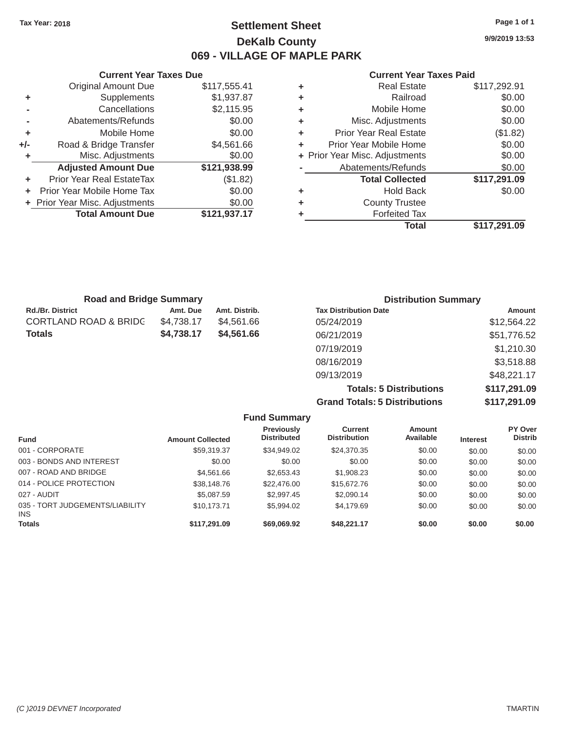### Tax Year: 2018 **Page 1 of 1 Settlement Sheet Page 1 of 1 Page 1 of 1 9/9/2019 13:53 DeKalb County 069 - VILLAGE OF MAPLE PARK**

|       | <b>Current Year Taxes Due</b>  |              |   | <b>Current Year Taxes Paid</b> |                        |  |
|-------|--------------------------------|--------------|---|--------------------------------|------------------------|--|
|       | Original Amount Due            | \$117,555.41 | ٠ | <b>Real Estate</b>             | \$117,292.91           |  |
|       | Supplements                    | \$1,937.87   | ٠ | Railroad                       | \$0.00                 |  |
|       | Cancellations                  | \$2,115.95   | ٠ | Mobile Home                    | \$0.00                 |  |
|       | Abatements/Refunds             | \$0.00       | ٠ | Misc. Adjustments              | \$0.00                 |  |
| ٠     | Mobile Home                    | \$0.00       | ٠ | <b>Prior Year Real Estate</b>  | (\$1.82)               |  |
| $+/-$ | Road & Bridge Transfer         | \$4,561.66   | ٠ | Prior Year Mobile Home         | \$0.00                 |  |
|       | Misc. Adjustments              | \$0.00       |   | + Prior Year Misc. Adjustments | \$0.00                 |  |
|       | <b>Adjusted Amount Due</b>     | \$121,938.99 |   | Abatements/Refunds             | \$0.00                 |  |
| ٠     | Prior Year Real EstateTax      | (\$1.82)     |   | <b>Total Collected</b>         | \$117,291.09           |  |
| ÷.    | Prior Year Mobile Home Tax     | \$0.00       | ٠ | <b>Hold Back</b>               | \$0.00                 |  |
|       | + Prior Year Misc. Adjustments | \$0.00       | ٠ | <b>County Trustee</b>          |                        |  |
|       | <b>Total Amount Due</b>        | \$121,937.17 |   | <b>Forfeited Tax</b>           |                        |  |
|       |                                |              |   |                                | * <i>* *</i> = * * * * |  |

#### **Current Year Taxes Paid**

|                            |              |   | <b>Total</b>                   | \$117,291.09 |
|----------------------------|--------------|---|--------------------------------|--------------|
| <b>Total Amount Due</b>    | \$121,937.17 | ٠ | <b>Forfeited Tax</b>           |              |
| Year Misc. Adjustments     | \$0.00       | ٠ | <b>County Trustee</b>          |              |
| r Year Mobile Home Tax     | \$0.00       | ٠ | <b>Hold Back</b>               | \$0.00       |
| ior Year Real EstateTax    | (\$1.82)     |   | <b>Total Collected</b>         | \$117,291.09 |
| <b>Adjusted Amount Due</b> | \$121,938.99 |   | Abatements/Refunds             | \$0.00       |
| Misc. Adjustments          | \$0.00       |   | + Prior Year Misc. Adjustments | \$0.00       |
| Road & Bridge Transfer     | \$4,561.66   | ÷ | Prior Year Mobile Home         | \$0.00       |
| Mobile Home                | \$0.00       | ÷ | <b>Prior Year Real Estate</b>  | (\$1.82)     |
| Abatements/Refunds         | \$0.00       | ٠ | Misc. Adjustments              | \$0.00       |
| Cancellations              | \$2,115.95   | ٠ | Mobile Home                    | \$0.00       |
| Supplements                | \$1,937.87   | ٠ | Railroad                       | \$0.00       |
| <b>Original Amount Due</b> | \$117,555.41 | ÷ | <b>Real Estate</b>             | \$117,292.91 |

| <b>Road and Bridge Summary</b>   |            |               | <b>Distribution Summary</b>  |             |  |
|----------------------------------|------------|---------------|------------------------------|-------------|--|
| <b>Rd./Br. District</b>          | Amt. Due   | Amt. Distrib. | <b>Tax Distribution Date</b> | Amount      |  |
| <b>CORTLAND ROAD &amp; BRIDC</b> | \$4,738.17 | \$4.561.66    | 05/24/2019                   | \$12,564.22 |  |
| <b>Totals</b>                    | \$4,738.17 | \$4,561,66    | 06/21/2019                   | \$51,776.52 |  |
|                                  |            |               | 07/19/2019                   | \$1,210.30  |  |
|                                  |            |               | 08/16/2019                   | \$3,518.88  |  |
|                                  |            |               | 09/13/2019                   | \$48,221.17 |  |

**Totals: 5 Distributions \$117,291.09 Grand Totals: 5 Distributions \$117,291.09** 

|                                               |                         | <b>Fund Summary</b>              |                                |                     |                 |                           |
|-----------------------------------------------|-------------------------|----------------------------------|--------------------------------|---------------------|-----------------|---------------------------|
| <b>Fund</b>                                   | <b>Amount Collected</b> | Previously<br><b>Distributed</b> | Current<br><b>Distribution</b> | Amount<br>Available | <b>Interest</b> | PY Over<br><b>Distrib</b> |
| 001 - CORPORATE                               | \$59,319.37             | \$34,949.02                      | \$24,370.35                    | \$0.00              | \$0.00          | \$0.00                    |
| 003 - BONDS AND INTEREST                      | \$0.00                  | \$0.00                           | \$0.00                         | \$0.00              | \$0.00          | \$0.00                    |
| 007 - ROAD AND BRIDGE                         | \$4.561.66              | \$2,653.43                       | \$1,908.23                     | \$0.00              | \$0.00          | \$0.00                    |
| 014 - POLICE PROTECTION                       | \$38,148.76             | \$22,476.00                      | \$15,672.76                    | \$0.00              | \$0.00          | \$0.00                    |
| 027 - AUDIT                                   | \$5,087.59              | \$2,997.45                       | \$2,090.14                     | \$0.00              | \$0.00          | \$0.00                    |
| 035 - TORT JUDGEMENTS/LIABILITY<br><b>INS</b> | \$10.173.71             | \$5,994.02                       | \$4,179.69                     | \$0.00              | \$0.00          | \$0.00                    |
| <b>Totals</b>                                 | \$117.291.09            | \$69,069.92                      | \$48,221.17                    | \$0.00              | \$0.00          | \$0.00                    |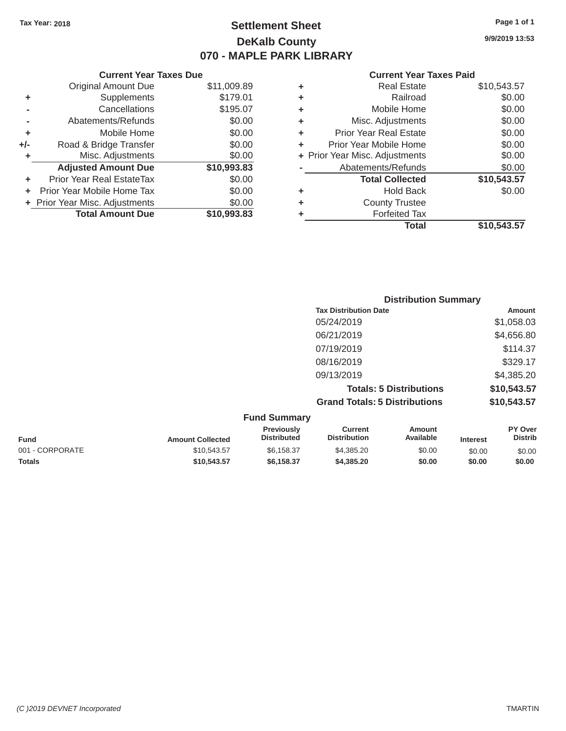## Tax Year: 2018 **Page 1 of 1 Settlement Sheet Page 1 of 1 Page 1 of 1 9/9/2019 13:53 DeKalb County 070 - MAPLE PARK LIBRARY**

|     | <b>Current Year Taxes Due</b>  |             |   | <b>Current Year Taxes Paid</b> |             |
|-----|--------------------------------|-------------|---|--------------------------------|-------------|
|     | <b>Original Amount Due</b>     | \$11,009.89 | ٠ | <b>Real Estate</b>             | \$10,543.57 |
| ٠   | Supplements                    | \$179.01    | ٠ | Railroad                       | \$0.00      |
|     | Cancellations                  | \$195.07    | ٠ | Mobile Home                    | \$0.00      |
|     | Abatements/Refunds             | \$0.00      | ٠ | Misc. Adjustments              | \$0.00      |
|     | Mobile Home                    | \$0.00      | ٠ | <b>Prior Year Real Estate</b>  | \$0.00      |
| +/- | Road & Bridge Transfer         | \$0.00      | ÷ | Prior Year Mobile Home         | \$0.00      |
|     | Misc. Adjustments              | \$0.00      |   | + Prior Year Misc. Adjustments | \$0.00      |
|     | <b>Adjusted Amount Due</b>     | \$10,993.83 |   | Abatements/Refunds             | \$0.00      |
| ٠   | Prior Year Real EstateTax      | \$0.00      |   | <b>Total Collected</b>         | \$10,543.57 |
|     | Prior Year Mobile Home Tax     | \$0.00      | ٠ | <b>Hold Back</b>               | \$0.00      |
|     | + Prior Year Misc. Adjustments | \$0.00      | ٠ | <b>County Trustee</b>          |             |
|     | <b>Total Amount Due</b>        | \$10,993.83 |   | <b>Forfeited Tax</b>           |             |
|     |                                |             |   |                                |             |

| <b>Original Amount Due</b> | \$11,009.89 | ٠ | <b>Real Estate</b>             | \$10,543.57 |
|----------------------------|-------------|---|--------------------------------|-------------|
| Supplements                | \$179.01    | ٠ | Railroad                       | \$0.00      |
| Cancellations              | \$195.07    | ٠ | Mobile Home                    | \$0.00      |
| Abatements/Refunds         | \$0.00      | ٠ | Misc. Adjustments              | \$0.00      |
| Mobile Home                | \$0.00      | ÷ | <b>Prior Year Real Estate</b>  | \$0.00      |
| Road & Bridge Transfer     | \$0.00      | ÷ | Prior Year Mobile Home         | \$0.00      |
| Misc. Adjustments          | \$0.00      |   | + Prior Year Misc. Adjustments | \$0.00      |
| <b>Adjusted Amount Due</b> | \$10,993.83 |   | Abatements/Refunds             | \$0.00      |
| ior Year Real EstateTax    | \$0.00      |   | <b>Total Collected</b>         | \$10,543.57 |
| r Year Mobile Home Tax     | \$0.00      | ÷ | <b>Hold Back</b>               | \$0.00      |
| Year Misc. Adjustments     | \$0.00      | ٠ | <b>County Trustee</b>          |             |
| <b>Total Amount Due</b>    | \$10,993.83 | ٠ | <b>Forfeited Tax</b>           |             |
|                            |             |   | <b>Total</b>                   | \$10,543.57 |

| <b>Distribution Summary</b>          |             |
|--------------------------------------|-------------|
| <b>Tax Distribution Date</b>         | Amount      |
| 05/24/2019                           | \$1,058.03  |
| 06/21/2019                           | \$4,656.80  |
| 07/19/2019                           | \$114.37    |
| 08/16/2019                           | \$329.17    |
| 09/13/2019                           | \$4,385.20  |
| <b>Totals: 5 Distributions</b>       | \$10,543.57 |
| <b>Grand Totals: 5 Distributions</b> | \$10,543.57 |

| <b>Fund Summary</b> |                         |                                         |                                |                     |                 |                                  |
|---------------------|-------------------------|-----------------------------------------|--------------------------------|---------------------|-----------------|----------------------------------|
| <b>Fund</b>         | <b>Amount Collected</b> | <b>Previously</b><br><b>Distributed</b> | Current<br><b>Distribution</b> | Amount<br>Available | <b>Interest</b> | <b>PY Over</b><br><b>Distrib</b> |
| 001 - CORPORATE     | \$10,543.57             | \$6,158.37                              | \$4,385.20                     | \$0.00              | \$0.00          | \$0.00                           |
| <b>Totals</b>       | \$10,543,57             | \$6.158.37                              | \$4,385,20                     | \$0.00              | \$0.00          | \$0.00                           |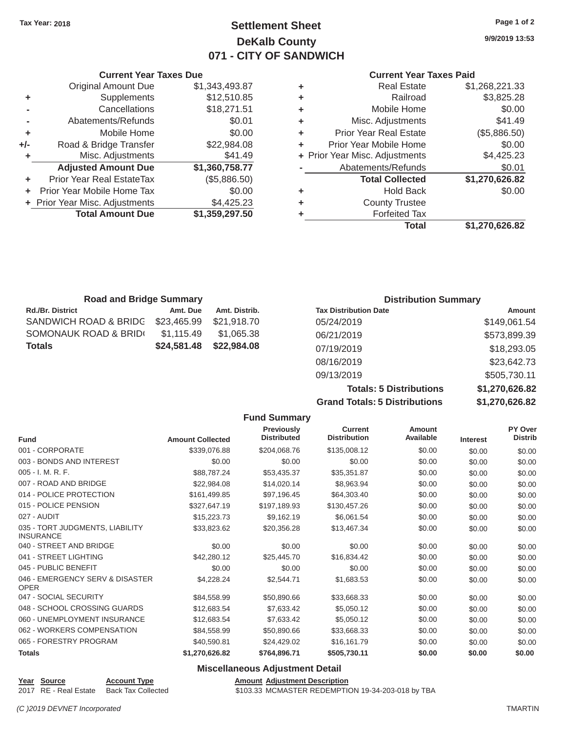### **Tax Year: 2018 Page 1 of 2 Settlement Sheet 9/9/2019 13:53 DeKalb County 071 - CITY OF SANDWICH**

#### **Current Year Taxes Due Current Year Taxes Paid**

| <b>Original Amount Due</b> | \$1,343,493.87 | ÷ | <b>Real Estate</b>             | \$1,268,221.33 |
|----------------------------|----------------|---|--------------------------------|----------------|
| Supplements                | \$12,510.85    | ÷ | Railroad                       | \$3,825.28     |
| Cancellations              | \$18,271.51    | ÷ | Mobile Home                    | \$0.00         |
| Abatements/Refunds         | \$0.01         | ÷ | Misc. Adjustments              | \$41.49        |
| Mobile Home                | \$0.00         | ÷ | <b>Prior Year Real Estate</b>  | (\$5,886.50)   |
| Road & Bridge Transfer     | \$22,984.08    | ÷ | Prior Year Mobile Home         | \$0.00         |
| Misc. Adjustments          | \$41.49        |   | + Prior Year Misc. Adjustments | \$4,425.23     |
| <b>Adjusted Amount Due</b> | \$1,360,758.77 |   | Abatements/Refunds             | \$0.01         |
| ior Year Real EstateTax    | (\$5,886.50)   |   | <b>Total Collected</b>         | \$1,270,626.82 |
| r Year Mobile Home Tax     | \$0.00         | ÷ | <b>Hold Back</b>               | \$0.00         |
| Year Misc. Adjustments     | \$4,425.23     | ÷ | <b>County Trustee</b>          |                |
| <b>Total Amount Due</b>    | \$1,359,297.50 | ٠ | <b>Forfeited Tax</b>           |                |
|                            |                |   | <b>Total</b>                   | \$1,270,626.82 |
|                            |                |   |                                |                |

|       | Current rear laxes Due         |                |   | Current rear Taxes Paid        |                |
|-------|--------------------------------|----------------|---|--------------------------------|----------------|
|       | <b>Original Amount Due</b>     | \$1,343,493.87 | ٠ | <b>Real Estate</b>             | \$1,268,221.33 |
| ٠     | Supplements                    | \$12,510.85    | ٠ | Railroad                       | \$3,825.28     |
|       | Cancellations                  | \$18,271.51    | ٠ | Mobile Home                    | \$0.00         |
|       | Abatements/Refunds             | \$0.01         | ٠ | Misc. Adjustments              | \$41.49        |
| ٠     | Mobile Home                    | \$0.00         | ٠ | <b>Prior Year Real Estate</b>  | (\$5,886.50)   |
| $+/-$ | Road & Bridge Transfer         | \$22,984.08    |   | Prior Year Mobile Home         | \$0.00         |
|       | Misc. Adjustments              | \$41.49        |   | + Prior Year Misc. Adjustments | \$4,425.23     |
|       | <b>Adjusted Amount Due</b>     | \$1,360,758.77 |   | Abatements/Refunds             | \$0.01         |
| ÷.    | Prior Year Real EstateTax      | (\$5,886.50)   |   | <b>Total Collected</b>         | \$1,270,626.82 |
| ÷.    | Prior Year Mobile Home Tax     | \$0.00         | ٠ | <b>Hold Back</b>               | \$0.00         |
|       | + Prior Year Misc. Adjustments | \$4,425.23     | ٠ | <b>County Trustee</b>          |                |
|       | <b>Total Amount Due</b>        | \$1,359,297.50 |   | <b>Forfeited Tax</b>           |                |
|       |                                |                |   |                                | <u>.</u>       |

| <b>Road and Bridge Summary</b> |             |               |                              | <b>Distribution Summary</b> |  |  |
|--------------------------------|-------------|---------------|------------------------------|-----------------------------|--|--|
| <b>Rd./Br. District</b>        | Amt. Due    | Amt. Distrib. | <b>Tax Distribution Date</b> | Amount                      |  |  |
| SANDWICH ROAD & BRIDG          | \$23,465.99 | \$21,918.70   | 05/24/2019                   | \$149,061.54                |  |  |
| SOMONAUK ROAD & BRIDI          | \$1,115.49  | \$1,065.38    | 06/21/2019                   | \$573,899.39                |  |  |
| Totals                         | \$24,581.48 | \$22,984.08   | 07/19/2019                   | \$18,293.05                 |  |  |
|                                |             |               | 08/16/2019                   | \$23,642.73                 |  |  |
|                                |             |               | 09/13/2019                   | \$505,730.11                |  |  |

**Totals: 5 Distributions \$1,270,626.82 Grand Totals: 5 Distributions \$1,270,626.82**

|                                                     |                         | <b>Fund Summary</b>                     |                                       |                     |                 |                           |
|-----------------------------------------------------|-------------------------|-----------------------------------------|---------------------------------------|---------------------|-----------------|---------------------------|
| <b>Fund</b>                                         | <b>Amount Collected</b> | <b>Previously</b><br><b>Distributed</b> | <b>Current</b><br><b>Distribution</b> | Amount<br>Available | <b>Interest</b> | PY Over<br><b>Distrib</b> |
| 001 - CORPORATE                                     | \$339,076.88            | \$204,068.76                            | \$135,008.12                          | \$0.00              | \$0.00          | \$0.00                    |
| 003 - BONDS AND INTEREST                            | \$0.00                  | \$0.00                                  | \$0.00                                | \$0.00              | \$0.00          | \$0.00                    |
| 005 - I. M. R. F.                                   | \$88.787.24             | \$53,435.37                             | \$35,351.87                           | \$0.00              | \$0.00          | \$0.00                    |
| 007 - ROAD AND BRIDGE                               | \$22,984.08             | \$14,020.14                             | \$8,963.94                            | \$0.00              | \$0.00          | \$0.00                    |
| 014 - POLICE PROTECTION                             | \$161,499.85            | \$97,196.45                             | \$64,303.40                           | \$0.00              | \$0.00          | \$0.00                    |
| 015 - POLICE PENSION                                | \$327,647.19            | \$197,189.93                            | \$130,457.26                          | \$0.00              | \$0.00          | \$0.00                    |
| 027 - AUDIT                                         | \$15,223.73             | \$9,162.19                              | \$6,061.54                            | \$0.00              | \$0.00          | \$0.00                    |
| 035 - TORT JUDGMENTS, LIABILITY<br><b>INSURANCE</b> | \$33,823.62             | \$20,356.28                             | \$13,467.34                           | \$0.00              | \$0.00          | \$0.00                    |
| 040 - STREET AND BRIDGE                             | \$0.00                  | \$0.00                                  | \$0.00                                | \$0.00              | \$0.00          | \$0.00                    |
| 041 - STREET LIGHTING                               | \$42,280.12             | \$25,445.70                             | \$16,834.42                           | \$0.00              | \$0.00          | \$0.00                    |
| 045 - PUBLIC BENEFIT                                | \$0.00                  | \$0.00                                  | \$0.00                                | \$0.00              | \$0.00          | \$0.00                    |
| 046 - EMERGENCY SERV & DISASTER<br><b>OPER</b>      | \$4,228.24              | \$2,544.71                              | \$1,683.53                            | \$0.00              | \$0.00          | \$0.00                    |
| 047 - SOCIAL SECURITY                               | \$84,558.99             | \$50,890.66                             | \$33,668.33                           | \$0.00              | \$0.00          | \$0.00                    |
| 048 - SCHOOL CROSSING GUARDS                        | \$12,683.54             | \$7,633.42                              | \$5,050.12                            | \$0.00              | \$0.00          | \$0.00                    |
| 060 - UNEMPLOYMENT INSURANCE                        | \$12.683.54             | \$7,633.42                              | \$5,050.12                            | \$0.00              | \$0.00          | \$0.00                    |
| 062 - WORKERS COMPENSATION                          | \$84,558.99             | \$50,890.66                             | \$33,668.33                           | \$0.00              | \$0.00          | \$0.00                    |
| 065 - FORESTRY PROGRAM                              | \$40,590.81             | \$24,429.02                             | \$16,161.79                           | \$0.00              | \$0.00          | \$0.00                    |
| <b>Totals</b>                                       | \$1,270,626.82          | \$764,896.71                            | \$505,730.11                          | \$0.00              | \$0.00          | \$0.00                    |
|                                                     |                         | Miccollanoous Adjustment Dotail         |                                       |                     |                 |                           |

**Miscellaneous Adjustment Detail** 

**Year Source Account Type** Account **Type** Amount Adjustment Description 2017 RE - Real Estate Back Tax Collected \$103.33 MCMASTER REDEMPTIC

\$103.33 MCMASTER REDEMPTION 19-34-203-018 by TBA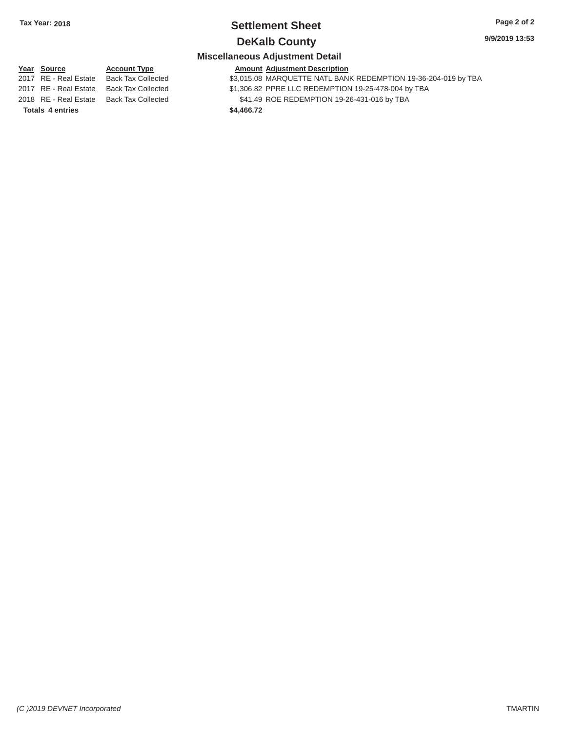# **Tax Year: 2018 Settlement Sheet Page 2 of 2**

### **DeKalb County** 9/9/2019 13:53

#### **Miscellaneous Adjustment Detail**

#### **Year Source**

**Totals 4 entries** 

2017 RE - Real Estate Back Tax Collected 2017 RE - Real Estate Back Tax Collected

2018 RE - Real Estate Back Tax Collected **Account Type** 

**Amount Adjustment Description**  \$3,015.08 MARQUETTE NATL BANK REDEMPTION 19-36-204-019 by TBA \$1,306.82 PPRE LLC REDEMPTION 19-25-478-004 by TBA

\$41.49 ROE REDEMPTION 19-26-431-016 by TBA

**\$4,466.72**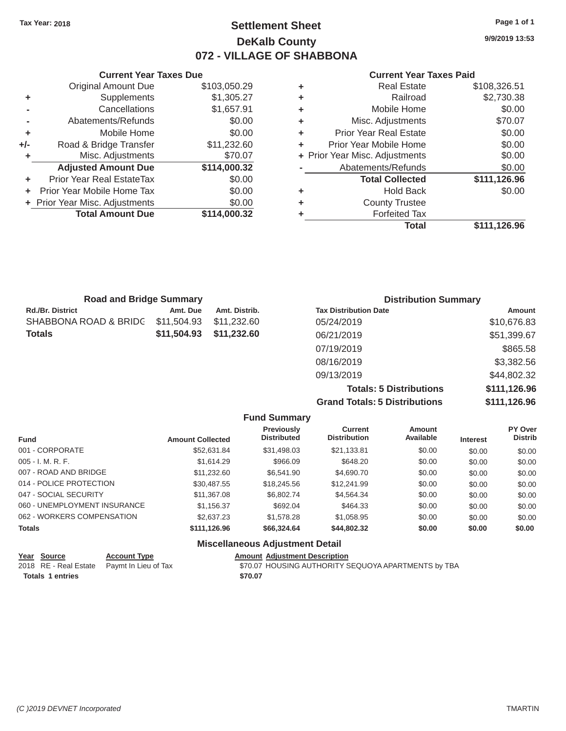### Tax Year: 2018 **Page 1 of 1 Settlement Sheet Page 1 of 1 Page 1 of 1 9/9/2019 13:53 DeKalb County 072 - VILLAGE OF SHABBONA**

#### **Current Year Taxes Due Current Year Taxes Paid Current Year Taxes Paid**

|       | Original Amount Due            | \$103,050.29 | ٠ | <b>Real Estate</b>             | \$108,326.51       |
|-------|--------------------------------|--------------|---|--------------------------------|--------------------|
|       | Supplements                    | \$1,305.27   |   | Railroad                       | \$2,730.38         |
|       | Cancellations                  | \$1,657.91   | ٠ | Mobile Home                    | \$0.00             |
|       | Abatements/Refunds             | \$0.00       | ٠ | Misc. Adjustments              | \$70.07            |
|       | Mobile Home                    | \$0.00       | ٠ | <b>Prior Year Real Estate</b>  | \$0.00             |
| $+/-$ | Road & Bridge Transfer         | \$11,232.60  | ٠ | Prior Year Mobile Home         | \$0.00             |
|       | Misc. Adjustments              | \$70.07      |   | + Prior Year Misc. Adjustments | \$0.00             |
|       | <b>Adjusted Amount Due</b>     | \$114,000.32 |   | Abatements/Refunds             | \$0.00             |
| ٠     | Prior Year Real EstateTax      | \$0.00       |   | <b>Total Collected</b>         | \$111,126.96       |
| ÷.    | Prior Year Mobile Home Tax     | \$0.00       | ٠ | <b>Hold Back</b>               | \$0.00             |
|       | + Prior Year Misc. Adjustments | \$0.00       | ٠ | <b>County Trustee</b>          |                    |
|       | <b>Total Amount Due</b>        | \$114,000.32 |   | <b>Forfeited Tax</b>           |                    |
|       |                                |              |   | 77 - A - A                     | <b>MAAA AQQ QQ</b> |

| <b>Original Amount Due</b> | \$103,050.29 | ٠ | <b>Real Estate</b>             | \$108,326.51 |
|----------------------------|--------------|---|--------------------------------|--------------|
| Supplements                | \$1,305.27   | ٠ | Railroad                       | \$2,730.38   |
| Cancellations              | \$1,657.91   | ٠ | Mobile Home                    | \$0.00       |
| Abatements/Refunds         | \$0.00       | ٠ | Misc. Adjustments              | \$70.07      |
| Mobile Home                | \$0.00       | ÷ | <b>Prior Year Real Estate</b>  | \$0.00       |
| Road & Bridge Transfer     | \$11,232.60  | ÷ | Prior Year Mobile Home         | \$0.00       |
| Misc. Adjustments          | \$70.07      |   | + Prior Year Misc. Adjustments | \$0.00       |
| <b>Adjusted Amount Due</b> | \$114,000.32 |   | Abatements/Refunds             | \$0.00       |
| ior Year Real EstateTax    | \$0.00       |   | <b>Total Collected</b>         | \$111,126.96 |
| r Year Mobile Home Tax     | \$0.00       | ٠ | <b>Hold Back</b>               | \$0.00       |
| Year Misc. Adjustments     | \$0.00       | ٠ | <b>County Trustee</b>          |              |
| <b>Total Amount Due</b>    | \$114,000.32 | ٠ | <b>Forfeited Tax</b>           |              |
|                            |              |   | <b>Total</b>                   | \$111,126.96 |
|                            |              |   |                                |              |

| <b>Road and Bridge Summary</b> |             |               | <b>Distribution Summary</b>  |             |  |
|--------------------------------|-------------|---------------|------------------------------|-------------|--|
| <b>Rd./Br. District</b>        | Amt. Due    | Amt. Distrib. | <b>Tax Distribution Date</b> | Amount      |  |
| SHABBONA ROAD & BRIDG          | \$11,504.93 | \$11.232.60   | 05/24/2019                   | \$10,676.83 |  |
| <b>Totals</b>                  | \$11,504.93 | \$11,232.60   | 06/21/2019                   | \$51,399.67 |  |
|                                |             |               | 07/19/2019                   | \$865.58    |  |
|                                |             |               | 08/16/2019                   | \$3,382.56  |  |
|                                |             |               | 09/13/2019                   | \$44,802.32 |  |
|                                |             |               |                              |             |  |

**Totals: 5 Distributions \$111,126.96 Grand Totals: 5 Distributions \$111,126.96** 

| <b>Fund Summary</b>                    |                         |                                         |                                |                     |                 |                                  |  |
|----------------------------------------|-------------------------|-----------------------------------------|--------------------------------|---------------------|-----------------|----------------------------------|--|
| <b>Fund</b>                            | <b>Amount Collected</b> | <b>Previously</b><br><b>Distributed</b> | Current<br><b>Distribution</b> | Amount<br>Available | <b>Interest</b> | <b>PY Over</b><br><b>Distrib</b> |  |
| 001 - CORPORATE                        | \$52.631.84             | \$31,498.03                             | \$21.133.81                    | \$0.00              | \$0.00          | \$0.00                           |  |
| $005 - I. M. R. F.$                    | \$1,614.29              | \$966.09                                | \$648.20                       | \$0.00              | \$0.00          | \$0.00                           |  |
| 007 - ROAD AND BRIDGE                  | \$11.232.60             | \$6,541.90                              | \$4,690.70                     | \$0.00              | \$0.00          | \$0.00                           |  |
| 014 - POLICE PROTECTION                | \$30.487.55             | \$18,245.56                             | \$12,241.99                    | \$0.00              | \$0.00          | \$0.00                           |  |
| 047 - SOCIAL SECURITY                  | \$11.367.08             | \$6,802.74                              | \$4.564.34                     | \$0.00              | \$0.00          | \$0.00                           |  |
| 060 - UNEMPLOYMENT INSURANCE           | \$1,156.37              | \$692.04                                | \$464.33                       | \$0.00              | \$0.00          | \$0.00                           |  |
| 062 - WORKERS COMPENSATION             | \$2,637.23              | \$1,578.28                              | \$1,058.95                     | \$0.00              | \$0.00          | \$0.00                           |  |
| <b>Totals</b>                          | \$111,126.96            | \$66,324,64                             | \$44,802.32                    | \$0.00              | \$0.00          | \$0.00                           |  |
| <b>Miscellaneous Adjustment Detail</b> |                         |                                         |                                |                     |                 |                                  |  |

| Year Source             | <b>Account Type</b>                        | <b>Amount Adiustment Description</b>                |
|-------------------------|--------------------------------------------|-----------------------------------------------------|
|                         | 2018 RE - Real Estate Paymt In Lieu of Tax | \$70.07 HOUSING AUTHORITY SEQUOYA APARTMENTS by TBA |
| <b>Totals 1 entries</b> |                                            | \$70.07                                             |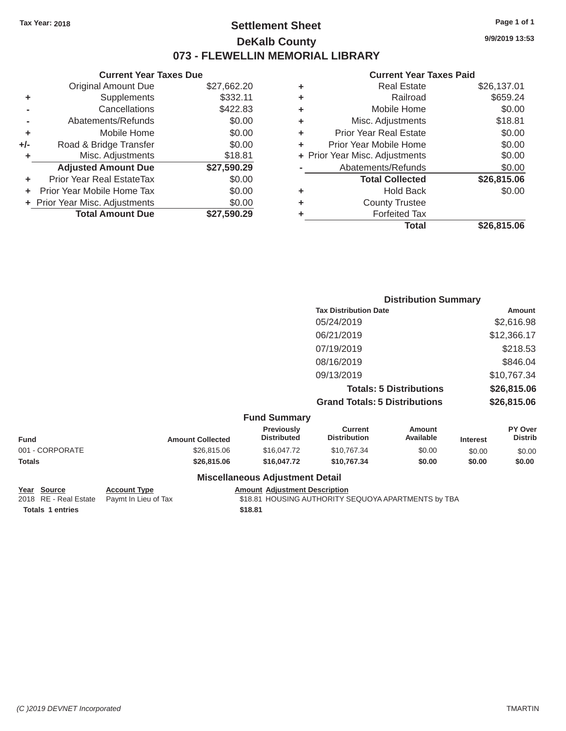### Tax Year: 2018 **Page 1 of 1 Page 1 of 1 Settlement Sheet Page 1 of 1 Page 1 of 1 9/9/2019 13:53 DeKalb County 073 - FLEWELLIN MEMORIAL LIBRARY**

### **Current Year Taxes Paid**

|       | <b>Current Year Taxes Due</b> |             |  |  |  |
|-------|-------------------------------|-------------|--|--|--|
|       | <b>Original Amount Due</b>    | \$27,662.20 |  |  |  |
| ٠     | Supplements                   | \$332.11    |  |  |  |
|       | Cancellations                 | \$422.83    |  |  |  |
|       | Abatements/Refunds            | \$0.00      |  |  |  |
| ٠     | Mobile Home                   | \$0.00      |  |  |  |
| $+/-$ | Road & Bridge Transfer        | \$0.00      |  |  |  |
| ٠     | Misc. Adjustments             | \$18.81     |  |  |  |
|       | <b>Adjusted Amount Due</b>    | \$27,590.29 |  |  |  |
| ÷     | Prior Year Real EstateTax     | \$0.00      |  |  |  |
| ÷     | Prior Year Mobile Home Tax    | \$0.00      |  |  |  |
|       | Prior Year Misc. Adjustments  | \$0.00      |  |  |  |
|       | <b>Total Amount Due</b>       | \$27.590.29 |  |  |  |
|       |                               |             |  |  |  |

|   | <b>Total</b>                   | \$26,815.06 |
|---|--------------------------------|-------------|
| ٠ | <b>Forfeited Tax</b>           |             |
| ٠ | <b>County Trustee</b>          |             |
| ٠ | <b>Hold Back</b>               | \$0.00      |
|   | <b>Total Collected</b>         | \$26,815.06 |
|   | Abatements/Refunds             | \$0.00      |
|   | + Prior Year Misc. Adjustments | \$0.00      |
| ٠ | Prior Year Mobile Home         | \$0.00      |
| ÷ | Prior Year Real Estate         | \$0.00      |
| ٠ | Misc. Adjustments              | \$18.81     |
| ٠ | Mobile Home                    | \$0.00      |
| ٠ | Railroad                       | \$659.24    |
| ٠ | <b>Real Estate</b>             | \$26,137.01 |
|   |                                |             |

|                     | <b>Distribution Summary</b>          |             |
|---------------------|--------------------------------------|-------------|
|                     | <b>Tax Distribution Date</b>         | Amount      |
|                     | 05/24/2019                           | \$2,616.98  |
|                     | 06/21/2019                           | \$12,366.17 |
|                     | 07/19/2019                           | \$218.53    |
|                     | 08/16/2019                           | \$846.04    |
|                     | 09/13/2019                           | \$10,767.34 |
|                     | <b>Totals: 5 Distributions</b>       | \$26,815.06 |
|                     | <b>Grand Totals: 5 Distributions</b> | \$26,815.06 |
| <b>Fund Summary</b> |                                      |             |

| Fund            | <b>Amount Collected</b> | <b>Previously</b><br><b>Distributed</b> | Current<br><b>Distribution</b> | Amount<br>Available | <b>Interest</b> | <b>PY Over</b><br><b>Distrib</b> |
|-----------------|-------------------------|-----------------------------------------|--------------------------------|---------------------|-----------------|----------------------------------|
| 001 - CORPORATE | \$26,815,06             | \$16,047.72                             | \$10.767.34                    | \$0.00              | \$0.00          | \$0.00                           |
| <b>Totals</b>   | \$26,815,06             | \$16,047.72                             | \$10.767.34                    | \$0.00              | \$0.00          | \$0.00                           |
|                 |                         | <b>Miscellaneous Adjustment Detail</b>  |                                |                     |                 |                                  |

# **Totals 1 entries \$18.81**

**Year Source Account Type Account Type Amount Adjustment Description**<br>2018 RE - Real Estate Paymt In Lieu of Tax \$18.81 HOUSING AUTHORITY S \$18.81 HOUSING AUTHORITY SEQUOYA APARTMENTS by TBA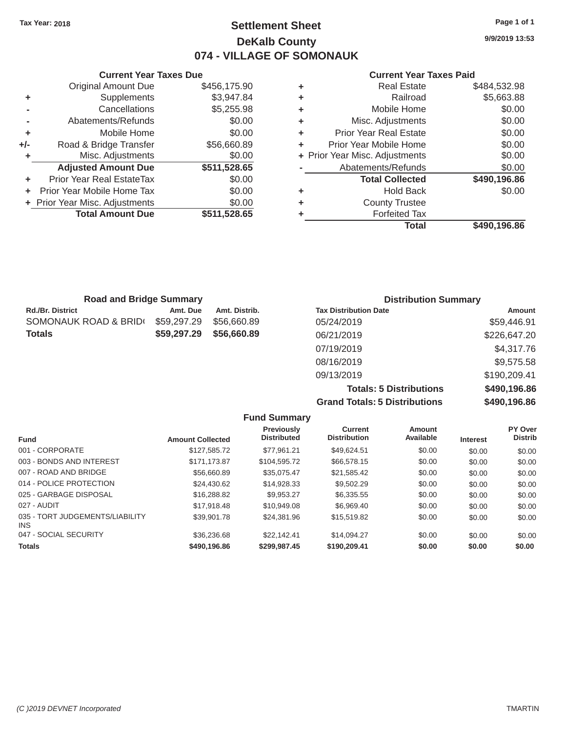### Tax Year: 2018 **Page 1 of 1 Page 1 of 1 Settlement Sheet Page 1 of 1 Page 1 of 1 9/9/2019 13:53 DeKalb County 074 - VILLAGE OF SOMONAUK**

#### **Current Year Taxes Due Current Year Taxes Paid Current Year Taxes Paid**

|     | <b>Original Amount Due</b>       | \$456,175.90 | ٠ | <b>Real Estate</b>             | \$484,532.98 |
|-----|----------------------------------|--------------|---|--------------------------------|--------------|
| ÷   | Supplements                      | \$3,947.84   | ٠ | Railroad                       | \$5,663.88   |
|     | Cancellations                    | \$5,255.98   | ٠ | Mobile Home                    | \$0.00       |
|     | Abatements/Refunds               | \$0.00       | ٠ | Misc. Adjustments              | \$0.00       |
| ٠   | Mobile Home                      | \$0.00       | ٠ | <b>Prior Year Real Estate</b>  | \$0.00       |
| +/- | Road & Bridge Transfer           | \$56,660.89  |   | Prior Year Mobile Home         | \$0.00       |
|     | Misc. Adjustments                | \$0.00       |   | + Prior Year Misc. Adjustments | \$0.00       |
|     | <b>Adjusted Amount Due</b>       | \$511,528.65 |   | Abatements/Refunds             | \$0.00       |
|     | <b>Prior Year Real EstateTax</b> | \$0.00       |   | <b>Total Collected</b>         | \$490,196.86 |
|     | Prior Year Mobile Home Tax       | \$0.00       | ٠ | <b>Hold Back</b>               | \$0.00       |
|     | + Prior Year Misc. Adjustments   | \$0.00       | ٠ | <b>County Trustee</b>          |              |
|     | <b>Total Amount Due</b>          | \$511,528.65 |   | <b>Forfeited Tax</b>           |              |
|     |                                  |              |   |                                | * *** *** ** |

| Supplements<br>\$3,947.84<br>Railroad<br>٠<br>\$5,255.98<br>Cancellations<br>Mobile Home<br>٠<br>Abatements/Refunds<br>\$0.00<br>Misc. Adjustments<br>٠<br><b>Prior Year Real Estate</b><br>Mobile Home<br>\$0.00<br>÷<br>Road & Bridge Transfer<br>Prior Year Mobile Home<br>\$56,660.89<br>÷<br>Misc. Adjustments<br>+ Prior Year Misc. Adjustments<br>\$0.00<br>\$511,528.65<br><b>Adjusted Amount Due</b><br>Abatements/Refunds<br>ior Year Real EstateTax<br><b>Total Collected</b><br>\$0.00<br>r Year Mobile Home Tax<br>\$0.00<br><b>Hold Back</b><br>٠<br>Year Misc. Adjustments<br>\$0.00<br><b>County Trustee</b><br>٠<br>\$511,528.65<br><b>Total Amount Due</b><br><b>Forfeited Tax</b><br>٠<br><b>Total</b> | \$484,532.98 | <b>Real Estate</b> | ٠ | \$456,175.90 | <b>Original Amount Due</b> |
|---------------------------------------------------------------------------------------------------------------------------------------------------------------------------------------------------------------------------------------------------------------------------------------------------------------------------------------------------------------------------------------------------------------------------------------------------------------------------------------------------------------------------------------------------------------------------------------------------------------------------------------------------------------------------------------------------------------------------|--------------|--------------------|---|--------------|----------------------------|
|                                                                                                                                                                                                                                                                                                                                                                                                                                                                                                                                                                                                                                                                                                                           | \$5,663.88   |                    |   |              |                            |
|                                                                                                                                                                                                                                                                                                                                                                                                                                                                                                                                                                                                                                                                                                                           | \$0.00       |                    |   |              |                            |
|                                                                                                                                                                                                                                                                                                                                                                                                                                                                                                                                                                                                                                                                                                                           | \$0.00       |                    |   |              |                            |
|                                                                                                                                                                                                                                                                                                                                                                                                                                                                                                                                                                                                                                                                                                                           | \$0.00       |                    |   |              |                            |
|                                                                                                                                                                                                                                                                                                                                                                                                                                                                                                                                                                                                                                                                                                                           | \$0.00       |                    |   |              |                            |
|                                                                                                                                                                                                                                                                                                                                                                                                                                                                                                                                                                                                                                                                                                                           | \$0.00       |                    |   |              |                            |
|                                                                                                                                                                                                                                                                                                                                                                                                                                                                                                                                                                                                                                                                                                                           | \$0.00       |                    |   |              |                            |
|                                                                                                                                                                                                                                                                                                                                                                                                                                                                                                                                                                                                                                                                                                                           | \$490,196.86 |                    |   |              |                            |
|                                                                                                                                                                                                                                                                                                                                                                                                                                                                                                                                                                                                                                                                                                                           | \$0.00       |                    |   |              |                            |
|                                                                                                                                                                                                                                                                                                                                                                                                                                                                                                                                                                                                                                                                                                                           |              |                    |   |              |                            |
|                                                                                                                                                                                                                                                                                                                                                                                                                                                                                                                                                                                                                                                                                                                           |              |                    |   |              |                            |
|                                                                                                                                                                                                                                                                                                                                                                                                                                                                                                                                                                                                                                                                                                                           | \$490,196.86 |                    |   |              |                            |

| <b>Road and Bridge Summary</b> |               | <b>Distribution Summary</b>  |              |  |
|--------------------------------|---------------|------------------------------|--------------|--|
| Amt. Due                       | Amt. Distrib. | <b>Tax Distribution Date</b> | Amount       |  |
| \$59,297.29                    | \$56,660.89   | 05/24/2019                   | \$59,446.91  |  |
| \$59,297.29                    | \$56,660.89   | 06/21/2019                   | \$226,647.20 |  |
|                                |               | 07/19/2019                   | \$4,317.76   |  |
|                                |               | 08/16/2019                   | \$9,575.58   |  |
|                                |               | 09/13/2019                   | \$190,209.41 |  |
|                                |               |                              |              |  |

**Totals: 5 Distributions \$490,196.86 Grand Totals: 5 Distributions \$490,196.86**

|                                               |                         | <b>Fund Summary</b>                     |                                       |                            |                 |                           |
|-----------------------------------------------|-------------------------|-----------------------------------------|---------------------------------------|----------------------------|-----------------|---------------------------|
| <b>Fund</b>                                   | <b>Amount Collected</b> | <b>Previously</b><br><b>Distributed</b> | <b>Current</b><br><b>Distribution</b> | <b>Amount</b><br>Available | <b>Interest</b> | PY Over<br><b>Distrib</b> |
| 001 - CORPORATE                               | \$127,585.72            | \$77.961.21                             | \$49,624.51                           | \$0.00                     | \$0.00          | \$0.00                    |
| 003 - BONDS AND INTEREST                      | \$171.173.87            | \$104.595.72                            | \$66,578.15                           | \$0.00                     | \$0.00          | \$0.00                    |
| 007 - ROAD AND BRIDGE                         | \$56,660.89             | \$35.075.47                             | \$21,585.42                           | \$0.00                     | \$0.00          | \$0.00                    |
| 014 - POLICE PROTECTION                       | \$24,430.62             | \$14,928.33                             | \$9,502.29                            | \$0.00                     | \$0.00          | \$0.00                    |
| 025 - GARBAGE DISPOSAL                        | \$16,288.82             | \$9.953.27                              | \$6,335.55                            | \$0.00                     | \$0.00          | \$0.00                    |
| 027 - AUDIT                                   | \$17.918.48             | \$10,949.08                             | \$6.969.40                            | \$0.00                     | \$0.00          | \$0.00                    |
| 035 - TORT JUDGEMENTS/LIABILITY<br><b>INS</b> | \$39,901.78             | \$24,381.96                             | \$15,519.82                           | \$0.00                     | \$0.00          | \$0.00                    |
| 047 - SOCIAL SECURITY                         | \$36,236,68             | \$22.142.41                             | \$14.094.27                           | \$0.00                     | \$0.00          | \$0.00                    |
| <b>Totals</b>                                 | \$490,196.86            | \$299,987.45                            | \$190,209.41                          | \$0.00                     | \$0.00          | \$0.00                    |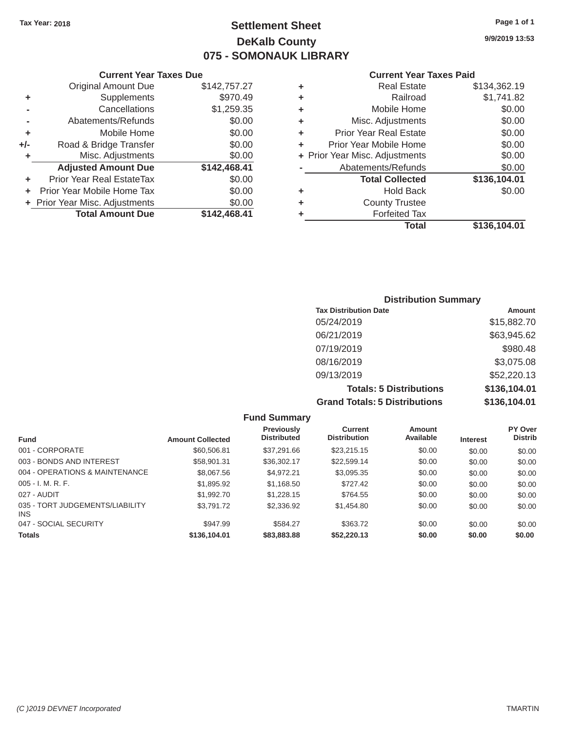# Tax Year: 2018 **Page 1 of 1 Settlement Sheet Page 1 of 1 Page 1 of 1 9/9/2019 13:53 DeKalb County 075 - SOMONAUK LIBRARY**

|     | OUITUIK TUUT TUAGO DUG           |              |   |                                |              |
|-----|----------------------------------|--------------|---|--------------------------------|--------------|
|     | <b>Original Amount Due</b>       | \$142,757.27 | ٠ | <b>Real Estate</b>             | \$134,362.19 |
| ٠   | Supplements                      | \$970.49     | ٠ | Railroad                       | \$1,741.82   |
|     | Cancellations                    | \$1,259.35   | ٠ | Mobile Home                    | \$0.00       |
|     | Abatements/Refunds               | \$0.00       | ٠ | Misc. Adjustments              | \$0.00       |
|     | Mobile Home                      | \$0.00       | ٠ | <b>Prior Year Real Estate</b>  | \$0.00       |
| +/- | Road & Bridge Transfer           | \$0.00       | ÷ | Prior Year Mobile Home         | \$0.00       |
|     | Misc. Adjustments                | \$0.00       |   | + Prior Year Misc. Adjustments | \$0.00       |
|     | <b>Adjusted Amount Due</b>       | \$142,468.41 |   | Abatements/Refunds             | \$0.00       |
|     | <b>Prior Year Real EstateTax</b> | \$0.00       |   | <b>Total Collected</b>         | \$136,104.01 |
|     | Prior Year Mobile Home Tax       | \$0.00       | ٠ | <b>Hold Back</b>               | \$0.00       |
|     | + Prior Year Misc. Adjustments   | \$0.00       | ٠ | <b>County Trustee</b>          |              |
|     | <b>Total Amount Due</b>          | \$142,468.41 |   | <b>Forfeited Tax</b>           |              |
|     |                                  |              |   |                                |              |

| <b>Original Amount Due</b> | \$142,757.27 | ÷ | <b>Real Estate</b>             | \$134,362.19 |
|----------------------------|--------------|---|--------------------------------|--------------|
| Supplements                | \$970.49     | ÷ | Railroad                       | \$1,741.82   |
| Cancellations              | \$1,259.35   | ÷ | Mobile Home                    | \$0.00       |
| Abatements/Refunds         | \$0.00       | ÷ | Misc. Adjustments              | \$0.00       |
| Mobile Home                | \$0.00       | ÷ | <b>Prior Year Real Estate</b>  | \$0.00       |
| Road & Bridge Transfer     | \$0.00       | ÷ | Prior Year Mobile Home         | \$0.00       |
| Misc. Adjustments          | \$0.00       |   | + Prior Year Misc. Adjustments | \$0.00       |
| <b>Adjusted Amount Due</b> | \$142,468.41 |   | Abatements/Refunds             | \$0.00       |
| ior Year Real EstateTax    | \$0.00       |   | <b>Total Collected</b>         | \$136,104.01 |
| r Year Mobile Home Tax     | \$0.00       | ÷ | <b>Hold Back</b>               | \$0.00       |
| Year Misc. Adjustments     | \$0.00       | ÷ | <b>County Trustee</b>          |              |
| <b>Total Amount Due</b>    | \$142,468.41 | ٠ | <b>Forfeited Tax</b>           |              |
|                            |              |   | <b>Total</b>                   | \$136,104.01 |

| <b>Distribution Summary</b>          |              |
|--------------------------------------|--------------|
| <b>Tax Distribution Date</b>         | Amount       |
| 05/24/2019                           | \$15,882.70  |
| 06/21/2019                           | \$63,945.62  |
| 07/19/2019                           | \$980.48     |
| 08/16/2019                           | \$3,075.08   |
| 09/13/2019                           | \$52,220.13  |
| <b>Totals: 5 Distributions</b>       | \$136,104.01 |
| <b>Grand Totals: 5 Distributions</b> | \$136,104.01 |

|                                         |                         | <b>Fund Summary</b>              |                                       |                     |                 |                           |
|-----------------------------------------|-------------------------|----------------------------------|---------------------------------------|---------------------|-----------------|---------------------------|
| <b>Fund</b>                             | <b>Amount Collected</b> | Previously<br><b>Distributed</b> | <b>Current</b><br><b>Distribution</b> | Amount<br>Available | <b>Interest</b> | PY Over<br><b>Distrib</b> |
| 001 - CORPORATE                         | \$60,506.81             | \$37,291.66                      | \$23.215.15                           | \$0.00              | \$0.00          | \$0.00                    |
| 003 - BONDS AND INTEREST                | \$58,901.31             | \$36,302.17                      | \$22.599.14                           | \$0.00              | \$0.00          | \$0.00                    |
| 004 - OPERATIONS & MAINTENANCE          | \$8,067.56              | \$4.972.21                       | \$3.095.35                            | \$0.00              | \$0.00          | \$0.00                    |
| $005 - I. M. R. F.$                     | \$1,895.92              | \$1,168.50                       | \$727.42                              | \$0.00              | \$0.00          | \$0.00                    |
| 027 - AUDIT                             | \$1,992.70              | \$1,228.15                       | \$764.55                              | \$0.00              | \$0.00          | \$0.00                    |
| 035 - TORT JUDGEMENTS/LIABILITY<br>INS. | \$3,791,72              | \$2,336.92                       | \$1.454.80                            | \$0.00              | \$0.00          | \$0.00                    |
| 047 - SOCIAL SECURITY                   | \$947.99                | \$584.27                         | \$363.72                              | \$0.00              | \$0.00          | \$0.00                    |
| <b>Totals</b>                           | \$136,104.01            | \$83,883.88                      | \$52,220.13                           | \$0.00              | \$0.00          | \$0.00                    |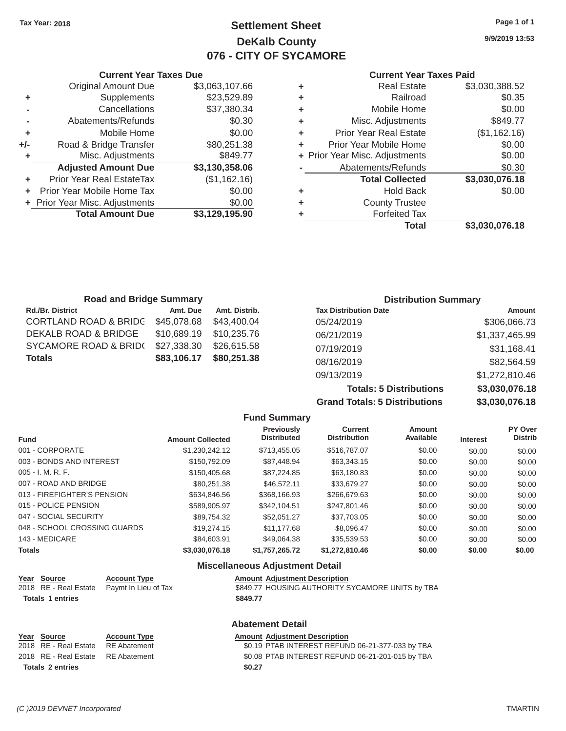# Tax Year: 2018 **Page 1 of 1 Page 1 of 1 Settlement Sheet Page 1 of 1 Page 1 of 1 9/9/2019 13:53 DeKalb County 076 - CITY OF SYCAMORE**

## **The Vear Taxes Due Current Year Taxes Paid Current Year Taxes Paid**

|     |                                  |                |   | <b>Total</b>                   | \$3,030,076.18 |
|-----|----------------------------------|----------------|---|--------------------------------|----------------|
|     | <b>Total Amount Due</b>          | \$3,129,195.90 |   | <b>Forfeited Tax</b>           |                |
|     | + Prior Year Misc. Adjustments   | \$0.00         | ٠ | <b>County Trustee</b>          |                |
|     | Prior Year Mobile Home Tax       | \$0.00         | ٠ | <b>Hold Back</b>               | \$0.00         |
|     | <b>Prior Year Real EstateTax</b> | (\$1,162.16)   |   | <b>Total Collected</b>         | \$3,030,076.18 |
|     | <b>Adjusted Amount Due</b>       | \$3,130,358.06 |   | Abatements/Refunds             | \$0.30         |
|     | Misc. Adjustments                | \$849.77       |   | + Prior Year Misc. Adjustments | \$0.00         |
| +/- | Road & Bridge Transfer           | \$80,251.38    | ٠ | Prior Year Mobile Home         | \$0.00         |
|     | Mobile Home                      | \$0.00         | ٠ | <b>Prior Year Real Estate</b>  | (\$1,162.16)   |
|     | Abatements/Refunds               | \$0.30         | ٠ | Misc. Adjustments              | \$849.77       |
|     | Cancellations                    | \$37,380.34    | ٠ | Mobile Home                    | \$0.00         |
| ٠   | Supplements                      | \$23,529.89    | ٠ | Railroad                       | \$0.35         |
|     | <b>Original Amount Due</b>       | \$3,063,107.66 | ٠ | <b>Real Estate</b>             | \$3,030,388.52 |
|     |                                  |                |   |                                |                |

|     | <b>Current Year Taxes Due</b>  |                | <b>Current Year</b> |                                |
|-----|--------------------------------|----------------|---------------------|--------------------------------|
|     | Original Amount Due            | \$3,063,107.66 | ٠                   | <b>Real Estate</b>             |
| ÷   | Supplements                    | \$23,529.89    | ٠                   | Railroad                       |
|     | Cancellations                  | \$37,380.34    | ٠                   | Mobile Home                    |
|     | Abatements/Refunds             | \$0.30         | ٠                   | Misc. Adjustments              |
|     | Mobile Home                    | \$0.00         | ÷                   | Prior Year Real Estate         |
| ⊦/- | Road & Bridge Transfer         | \$80,251.38    | ٠                   | Prior Year Mobile Home         |
| ÷   | Misc. Adjustments              | \$849.77       |                     | + Prior Year Misc. Adjustments |
|     | <b>Adjusted Amount Due</b>     | \$3,130,358.06 |                     | Abatements/Refunds             |
|     | Prior Year Real EstateTax      | (\$1,162.16)   |                     | <b>Total Collected</b>         |
|     | Prior Year Mobile Home Tax     | \$0.00         | ÷                   | <b>Hold Back</b>               |
|     | + Prior Year Misc. Adjustments | \$0.00         | ٠                   | <b>County Trustee</b>          |
|     | <b>Total Amount Due</b>        | \$3,129,195.90 | ٠                   | <b>Forfeited Tax</b>           |

| <b>Road and Bridge Summary</b>   |             |               |                              | <b>Distribution Summary</b> |
|----------------------------------|-------------|---------------|------------------------------|-----------------------------|
| <b>Rd./Br. District</b>          | Amt. Due    | Amt. Distrib. | <b>Tax Distribution Date</b> | <b>Amount</b>               |
| <b>CORTLAND ROAD &amp; BRIDC</b> | \$45,078.68 | \$43,400.04   | 05/24/2019                   | \$306,066.73                |
| DEKALB ROAD & BRIDGE             | \$10,689.19 | \$10,235,76   | 06/21/2019                   | \$1,337,465.99              |
| SYCAMORE ROAD & BRIDO            | \$27,338.30 | \$26,615,58   | 07/19/2019                   | \$31,168.41                 |
| <b>Totals</b>                    | \$83,106.17 | \$80,251.38   | 08/16/2019                   | \$82,564.59                 |
|                                  |             |               | 09/13/2019                   | \$1,272,810.46              |

**Totals: 5 Distributions Grand Totals: 5 Distributions** 

| \$3,030,076.18 |  |
|----------------|--|
| \$3,030,076.18 |  |
|                |  |

|                              |                         | <b>Fund Summary</b>                     |                                       |                     |                 |                                  |
|------------------------------|-------------------------|-----------------------------------------|---------------------------------------|---------------------|-----------------|----------------------------------|
| <b>Fund</b>                  | <b>Amount Collected</b> | <b>Previously</b><br><b>Distributed</b> | <b>Current</b><br><b>Distribution</b> | Amount<br>Available | <b>Interest</b> | <b>PY Over</b><br><b>Distrib</b> |
| 001 - CORPORATE              | \$1.230.242.12          | \$713,455.05                            | \$516,787.07                          | \$0.00              | \$0.00          | \$0.00                           |
| 003 - BONDS AND INTEREST     | \$150,792.09            | \$87,448.94                             | \$63,343.15                           | \$0.00              | \$0.00          | \$0.00                           |
| 005 - I. M. R. F.            | \$150,405.68            | \$87,224.85                             | \$63,180.83                           | \$0.00              | \$0.00          | \$0.00                           |
| 007 - ROAD AND BRIDGE        | \$80.251.38             | \$46,572.11                             | \$33.679.27                           | \$0.00              | \$0.00          | \$0.00                           |
| 013 - FIREFIGHTER'S PENSION  | \$634,846,56            | \$368,166.93                            | \$266,679.63                          | \$0.00              | \$0.00          | \$0.00                           |
| 015 - POLICE PENSION         | \$589,905.97            | \$342,104.51                            | \$247.801.46                          | \$0.00              | \$0.00          | \$0.00                           |
| 047 - SOCIAL SECURITY        | \$89.754.32             | \$52.051.27                             | \$37.703.05                           | \$0.00              | \$0.00          | \$0.00                           |
| 048 - SCHOOL CROSSING GUARDS | \$19,274.15             | \$11.177.68                             | \$8.096.47                            | \$0.00              | \$0.00          | \$0.00                           |
| 143 - MEDICARE               | \$84,603.91             | \$49.064.38                             | \$35,539.53                           | \$0.00              | \$0.00          | \$0.00                           |
| <b>Totals</b>                | \$3,030,076.18          | \$1,757,265.72                          | \$1,272,810.46                        | \$0.00              | \$0.00          | \$0.00                           |

#### **Miscellaneous Adjustment Detail**  Year Source **Account Type Account Account Adjustment Description** 2018 RE - Real Estate Paymt In Lieu of Tax \$849.77 HOUSING AUTHORITY SYCAMORE UNITS by TBA Totals 1 entries \$849.77

**Abatement Detail** 

|                         | Year Source                        | <b>Account Type</b> | <b>Amount Adjustment Description</b>             |
|-------------------------|------------------------------------|---------------------|--------------------------------------------------|
|                         | 2018 RE - Real Estate              | RE Abatement        | \$0.19 PTAB INTEREST REFUND 06-21-377-033 by TBA |
|                         | 2018 RE - Real Estate RE Abatement |                     | \$0.08 PTAB INTEREST REFUND 06-21-201-015 by TBA |
| <b>Totals 2 entries</b> |                                    |                     | \$0.27                                           |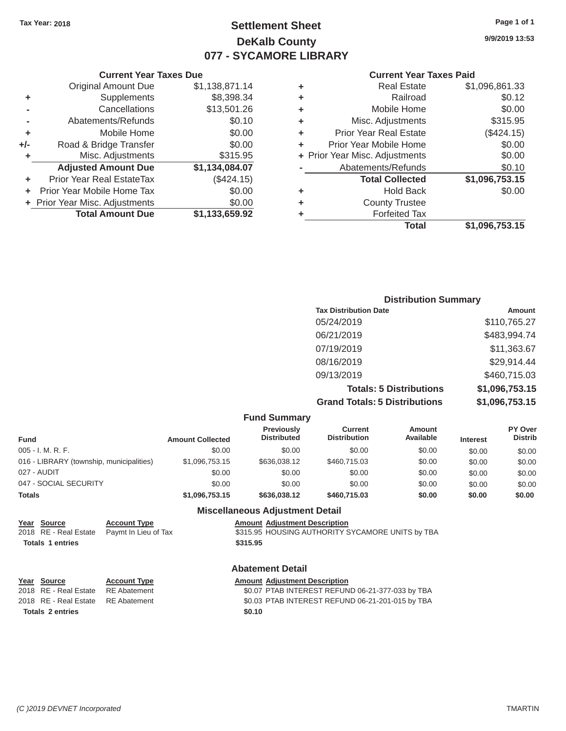# Tax Year: 2018 **Page 1 of 1 Page 1 of 1 Settlement Sheet Page 1 of 1 Page 1 of 1 9/9/2019 13:53 DeKalb County 077 - SYCAMORE LIBRARY**

| ٠ | <b>Real Estate</b>             | \$1,096,861.33 |
|---|--------------------------------|----------------|
|   | Railroad                       | \$0.12         |
| ٠ | Mobile Home                    | \$0.00         |
| ٠ | Misc. Adjustments              | \$315.95       |
| ٠ | <b>Prior Year Real Estate</b>  | (\$424.15)     |
| ٠ | Prior Year Mobile Home         | \$0.00         |
|   | + Prior Year Misc. Adjustments | \$0.00         |
|   | Abatements/Refunds             | \$0.10         |
|   | <b>Total Collected</b>         | \$1,096,753.15 |
| ٠ | <b>Hold Back</b>               | \$0.00         |
| ٠ | <b>County Trustee</b>          |                |
|   | <b>Forfeited Tax</b>           |                |
|   | Total                          | \$1,096,753.15 |

#### **Current Year Taxes Due Current Year Taxes Paid Current Year Taxes Paid Current Year Taxes Paid** Original Amount Due \$1,138,871.14 **+** Supplements \$8,398.34 **-** Cancellations \$13,501.26 **-** Abatements/Refunds \$0.10 **+** Mobile Home  $$0.00$ **+/-** Road & Bridge Transfer \$0.00 **+** Misc. Adjustments \$315.95 Adjusted Amount Due \$1,134,084.07 **+** Prior Year Real EstateTax (\$424.15) **+** Prior Year Mobile Home Tax  $$0.00$ **+** Prior Year Misc. Adjustments \$0.00<br> **1,133,659.92 +** Cotal Amount Due \$1,133,659.92 **Total Amount Due**

| <b>Distribution Summary</b>          |                |  |  |  |
|--------------------------------------|----------------|--|--|--|
| <b>Tax Distribution Date</b>         | Amount         |  |  |  |
| 05/24/2019                           | \$110,765.27   |  |  |  |
| 06/21/2019                           | \$483,994.74   |  |  |  |
| 07/19/2019                           | \$11,363.67    |  |  |  |
| 08/16/2019                           | \$29,914.44    |  |  |  |
| 09/13/2019                           | \$460,715.03   |  |  |  |
| <b>Totals: 5 Distributions</b>       | \$1,096,753.15 |  |  |  |
| <b>Grand Totals: 5 Distributions</b> | \$1,096,753.15 |  |  |  |

|                                          |                         | <b>Fund Summary</b>                     |                                |                     |                 |                                  |
|------------------------------------------|-------------------------|-----------------------------------------|--------------------------------|---------------------|-----------------|----------------------------------|
| <b>Fund</b>                              | <b>Amount Collected</b> | <b>Previously</b><br><b>Distributed</b> | Current<br><b>Distribution</b> | Amount<br>Available | <b>Interest</b> | <b>PY Over</b><br><b>Distrib</b> |
| $005 - I. M. R. F.$                      | \$0.00                  | \$0.00                                  | \$0.00                         | \$0.00              | \$0.00          | \$0.00                           |
| 016 - LIBRARY (township, municipalities) | \$1,096,753.15          | \$636,038.12                            | \$460,715.03                   | \$0.00              | \$0.00          | \$0.00                           |
| 027 - AUDIT                              | \$0.00                  | \$0.00                                  | \$0.00                         | \$0.00              | \$0.00          | \$0.00                           |
| 047 - SOCIAL SECURITY                    | \$0.00                  | \$0.00                                  | \$0.00                         | \$0.00              | \$0.00          | \$0.00                           |
| <b>Totals</b>                            | \$1,096,753.15          | \$636,038.12                            | \$460,715,03                   | \$0.00              | \$0.00          | \$0.00                           |
|                                          |                         | <b>Miscellaneous Adjustment Detail</b>  |                                |                     |                 |                                  |
| Year<br>Source<br><b>Account Type</b>    |                         | <b>Amount Adjustment Description</b>    |                                |                     |                 |                                  |

|                         | <u>rear source</u> | <b>ACCOUNT TYPE</b>                        | Amount Adjustment Description                    |
|-------------------------|--------------------|--------------------------------------------|--------------------------------------------------|
|                         |                    | 2018 RE - Real Estate Paymt In Lieu of Tax | \$315.95 HOUSING AUTHORITY SYCAMORE UNITS by TBA |
| <b>Totals 1 entries</b> |                    |                                            | \$315.95                                         |
|                         |                    |                                            |                                                  |

#### **Abatement Detail**

| Year Source                        | <b>Account Type</b> | <b>Amount Adjustment Description</b>             |
|------------------------------------|---------------------|--------------------------------------------------|
| 2018 RE - Real Estate RE Abatement |                     | \$0.07 PTAB INTEREST REFUND 06-21-377-033 by TBA |
| 2018 RE - Real Estate RE Abatement |                     | \$0.03 PTAB INTEREST REFUND 06-21-201-015 by TBA |
| Totals 2 entries                   |                     | \$0.10                                           |
|                                    |                     |                                                  |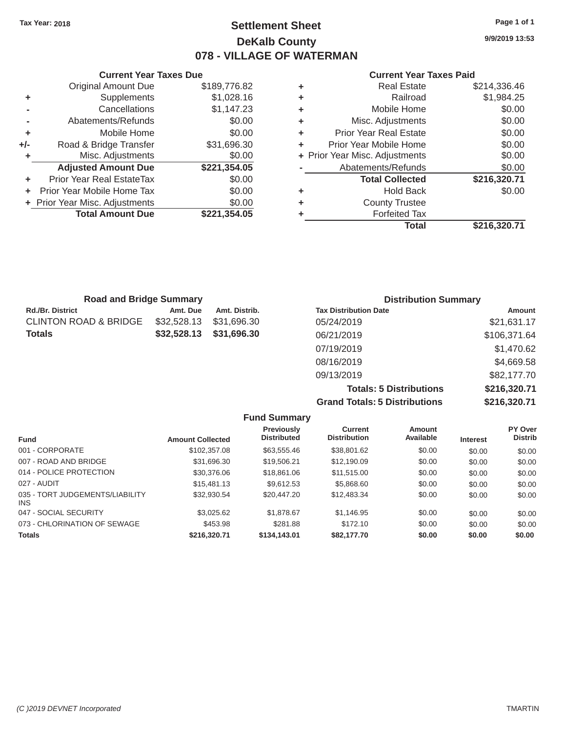# Tax Year: 2018 **Page 1 of 1 Settlement Sheet Page 1 of 1 Page 1 of 1 9/9/2019 13:53 DeKalb County 078 - VILLAGE OF WATERMAN**

#### **Current Year Taxes Due Current Year Taxes Paid Current Year Taxes Paid**

|     | <b>Original Amount Due</b>     | \$189,776.82 | ٠ | <b>Real Estate</b>             | \$214,336.46     |
|-----|--------------------------------|--------------|---|--------------------------------|------------------|
| ٠   | Supplements                    | \$1,028.16   | ٠ | Railroad                       | \$1,984.25       |
|     | Cancellations                  | \$1,147.23   | ٠ | Mobile Home                    | \$0.00           |
|     | Abatements/Refunds             | \$0.00       | ٠ | Misc. Adjustments              | \$0.00           |
|     | Mobile Home                    | \$0.00       |   | <b>Prior Year Real Estate</b>  | \$0.00           |
| +/- | Road & Bridge Transfer         | \$31,696.30  |   | Prior Year Mobile Home         | \$0.00           |
|     | Misc. Adjustments              | \$0.00       |   | + Prior Year Misc. Adjustments | \$0.00           |
|     | <b>Adjusted Amount Due</b>     | \$221,354.05 |   | Abatements/Refunds             | \$0.00           |
|     | Prior Year Real EstateTax      | \$0.00       |   | <b>Total Collected</b>         | \$216,320.71     |
|     | Prior Year Mobile Home Tax     | \$0.00       | ٠ | <b>Hold Back</b>               | \$0.00           |
|     | + Prior Year Misc. Adjustments | \$0.00       | ٠ | <b>County Trustee</b>          |                  |
|     | <b>Total Amount Due</b>        | \$221,354.05 |   | <b>Forfeited Tax</b>           |                  |
|     |                                |              |   |                                | <b>AAIA AAAI</b> |

|                            |              |   | <b>Total</b>                   | \$216,320.71 |
|----------------------------|--------------|---|--------------------------------|--------------|
| <b>Total Amount Due</b>    | \$221,354.05 | ٠ | <b>Forfeited Tax</b>           |              |
| Year Misc. Adjustments     | \$0.00       | ٠ | <b>County Trustee</b>          |              |
| r Year Mobile Home Tax     | \$0.00       | ÷ | <b>Hold Back</b>               | \$0.00       |
| ior Year Real EstateTax    | \$0.00       |   | <b>Total Collected</b>         | \$216,320.71 |
| <b>Adjusted Amount Due</b> | \$221,354.05 |   | Abatements/Refunds             | \$0.00       |
| Misc. Adjustments          | \$0.00       |   | + Prior Year Misc. Adjustments | \$0.00       |
| Road & Bridge Transfer     | \$31,696.30  | ÷ | Prior Year Mobile Home         | \$0.00       |
| Mobile Home                | \$0.00       | ÷ | <b>Prior Year Real Estate</b>  | \$0.00       |
| Abatements/Refunds         | \$0.00       | ÷ | Misc. Adjustments              | \$0.00       |
| Cancellations              | \$1,147.23   | ٠ | Mobile Home                    | \$0.00       |
| Supplements                | \$1,028.16   | ٠ | Railroad                       | \$1,984.25   |
| <b>Original Amount Due</b> | \$189,776.82 | ٠ | <b>Real Estate</b>             | \$214,336.46 |

| <b>Road and Bridge Summary</b> |             |               | <b>Distribution Summary</b>  |              |  |  |
|--------------------------------|-------------|---------------|------------------------------|--------------|--|--|
| Rd./Br. District               | Amt. Due    | Amt. Distrib. | <b>Tax Distribution Date</b> | Amount       |  |  |
| CLINTON ROAD & BRIDGE          | \$32,528.13 | \$31,696,30   | 05/24/2019                   | \$21,631.17  |  |  |
| Totals                         | \$32,528.13 | \$31,696.30   | 06/21/2019                   | \$106,371.64 |  |  |
|                                |             |               | 07/19/2019                   | \$1,470.62   |  |  |
|                                |             |               | 08/16/2019                   | \$4,669.58   |  |  |
|                                |             |               | 09/13/2019                   | \$82,177.70  |  |  |

**Totals: 5 Distributions \$216,320.71 Grand Totals: 5 Distributions \$216,320.71**

|                                         |                         | <b>Fund Summary</b>                     |                                       |                     |                 |                                  |
|-----------------------------------------|-------------------------|-----------------------------------------|---------------------------------------|---------------------|-----------------|----------------------------------|
| <b>Fund</b>                             | <b>Amount Collected</b> | <b>Previously</b><br><b>Distributed</b> | <b>Current</b><br><b>Distribution</b> | Amount<br>Available | <b>Interest</b> | <b>PY Over</b><br><b>Distrib</b> |
| 001 - CORPORATE                         | \$102,357.08            | \$63.555.46                             | \$38,801.62                           | \$0.00              | \$0.00          | \$0.00                           |
| 007 - ROAD AND BRIDGE                   | \$31.696.30             | \$19,506.21                             | \$12,190.09                           | \$0.00              | \$0.00          | \$0.00                           |
| 014 - POLICE PROTECTION                 | \$30,376.06             | \$18,861.06                             | \$11.515.00                           | \$0.00              | \$0.00          | \$0.00                           |
| 027 - AUDIT                             | \$15,481.13             | \$9.612.53                              | \$5,868,60                            | \$0.00              | \$0.00          | \$0.00                           |
| 035 - TORT JUDGEMENTS/LIABILITY<br>INS. | \$32.930.54             | \$20,447.20                             | \$12,483.34                           | \$0.00              | \$0.00          | \$0.00                           |
| 047 - SOCIAL SECURITY                   | \$3.025.62              | \$1,878,67                              | \$1.146.95                            | \$0.00              | \$0.00          | \$0.00                           |
| 073 - CHLORINATION OF SEWAGE            | \$453.98                | \$281.88                                | \$172.10                              | \$0.00              | \$0.00          | \$0.00                           |
| <b>Totals</b>                           | \$216,320.71            | \$134,143,01                            | \$82,177,70                           | \$0.00              | \$0.00          | \$0.00                           |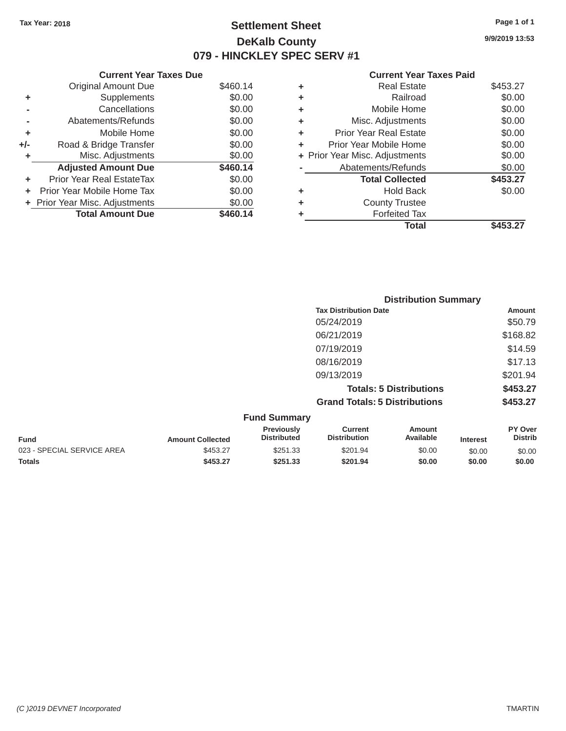# Tax Year: 2018 **Page 1 of 1 Page 1 of 1 Settlement Sheet Page 1 of 1 Page 1 of 1 9/9/2019 13:53 DeKalb County 079 - HINCKLEY SPEC SERV #1**

| <b>Current Year Taxes Due</b> |                                |          |   | <b>Current Year Taxes Paid</b> |          |  |
|-------------------------------|--------------------------------|----------|---|--------------------------------|----------|--|
|                               | Original Amount Due            | \$460.14 | ٠ | <b>Real Estate</b>             | \$453.27 |  |
| ٠                             | Supplements                    | \$0.00   | ٠ | Railroad                       | \$0.00   |  |
|                               | Cancellations                  | \$0.00   | ٠ | Mobile Home                    | \$0.00   |  |
|                               | Abatements/Refunds             | \$0.00   | ٠ | Misc. Adjustments              | \$0.00   |  |
|                               | Mobile Home                    | \$0.00   | ٠ | <b>Prior Year Real Estate</b>  | \$0.00   |  |
| +/-                           | Road & Bridge Transfer         | \$0.00   | ٠ | Prior Year Mobile Home         | \$0.00   |  |
|                               | Misc. Adjustments              | \$0.00   |   | + Prior Year Misc. Adjustments | \$0.00   |  |
|                               | <b>Adjusted Amount Due</b>     | \$460.14 |   | Abatements/Refunds             | \$0.00   |  |
|                               | Prior Year Real EstateTax      | \$0.00   |   | <b>Total Collected</b>         | \$453.27 |  |
|                               | Prior Year Mobile Home Tax     | \$0.00   | ٠ | <b>Hold Back</b>               | \$0.00   |  |
|                               | + Prior Year Misc. Adjustments | \$0.00   | ٠ | <b>County Trustee</b>          |          |  |
|                               | <b>Total Amount Due</b>        | \$460.14 |   | <b>Forfeited Tax</b>           |          |  |
|                               |                                |          |   | Total                          | \$453.27 |  |
|                               |                                |          |   |                                |          |  |

|                | <b>Current Year Taxes Due</b>    |          |   | <b>Current Year</b>            |
|----------------|----------------------------------|----------|---|--------------------------------|
|                | <b>Original Amount Due</b>       | \$460.14 | ٠ | <b>Real Estate</b>             |
| ٠              | Supplements                      | \$0.00   | ٠ | Railroad                       |
| $\blacksquare$ | Cancellations                    | \$0.00   | ÷ | Mobile Home                    |
|                | Abatements/Refunds               | \$0.00   | ÷ | Misc. Adjustments              |
| ٠              | Mobile Home                      | \$0.00   | ٠ | <b>Prior Year Real Estate</b>  |
| ı-             | Road & Bridge Transfer           | \$0.00   |   | Prior Year Mobile Home         |
| ÷              | Misc. Adjustments                | \$0.00   |   | + Prior Year Misc. Adjustments |
|                | <b>Adjusted Amount Due</b>       | \$460.14 |   | Abatements/Refunds             |
| ٠              | <b>Prior Year Real EstateTax</b> | \$0.00   |   | <b>Total Collected</b>         |
| ÷.             | Prior Year Mobile Home Tax       | \$0.00   | ٠ | Hold Back                      |
|                | + Prior Year Misc. Adjustments   | \$0.00   | ٠ | <b>County Trustee</b>          |
|                | <b>Total Amount Due</b>          | \$460.14 |   | <b>Forfeited Tax</b>           |
|                |                                  |          |   | Total                          |

|                            |                         |                                  | <b>Distribution Summary</b>           |                                |                 |                           |
|----------------------------|-------------------------|----------------------------------|---------------------------------------|--------------------------------|-----------------|---------------------------|
|                            |                         |                                  | <b>Tax Distribution Date</b>          |                                |                 | Amount                    |
|                            |                         |                                  | 05/24/2019                            |                                |                 | \$50.79                   |
|                            |                         |                                  | 06/21/2019                            |                                |                 | \$168.82                  |
|                            |                         |                                  | 07/19/2019                            |                                |                 | \$14.59                   |
|                            |                         |                                  | 08/16/2019                            |                                |                 | \$17.13                   |
|                            |                         |                                  | 09/13/2019                            |                                |                 | \$201.94                  |
|                            |                         |                                  |                                       | <b>Totals: 5 Distributions</b> |                 | \$453.27                  |
|                            |                         |                                  | <b>Grand Totals: 5 Distributions</b>  |                                |                 | \$453.27                  |
|                            |                         | <b>Fund Summary</b>              |                                       |                                |                 |                           |
| <b>Fund</b>                | <b>Amount Collected</b> | Previously<br><b>Distributed</b> | <b>Current</b><br><b>Distribution</b> | <b>Amount</b><br>Available     | <b>Interest</b> | PY Over<br><b>Distrib</b> |
| 023 - SPECIAL SERVICE AREA | \$453.27                | \$251.33                         | \$201.94                              | \$0.00                         | \$0.00          | \$0.00                    |

**Totals \$453.27 \$251.33 \$201.94 \$0.00 \$0.00 \$0.00**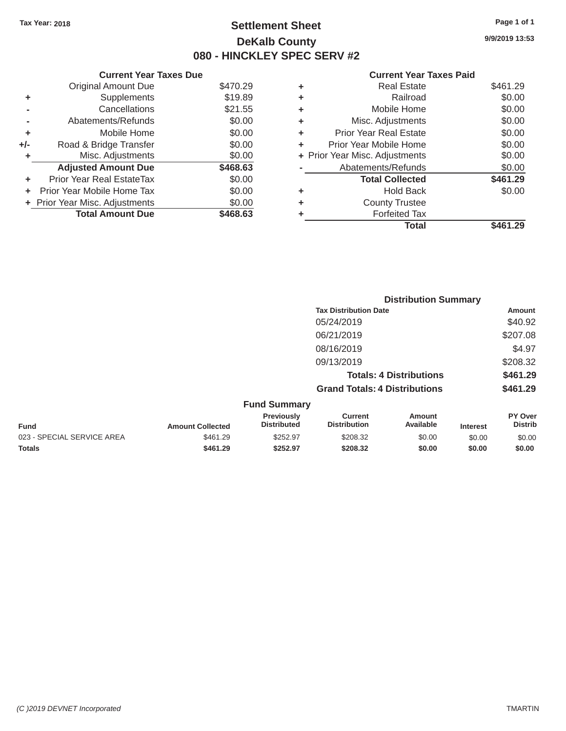# Tax Year: 2018 **Page 1 of 1 Page 1 of 1 Settlement Sheet Page 1 of 1 Page 1 of 1 9/9/2019 13:53 DeKalb County 080 - HINCKLEY SPEC SERV #2**

#### **Current Year Taxes Due Current Year Taxes Paid Current Year Taxes Paid Current Year Taxes Paid**

|     |                                |          |   | Total                          | \$461.29 |
|-----|--------------------------------|----------|---|--------------------------------|----------|
|     | <b>Total Amount Due</b>        | \$468.63 |   | <b>Forfeited Tax</b>           |          |
|     | + Prior Year Misc. Adjustments | \$0.00   | ٠ | <b>County Trustee</b>          |          |
|     | Prior Year Mobile Home Tax     | \$0.00   | ٠ | <b>Hold Back</b>               | \$0.00   |
| ÷.  | Prior Year Real EstateTax      | \$0.00   |   | <b>Total Collected</b>         | \$461.29 |
|     | <b>Adjusted Amount Due</b>     | \$468.63 |   | Abatements/Refunds             | \$0.00   |
|     | Misc. Adjustments              | \$0.00   |   | + Prior Year Misc. Adjustments | \$0.00   |
| +/- | Road & Bridge Transfer         | \$0.00   | ٠ | Prior Year Mobile Home         | \$0.00   |
| ٠   | Mobile Home                    | \$0.00   | ٠ | <b>Prior Year Real Estate</b>  | \$0.00   |
|     | Abatements/Refunds             | \$0.00   | ٠ | Misc. Adjustments              | \$0.00   |
|     | Cancellations                  | \$21.55  | ٠ | Mobile Home                    | \$0.00   |
| ٠   | Supplements                    | \$19.89  | ٠ | Railroad                       | \$0.00   |
|     | <b>Original Amount Due</b>     | \$470.29 |   | <b>Real Estate</b>             | \$461.29 |

|                            |                         |                                         |                                       | <b>Distribution Summary</b>    |                 |                           |
|----------------------------|-------------------------|-----------------------------------------|---------------------------------------|--------------------------------|-----------------|---------------------------|
|                            |                         |                                         | <b>Tax Distribution Date</b>          |                                |                 | <b>Amount</b>             |
|                            |                         |                                         | 05/24/2019                            |                                |                 | \$40.92                   |
|                            |                         |                                         | 06/21/2019                            |                                |                 | \$207.08                  |
|                            |                         |                                         | 08/16/2019                            |                                |                 | \$4.97                    |
|                            |                         |                                         | 09/13/2019                            |                                |                 | \$208.32                  |
|                            |                         |                                         |                                       | <b>Totals: 4 Distributions</b> |                 | \$461.29                  |
|                            |                         |                                         | <b>Grand Totals: 4 Distributions</b>  |                                |                 | \$461.29                  |
|                            |                         | <b>Fund Summary</b>                     |                                       |                                |                 |                           |
| <b>Fund</b>                | <b>Amount Collected</b> | <b>Previously</b><br><b>Distributed</b> | <b>Current</b><br><b>Distribution</b> | Amount<br>Available            | <b>Interest</b> | PY Over<br><b>Distrib</b> |
| 023 - SPECIAL SERVICE AREA | \$461.29                | \$252.97                                | \$208.32                              | \$0.00                         | \$0.00          | \$0.00                    |
| <b>Totals</b>              | \$461.29                | \$252.97                                | \$208.32                              | \$0.00                         | \$0.00          | \$0.00                    |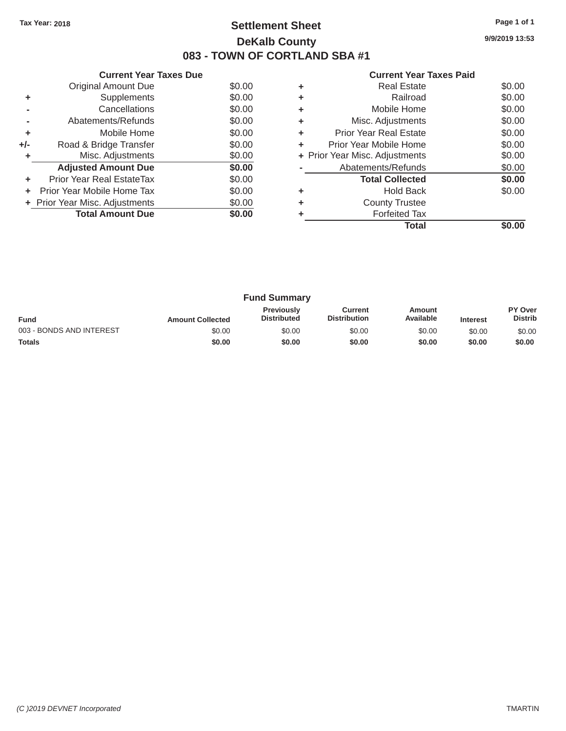# Tax Year: 2018 **Page 1 of 1 Settlement Sheet Page 1 of 1 Page 1 of 1 9/9/2019 13:53 DeKalb County 083 - TOWN OF CORTLAND SBA #1**

| <b>Current Year Taxes Paid</b> |  |  |
|--------------------------------|--|--|
|                                |  |  |

| <b>Current Year Taxes Due</b> |                                  |        |    | <b>Current Year Taxes Paid</b> |                                               |
|-------------------------------|----------------------------------|--------|----|--------------------------------|-----------------------------------------------|
|                               | Original Amount Due              | \$0.00 | ٠  | <b>Real Estate</b>             | \$0.00                                        |
|                               | Supplements                      | \$0.00 | ٠  | Railroad                       | \$0.00                                        |
|                               | Cancellations                    | \$0.00 | ٠  | Mobile Home                    | \$0.00                                        |
|                               | Abatements/Refunds               | \$0.00 | ٠  | Misc. Adjustments              | \$0.00                                        |
|                               | Mobile Home                      | \$0.00 | ÷. | <b>Prior Year Real Estate</b>  | \$0.00                                        |
| $+/-$                         | Road & Bridge Transfer           | \$0.00 | ÷. | Prior Year Mobile Home         | \$0.00                                        |
|                               | Misc. Adjustments                | \$0.00 |    | + Prior Year Misc. Adjustments | \$0.00                                        |
|                               | <b>Adjusted Amount Due</b>       | \$0.00 |    | Abatements/Refunds             | \$0.00                                        |
| ÷                             | <b>Prior Year Real EstateTax</b> | \$0.00 |    | <b>Total Collected</b>         | \$0.00                                        |
|                               | Prior Year Mobile Home Tax       | \$0.00 | ٠  | <b>Hold Back</b>               | \$0.00                                        |
|                               | + Prior Year Misc. Adjustments   | \$0.00 | ٠  | <b>County Trustee</b>          |                                               |
|                               | <b>Total Amount Due</b>          | \$0.00 |    | <b>Forfeited Tax</b>           |                                               |
|                               |                                  |        |    | エー・エー                          | $\mathbf{A} \mathbf{A} \mathbf{A} \mathbf{A}$ |

| \$0.00<br>\$0.00<br>\$0.00 | ٠<br>٠<br>٠ | <b>Hold Back</b><br><b>County Trustee</b><br><b>Forfeited Tax</b> | \$0.00                         |
|----------------------------|-------------|-------------------------------------------------------------------|--------------------------------|
|                            |             |                                                                   |                                |
|                            |             |                                                                   |                                |
|                            |             |                                                                   |                                |
| \$0.00                     |             | <b>Total Collected</b>                                            | \$0.00                         |
| \$0.00                     |             | Abatements/Refunds                                                | \$0.00                         |
| \$0.00                     |             |                                                                   | \$0.00                         |
| \$0.00                     | ٠           | Prior Year Mobile Home                                            | \$0.00                         |
| \$0.00                     | ٠           | <b>Prior Year Real Estate</b>                                     | \$0.00                         |
| \$0.00                     | ٠           | Misc. Adjustments                                                 | \$0.00                         |
| \$0.00                     | ٠           | Mobile Home                                                       | \$0.00                         |
| \$0.00                     | ٠           | Railroad                                                          | \$0.00                         |
| \$0.00                     | ٠           | <b>Real Estate</b>                                                | \$0.00                         |
|                            |             |                                                                   | + Prior Year Misc. Adjustments |

| <b>Fund Summary</b>      |                         |                                         |                                |                     |                 |                           |
|--------------------------|-------------------------|-----------------------------------------|--------------------------------|---------------------|-----------------|---------------------------|
| <b>Fund</b>              | <b>Amount Collected</b> | <b>Previously</b><br><b>Distributed</b> | Current<br><b>Distribution</b> | Amount<br>Available | <b>Interest</b> | PY Over<br><b>Distrib</b> |
| 003 - BONDS AND INTEREST | \$0.00                  | \$0.00                                  | \$0.00                         | \$0.00              | \$0.00          | \$0.00                    |
| <b>Totals</b>            | \$0.00                  | \$0.00                                  | \$0.00                         | \$0.00              | \$0.00          | \$0.00                    |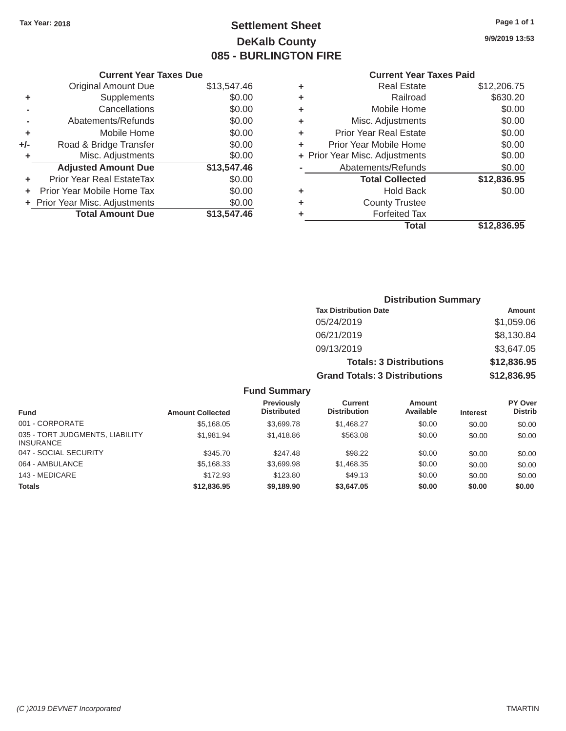# Tax Year: 2018 **Page 1 of 1 Settlement Sheet Page 1 of 1 Page 1 of 1 9/9/2019 13:53 DeKalb County 085 - BURLINGTON FIRE**

# **Current Year Taxes Due Current Year Taxes Paid Current Year Taxes Paid**

|         | OUITCHE TCUL TUACS DUC           |             |    | OUITCHL TCUL TUACS LUID        |                                                                                           |
|---------|----------------------------------|-------------|----|--------------------------------|-------------------------------------------------------------------------------------------|
|         | Original Amount Due              | \$13,547.46 | ٠  | <b>Real Estate</b>             | \$12,206.75                                                                               |
|         | <b>Supplements</b>               | \$0.00      | ٠  | Railroad                       | \$630.20                                                                                  |
|         | Cancellations                    | \$0.00      | ٠  | Mobile Home                    | \$0.00                                                                                    |
|         | Abatements/Refunds               | \$0.00      | ٠  | Misc. Adjustments              | \$0.00                                                                                    |
| ٠       | Mobile Home                      | \$0.00      | ÷. | <b>Prior Year Real Estate</b>  | \$0.00                                                                                    |
| $+/-$   | Road & Bridge Transfer           | \$0.00      |    | Prior Year Mobile Home         | \$0.00                                                                                    |
|         | Misc. Adjustments                | \$0.00      |    | + Prior Year Misc. Adjustments | \$0.00                                                                                    |
|         | <b>Adjusted Amount Due</b>       | \$13,547.46 |    | Abatements/Refunds             | \$0.00                                                                                    |
| ٠       | <b>Prior Year Real EstateTax</b> | \$0.00      |    | <b>Total Collected</b>         | \$12,836.95                                                                               |
| $+$ $-$ | Prior Year Mobile Home Tax       | \$0.00      | ٠  | <b>Hold Back</b>               | \$0.00                                                                                    |
|         | + Prior Year Misc. Adjustments   | \$0.00      |    | <b>County Trustee</b>          |                                                                                           |
|         | <b>Total Amount Due</b>          | \$13,547.46 |    | <b>Forfeited Tax</b>           |                                                                                           |
|         |                                  |             |    |                                | $\mathbf{A} \mathbf{A} \mathbf{A} \mathbf{A} \mathbf{A} \mathbf{A} \mathbf{A} \mathbf{A}$ |

| <b>Original Amount Due</b> | \$13,547.46 | ÷ | <b>Real Estate</b>             | \$12,206.75 |
|----------------------------|-------------|---|--------------------------------|-------------|
| Supplements                | \$0.00      | ÷ | Railroad                       | \$630.20    |
| Cancellations              | \$0.00      | ÷ | Mobile Home                    | \$0.00      |
| Abatements/Refunds         | \$0.00      | ÷ | Misc. Adjustments              | \$0.00      |
| Mobile Home                | \$0.00      | ÷ | <b>Prior Year Real Estate</b>  | \$0.00      |
| Road & Bridge Transfer     | \$0.00      | ÷ | Prior Year Mobile Home         | \$0.00      |
| Misc. Adjustments          | \$0.00      |   | + Prior Year Misc. Adjustments | \$0.00      |
| <b>Adjusted Amount Due</b> | \$13,547.46 |   | Abatements/Refunds             | \$0.00      |
| ior Year Real EstateTax    | \$0.00      |   | <b>Total Collected</b>         | \$12,836.95 |
| r Year Mobile Home Tax     | \$0.00      | ÷ | <b>Hold Back</b>               | \$0.00      |
| Year Misc. Adjustments     | \$0.00      | ٠ | <b>County Trustee</b>          |             |
| <b>Total Amount Due</b>    | \$13,547.46 | ٠ | <b>Forfeited Tax</b>           |             |
|                            |             |   | <b>Total</b>                   | \$12,836.95 |

| <b>Distribution Summary</b>          |             |
|--------------------------------------|-------------|
| <b>Tax Distribution Date</b>         | Amount      |
| 05/24/2019                           | \$1,059.06  |
| 06/21/2019                           | \$8,130.84  |
| 09/13/2019                           | \$3,647.05  |
| <b>Totals: 3 Distributions</b>       | \$12,836.95 |
| <b>Grand Totals: 3 Distributions</b> | \$12,836.95 |

#### **Fund Summary**

| <b>Fund</b>                                         | <b>Amount Collected</b> | Previously<br><b>Distributed</b> | Current<br><b>Distribution</b> | <b>Amount</b><br>Available | <b>Interest</b> | PY Over<br><b>Distrib</b> |
|-----------------------------------------------------|-------------------------|----------------------------------|--------------------------------|----------------------------|-----------------|---------------------------|
| 001 - CORPORATE                                     | \$5,168.05              | \$3,699.78                       | \$1,468.27                     | \$0.00                     | \$0.00          | \$0.00                    |
| 035 - TORT JUDGMENTS, LIABILITY<br><b>INSURANCE</b> | \$1.981.94              | \$1,418.86                       | \$563.08                       | \$0.00                     | \$0.00          | \$0.00                    |
| 047 - SOCIAL SECURITY                               | \$345.70                | \$247.48                         | \$98.22                        | \$0.00                     | \$0.00          | \$0.00                    |
| 064 - AMBULANCE                                     | \$5,168.33              | \$3,699.98                       | \$1,468.35                     | \$0.00                     | \$0.00          | \$0.00                    |
| 143 - MEDICARE                                      | \$172.93                | \$123.80                         | \$49.13                        | \$0.00                     | \$0.00          | \$0.00                    |
| <b>Totals</b>                                       | \$12,836,95             | \$9,189.90                       | \$3,647.05                     | \$0.00                     | \$0.00          | \$0.00                    |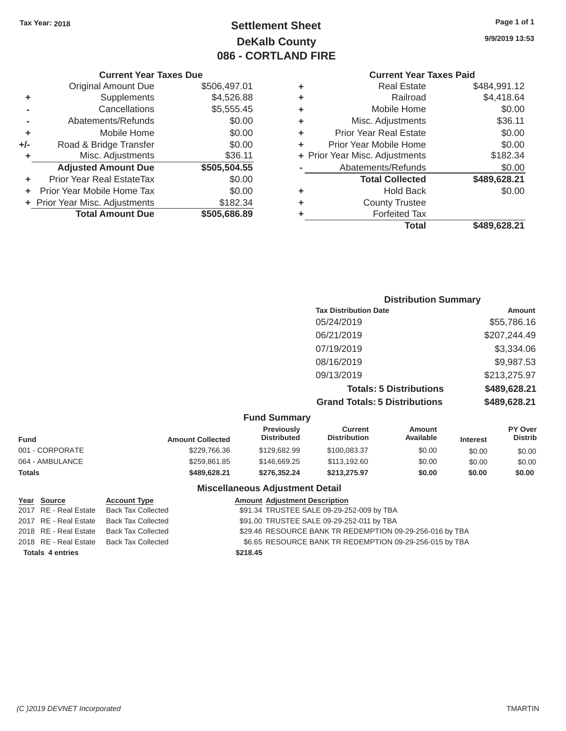# Tax Year: 2018 **Page 1 of 1 Settlement Sheet Page 1 of 1 Page 1 of 1 9/9/2019 13:53 DeKalb County 086 - CORTLAND FIRE**

**Total \$489,628.21**

# **Current Year Taxes Due Current Year Taxes Paid Current Year Taxes Paid**

| ounten itus kuntu kiu |                                |   | OGITUIN TUUT TUAUJ PUU |                                |     |
|-----------------------|--------------------------------|---|------------------------|--------------------------------|-----|
| \$484,991.12          | <b>Real Estate</b>             | ٠ | \$506,497.01           | <b>Original Amount Due</b>     |     |
| \$4,418.64            | Railroad                       | ٠ | \$4,526.88             | Supplements                    | ٠   |
| \$0.00                | Mobile Home                    | ٠ | \$5,555.45             | Cancellations                  |     |
| \$36.11               | Misc. Adjustments              | ٠ | \$0.00                 | Abatements/Refunds             |     |
| \$0.00                | <b>Prior Year Real Estate</b>  | ٠ | \$0.00                 | Mobile Home                    | ٠   |
| \$0.00                | Prior Year Mobile Home         | ٠ | \$0.00                 | Road & Bridge Transfer         | +/- |
| \$182.34              | + Prior Year Misc. Adjustments |   | \$36.11                | Misc. Adjustments              |     |
| \$0.00                | Abatements/Refunds             |   | \$505,504.55           | <b>Adjusted Amount Due</b>     |     |
| \$489,628.21          | <b>Total Collected</b>         |   | \$0.00                 | Prior Year Real EstateTax      | ٠   |
| \$0.00                | <b>Hold Back</b>               | ٠ | \$0.00                 | Prior Year Mobile Home Tax     |     |
|                       | <b>County Trustee</b>          | ٠ | \$182.34               | + Prior Year Misc. Adjustments |     |
|                       | <b>Forfeited Tax</b>           |   | \$505,686.89           | <b>Total Amount Due</b>        |     |
| \$489.628.21          | Total                          |   |                        |                                |     |

|       | <b>Original Amount Due</b>       | \$506,497.01 |
|-------|----------------------------------|--------------|
| ٠     | Supplements                      | \$4,526.88   |
|       | Cancellations                    | \$5,555.45   |
|       | Abatements/Refunds               | \$0.00       |
| ÷     | Mobile Home                      | \$0.00       |
| $+/-$ | Road & Bridge Transfer           | \$0.00       |
| ٠     | Misc. Adjustments                | \$36.11      |
|       | <b>Adjusted Amount Due</b>       | \$505,504.55 |
| ÷     | <b>Prior Year Real EstateTax</b> | \$0.00       |
|       | Prior Year Mobile Home Tax       | \$0.00       |
|       | + Prior Year Misc. Adjustments   | \$182.34     |
|       | <b>Total Amount Due</b>          | \$505,686.89 |
|       |                                  |              |

| <b>Distribution Summary</b>          |              |
|--------------------------------------|--------------|
| <b>Tax Distribution Date</b>         | Amount       |
| 05/24/2019                           | \$55,786.16  |
| 06/21/2019                           | \$207,244.49 |
| 07/19/2019                           | \$3,334.06   |
| 08/16/2019                           | \$9,987.53   |
| 09/13/2019                           | \$213,275.97 |
| <b>Totals: 5 Distributions</b>       | \$489,628.21 |
| <b>Grand Totals: 5 Distributions</b> | \$489,628.21 |

#### **Fund Summary**

| <b>Amount Collected</b> | <b>Previously</b><br><b>Distributed</b> | Current<br><b>Distribution</b> | Amount<br>Available | <b>Interest</b> | <b>PY Over</b><br><b>Distrib</b> |  |
|-------------------------|-----------------------------------------|--------------------------------|---------------------|-----------------|----------------------------------|--|
| \$229,766.36            | \$129,682.99                            | \$100.083.37                   | \$0.00              | \$0.00          | \$0.00                           |  |
| \$259.861.85            | \$146,669.25                            | \$113,192,60                   | \$0.00              | \$0.00          | \$0.00                           |  |
| \$489,628.21            | \$276.352.24                            | \$213,275.97                   | \$0.00              | \$0.00          | \$0.00                           |  |
|                         |                                         |                                |                     |                 |                                  |  |

#### **Miscellaneous Adjustment Detail**

| Year Source             | <b>Account Type</b>       |          | <b>Amount Adjustment Description</b>                     |
|-------------------------|---------------------------|----------|----------------------------------------------------------|
| 2017 RE - Real Estate   | <b>Back Tax Collected</b> |          | \$91.34 TRUSTEE SALE 09-29-252-009 by TBA                |
| 2017 RE - Real Estate   | <b>Back Tax Collected</b> |          | \$91.00 TRUSTEE SALE 09-29-252-011 by TBA                |
| 2018 RE - Real Estate   | <b>Back Tax Collected</b> |          | \$29.46 RESOURCE BANK TR REDEMPTION 09-29-256-016 by TBA |
| 2018 RE - Real Estate   | Back Tax Collected        |          | \$6.65 RESOURCE BANK TR REDEMPTION 09-29-256-015 by TBA  |
| <b>Totals 4 entries</b> |                           | \$218.45 |                                                          |
|                         |                           |          |                                                          |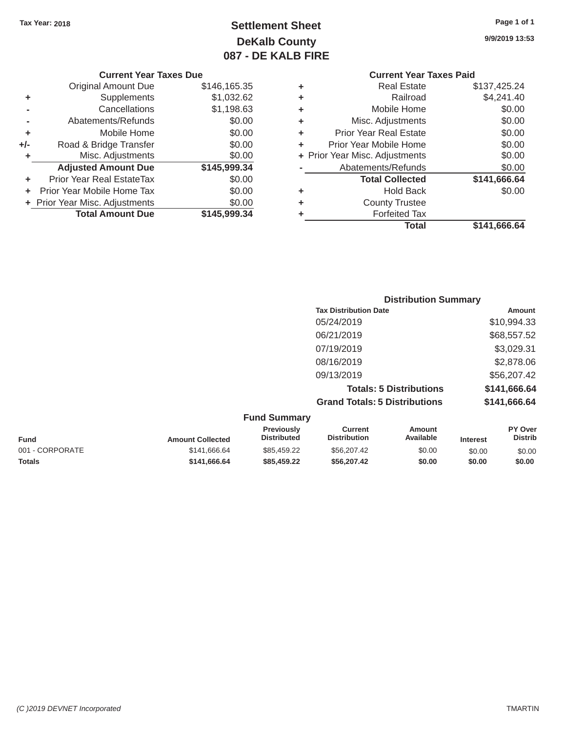# Tax Year: 2018 **Page 1 of 1 Page 1 of 1 Settlement Sheet Page 1 of 1 Page 1 of 1 9/9/2019 13:53 DeKalb County 087 - DE KALB FIRE**

| <b>Current Year Taxes Due</b> |  |  |  |
|-------------------------------|--|--|--|
|-------------------------------|--|--|--|

|         | <b>Original Amount Due</b>     | \$146,165.35 | ٠ | <b>Real Estate</b>             | \$137,425.24 |
|---------|--------------------------------|--------------|---|--------------------------------|--------------|
| ٠       | Supplements                    | \$1,032.62   | ٠ | Railroad                       | \$4,241.40   |
|         | Cancellations                  | \$1,198.63   | ٠ | Mobile Home                    | \$0.00       |
|         | Abatements/Refunds             | \$0.00       | ٠ | Misc. Adjustments              | \$0.00       |
| ٠       | Mobile Home                    | \$0.00       | ٠ | <b>Prior Year Real Estate</b>  | \$0.00       |
| $+/-$   | Road & Bridge Transfer         | \$0.00       |   | Prior Year Mobile Home         | \$0.00       |
|         | Misc. Adjustments              | \$0.00       |   | + Prior Year Misc. Adjustments | \$0.00       |
|         | <b>Adjusted Amount Due</b>     | \$145,999.34 |   | Abatements/Refunds             | \$0.00       |
| ٠       | Prior Year Real EstateTax      | \$0.00       |   | <b>Total Collected</b>         | \$141,666.64 |
| $+$ $-$ | Prior Year Mobile Home Tax     | \$0.00       | ٠ | <b>Hold Back</b>               | \$0.00       |
|         | + Prior Year Misc. Adjustments | \$0.00       |   | <b>County Trustee</b>          |              |
|         | <b>Total Amount Due</b>        | \$145,999.34 |   | <b>Forfeited Tax</b>           |              |
|         |                                |              |   |                                |              |

# **Current Year Taxes Paid**

| \$146,165.35 | ÷ | <b>Real Estate</b>            | \$137,425.24                   |
|--------------|---|-------------------------------|--------------------------------|
| \$1,032.62   | ÷ | Railroad                      | \$4,241.40                     |
| \$1,198.63   | ٠ | Mobile Home                   | \$0.00                         |
| \$0.00       | ÷ | Misc. Adjustments             | \$0.00                         |
| \$0.00       | ÷ | <b>Prior Year Real Estate</b> | \$0.00                         |
| \$0.00       | ÷ | Prior Year Mobile Home        | \$0.00                         |
| \$0.00       |   |                               | \$0.00                         |
| \$145,999.34 |   | Abatements/Refunds            | \$0.00                         |
| \$0.00       |   | <b>Total Collected</b>        | \$141,666.64                   |
| \$0.00       | ÷ | Hold Back                     | \$0.00                         |
| \$0.00       | ÷ | <b>County Trustee</b>         |                                |
| \$145,999.34 | ٠ | <b>Forfeited Tax</b>          |                                |
|              |   | <b>Total</b>                  | \$141,666.64                   |
|              |   |                               | + Prior Year Misc. Adjustments |

| <b>Distribution Summary</b>          |              |
|--------------------------------------|--------------|
| <b>Tax Distribution Date</b>         | Amount       |
| 05/24/2019                           | \$10,994.33  |
| 06/21/2019                           | \$68,557.52  |
| 07/19/2019                           | \$3,029.31   |
| 08/16/2019                           | \$2,878.06   |
| 09/13/2019                           | \$56,207.42  |
| <b>Totals: 5 Distributions</b>       | \$141,666.64 |
| <b>Grand Totals: 5 Distributions</b> | \$141,666.64 |

#### **Fund** 001 - CORPORATE **Totals Fund Summary Previously Current Amount PY Over<br>
Distributed Distribution Available Interest Distributed** Amount Collected **Distributed** Distribution Available Interest \$141,666.64 \$85,459.22 \$56,207.42 \$0.00 \$0.00 \$0.00 \$0.00 **\$141,666.64 \$85,459.22 \$56,207.42 \$0.00 \$0.00 \$0.00**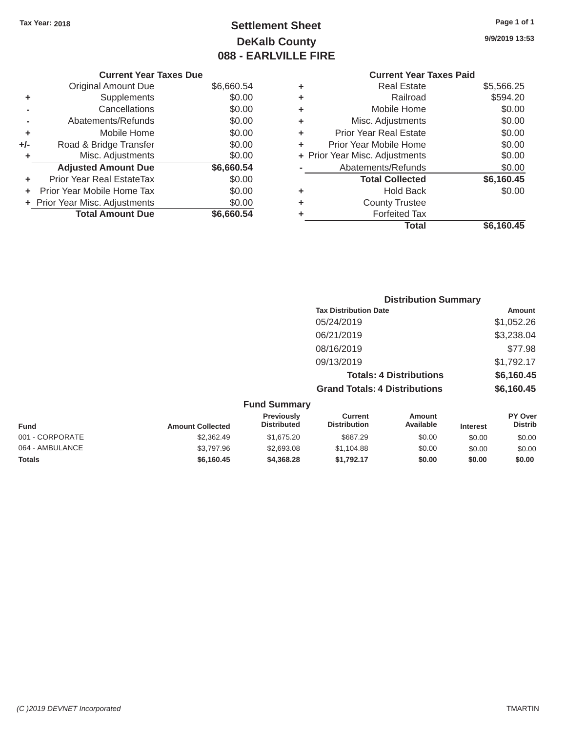# Tax Year: 2018 **Page 1 of 1 Settlement Sheet Page 1 of 1 Page 1 of 1 9/9/2019 13:53 DeKalb County 088 - EARLVILLE FIRE**

|            | ________________ |                                |            |
|------------|------------------|--------------------------------|------------|
|            |                  | <b>Current Year Taxes Paid</b> |            |
| \$6,660.54 |                  | Real Estate                    | \$5,566.25 |
| \$0.00     |                  | Railroad                       | \$594.20   |
| ** * *     |                  |                                | ****       |

| Original Amount Due        | \$6,660.54                     | ٠                             | <b>Real Estate</b>            | \$5,566.25                                                       |
|----------------------------|--------------------------------|-------------------------------|-------------------------------|------------------------------------------------------------------|
| Supplements                | \$0.00                         | ٠                             | Railroad                      | \$594.20                                                         |
| Cancellations              | \$0.00                         | ٠                             | Mobile Home                   | \$0.00                                                           |
| Abatements/Refunds         | \$0.00                         | ٠                             | Misc. Adjustments             | \$0.00                                                           |
| Mobile Home                | \$0.00                         | ٠                             | <b>Prior Year Real Estate</b> | \$0.00                                                           |
| Road & Bridge Transfer     | \$0.00                         |                               | Prior Year Mobile Home        | \$0.00                                                           |
| Misc. Adjustments          | \$0.00                         |                               |                               | \$0.00                                                           |
| <b>Adjusted Amount Due</b> | \$6,660.54                     |                               | Abatements/Refunds            | \$0.00                                                           |
| Prior Year Real EstateTax  | \$0.00                         |                               | <b>Total Collected</b>        | \$6,160.45                                                       |
| Prior Year Mobile Home Tax | \$0.00                         | ٠                             | <b>Hold Back</b>              | \$0.00                                                           |
|                            | \$0.00                         |                               | <b>County Trustee</b>         |                                                                  |
| <b>Total Amount Due</b>    | \$6,660.54                     |                               | <b>Forfeited Tax</b>          |                                                                  |
| ÷.                         | + Prior Year Misc. Adjustments | <b>Current Year Taxes Due</b> |                               | <b>Current Year Taxes Paid</b><br>+ Prior Year Misc. Adjustments |

| <u>Unginan mnuante</u>     | $v \sim v \sim v + v$ |   | noar Lowo                      | $v \sim v \sim v$ |
|----------------------------|-----------------------|---|--------------------------------|-------------------|
| <b>Supplements</b>         | \$0.00                | ٠ | Railroad                       | \$594.20          |
| Cancellations              | \$0.00                | ٠ | Mobile Home                    | \$0.00            |
| Abatements/Refunds         | \$0.00                | ٠ | Misc. Adjustments              | \$0.00            |
| Mobile Home                | \$0.00                | ٠ | <b>Prior Year Real Estate</b>  | \$0.00            |
| Road & Bridge Transfer     | \$0.00                | ٠ | Prior Year Mobile Home         | \$0.00            |
| Misc. Adjustments          | \$0.00                |   | + Prior Year Misc. Adjustments | \$0.00            |
| <b>Adjusted Amount Due</b> | \$6,660.54            |   | Abatements/Refunds             | \$0.00            |
| ior Year Real EstateTax    | \$0.00                |   | <b>Total Collected</b>         | \$6,160.45        |
| r Year Mobile Home Tax     | \$0.00                | ٠ | <b>Hold Back</b>               | \$0.00            |
| Year Misc. Adjustments     | \$0.00                | ٠ | <b>County Trustee</b>          |                   |
| <b>Total Amount Due</b>    | \$6,660.54            | ٠ | <b>Forfeited Tax</b>           |                   |
|                            |                       |   | <b>Total</b>                   | \$6,160.45        |
|                            |                       |   |                                |                   |

|                 |                         |                                  |                                       | <b>Distribution Summary</b>    |                 |                           |
|-----------------|-------------------------|----------------------------------|---------------------------------------|--------------------------------|-----------------|---------------------------|
|                 |                         |                                  | <b>Tax Distribution Date</b>          |                                |                 | Amount                    |
|                 |                         |                                  | 05/24/2019                            |                                |                 | \$1,052.26                |
|                 |                         |                                  | 06/21/2019                            |                                |                 | \$3,238.04                |
|                 |                         |                                  | 08/16/2019                            |                                |                 | \$77.98                   |
|                 |                         |                                  | 09/13/2019                            |                                |                 | \$1,792.17                |
|                 |                         |                                  |                                       | <b>Totals: 4 Distributions</b> |                 | \$6,160.45                |
|                 |                         |                                  | <b>Grand Totals: 4 Distributions</b>  |                                |                 | \$6,160.45                |
|                 |                         | <b>Fund Summary</b>              |                                       |                                |                 |                           |
| <b>Fund</b>     | <b>Amount Collected</b> | Previously<br><b>Distributed</b> | <b>Current</b><br><b>Distribution</b> | <b>Amount</b><br>Available     | <b>Interest</b> | PY Over<br><b>Distrib</b> |
| 001 - CORPORATE | \$2,362.49              | \$1,675.20                       | \$687.29                              | \$0.00                         | \$0.00          | \$0.00                    |
| 064 - AMBULANCE | \$3,797.96              | \$2,693.08                       | \$1,104.88                            | \$0.00                         | \$0.00          | \$0.00                    |
| <b>Totals</b>   | \$6,160.45              | \$4,368.28                       | \$1,792.17                            | \$0.00                         | \$0.00          | \$0.00                    |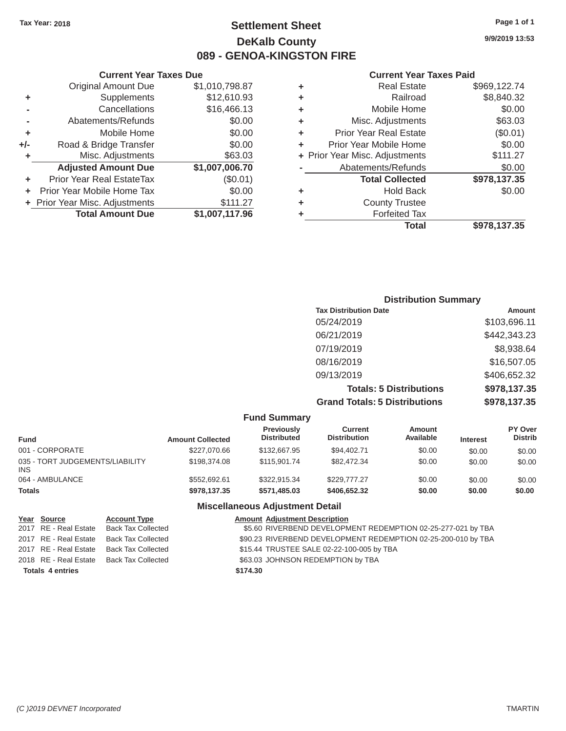# Tax Year: 2018 **Page 1 of 1 Page 1 of 1 Settlement Sheet Page 1 of 1 Page 1 of 1 9/9/2019 13:53 DeKalb County 089 - GENOA-KINGSTON FIRE**

#### **Current Year Taxes Paid**

|     | <b>Adjusted Amount Due</b> | \$1,007,006.70 |   | Abatements/Refunds             | \$0.00       |
|-----|----------------------------|----------------|---|--------------------------------|--------------|
|     | Prior Year Real EstateTax  | (\$0.01)       |   | <b>Total Collected</b>         | \$978,137.35 |
|     |                            |                |   |                                |              |
|     |                            |                |   |                                |              |
|     | Misc. Adjustments          | \$63.03        |   | + Prior Year Misc. Adjustments | \$111.27     |
| +/- | Road & Bridge Transfer     | \$0.00         | ٠ | Prior Year Mobile Home         | \$0.00       |
|     |                            |                | ٠ |                                |              |
|     | Mobile Home                | \$0.00         |   | <b>Prior Year Real Estate</b>  | (\$0.01)     |
|     | Abatements/Refunds         | \$0.00         | ٠ | Misc. Adjustments              | \$63.03      |
|     | Cancellations              | \$16,466.13    | ٠ | Mobile Home                    | \$0.00       |
| ٠   | Supplements                | \$12,610.93    | ٠ | Railroad                       | \$8,840.32   |
|     | <b>Original Amount Due</b> | \$1,010,798.87 | ٠ | <b>Real Estate</b>             | \$969,122.74 |
|     |                            |                |   |                                |              |

|                | <b>Current Year Taxes Due</b>  |                |   | <b>Current Year</b>            |
|----------------|--------------------------------|----------------|---|--------------------------------|
|                | <b>Original Amount Due</b>     | \$1,010,798.87 | ٠ | <b>Real Estate</b>             |
| ÷              | Supplements                    | \$12,610.93    | ٠ | Railroad                       |
| $\blacksquare$ | Cancellations                  | \$16,466.13    | ٠ | Mobile Home                    |
|                | Abatements/Refunds             | \$0.00         | ٠ | Misc. Adjustments              |
| ÷              | Mobile Home                    | \$0.00         | ٠ | <b>Prior Year Real Estate</b>  |
| I-             | Road & Bridge Transfer         | \$0.00         |   | Prior Year Mobile Home         |
| ÷              | Misc. Adjustments              | \$63.03        |   | + Prior Year Misc. Adjustments |
|                | <b>Adjusted Amount Due</b>     | \$1,007,006.70 |   | Abatements/Refunds             |
| ٠              | Prior Year Real EstateTax      | $(\$0.01)$     |   | <b>Total Collected</b>         |
|                | + Prior Year Mobile Home Tax   | \$0.00         | ٠ | <b>Hold Back</b>               |
|                | + Prior Year Misc. Adjustments | \$111.27       | ٠ | <b>County Trustee</b>          |
|                | <b>Total Amount Due</b>        | \$1,007,117.96 |   | <b>Forfeited Tax</b>           |

## **Distribution Summary Tax Distribution Date Amount Amount** 05/24/2019 \$103,696.11 06/21/2019 \$442,343.23 07/19/2019 \$8,938.64 08/16/2019 \$16,507.05 09/13/2019 \$406,652.32 **Totals: 5 Distributions \$978,137.35 Grand Totals: 5 Distributions \$978,137.35**

|                                               |                         | <b>Fund Summary</b>              |                                       |                     |                 |                           |
|-----------------------------------------------|-------------------------|----------------------------------|---------------------------------------|---------------------|-----------------|---------------------------|
| <b>Fund</b>                                   | <b>Amount Collected</b> | Previously<br><b>Distributed</b> | <b>Current</b><br><b>Distribution</b> | Amount<br>Available | <b>Interest</b> | PY Over<br><b>Distrib</b> |
| 001 - CORPORATE                               | \$227,070.66            | \$132,667.95                     | \$94.402.71                           | \$0.00              | \$0.00          | \$0.00                    |
| 035 - TORT JUDGEMENTS/LIABILITY<br><b>INS</b> | \$198,374.08            | \$115,901.74                     | \$82,472.34                           | \$0.00              | \$0.00          | \$0.00                    |
| 064 - AMBULANCE                               | \$552.692.61            | \$322.915.34                     | \$229,777,27                          | \$0.00              | \$0.00          | \$0.00                    |
| <b>Totals</b>                                 | \$978,137,35            | \$571.485.03                     | \$406,652,32                          | \$0.00              | \$0.00          | \$0.00                    |

#### **Miscellaneous Adjustment Detail**

| Year Source             | <b>Account Type</b>                      | <b>Amount Adjustment Description</b>                          |
|-------------------------|------------------------------------------|---------------------------------------------------------------|
|                         | 2017 RE - Real Estate Back Tax Collected | \$5.60 RIVERBEND DEVELOPMENT REDEMPTION 02-25-277-021 by TBA  |
| 2017 RE - Real Estate   | Back Tax Collected                       | \$90.23 RIVERBEND DEVELOPMENT REDEMPTION 02-25-200-010 by TBA |
|                         | 2017 RE - Real Estate Back Tax Collected | \$15.44 TRUSTEE SALE 02-22-100-005 by TBA                     |
|                         | 2018 RE - Real Estate Back Tax Collected | \$63.03 JOHNSON REDEMPTION by TBA                             |
| <b>Totals 4 entries</b> |                                          | \$174.30                                                      |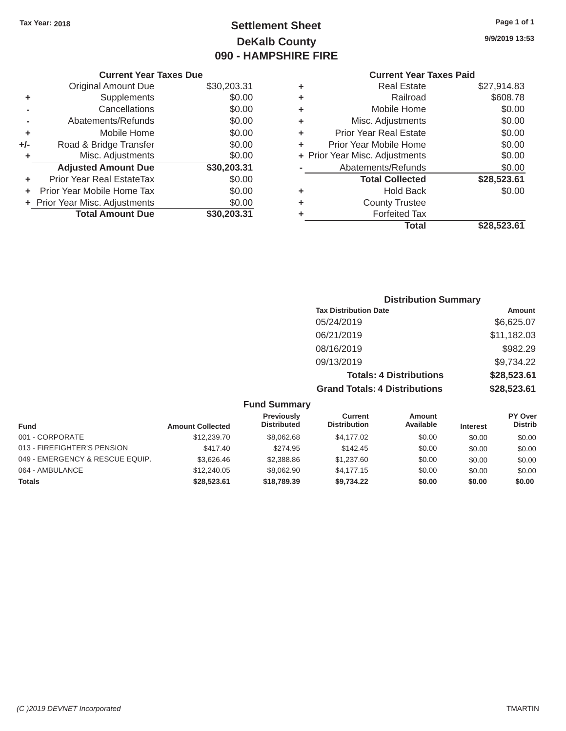# Tax Year: 2018 **Page 1 of 1 Settlement Sheet Page 1 of 1 Page 1 of 1 9/9/2019 13:53 DeKalb County 090 - HAMPSHIRE FIRE**

|       | <b>UUITULIU LUAU TAAGA DUG</b> |             |    | <b>UUITEIIL IEAL TAAGS LAIU</b> |             |  |
|-------|--------------------------------|-------------|----|---------------------------------|-------------|--|
|       | Original Amount Due            | \$30,203.31 | ٠  | <b>Real Estate</b>              | \$27,914.83 |  |
|       | <b>Supplements</b>             | \$0.00      |    | Railroad                        | \$608.78    |  |
|       | Cancellations                  | \$0.00      |    | Mobile Home                     | \$0.00      |  |
|       | Abatements/Refunds             | \$0.00      | ٠  | Misc. Adjustments               | \$0.00      |  |
|       | Mobile Home                    | \$0.00      | ÷. | <b>Prior Year Real Estate</b>   | \$0.00      |  |
| $+/-$ | Road & Bridge Transfer         | \$0.00      |    | Prior Year Mobile Home          | \$0.00      |  |
|       | Misc. Adjustments              | \$0.00      |    | + Prior Year Misc. Adjustments  | \$0.00      |  |
|       | <b>Adjusted Amount Due</b>     | \$30,203.31 |    | Abatements/Refunds              | \$0.00      |  |
| ٠     | Prior Year Real EstateTax      | \$0.00      |    | <b>Total Collected</b>          | \$28,523.61 |  |
| $+$   | Prior Year Mobile Home Tax     | \$0.00      | ٠  | <b>Hold Back</b>                | \$0.00      |  |
|       | + Prior Year Misc. Adjustments | \$0.00      | ٠  | <b>County Trustee</b>           |             |  |
|       | <b>Total Amount Due</b>        | \$30,203.31 |    | <b>Forfeited Tax</b>            |             |  |
|       |                                |             |    |                                 | $\cdots$    |  |

| \$27,914.83 | <b>Real Estate</b>             | ÷ | \$30,203.31 | <b>Original Amount Due</b> |
|-------------|--------------------------------|---|-------------|----------------------------|
| \$608.78    | Railroad                       | ÷ | \$0.00      | Supplements                |
| \$0.00      | Mobile Home                    | ÷ | \$0.00      | Cancellations              |
| \$0.00      | Misc. Adjustments              | ÷ | \$0.00      | Abatements/Refunds         |
| \$0.00      | <b>Prior Year Real Estate</b>  | ٠ | \$0.00      | Mobile Home                |
| \$0.00      | Prior Year Mobile Home         | ÷ | \$0.00      | Road & Bridge Transfer     |
| \$0.00      | + Prior Year Misc. Adjustments |   | \$0.00      | Misc. Adjustments          |
| \$0.00      | Abatements/Refunds             |   | \$30,203.31 | <b>Adjusted Amount Due</b> |
| \$28,523.61 | <b>Total Collected</b>         |   | \$0.00      | ior Year Real EstateTax    |
| \$0.00      | <b>Hold Back</b>               | ÷ | \$0.00      | r Year Mobile Home Tax     |
|             | <b>County Trustee</b>          | ÷ | \$0.00      | Year Misc. Adjustments     |
|             | <b>Forfeited Tax</b>           | ٠ | \$30,203.31 | <b>Total Amount Due</b>    |
| \$28,523.61 | <b>Total</b>                   |   |             |                            |
|             |                                |   |             |                            |

| <b>Distribution Summary</b>          |             |
|--------------------------------------|-------------|
| <b>Tax Distribution Date</b>         | Amount      |
| 05/24/2019                           | \$6,625.07  |
| 06/21/2019                           | \$11,182.03 |
| 08/16/2019                           | \$982.29    |
| 09/13/2019                           | \$9,734.22  |
| <b>Totals: 4 Distributions</b>       | \$28,523.61 |
| <b>Grand Totals: 4 Distributions</b> | \$28,523.61 |

|  | <b>Fund Summary</b> |  |
|--|---------------------|--|
|--|---------------------|--|

| <b>Fund</b>                     | <b>Amount Collected</b> | Previously<br><b>Distributed</b> | Current<br><b>Distribution</b> | <b>Amount</b><br>Available | <b>Interest</b> | PY Over<br><b>Distrib</b> |
|---------------------------------|-------------------------|----------------------------------|--------------------------------|----------------------------|-----------------|---------------------------|
| 001 - CORPORATE                 | \$12,239.70             | \$8,062,68                       | \$4,177.02                     | \$0.00                     | \$0.00          | \$0.00                    |
| 013 - FIREFIGHTER'S PENSION     | \$417.40                | \$274.95                         | \$142.45                       | \$0.00                     | \$0.00          | \$0.00                    |
| 049 - EMERGENCY & RESCUE EQUIP. | \$3,626,46              | \$2,388.86                       | \$1,237.60                     | \$0.00                     | \$0.00          | \$0.00                    |
| 064 - AMBULANCE                 | \$12,240.05             | \$8,062.90                       | \$4,177,15                     | \$0.00                     | \$0.00          | \$0.00                    |
| <b>Totals</b>                   | \$28,523.61             | \$18,789,39                      | \$9.734.22                     | \$0.00                     | \$0.00          | \$0.00                    |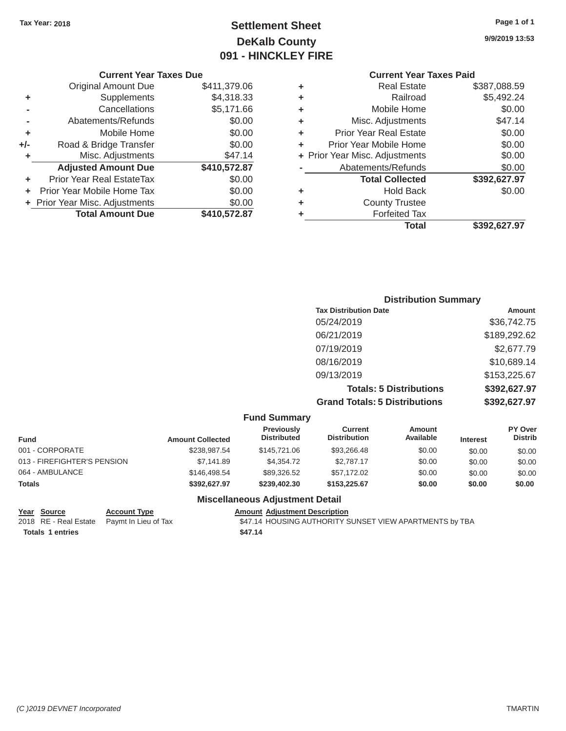# Tax Year: 2018 **Page 1 of 1 Page 1 of 1 Settlement Sheet Page 1 of 1 Page 1 of 1 9/9/2019 13:53 DeKalb County 091 - HINCKLEY FIRE**

|       | <b>Original Amount Due</b>            | \$411,379.06 | ٠ | <b>Real Estate</b>             | \$387,088.59 |
|-------|---------------------------------------|--------------|---|--------------------------------|--------------|
| ٠     | Supplements                           | \$4,318.33   | ٠ | Railroad                       | \$5,492.24   |
|       | Cancellations                         | \$5,171.66   | ٠ | Mobile Home                    | \$0.00       |
|       | Abatements/Refunds                    | \$0.00       | ٠ | Misc. Adjustments              | \$47.14      |
| ٠     | Mobile Home                           | \$0.00       |   | <b>Prior Year Real Estate</b>  | \$0.00       |
| $+/-$ | Road & Bridge Transfer                | \$0.00       |   | Prior Year Mobile Home         | \$0.00       |
|       | Misc. Adjustments                     | \$47.14      |   | + Prior Year Misc. Adjustments | \$0.00       |
|       | <b>Adjusted Amount Due</b>            | \$410,572.87 |   | Abatements/Refunds             | \$0.00       |
| ٠     | Prior Year Real EstateTax             | \$0.00       |   | <b>Total Collected</b>         | \$392,627.97 |
|       | Prior Year Mobile Home Tax<br>$+$ $-$ | \$0.00       | ٠ | <b>Hold Back</b>               | \$0.00       |
|       | + Prior Year Misc. Adjustments        | \$0.00       |   | <b>County Trustee</b>          |              |
|       | <b>Total Amount Due</b>               | \$410,572.87 |   | <b>Forfeited Tax</b>           |              |

# **Current Year Taxes Due Current Year Taxes Paid**

|                            |              |   | <b>Total</b>                   | \$392,627.97 |
|----------------------------|--------------|---|--------------------------------|--------------|
| <b>Total Amount Due</b>    | \$410,572.87 | ٠ | <b>Forfeited Tax</b>           |              |
| Year Misc. Adjustments     | \$0.00       | ÷ | <b>County Trustee</b>          |              |
| r Year Mobile Home Tax     | \$0.00       | ÷ | <b>Hold Back</b>               | \$0.00       |
| ior Year Real EstateTax    | \$0.00       |   | <b>Total Collected</b>         | \$392,627.97 |
| <b>Adjusted Amount Due</b> | \$410,572.87 |   | Abatements/Refunds             | \$0.00       |
| Misc. Adjustments          | \$47.14      |   | + Prior Year Misc. Adjustments | \$0.00       |
| Road & Bridge Transfer     | \$0.00       | ÷ | Prior Year Mobile Home         | \$0.00       |
| Mobile Home                | \$0.00       | ÷ | <b>Prior Year Real Estate</b>  | \$0.00       |
| Abatements/Refunds         | \$0.00       | ÷ | Misc. Adjustments              | \$47.14      |
| Cancellations              | \$5,171.66   | ÷ | Mobile Home                    | \$0.00       |
| Supplements                | \$4,318.33   | ÷ | Railroad                       | \$5,492.24   |
| <b>Original Amount Due</b> | \$411,379.06 | ÷ | <b>Real Estate</b>             | \$387,088.59 |

# **Distribution Summary Tax Distribution Date Amount Amount** 05/24/2019 \$36.742.75 06/21/2019 \$189,292.62 07/19/2019 \$2,677.79 08/16/2019 \$10,689.14 09/13/2019 \$153,225.67 **Totals: 5 Distributions \$392,627.97 Grand Totals: 5 Distributions \$392,627.97**

#### **Fund Summary Previously Current Amount PY Over<br>
Distributed Distribution Available Interest Distributed Fund Microsoft Amount Collected Distributed Distribution Available Interest** 001 - CORPORATE \$238,987.54 \$145,721.06 \$93,266.48 \$0.00 \$0.00 \$0.00 \$0.00 013 - FIREFIGHTER'S PENSION \$7,141.89 \$4,354.72 \$2,787.17 \$0.00 \$0.00 \$0.00 \$0.00 064 - AMBULANCE \$146,498.54 \$89,326.52 \$57,172.02 \$0.00 \$0.00 \$0.00 **Totals \$392,627.97 \$239,402.30 \$153,225.67 \$0.00 \$0.00 \$0.00**

#### **Miscellaneous Adjustment Detail**

| Year Source           |
|-----------------------|
| 2018 RE - Real Estate |

**Account Type Community Amount Adjustment Description** Totals 1 entries \$47.14

Paymt In Lieu of Tax **60018 ESTATE 12018 SAT.14 HOUSING AUTHORITY SUNSET VIEW APARTMENTS by TBA**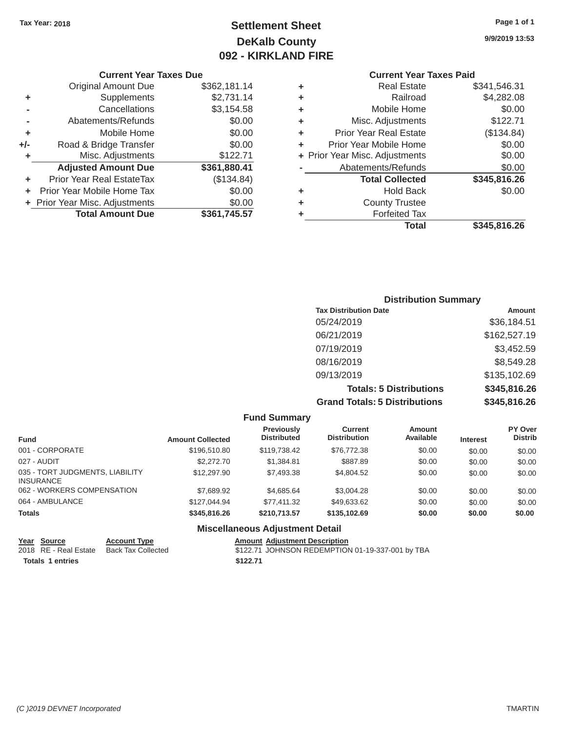# Tax Year: 2018 **Page 1 of 1 Page 1 of 1 Settlement Sheet Page 1 of 1 Page 1 of 1 9/9/2019 13:53 DeKalb County 092 - KIRKLAND FIRE**

# **Current Year Taxes Due Current Year Taxes Paid Current Year Taxes Paid Current Year Taxes Paid**

|       | OUITUIR TUUT TUAGO DUG         |              |   |                                |              |  |
|-------|--------------------------------|--------------|---|--------------------------------|--------------|--|
|       | <b>Original Amount Due</b>     | \$362,181.14 | ٠ | <b>Real Estate</b>             | \$341,546.31 |  |
| ٠     | <b>Supplements</b>             | \$2,731.14   | ٠ | Railroad                       | \$4,282.08   |  |
|       | Cancellations                  | \$3,154.58   | ٠ | Mobile Home                    | \$0.00       |  |
|       | Abatements/Refunds             | \$0.00       | ٠ | Misc. Adjustments              | \$122.71     |  |
| ٠     | Mobile Home                    | \$0.00       | ٠ | <b>Prior Year Real Estate</b>  | (\$134.84)   |  |
| $+/-$ | Road & Bridge Transfer         | \$0.00       |   | Prior Year Mobile Home         | \$0.00       |  |
|       | Misc. Adjustments              | \$122.71     |   | + Prior Year Misc. Adjustments | \$0.00       |  |
|       | <b>Adjusted Amount Due</b>     | \$361,880.41 |   | Abatements/Refunds             | \$0.00       |  |
| ÷.    | Prior Year Real EstateTax      | (\$134.84)   |   | <b>Total Collected</b>         | \$345,816.26 |  |
|       | Prior Year Mobile Home Tax     | \$0.00       | ٠ | <b>Hold Back</b>               | \$0.00       |  |
|       | + Prior Year Misc. Adjustments | \$0.00       | ٠ | <b>County Trustee</b>          |              |  |
|       | <b>Total Amount Due</b>        | \$361,745.57 |   | <b>Forfeited Tax</b>           |              |  |
|       |                                |              |   |                                | $$           |  |

| <b>Original Amount Due</b> | \$362,181.14 | ٠ | <b>Real Estate</b>             | \$341,546.31 |
|----------------------------|--------------|---|--------------------------------|--------------|
| Supplements                | \$2,731.14   | ٠ | Railroad                       | \$4,282.08   |
| Cancellations              | \$3,154.58   | ٠ | Mobile Home                    | \$0.00       |
| Abatements/Refunds         | \$0.00       | ٠ | Misc. Adjustments              | \$122.71     |
| Mobile Home                | \$0.00       | ٠ | <b>Prior Year Real Estate</b>  | (\$134.84)   |
| Road & Bridge Transfer     | \$0.00       | ٠ | Prior Year Mobile Home         | \$0.00       |
| Misc. Adjustments          | \$122.71     |   | + Prior Year Misc. Adjustments | \$0.00       |
| <b>Adjusted Amount Due</b> | \$361,880.41 |   | Abatements/Refunds             | \$0.00       |
| ior Year Real EstateTax    | (\$134.84)   |   | <b>Total Collected</b>         | \$345,816.26 |
| r Year Mobile Home Tax     | \$0.00       | ٠ | <b>Hold Back</b>               | \$0.00       |
| Year Misc. Adjustments     | \$0.00       | ٠ | <b>County Trustee</b>          |              |
| <b>Total Amount Due</b>    | \$361,745.57 | ٠ | <b>Forfeited Tax</b>           |              |
|                            |              |   | <b>Total</b>                   | \$345,816.26 |
|                            |              |   |                                |              |

# **Distribution Summary Tax Distribution Date Amount Amount** 05/24/2019 \$36,184.51 06/21/2019 \$162,527.19 07/19/2019 \$3,452.59 08/16/2019 \$8,549.28 09/13/2019 \$135,102.69 **Totals: 5 Distributions \$345,816.26 Grand Totals: 5 Distributions \$345,816.26**

|                                                     |                         | <b>Fund Summary</b>                     |                                       |                     |                 |                           |
|-----------------------------------------------------|-------------------------|-----------------------------------------|---------------------------------------|---------------------|-----------------|---------------------------|
| <b>Fund</b>                                         | <b>Amount Collected</b> | <b>Previously</b><br><b>Distributed</b> | <b>Current</b><br><b>Distribution</b> | Amount<br>Available | <b>Interest</b> | PY Over<br><b>Distrib</b> |
| 001 - CORPORATE                                     | \$196,510.80            | \$119,738.42                            | \$76,772.38                           | \$0.00              | \$0.00          | \$0.00                    |
| 027 - AUDIT                                         | \$2,272.70              | \$1,384.81                              | \$887.89                              | \$0.00              | \$0.00          | \$0.00                    |
| 035 - TORT JUDGMENTS, LIABILITY<br><b>INSURANCE</b> | \$12,297.90             | \$7,493.38                              | \$4,804.52                            | \$0.00              | \$0.00          | \$0.00                    |
| 062 - WORKERS COMPENSATION                          | \$7,689.92              | \$4,685.64                              | \$3,004.28                            | \$0.00              | \$0.00          | \$0.00                    |
| 064 - AMBULANCE                                     | \$127,044.94            | \$77,411.32                             | \$49,633.62                           | \$0.00              | \$0.00          | \$0.00                    |
| <b>Totals</b>                                       | \$345,816,26            | \$210,713.57                            | \$135,102.69                          | \$0.00              | \$0.00          | \$0.00                    |
|                                                     |                         | <b>Miscellaneous Adjustment Detail</b>  |                                       |                     |                 |                           |

| Year Source      | <b>Account Type</b>                      | <b>Amount Adiustment Description</b>             |
|------------------|------------------------------------------|--------------------------------------------------|
|                  | 2018 RE - Real Estate Back Tax Collected | \$122.71 JOHNSON REDEMPTION 01-19-337-001 by TBA |
| Totals 1 entries |                                          | \$122.71                                         |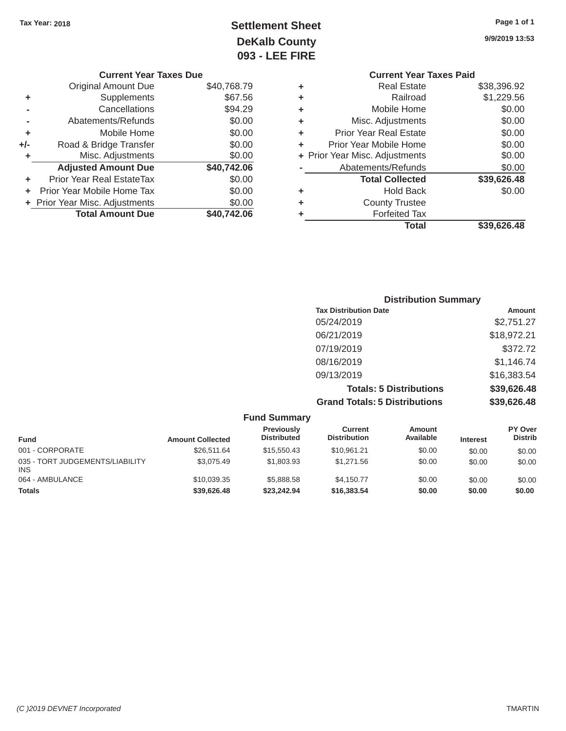# Tax Year: 2018 **Page 1 of 1 Settlement Sheet Page 1 of 1 Page 1 of 1 9/9/2019 13:53 DeKalb County 093 - LEE FIRE**

| <b>Current Year Taxes Due</b> |                                |   | <b>Current Year Taxes Paid</b> |                                |  |
|-------------------------------|--------------------------------|---|--------------------------------|--------------------------------|--|
| Original Amount Due           | \$40,768.79                    | ٠ | <b>Real Estate</b>             | \$38,396.92                    |  |
| <b>Supplements</b>            | \$67.56                        | ٠ | Railroad                       | \$1,229.56                     |  |
| Cancellations                 | \$94.29                        | ٠ | Mobile Home                    | \$0.00                         |  |
| Abatements/Refunds            | \$0.00                         | ٠ | Misc. Adjustments              | \$0.00                         |  |
| Mobile Home                   | \$0.00                         | ٠ | <b>Prior Year Real Estate</b>  | \$0.00                         |  |
| Road & Bridge Transfer        | \$0.00                         | ٠ | Prior Year Mobile Home         | \$0.00                         |  |
| Misc. Adjustments             | \$0.00                         |   |                                | \$0.00                         |  |
| <b>Adjusted Amount Due</b>    | \$40,742.06                    |   | Abatements/Refunds             | \$0.00                         |  |
| Prior Year Real EstateTax     | \$0.00                         |   | <b>Total Collected</b>         | \$39,626.48                    |  |
| Prior Year Mobile Home Tax    | \$0.00                         | ٠ | <b>Hold Back</b>               | \$0.00                         |  |
|                               | \$0.00                         | ٠ | <b>County Trustee</b>          |                                |  |
| <b>Total Amount Due</b>       | \$40,742.06                    |   | <b>Forfeited Tax</b>           |                                |  |
| ٠<br>٠<br>+/-                 | + Prior Year Misc. Adjustments |   |                                | + Prior Year Misc. Adjustments |  |

| <b>Current Year Taxes Due</b> |   | <b>Current Year Taxes Paid</b> |                                |
|-------------------------------|---|--------------------------------|--------------------------------|
| \$40,768.79                   | ÷ | <b>Real Estate</b>             | \$38,396.92                    |
| \$67.56                       | ÷ | Railroad                       | \$1,229.56                     |
| \$94.29                       | ÷ | Mobile Home                    | \$0.00                         |
| \$0.00                        | ÷ | Misc. Adjustments              | \$0.00                         |
| \$0.00                        | ÷ | <b>Prior Year Real Estate</b>  | \$0.00                         |
| \$0.00                        | ÷ | Prior Year Mobile Home         | \$0.00                         |
| \$0.00                        |   |                                | \$0.00                         |
| \$40,742.06                   |   | Abatements/Refunds             | \$0.00                         |
| \$0.00                        |   | <b>Total Collected</b>         | \$39,626.48                    |
| \$0.00                        | ÷ | <b>Hold Back</b>               | \$0.00                         |
| \$0.00                        | ÷ | <b>County Trustee</b>          |                                |
| \$40,742.06                   | ٠ | <b>Forfeited Tax</b>           |                                |
|                               |   | <b>Total</b>                   | \$39,626.48                    |
|                               |   |                                | + Prior Year Misc. Adjustments |

| <b>Distribution Summary</b>          |             |
|--------------------------------------|-------------|
| <b>Tax Distribution Date</b>         | Amount      |
| 05/24/2019                           | \$2,751.27  |
| 06/21/2019                           | \$18,972.21 |
| 07/19/2019                           | \$372.72    |
| 08/16/2019                           | \$1,146.74  |
| 09/13/2019                           | \$16,383.54 |
| <b>Totals: 5 Distributions</b>       | \$39,626.48 |
| <b>Grand Totals: 5 Distributions</b> | \$39,626.48 |

|                                               |                         | <b>Fund Summary</b>                     |                                |                            |                 |                           |
|-----------------------------------------------|-------------------------|-----------------------------------------|--------------------------------|----------------------------|-----------------|---------------------------|
| <b>Fund</b>                                   | <b>Amount Collected</b> | <b>Previously</b><br><b>Distributed</b> | Current<br><b>Distribution</b> | <b>Amount</b><br>Available | <b>Interest</b> | PY Over<br><b>Distrib</b> |
| 001 - CORPORATE                               | \$26,511.64             | \$15,550.43                             | \$10.961.21                    | \$0.00                     | \$0.00          | \$0.00                    |
| 035 - TORT JUDGEMENTS/LIABILITY<br><b>INS</b> | \$3,075.49              | \$1,803.93                              | \$1.271.56                     | \$0.00                     | \$0.00          | \$0.00                    |
| 064 - AMBULANCE                               | \$10,039.35             | \$5,888,58                              | \$4.150.77                     | \$0.00                     | \$0.00          | \$0.00                    |
| <b>Totals</b>                                 | \$39,626.48             | \$23.242.94                             | \$16,383.54                    | \$0.00                     | \$0.00          | \$0.00                    |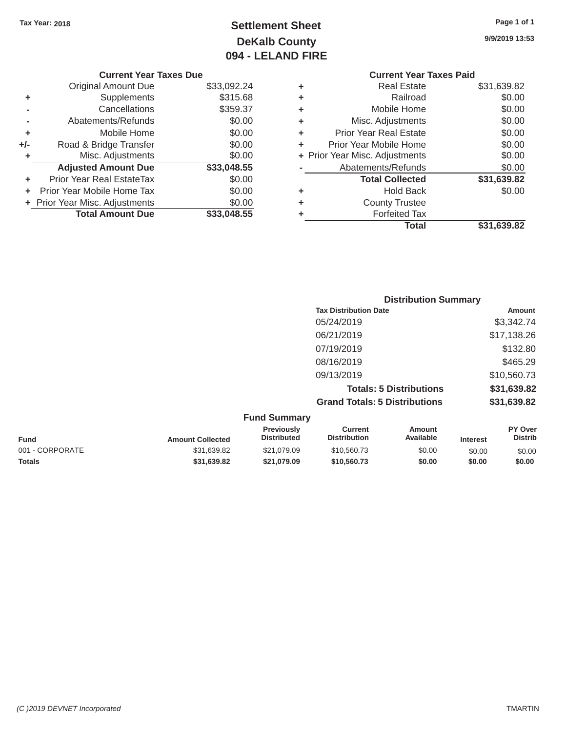# Tax Year: 2018 **Page 1 of 1 Page 1 of 1 Settlement Sheet Page 1 of 1 Page 1 of 1 9/9/2019 13:53 DeKalb County 094 - LELAND FIRE**

|       | <b>Original Amount Due</b>     | \$33,092.24 | ٠ | <b>Real Estate</b>             | \$31,639.82 |
|-------|--------------------------------|-------------|---|--------------------------------|-------------|
| ٠     | Supplements                    | \$315.68    | ٠ | Railroad                       | \$0.00      |
|       | Cancellations                  | \$359.37    | ٠ | Mobile Home                    | \$0.00      |
|       | Abatements/Refunds             | \$0.00      | ÷ | Misc. Adjustments              | \$0.00      |
| ٠     | Mobile Home                    | \$0.00      | ÷ | <b>Prior Year Real Estate</b>  | \$0.00      |
| $+/-$ | Road & Bridge Transfer         | \$0.00      |   | Prior Year Mobile Home         | \$0.00      |
|       | Misc. Adjustments              | \$0.00      |   | + Prior Year Misc. Adjustments | \$0.00      |
|       | <b>Adjusted Amount Due</b>     | \$33,048.55 |   | Abatements/Refunds             | \$0.00      |
| ٠     | Prior Year Real EstateTax      | \$0.00      |   | <b>Total Collected</b>         | \$31,639.82 |
| ÷.    | Prior Year Mobile Home Tax     | \$0.00      | ٠ | <b>Hold Back</b>               | \$0.00      |
|       | + Prior Year Misc. Adjustments | \$0.00      | ٠ | <b>County Trustee</b>          |             |
|       | <b>Total Amount Due</b>        | \$33,048.55 |   | <b>Forfeited Tax</b>           |             |
|       |                                |             |   |                                |             |

# **Current Year Taxes Due Current Year Taxes Paid Current Year Taxes Paid Current Year Taxes Paid** \$33,092.24 **+** Real Estate \$31,639.82 \$315.68 **+** Railroad \$0.00  $\uparrow$  **+** Mobile Home \$0.00 \$0.00 **+** Misc. Adjustments \$0.00 \$0.00 **+** Prior Year Real Estate \$0.00 \$0.00 **+** Prior Year Mobile Home \$0.00 \$0.00 **+** Prior Year Misc. Adjustments \$0.00 **Abatements/Refunds** \$0.00 **+** Prior Year Real EstateTax \$0.00 **Total Collected \$31,639.82 +** Prior Year Misc. Adjustments \$0.00 **+** County Trustee

**Total \$31,639.82**

| <b>Distribution Summary</b>          |             |
|--------------------------------------|-------------|
| <b>Tax Distribution Date</b>         | Amount      |
| 05/24/2019                           | \$3,342.74  |
| 06/21/2019                           | \$17,138.26 |
| 07/19/2019                           | \$132.80    |
| 08/16/2019                           | \$465.29    |
| 09/13/2019                           | \$10,560.73 |
| <b>Totals: 5 Distributions</b>       | \$31,639.82 |
| <b>Grand Totals: 5 Distributions</b> | \$31,639.82 |

|                 |                         | <b>Fund Summary</b>                     |                                |                     |                 |                           |
|-----------------|-------------------------|-----------------------------------------|--------------------------------|---------------------|-----------------|---------------------------|
| <b>Fund</b>     | <b>Amount Collected</b> | <b>Previously</b><br><b>Distributed</b> | Current<br><b>Distribution</b> | Amount<br>Available | <b>Interest</b> | PY Over<br><b>Distrib</b> |
| 001 - CORPORATE | \$31,639.82             | \$21.079.09                             | \$10,560.73                    | \$0.00              | \$0.00          | \$0.00                    |
| <b>Totals</b>   | \$31.639.82             | \$21.079.09                             | \$10,560,73                    | \$0.00              | \$0.00          | \$0.00                    |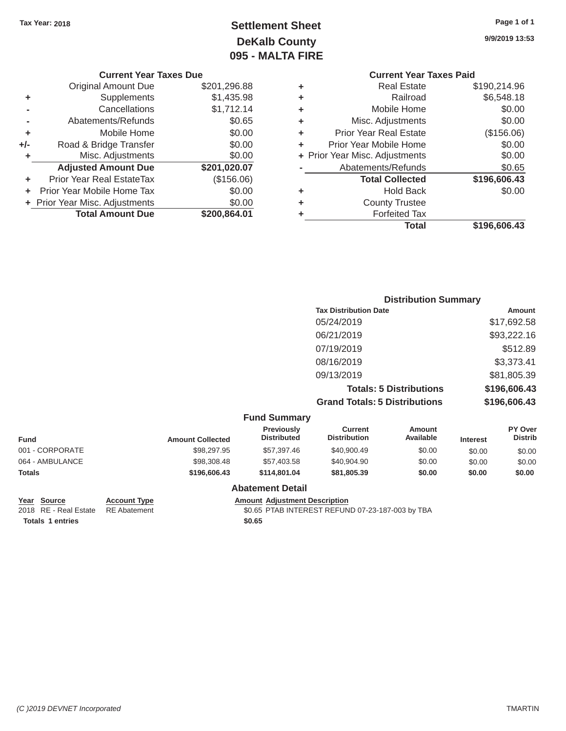# Tax Year: 2018 **Page 1 of 1 Page 1 of 1 Settlement Sheet Page 1 of 1 Page 1 of 1 9/9/2019 13:53 DeKalb County 095 - MALTA FIRE**

#### **Current Year Taxes Due Current Year Taxes Paid Current Year Taxes Paid Current Year Taxes Paid**

|       | <b>Original Amount Due</b>     | \$201,296.88 | ٠  | <b>Real Estate</b>             | \$190,214.96 |
|-------|--------------------------------|--------------|----|--------------------------------|--------------|
| ٠     | Supplements                    | \$1,435.98   | ٠  | Railroad                       | \$6,548.18   |
|       | Cancellations                  | \$1,712.14   | ٠  | Mobile Home                    | \$0.00       |
|       | Abatements/Refunds             | \$0.65       | ÷. | Misc. Adjustments              | \$0.00       |
| ٠     | Mobile Home                    | \$0.00       | ÷. | <b>Prior Year Real Estate</b>  | (\$156.06)   |
| $+/-$ | Road & Bridge Transfer         | \$0.00       |    | Prior Year Mobile Home         | \$0.00       |
|       | Misc. Adjustments              | \$0.00       |    | + Prior Year Misc. Adjustments | \$0.00       |
|       | <b>Adjusted Amount Due</b>     | \$201,020.07 |    | Abatements/Refunds             | \$0.65       |
| ٠     | Prior Year Real EstateTax      | (\$156.06)   |    | <b>Total Collected</b>         | \$196,606.43 |
| ÷.    | Prior Year Mobile Home Tax     | \$0.00       | ٠  | <b>Hold Back</b>               | \$0.00       |
|       | + Prior Year Misc. Adjustments | \$0.00       | ÷  | <b>County Trustee</b>          |              |
|       | <b>Total Amount Due</b>        | \$200,864.01 |    | <b>Forfeited Tax</b>           |              |
|       |                                |              |    |                                |              |

# **+** Real Estate \$190,214.96<br> **Dollroad** \$6,548.18

|                            |              |   | <b>Total</b>                   | \$196,606.43 |
|----------------------------|--------------|---|--------------------------------|--------------|
| <b>Total Amount Due</b>    | \$200,864.01 | ٠ | <b>Forfeited Tax</b>           |              |
| Year Misc. Adjustments     | \$0.00       | ÷ | <b>County Trustee</b>          |              |
| r Year Mobile Home Tax     | \$0.00       | ÷ | <b>Hold Back</b>               | \$0.00       |
| ior Year Real EstateTax    | (\$156.06)   |   | <b>Total Collected</b>         | \$196,606.43 |
| <b>Adjusted Amount Due</b> | \$201,020.07 |   | Abatements/Refunds             | \$0.65       |
| Misc. Adjustments          | \$0.00       |   | + Prior Year Misc. Adjustments | \$0.00       |
| Road & Bridge Transfer     | \$0.00       | ٠ | Prior Year Mobile Home         | \$0.00       |
| Mobile Home                | \$0.00       | ÷ | <b>Prior Year Real Estate</b>  | (\$156.06)   |
| Abatements/Refunds         | \$0.65       | ÷ | Misc. Adjustments              | \$0.00       |
| Cancellations              | \$1,712.14   | ÷ | Mobile Home                    | \$0.00       |
| Supplements                | \$1,435.98   | ٠ | Raliroad                       | \$6,548.18   |

# **Distribution Summary Tax Distribution Date Amount** 05/24/2019 \$17,692.58 06/21/2019 \$93,222.16 07/19/2019 \$512.89 08/16/2019 \$3,373.41 09/13/2019 \$81,805.39 **Totals: 5 Distributions \$196,606.43 Grand Totals: 5 Distributions \$196,606.43**

|                 |                         | <b>Fund Summary</b>                     |                                       |                     |                 |                                  |
|-----------------|-------------------------|-----------------------------------------|---------------------------------------|---------------------|-----------------|----------------------------------|
| <b>Fund</b>     | <b>Amount Collected</b> | <b>Previously</b><br><b>Distributed</b> | <b>Current</b><br><b>Distribution</b> | Amount<br>Available | <b>Interest</b> | <b>PY Over</b><br><b>Distrib</b> |
| 001 - CORPORATE | \$98,297.95             | \$57,397,46                             | \$40,900.49                           | \$0.00              | \$0.00          | \$0.00                           |
| 064 - AMBULANCE | \$98,308.48             | \$57,403.58                             | \$40,904.90                           | \$0.00              | \$0.00          | \$0.00                           |
| <b>Totals</b>   | \$196,606,43            | \$114,801,04                            | \$81,805,39                           | \$0.00              | \$0.00          | \$0.00                           |
|                 |                         | Ahatamant Datail                        |                                       |                     |                 |                                  |

#### **Abatement Detail**

Totals 1 entries \$0.65

**Year Source Account Type Account Adjustment Description**<br>
2018 RE - Real Estate RE Abatement **Adjustment ADJUSTER ST AS ASSENT ASSAULT** SO ASSENT ARE A SOLIS

\$0.65 PTAB INTEREST REFUND 07-23-187-003 by TBA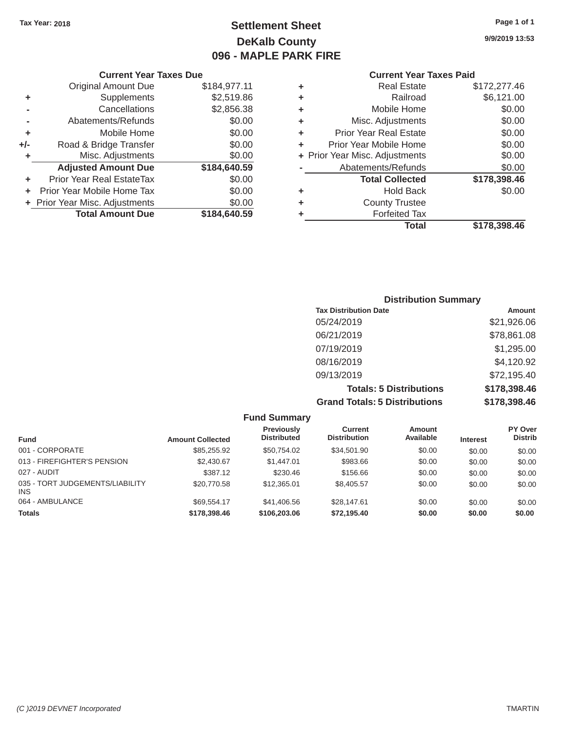# Tax Year: 2018 **Page 1 of 1 Page 1 of 1 Settlement Sheet Page 1 of 1 Page 1 of 1 9/9/2019 13:53 DeKalb County 096 - MAPLE PARK FIRE**

#### **Current Year Taxes Due Current Year Taxes Paid Current Year Taxes Paid**

|     | <b>Original Amount Due</b>     | \$184,977.11 | ٠ | <b>Real Estate</b>             | \$172,277.46 |  |  |
|-----|--------------------------------|--------------|---|--------------------------------|--------------|--|--|
| ٠   | Supplements                    | \$2,519.86   | ٠ | Railroad                       | \$6,121.00   |  |  |
|     | Cancellations                  | \$2,856.38   | ٠ | Mobile Home                    | \$0.00       |  |  |
|     | Abatements/Refunds             | \$0.00       | ٠ | Misc. Adjustments              | \$0.00       |  |  |
|     | Mobile Home                    | \$0.00       | ٠ | <b>Prior Year Real Estate</b>  | \$0.00       |  |  |
| +/- | Road & Bridge Transfer         | \$0.00       | ٠ | Prior Year Mobile Home         | \$0.00       |  |  |
|     | Misc. Adjustments              | \$0.00       |   | + Prior Year Misc. Adjustments | \$0.00       |  |  |
|     | <b>Adjusted Amount Due</b>     | \$184,640.59 |   | Abatements/Refunds             | \$0.00       |  |  |
|     | Prior Year Real EstateTax      | \$0.00       |   | <b>Total Collected</b>         | \$178,398.46 |  |  |
|     | Prior Year Mobile Home Tax     | \$0.00       | ٠ | <b>Hold Back</b>               | \$0.00       |  |  |
|     | + Prior Year Misc. Adjustments | \$0.00       | ٠ | <b>County Trustee</b>          |              |  |  |
|     | <b>Total Amount Due</b>        | \$184,640.59 |   | <b>Forfeited Tax</b>           |              |  |  |
|     |                                |              |   |                                |              |  |  |

| <b>Original Amount Due</b> | \$184,977.11 | ÷ | <b>Real Estate</b>             | \$172,277.46 |
|----------------------------|--------------|---|--------------------------------|--------------|
| Supplements                | \$2,519.86   | ÷ | Railroad                       | \$6,121.00   |
| Cancellations              | \$2,856.38   | ÷ | Mobile Home                    | \$0.00       |
| Abatements/Refunds         | \$0.00       | ÷ | Misc. Adjustments              | \$0.00       |
| Mobile Home                | \$0.00       | ÷ | <b>Prior Year Real Estate</b>  | \$0.00       |
| Road & Bridge Transfer     | \$0.00       | ÷ | Prior Year Mobile Home         | \$0.00       |
| Misc. Adjustments          | \$0.00       |   | + Prior Year Misc. Adjustments | \$0.00       |
| <b>Adjusted Amount Due</b> | \$184,640.59 |   | Abatements/Refunds             | \$0.00       |
| ior Year Real EstateTax    | \$0.00       |   | <b>Total Collected</b>         | \$178,398.46 |
| r Year Mobile Home Tax     | \$0.00       | ÷ | <b>Hold Back</b>               | \$0.00       |
| Year Misc. Adjustments     | \$0.00       | ÷ | <b>County Trustee</b>          |              |
| <b>Total Amount Due</b>    | \$184,640.59 | ٠ | <b>Forfeited Tax</b>           |              |
|                            |              |   | <b>Total</b>                   | \$178,398.46 |

# **Distribution Summary Tax Distribution Date Amount Amount** 05/24/2019 \$21,926.06 06/21/2019 \$78,861.08 07/19/2019 \$1,295.00 08/16/2019 \$4,120.92 09/13/2019 \$72,195.40 **Totals: 5 Distributions \$178,398.46 Grand Totals: 5 Distributions \$178,398.46**

|                                               |                         | <b>Fund Summary</b>                     |                                |                     |                 |                           |
|-----------------------------------------------|-------------------------|-----------------------------------------|--------------------------------|---------------------|-----------------|---------------------------|
| <b>Fund</b>                                   | <b>Amount Collected</b> | <b>Previously</b><br><b>Distributed</b> | Current<br><b>Distribution</b> | Amount<br>Available | <b>Interest</b> | PY Over<br><b>Distrib</b> |
| 001 - CORPORATE                               | \$85,255.92             | \$50,754.02                             | \$34,501.90                    | \$0.00              | \$0.00          | \$0.00                    |
| 013 - FIREFIGHTER'S PENSION                   | \$2,430.67              | \$1,447.01                              | \$983.66                       | \$0.00              | \$0.00          | \$0.00                    |
| 027 - AUDIT                                   | \$387.12                | \$230.46                                | \$156.66                       | \$0.00              | \$0.00          | \$0.00                    |
| 035 - TORT JUDGEMENTS/LIABILITY<br><b>INS</b> | \$20,770.58             | \$12,365.01                             | \$8,405.57                     | \$0.00              | \$0.00          | \$0.00                    |
| 064 - AMBULANCE                               | \$69.554.17             | \$41,406.56                             | \$28.147.61                    | \$0.00              | \$0.00          | \$0.00                    |
| <b>Totals</b>                                 | \$178,398,46            | \$106,203,06                            | \$72.195.40                    | \$0.00              | \$0.00          | \$0.00                    |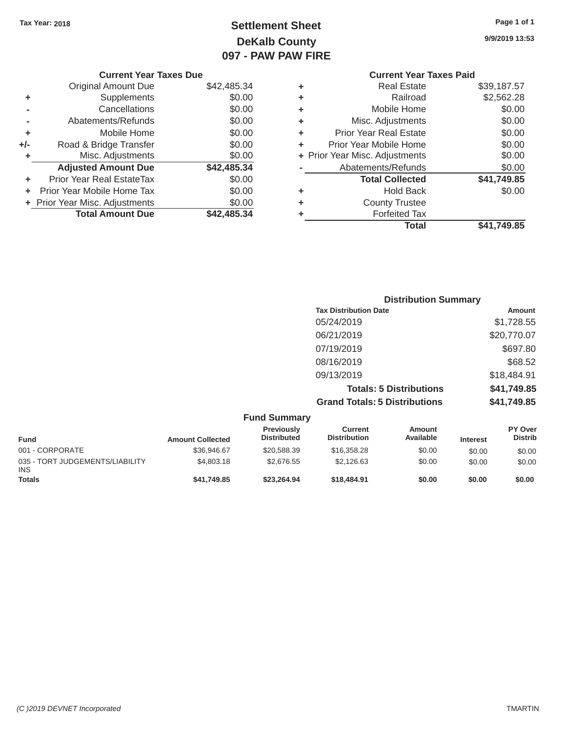# Tax Year: 2018 **Page 1 of 1 Settlement Sheet Page 1 of 1 Page 1 of 1 9/9/2019 13:53 DeKalb County 097 - PAW PAW FIRE**

|                | <b>Current Year Taxes Due</b>  |             | <b>Current Year Taxes Paid</b> |                                |             |
|----------------|--------------------------------|-------------|--------------------------------|--------------------------------|-------------|
|                | <b>Original Amount Due</b>     | \$42,485.34 | ٠                              | <b>Real Estate</b>             | \$39,187.57 |
| ٠              | Supplements                    | \$0.00      | ٠                              | Railroad                       | \$2,562.28  |
| $\blacksquare$ | Cancellations                  | \$0.00      | ٠                              | Mobile Home                    | \$0.00      |
| -              | Abatements/Refunds             | \$0.00      | ٠                              | Misc. Adjustments              | \$0.00      |
| ٠              | Mobile Home                    | \$0.00      | ٠                              | <b>Prior Year Real Estate</b>  | \$0.00      |
| I-             | Road & Bridge Transfer         | \$0.00      | ٠                              | Prior Year Mobile Home         | \$0.00      |
| ٠              | Misc. Adjustments              | \$0.00      |                                | + Prior Year Misc. Adjustments | \$0.00      |
|                | <b>Adjusted Amount Due</b>     | \$42,485.34 |                                | Abatements/Refunds             | \$0.00      |
| ٠              | Prior Year Real EstateTax      | \$0.00      |                                | <b>Total Collected</b>         | \$41,749.85 |
|                | + Prior Year Mobile Home Tax   | \$0.00      | ٠                              | <b>Hold Back</b>               | \$0.00      |
|                | + Prior Year Misc. Adjustments | \$0.00      | ٠                              | <b>County Trustee</b>          |             |
|                | <b>Total Amount Due</b>        | \$42,485.34 |                                | <b>Forfeited Tax</b>           |             |
|                |                                |             |                                | <b>Total</b>                   | \$41,749.85 |
|                |                                |             |                                |                                |             |

| <b>Current Year</b>            |   |             | <b>Current Year Taxes Due</b>    |     |
|--------------------------------|---|-------------|----------------------------------|-----|
| <b>Real Estate</b>             | ٠ | \$42,485.34 | Original Amount Due              |     |
| Railroad                       | ٠ | \$0.00      | Supplements                      | ٠   |
| Mobile Home                    | ٠ | \$0.00      | Cancellations                    |     |
| Misc. Adjustments              | ٠ | \$0.00      | Abatements/Refunds               |     |
| <b>Prior Year Real Estate</b>  | ٠ | \$0.00      | Mobile Home                      | ٠   |
| Prior Year Mobile Home         | ÷ | \$0.00      | Road & Bridge Transfer           | +/- |
| + Prior Year Misc. Adjustments |   | \$0.00      | Misc. Adjustments                | ٠   |
| Abatements/Refunds             |   | \$42,485.34 | <b>Adjusted Amount Due</b>       |     |
| <b>Total Collected</b>         |   | \$0.00      | <b>Prior Year Real EstateTax</b> | ٠   |
| <b>Hold Back</b>               | ٠ | \$0.00      | Prior Year Mobile Home Tax       | ÷   |
| <b>County Trustee</b>          | ٠ | \$0.00      | + Prior Year Misc. Adjustments   |     |
| Forfeited Tax                  |   | \$42,485.34 | <b>Total Amount Due</b>          |     |
|                                |   |             |                                  |     |

| <b>Distribution Summary</b>          |             |
|--------------------------------------|-------------|
| <b>Tax Distribution Date</b>         | Amount      |
| 05/24/2019                           | \$1,728.55  |
| 06/21/2019                           | \$20,770.07 |
| 07/19/2019                           | \$697.80    |
| 08/16/2019                           | \$68.52     |
| 09/13/2019                           | \$18,484.91 |
| <b>Totals: 5 Distributions</b>       | \$41,749.85 |
| <b>Grand Totals: 5 Distributions</b> | \$41,749.85 |

|                                        |                         | <b>Fund Summary</b>              |                                |                     |                 |                                  |
|----------------------------------------|-------------------------|----------------------------------|--------------------------------|---------------------|-----------------|----------------------------------|
| <b>Fund</b>                            | <b>Amount Collected</b> | Previously<br><b>Distributed</b> | Current<br><b>Distribution</b> | Amount<br>Available | <b>Interest</b> | <b>PY Over</b><br><b>Distrib</b> |
| 001 - CORPORATE                        | \$36,946.67             | \$20,588.39                      | \$16,358.28                    | \$0.00              | \$0.00          | \$0.00                           |
| 035 - TORT JUDGEMENTS/LIABILITY<br>INS | \$4,803.18              | \$2,676,55                       | \$2.126.63                     | \$0.00              | \$0.00          | \$0.00                           |
| <b>Totals</b>                          | \$41,749.85             | \$23,264.94                      | \$18,484.91                    | \$0.00              | \$0.00          | \$0.00                           |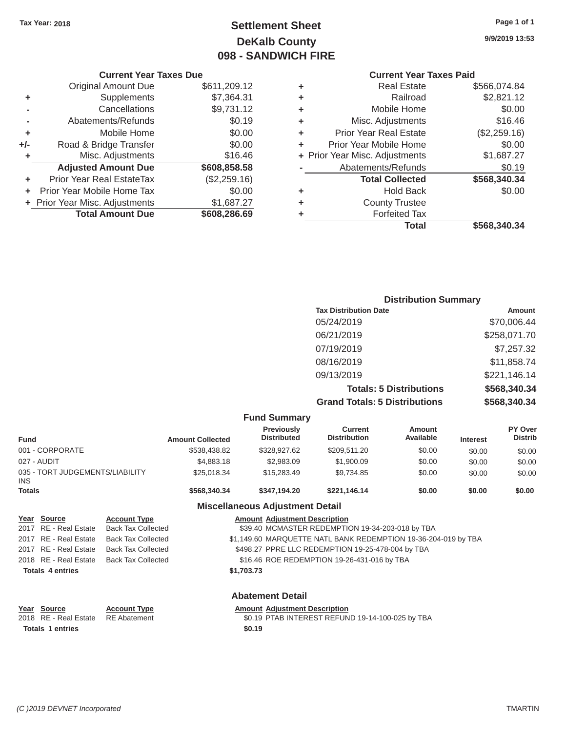# Tax Year: 2018 **Page 1 of 1 Page 1 of 1 Settlement Sheet Page 1 of 1 Page 1 of 1 9/9/2019 13:53 DeKalb County 098 - SANDWICH FIRE**

| ٠                              | \$566,074.84<br><b>Real Estate</b> |
|--------------------------------|------------------------------------|
| ٠                              | \$2,821.12<br>Railroad             |
| ٠                              | \$0.00<br>Mobile Home              |
| Misc. Adjustments<br>٠         | \$16.46                            |
| Prior Year Real Estate<br>٠    | (\$2,259.16)                       |
| Prior Year Mobile Home         | \$0.00                             |
| + Prior Year Misc. Adjustments | \$1,687.27                         |
| Abatements/Refunds             | \$0.19                             |
| <b>Total Collected</b>         | \$568,340.34                       |
| ٠                              | \$0.00<br><b>Hold Back</b>         |
| ٠                              | <b>County Trustee</b>              |
|                                | <b>Forfeited Tax</b>               |
|                                | Total<br>\$568,340.34              |

#### **Current Year Taxes Due Current Year Taxes Paid**  Original Amount Due \$611,209.12 **+** Supplements \$7,364.31 **-** Cancellations \$9,731.12 **-** Abatements/Refunds \$0.19 **+** Mobile Home \$0.00 **+/-** Road & Bridge Transfer \$0.00 **+** Misc. Adjustments \$16.46 **Adjusted Amount Due \$608,858.58 +** Prior Year Real EstateTax (\$2,259.16) **+** Prior Year Mobile Home Tax \$0.00 **+** Prior Year Misc. Adjustments \$1,687.27 **Total Amount Due \$608,286.69**

| <b>Distribution Summary</b>          |              |
|--------------------------------------|--------------|
| <b>Tax Distribution Date</b>         | Amount       |
| 05/24/2019                           | \$70,006.44  |
| 06/21/2019                           | \$258,071.70 |
| 07/19/2019                           | \$7,257.32   |
| 08/16/2019                           | \$11,858.74  |
| 09/13/2019                           | \$221,146.14 |
| <b>Totals: 5 Distributions</b>       | \$568,340.34 |
| <b>Grand Totals: 5 Distributions</b> | \$568,340.34 |

|                                         |                           |                                             | <b>Fund Summary</b>                                            |                                       |                            |                 |                           |
|-----------------------------------------|---------------------------|---------------------------------------------|----------------------------------------------------------------|---------------------------------------|----------------------------|-----------------|---------------------------|
| <b>Fund</b>                             |                           | <b>Amount Collected</b>                     | <b>Previously</b><br><b>Distributed</b>                        | <b>Current</b><br><b>Distribution</b> | <b>Amount</b><br>Available | <b>Interest</b> | PY Over<br><b>Distrib</b> |
| 001 - CORPORATE                         |                           | \$538,438.82                                | \$328,927.62                                                   | \$209,511.20                          | \$0.00                     | \$0.00          | \$0.00                    |
| 027 - AUDIT<br>\$4,883,18               |                           |                                             | \$2,983.09                                                     | \$1,900.09                            | \$0.00                     | \$0.00          | \$0.00                    |
| 035 - TORT JUDGEMENTS/LIABILITY<br>INS. |                           | \$25,018.34                                 | \$15,283.49                                                    | \$9,734.85                            | \$0.00                     | \$0.00          | \$0.00                    |
| <b>Totals</b>                           |                           | \$568,340,34                                | \$347.194.20                                                   | \$221.146.14                          | \$0.00                     | \$0.00          | \$0.00                    |
|                                         |                           |                                             | <b>Miscellaneous Adjustment Detail</b>                         |                                       |                            |                 |                           |
| Year Source                             | <b>Account Type</b>       |                                             | <b>Amount Adiustment Description</b>                           |                                       |                            |                 |                           |
| 2017 RE - Real Estate                   | <b>Back Tax Collected</b> |                                             | \$39.40 MCMASTER REDEMPTION 19-34-203-018 by TBA               |                                       |                            |                 |                           |
| 2017 RE - Real Estate                   | <b>Back Tax Collected</b> |                                             | \$1,149.60 MARQUETTE NATL BANK REDEMPTION 19-36-204-019 by TBA |                                       |                            |                 |                           |
| 2017 RE - Real Estate                   | <b>Back Tax Collected</b> |                                             | \$498.27 PPRE LLC REDEMPTION 19-25-478-004 by TBA              |                                       |                            |                 |                           |
| 2018 RE - Real Estate                   | <b>Back Tax Collected</b> | \$16.46 ROE REDEMPTION 19-26-431-016 by TBA |                                                                |                                       |                            |                 |                           |

#### **\$1,703.73**

| Year Source             |
|-------------------------|
| 2018 RE - Real Estate   |
| <b>Totals 1 entries</b> |

**Totals 4 entries** 

**Account Type**  RE Abatement

# **Abatement Detail**

**Amount Adjustment Description** 

\$0.19 PTAB INTEREST REFUND 19-14-100-025 by TBA **\$0.19**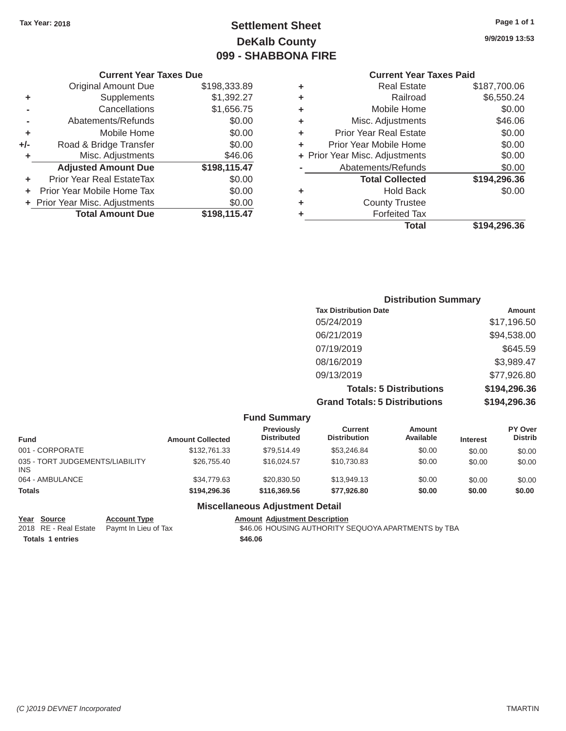# Tax Year: 2018 **Page 1 of 1 Page 1 of 1 Settlement Sheet Page 1 of 1 Page 1 of 1 9/9/2019 13:53 DeKalb County 099 - SHABBONA FIRE**

|    | <b>Current Year Taxes Due</b>    |              |
|----|----------------------------------|--------------|
|    | <b>Original Amount Due</b>       | \$198,333.89 |
| ÷  | Supplements                      | \$1,392.27   |
|    | Cancellations                    | \$1,656.75   |
|    | Abatements/Refunds               | \$0.00       |
| ÷  | Mobile Home                      | \$0.00       |
| I- | Road & Bridge Transfer           | \$0.00       |
| ÷  | Misc. Adjustments                | \$46.06      |
|    | <b>Adjusted Amount Due</b>       | \$198,115.47 |
|    | <b>Prior Year Real EstateTax</b> | \$0.00       |
|    | Prior Year Mobile Home Tax       | \$0.00       |

# **Current Year Taxes Paid**

|     | <b>Original Amount Due</b>     | \$198,333.89 | ٠ | <b>Real Estate</b>             | \$187,700.06 |
|-----|--------------------------------|--------------|---|--------------------------------|--------------|
| ٠   | <b>Supplements</b>             | \$1,392.27   | ٠ | Railroad                       | \$6,550.24   |
|     | Cancellations                  | \$1,656.75   | ٠ | Mobile Home                    | \$0.00       |
|     | Abatements/Refunds             | \$0.00       | ٠ | Misc. Adjustments              | \$46.06      |
| ٠   | Mobile Home                    | \$0.00       | ٠ | <b>Prior Year Real Estate</b>  | \$0.00       |
| +/- | Road & Bridge Transfer         | \$0.00       | ٠ | Prior Year Mobile Home         | \$0.00       |
| ٠   | Misc. Adjustments              | \$46.06      |   | + Prior Year Misc. Adjustments | \$0.00       |
|     | <b>Adjusted Amount Due</b>     | \$198,115.47 |   | Abatements/Refunds             | \$0.00       |
| ٠   | Prior Year Real EstateTax      | \$0.00       |   | <b>Total Collected</b>         | \$194,296.36 |
|     | + Prior Year Mobile Home Tax   | \$0.00       | ٠ | <b>Hold Back</b>               | \$0.00       |
|     | + Prior Year Misc. Adjustments | \$0.00       | ٠ | <b>County Trustee</b>          |              |
|     | <b>Total Amount Due</b>        | \$198,115.47 |   | <b>Forfeited Tax</b>           |              |
|     |                                |              |   | Total                          | \$194,296.36 |
|     |                                |              |   |                                |              |

# **Distribution Summary Tax Distribution Date Amount** 05/24/2019 \$17,196.50 06/21/2019 \$94,538.00 07/19/2019 \$645.59 08/16/2019 \$3,989.47 09/13/2019 \$77,926.80 **Totals: 5 Distributions \$194,296.36 Grand Totals: 5 Distributions \$194,296.36**

|                                               |                         | <b>Fund Summary</b>              |                                |                            |                 |                           |
|-----------------------------------------------|-------------------------|----------------------------------|--------------------------------|----------------------------|-----------------|---------------------------|
| <b>Fund</b>                                   | <b>Amount Collected</b> | Previously<br><b>Distributed</b> | Current<br><b>Distribution</b> | <b>Amount</b><br>Available | <b>Interest</b> | PY Over<br><b>Distrib</b> |
| 001 - CORPORATE                               | \$132,761,33            | \$79.514.49                      | \$53.246.84                    | \$0.00                     | \$0.00          | \$0.00                    |
| 035 - TORT JUDGEMENTS/LIABILITY<br><b>INS</b> | \$26,755,40             | \$16,024.57                      | \$10.730.83                    | \$0.00                     | \$0.00          | \$0.00                    |
| 064 - AMBULANCE                               | \$34,779.63             | \$20,830.50                      | \$13,949.13                    | \$0.00                     | \$0.00          | \$0.00                    |
| <b>Totals</b>                                 | \$194,296,36            | \$116,369.56                     | \$77.926.80                    | \$0.00                     | \$0.00          | \$0.00                    |
|                                               |                         | Micrallangous Adiustmant Datail  |                                |                            |                 |                           |

#### **Miscellaneous Adjustment Detail**

**Year Source Account Type Account Adjustment Description**<br>2018 RE - Real Estate Paymt In Lieu of Tax 546.06 HOUSING AUTHORITY S Totals 1 entries \$46.06

Paymt In Lieu of Tax **546.06 HOUSING AUTHORITY SEQUOYA APARTMENTS** by TBA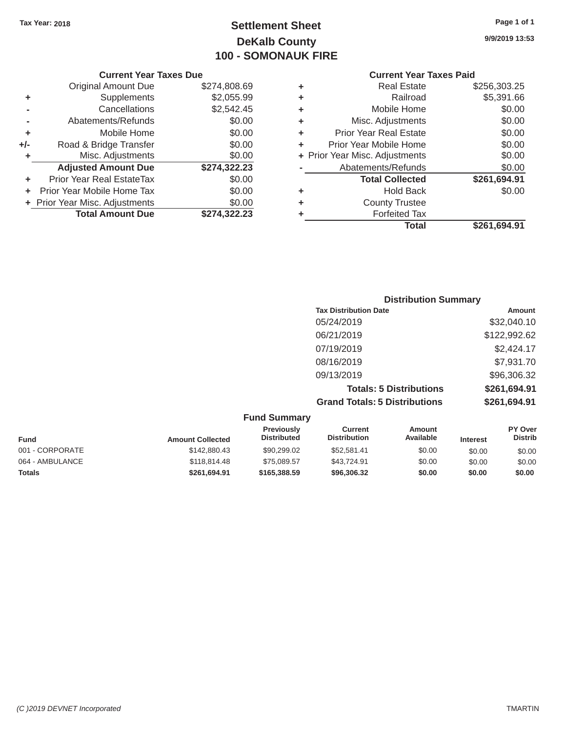# Tax Year: 2018 **Page 1 of 1 Page 1 of 1 Settlement Sheet Page 1 of 1 Page 1 of 1 9/9/2019 13:53 DeKalb County 100 - SOMONAUK FIRE**

|                      |                                |              |   | Total                          | \$261,694.91 |
|----------------------|--------------------------------|--------------|---|--------------------------------|--------------|
|                      | <b>Total Amount Due</b>        | \$274,322.23 |   | <b>Forfeited Tax</b>           |              |
|                      | + Prior Year Misc. Adjustments | \$0.00       | ٠ | <b>County Trustee</b>          |              |
|                      | + Prior Year Mobile Home Tax   | \$0.00       | ٠ | <b>Hold Back</b>               | \$0.00       |
| ÷                    | Prior Year Real EstateTax      | \$0.00       |   | <b>Total Collected</b>         | \$261,694.91 |
|                      | <b>Adjusted Amount Due</b>     | \$274,322.23 |   | Abatements/Refunds             | \$0.00       |
| ÷                    | Misc. Adjustments              | \$0.00       |   | + Prior Year Misc. Adjustments | \$0.00       |
| J-                   | Road & Bridge Transfer         | \$0.00       |   | Prior Year Mobile Home         | \$0.00       |
| $\ddot{\phantom{1}}$ | Mobile Home                    | \$0.00       | ٠ | <b>Prior Year Real Estate</b>  | \$0.00       |
|                      | Abatements/Refunds             | \$0.00       | ٠ | Misc. Adjustments              | \$0.00       |
| $\blacksquare$       | Cancellations                  | \$2,542.45   |   | Mobile Home                    | \$0.00       |
| ÷                    | Supplements                    | \$2,055.99   | ٠ | Railroad                       | \$5,391.66   |
|                      | <b>Original Amount Due</b>     | \$274,808.69 | ٠ | <b>Real Estate</b>             | \$256,303.25 |
|                      |                                |              |   |                                |              |

# **Current Year Taxes Due Current Year Taxes Paid Current Year Taxes Paid Current Year Taxes Paid** Original Amount Due **+** Supplements **-** Cancellations **-** Abatements/Refunds **+** Mobile Home **+/-** Road & Bridge Transfer **+** Misc. Adjustments **+** Prior Year Misc. Adjustments  $$0.00$ **Total Amount Due**  \$274,322.23

| <b>Distribution Summary</b>          |              |
|--------------------------------------|--------------|
| <b>Tax Distribution Date</b>         | Amount       |
| 05/24/2019                           | \$32,040.10  |
| 06/21/2019                           | \$122,992.62 |
| 07/19/2019                           | \$2,424.17   |
| 08/16/2019                           | \$7,931.70   |
| 09/13/2019                           | \$96,306.32  |
| <b>Totals: 5 Distributions</b>       | \$261,694.91 |
| <b>Grand Totals: 5 Distributions</b> | \$261,694.91 |

| <b>Fund Summary</b> |                         |                                         |                                |                     |                 |                                  |
|---------------------|-------------------------|-----------------------------------------|--------------------------------|---------------------|-----------------|----------------------------------|
| <b>Fund</b>         | <b>Amount Collected</b> | <b>Previously</b><br><b>Distributed</b> | Current<br><b>Distribution</b> | Amount<br>Available | <b>Interest</b> | <b>PY Over</b><br><b>Distrib</b> |
| 001 - CORPORATE     | \$142,880.43            | \$90,299.02                             | \$52,581.41                    | \$0.00              | \$0.00          | \$0.00                           |
| 064 - AMBULANCE     | \$118,814.48            | \$75,089.57                             | \$43.724.91                    | \$0.00              | \$0.00          | \$0.00                           |
| <b>Totals</b>       | \$261.694.91            | \$165,388,59                            | \$96,306.32                    | \$0.00              | \$0.00          | \$0.00                           |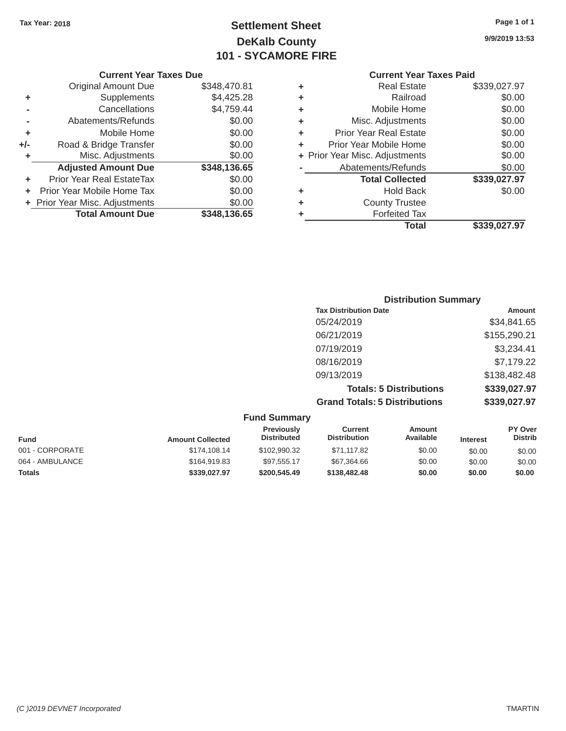# Tax Year: 2018 **Page 1 of 1 Settlement Sheet Page 1 of 1 Page 1 of 1 9/9/2019 13:53 DeKalb County 101 - SYCAMORE FIRE**

|       | <b>Original Amount Due</b>     | \$348,470.81 | ٠ | <b>Real Estate</b>             | \$339,027.97 |
|-------|--------------------------------|--------------|---|--------------------------------|--------------|
| ٠     | Supplements                    | \$4,425.28   | ٠ | Railroad                       | \$0.00       |
|       | Cancellations                  | \$4,759.44   | ٠ | Mobile Home                    | \$0.00       |
|       | Abatements/Refunds             | \$0.00       | ٠ | Misc. Adjustments              | \$0.00       |
| ٠     | Mobile Home                    | \$0.00       | ÷ | <b>Prior Year Real Estate</b>  | \$0.00       |
| $+/-$ | Road & Bridge Transfer         | \$0.00       |   | Prior Year Mobile Home         | \$0.00       |
|       | Misc. Adjustments              | \$0.00       |   | + Prior Year Misc. Adjustments | \$0.00       |
|       | <b>Adjusted Amount Due</b>     | \$348,136.65 |   | Abatements/Refunds             | \$0.00       |
| ٠     | Prior Year Real EstateTax      | \$0.00       |   | <b>Total Collected</b>         | \$339,027.97 |
|       | Prior Year Mobile Home Tax     | \$0.00       | ٠ | <b>Hold Back</b>               | \$0.00       |
|       | + Prior Year Misc. Adjustments | \$0.00       | ٠ | <b>County Trustee</b>          |              |
|       | <b>Total Amount Due</b>        | \$348,136.65 |   | <b>Forfeited Tax</b>           |              |
|       |                                |              |   |                                |              |

| <b>Original Amount Due</b> | \$348,470.81 | ٠ | <b>Real Estate</b>             | \$339,027.97 |
|----------------------------|--------------|---|--------------------------------|--------------|
| Supplements                | \$4,425.28   | ٠ | Railroad                       | \$0.00       |
| Cancellations              | \$4,759.44   | ٠ | Mobile Home                    | \$0.00       |
| Abatements/Refunds         | \$0.00       | ٠ | Misc. Adjustments              | \$0.00       |
| Mobile Home                | \$0.00       | ٠ | <b>Prior Year Real Estate</b>  | \$0.00       |
| Road & Bridge Transfer     | \$0.00       | ÷ | Prior Year Mobile Home         | \$0.00       |
| Misc. Adjustments          | \$0.00       |   | + Prior Year Misc. Adjustments | \$0.00       |
| <b>Adjusted Amount Due</b> | \$348,136.65 |   | Abatements/Refunds             | \$0.00       |
| ior Year Real EstateTax    | \$0.00       |   | <b>Total Collected</b>         | \$339,027.97 |
| r Year Mobile Home Tax     | \$0.00       | ٠ | <b>Hold Back</b>               | \$0.00       |
| Year Misc. Adjustments     | \$0.00       | ٠ | <b>County Trustee</b>          |              |
| <b>Total Amount Due</b>    | \$348,136.65 | ٠ | <b>Forfeited Tax</b>           |              |
|                            |              |   | <b>Total</b>                   | \$339,027.97 |

| <b>Distribution Summary</b>          |              |
|--------------------------------------|--------------|
| <b>Tax Distribution Date</b>         | Amount       |
| 05/24/2019                           | \$34,841.65  |
| 06/21/2019                           | \$155,290.21 |
| 07/19/2019                           | \$3,234.41   |
| 08/16/2019                           | \$7,179.22   |
| 09/13/2019                           | \$138,482.48 |
| <b>Totals: 5 Distributions</b>       | \$339,027.97 |
| <b>Grand Totals: 5 Distributions</b> | \$339,027.97 |

| <b>Fund Summary</b> |                         |                                         |                                       |                     |                 |                           |
|---------------------|-------------------------|-----------------------------------------|---------------------------------------|---------------------|-----------------|---------------------------|
| <b>Fund</b>         | <b>Amount Collected</b> | <b>Previously</b><br><b>Distributed</b> | <b>Current</b><br><b>Distribution</b> | Amount<br>Available | <b>Interest</b> | PY Over<br><b>Distrib</b> |
| 001 - CORPORATE     | \$174,108,14            | \$102,990.32                            | \$71.117.82                           | \$0.00              | \$0.00          | \$0.00                    |
| 064 - AMBULANCE     | \$164,919.83            | \$97,555.17                             | \$67,364.66                           | \$0.00              | \$0.00          | \$0.00                    |
| <b>Totals</b>       | \$339,027.97            | \$200,545,49                            | \$138,482,48                          | \$0.00              | \$0.00          | \$0.00                    |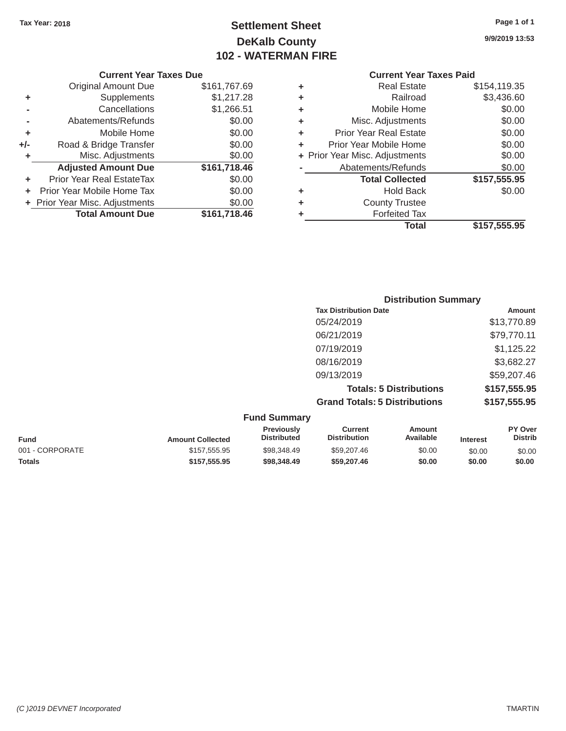# Tax Year: 2018 **Page 1 of 1 Settlement Sheet Page 1 of 1 Page 1 of 1 9/9/2019 13:53 DeKalb County 102 - WATERMAN FIRE**

|       | GUITELL I GAL TAAGS DUG        |              |    | Gulltill Ital Taxts Falu       |                 |
|-------|--------------------------------|--------------|----|--------------------------------|-----------------|
|       | <b>Original Amount Due</b>     | \$161,767.69 | ٠  | <b>Real Estate</b>             | \$154,119.35    |
|       | <b>Supplements</b>             | \$1,217.28   |    | Railroad                       | \$3,436.60      |
|       | Cancellations                  | \$1,266.51   |    | Mobile Home                    | \$0.00          |
|       | Abatements/Refunds             | \$0.00       | ٠  | Misc. Adjustments              | \$0.00          |
|       | Mobile Home                    | \$0.00       | ÷. | <b>Prior Year Real Estate</b>  | \$0.00          |
| $+/-$ | Road & Bridge Transfer         | \$0.00       | ÷. | Prior Year Mobile Home         | \$0.00          |
|       | Misc. Adjustments              | \$0.00       |    | + Prior Year Misc. Adjustments | \$0.00          |
|       | <b>Adjusted Amount Due</b>     | \$161,718.46 |    | Abatements/Refunds             | \$0.00          |
| ٠     | Prior Year Real EstateTax      | \$0.00       |    | <b>Total Collected</b>         | \$157,555.95    |
| ÷.    | Prior Year Mobile Home Tax     | \$0.00       | ٠  | <b>Hold Back</b>               | \$0.00          |
|       | + Prior Year Misc. Adjustments | \$0.00       | ٠  | <b>County Trustee</b>          |                 |
|       | <b>Total Amount Due</b>        | \$161,718.46 |    | <b>Forfeited Tax</b>           |                 |
|       |                                |              |    |                                | - - - - - - - - |

| <b>Original Amount Due</b> | \$161,767.69 | ÷ | <b>Real Estate</b>             | \$154,119.35 |
|----------------------------|--------------|---|--------------------------------|--------------|
| Supplements                | \$1,217.28   | ÷ | Railroad                       | \$3,436.60   |
| Cancellations              | \$1,266.51   | ٠ | Mobile Home                    | \$0.00       |
| Abatements/Refunds         | \$0.00       | ٠ | Misc. Adjustments              | \$0.00       |
| Mobile Home                | \$0.00       | ÷ | <b>Prior Year Real Estate</b>  | \$0.00       |
| Road & Bridge Transfer     | \$0.00       | ÷ | Prior Year Mobile Home         | \$0.00       |
| Misc. Adjustments          | \$0.00       |   | + Prior Year Misc. Adjustments | \$0.00       |
| <b>Adjusted Amount Due</b> | \$161,718.46 |   | Abatements/Refunds             | \$0.00       |
| ior Year Real EstateTax    | \$0.00       |   | <b>Total Collected</b>         | \$157,555.95 |
| r Year Mobile Home Tax     | \$0.00       | ٠ | <b>Hold Back</b>               | \$0.00       |
| Year Misc. Adjustments     | \$0.00       | ٠ | <b>County Trustee</b>          |              |
| <b>Total Amount Due</b>    | \$161,718.46 | ٠ | <b>Forfeited Tax</b>           |              |
|                            |              |   | <b>Total</b>                   | \$157,555.95 |

| <b>Distribution Summary</b>          |              |
|--------------------------------------|--------------|
| <b>Tax Distribution Date</b>         | Amount       |
| 05/24/2019                           | \$13,770.89  |
| 06/21/2019                           | \$79,770.11  |
| 07/19/2019                           | \$1,125.22   |
| 08/16/2019                           | \$3,682.27   |
| 09/13/2019                           | \$59,207.46  |
| <b>Totals: 5 Distributions</b>       | \$157,555.95 |
| <b>Grand Totals: 5 Distributions</b> | \$157,555.95 |

|                 |                         | <b>Fund Summary</b>                     |                                |                     |                 |                                  |
|-----------------|-------------------------|-----------------------------------------|--------------------------------|---------------------|-----------------|----------------------------------|
| <b>Fund</b>     | <b>Amount Collected</b> | <b>Previously</b><br><b>Distributed</b> | Current<br><b>Distribution</b> | Amount<br>Available | <b>Interest</b> | <b>PY Over</b><br><b>Distrib</b> |
| 001 - CORPORATE | \$157,555.95            | \$98,348.49                             | \$59,207,46                    | \$0.00              | \$0.00          | \$0.00                           |
| <b>Totals</b>   | \$157,555,95            | \$98,348,49                             | \$59,207.46                    | \$0.00              | \$0.00          | \$0.00                           |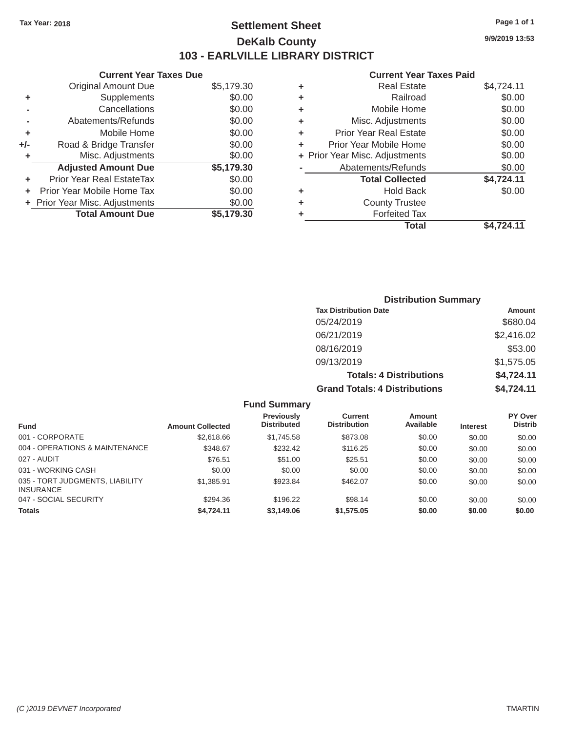# Tax Year: 2018 **Page 1 of 1 Settlement Sheet Page 1 of 1 Page 1 of 1 9/9/2019 13:53 DeKalb County 103 - EARLVILLE LIBRARY DISTRICT**

|     | <b>UUITEIIL IEAL TAAES DUE</b> |            |   | <b>UUITELIL IEAL TAAGS LAIU</b> |            |
|-----|--------------------------------|------------|---|---------------------------------|------------|
|     | Original Amount Due            | \$5,179.30 | ٠ | <b>Real Estate</b>              | \$4,724.11 |
| ٠   | Supplements                    | \$0.00     | ٠ | Railroad                        | \$0.00     |
|     | Cancellations                  | \$0.00     | ٠ | Mobile Home                     | \$0.00     |
|     | Abatements/Refunds             | \$0.00     | ٠ | Misc. Adjustments               | \$0.00     |
|     | Mobile Home                    | \$0.00     | ٠ | <b>Prior Year Real Estate</b>   | \$0.00     |
| +/- | Road & Bridge Transfer         | \$0.00     | ٠ | Prior Year Mobile Home          | \$0.00     |
|     | Misc. Adjustments              | \$0.00     |   | + Prior Year Misc. Adjustments  | \$0.00     |
|     | <b>Adjusted Amount Due</b>     | \$5,179.30 |   | Abatements/Refunds              | \$0.00     |
|     | Prior Year Real EstateTax      | \$0.00     |   | <b>Total Collected</b>          | \$4,724.11 |
|     | + Prior Year Mobile Home Tax   | \$0.00     | ٠ | <b>Hold Back</b>                | \$0.00     |
|     | + Prior Year Misc. Adjustments | \$0.00     | ٠ | <b>County Trustee</b>           |            |
|     | <b>Total Amount Due</b>        | \$5,179.30 |   | <b>Forfeited Tax</b>            |            |
|     |                                |            |   |                                 |            |

| Original Amount Due     | \$5,179.30 | ٠ | <b>Real Estate</b>             | \$4,724.11 |
|-------------------------|------------|---|--------------------------------|------------|
| Supplements             | \$0.00     | ٠ | Railroad                       | \$0.00     |
| Cancellations           | \$0.00     | ٠ | Mobile Home                    | \$0.00     |
| Abatements/Refunds      | \$0.00     | ٠ | Misc. Adjustments              | \$0.00     |
| Mobile Home             | \$0.00     | ÷ | <b>Prior Year Real Estate</b>  | \$0.00     |
| ad & Bridge Transfer    | \$0.00     |   | Prior Year Mobile Home         | \$0.00     |
| Misc. Adjustments       | \$0.00     |   | + Prior Year Misc. Adjustments | \$0.00     |
| justed Amount Due       | \$5,179.30 |   | Abatements/Refunds             | \$0.00     |
| Year Real EstateTax     | \$0.00     |   | <b>Total Collected</b>         | \$4,724.11 |
| ear Mobile Home Tax     | \$0.00     | ٠ | <b>Hold Back</b>               | \$0.00     |
| ar Misc. Adjustments    | \$0.00     | ٠ | <b>County Trustee</b>          |            |
| <b>Total Amount Due</b> | \$5,179.30 |   | <b>Forfeited Tax</b>           |            |
|                         |            |   | <b>Total</b>                   | \$4,724.11 |

| <b>Distribution Summary</b>          |            |  |  |  |
|--------------------------------------|------------|--|--|--|
| <b>Tax Distribution Date</b>         | Amount     |  |  |  |
| 05/24/2019                           | \$680.04   |  |  |  |
| 06/21/2019                           | \$2,416.02 |  |  |  |
| 08/16/2019                           | \$53.00    |  |  |  |
| 09/13/2019                           | \$1,575.05 |  |  |  |
| <b>Totals: 4 Distributions</b>       | \$4,724.11 |  |  |  |
| <b>Grand Totals: 4 Distributions</b> | \$4,724.11 |  |  |  |

|                                                     |                         | <b>Fund Summary</b>              |                                       |                     |          |                                  |
|-----------------------------------------------------|-------------------------|----------------------------------|---------------------------------------|---------------------|----------|----------------------------------|
| Fund                                                | <b>Amount Collected</b> | Previously<br><b>Distributed</b> | <b>Current</b><br><b>Distribution</b> | Amount<br>Available | Interest | <b>PY Over</b><br><b>Distrib</b> |
| 001 - CORPORATE                                     | \$2,618,66              | \$1,745.58                       | \$873.08                              | \$0.00              | \$0.00   | \$0.00                           |
| 004 - OPERATIONS & MAINTENANCE                      | \$348.67                | \$232.42                         | \$116.25                              | \$0.00              | \$0.00   | \$0.00                           |
| 027 - AUDIT                                         | \$76.51                 | \$51.00                          | \$25.51                               | \$0.00              | \$0.00   | \$0.00                           |
| 031 - WORKING CASH                                  | \$0.00                  | \$0.00                           | \$0.00                                | \$0.00              | \$0.00   | \$0.00                           |
| 035 - TORT JUDGMENTS, LIABILITY<br><b>INSURANCE</b> | \$1,385.91              | \$923.84                         | \$462.07                              | \$0.00              | \$0.00   | \$0.00                           |
| 047 - SOCIAL SECURITY                               | \$294.36                | \$196.22                         | \$98.14                               | \$0.00              | \$0.00   | \$0.00                           |
| <b>Totals</b>                                       | \$4,724.11              | \$3,149.06                       | \$1,575.05                            | \$0.00              | \$0.00   | \$0.00                           |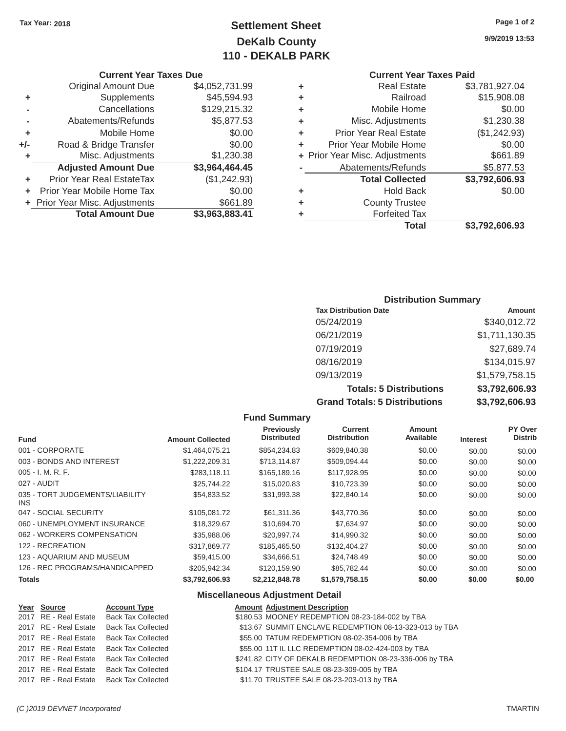# **Tax Year: 2018 Page 1 of 2 Settlement Sheet 9/9/2019 13:53 DeKalb County 110 - DEKALB PARK**

## **Current Year Taxes Paid**

| <b>Original Amount Due</b> | \$4,052,731.99 | ٠ | <b>Real Estate</b>             | \$3,781,927.04 |
|----------------------------|----------------|---|--------------------------------|----------------|
| Supplements                | \$45,594.93    | ÷ | Railroad                       | \$15,908.08    |
| Cancellations              | \$129,215.32   | ٠ | Mobile Home                    | \$0.00         |
| Abatements/Refunds         | \$5,877.53     | ٠ | Misc. Adjustments              | \$1,230.38     |
| Mobile Home                | \$0.00         | ÷ | <b>Prior Year Real Estate</b>  | (\$1,242.93)   |
| Road & Bridge Transfer     | \$0.00         | ÷ | Prior Year Mobile Home         | \$0.00         |
| Misc. Adjustments          | \$1,230.38     |   | + Prior Year Misc. Adjustments | \$661.89       |
| <b>Adjusted Amount Due</b> | \$3,964,464.45 |   | Abatements/Refunds             | \$5,877.53     |
| ior Year Real EstateTax    | (\$1,242.93)   |   | <b>Total Collected</b>         | \$3,792,606.93 |
| r Year Mobile Home Tax     | \$0.00         | ÷ | <b>Hold Back</b>               | \$0.00         |
| Year Misc. Adjustments     | \$661.89       | ٠ | <b>County Trustee</b>          |                |
| <b>Total Amount Due</b>    | \$3,963,883.41 | ٠ | <b>Forfeited Tax</b>           |                |
|                            |                |   | <b>Total</b>                   | \$3,792,606.93 |
|                            |                |   |                                |                |

|     | <b>Current Year Taxes Due</b>    |                |   | <b>Current Year Taxes Paid</b> |                |
|-----|----------------------------------|----------------|---|--------------------------------|----------------|
|     | <b>Original Amount Due</b>       | \$4,052,731.99 | ٠ | <b>Real Estate</b>             | \$3,781,927.04 |
| ٠   | Supplements                      | \$45,594.93    | ٠ | Railroad                       | \$15,908.08    |
|     | Cancellations                    | \$129,215.32   | ٠ | Mobile Home                    | \$0.00         |
|     | Abatements/Refunds               | \$5,877.53     | ٠ | Misc. Adjustments              | \$1,230.38     |
| ٠   | Mobile Home                      | \$0.00         | ٠ | <b>Prior Year Real Estate</b>  | (\$1,242.93)   |
| +/- | Road & Bridge Transfer           | \$0.00         | ÷ | Prior Year Mobile Home         | \$0.00         |
|     | Misc. Adjustments                | \$1,230.38     |   | + Prior Year Misc. Adjustments | \$661.89       |
|     | <b>Adjusted Amount Due</b>       | \$3,964,464.45 |   | Abatements/Refunds             | \$5,877.53     |
|     | <b>Prior Year Real EstateTax</b> | (\$1,242.93)   |   | <b>Total Collected</b>         | \$3,792,606.93 |
|     | Prior Year Mobile Home Tax       | \$0.00         | ٠ | <b>Hold Back</b>               | \$0.00         |
|     | + Prior Year Misc. Adjustments   | \$661.89       | ٠ | <b>County Trustee</b>          |                |
|     | <b>Total Amount Due</b>          | \$3,963,883.41 |   | <b>Forfeited Tax</b>           |                |

## **Distribution Summary**

| <b>Tax Distribution Date</b>         | Amount         |
|--------------------------------------|----------------|
| 05/24/2019                           | \$340,012.72   |
| 06/21/2019                           | \$1,711,130.35 |
| 07/19/2019                           | \$27,689.74    |
| 08/16/2019                           | \$134,015.97   |
| 09/13/2019                           | \$1,579,758.15 |
| <b>Totals: 5 Distributions</b>       | \$3,792,606.93 |
| <b>Grand Totals: 5 Distributions</b> | \$3,792,606.93 |

#### **Fund Summary**

| <b>Fund</b>                                   | <b>Amount Collected</b> | Previously<br><b>Distributed</b> | <b>Current</b><br><b>Distribution</b> | Amount<br>Available | <b>Interest</b> | PY Over<br><b>Distrib</b> |
|-----------------------------------------------|-------------------------|----------------------------------|---------------------------------------|---------------------|-----------------|---------------------------|
| 001 - CORPORATE                               | \$1,464,075.21          | \$854,234.83                     | \$609,840.38                          | \$0.00              | \$0.00          | \$0.00                    |
| 003 - BONDS AND INTEREST                      | \$1,222,209.31          | \$713,114.87                     | \$509,094.44                          | \$0.00              | \$0.00          | \$0.00                    |
| $005 - I. M. R. F.$                           | \$283,118.11            | \$165,189.16                     | \$117,928.95                          | \$0.00              | \$0.00          | \$0.00                    |
| 027 - AUDIT                                   | \$25,744.22             | \$15,020.83                      | \$10,723.39                           | \$0.00              | \$0.00          | \$0.00                    |
| 035 - TORT JUDGEMENTS/LIABILITY<br><b>INS</b> | \$54,833.52             | \$31,993.38                      | \$22,840.14                           | \$0.00              | \$0.00          | \$0.00                    |
| 047 - SOCIAL SECURITY                         | \$105,081.72            | \$61,311.36                      | \$43,770.36                           | \$0.00              | \$0.00          | \$0.00                    |
| 060 - UNEMPLOYMENT INSURANCE                  | \$18,329.67             | \$10,694.70                      | \$7.634.97                            | \$0.00              | \$0.00          | \$0.00                    |
| 062 - WORKERS COMPENSATION                    | \$35,988.06             | \$20,997.74                      | \$14,990.32                           | \$0.00              | \$0.00          | \$0.00                    |
| 122 - RECREATION                              | \$317.869.77            | \$185,465.50                     | \$132,404.27                          | \$0.00              | \$0.00          | \$0.00                    |
| 123 - AQUARIUM AND MUSEUM                     | \$59,415,00             | \$34,666.51                      | \$24,748.49                           | \$0.00              | \$0.00          | \$0.00                    |
| 126 - REC PROGRAMS/HANDICAPPED                | \$205,942.34            | \$120,159.90                     | \$85,782.44                           | \$0.00              | \$0.00          | \$0.00                    |
| <b>Totals</b>                                 | \$3,792,606,93          | \$2,212,848,78                   | \$1,579,758,15                        | \$0.00              | \$0.00          | \$0.00                    |

## **Miscellaneous Adjustment Detail**

| Year Source           | <b>Account Type</b>                      | <b>Amount Adjustment Description</b>                    |
|-----------------------|------------------------------------------|---------------------------------------------------------|
|                       | 2017 RE - Real Estate Back Tax Collected | \$180.53 MOONEY REDEMPTION 08-23-184-002 by TBA         |
|                       | 2017 RE - Real Estate Back Tax Collected | \$13.67 SUMMIT ENCLAVE REDEMPTION 08-13-323-013 by TBA  |
|                       | 2017 RE - Real Estate Back Tax Collected | \$55.00 TATUM REDEMPTION 08-02-354-006 by TBA           |
|                       | 2017 RE - Real Estate Back Tax Collected | \$55.00 11T IL LLC REDEMPTION 08-02-424-003 by TBA      |
| 2017 RE - Real Estate | <b>Back Tax Collected</b>                | \$241.82 CITY OF DEKALB REDEMPTION 08-23-336-006 by TBA |
|                       | 2017 RE - Real Estate Back Tax Collected | \$104.17 TRUSTEE SALE 08-23-309-005 by TBA              |
|                       | 2017 RE - Real Estate Back Tax Collected | \$11.70 TRUSTEE SALE 08-23-203-013 by TBA               |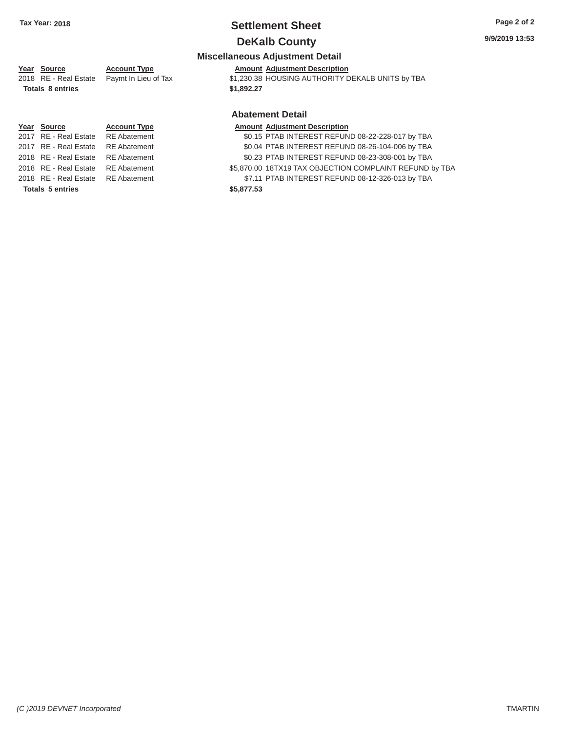# **Tax Year: 2018 Settlement Sheet Page 2 of 2**

# **DeKalb County** 9/9/2019 13:53

#### **Miscellaneous Adjustment Detail**

### Year Source **Account Type** Account Adjustment Description

| $\frac{10a}{10a}$       | $1.999$ and $1.799$                        | 1.011                                            |
|-------------------------|--------------------------------------------|--------------------------------------------------|
|                         | 2018 RE - Real Estate Paymt In Lieu of Tax | \$1,230.38 HOUSING AUTHORITY DEKALB UNITS by TBA |
| <b>Totals 8 entries</b> |                                            | \$1,892,27                                       |

# **Year Source Account Type Amount Adjustment Description**<br>
2017 RE - Real Estate RE Abatement **Amount 1998** SO.15 PTAB INTEREST REFUN 2017 RE - Real Estate RE Abatement \$0.04 PTAB INTEREST REFUND 08-26-104-006 by TBA 2018 RE - Real Estate RE Abatement \$0.23 PTAB INTEREST REFUND 08-23-308-001 by TBA 2018 RE - Real Estate RE Abatement \$5,870.00 18TX19 TAX OBJECTION COMPLAINT REFUND by TBA

# **Totals 5 entries \$5,877.53**

# **Abatement Detail**

\$0.15 PTAB INTEREST REFUND 08-22-228-017 by TBA

- 
- 
- 2018 RE Real Estate RE Abatement \$7.11 PTAB INTEREST REFUND 08-12-326-013 by TBA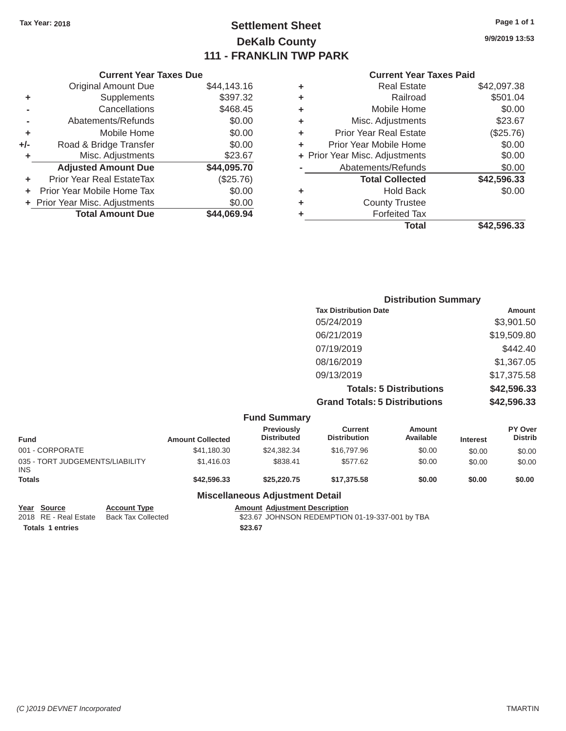# Tax Year: 2018 **Page 1 of 1 Page 1 of 1 Settlement Sheet Page 1 of 1 Page 1 of 1 9/9/2019 13:53 DeKalb County 111 - FRANKLIN TWP PARK**

#### **Current Year Taxes Due Current Year Taxes Paid Current Year Taxes Paid**

|       | <b>Original Amount Due</b>       | \$44,143.16 |
|-------|----------------------------------|-------------|
| ٠     | Supplements                      | \$397.32    |
|       | Cancellations                    | \$468.45    |
|       | Abatements/Refunds               | \$0.00      |
| ٠     | Mobile Home                      | \$0.00      |
| $+/-$ | Road & Bridge Transfer           | \$0.00      |
| ٠     | Misc. Adjustments                | \$23.67     |
|       | <b>Adjusted Amount Due</b>       | \$44,095.70 |
|       | <b>Prior Year Real EstateTax</b> | (\$25.76)   |
|       | Prior Year Mobile Home Tax       | \$0.00      |
|       | + Prior Year Misc. Adjustments   | \$0.00      |
|       | <b>Total Amount Due</b>          | \$44.069.94 |
|       |                                  |             |

| ٠ | <b>Real Estate</b>             | \$42,097.38 |
|---|--------------------------------|-------------|
| ٠ | Railroad                       | \$501.04    |
| ٠ | Mobile Home                    | \$0.00      |
| ٠ | Misc. Adjustments              | \$23.67     |
| ٠ | <b>Prior Year Real Estate</b>  | (\$25.76)   |
| ٠ | Prior Year Mobile Home         | \$0.00      |
|   | + Prior Year Misc. Adjustments | \$0.00      |
|   | Abatements/Refunds             | \$0.00      |
|   | <b>Total Collected</b>         | \$42,596.33 |
| ٠ | <b>Hold Back</b>               | \$0.00      |
| ٠ | <b>County Trustee</b>          |             |
| ٠ | <b>Forfeited Tax</b>           |             |
|   | <b>Total</b>                   | \$42.596.33 |
|   |                                |             |

|     | <b>Distribution Summary</b>          |             |
|-----|--------------------------------------|-------------|
|     | <b>Tax Distribution Date</b>         | Amount      |
|     | 05/24/2019                           | \$3,901.50  |
|     | 06/21/2019                           | \$19,509.80 |
|     | 07/19/2019                           | \$442.40    |
|     | 08/16/2019                           | \$1,367.05  |
|     | 09/13/2019                           | \$17,375.58 |
|     | <b>Totals: 5 Distributions</b>       | \$42,596.33 |
|     | <b>Grand Totals: 5 Distributions</b> | \$42,596.33 |
| $E$ |                                      |             |

|                                               |                         | <b>Fund Summary</b>                     |                                |                            |                 |                                  |
|-----------------------------------------------|-------------------------|-----------------------------------------|--------------------------------|----------------------------|-----------------|----------------------------------|
| <b>Fund</b>                                   | <b>Amount Collected</b> | <b>Previously</b><br><b>Distributed</b> | Current<br><b>Distribution</b> | <b>Amount</b><br>Available | <b>Interest</b> | <b>PY Over</b><br><b>Distrib</b> |
| 001 - CORPORATE                               | \$41,180.30             | \$24,382.34                             | \$16,797.96                    | \$0.00                     | \$0.00          | \$0.00                           |
| 035 - TORT JUDGEMENTS/LIABILITY<br><b>INS</b> | \$1,416.03              | \$838.41                                | \$577.62                       | \$0.00                     | \$0.00          | \$0.00                           |
| <b>Totals</b>                                 | \$42,596.33             | \$25,220,75                             | \$17,375.58                    | \$0.00                     | \$0.00          | \$0.00                           |

#### **Miscellaneous Adjustment Detail**

| Year Source             | <b>Account Type</b>       | Amount  |
|-------------------------|---------------------------|---------|
| 2018 RE - Real Estate   | <b>Back Tax Collected</b> | \$23.67 |
| <b>Totals 1 entries</b> |                           | \$23.67 |

**E**<br>Exament Description Change Amount Adjustment Description<br>
S23.67 JOHNSON REDEMPTION \$23.67 JOHNSON REDEMPTION 01-19-337-001 by TBA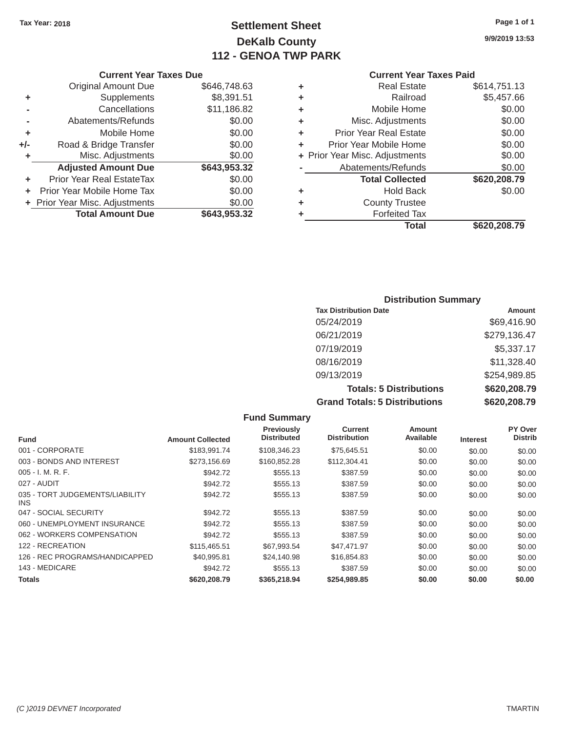# Tax Year: 2018 **Page 1 of 1 Page 1 of 1 Settlement Sheet Page 1 of 1 Page 1 of 1 9/9/2019 13:53 DeKalb County 112 - GENOA TWP PARK**

#### **Current Year Taxes Paid**

|     | <b>Original Amount Due</b>     | \$646,748.63 | ٠ | <b>Real Estate</b>             | \$614,751.13 |
|-----|--------------------------------|--------------|---|--------------------------------|--------------|
| ٠   | Supplements                    | \$8,391.51   | ٠ | Railroad                       | \$5,457.66   |
|     | Cancellations                  | \$11,186.82  | ٠ | Mobile Home                    | \$0.00       |
|     | Abatements/Refunds             | \$0.00       | ٠ | Misc. Adjustments              | \$0.00       |
| ٠   | Mobile Home                    | \$0.00       | ٠ | <b>Prior Year Real Estate</b>  | \$0.00       |
| +/- | Road & Bridge Transfer         | \$0.00       | ٠ | Prior Year Mobile Home         | \$0.00       |
|     | Misc. Adjustments              | \$0.00       |   | + Prior Year Misc. Adjustments | \$0.00       |
|     | <b>Adjusted Amount Due</b>     | \$643,953.32 |   | Abatements/Refunds             | \$0.00       |
|     | Prior Year Real EstateTax      | \$0.00       |   | <b>Total Collected</b>         | \$620,208.79 |
|     | Prior Year Mobile Home Tax     | \$0.00       | ٠ | <b>Hold Back</b>               | \$0.00       |
|     | + Prior Year Misc. Adjustments | \$0.00       | ٠ | <b>County Trustee</b>          |              |
|     | <b>Total Amount Due</b>        | \$643,953.32 |   | <b>Forfeited Tax</b>           |              |
|     |                                |              |   | Total                          | \$620,208.79 |

|                | <b>Current Year Taxes Due</b>  |              |   | <b>Current Year</b>            |
|----------------|--------------------------------|--------------|---|--------------------------------|
|                | <b>Original Amount Due</b>     | \$646,748.63 | ٠ | <b>Real Estate</b>             |
| ٠              | Supplements                    | \$8,391.51   | ٠ | Railroad                       |
| $\blacksquare$ | Cancellations                  | \$11,186.82  | ÷ | Mobile Home                    |
|                | Abatements/Refunds             | \$0.00       | ٠ | Misc. Adjustments              |
| ٠              | Mobile Home                    | \$0.00       | ÷ | <b>Prior Year Real Estate</b>  |
| I-             | Road & Bridge Transfer         | \$0.00       |   | Prior Year Mobile Home         |
| ٠              | Misc. Adjustments              | \$0.00       |   | + Prior Year Misc. Adjustments |
|                | <b>Adjusted Amount Due</b>     | \$643,953.32 |   | Abatements/Refunds             |
| ٠              | Prior Year Real EstateTax      | \$0.00       |   | <b>Total Collected</b>         |
|                | + Prior Year Mobile Home Tax   | \$0.00       | ٠ | Hold Back                      |
|                | + Prior Year Misc. Adjustments | \$0.00       | ٠ | <b>County Trustee</b>          |
|                | <b>Total Amount Due</b>        | \$643,953.32 |   | <b>Forfeited Tax</b>           |

## **Distribution Summary Tax Distribution Date Amount Amount** 05/24/2019 \$69,416.90 06/21/2019 \$279,136.47 07/19/2019 \$5,337.17 08/16/2019 \$11,328.40 09/13/2019 \$254,989.85 **Totals: 5 Distributions \$620,208.79 Grand Totals: 5 Distributions \$620,208.79**

|                                               |                         | <b>Fund Summary</b>                     |                                       |                            |                 |                           |
|-----------------------------------------------|-------------------------|-----------------------------------------|---------------------------------------|----------------------------|-----------------|---------------------------|
| <b>Fund</b>                                   | <b>Amount Collected</b> | <b>Previously</b><br><b>Distributed</b> | <b>Current</b><br><b>Distribution</b> | <b>Amount</b><br>Available | <b>Interest</b> | PY Over<br><b>Distrib</b> |
| 001 - CORPORATE                               | \$183.991.74            | \$108,346.23                            | \$75,645.51                           | \$0.00                     | \$0.00          | \$0.00                    |
| 003 - BONDS AND INTEREST                      | \$273,156.69            | \$160,852.28                            | \$112,304.41                          | \$0.00                     | \$0.00          | \$0.00                    |
| $005 - I. M. R. F.$                           | \$942.72                | \$555.13                                | \$387.59                              | \$0.00                     | \$0.00          | \$0.00                    |
| 027 - AUDIT                                   | \$942.72                | \$555.13                                | \$387.59                              | \$0.00                     | \$0.00          | \$0.00                    |
| 035 - TORT JUDGEMENTS/LIABILITY<br><b>INS</b> | \$942.72                | \$555.13                                | \$387.59                              | \$0.00                     | \$0.00          | \$0.00                    |
| 047 - SOCIAL SECURITY                         | \$942.72                | \$555.13                                | \$387.59                              | \$0.00                     | \$0.00          | \$0.00                    |
| 060 - UNEMPLOYMENT INSURANCE                  | \$942.72                | \$555.13                                | \$387.59                              | \$0.00                     | \$0.00          | \$0.00                    |
| 062 - WORKERS COMPENSATION                    | \$942.72                | \$555.13                                | \$387.59                              | \$0.00                     | \$0.00          | \$0.00                    |
| 122 - RECREATION                              | \$115,465.51            | \$67,993.54                             | \$47,471.97                           | \$0.00                     | \$0.00          | \$0.00                    |
| 126 - REC PROGRAMS/HANDICAPPED                | \$40.995.81             | \$24,140.98                             | \$16,854.83                           | \$0.00                     | \$0.00          | \$0.00                    |
| 143 - MEDICARE                                | \$942.72                | \$555.13                                | \$387.59                              | \$0.00                     | \$0.00          | \$0.00                    |
| <b>Totals</b>                                 | \$620,208.79            | \$365,218.94                            | \$254,989.85                          | \$0.00                     | \$0.00          | \$0.00                    |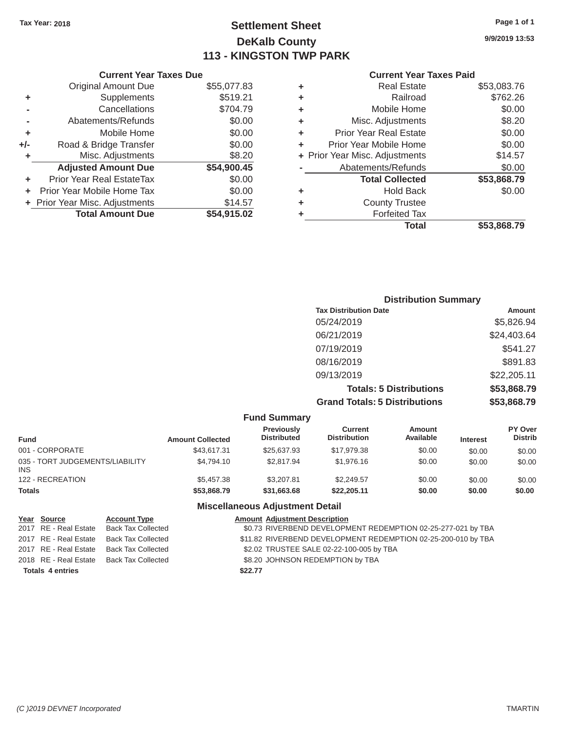# Tax Year: 2018 **Page 1 of 1 Settlement Sheet Page 1 of 1 Page 1 of 1 9/9/2019 13:53 DeKalb County 113 - KINGSTON TWP PARK**

| <b>Current Year Taxes Due</b> | <b>Current Year Taxes Paid</b> |
|-------------------------------|--------------------------------|
|                               |                                |

|         | OUITUIR TUUT TUAGO DUG           |             |   |                                |             |
|---------|----------------------------------|-------------|---|--------------------------------|-------------|
|         | <b>Original Amount Due</b>       | \$55,077.83 |   | <b>Real Estate</b>             | \$53,083.76 |
| ٠       | <b>Supplements</b>               | \$519.21    |   | Railroad                       | \$762.26    |
|         | Cancellations                    | \$704.79    |   | Mobile Home                    | \$0.00      |
|         | Abatements/Refunds               | \$0.00      |   | Misc. Adjustments              | \$8.20      |
|         | Mobile Home                      | \$0.00      | ÷ | <b>Prior Year Real Estate</b>  | \$0.00      |
| $+/-$   | Road & Bridge Transfer           | \$0.00      |   | Prior Year Mobile Home         | \$0.00      |
|         | Misc. Adjustments                | \$8.20      |   | + Prior Year Misc. Adjustments | \$14.57     |
|         | <b>Adjusted Amount Due</b>       | \$54,900.45 |   | Abatements/Refunds             | \$0.00      |
| ÷.      | <b>Prior Year Real EstateTax</b> | \$0.00      |   | <b>Total Collected</b>         | \$53,868.79 |
| $+$ $-$ | Prior Year Mobile Home Tax       | \$0.00      |   | <b>Hold Back</b>               | \$0.00      |
|         | + Prior Year Misc. Adjustments   | \$14.57     |   | <b>County Trustee</b>          |             |
|         | <b>Total Amount Due</b>          | \$54,915.02 |   | <b>Forfeited Tax</b>           |             |
|         |                                  |             |   |                                |             |

| <b>Original Amount Due</b> | \$55,077.83 | ٠ | <b>Real Estate</b>             | \$53,083.76 |
|----------------------------|-------------|---|--------------------------------|-------------|
| Supplements                | \$519.21    | ٠ | Railroad                       | \$762.26    |
| Cancellations              | \$704.79    | ٠ | Mobile Home                    | \$0.00      |
| Abatements/Refunds         | \$0.00      | ÷ | Misc. Adjustments              | \$8.20      |
| Mobile Home                | \$0.00      | ÷ | <b>Prior Year Real Estate</b>  | \$0.00      |
| Road & Bridge Transfer     | \$0.00      | ÷ | Prior Year Mobile Home         | \$0.00      |
| Misc. Adjustments          | \$8.20      |   | + Prior Year Misc. Adjustments | \$14.57     |
| <b>Adjusted Amount Due</b> | \$54,900.45 |   | Abatements/Refunds             | \$0.00      |
| ior Year Real EstateTax    | \$0.00      |   | <b>Total Collected</b>         | \$53,868.79 |
| r Year Mobile Home Tax     | \$0.00      | ٠ | <b>Hold Back</b>               | \$0.00      |
| Year Misc. Adjustments     | \$14.57     | ٠ | <b>County Trustee</b>          |             |
| <b>Total Amount Due</b>    | \$54,915.02 | ٠ | <b>Forfeited Tax</b>           |             |
|                            |             |   | <b>Total</b>                   | \$53,868.79 |

| <b>Distribution Summary</b>          |             |
|--------------------------------------|-------------|
| <b>Tax Distribution Date</b>         | Amount      |
| 05/24/2019                           | \$5,826.94  |
| 06/21/2019                           | \$24,403.64 |
| 07/19/2019                           | \$541.27    |
| 08/16/2019                           | \$891.83    |
| 09/13/2019                           | \$22,205.11 |
| <b>Totals: 5 Distributions</b>       | \$53,868.79 |
| <b>Grand Totals: 5 Distributions</b> | \$53,868.79 |

|                                               |                         | <b>Fund Summary</b>                     |                                       |                     |                 |                                  |
|-----------------------------------------------|-------------------------|-----------------------------------------|---------------------------------------|---------------------|-----------------|----------------------------------|
| <b>Fund</b>                                   | <b>Amount Collected</b> | <b>Previously</b><br><b>Distributed</b> | <b>Current</b><br><b>Distribution</b> | Amount<br>Available | <b>Interest</b> | <b>PY Over</b><br><b>Distrib</b> |
| 001 - CORPORATE                               | \$43,617.31             | \$25,637.93                             | \$17.979.38                           | \$0.00              | \$0.00          | \$0.00                           |
| 035 - TORT JUDGEMENTS/LIABILITY<br><b>INS</b> | \$4.794.10              | \$2,817.94                              | \$1,976.16                            | \$0.00              | \$0.00          | \$0.00                           |
| 122 - RECREATION                              | \$5,457,38              | \$3,207.81                              | \$2.249.57                            | \$0.00              | \$0.00          | \$0.00                           |
| <b>Totals</b>                                 | \$53,868.79             | \$31,663.68                             | \$22.205.11                           | \$0.00              | \$0.00          | \$0.00                           |

# **Miscellaneous Adjustment Detail**

| Year Source             | <b>Account Type</b>                      | <b>Amount Adjustment Description</b>                          |
|-------------------------|------------------------------------------|---------------------------------------------------------------|
| 2017 RE - Real Estate   | Back Tax Collected                       | \$0.73 RIVERBEND DEVELOPMENT REDEMPTION 02-25-277-021 by TBA  |
|                         | 2017 RE - Real Estate Back Tax Collected | \$11.82 RIVERBEND DEVELOPMENT REDEMPTION 02-25-200-010 by TBA |
|                         | 2017 RE - Real Estate Back Tax Collected | \$2.02 TRUSTEE SALE 02-22-100-005 by TBA                      |
|                         | 2018 RE - Real Estate Back Tax Collected | \$8.20 JOHNSON REDEMPTION by TBA                              |
| <b>Totals 4 entries</b> |                                          | \$22.77                                                       |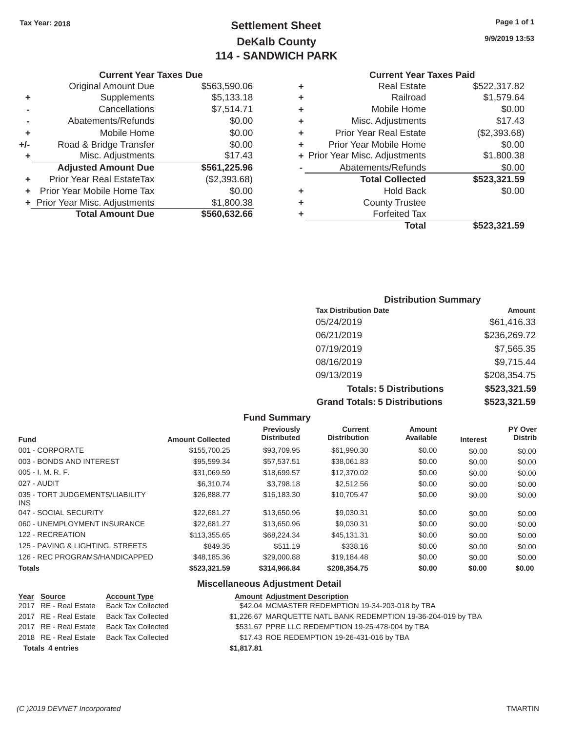# Tax Year: 2018 **Page 1 of 1 Page 1 of 1 Settlement Sheet Page 1 of 1 Page 1 of 1 9/9/2019 13:53 DeKalb County 114 - SANDWICH PARK**

#### **Current Year Taxes Due Current Year Taxes Paid Current Year Taxes Paid**

|       |                                  |              |   | <b>Total</b>                   | \$523,321.59 |
|-------|----------------------------------|--------------|---|--------------------------------|--------------|
|       | <b>Total Amount Due</b>          | \$560,632.66 |   | <b>Forfeited Tax</b>           |              |
|       | + Prior Year Misc. Adjustments   | \$1,800.38   | ٠ | <b>County Trustee</b>          |              |
|       | Prior Year Mobile Home Tax       | \$0.00       | ٠ | <b>Hold Back</b>               | \$0.00       |
| ÷.    | <b>Prior Year Real EstateTax</b> | (\$2,393.68) |   | <b>Total Collected</b>         | \$523,321.59 |
|       | <b>Adjusted Amount Due</b>       | \$561,225.96 |   | Abatements/Refunds             | \$0.00       |
|       | Misc. Adjustments                | \$17.43      |   | + Prior Year Misc. Adjustments | \$1,800.38   |
| $+/-$ | Road & Bridge Transfer           | \$0.00       | ÷ | Prior Year Mobile Home         | \$0.00       |
| ٠     | Mobile Home                      | \$0.00       | ٠ | <b>Prior Year Real Estate</b>  | (\$2,393.68) |
|       | Abatements/Refunds               | \$0.00       | ٠ | Misc. Adjustments              | \$17.43      |
|       | Cancellations                    | \$7,514.71   | ٠ | Mobile Home                    | \$0.00       |
| ٠     | Supplements                      | \$5,133.18   | ٠ | Railroad                       | \$1,579.64   |
|       | <b>Original Amount Due</b>       | \$563,590.06 | ٠ | <b>Real Estate</b>             | \$522,317.82 |
|       |                                  |              |   |                                |              |

# **+** Prior Year Misc. Adjustments \$1,800.38 **Total Amount Due \$560,632.66**

#### **Distribution Summary**

| <b>Tax Distribution Date</b>         | Amount       |
|--------------------------------------|--------------|
| 05/24/2019                           | \$61,416.33  |
| 06/21/2019                           | \$236,269.72 |
| 07/19/2019                           | \$7,565.35   |
| 08/16/2019                           | \$9,715.44   |
| 09/13/2019                           | \$208,354.75 |
| <b>Totals: 5 Distributions</b>       | \$523,321.59 |
| <b>Grand Totals: 5 Distributions</b> | \$523,321.59 |

#### **Fund Summary Previously Current Amount PY Over<br>
Distributed Distribution Available Interest Distributed Fund Microsoft Amount Collected Distributed Distribution Available Interest** 001 - CORPORATE \$155,700.25 \$93,709.95 \$61,990.30 \$0.00 \$0.00 \$0.00 003 - BONDS AND INTEREST 60.00 \$95,599.34 \$57,537.51 \$38,061.83 \$0.00 \$0.00 \$0.00 \$0.00 005 - I. M. R. F. \$31,069.59 \$18,699.57 \$12,370.02 \$0.00 \$0.00 \$0.00 027 - AUDIT \$6,310.74 \$3,798.18 \$2,512.56 \$0.00 \$0.00 \$0.00 035 - TORT JUDGEMENTS/LIABILITY  $$26,888.77$   $$16,183.30$   $$10,705.47$   $$0.00$   $$0.00$   $$0.00$ INS 047 - SOCIAL SECURITY \$22,681.27 \$13,650.96 \$9,030.31 \$0.00 \$0.00 \$0.00 060 - UNEMPLOYMENT INSURANCE  $$22,681.27$   $$13,650.96$   $$9,030.31$   $$0.00$   $$0.00$   $$0.00$ 122 - RECREATION \$113,355.65 \$68,224.34 \$45,131.31 \$0.00 \$0.00 \$0.00 125 - PAVING & LIGHTING, STREETS  $$849.35$  \$511.19 \$338.16 \$0.00 \$0.00 \$0.00 \$0.00 126 - REC PROGRAMS/HANDICAPPED \$48,185.36 \$29,000.88 \$19,184.48 \$0.00 \$0.00 \$0.00 **Totals \$523,321.59 \$314,966.84 \$208,354.75 \$0.00 \$0.00 \$0.00**

#### **Miscellaneous Adjustment Detail**

|                         | Year Source | <b>Account Type</b>                      |            | <b>Amount Adjustment Description</b>                           |
|-------------------------|-------------|------------------------------------------|------------|----------------------------------------------------------------|
|                         |             | 2017 RE - Real Estate Back Tax Collected |            | \$42.04 MCMASTER REDEMPTION 19-34-203-018 by TBA               |
|                         |             | 2017 RE - Real Estate Back Tax Collected |            | \$1,226.67 MARQUETTE NATL BANK REDEMPTION 19-36-204-019 by TBA |
|                         |             | 2017 RE - Real Estate Back Tax Collected |            | \$531.67 PPRE LLC REDEMPTION 19-25-478-004 by TBA              |
|                         |             | 2018 RE - Real Estate Back Tax Collected |            | \$17.43 ROE REDEMPTION 19-26-431-016 by TBA                    |
| <b>Totals 4 entries</b> |             |                                          | \$1,817.81 |                                                                |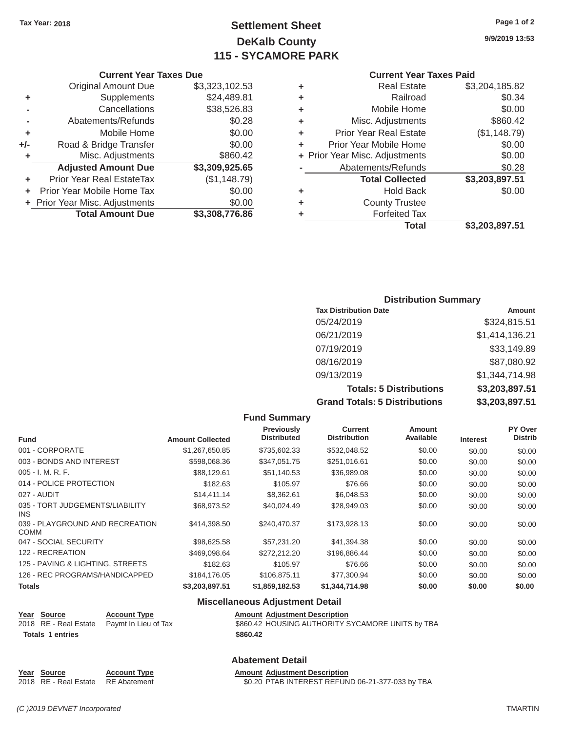# **Tax Year: 2018 Page 1 of 2 Settlement Sheet 9/9/2019 13:53 DeKalb County 115 - SYCAMORE PARK**

#### **Current Year Taxes Paid**

|     | <b>Original Amount Due</b>     | \$3,323,102.53 | ٠ | <b>Real Estate</b>             | \$3,204,185.82 |
|-----|--------------------------------|----------------|---|--------------------------------|----------------|
| ٠   | Supplements                    | \$24,489.81    | ٠ | Railroad                       | \$0.34         |
|     | Cancellations                  | \$38,526.83    | ٠ | Mobile Home                    | \$0.00         |
|     | Abatements/Refunds             | \$0.28         | ٠ | Misc. Adjustments              | \$860.42       |
| ٠   | Mobile Home                    | \$0.00         | ٠ | <b>Prior Year Real Estate</b>  | (\$1,148.79)   |
| +/- | Road & Bridge Transfer         | \$0.00         | ٠ | Prior Year Mobile Home         | \$0.00         |
|     | Misc. Adjustments              | \$860.42       |   | + Prior Year Misc. Adjustments | \$0.00         |
|     | <b>Adjusted Amount Due</b>     | \$3,309,925.65 |   | Abatements/Refunds             | \$0.28         |
|     | Prior Year Real EstateTax      | (\$1,148.79)   |   | <b>Total Collected</b>         | \$3,203,897.51 |
|     | Prior Year Mobile Home Tax     | \$0.00         | ٠ | <b>Hold Back</b>               | \$0.00         |
|     | + Prior Year Misc. Adjustments | \$0.00         | ٠ | <b>County Trustee</b>          |                |
|     | <b>Total Amount Due</b>        | \$3,308,776.86 |   | <b>Forfeited Tax</b>           |                |
|     |                                |                |   | Total                          | \$3,203,897.51 |

|                | <b>Current Year Taxes Due</b>    |                |   | <b>Current Year</b>            |
|----------------|----------------------------------|----------------|---|--------------------------------|
|                | Original Amount Due              | \$3,323,102.53 | ٠ | <b>Real Estate</b>             |
| ÷              | <b>Supplements</b>               | \$24,489.81    | ٠ | Railroad                       |
| $\blacksquare$ | Cancellations                    | \$38,526.83    | ÷ | Mobile Home                    |
|                | Abatements/Refunds               | \$0.28         | ٠ | Misc. Adjustments              |
| ÷              | Mobile Home                      | \$0.00         | ٠ | <b>Prior Year Real Estate</b>  |
| I-             | Road & Bridge Transfer           | \$0.00         |   | Prior Year Mobile Home         |
| ÷              | Misc. Adjustments                | \$860.42       |   | + Prior Year Misc. Adjustments |
|                | <b>Adjusted Amount Due</b>       | \$3,309,925.65 |   | Abatements/Refunds             |
| ÷.             | <b>Prior Year Real EstateTax</b> | (\$1,148.79)   |   | <b>Total Collected</b>         |
|                | + Prior Year Mobile Home Tax     | \$0.00         | ٠ | Hold Back                      |
|                | + Prior Year Misc. Adjustments   | \$0.00         | ٠ | <b>County Trustee</b>          |
|                | <b>Total Amount Due</b>          | \$3,308,776.86 |   | <b>Forfeited Tax</b>           |

#### **Distribution Summary**

| <b>Tax Distribution Date</b>         | <b>Amount</b>  |
|--------------------------------------|----------------|
| 05/24/2019                           | \$324,815.51   |
| 06/21/2019                           | \$1,414,136.21 |
| 07/19/2019                           | \$33,149.89    |
| 08/16/2019                           | \$87,080.92    |
| 09/13/2019                           | \$1,344,714,98 |
| <b>Totals: 5 Distributions</b>       | \$3,203,897.51 |
| <b>Grand Totals: 5 Distributions</b> | \$3,203,897.51 |

|                                                |                         | <b>Fund Summary</b>                     |                                       |                            |                 |                           |
|------------------------------------------------|-------------------------|-----------------------------------------|---------------------------------------|----------------------------|-----------------|---------------------------|
| <b>Fund</b>                                    | <b>Amount Collected</b> | <b>Previously</b><br><b>Distributed</b> | <b>Current</b><br><b>Distribution</b> | <b>Amount</b><br>Available | <b>Interest</b> | PY Over<br><b>Distrib</b> |
| 001 - CORPORATE                                | \$1,267,650.85          | \$735,602.33                            | \$532,048.52                          | \$0.00                     | \$0.00          | \$0.00                    |
| 003 - BONDS AND INTEREST                       | \$598,068.36            | \$347,051.75                            | \$251,016.61                          | \$0.00                     | \$0.00          | \$0.00                    |
| $005 - I. M. R. F.$                            | \$88,129.61             | \$51,140.53                             | \$36,989.08                           | \$0.00                     | \$0.00          | \$0.00                    |
| 014 - POLICE PROTECTION                        | \$182.63                | \$105.97                                | \$76.66                               | \$0.00                     | \$0.00          | \$0.00                    |
| 027 - AUDIT                                    | \$14,411.14             | \$8,362.61                              | \$6,048.53                            | \$0.00                     | \$0.00          | \$0.00                    |
| 035 - TORT JUDGEMENTS/LIABILITY<br><b>INS</b>  | \$68,973.52             | \$40,024.49                             | \$28,949.03                           | \$0.00                     | \$0.00          | \$0.00                    |
| 039 - PLAYGROUND AND RECREATION<br><b>COMM</b> | \$414,398.50            | \$240,470.37                            | \$173.928.13                          | \$0.00                     | \$0.00          | \$0.00                    |
| 047 - SOCIAL SECURITY                          | \$98,625.58             | \$57.231.20                             | \$41,394.38                           | \$0.00                     | \$0.00          | \$0.00                    |
| 122 - RECREATION                               | \$469.098.64            | \$272.212.20                            | \$196.886.44                          | \$0.00                     | \$0.00          | \$0.00                    |
| 125 - PAVING & LIGHTING, STREETS               | \$182.63                | \$105.97                                | \$76.66                               | \$0.00                     | \$0.00          | \$0.00                    |
| 126 - REC PROGRAMS/HANDICAPPED                 | \$184,176.05            | \$106,875.11                            | \$77,300.94                           | \$0.00                     | \$0.00          | \$0.00                    |
| <b>Totals</b>                                  | \$3,203,897.51          | \$1,859,182.53                          | \$1,344,714.98                        | \$0.00                     | \$0.00          | \$0.00                    |

#### **Miscellaneous Adjustment Detail**

| Year Source             | <b>Account Type</b>                        | <b>Amount Adjustment Description</b>             |
|-------------------------|--------------------------------------------|--------------------------------------------------|
|                         | 2018 RE - Real Estate Paymt In Lieu of Tax | \$860.42 HOUSING AUTHORITY SYCAMORE UNITS by TBA |
| <b>Totals 1 entries</b> |                                            | \$860.42                                         |

#### **Abatement Detail**

**Year Source Account Type Account Adjustment Description**<br>2018 RE - Real Estate RE Abatement **Amount Adjustment Description** \$0.20 PTAB INTEREST REFUND 06-21-377-033 by TBA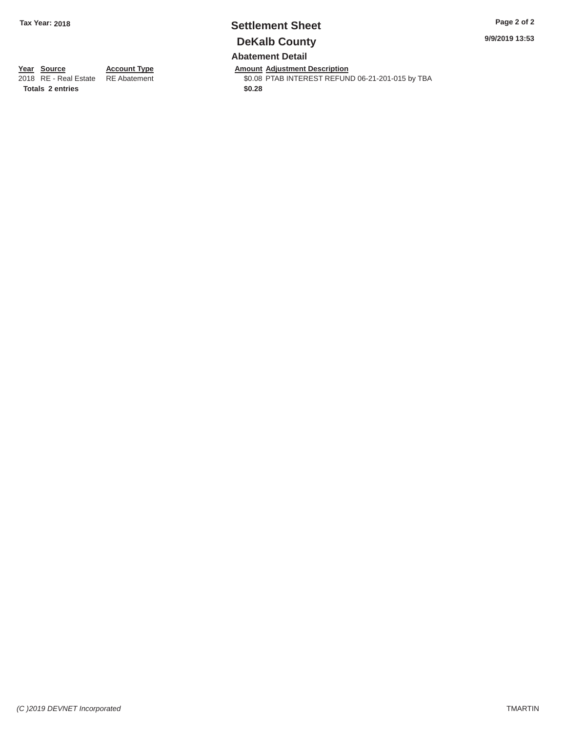# **Tax Year: 2018 Settlement Sheet Page 2 of 2 DeKalb County Abatement Detail**

**9/9/2019 13:53** 

**Amount Adjustment Description** 

\$0.08 PTAB INTEREST REFUND 06-21-201-015 by TBA **\$0.28**

**Year Source** 2018 RE - Real Estate **Totals 2 entries** 

**Account Type**  RE Abatement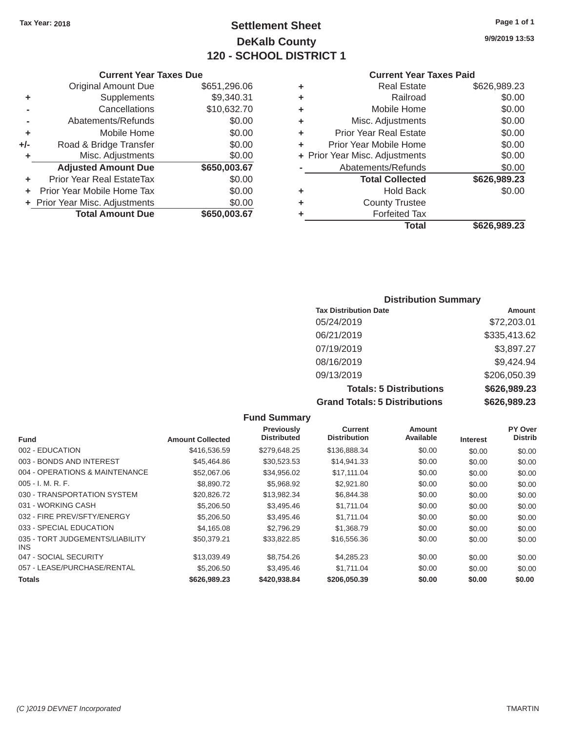# Tax Year: 2018 **Page 1 of 1 Settlement Sheet Page 1 of 1 Page 1 of 1 9/9/2019 13:53 DeKalb County 120 - SCHOOL DISTRICT 1**

#### **Current Year Taxes Paid**

|     | <b>Original Amount Due</b>     | \$651,296.06 | ٠ | <b>Real Estate</b>             | \$626,989.23 |
|-----|--------------------------------|--------------|---|--------------------------------|--------------|
| ٠   | Supplements                    | \$9,340.31   | ٠ | Railroad                       | \$0.00       |
|     | Cancellations                  | \$10,632.70  | ٠ | Mobile Home                    | \$0.00       |
|     | Abatements/Refunds             | \$0.00       | ٠ | Misc. Adjustments              | \$0.00       |
| ٠   | Mobile Home                    | \$0.00       | ٠ | <b>Prior Year Real Estate</b>  | \$0.00       |
| +/- | Road & Bridge Transfer         | \$0.00       | ٠ | Prior Year Mobile Home         | \$0.00       |
|     | Misc. Adjustments              | \$0.00       |   | + Prior Year Misc. Adjustments | \$0.00       |
|     | <b>Adjusted Amount Due</b>     | \$650,003.67 |   | Abatements/Refunds             | \$0.00       |
|     | Prior Year Real EstateTax      | \$0.00       |   | <b>Total Collected</b>         | \$626,989.23 |
|     | Prior Year Mobile Home Tax     | \$0.00       | ٠ | <b>Hold Back</b>               | \$0.00       |
|     | + Prior Year Misc. Adjustments | \$0.00       | ٠ | <b>County Trustee</b>          |              |
|     | <b>Total Amount Due</b>        | \$650,003.67 |   | <b>Forfeited Tax</b>           |              |
|     |                                |              |   | Total                          | \$626,989.23 |

|                | <b>Current Year Taxes Due</b>    |              |   | <b>Current Year</b>            |
|----------------|----------------------------------|--------------|---|--------------------------------|
|                | <b>Original Amount Due</b>       | \$651,296.06 | ٠ | <b>Real Estate</b>             |
| ٠              | Supplements                      | \$9,340.31   | ٠ | Railroad                       |
| $\blacksquare$ | Cancellations                    | \$10,632.70  | ٠ | Mobile Home                    |
|                | Abatements/Refunds               | \$0.00       | ٠ | Misc. Adjustments              |
| ٠              | Mobile Home                      | \$0.00       | ÷ | <b>Prior Year Real Estate</b>  |
| ı-             | Road & Bridge Transfer           | \$0.00       |   | Prior Year Mobile Home         |
| ٠              | Misc. Adjustments                | \$0.00       |   | + Prior Year Misc. Adjustments |
|                | <b>Adjusted Amount Due</b>       | \$650,003.67 |   | Abatements/Refunds             |
| ٠              | <b>Prior Year Real EstateTax</b> | \$0.00       |   | <b>Total Collected</b>         |
| ÷.             | Prior Year Mobile Home Tax       | \$0.00       | ٠ | <b>Hold Back</b>               |
|                | + Prior Year Misc. Adjustments   | \$0.00       | ٠ | <b>County Trustee</b>          |
|                | <b>Total Amount Due</b>          | \$650,003.67 |   | <b>Forfeited Tax</b>           |

# **Distribution Summary**

| <b>Tax Distribution Date</b>         | <b>Amount</b> |
|--------------------------------------|---------------|
| 05/24/2019                           | \$72,203.01   |
| 06/21/2019                           | \$335,413.62  |
| 07/19/2019                           | \$3,897.27    |
| 08/16/2019                           | \$9,424.94    |
| 09/13/2019                           | \$206,050.39  |
| <b>Totals: 5 Distributions</b>       | \$626,989.23  |
| <b>Grand Totals: 5 Distributions</b> | \$626,989.23  |

|                                         |                         | <b>Fund Summary</b>                     |                                       |                            |                 |                           |
|-----------------------------------------|-------------------------|-----------------------------------------|---------------------------------------|----------------------------|-----------------|---------------------------|
| <b>Fund</b>                             | <b>Amount Collected</b> | <b>Previously</b><br><b>Distributed</b> | <b>Current</b><br><b>Distribution</b> | <b>Amount</b><br>Available | <b>Interest</b> | PY Over<br><b>Distrib</b> |
| 002 - EDUCATION                         | \$416,536.59            | \$279,648.25                            | \$136,888.34                          | \$0.00                     | \$0.00          | \$0.00                    |
| 003 - BONDS AND INTEREST                | \$45,464.86             | \$30,523.53                             | \$14,941.33                           | \$0.00                     | \$0.00          | \$0.00                    |
| 004 - OPERATIONS & MAINTENANCE          | \$52,067.06             | \$34,956.02                             | \$17,111.04                           | \$0.00                     | \$0.00          | \$0.00                    |
| $005 - I. M. R. F.$                     | \$8,890.72              | \$5,968.92                              | \$2,921.80                            | \$0.00                     | \$0.00          | \$0.00                    |
| 030 - TRANSPORTATION SYSTEM             | \$20.826.72             | \$13,982.34                             | \$6,844.38                            | \$0.00                     | \$0.00          | \$0.00                    |
| 031 - WORKING CASH                      | \$5,206.50              | \$3,495.46                              | \$1,711.04                            | \$0.00                     | \$0.00          | \$0.00                    |
| 032 - FIRE PREV/SFTY/ENERGY             | \$5,206.50              | \$3,495.46                              | \$1,711.04                            | \$0.00                     | \$0.00          | \$0.00                    |
| 033 - SPECIAL EDUCATION                 | \$4,165.08              | \$2,796.29                              | \$1,368.79                            | \$0.00                     | \$0.00          | \$0.00                    |
| 035 - TORT JUDGEMENTS/LIABILITY<br>INS. | \$50,379.21             | \$33,822.85                             | \$16,556.36                           | \$0.00                     | \$0.00          | \$0.00                    |
| 047 - SOCIAL SECURITY                   | \$13,039.49             | \$8,754.26                              | \$4,285.23                            | \$0.00                     | \$0.00          | \$0.00                    |
| 057 - LEASE/PURCHASE/RENTAL             | \$5,206.50              | \$3,495.46                              | \$1,711.04                            | \$0.00                     | \$0.00          | \$0.00                    |
| <b>Totals</b>                           | \$626,989.23            | \$420,938.84                            | \$206,050.39                          | \$0.00                     | \$0.00          | \$0.00                    |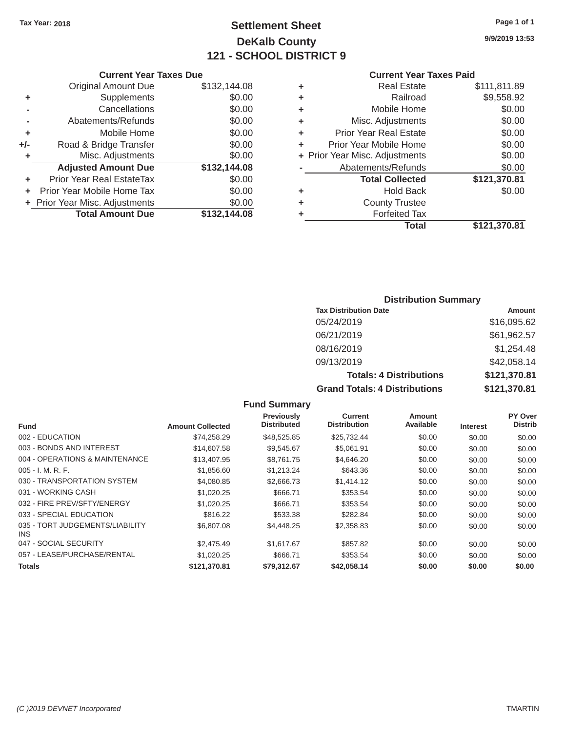# Tax Year: 2018 **Page 1 of 1 Settlement Sheet Page 1 of 1 Page 1 of 1 9/9/2019 13:53 DeKalb County 121 - SCHOOL DISTRICT 9**

#### **Current Year Taxes Due Current Year Taxes Paid Current Year Taxes Paid**

|     | <b>Original Amount Due</b>     | \$132,144.08 | ٠ | <b>Real Estate</b>             | \$111,811.89 |
|-----|--------------------------------|--------------|---|--------------------------------|--------------|
| ٠   | Supplements                    | \$0.00       | ٠ | Railroad                       | \$9,558.92   |
|     | Cancellations                  | \$0.00       | ٠ | Mobile Home                    | \$0.00       |
|     | Abatements/Refunds             | \$0.00       | ٠ | Misc. Adjustments              | \$0.00       |
|     | Mobile Home                    | \$0.00       | ٠ | <b>Prior Year Real Estate</b>  | \$0.00       |
| +/- | Road & Bridge Transfer         | \$0.00       | ٠ | Prior Year Mobile Home         | \$0.00       |
|     | Misc. Adjustments              | \$0.00       |   | + Prior Year Misc. Adjustments | \$0.00       |
|     | <b>Adjusted Amount Due</b>     | \$132,144.08 |   | Abatements/Refunds             | \$0.00       |
|     | Prior Year Real EstateTax      | \$0.00       |   | <b>Total Collected</b>         | \$121,370.81 |
|     | Prior Year Mobile Home Tax     | \$0.00       | ٠ | <b>Hold Back</b>               | \$0.00       |
|     | + Prior Year Misc. Adjustments | \$0.00       | ٠ | <b>County Trustee</b>          |              |
|     | <b>Total Amount Due</b>        | \$132,144.08 |   | <b>Forfeited Tax</b>           |              |
|     |                                |              |   |                                |              |

| <b>Original Amount Due</b> | \$132,144.08 | ٠ | <b>Real Estate</b>             | \$111,811.89 |
|----------------------------|--------------|---|--------------------------------|--------------|
| Supplements                | \$0.00       | ٠ | Railroad                       | \$9,558.92   |
| Cancellations              | \$0.00       | ٠ | Mobile Home                    | \$0.00       |
| Abatements/Refunds         | \$0.00       | ٠ | Misc. Adjustments              | \$0.00       |
| Mobile Home                | \$0.00       | ٠ | <b>Prior Year Real Estate</b>  | \$0.00       |
| Road & Bridge Transfer     | \$0.00       | ÷ | Prior Year Mobile Home         | \$0.00       |
| Misc. Adjustments          | \$0.00       |   | + Prior Year Misc. Adjustments | \$0.00       |
| <b>Adjusted Amount Due</b> | \$132,144.08 |   | Abatements/Refunds             | \$0.00       |
| ior Year Real EstateTax    | \$0.00       |   | <b>Total Collected</b>         | \$121,370.81 |
| r Year Mobile Home Tax     | \$0.00       | ٠ | <b>Hold Back</b>               | \$0.00       |
| Year Misc. Adjustments     | \$0.00       | ٠ | <b>County Trustee</b>          |              |
| <b>Total Amount Due</b>    | \$132,144.08 | ٠ | <b>Forfeited Tax</b>           |              |
|                            |              |   | <b>Total</b>                   | \$121,370.81 |

# **Distribution Summary**

| <b>Tax Distribution Date</b>         | Amount       |  |  |  |
|--------------------------------------|--------------|--|--|--|
| 05/24/2019                           | \$16,095.62  |  |  |  |
| 06/21/2019                           | \$61,962.57  |  |  |  |
| 08/16/2019                           | \$1,254.48   |  |  |  |
| 09/13/2019                           | \$42,058.14  |  |  |  |
| <b>Totals: 4 Distributions</b>       | \$121,370.81 |  |  |  |
| <b>Grand Totals: 4 Distributions</b> | \$121,370.81 |  |  |  |

## **Fund Summary**

|                                               |                         | <b>Previously</b>  | <b>Current</b>      | <b>Amount</b> |                 | PY Over        |
|-----------------------------------------------|-------------------------|--------------------|---------------------|---------------|-----------------|----------------|
| <b>Fund</b>                                   | <b>Amount Collected</b> | <b>Distributed</b> | <b>Distribution</b> | Available     | <b>Interest</b> | <b>Distrib</b> |
| 002 - EDUCATION                               | \$74.258.29             | \$48,525.85        | \$25,732.44         | \$0.00        | \$0.00          | \$0.00         |
| 003 - BONDS AND INTEREST                      | \$14,607.58             | \$9,545.67         | \$5,061.91          | \$0.00        | \$0.00          | \$0.00         |
| 004 - OPERATIONS & MAINTENANCE                | \$13,407.95             | \$8,761.75         | \$4,646.20          | \$0.00        | \$0.00          | \$0.00         |
| $005 - I. M. R. F.$                           | \$1,856.60              | \$1,213.24         | \$643.36            | \$0.00        | \$0.00          | \$0.00         |
| 030 - TRANSPORTATION SYSTEM                   | \$4,080.85              | \$2,666.73         | \$1,414.12          | \$0.00        | \$0.00          | \$0.00         |
| 031 - WORKING CASH                            | \$1,020.25              | \$666.71           | \$353.54            | \$0.00        | \$0.00          | \$0.00         |
| 032 - FIRE PREV/SFTY/ENERGY                   | \$1,020.25              | \$666.71           | \$353.54            | \$0.00        | \$0.00          | \$0.00         |
| 033 - SPECIAL EDUCATION                       | \$816.22                | \$533.38           | \$282.84            | \$0.00        | \$0.00          | \$0.00         |
| 035 - TORT JUDGEMENTS/LIABILITY<br><b>INS</b> | \$6,807.08              | \$4,448.25         | \$2,358.83          | \$0.00        | \$0.00          | \$0.00         |
| 047 - SOCIAL SECURITY                         | \$2,475.49              | \$1.617.67         | \$857.82            | \$0.00        | \$0.00          | \$0.00         |
| 057 - LEASE/PURCHASE/RENTAL                   | \$1,020.25              | \$666.71           | \$353.54            | \$0.00        | \$0.00          | \$0.00         |
| <b>Totals</b>                                 | \$121,370,81            | \$79,312.67        | \$42,058,14         | \$0.00        | \$0.00          | \$0.00         |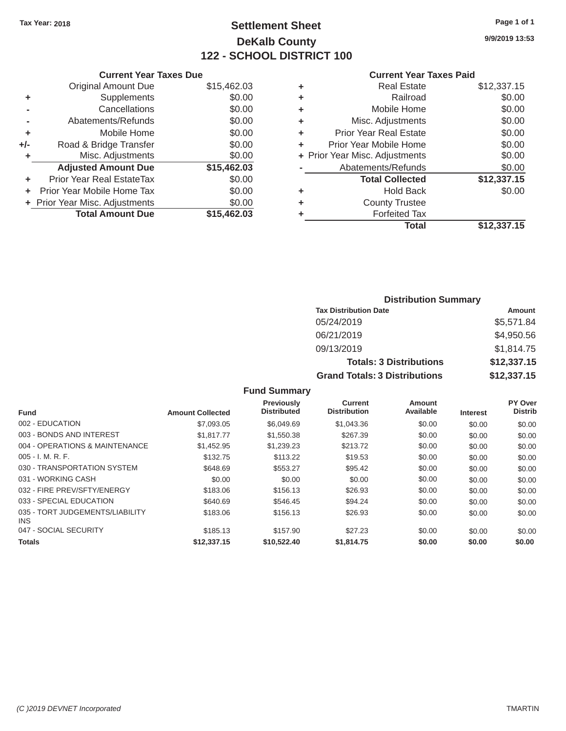## Tax Year: 2018 **Page 1 of 1 Settlement Sheet Page 1 of 1 Page 1 of 1 9/9/2019 13:53 DeKalb County 122 - SCHOOL DISTRICT 100**

### **Current Year Taxes Due Current Year Taxes Paid Current Year Taxes Paid**

|       | GUITELL TEAL TAAES DUE           |             |   | Gulltill Ital Taxts Falu       |             |  |
|-------|----------------------------------|-------------|---|--------------------------------|-------------|--|
|       | Original Amount Due              | \$15,462.03 | ٠ | <b>Real Estate</b>             | \$12,337.15 |  |
|       | <b>Supplements</b>               | \$0.00      |   | Railroad                       | \$0.00      |  |
|       | Cancellations                    | \$0.00      | ٠ | Mobile Home                    | \$0.00      |  |
|       | Abatements/Refunds               | \$0.00      | ٠ | Misc. Adjustments              | \$0.00      |  |
|       | Mobile Home                      | \$0.00      | ٠ | <b>Prior Year Real Estate</b>  | \$0.00      |  |
| $+/-$ | Road & Bridge Transfer           | \$0.00      | ٠ | Prior Year Mobile Home         | \$0.00      |  |
|       | Misc. Adjustments                | \$0.00      |   | + Prior Year Misc. Adjustments | \$0.00      |  |
|       | <b>Adjusted Amount Due</b>       | \$15,462.03 |   | Abatements/Refunds             | \$0.00      |  |
|       | <b>Prior Year Real EstateTax</b> | \$0.00      |   | <b>Total Collected</b>         | \$12,337.15 |  |
|       | Prior Year Mobile Home Tax       | \$0.00      | ٠ | <b>Hold Back</b>               | \$0.00      |  |
|       | + Prior Year Misc. Adjustments   | \$0.00      | ٠ | <b>County Trustee</b>          |             |  |
|       | <b>Total Amount Due</b>          | \$15,462.03 |   | <b>Forfeited Tax</b>           |             |  |
|       |                                  |             |   |                                | .           |  |

| <b>Original Amount Due</b> | \$15,462.03 | ÷ | <b>Real Estate</b>             | \$12,337.15 |
|----------------------------|-------------|---|--------------------------------|-------------|
| Supplements                | \$0.00      | ٠ | Railroad                       | \$0.00      |
| Cancellations              | \$0.00      | ٠ | Mobile Home                    | \$0.00      |
| Abatements/Refunds         | \$0.00      | ٠ | Misc. Adjustments              | \$0.00      |
| Mobile Home                | \$0.00      | ٠ | <b>Prior Year Real Estate</b>  | \$0.00      |
| Road & Bridge Transfer     | \$0.00      | ÷ | Prior Year Mobile Home         | \$0.00      |
| Misc. Adjustments          | \$0.00      |   | + Prior Year Misc. Adjustments | \$0.00      |
| <b>Adjusted Amount Due</b> | \$15,462.03 |   | Abatements/Refunds             | \$0.00      |
| ior Year Real EstateTax    | \$0.00      |   | <b>Total Collected</b>         | \$12,337.15 |
| r Year Mobile Home Tax     | \$0.00      | ٠ | <b>Hold Back</b>               | \$0.00      |
| Year Misc. Adjustments     | \$0.00      | ٠ | <b>County Trustee</b>          |             |
| <b>Total Amount Due</b>    | \$15,462.03 | ٠ | <b>Forfeited Tax</b>           |             |
|                            |             |   | <b>Total</b>                   | \$12,337.15 |

| <b>Distribution Summary</b>          |             |  |  |  |  |
|--------------------------------------|-------------|--|--|--|--|
| <b>Tax Distribution Date</b>         | Amount      |  |  |  |  |
| 05/24/2019                           | \$5,571.84  |  |  |  |  |
| 06/21/2019                           | \$4,950.56  |  |  |  |  |
| 09/13/2019                           | \$1,814.75  |  |  |  |  |
| <b>Totals: 3 Distributions</b>       | \$12,337.15 |  |  |  |  |
| <b>Grand Totals: 3 Distributions</b> | \$12,337.15 |  |  |  |  |

### **Fund Summary**

|                                               |                         | <b>Previously</b>  | Current             | <b>Amount</b> |                 | PY Over        |
|-----------------------------------------------|-------------------------|--------------------|---------------------|---------------|-----------------|----------------|
| <b>Fund</b>                                   | <b>Amount Collected</b> | <b>Distributed</b> | <b>Distribution</b> | Available     | <b>Interest</b> | <b>Distrib</b> |
| 002 - EDUCATION                               | \$7,093.05              | \$6,049.69         | \$1,043.36          | \$0.00        | \$0.00          | \$0.00         |
| 003 - BONDS AND INTEREST                      | \$1.817.77              | \$1,550.38         | \$267.39            | \$0.00        | \$0.00          | \$0.00         |
| 004 - OPERATIONS & MAINTENANCE                | \$1,452.95              | \$1,239.23         | \$213.72            | \$0.00        | \$0.00          | \$0.00         |
| $005 - I. M. R. F.$                           | \$132.75                | \$113.22           | \$19.53             | \$0.00        | \$0.00          | \$0.00         |
| 030 - TRANSPORTATION SYSTEM                   | \$648.69                | \$553.27           | \$95.42             | \$0.00        | \$0.00          | \$0.00         |
| 031 - WORKING CASH                            | \$0.00                  | \$0.00             | \$0.00              | \$0.00        | \$0.00          | \$0.00         |
| 032 - FIRE PREV/SFTY/ENERGY                   | \$183.06                | \$156.13           | \$26.93             | \$0.00        | \$0.00          | \$0.00         |
| 033 - SPECIAL EDUCATION                       | \$640.69                | \$546.45           | \$94.24             | \$0.00        | \$0.00          | \$0.00         |
| 035 - TORT JUDGEMENTS/LIABILITY<br><b>INS</b> | \$183.06                | \$156.13           | \$26.93             | \$0.00        | \$0.00          | \$0.00         |
| 047 - SOCIAL SECURITY                         | \$185.13                | \$157.90           | \$27.23             | \$0.00        | \$0.00          | \$0.00         |
| <b>Totals</b>                                 | \$12,337.15             | \$10,522,40        | \$1.814.75          | \$0.00        | \$0.00          | \$0.00         |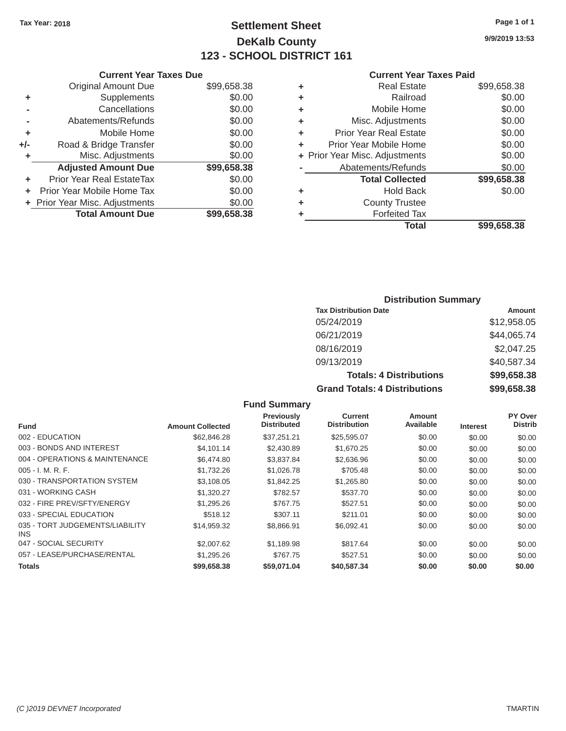### Tax Year: 2018 **Page 1 of 1 Page 1 of 1 Settlement Sheet Page 1 of 1 Page 1 of 1 9/9/2019 13:53 DeKalb County 123 - SCHOOL DISTRICT 161**

#### **Current Year Taxes Due Current Year Taxes Paid Current Year Taxes Paid**

|     | <b>Original Amount Due</b>       | \$99,658.38 | ٠ | <b>Real Estate</b>             | \$99,658.38 |  |  |
|-----|----------------------------------|-------------|---|--------------------------------|-------------|--|--|
| ٠   | <b>Supplements</b>               | \$0.00      | ٠ | Railroad                       | \$0.00      |  |  |
|     | Cancellations                    | \$0.00      | ٠ | Mobile Home                    | \$0.00      |  |  |
|     | Abatements/Refunds               | \$0.00      | ٠ | Misc. Adjustments              | \$0.00      |  |  |
|     | Mobile Home                      | \$0.00      | ٠ | <b>Prior Year Real Estate</b>  | \$0.00      |  |  |
| +/- | Road & Bridge Transfer           | \$0.00      | ٠ | Prior Year Mobile Home         | \$0.00      |  |  |
|     | Misc. Adjustments                | \$0.00      |   | + Prior Year Misc. Adjustments | \$0.00      |  |  |
|     | <b>Adjusted Amount Due</b>       | \$99,658.38 |   | Abatements/Refunds             | \$0.00      |  |  |
|     | <b>Prior Year Real EstateTax</b> | \$0.00      |   | <b>Total Collected</b>         | \$99,658.38 |  |  |
|     | Prior Year Mobile Home Tax       | \$0.00      | ٠ | <b>Hold Back</b>               | \$0.00      |  |  |
|     | + Prior Year Misc. Adjustments   | \$0.00      | ٠ | <b>County Trustee</b>          |             |  |  |
|     | <b>Total Amount Due</b>          | \$99,658.38 |   | <b>Forfeited Tax</b>           |             |  |  |
|     |                                  |             |   |                                |             |  |  |

| \$99,658.38 | ÷     | <b>Real Estate</b>            | \$99,658.38                    |
|-------------|-------|-------------------------------|--------------------------------|
| \$0.00      | ÷     | Railroad                      | \$0.00                         |
| \$0.00      | ÷     | Mobile Home                   | \$0.00                         |
| \$0.00      | ÷     | Misc. Adjustments             | \$0.00                         |
| \$0.00      | ÷     | <b>Prior Year Real Estate</b> | \$0.00                         |
| \$0.00      | ÷     | Prior Year Mobile Home        | \$0.00                         |
| \$0.00      |       |                               | \$0.00                         |
| \$99,658.38 |       | Abatements/Refunds            | \$0.00                         |
| \$0.00      |       | <b>Total Collected</b>        | \$99,658.38                    |
| \$0.00      | ٠     | <b>Hold Back</b>              | \$0.00                         |
| \$0.00      | $\pm$ | <b>County Trustee</b>         |                                |
| \$99,658.38 | ٠     | <b>Forfeited Tax</b>          |                                |
|             |       | <b>Total</b>                  | \$99,658.38                    |
|             |       |                               | + Prior Year Misc. Adjustments |

### **Distribution Summary**

| <b>Tax Distribution Date</b>         | Amount      |
|--------------------------------------|-------------|
| 05/24/2019                           | \$12,958.05 |
| 06/21/2019                           | \$44,065.74 |
| 08/16/2019                           | \$2,047.25  |
| 09/13/2019                           | \$40,587.34 |
| <b>Totals: 4 Distributions</b>       | \$99,658.38 |
| <b>Grand Totals: 4 Distributions</b> | \$99,658.38 |

**Interest** 

**PY Over Distrib**

#### **Fund Summary**  Fund **Amount Collected Previously Distributed Current Distribution Amount**

| <b>Totals</b>                           | \$99,658,38 | \$59,071.04 | \$40,587,34 | \$0.00 | \$0.00 | \$0.00 |
|-----------------------------------------|-------------|-------------|-------------|--------|--------|--------|
| 057 - LEASE/PURCHASE/RENTAL             | \$1,295.26  | \$767.75    | \$527.51    | \$0.00 | \$0.00 | \$0.00 |
| 047 - SOCIAL SECURITY                   | \$2,007.62  | \$1.189.98  | \$817.64    | \$0.00 | \$0.00 | \$0.00 |
| 035 - TORT JUDGEMENTS/LIABILITY<br>INS. | \$14.959.32 | \$8.866.91  | \$6.092.41  | \$0.00 | \$0.00 | \$0.00 |
| 033 - SPECIAL EDUCATION                 | \$518.12    | \$307.11    | \$211.01    | \$0.00 | \$0.00 | \$0.00 |
| 032 - FIRE PREV/SFTY/ENERGY             | \$1,295.26  | \$767.75    | \$527.51    | \$0.00 | \$0.00 | \$0.00 |
| 031 - WORKING CASH                      | \$1.320.27  | \$782.57    | \$537.70    | \$0.00 | \$0.00 | \$0.00 |
| 030 - TRANSPORTATION SYSTEM             | \$3,108,05  | \$1.842.25  | \$1,265.80  | \$0.00 | \$0.00 | \$0.00 |
| $005 - I. M. R. F.$                     | \$1,732.26  | \$1,026.78  | \$705.48    | \$0.00 | \$0.00 | \$0.00 |
| 004 - OPERATIONS & MAINTENANCE          | \$6,474.80  | \$3,837.84  | \$2,636.96  | \$0.00 | \$0.00 | \$0.00 |
| 003 - BONDS AND INTEREST                | \$4.101.14  | \$2,430.89  | \$1,670.25  | \$0.00 | \$0.00 | \$0.00 |
| 002 - EDUCATION                         | \$62,846.28 | \$37.251.21 | \$25,595.07 | \$0.00 | \$0.00 | \$0.00 |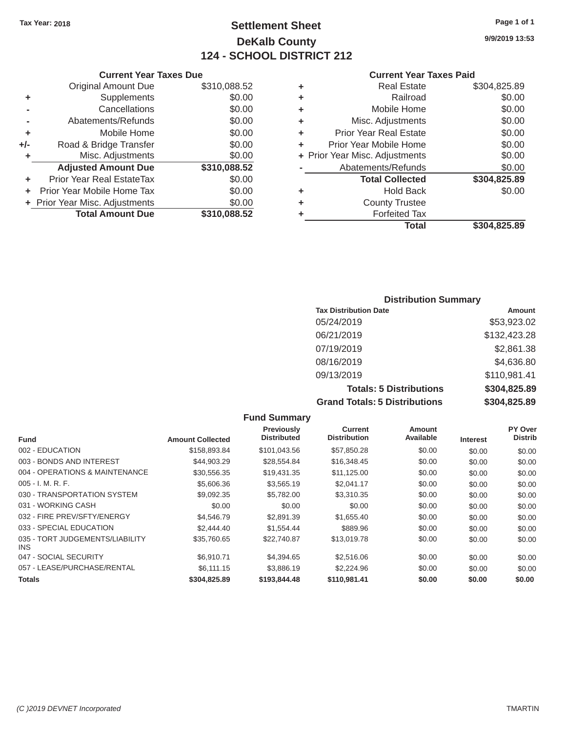### Tax Year: 2018 **Page 1 of 1 Page 1 of 1 Settlement Sheet Page 1 of 1 Page 1 of 1 9/9/2019 13:53 DeKalb County 124 - SCHOOL DISTRICT 212**

#### **Current Year Taxes Due Current Year Taxes Paid Current Year Taxes Paid**

|     | OUIIVIIL IVUI IUAVJ PUV          |              |   |                                |                      |  |
|-----|----------------------------------|--------------|---|--------------------------------|----------------------|--|
|     | <b>Original Amount Due</b>       | \$310,088.52 | ٠ | <b>Real Estate</b>             | \$304,825.89         |  |
| ٠   | <b>Supplements</b>               | \$0.00       | ٠ | Railroad                       | \$0.00               |  |
|     | Cancellations                    | \$0.00       | ٠ | Mobile Home                    | \$0.00               |  |
|     | Abatements/Refunds               | \$0.00       | ٠ | Misc. Adjustments              | \$0.00               |  |
|     | Mobile Home                      | \$0.00       | ٠ | <b>Prior Year Real Estate</b>  | \$0.00               |  |
| +/- | Road & Bridge Transfer           | \$0.00       | ٠ | Prior Year Mobile Home         | \$0.00               |  |
|     | Misc. Adjustments                | \$0.00       |   | + Prior Year Misc. Adjustments | \$0.00               |  |
|     | <b>Adjusted Amount Due</b>       | \$310,088.52 |   | Abatements/Refunds             | \$0.00               |  |
|     | <b>Prior Year Real EstateTax</b> | \$0.00       |   | <b>Total Collected</b>         | \$304,825.89         |  |
|     | Prior Year Mobile Home Tax       | \$0.00       | ٠ | <b>Hold Back</b>               | \$0.00               |  |
|     | + Prior Year Misc. Adjustments   | \$0.00       | ٠ | <b>County Trustee</b>          |                      |  |
|     | <b>Total Amount Due</b>          | \$310,088.52 |   | <b>Forfeited Tax</b>           |                      |  |
|     |                                  |              |   |                                | <b>A</b> - - - - - - |  |

| Original Amount Due     | \$310,088.52 | ٠ | <b>Real Estate</b>             | \$304,825.89 |
|-------------------------|--------------|---|--------------------------------|--------------|
| Supplements             | \$0.00       | ٠ | Railroad                       | \$0.00       |
| Cancellations           | \$0.00       | ٠ | Mobile Home                    | \$0.00       |
| Abatements/Refunds      | \$0.00       | ÷ | Misc. Adjustments              | \$0.00       |
| Mobile Home             | \$0.00       | ٠ | <b>Prior Year Real Estate</b>  | \$0.00       |
| ad & Bridge Transfer    | \$0.00       | ٠ | Prior Year Mobile Home         | \$0.00       |
| Misc. Adjustments       | \$0.00       |   | + Prior Year Misc. Adjustments | \$0.00       |
| justed Amount Due       | \$310,088.52 |   | Abatements/Refunds             | \$0.00       |
| Year Real EstateTax     | \$0.00       |   | <b>Total Collected</b>         | \$304,825.89 |
| ear Mobile Home Tax     | \$0.00       | ٠ | <b>Hold Back</b>               | \$0.00       |
| ar Misc. Adjustments    | \$0.00       | ٠ | <b>County Trustee</b>          |              |
| <b>Total Amount Due</b> | \$310,088.52 |   | <b>Forfeited Tax</b>           |              |
|                         |              |   | <b>Total</b>                   | \$304,825.89 |

### **Distribution Summary Tax Distribution Date Amount Amount** 05/24/2019 \$53,923.02 06/21/2019 \$132,423.28 07/19/2019 \$2,861.38 08/16/2019 \$4,636.80 09/13/2019 \$110,981.41 **Totals: 5 Distributions \$304,825.89 Grand Totals: 5 Distributions \$304,825.89**

|                                         |                         | <b>Fund Summary</b>              |                                       |                            |                 |                           |
|-----------------------------------------|-------------------------|----------------------------------|---------------------------------------|----------------------------|-----------------|---------------------------|
| <b>Fund</b>                             | <b>Amount Collected</b> | Previously<br><b>Distributed</b> | <b>Current</b><br><b>Distribution</b> | <b>Amount</b><br>Available | <b>Interest</b> | PY Over<br><b>Distrib</b> |
| 002 - EDUCATION                         | \$158,893.84            | \$101,043.56                     | \$57,850.28                           | \$0.00                     | \$0.00          | \$0.00                    |
| 003 - BONDS AND INTEREST                | \$44,903.29             | \$28,554.84                      | \$16,348.45                           | \$0.00                     | \$0.00          | \$0.00                    |
| 004 - OPERATIONS & MAINTENANCE          | \$30,556.35             | \$19.431.35                      | \$11,125.00                           | \$0.00                     | \$0.00          | \$0.00                    |
| $005 - I. M. R. F.$                     | \$5,606.36              | \$3,565.19                       | \$2,041.17                            | \$0.00                     | \$0.00          | \$0.00                    |
| 030 - TRANSPORTATION SYSTEM             | \$9,092.35              | \$5,782.00                       | \$3,310.35                            | \$0.00                     | \$0.00          | \$0.00                    |
| 031 - WORKING CASH                      | \$0.00                  | \$0.00                           | \$0.00                                | \$0.00                     | \$0.00          | \$0.00                    |
| 032 - FIRE PREV/SFTY/ENERGY             | \$4,546.79              | \$2,891.39                       | \$1,655.40                            | \$0.00                     | \$0.00          | \$0.00                    |
| 033 - SPECIAL EDUCATION                 | \$2,444.40              | \$1,554.44                       | \$889.96                              | \$0.00                     | \$0.00          | \$0.00                    |
| 035 - TORT JUDGEMENTS/LIABILITY<br>INS. | \$35,760.65             | \$22,740.87                      | \$13,019.78                           | \$0.00                     | \$0.00          | \$0.00                    |
| 047 - SOCIAL SECURITY                   | \$6,910.71              | \$4,394.65                       | \$2,516.06                            | \$0.00                     | \$0.00          | \$0.00                    |
| 057 - LEASE/PURCHASE/RENTAL             | \$6,111.15              | \$3,886.19                       | \$2,224.96                            | \$0.00                     | \$0.00          | \$0.00                    |
| <b>Totals</b>                           | \$304,825.89            | \$193,844.48                     | \$110,981.41                          | \$0.00                     | \$0.00          | \$0.00                    |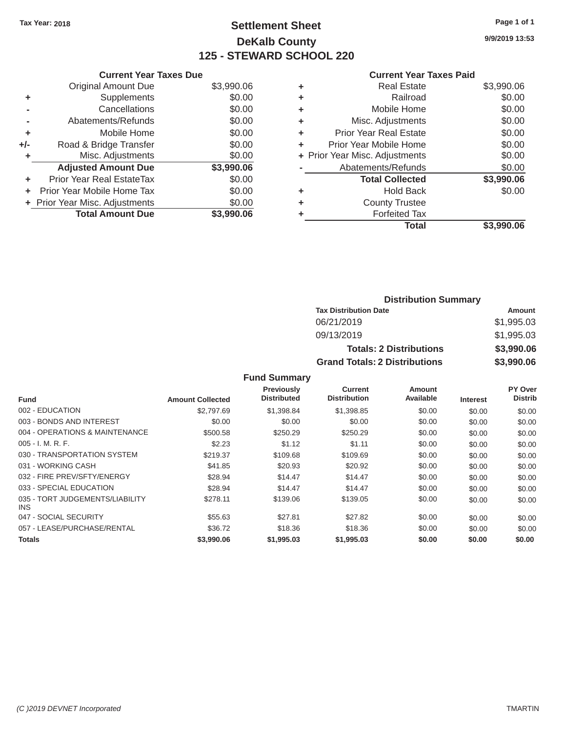## Tax Year: 2018 **Page 1 of 1 Settlement Sheet Page 1 of 1 Page 1 of 1 9/9/2019 13:53 DeKalb County 125 - STEWARD SCHOOL 220**

### **Current Year Taxes Due Current Year Taxes Paid Current Year Taxes Paid**

|       | <b>Original Amount Due</b>     | \$3,990.06 | ٠  | <b>Real Estate</b>             | \$3,990.06 |  |  |
|-------|--------------------------------|------------|----|--------------------------------|------------|--|--|
|       | Supplements                    | \$0.00     | ٠  | Railroad                       | \$0.00     |  |  |
|       | Cancellations                  | \$0.00     | ٠  | Mobile Home                    | \$0.00     |  |  |
|       | Abatements/Refunds             | \$0.00     | ٠  | Misc. Adjustments              | \$0.00     |  |  |
|       | Mobile Home                    | \$0.00     | ٠  | <b>Prior Year Real Estate</b>  | \$0.00     |  |  |
| $+/-$ | Road & Bridge Transfer         | \$0.00     | ÷. | Prior Year Mobile Home         | \$0.00     |  |  |
|       | Misc. Adjustments              | \$0.00     |    | + Prior Year Misc. Adjustments | \$0.00     |  |  |
|       | <b>Adjusted Amount Due</b>     | \$3,990.06 |    | Abatements/Refunds             | \$0.00     |  |  |
| ٠     | Prior Year Real EstateTax      | \$0.00     |    | <b>Total Collected</b>         | \$3,990.06 |  |  |
| ÷.    | Prior Year Mobile Home Tax     | \$0.00     |    | <b>Hold Back</b>               | \$0.00     |  |  |
|       | + Prior Year Misc. Adjustments | \$0.00     |    | <b>County Trustee</b>          |            |  |  |
|       | <b>Total Amount Due</b>        | \$3,990.06 |    | <b>Forfeited Tax</b>           |            |  |  |
|       |                                |            |    |                                |            |  |  |

| Original Amount Due        | \$3,990.06 | ÷ | <b>Real Estate</b>             | \$3,990.06 |
|----------------------------|------------|---|--------------------------------|------------|
| Supplements                | \$0.00     | ٠ | Railroad                       | \$0.00     |
| Cancellations              | \$0.00     | ÷ | Mobile Home                    | \$0.00     |
| Abatements/Refunds         | \$0.00     | ÷ | Misc. Adjustments              | \$0.00     |
| Mobile Home                | \$0.00     | ÷ | <b>Prior Year Real Estate</b>  | \$0.00     |
| Road & Bridge Transfer     | \$0.00     | ٠ | Prior Year Mobile Home         | \$0.00     |
| Misc. Adjustments          | \$0.00     |   | + Prior Year Misc. Adjustments | \$0.00     |
| <b>Adjusted Amount Due</b> | \$3,990.06 |   | Abatements/Refunds             | \$0.00     |
| ior Year Real EstateTax    | \$0.00     |   | <b>Total Collected</b>         | \$3,990.06 |
| r Year Mobile Home Tax     | \$0.00     | ÷ | <b>Hold Back</b>               | \$0.00     |
| Year Misc. Adjustments     | \$0.00     | ÷ | <b>County Trustee</b>          |            |
| <b>Total Amount Due</b>    | \$3,990.06 | ٠ | <b>Forfeited Tax</b>           |            |
|                            |            |   | <b>Total</b>                   | \$3,990.06 |

| <b>Distribution Summary</b>          |            |  |  |  |  |
|--------------------------------------|------------|--|--|--|--|
| <b>Tax Distribution Date</b>         | Amount     |  |  |  |  |
| 06/21/2019                           | \$1,995.03 |  |  |  |  |
| 09/13/2019                           | \$1,995.03 |  |  |  |  |
| <b>Totals: 2 Distributions</b>       | \$3,990.06 |  |  |  |  |
| <b>Grand Totals: 2 Distributions</b> | \$3,990.06 |  |  |  |  |

### **Fund Summary**

|                                               |                         | Previously         | Current             | <b>Amount</b> |                 | PY Over        |
|-----------------------------------------------|-------------------------|--------------------|---------------------|---------------|-----------------|----------------|
| <b>Fund</b>                                   | <b>Amount Collected</b> | <b>Distributed</b> | <b>Distribution</b> | Available     | <b>Interest</b> | <b>Distrib</b> |
| 002 - EDUCATION                               | \$2,797.69              | \$1,398.84         | \$1,398.85          | \$0.00        | \$0.00          | \$0.00         |
| 003 - BONDS AND INTEREST                      | \$0.00                  | \$0.00             | \$0.00              | \$0.00        | \$0.00          | \$0.00         |
| 004 - OPERATIONS & MAINTENANCE                | \$500.58                | \$250.29           | \$250.29            | \$0.00        | \$0.00          | \$0.00         |
| $005 - I. M. R. F.$                           | \$2.23                  | \$1.12             | \$1.11              | \$0.00        | \$0.00          | \$0.00         |
| 030 - TRANSPORTATION SYSTEM                   | \$219.37                | \$109.68           | \$109.69            | \$0.00        | \$0.00          | \$0.00         |
| 031 - WORKING CASH                            | \$41.85                 | \$20.93            | \$20.92             | \$0.00        | \$0.00          | \$0.00         |
| 032 - FIRE PREV/SFTY/ENERGY                   | \$28.94                 | \$14.47            | \$14.47             | \$0.00        | \$0.00          | \$0.00         |
| 033 - SPECIAL EDUCATION                       | \$28.94                 | \$14.47            | \$14.47             | \$0.00        | \$0.00          | \$0.00         |
| 035 - TORT JUDGEMENTS/LIABILITY<br><b>INS</b> | \$278.11                | \$139.06           | \$139.05            | \$0.00        | \$0.00          | \$0.00         |
| 047 - SOCIAL SECURITY                         | \$55.63                 | \$27.81            | \$27.82             | \$0.00        | \$0.00          | \$0.00         |
| 057 - LEASE/PURCHASE/RENTAL                   | \$36.72                 | \$18.36            | \$18.36             | \$0.00        | \$0.00          | \$0.00         |
| <b>Totals</b>                                 | \$3,990.06              | \$1,995.03         | \$1,995.03          | \$0.00        | \$0.00          | \$0.00         |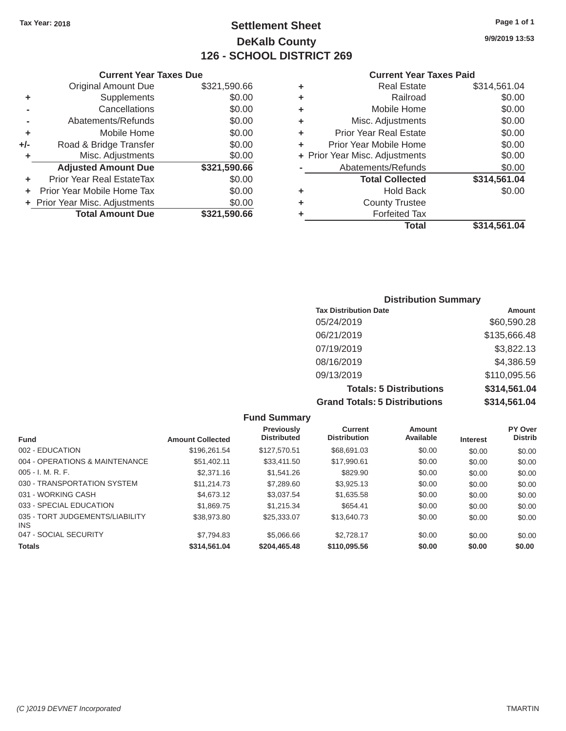### Tax Year: 2018 **Page 1 of 1 Page 1 of 1 Settlement Sheet Page 1 of 1 Page 1 of 1 9/9/2019 13:53 DeKalb County 126 - SCHOOL DISTRICT 269**

#### **Current Year Taxes Due Current Year Taxes Paid Current Year Taxes Paid**

|     | OUIIVIIL IVUI IUAVJ PUV          |              |   |                                |              |  |  |
|-----|----------------------------------|--------------|---|--------------------------------|--------------|--|--|
|     | <b>Original Amount Due</b>       | \$321,590.66 | ٠ | <b>Real Estate</b>             | \$314,561.04 |  |  |
| ٠   | <b>Supplements</b>               | \$0.00       | ٠ | Railroad                       | \$0.00       |  |  |
|     | Cancellations                    | \$0.00       | ٠ | Mobile Home                    | \$0.00       |  |  |
|     | Abatements/Refunds               | \$0.00       | ٠ | Misc. Adjustments              | \$0.00       |  |  |
|     | Mobile Home                      | \$0.00       | ٠ | <b>Prior Year Real Estate</b>  | \$0.00       |  |  |
| +/- | Road & Bridge Transfer           | \$0.00       | ٠ | Prior Year Mobile Home         | \$0.00       |  |  |
|     | Misc. Adjustments                | \$0.00       |   | + Prior Year Misc. Adjustments | \$0.00       |  |  |
|     | <b>Adjusted Amount Due</b>       | \$321,590.66 |   | Abatements/Refunds             | \$0.00       |  |  |
|     | <b>Prior Year Real EstateTax</b> | \$0.00       |   | <b>Total Collected</b>         | \$314,561.04 |  |  |
|     | Prior Year Mobile Home Tax       | \$0.00       | ٠ | <b>Hold Back</b>               | \$0.00       |  |  |
|     | + Prior Year Misc. Adjustments   | \$0.00       | ٠ | <b>County Trustee</b>          |              |  |  |
|     | <b>Total Amount Due</b>          | \$321,590.66 |   | <b>Forfeited Tax</b>           |              |  |  |
|     |                                  |              |   |                                | . <i>.</i>   |  |  |

| <b>Real Estate</b>                                                                                                                     | \$314,561.04                                                                |
|----------------------------------------------------------------------------------------------------------------------------------------|-----------------------------------------------------------------------------|
| Railroad                                                                                                                               | \$0.00                                                                      |
| Mobile Home                                                                                                                            | \$0.00                                                                      |
| Misc. Adjustments                                                                                                                      | \$0.00                                                                      |
| <b>Prior Year Real Estate</b>                                                                                                          | \$0.00                                                                      |
| Prior Year Mobile Home                                                                                                                 | \$0.00                                                                      |
|                                                                                                                                        | \$0.00                                                                      |
| Abatements/Refunds                                                                                                                     | \$0.00                                                                      |
| <b>Total Collected</b>                                                                                                                 | \$314,561.04                                                                |
| <b>Hold Back</b>                                                                                                                       | \$0.00                                                                      |
| <b>County Trustee</b>                                                                                                                  |                                                                             |
| <b>Forfeited Tax</b>                                                                                                                   |                                                                             |
| <b>Total</b>                                                                                                                           | \$314,561.04                                                                |
| \$321,590.66<br>\$0.00<br>\$0.00<br>\$0.00<br>\$0.00<br>\$0.00<br>\$0.00<br>\$321,590.66<br>\$0.00<br>\$0.00<br>\$0.00<br>\$321,590.66 | ٠<br>٠<br>٠<br>٠<br>÷<br>÷<br>+ Prior Year Misc. Adjustments<br>٠<br>٠<br>÷ |

### **Distribution Summary Tax Distribution Date Amount Amount** 05/24/2019 \$60,590.28 06/21/2019 \$135,666.48 07/19/2019 \$3,822.13 08/16/2019 \$4,386.59 09/13/2019 \$110,095.56 **Totals: 5 Distributions \$314,561.04 Grand Totals: 5 Distributions \$314,561.04**

|                                         |                         | <b>Fund Summary</b>              |                                       |                     |                 |                           |
|-----------------------------------------|-------------------------|----------------------------------|---------------------------------------|---------------------|-----------------|---------------------------|
| <b>Fund</b>                             | <b>Amount Collected</b> | Previously<br><b>Distributed</b> | <b>Current</b><br><b>Distribution</b> | Amount<br>Available | <b>Interest</b> | PY Over<br><b>Distrib</b> |
| 002 - EDUCATION                         | \$196.261.54            | \$127.570.51                     | \$68,691,03                           | \$0.00              | \$0.00          | \$0.00                    |
| 004 - OPERATIONS & MAINTENANCE          | \$51.402.11             | \$33,411.50                      | \$17,990.61                           | \$0.00              | \$0.00          | \$0.00                    |
| $005 - I. M. R. F.$                     | \$2,371.16              | \$1,541.26                       | \$829.90                              | \$0.00              | \$0.00          | \$0.00                    |
| 030 - TRANSPORTATION SYSTEM             | \$11,214.73             | \$7,289.60                       | \$3.925.13                            | \$0.00              | \$0.00          | \$0.00                    |
| 031 - WORKING CASH                      | \$4,673.12              | \$3,037.54                       | \$1,635.58                            | \$0.00              | \$0.00          | \$0.00                    |
| 033 - SPECIAL EDUCATION                 | \$1,869.75              | \$1.215.34                       | \$654.41                              | \$0.00              | \$0.00          | \$0.00                    |
| 035 - TORT JUDGEMENTS/LIABILITY<br>INS. | \$38,973.80             | \$25,333,07                      | \$13,640.73                           | \$0.00              | \$0.00          | \$0.00                    |
| 047 - SOCIAL SECURITY                   | \$7.794.83              | \$5,066,66                       | \$2,728.17                            | \$0.00              | \$0.00          | \$0.00                    |
| <b>Totals</b>                           | \$314,561.04            | \$204,465.48                     | \$110,095.56                          | \$0.00              | \$0.00          | \$0.00                    |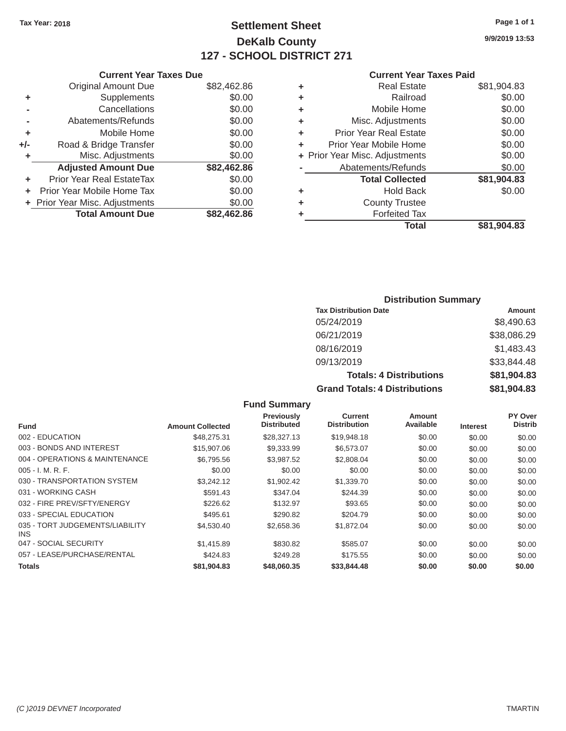## Tax Year: 2018 **Page 1 of 1 Settlement Sheet Page 1 of 1 Page 1 of 1 9/9/2019 13:53 DeKalb County 127 - SCHOOL DISTRICT 271**

#### **Current Year Taxes Paid**

|                                  |             |   | <b>Total</b>                   | \$81,904.83 |
|----------------------------------|-------------|---|--------------------------------|-------------|
| <b>Total Amount Due</b>          | \$82,462.86 |   | <b>Forfeited Tax</b>           |             |
| + Prior Year Misc. Adjustments   | \$0.00      | ٠ | <b>County Trustee</b>          |             |
| Prior Year Mobile Home Tax       | \$0.00      | ٠ | <b>Hold Back</b>               | \$0.00      |
| <b>Prior Year Real EstateTax</b> | \$0.00      |   | <b>Total Collected</b>         | \$81,904.83 |
| <b>Adjusted Amount Due</b>       | \$82,462.86 |   | Abatements/Refunds             | \$0.00      |
| Misc. Adjustments                | \$0.00      |   | + Prior Year Misc. Adjustments | \$0.00      |
| Road & Bridge Transfer           | \$0.00      | ٠ | Prior Year Mobile Home         | \$0.00      |
| Mobile Home                      | \$0.00      | ٠ | <b>Prior Year Real Estate</b>  | \$0.00      |
| Abatements/Refunds               | \$0.00      | ٠ | Misc. Adjustments              | \$0.00      |
| Cancellations                    | \$0.00      | ٠ | Mobile Home                    | \$0.00      |
| Supplements                      | \$0.00      | ٠ | Railroad                       | \$0.00      |
| <b>Original Amount Due</b>       | \$82,462.86 | ٠ | <b>Real Estate</b>             | \$81,904.83 |
|                                  |             |   |                                |             |

| <b>Current Year</b>            |   |             | <b>Current Year Taxes Due</b>    |     |
|--------------------------------|---|-------------|----------------------------------|-----|
| <b>Real Estate</b>             | ٠ | \$82,462.86 | <b>Original Amount Due</b>       |     |
| Railroad                       | ٠ | \$0.00      | Supplements                      | ٠   |
| Mobile Home                    | ٠ | \$0.00      | Cancellations                    |     |
| Misc. Adjustments              | ٠ | \$0.00      | Abatements/Refunds               |     |
| <b>Prior Year Real Estate</b>  | ٠ | \$0.00      | Mobile Home                      | ٠   |
| Prior Year Mobile Home         | ÷ | \$0.00      | Road & Bridge Transfer           | +/- |
| + Prior Year Misc. Adjustments |   | \$0.00      | Misc. Adjustments                |     |
| Abatements/Refunds             |   | \$82,462.86 | <b>Adjusted Amount Due</b>       |     |
| <b>Total Collected</b>         |   | \$0.00      | <b>Prior Year Real EstateTax</b> | ٠   |
| <b>Hold Back</b>               | ٠ | \$0.00      | Prior Year Mobile Home Tax       | ÷   |
| <b>County Trustee</b>          | ٠ | \$0.00      | + Prior Year Misc. Adjustments   |     |
| <b>Forfeited Tax</b>           |   | \$82,462.86 | <b>Total Amount Due</b>          |     |
|                                |   |             |                                  |     |

### **Distribution Summary**

| <b>Tax Distribution Date</b>         | Amount      |
|--------------------------------------|-------------|
| 05/24/2019                           | \$8,490.63  |
| 06/21/2019                           | \$38,086.29 |
| 08/16/2019                           | \$1,483.43  |
| 09/13/2019                           | \$33,844.48 |
| <b>Totals: 4 Distributions</b>       | \$81,904.83 |
| <b>Grand Totals: 4 Distributions</b> | \$81,904.83 |

| <b>Fund Summary</b>                     |                         |                                         |                                       |                     |                 |                           |
|-----------------------------------------|-------------------------|-----------------------------------------|---------------------------------------|---------------------|-----------------|---------------------------|
| <b>Fund</b>                             | <b>Amount Collected</b> | <b>Previously</b><br><b>Distributed</b> | <b>Current</b><br><b>Distribution</b> | Amount<br>Available | <b>Interest</b> | PY Over<br><b>Distrib</b> |
| 002 - EDUCATION                         | \$48,275.31             | \$28,327.13                             | \$19,948.18                           | \$0.00              | \$0.00          | \$0.00                    |
| 003 - BONDS AND INTEREST                | \$15,907.06             | \$9,333.99                              | \$6,573.07                            | \$0.00              | \$0.00          | \$0.00                    |
| 004 - OPERATIONS & MAINTENANCE          | \$6,795.56              | \$3.987.52                              | \$2,808.04                            | \$0.00              | \$0.00          | \$0.00                    |
| $005 - I. M. R. F.$                     | \$0.00                  | \$0.00                                  | \$0.00                                | \$0.00              | \$0.00          | \$0.00                    |
| 030 - TRANSPORTATION SYSTEM             | \$3,242.12              | \$1,902.42                              | \$1,339.70                            | \$0.00              | \$0.00          | \$0.00                    |
| 031 - WORKING CASH                      | \$591.43                | \$347.04                                | \$244.39                              | \$0.00              | \$0.00          | \$0.00                    |
| 032 - FIRE PREV/SFTY/ENERGY             | \$226.62                | \$132.97                                | \$93.65                               | \$0.00              | \$0.00          | \$0.00                    |
| 033 - SPECIAL EDUCATION                 | \$495.61                | \$290.82                                | \$204.79                              | \$0.00              | \$0.00          | \$0.00                    |
| 035 - TORT JUDGEMENTS/LIABILITY<br>INS. | \$4,530.40              | \$2,658.36                              | \$1,872.04                            | \$0.00              | \$0.00          | \$0.00                    |
| 047 - SOCIAL SECURITY                   | \$1,415.89              | \$830.82                                | \$585.07                              | \$0.00              | \$0.00          | \$0.00                    |
| 057 - LEASE/PURCHASE/RENTAL             | \$424.83                | \$249.28                                | \$175.55                              | \$0.00              | \$0.00          | \$0.00                    |
| <b>Totals</b>                           | \$81,904.83             | \$48,060,35                             | \$33,844.48                           | \$0.00              | \$0.00          | \$0.00                    |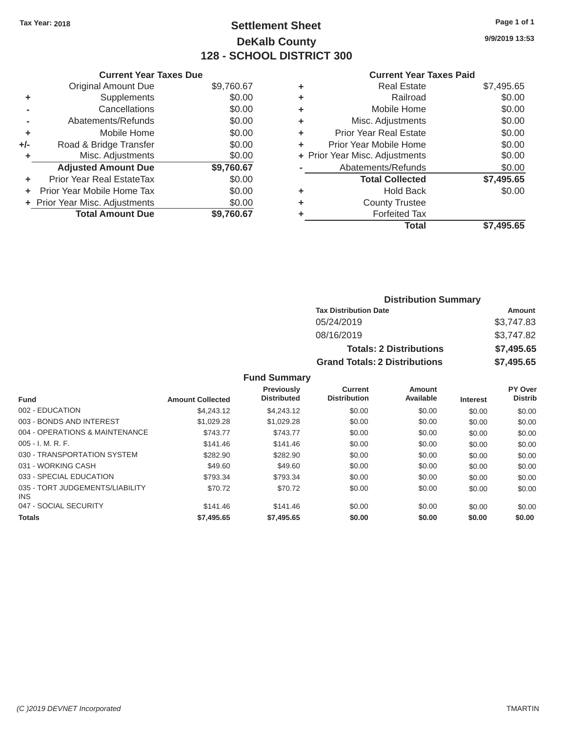## Tax Year: 2018 **Page 1 of 1 Settlement Sheet Page 1 of 1 Page 1 of 1 9/9/2019 13:53 DeKalb County 128 - SCHOOL DISTRICT 300**

### **Current Year Taxes Due Current Year Taxes Paid Current Year Taxes Paid**

|       | GUITENT I GAL TAYES DUE        |            |   | Gulltul Ital Taxts Falu        |            |  |  |
|-------|--------------------------------|------------|---|--------------------------------|------------|--|--|
|       | <b>Original Amount Due</b>     | \$9,760.67 | ٠ | <b>Real Estate</b>             | \$7,495.65 |  |  |
|       | Supplements                    | \$0.00     |   | Railroad                       | \$0.00     |  |  |
|       | Cancellations                  | \$0.00     | ٠ | Mobile Home                    | \$0.00     |  |  |
|       | Abatements/Refunds             | \$0.00     | ٠ | Misc. Adjustments              | \$0.00     |  |  |
|       | Mobile Home                    | \$0.00     |   | <b>Prior Year Real Estate</b>  | \$0.00     |  |  |
| $+/-$ | Road & Bridge Transfer         | \$0.00     |   | Prior Year Mobile Home         | \$0.00     |  |  |
|       | Misc. Adjustments              | \$0.00     |   | + Prior Year Misc. Adjustments | \$0.00     |  |  |
|       | <b>Adjusted Amount Due</b>     | \$9,760.67 |   | Abatements/Refunds             | \$0.00     |  |  |
|       | Prior Year Real EstateTax      | \$0.00     |   | <b>Total Collected</b>         | \$7,495.65 |  |  |
|       | + Prior Year Mobile Home Tax   | \$0.00     | ٠ | <b>Hold Back</b>               | \$0.00     |  |  |
|       | + Prior Year Misc. Adjustments | \$0.00     |   | <b>County Trustee</b>          |            |  |  |
|       | <b>Total Amount Due</b>        | \$9,760.67 |   | <b>Forfeited Tax</b>           |            |  |  |
|       |                                |            |   |                                |            |  |  |

|                            |            |   | <b>Total</b>                   | \$7,495.65 |
|----------------------------|------------|---|--------------------------------|------------|
| <b>Total Amount Due</b>    | \$9,760.67 | ٠ | <b>Forfeited Tax</b>           |            |
| Year Misc. Adjustments     | \$0.00     | ٠ | <b>County Trustee</b>          |            |
| r Year Mobile Home Tax     | \$0.00     | ٠ | <b>Hold Back</b>               | \$0.00     |
| ior Year Real EstateTax    | \$0.00     |   | <b>Total Collected</b>         | \$7,495.65 |
| <b>Adjusted Amount Due</b> | \$9,760.67 |   | Abatements/Refunds             | \$0.00     |
| Misc. Adjustments          | \$0.00     |   | + Prior Year Misc. Adjustments | \$0.00     |
| Road & Bridge Transfer     | \$0.00     | ٠ | Prior Year Mobile Home         | \$0.00     |
| Mobile Home                | \$0.00     | ٠ | <b>Prior Year Real Estate</b>  | \$0.00     |
| Abatements/Refunds         | \$0.00     | ٠ | Misc. Adjustments              | \$0.00     |
| Cancellations              | \$0.00     | ٠ | Mobile Home                    | \$0.00     |
| Supplements                | \$0.00     | ٠ | Railroad                       | \$0.00     |
| <b>Original Amount Due</b> | \$9,760.67 | ÷ | <b>Real Estate</b>             | \$7,495.65 |
|                            |            |   |                                |            |

| <b>Distribution Summary</b>          |            |
|--------------------------------------|------------|
| <b>Tax Distribution Date</b>         | Amount     |
| 05/24/2019                           | \$3,747.83 |
| 08/16/2019                           | \$3,747.82 |
| <b>Totals: 2 Distributions</b>       | \$7,495.65 |
| <b>Grand Totals: 2 Distributions</b> | \$7,495.65 |

### **Fund Summary**

| <b>Fund</b>                                   | <b>Amount Collected</b> | <b>Previously</b><br><b>Distributed</b> | <b>Current</b><br><b>Distribution</b> | Amount<br>Available | <b>Interest</b> | PY Over<br><b>Distrib</b> |
|-----------------------------------------------|-------------------------|-----------------------------------------|---------------------------------------|---------------------|-----------------|---------------------------|
| 002 - EDUCATION                               | \$4,243.12              | \$4,243.12                              | \$0.00                                | \$0.00              | \$0.00          | \$0.00                    |
|                                               |                         |                                         |                                       |                     |                 |                           |
| 003 - BONDS AND INTEREST                      | \$1,029.28              | \$1.029.28                              | \$0.00                                | \$0.00              | \$0.00          | \$0.00                    |
| 004 - OPERATIONS & MAINTENANCE                | \$743.77                | \$743.77                                | \$0.00                                | \$0.00              | \$0.00          | \$0.00                    |
| $005 - I. M. R. F.$                           | \$141.46                | \$141.46                                | \$0.00                                | \$0.00              | \$0.00          | \$0.00                    |
| 030 - TRANSPORTATION SYSTEM                   | \$282.90                | \$282.90                                | \$0.00                                | \$0.00              | \$0.00          | \$0.00                    |
| 031 - WORKING CASH                            | \$49.60                 | \$49.60                                 | \$0.00                                | \$0.00              | \$0.00          | \$0.00                    |
| 033 - SPECIAL EDUCATION                       | \$793.34                | \$793.34                                | \$0.00                                | \$0.00              | \$0.00          | \$0.00                    |
| 035 - TORT JUDGEMENTS/LIABILITY<br><b>INS</b> | \$70.72                 | \$70.72                                 | \$0.00                                | \$0.00              | \$0.00          | \$0.00                    |
| 047 - SOCIAL SECURITY                         | \$141.46                | \$141.46                                | \$0.00                                | \$0.00              | \$0.00          | \$0.00                    |
| <b>Totals</b>                                 | \$7,495.65              | \$7,495.65                              | \$0.00                                | \$0.00              | \$0.00          | \$0.00                    |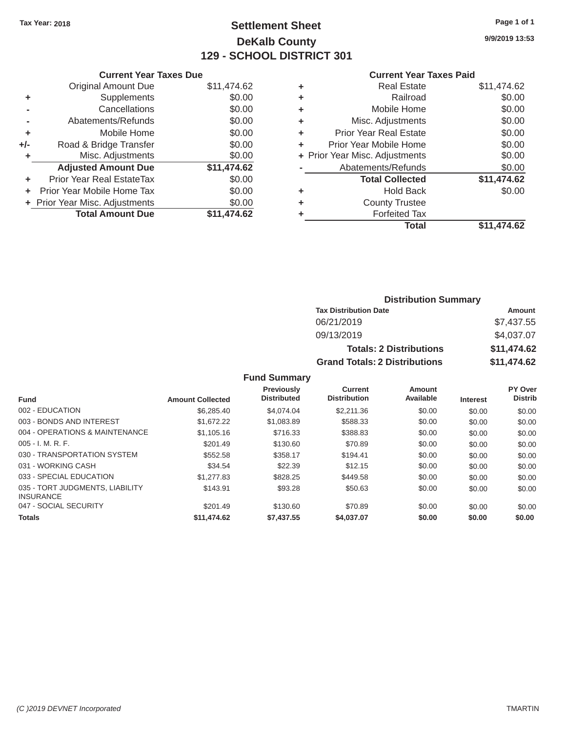## Tax Year: 2018 **Page 1 of 1 Settlement Sheet Page 1 of 1 Page 1 of 1 9/9/2019 13:53 DeKalb County 129 - SCHOOL DISTRICT 301**

|       | <b>Current Year Taxes Due</b>  |             |   | <b>Current Year Taxes Paid</b> |             |
|-------|--------------------------------|-------------|---|--------------------------------|-------------|
|       | <b>Original Amount Due</b>     | \$11,474.62 | ٠ | <b>Real Estate</b>             | \$11,474.62 |
|       | Supplements                    | \$0.00      | ٠ | Railroad                       | \$0.00      |
|       | Cancellations                  | \$0.00      | ٠ | Mobile Home                    | \$0.00      |
|       | Abatements/Refunds             | \$0.00      | ٠ | Misc. Adjustments              | \$0.00      |
| ٠     | Mobile Home                    | \$0.00      | ٠ | <b>Prior Year Real Estate</b>  | \$0.00      |
| $+/-$ | Road & Bridge Transfer         | \$0.00      |   | Prior Year Mobile Home         | \$0.00      |
|       | Misc. Adjustments              | \$0.00      |   | + Prior Year Misc. Adjustments | \$0.00      |
|       | <b>Adjusted Amount Due</b>     | \$11,474.62 |   | Abatements/Refunds             | \$0.00      |
| ٠     | Prior Year Real EstateTax      | \$0.00      |   | <b>Total Collected</b>         | \$11,474.62 |
| ÷.    | Prior Year Mobile Home Tax     | \$0.00      | ٠ | <b>Hold Back</b>               | \$0.00      |
|       | + Prior Year Misc. Adjustments | \$0.00      | ٠ | <b>County Trustee</b>          |             |
|       | <b>Total Amount Due</b>        | \$11,474.62 |   | <b>Forfeited Tax</b>           |             |

#### **Current Year Taxes Paid**

| <b>Original Amount Due</b> | \$11,474.62 | ٠ | <b>Real Estate</b>             | \$11,474.62 |
|----------------------------|-------------|---|--------------------------------|-------------|
| Supplements                | \$0.00      | ٠ | Railroad                       | \$0.00      |
| Cancellations              | \$0.00      | ٠ | Mobile Home                    | \$0.00      |
| Abatements/Refunds         | \$0.00      | ٠ | Misc. Adjustments              | \$0.00      |
| Mobile Home                | \$0.00      | ٠ | <b>Prior Year Real Estate</b>  | \$0.00      |
| Road & Bridge Transfer     | \$0.00      | ÷ | Prior Year Mobile Home         | \$0.00      |
| Misc. Adjustments          | \$0.00      |   | + Prior Year Misc. Adjustments | \$0.00      |
| <b>Adjusted Amount Due</b> | \$11,474.62 |   | Abatements/Refunds             | \$0.00      |
| ior Year Real EstateTax    | \$0.00      |   | <b>Total Collected</b>         | \$11,474.62 |
| r Year Mobile Home Tax     | \$0.00      | ٠ | <b>Hold Back</b>               | \$0.00      |
| Year Misc. Adjustments     | \$0.00      | ٠ | <b>County Trustee</b>          |             |
| <b>Total Amount Due</b>    | \$11,474.62 | ٠ | <b>Forfeited Tax</b>           |             |
|                            |             |   | <b>Total</b>                   | \$11,474.62 |
|                            |             |   |                                |             |

### **Distribution Summary Tax Distribution Date Amount Amount** 06/21/2019 \$7,437.55 09/13/2019 \$4,037.07 **Totals: 2 Distributions \$11,474.62 Grand Totals: 2 Distributions \$11,474.62**

### **Fund Summary**

|                                                     |                         | <b>Previously</b><br><b>Distributed</b> | Current<br><b>Distribution</b> | Amount<br>Available |                 | PY Over<br><b>Distrib</b> |
|-----------------------------------------------------|-------------------------|-----------------------------------------|--------------------------------|---------------------|-----------------|---------------------------|
| <b>Fund</b>                                         | <b>Amount Collected</b> |                                         |                                |                     | <b>Interest</b> |                           |
| 002 - EDUCATION                                     | \$6,285,40              | \$4,074,04                              | \$2,211,36                     | \$0.00              | \$0.00          | \$0.00                    |
| 003 - BONDS AND INTEREST                            | \$1,672.22              | \$1,083.89                              | \$588.33                       | \$0.00              | \$0.00          | \$0.00                    |
| 004 - OPERATIONS & MAINTENANCE                      | \$1,105.16              | \$716.33                                | \$388.83                       | \$0.00              | \$0.00          | \$0.00                    |
| $005 - I. M. R. F.$                                 | \$201.49                | \$130.60                                | \$70.89                        | \$0.00              | \$0.00          | \$0.00                    |
| 030 - TRANSPORTATION SYSTEM                         | \$552.58                | \$358.17                                | \$194.41                       | \$0.00              | \$0.00          | \$0.00                    |
| 031 - WORKING CASH                                  | \$34.54                 | \$22.39                                 | \$12.15                        | \$0.00              | \$0.00          | \$0.00                    |
| 033 - SPECIAL EDUCATION                             | \$1,277.83              | \$828.25                                | \$449.58                       | \$0.00              | \$0.00          | \$0.00                    |
| 035 - TORT JUDGMENTS, LIABILITY<br><b>INSURANCE</b> | \$143.91                | \$93.28                                 | \$50.63                        | \$0.00              | \$0.00          | \$0.00                    |
| 047 - SOCIAL SECURITY                               | \$201.49                | \$130.60                                | \$70.89                        | \$0.00              | \$0.00          | \$0.00                    |
| <b>Totals</b>                                       | \$11,474.62             | \$7,437.55                              | \$4.037.07                     | \$0.00              | \$0.00          | \$0.00                    |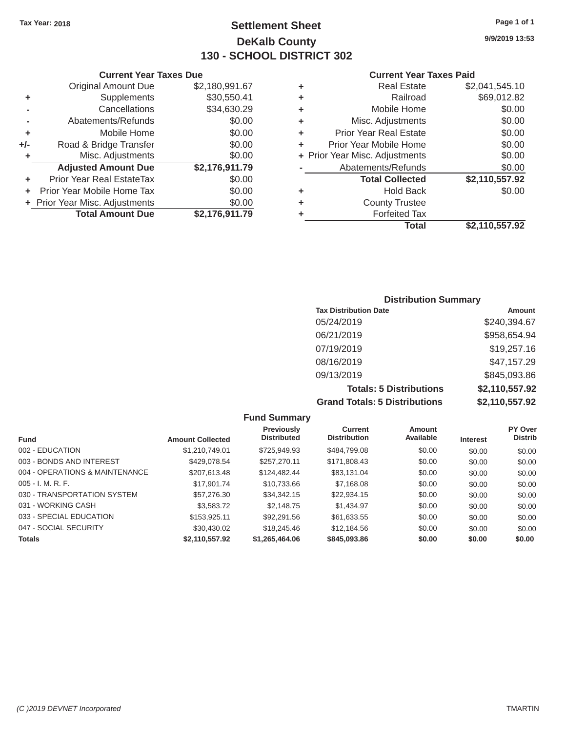### Tax Year: 2018 **Page 1 of 1 Page 1 of 1 Settlement Sheet Page 1 of 1 Page 1 of 1 9/9/2019 13:53 DeKalb County 130 - SCHOOL DISTRICT 302**

### **Current Year Taxes Due Current Year Taxes Paid Current Year Taxes Paid**

|     | <b>Original Amount Due</b>     | \$2,180,991.67 | ٠ | <b>Real Estate</b>             | \$2,041,545.10 |
|-----|--------------------------------|----------------|---|--------------------------------|----------------|
| ٠   | Supplements                    | \$30,550.41    | ٠ | Railroad                       | \$69,012.82    |
|     | Cancellations                  | \$34,630.29    | ٠ | Mobile Home                    | \$0.00         |
|     | Abatements/Refunds             | \$0.00         | ٠ | Misc. Adjustments              | \$0.00         |
| ٠   | Mobile Home                    | \$0.00         | ٠ | <b>Prior Year Real Estate</b>  | \$0.00         |
| +/- | Road & Bridge Transfer         | \$0.00         | ÷ | Prior Year Mobile Home         | \$0.00         |
|     | Misc. Adjustments              | \$0.00         |   | + Prior Year Misc. Adjustments | \$0.00         |
|     | <b>Adjusted Amount Due</b>     | \$2,176,911.79 |   | Abatements/Refunds             | \$0.00         |
| ÷.  | Prior Year Real EstateTax      | \$0.00         |   | <b>Total Collected</b>         | \$2,110,557.92 |
| ۰.  | Prior Year Mobile Home Tax     | \$0.00         | ٠ | <b>Hold Back</b>               | \$0.00         |
|     | + Prior Year Misc. Adjustments | \$0.00         | ٠ | <b>County Trustee</b>          |                |
|     | <b>Total Amount Due</b>        | \$2,176,911.79 |   | <b>Forfeited Tax</b>           |                |
|     |                                |                |   | <b>Total</b>                   | \$2,110,557.92 |

| <b>Distribution Summary</b>          |                |
|--------------------------------------|----------------|
| <b>Tax Distribution Date</b>         | Amount         |
| 05/24/2019                           | \$240,394.67   |
| 06/21/2019                           | \$958,654.94   |
| 07/19/2019                           | \$19,257.16    |
| 08/16/2019                           | \$47,157.29    |
| 09/13/2019                           | \$845,093.86   |
| <b>Totals: 5 Distributions</b>       | \$2,110,557.92 |
| <b>Grand Totals: 5 Distributions</b> | \$2,110,557.92 |

**Fund Summary Previously Current Amount PY Over<br>
Distributed Distribution Available Interest Distributed Fund Microsoft Amount Collected Distributed Distribution Available Interest** 002 - EDUCATION \$1,210,749.01 \$725,949.93 \$484,799.08 \$0.00 \$0.00 \$0.00 003 - BONDS AND INTEREST  $$429,078.54$   $$257,270.11$   $$171,808.43$   $$0.00$   $$0.00$   $$0.00$ 004 - OPERATIONS & MAINTENANCE \$207,613.48 \$124,482.44 \$83,131.04 \$0.00 \$0.00 \$0.00 005 - I. M. R. F. \$17,901.74 \$10,733.66 \$7,168.08 \$0.00 \$0.00 \$0.00 030 - TRANSPORTATION SYSTEM  $$57,276.30$   $$34,342.15$   $$22,934.15$   $$0.00$   $$0.00$   $$0.00$ 031 - WORKING CASH \$3,583.72 \$2,148.75 \$1,434.97 \$0.00 \$0.00 \$0.00 033 - SPECIAL EDUCATION \$153,925.11 \$92,291.56 \$61,633.55 \$0.00 \$0.00 \$0.00 \$0.00 047 - SOCIAL SECURITY 630,430.02 \$18,245.46 \$12,184.56 \$0.00 \$0.00 \$0.00 \$0.00 **Totals \$2,110,557.92 \$1,265,464.06 \$845,093.86 \$0.00 \$0.00 \$0.00**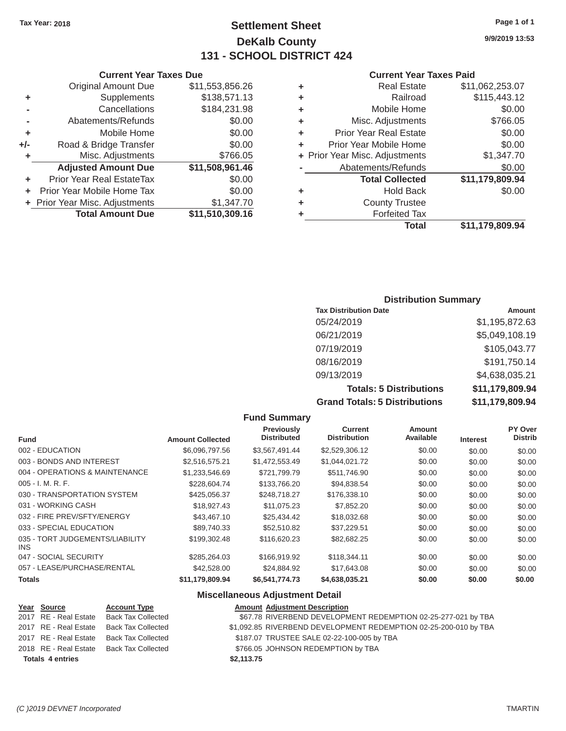### Tax Year: 2018 **Page 1 of 1 Page 1 of 1 Settlement Sheet Page 1 of 1 Page 1 of 1 9/9/2019 13:53 DeKalb County 131 - SCHOOL DISTRICT 424**

#### **Current Year Taxes Due Current Year Taxes Paid Current Year Taxes Paid**

|    |                                |                 |    | Total                          | \$11,179,809.94 |
|----|--------------------------------|-----------------|----|--------------------------------|-----------------|
|    | <b>Total Amount Due</b>        | \$11,510,309.16 |    | <b>Forfeited Tax</b>           |                 |
|    | + Prior Year Misc. Adjustments | \$1,347.70      | ÷. | <b>County Trustee</b>          |                 |
|    | + Prior Year Mobile Home Tax   | \$0.00          | ٠  | <b>Hold Back</b>               | \$0.00          |
| ÷  | Prior Year Real EstateTax      | \$0.00          |    | <b>Total Collected</b>         | \$11,179,809.94 |
|    | <b>Adjusted Amount Due</b>     | \$11,508,961.46 |    | Abatements/Refunds             | \$0.00          |
| ٠  | Misc. Adjustments              | \$766.05        |    | + Prior Year Misc. Adjustments | \$1,347.70      |
| I- | Road & Bridge Transfer         | \$0.00          | ÷. | Prior Year Mobile Home         | \$0.00          |
| ٠  | Mobile Home                    | \$0.00          | ٠  | <b>Prior Year Real Estate</b>  | \$0.00          |
| ۰  | Abatements/Refunds             | \$0.00          | ÷. | Misc. Adjustments              | \$766.05        |
| ۰  | Cancellations                  | \$184,231.98    | ÷. | Mobile Home                    | \$0.00          |
| ÷. | Supplements                    | \$138,571.13    | ٠  | Railroad                       | \$115,443.12    |
|    | <b>Original Amount Due</b>     | \$11,553,856.26 | ٠  | <b>Real Estate</b>             | \$11,062,253.07 |
|    |                                |                 |    |                                |                 |

### Original Amount Due \$11,553,856.26 **-** Abatements/Refunds **\$0.00 +** Prior Mobile Home \$0.00 **+/-** Road & Bridge Transfer \$0.00 **+ Misc. Adjustments \$766.05 Adjusted Amount Due \$11,508,961.46 +** Prior Year Real EstateTax \$0.00 **+** Prior Year Mobile Home Tax  $$0.00$

#### **Distribution Summary**

| <b>Tax Distribution Date</b>         | Amount          |
|--------------------------------------|-----------------|
| 05/24/2019                           | \$1,195,872.63  |
| 06/21/2019                           | \$5,049,108.19  |
| 07/19/2019                           | \$105,043.77    |
| 08/16/2019                           | \$191,750.14    |
| 09/13/2019                           | \$4,638,035.21  |
| <b>Totals: 5 Distributions</b>       | \$11,179,809.94 |
| <b>Grand Totals: 5 Distributions</b> | \$11,179,809.94 |

### **Fund Summary Previously Current Amount PY Over<br>
Distributed Distribution Available Interest Distributed Fund Microsoft Amount Collected Distributed Distribution Available Interest** 002 - EDUCATION \$6,096,797.56 \$3,567,491.44 \$2,529,306.12 \$0.00 \$0.00 \$0.00 003 - BONDS AND INTEREST  $$2,516,575.21$   $$1,472,553.49$   $$1,044,021.72$   $$0.00$   $$0.00$   $$0.00$ 004 - OPERATIONS & MAINTENANCE \$1,233,546.69 \$721,799.79 \$511,746.90 \$0.00 \$0.00 \$0.00 \$0.00 005 - I. M. R. F. \$228,604.74 \$133,766.20 \$94,838.54 \$0.00 \$0.00 \$0.00 030 - TRANSPORTATION SYSTEM \$425,056.37 \$248,718.27 \$176,338.10 \$0.00 \$0.00 \$0.00 \$0.00 031 - WORKING CASH \$18,927.43 \$11,075.23 \$7,852.20 \$0.00 \$0.00 \$0.00 032 - FIRE PREV/SFTY/ENERGY **\$43,467.10** \$25,434.42 \$18,032.68 \$0.00 \$0.00 \$0.00 \$0.00 033 - SPECIAL EDUCATION 689,740.33 \$52,510.82 \$37,229.51 \$0.00 \$0.00 \$0.00 \$0.00 035 - TORT JUDGEMENTS/LIABILITY \$199,302.48 \$116,620.23 \$82,682.25 \$0.00 \$0.00 \$0.00 \$0.00 INS 047 - SOCIAL SECURITY 60.00 \$285,264.03 \$166,919.92 \$118,344.11 \$0.00 \$0.00 \$0.00 \$0.00 057 - LEASE/PURCHASE/RENTAL  $$42,528.00$   $$24,884.92$   $$17,643.08$  \$0.00  $$0.00$  \$0.00 \$0.00 **Totals \$11,179,809.94 \$6,541,774.73 \$4,638,035.21 \$0.00 \$0.00 \$0.00**

#### **Miscellaneous Adjustment Detail**

| Year Source             | <b>Account Type</b>                      | <b>Amount Adjustment Description</b>                             |
|-------------------------|------------------------------------------|------------------------------------------------------------------|
|                         | 2017 RE - Real Estate Back Tax Collected | \$67.78 RIVERBEND DEVELOPMENT REDEMPTION 02-25-277-021 by TBA    |
|                         | 2017 RE - Real Estate Back Tax Collected | \$1,092.85 RIVERBEND DEVELOPMENT REDEMPTION 02-25-200-010 by TBA |
|                         | 2017 RE - Real Estate Back Tax Collected | \$187.07 TRUSTEE SALE 02-22-100-005 by TBA                       |
|                         | 2018 RE - Real Estate Back Tax Collected | \$766.05 JOHNSON REDEMPTION by TBA                               |
| <b>Totals 4 entries</b> |                                          | \$2,113.75                                                       |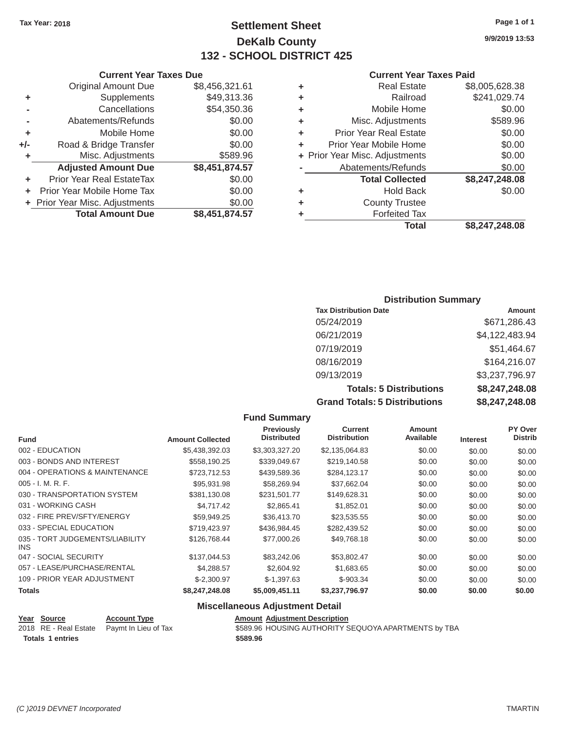### Tax Year: 2018 **Page 1 of 1 Page 1 of 1 Settlement Sheet Page 1 of 1 Page 1 of 1 9/9/2019 13:53 DeKalb County 132 - SCHOOL DISTRICT 425**

**Total \$8,247,248.08**

#### **Current Year Taxes Due Current Year Taxes Paid Current Year Taxes Paid Current Year Taxes Paid**

|     |                                |                |   | <b>Total</b>                   | \$8,247,248,08 |
|-----|--------------------------------|----------------|---|--------------------------------|----------------|
|     | <b>Total Amount Due</b>        | \$8,451,874.57 |   | <b>Forfeited Tax</b>           |                |
|     | + Prior Year Misc. Adjustments | \$0.00         | ٠ | <b>County Trustee</b>          |                |
|     | Prior Year Mobile Home Tax     | \$0.00         | ٠ | <b>Hold Back</b>               | \$0.00         |
|     | Prior Year Real EstateTax      | \$0.00         |   | <b>Total Collected</b>         | \$8,247,248.08 |
|     | <b>Adjusted Amount Due</b>     | \$8,451,874.57 |   | Abatements/Refunds             | \$0.00         |
|     | Misc. Adjustments              | \$589.96       |   | + Prior Year Misc. Adjustments | \$0.00         |
| +/- | Road & Bridge Transfer         | \$0.00         | ٠ | Prior Year Mobile Home         | \$0.00         |
|     | Mobile Home                    | \$0.00         | ٠ | <b>Prior Year Real Estate</b>  | \$0.00         |
|     | Abatements/Refunds             | \$0.00         | ٠ | Misc. Adjustments              | \$589.96       |
|     | Cancellations                  | \$54,350.36    | ٠ | Mobile Home                    | \$0.00         |
| ٠   | Supplements                    | \$49,313.36    | ٠ | Railroad                       | \$241,029.74   |
|     | <b>Original Amount Due</b>     | \$8,456,321.61 | ٠ | <b>Real Estate</b>             | \$8,005,628.38 |
|     |                                |                |   |                                |                |

| <b>Original Amount Due</b> | \$8,456,321 |
|----------------------------|-------------|
| Supplements                | \$49,313    |
| Cancellations              | \$54,350.   |
| Abatements/Refunds         | \$0.        |
| Mobile Home                | \$0         |
| Road & Bridge Transfer     | \$0.        |

| <b>Distribution Summary</b>  |                |  |  |  |  |
|------------------------------|----------------|--|--|--|--|
| <b>Tax Distribution Date</b> | <b>Amount</b>  |  |  |  |  |
| 05/24/2019                   | \$671,286.43   |  |  |  |  |
| 06/21/2019                   | \$4,122,483.94 |  |  |  |  |
| 07/19/2019                   | \$51,464.67    |  |  |  |  |
| 08/16/2019                   | \$164,216.07   |  |  |  |  |

09/13/2019 \$3,237,796.97 **Totals: 5 Distributions \$8,247,248.08 Grand Totals: 5 Distributions \$8,247,248.08**

|                                         |                         | <b>Fund Summary</b>                     |                                |                            |                 |                           |
|-----------------------------------------|-------------------------|-----------------------------------------|--------------------------------|----------------------------|-----------------|---------------------------|
| <b>Fund</b>                             | <b>Amount Collected</b> | <b>Previously</b><br><b>Distributed</b> | Current<br><b>Distribution</b> | <b>Amount</b><br>Available | <b>Interest</b> | PY Over<br><b>Distrib</b> |
| 002 - EDUCATION                         | \$5,438,392.03          | \$3,303,327.20                          | \$2,135,064.83                 | \$0.00                     | \$0.00          | \$0.00                    |
| 003 - BONDS AND INTEREST                | \$558,190.25            | \$339,049.67                            | \$219,140.58                   | \$0.00                     | \$0.00          | \$0.00                    |
| 004 - OPERATIONS & MAINTENANCE          | \$723,712.53            | \$439,589.36                            | \$284,123.17                   | \$0.00                     | \$0.00          | \$0.00                    |
| $005 - I. M. R. F.$                     | \$95,931.98             | \$58,269.94                             | \$37,662.04                    | \$0.00                     | \$0.00          | \$0.00                    |
| 030 - TRANSPORTATION SYSTEM             | \$381,130.08            | \$231,501.77                            | \$149,628.31                   | \$0.00                     | \$0.00          | \$0.00                    |
| 031 - WORKING CASH                      | \$4,717.42              | \$2,865.41                              | \$1,852.01                     | \$0.00                     | \$0.00          | \$0.00                    |
| 032 - FIRE PREV/SFTY/ENERGY             | \$59,949.25             | \$36,413.70                             | \$23,535.55                    | \$0.00                     | \$0.00          | \$0.00                    |
| 033 - SPECIAL EDUCATION                 | \$719,423.97            | \$436,984.45                            | \$282,439.52                   | \$0.00                     | \$0.00          | \$0.00                    |
| 035 - TORT JUDGEMENTS/LIABILITY<br>INS. | \$126,768.44            | \$77,000.26                             | \$49,768.18                    | \$0.00                     | \$0.00          | \$0.00                    |
| 047 - SOCIAL SECURITY                   | \$137,044.53            | \$83,242,06                             | \$53,802.47                    | \$0.00                     | \$0.00          | \$0.00                    |
| 057 - LEASE/PURCHASE/RENTAL             | \$4,288.57              | \$2,604.92                              | \$1,683.65                     | \$0.00                     | \$0.00          | \$0.00                    |
| 109 - PRIOR YEAR ADJUSTMENT             | $$-2,300.97$            | $$-1,397.63$                            | $$-903.34$                     | \$0.00                     | \$0.00          | \$0.00                    |
| <b>Totals</b>                           | \$8,247,248.08          | \$5,009,451.11                          | \$3,237,796.97                 | \$0.00                     | \$0.00          | \$0.00                    |
|                                         |                         |                                         |                                |                            |                 |                           |

### **Miscellaneous Adjustment Detail**

| Year Source             | <b>Account Type</b>                        | <b>Amount Adjustment Description</b>                 |
|-------------------------|--------------------------------------------|------------------------------------------------------|
|                         | 2018 RE - Real Estate Paymt In Lieu of Tax | \$589.96 HOUSING AUTHORITY SEQUOYA APARTMENTS by TBA |
| <b>Totals 1 entries</b> |                                            | \$589.96                                             |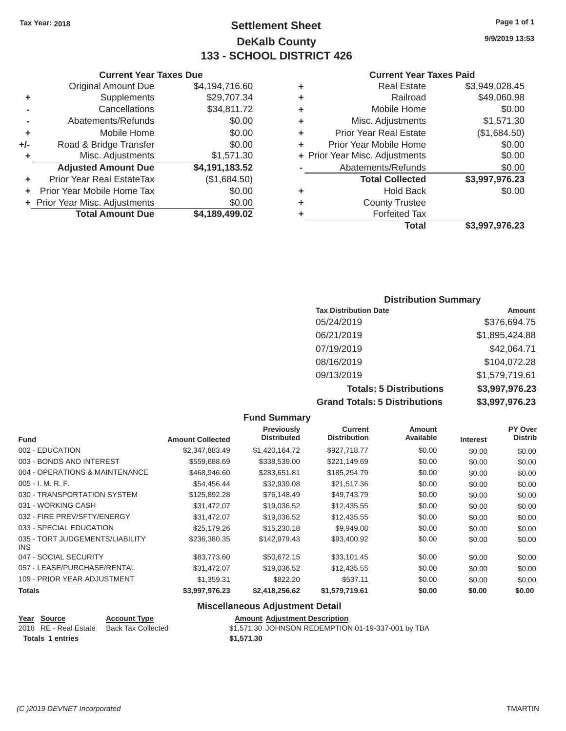### Tax Year: 2018 **Page 1 of 1 Settlement Sheet Page 1 of 1 Page 1 of 1 9/9/2019 13:53 DeKalb County 133 - SCHOOL DISTRICT 426**

#### **Current Year Taxes Paid**

|     | <b>Original Amount Due</b>     | \$4,194,716.60 | ٠  | <b>Real Estate</b>             | \$3,949,028.45 |
|-----|--------------------------------|----------------|----|--------------------------------|----------------|
| ٠   | Supplements                    | \$29,707.34    | ٠  | Railroad                       | \$49,060.98    |
|     | Cancellations                  | \$34,811.72    | ٠  | Mobile Home                    | \$0.00         |
|     | Abatements/Refunds             | \$0.00         | ٠  | Misc. Adjustments              | \$1,571.30     |
|     | Mobile Home                    | \$0.00         | ٠  | <b>Prior Year Real Estate</b>  | (\$1,684.50)   |
| +/- | Road & Bridge Transfer         | \$0.00         | ÷. | Prior Year Mobile Home         | \$0.00         |
|     | Misc. Adjustments              | \$1,571.30     |    | + Prior Year Misc. Adjustments | \$0.00         |
|     | <b>Adjusted Amount Due</b>     | \$4,191,183.52 |    | Abatements/Refunds             | \$0.00         |
|     | Prior Year Real EstateTax      | (\$1,684.50)   |    | <b>Total Collected</b>         | \$3,997,976.23 |
|     | Prior Year Mobile Home Tax     | \$0.00         | ٠  | <b>Hold Back</b>               | \$0.00         |
|     | + Prior Year Misc. Adjustments | \$0.00         | ٠  | <b>County Trustee</b>          |                |
|     | <b>Total Amount Due</b>        | \$4,189,499.02 |    | <b>Forfeited Tax</b>           |                |
|     |                                |                |    | Total                          | \$3,997,976.23 |

|                | <b>Current Year Taxes Due</b>  |                |   | <b>Current Year</b>            |
|----------------|--------------------------------|----------------|---|--------------------------------|
|                | <b>Original Amount Due</b>     | \$4,194,716.60 | ٠ | <b>Real Estate</b>             |
| ٠              | Supplements                    | \$29,707.34    | ٠ | Railroad                       |
| $\blacksquare$ | Cancellations                  | \$34,811.72    | ÷ | Mobile Home                    |
|                | Abatements/Refunds             | \$0.00         | ٠ | Misc. Adjustments              |
| ٠              | Mobile Home                    | \$0.00         | ÷ | <b>Prior Year Real Estate</b>  |
| I-             | Road & Bridge Transfer         | \$0.00         |   | Prior Year Mobile Home         |
| ٠              | Misc. Adjustments              | \$1,571.30     |   | + Prior Year Misc. Adjustments |
|                | <b>Adjusted Amount Due</b>     | \$4,191,183.52 |   | Abatements/Refunds             |
| ٠              | Prior Year Real EstateTax      | (\$1,684.50)   |   | <b>Total Collected</b>         |
|                | + Prior Year Mobile Home Tax   | \$0.00         | ٠ | <b>Hold Back</b>               |
|                | + Prior Year Misc. Adjustments | \$0.00         | ٠ | <b>County Trustee</b>          |
|                | <b>Total Amount Due</b>        | \$4,189,499.02 |   | <b>Forfeited Tax</b>           |

### **Distribution Summary**

| <b>Tax Distribution Date</b>         | <b>Amount</b>  |
|--------------------------------------|----------------|
| 05/24/2019                           | \$376,694.75   |
| 06/21/2019                           | \$1,895,424.88 |
| 07/19/2019                           | \$42,064.71    |
| 08/16/2019                           | \$104,072.28   |
| 09/13/2019                           | \$1,579,719.61 |
| <b>Totals: 5 Distributions</b>       | \$3,997,976.23 |
| <b>Grand Totals: 5 Distributions</b> | \$3,997,976.23 |

|                                         |                         | <b>Fund Summary</b>                     |                                       |                     |                 |                           |
|-----------------------------------------|-------------------------|-----------------------------------------|---------------------------------------|---------------------|-----------------|---------------------------|
| <b>Fund</b>                             | <b>Amount Collected</b> | <b>Previously</b><br><b>Distributed</b> | <b>Current</b><br><b>Distribution</b> | Amount<br>Available | <b>Interest</b> | PY Over<br><b>Distrib</b> |
| 002 - EDUCATION                         | \$2,347,883.49          | \$1,420,164.72                          | \$927,718.77                          | \$0.00              | \$0.00          | \$0.00                    |
| 003 - BONDS AND INTEREST                | \$559,688.69            | \$338,539.00                            | \$221,149.69                          | \$0.00              | \$0.00          | \$0.00                    |
| 004 - OPERATIONS & MAINTENANCE          | \$468,946.60            | \$283,651.81                            | \$185,294.79                          | \$0.00              | \$0.00          | \$0.00                    |
| 005 - I. M. R. F.                       | \$54,456.44             | \$32,939.08                             | \$21,517.36                           | \$0.00              | \$0.00          | \$0.00                    |
| 030 - TRANSPORTATION SYSTEM             | \$125,892.28            | \$76,148.49                             | \$49,743.79                           | \$0.00              | \$0.00          | \$0.00                    |
| 031 - WORKING CASH                      | \$31,472.07             | \$19,036.52                             | \$12,435.55                           | \$0.00              | \$0.00          | \$0.00                    |
| 032 - FIRE PREV/SFTY/ENERGY             | \$31,472.07             | \$19,036.52                             | \$12,435.55                           | \$0.00              | \$0.00          | \$0.00                    |
| 033 - SPECIAL EDUCATION                 | \$25,179.26             | \$15,230.18                             | \$9,949.08                            | \$0.00              | \$0.00          | \$0.00                    |
| 035 - TORT JUDGEMENTS/LIABILITY<br>INS. | \$236,380.35            | \$142,979.43                            | \$93,400.92                           | \$0.00              | \$0.00          | \$0.00                    |
| 047 - SOCIAL SECURITY                   | \$83,773.60             | \$50,672.15                             | \$33,101.45                           | \$0.00              | \$0.00          | \$0.00                    |
| 057 - LEASE/PURCHASE/RENTAL             | \$31,472.07             | \$19,036.52                             | \$12,435.55                           | \$0.00              | \$0.00          | \$0.00                    |
| 109 - PRIOR YEAR ADJUSTMENT             | \$1,359.31              | \$822.20                                | \$537.11                              | \$0.00              | \$0.00          | \$0.00                    |
| <b>Totals</b>                           | \$3,997,976.23          | \$2,418,256.62                          | \$1,579,719.61                        | \$0.00              | \$0.00          | \$0.00                    |
|                                         |                         | <b>Miscellaneous Adjustment Detail</b>  |                                       |                     |                 |                           |

### **Year Source Account Type Amount Adjustment Description**

| $16a$ OVGICC     | AGGOUIL TYPE                             | Allivant Aujustinent Description                   |
|------------------|------------------------------------------|----------------------------------------------------|
|                  | 2018 RE - Real Estate Back Tax Collected | \$1,571.30 JOHNSON REDEMPTION 01-19-337-001 by TBA |
| Totals 1 entries |                                          | \$1,571,30                                         |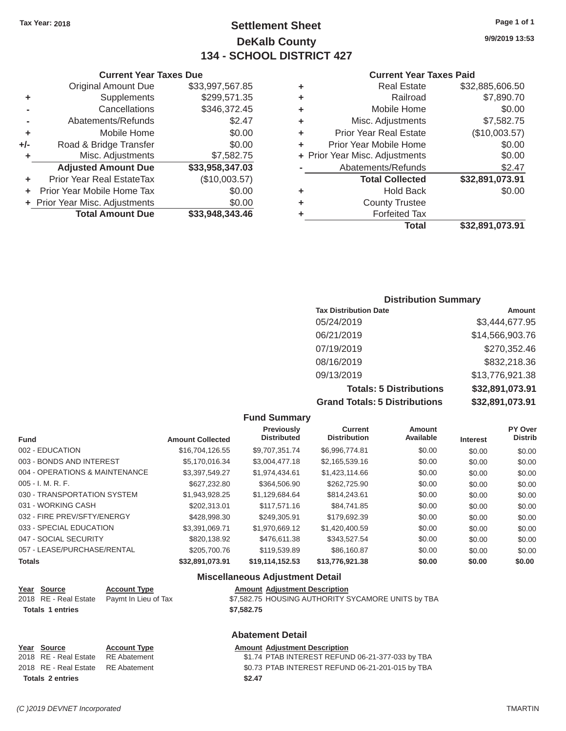### Tax Year: 2018 **Page 1 of 1 Page 1 of 1 Settlement Sheet Page 1 of 1 Page 1 of 1 9/9/2019 13:53 DeKalb County 134 - SCHOOL DISTRICT 427**

### **Current Year Taxes Due Current Year Taxes Paid**

|     | <b>Original Amount Due</b>     | \$33,997,567.85 | ٠ | <b>Real Estate</b>             | \$32,885,606.50 |
|-----|--------------------------------|-----------------|---|--------------------------------|-----------------|
| ٠   | Supplements                    | \$299,571.35    | ٠ | Railroad                       | \$7,890.70      |
|     | Cancellations                  | \$346,372.45    | ٠ | Mobile Home                    | \$0.00          |
|     | Abatements/Refunds             | \$2.47          | ٠ | Misc. Adjustments              | \$7,582.75      |
|     | Mobile Home                    | \$0.00          | ٠ | <b>Prior Year Real Estate</b>  | (\$10,003.57)   |
| +/- | Road & Bridge Transfer         | \$0.00          | ٠ | Prior Year Mobile Home         | \$0.00          |
|     | Misc. Adjustments              | \$7,582.75      |   | + Prior Year Misc. Adjustments | \$0.00          |
|     | <b>Adjusted Amount Due</b>     | \$33,958,347.03 |   | Abatements/Refunds             | \$2.47          |
|     | Prior Year Real EstateTax      | (\$10,003.57)   |   | <b>Total Collected</b>         | \$32,891,073.91 |
|     | Prior Year Mobile Home Tax     | \$0.00          | ٠ | <b>Hold Back</b>               | \$0.00          |
|     | + Prior Year Misc. Adjustments | \$0.00          | ٠ | <b>County Trustee</b>          |                 |
|     | <b>Total Amount Due</b>        | \$33,948,343.46 |   | <b>Forfeited Tax</b>           |                 |
|     |                                |                 |   | Total                          | \$32,891,073.91 |

|                | Current rear laxes Due         |                 |   | <b>Current rear</b>            |
|----------------|--------------------------------|-----------------|---|--------------------------------|
|                | <b>Original Amount Due</b>     | \$33,997,567.85 | ٠ | <b>Real Estate</b>             |
| ٠              | Supplements                    | \$299,571.35    | ٠ | Railroad                       |
| $\blacksquare$ | Cancellations                  | \$346,372.45    | ٠ | Mobile Home                    |
|                | Abatements/Refunds             | \$2.47          | ٠ | Misc. Adjustments              |
| ٠              | Mobile Home                    | \$0.00          | ٠ | <b>Prior Year Real Estate</b>  |
| I-             | Road & Bridge Transfer         | \$0.00          |   | Prior Year Mobile Home         |
| ٠              | Misc. Adjustments              | \$7,582.75      |   | + Prior Year Misc. Adjustments |
|                | <b>Adjusted Amount Due</b>     | \$33,958,347.03 |   | Abatements/Refunds             |
| ٠              | Prior Year Real EstateTax      | (\$10,003.57)   |   | <b>Total Collected</b>         |
|                | + Prior Year Mobile Home Tax   | \$0.00          | ٠ | <b>Hold Back</b>               |
|                | + Prior Year Misc. Adjustments | \$0.00          | ٠ | <b>County Trustee</b>          |
|                | <b>Total Amount Due</b>        | \$33,948,343.46 |   | <b>Forfeited Tax</b>           |

### **Distribution Summary**

| <b>Tax Distribution Date</b>         | <b>Amount</b>   |
|--------------------------------------|-----------------|
| 05/24/2019                           | \$3,444,677.95  |
| 06/21/2019                           | \$14,566,903.76 |
| 07/19/2019                           | \$270,352.46    |
| 08/16/2019                           | \$832,218.36    |
| 09/13/2019                           | \$13,776,921.38 |
| <b>Totals: 5 Distributions</b>       | \$32,891,073.91 |
| <b>Grand Totals: 5 Distributions</b> | \$32,891,073.91 |

|  | <b>Fund Summary</b> |
|--|---------------------|
|--|---------------------|

|                                |                         | Previously         | <b>Current</b>      | <b>Amount</b> |                 | PY Over        |
|--------------------------------|-------------------------|--------------------|---------------------|---------------|-----------------|----------------|
| <b>Fund</b>                    | <b>Amount Collected</b> | <b>Distributed</b> | <b>Distribution</b> | Available     | <b>Interest</b> | <b>Distrib</b> |
| 002 - EDUCATION                | \$16,704,126,55         | \$9.707.351.74     | \$6,996,774.81      | \$0.00        | \$0.00          | \$0.00         |
| 003 - BONDS AND INTEREST       | \$5,170,016.34          | \$3,004,477.18     | \$2,165,539.16      | \$0.00        | \$0.00          | \$0.00         |
| 004 - OPERATIONS & MAINTENANCE | \$3,397,549.27          | \$1,974,434.61     | \$1,423,114.66      | \$0.00        | \$0.00          | \$0.00         |
| $005 - I. M. R. F.$            | \$627,232.80            | \$364,506.90       | \$262,725.90        | \$0.00        | \$0.00          | \$0.00         |
| 030 - TRANSPORTATION SYSTEM    | \$1,943,928.25          | \$1,129,684.64     | \$814,243.61        | \$0.00        | \$0.00          | \$0.00         |
| 031 - WORKING CASH             | \$202.313.01            | \$117,571,16       | \$84,741.85         | \$0.00        | \$0.00          | \$0.00         |
| 032 - FIRE PREV/SFTY/ENERGY    | \$428,998.30            | \$249.305.91       | \$179,692,39        | \$0.00        | \$0.00          | \$0.00         |
| 033 - SPECIAL EDUCATION        | \$3.391.069.71          | \$1,970,669.12     | \$1,420,400.59      | \$0.00        | \$0.00          | \$0.00         |
| 047 - SOCIAL SECURITY          | \$820,138.92            | \$476,611,38       | \$343.527.54        | \$0.00        | \$0.00          | \$0.00         |
| 057 - LEASE/PURCHASE/RENTAL    | \$205,700.76            | \$119,539.89       | \$86,160.87         | \$0.00        | \$0.00          | \$0.00         |
| <b>Totals</b>                  | \$32,891,073.91         | \$19.114.152.53    | \$13,776,921,38     | \$0.00        | \$0.00          | \$0.00         |

#### **Miscellaneous Adjustment Detail**

| Year Source             | <b>Account Type</b>                        |            | <b>Amount Adjustment Description</b>               |
|-------------------------|--------------------------------------------|------------|----------------------------------------------------|
|                         | 2018 RE - Real Estate Paymt In Lieu of Tax |            | \$7,582.75 HOUSING AUTHORITY SYCAMORE UNITS by TBA |
| <b>Totals 1 entries</b> |                                            | \$7,582.75 |                                                    |

#### **Abatement Detail**

### **Year Source Account Type Amount Adjustment Description**<br>2018 RE - Real Estate RE Abatement **Amount 1998** 1.74 PTAB INTEREST REFUN \$1.74 PTAB INTEREST REFUND 06-21-377-033 by TBA

2018 RE - Real Estate RE Abatement \$0.73 PTAB INTEREST REFUND 06-21-201-015 by TBA Totals 2 entries \$2.47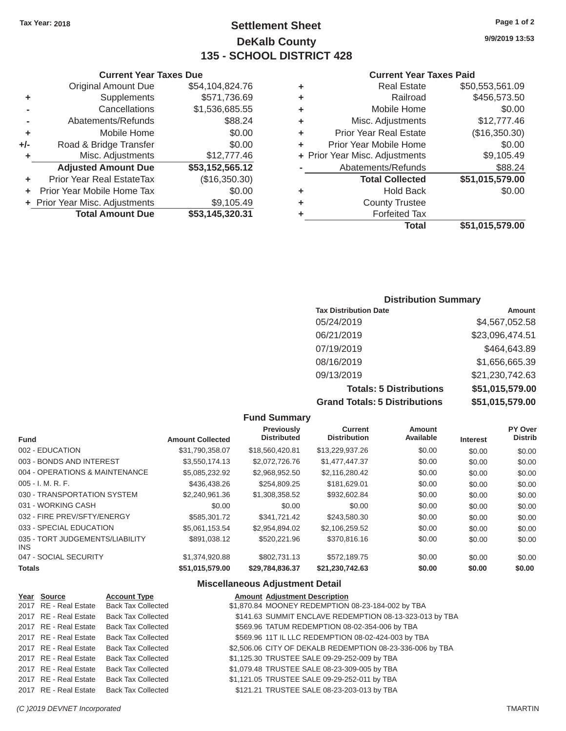### **Tax Year: 2018 Page 1 of 2 Settlement Sheet 9/9/2019 13:53 DeKalb County 135 - SCHOOL DISTRICT 428**

#### **Current Year Taxes Paid**

|     | <b>Original Amount Due</b>     | \$54,104,824.76 | ٠ | <b>Real Estate</b>             | \$50,553,561.09 |
|-----|--------------------------------|-----------------|---|--------------------------------|-----------------|
| ٠   | Supplements                    | \$571,736.69    | ٠ | Railroad                       | \$456,573.50    |
|     | Cancellations                  | \$1,536,685.55  | ٠ | Mobile Home                    | \$0.00          |
|     | Abatements/Refunds             | \$88.24         | ٠ | Misc. Adjustments              | \$12,777.46     |
| ٠   | Mobile Home                    | \$0.00          | ٠ | <b>Prior Year Real Estate</b>  | (\$16,350.30)   |
| +/- | Road & Bridge Transfer         | \$0.00          | ٠ | Prior Year Mobile Home         | \$0.00          |
|     | Misc. Adjustments              | \$12,777.46     |   | + Prior Year Misc. Adjustments | \$9,105.49      |
|     | <b>Adjusted Amount Due</b>     | \$53,152,565.12 |   | Abatements/Refunds             | \$88.24         |
|     | Prior Year Real EstateTax      | (\$16,350.30)   |   | <b>Total Collected</b>         | \$51,015,579.00 |
|     | + Prior Year Mobile Home Tax   | \$0.00          | ٠ | <b>Hold Back</b>               | \$0.00          |
|     | + Prior Year Misc. Adjustments | \$9,105.49      | ٠ | <b>County Trustee</b>          |                 |
|     | <b>Total Amount Due</b>        | \$53,145,320.31 |   | <b>Forfeited Tax</b>           |                 |
|     |                                |                 |   | Total                          | \$51,015,579.00 |
|     |                                |                 |   |                                |                 |

|    | <b>Current Year Taxes Due</b>  |                 |   | <b>Current Year</b>            |
|----|--------------------------------|-----------------|---|--------------------------------|
|    | <b>Original Amount Due</b>     | \$54,104,824.76 | ٠ | <b>Real Estate</b>             |
| ÷  | Supplements                    | \$571,736.69    | ٠ | Railroad                       |
| ä, | Cancellations                  | \$1,536,685.55  | ÷ | Mobile Home                    |
|    | Abatements/Refunds             | \$88.24         | ÷ | Misc. Adjustments              |
| ÷  | Mobile Home                    | \$0.00          | ٠ | <b>Prior Year Real Estate</b>  |
| I- | Road & Bridge Transfer         | \$0.00          |   | Prior Year Mobile Home         |
| ÷  | Misc. Adjustments              | \$12,777.46     |   | + Prior Year Misc. Adjustments |
|    | <b>Adjusted Amount Due</b>     | \$53,152,565.12 |   | Abatements/Refunds             |
| ÷  | Prior Year Real EstateTax      | (\$16,350.30)   |   | <b>Total Collected</b>         |
|    | + Prior Year Mobile Home Tax   | \$0.00          | ÷ | Hold Back                      |
|    | + Prior Year Misc. Adjustments | \$9,105.49      | ÷ | <b>County Trustee</b>          |
|    | <b>Total Amount Due</b>        | \$53,145,320.31 |   | <b>Forfeited Tax</b>           |

### **Distribution Summary**

| <b>Tax Distribution Date</b>         | Amount          |
|--------------------------------------|-----------------|
| 05/24/2019                           | \$4,567,052.58  |
| 06/21/2019                           | \$23,096,474.51 |
| 07/19/2019                           | \$464,643.89    |
| 08/16/2019                           | \$1,656,665.39  |
| 09/13/2019                           | \$21,230,742.63 |
| <b>Totals: 5 Distributions</b>       | \$51,015,579.00 |
| <b>Grand Totals: 5 Distributions</b> | \$51,015,579.00 |

### **Fund Summary Previously Current Amount PY Over<br>
Distributed Distribution Available Interest Distributed Fund Microsoft Amount Collected Distributed Distribution Available Interest** 002 - EDUCATION \$31,790,358.07 \$18,560,420.81 \$13,229,937.26 \$0.00 \$0.00 \$0.00 003 - BONDS AND INTEREST  $$3,550,174.13$   $$2,072,726.76$   $$1,477,447.37$   $$0.00$   $$0.00$   $$0.00$ 004 - OPERATIONS & MAINTENANCE  $$5,085,232.92$   $$2,968,952.50$   $$2,116,280.42$   $$0.00$   $$0.00$   $$0.00$ 005 - I. M. R. F. \$436,438.26 \$254,809.25 \$181,629.01 \$0.00 \$0.00 \$0.00 030 - TRANSPORTATION SYSTEM  $$2,240,961.36$   $$1,308,358.52$   $$932,602.84$   $$0.00$   $$0.00$   $$0.00$ 031 - WORKING CASH \$0.00 \$0.00 \$0.00 \$0.00 \$0.00 \$0.00 \$0.00 \$0.00 \$0.00 \$0.00 \$0.00 \$0.00 032 - FIRE PREV/SFTY/ENERGY \$585,301.72 \$341,721.42 \$243,580.30 \$0.00 \$0.00 \$0.00 033 - SPECIAL EDUCATION \$5,061,153.54 \$2,954,894.02 \$2,106,259.52 \$0.00 \$0.00 \$0.00 035 - TORT JUDGEMENTS/LIABILITY \$891,038.12 \$520,221.96 \$370,816.16 \$0.00 \$0.00 \$0.00 \$0.00 INS 047 - SOCIAL SECURITY 61,374,920.88 \$802,731.13 \$572,189.75 \$0.00 \$0.00 \$0.00 **Totals \$51,015,579.00 \$29,784,836.37 \$21,230,742.63 \$0.00 \$0.00 \$0.00**

#### **Miscellaneous Adjustment Detail**

| Year Source           | <b>Account Type</b>       | <b>Amount Adjustment Description</b>                      |
|-----------------------|---------------------------|-----------------------------------------------------------|
| 2017 RE - Real Estate | <b>Back Tax Collected</b> | \$1,870.84 MOONEY REDEMPTION 08-23-184-002 by TBA         |
| 2017 RE - Real Estate | <b>Back Tax Collected</b> | \$141.63 SUMMIT ENCLAVE REDEMPTION 08-13-323-013 by TBA   |
| 2017 RE - Real Estate | <b>Back Tax Collected</b> | \$569.96 TATUM REDEMPTION 08-02-354-006 by TBA            |
| 2017 RE - Real Estate | <b>Back Tax Collected</b> | \$569.96 11T IL LLC REDEMPTION 08-02-424-003 by TBA       |
| 2017 RE - Real Estate | <b>Back Tax Collected</b> | \$2,506.06 CITY OF DEKALB REDEMPTION 08-23-336-006 by TBA |
| 2017 RE - Real Estate | <b>Back Tax Collected</b> | \$1,125.30 TRUSTEE SALE 09-29-252-009 by TBA              |
| 2017 RE - Real Estate | <b>Back Tax Collected</b> | \$1,079.48 TRUSTEE SALE 08-23-309-005 by TBA              |
| 2017 RE - Real Estate | <b>Back Tax Collected</b> | \$1,121.05 TRUSTEE SALE 09-29-252-011 by TBA              |
| 2017 RE - Real Estate | <b>Back Tax Collected</b> | \$121.21 TRUSTEE SALE 08-23-203-013 by TBA                |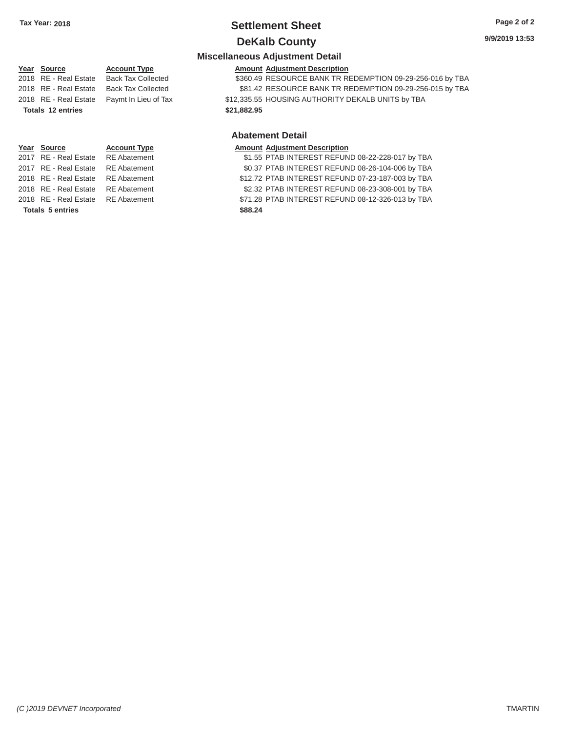# **Tax Year: 2018 Settlement Sheet Page 2 of 2**

### **DeKalb County** 9/9/2019 13:53

#### **Miscellaneous Adjustment Detail**

#### **Year Source**

**Year Source**

2017 RE - Real Estate RE Abatement 2017 RE - Real Estate RE Abatement

2018 RE - Real Estate RE Abatement 2018 RE - Real Estate RE Abatement 2018 RE - Real Estate RE Abatement

### 2018 RE - Real Estate Back Tax Collected 2018 RE - Real Estate Back Tax Collected **Account Type Totals 12 entries \$21,882.95**

**Account Type** 

### **Amount Adjustment Description**  \$360.49 RESOURCE BANK TR REDEMPTION 09-29-256-016 by TBA

\$81.42 RESOURCE BANK TR REDEMPTION 09-29-256-015 by TBA 2018 RE - Real Estate Paymt In Lieu of Tax \$12,335.55 HOUSING AUTHORITY DEKALB UNITS by TBA

#### **Abatement Detail**

#### **Amount Adjustment Description**  \$1.55 PTAB INTEREST REFUND 08-22-228-017 by TBA \$0.37 PTAB INTEREST REFUND 08-26-104-006 by TBA \$12.72 PTAB INTEREST REFUND 07-23-187-003 by TBA \$2.32 PTAB INTEREST REFUND 08-23-308-001 by TBA \$71.28 PTAB INTEREST REFUND 08-12-326-013 by TBA Totals 5 entries **\$88.24**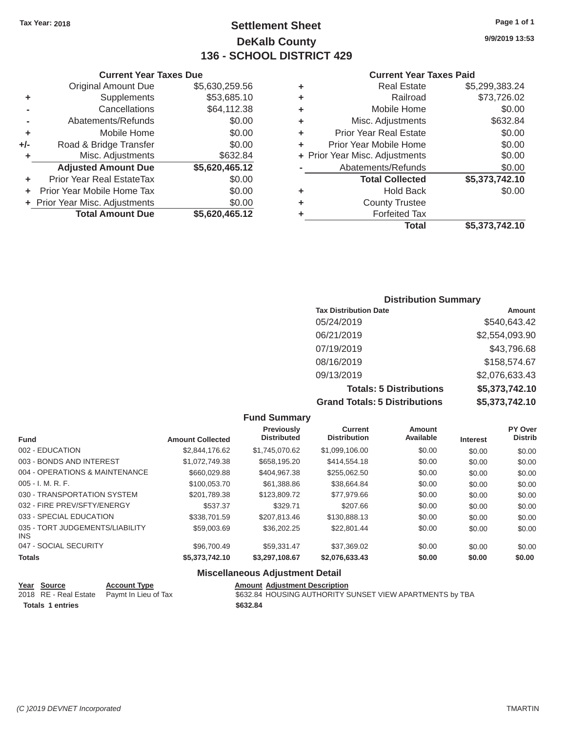### Tax Year: 2018 **Page 1 of 1 Page 1 of 1 Settlement Sheet Page 1 of 1 Page 1 of 1 9/9/2019 13:53 DeKalb County 136 - SCHOOL DISTRICT 429**

#### **Current Year Taxes Due Current Year Taxes Paid Current Year Taxes Paid**

|     | <b>Original Amount Due</b>       | \$5,630,259.56 | ٠ | <b>Real Estate</b>             | \$5,299,383.24 |
|-----|----------------------------------|----------------|---|--------------------------------|----------------|
| ٠   | <b>Supplements</b>               | \$53,685.10    | ٠ | Railroad                       | \$73,726.02    |
|     | Cancellations                    | \$64,112.38    | ٠ | Mobile Home                    | \$0.00         |
|     | Abatements/Refunds               | \$0.00         | ٠ | Misc. Adjustments              | \$632.84       |
|     | Mobile Home                      | \$0.00         | ٠ | <b>Prior Year Real Estate</b>  | \$0.00         |
| +/- | Road & Bridge Transfer           | \$0.00         | ٠ | Prior Year Mobile Home         | \$0.00         |
|     | Misc. Adjustments                | \$632.84       |   | + Prior Year Misc. Adjustments | \$0.00         |
|     | <b>Adjusted Amount Due</b>       | \$5,620,465.12 |   | Abatements/Refunds             | \$0.00         |
|     | <b>Prior Year Real EstateTax</b> | \$0.00         |   | <b>Total Collected</b>         | \$5,373,742.10 |
|     | Prior Year Mobile Home Tax       | \$0.00         | ٠ | <b>Hold Back</b>               | \$0.00         |
|     | + Prior Year Misc. Adjustments   | \$0.00         | ٠ | <b>County Trustee</b>          |                |
|     | <b>Total Amount Due</b>          | \$5,620,465.12 |   | <b>Forfeited Tax</b>           |                |
|     |                                  |                |   |                                |                |

|   | <b>Real Estate</b>             | \$5,299,383.24 |
|---|--------------------------------|----------------|
| ٠ | Railroad                       | \$73,726.02    |
| ٠ | Mobile Home                    | \$0.00         |
| ٠ | Misc. Adjustments              | \$632.84       |
| ٠ | <b>Prior Year Real Estate</b>  | \$0.00         |
| ٠ | Prior Year Mobile Home         | \$0.00         |
|   | + Prior Year Misc. Adjustments | \$0.00         |
|   | Abatements/Refunds             | \$0.00         |
|   | <b>Total Collected</b>         | \$5,373,742.10 |
| ٠ | <b>Hold Back</b>               | \$0.00         |
| ٠ | <b>County Trustee</b>          |                |
| ٠ | <b>Forfeited Tax</b>           |                |
|   | <b>Total</b>                   | \$5,373,742.10 |
|   |                                |                |

### **Distribution Summary Tax Distribution Date Amount Amount** 05/24/2019 \$540,643.42 06/21/2019 \$2,554,093.90 07/19/2019 \$43,796.68 08/16/2019 \$158,574.67 09/13/2019 \$2,076,633.43 **Totals: 5 Distributions \$5,373,742.10 Grand Totals: 5 Distributions \$5,373,742.10**

|                                         |                         | <b>Fund Summary</b>                     |                                       |                            |                 |                           |
|-----------------------------------------|-------------------------|-----------------------------------------|---------------------------------------|----------------------------|-----------------|---------------------------|
| <b>Fund</b>                             | <b>Amount Collected</b> | <b>Previously</b><br><b>Distributed</b> | <b>Current</b><br><b>Distribution</b> | <b>Amount</b><br>Available | <b>Interest</b> | PY Over<br><b>Distrib</b> |
| 002 - EDUCATION                         | \$2,844,176.62          | \$1,745,070.62                          | \$1,099,106.00                        | \$0.00                     | \$0.00          | \$0.00                    |
| 003 - BONDS AND INTEREST                | \$1,072,749.38          | \$658,195.20                            | \$414,554.18                          | \$0.00                     | \$0.00          | \$0.00                    |
| 004 - OPERATIONS & MAINTENANCE          | \$660,029.88            | \$404,967.38                            | \$255,062.50                          | \$0.00                     | \$0.00          | \$0.00                    |
| $005 - I. M. R. F.$                     | \$100,053.70            | \$61,388.86                             | \$38.664.84                           | \$0.00                     | \$0.00          | \$0.00                    |
| 030 - TRANSPORTATION SYSTEM             | \$201,789.38            | \$123,809.72                            | \$77,979.66                           | \$0.00                     | \$0.00          | \$0.00                    |
| 032 - FIRE PREV/SFTY/ENERGY             | \$537.37                | \$329.71                                | \$207.66                              | \$0.00                     | \$0.00          | \$0.00                    |
| 033 - SPECIAL EDUCATION                 | \$338,701.59            | \$207.813.46                            | \$130,888.13                          | \$0.00                     | \$0.00          | \$0.00                    |
| 035 - TORT JUDGEMENTS/LIABILITY<br>INS. | \$59,003.69             | \$36,202.25                             | \$22,801.44                           | \$0.00                     | \$0.00          | \$0.00                    |
| 047 - SOCIAL SECURITY                   | \$96,700.49             | \$59,331.47                             | \$37,369.02                           | \$0.00                     | \$0.00          | \$0.00                    |
| <b>Totals</b>                           | \$5,373,742.10          | \$3,297,108.67                          | \$2,076,633.43                        | \$0.00                     | \$0.00          | \$0.00                    |
|                                         |                         |                                         |                                       |                            |                 |                           |

## **Miscellaneous Adjustment Detail**

| Year Source             | <b>Account Type</b>                         | <b>Amount Adjustment Description</b>                     |
|-------------------------|---------------------------------------------|----------------------------------------------------------|
|                         | 2018 RE - Real Estate  Paymt In Lieu of Tax | \$632.84 HOUSING AUTHORITY SUNSET VIEW APARTMENTS by TBA |
| <b>Totals 1 entries</b> |                                             | \$632.84                                                 |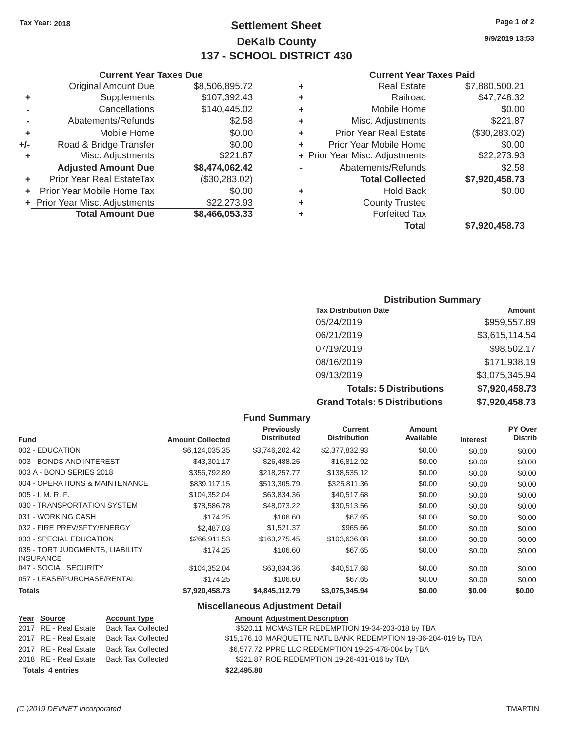### **Tax Year: 2018 Page 1 of 2 Settlement Sheet 9/9/2019 13:53 DeKalb County 137 - SCHOOL DISTRICT 430**

### **Current Year Taxes Paid**

|                                |                |   | <b>Total</b>                   | \$7,920,458.73 |
|--------------------------------|----------------|---|--------------------------------|----------------|
| <b>Total Amount Due</b>        | \$8,466,053.33 |   | <b>Forfeited Tax</b>           |                |
| + Prior Year Misc. Adjustments | \$22,273.93    | ٠ | <b>County Trustee</b>          |                |
| + Prior Year Mobile Home Tax   | \$0.00         | ٠ | <b>Hold Back</b>               | \$0.00         |
| Prior Year Real EstateTax<br>٠ | (\$30,283.02)  |   | <b>Total Collected</b>         | \$7,920,458.73 |
| <b>Adjusted Amount Due</b>     | \$8,474,062.42 |   | Abatements/Refunds             | \$2.58         |
| Misc. Adjustments<br>٠         | \$221.87       |   | + Prior Year Misc. Adjustments | \$22,273.93    |
| I-<br>Road & Bridge Transfer   | \$0.00         | ٠ | Prior Year Mobile Home         | \$0.00         |
| Mobile Home<br>٠               | \$0.00         | ٠ | <b>Prior Year Real Estate</b>  | (\$30,283.02)  |
| Abatements/Refunds<br>۰        | \$2.58         | ٠ | Misc. Adjustments              | \$221.87       |
| Cancellations<br>۰             | \$140,445.02   | ٠ | Mobile Home                    | \$0.00         |
| Supplements<br>٠               | \$107,392.43   | ٠ | Railroad                       | \$47,748.32    |
| <b>Original Amount Due</b>     | \$8,506,895.72 | ٠ | <b>Real Estate</b>             | \$7,880,500.21 |
|                                |                |   |                                |                |

|                                  |                                                                            |   | <b>Current Year Taxes Paid</b> |                                                                 |  |
|----------------------------------|----------------------------------------------------------------------------|---|--------------------------------|-----------------------------------------------------------------|--|
| <b>Original Amount Due</b>       | \$8,506,895.72                                                             | ٠ | <b>Real Estate</b>             | \$7,880,500.21                                                  |  |
| <b>Supplements</b>               | \$107,392.43                                                               | ٠ | Railroad                       | \$47,748.32                                                     |  |
| Cancellations                    | \$140,445.02                                                               | ٠ | Mobile Home                    | \$0.00                                                          |  |
| Abatements/Refunds               | \$2.58                                                                     | ٠ | Misc. Adjustments              | \$221.87                                                        |  |
| Mobile Home                      | \$0.00                                                                     | ٠ | <b>Prior Year Real Estate</b>  | (\$30,283.02)                                                   |  |
| Road & Bridge Transfer           | \$0.00                                                                     | ٠ | Prior Year Mobile Home         | \$0.00                                                          |  |
| Misc. Adjustments                | \$221.87                                                                   |   |                                | \$22,273.93                                                     |  |
| <b>Adjusted Amount Due</b>       | \$8,474,062.42                                                             |   | Abatements/Refunds             | \$2.58                                                          |  |
| <b>Prior Year Real EstateTax</b> | (\$30,283.02)                                                              |   | <b>Total Collected</b>         | \$7,920,458.73                                                  |  |
|                                  | \$0.00                                                                     | ٠ | <b>Hold Back</b>               | \$0.00                                                          |  |
|                                  | \$22,273.93                                                                | ٠ | <b>County Trustee</b>          |                                                                 |  |
| <b>Total Amount Due</b>          | \$8,466,053.33                                                             |   | <b>Forfeited Tax</b>           |                                                                 |  |
|                                  | ٠<br>+/-<br>+ Prior Year Mobile Home Tax<br>+ Prior Year Misc. Adjustments |   |                                | <b>Current Year Taxes Due</b><br>+ Prior Year Misc. Adjustments |  |

### **Distribution Summary**

| <b>Tax Distribution Date</b>         | Amount         |
|--------------------------------------|----------------|
| 05/24/2019                           | \$959,557.89   |
| 06/21/2019                           | \$3,615,114.54 |
| 07/19/2019                           | \$98,502.17    |
| 08/16/2019                           | \$171,938.19   |
| 09/13/2019                           | \$3,075,345.94 |
| <b>Totals: 5 Distributions</b>       | \$7,920,458.73 |
| <b>Grand Totals: 5 Distributions</b> | \$7,920,458.73 |

|                                                     |                         | <b>Fund Summary</b>                     |                                       |                            |                 |                           |
|-----------------------------------------------------|-------------------------|-----------------------------------------|---------------------------------------|----------------------------|-----------------|---------------------------|
| <b>Fund</b>                                         | <b>Amount Collected</b> | <b>Previously</b><br><b>Distributed</b> | <b>Current</b><br><b>Distribution</b> | <b>Amount</b><br>Available | <b>Interest</b> | PY Over<br><b>Distrib</b> |
| 002 - EDUCATION                                     | \$6,124,035.35          | \$3,746,202.42                          | \$2,377,832.93                        | \$0.00                     | \$0.00          | \$0.00                    |
| 003 - BONDS AND INTEREST                            | \$43,301.17             | \$26,488.25                             | \$16,812.92                           | \$0.00                     | \$0.00          | \$0.00                    |
| 003 A - BOND SERIES 2018                            | \$356,792.89            | \$218,257.77                            | \$138,535.12                          | \$0.00                     | \$0.00          | \$0.00                    |
| 004 - OPERATIONS & MAINTENANCE                      | \$839,117.15            | \$513,305.79                            | \$325,811.36                          | \$0.00                     | \$0.00          | \$0.00                    |
| $005 - I. M. R. F.$                                 | \$104,352.04            | \$63,834.36                             | \$40,517.68                           | \$0.00                     | \$0.00          | \$0.00                    |
| 030 - TRANSPORTATION SYSTEM                         | \$78,586.78             | \$48,073.22                             | \$30,513.56                           | \$0.00                     | \$0.00          | \$0.00                    |
| 031 - WORKING CASH                                  | \$174.25                | \$106.60                                | \$67.65                               | \$0.00                     | \$0.00          | \$0.00                    |
| 032 - FIRE PREV/SFTY/ENERGY                         | \$2,487.03              | \$1,521.37                              | \$965.66                              | \$0.00                     | \$0.00          | \$0.00                    |
| 033 - SPECIAL EDUCATION                             | \$266,911.53            | \$163,275.45                            | \$103,636.08                          | \$0.00                     | \$0.00          | \$0.00                    |
| 035 - TORT JUDGMENTS, LIABILITY<br><b>INSURANCE</b> | \$174.25                | \$106.60                                | \$67.65                               | \$0.00                     | \$0.00          | \$0.00                    |
| 047 - SOCIAL SECURITY                               | \$104,352.04            | \$63,834.36                             | \$40,517.68                           | \$0.00                     | \$0.00          | \$0.00                    |
| 057 - LEASE/PURCHASE/RENTAL                         | \$174.25                | \$106.60                                | \$67.65                               | \$0.00                     | \$0.00          | \$0.00                    |
| <b>Totals</b>                                       | \$7,920,458.73          | \$4,845,112.79                          | \$3,075,345.94                        | \$0.00                     | \$0.00          | \$0.00                    |

### **Miscellaneous Adjustment Detail**

| Year Source      | <b>Account Type</b>                      | <b>Amount Adjustment Description</b>                            |  |
|------------------|------------------------------------------|-----------------------------------------------------------------|--|
|                  | 2017 RE - Real Estate Back Tax Collected | \$520.11 MCMASTER REDEMPTION 19-34-203-018 by TBA               |  |
|                  | 2017 RE - Real Estate Back Tax Collected | \$15,176.10 MARQUETTE NATL BANK REDEMPTION 19-36-204-019 by TBA |  |
|                  | 2017 RE - Real Estate Back Tax Collected | \$6,577.72 PPRE LLC REDEMPTION 19-25-478-004 by TBA             |  |
|                  | 2018 RE - Real Estate Back Tax Collected | \$221.87 ROE REDEMPTION 19-26-431-016 by TBA                    |  |
| Totals 4 entries |                                          | \$22,495.80                                                     |  |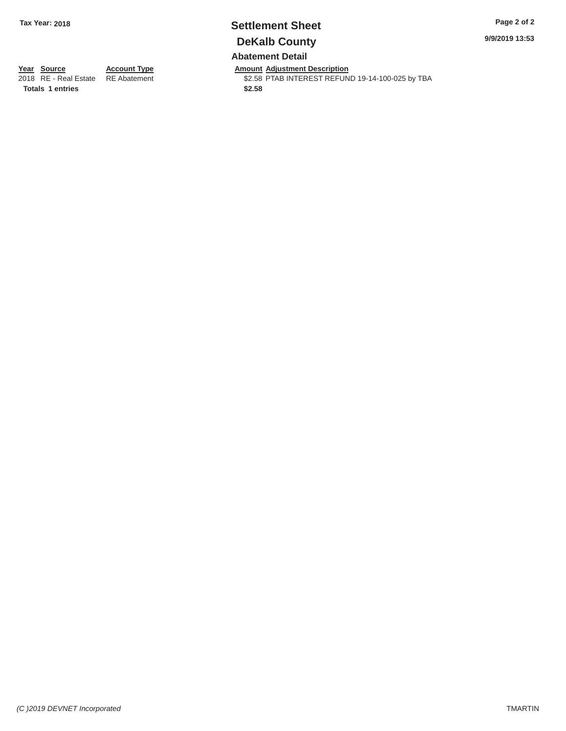### **Tax Year: 2018 Settlement Sheet Page 2 of 2 DeKalb County Abatement Detail**

**9/9/2019 13:53** 

**Year Source**

2018 RE - Real Estate

**Totals 1 entries** 

**Account Type**  RE Abatement

**Amount Adjustment Description**  \$2.58 PTAB INTEREST REFUND 19-14-100-025 by TBA **\$2.58**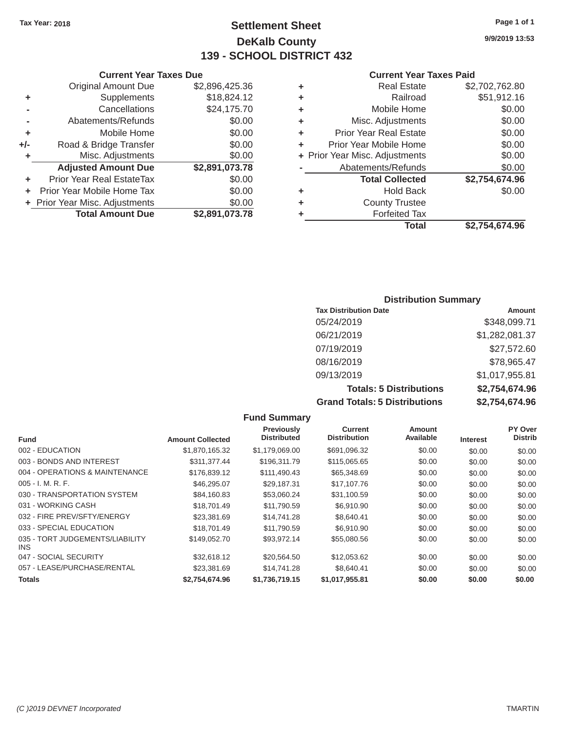### Tax Year: 2018 **Page 1 of 1 Page 1 of 1 Settlement Sheet Page 1 of 1 Page 1 of 1 9/9/2019 13:53 DeKalb County 139 - SCHOOL DISTRICT 432**

#### **Current Year Taxes Due Current Year Taxes Paid Current Year Taxes Paid**

|     | <b>Original Amount Due</b>     | \$2,896,425.36 | ٠ | <b>Real Estate</b>             | \$2,702,762.80 |
|-----|--------------------------------|----------------|---|--------------------------------|----------------|
| ٠   | Supplements                    | \$18,824.12    | ٠ | Railroad                       | \$51,912.16    |
|     | Cancellations                  | \$24,175.70    | ٠ | Mobile Home                    | \$0.00         |
|     | Abatements/Refunds             | \$0.00         | ٠ | Misc. Adjustments              | \$0.00         |
|     | Mobile Home                    | \$0.00         | ٠ | <b>Prior Year Real Estate</b>  | \$0.00         |
| +/- | Road & Bridge Transfer         | \$0.00         | ٠ | Prior Year Mobile Home         | \$0.00         |
|     | Misc. Adjustments              | \$0.00         |   | + Prior Year Misc. Adjustments | \$0.00         |
|     | <b>Adjusted Amount Due</b>     | \$2,891,073.78 |   | Abatements/Refunds             | \$0.00         |
|     | Prior Year Real EstateTax      | \$0.00         |   | <b>Total Collected</b>         | \$2,754,674.96 |
|     | Prior Year Mobile Home Tax     | \$0.00         | ٠ | <b>Hold Back</b>               | \$0.00         |
|     | + Prior Year Misc. Adjustments | \$0.00         | ٠ | <b>County Trustee</b>          |                |
|     | <b>Total Amount Due</b>        | \$2,891,073.78 |   | <b>Forfeited Tax</b>           |                |
|     |                                |                |   |                                |                |

| <b>Original Amount Due</b> | \$2,896,425.36 | ÷ | <b>Real Estate</b>             | \$2,702,762.80 |
|----------------------------|----------------|---|--------------------------------|----------------|
| Supplements                | \$18,824.12    | ÷ | Railroad                       | \$51,912.16    |
| Cancellations              | \$24,175.70    | ÷ | Mobile Home                    | \$0.00         |
| Abatements/Refunds         | \$0.00         | ÷ | Misc. Adjustments              | \$0.00         |
| Mobile Home                | \$0.00         | ÷ | <b>Prior Year Real Estate</b>  | \$0.00         |
| Road & Bridge Transfer     | \$0.00         | ÷ | Prior Year Mobile Home         | \$0.00         |
| Misc. Adjustments          | \$0.00         |   | + Prior Year Misc. Adjustments | \$0.00         |
| <b>Adjusted Amount Due</b> | \$2,891,073.78 |   | Abatements/Refunds             | \$0.00         |
| ior Year Real EstateTax    | \$0.00         |   | <b>Total Collected</b>         | \$2,754,674.96 |
| r Year Mobile Home Tax     | \$0.00         | ÷ | <b>Hold Back</b>               | \$0.00         |
| Year Misc. Adjustments     | \$0.00         | ÷ | <b>County Trustee</b>          |                |
| <b>Total Amount Due</b>    | \$2,891,073.78 | ٠ | <b>Forfeited Tax</b>           |                |
|                            |                |   | <b>Total</b>                   | \$2,754,674.96 |

### **Distribution Summary Tax Distribution Date Amount Amount** 05/24/2019 \$348,099.71 06/21/2019 \$1,282,081.37 07/19/2019 \$27,572.60 08/16/2019 \$78,965.47 09/13/2019 \$1,017,955.81 **Totals: 5 Distributions \$2,754,674.96 Grand Totals: 5 Distributions \$2,754,674.96**

|                                         |                         | <b>Fund Summary</b>                     |                                       |                            |                 |                           |
|-----------------------------------------|-------------------------|-----------------------------------------|---------------------------------------|----------------------------|-----------------|---------------------------|
| <b>Fund</b>                             | <b>Amount Collected</b> | <b>Previously</b><br><b>Distributed</b> | <b>Current</b><br><b>Distribution</b> | <b>Amount</b><br>Available | <b>Interest</b> | PY Over<br><b>Distrib</b> |
| 002 - EDUCATION                         | \$1,870,165.32          | \$1,179,069.00                          | \$691,096.32                          | \$0.00                     | \$0.00          | \$0.00                    |
| 003 - BONDS AND INTEREST                | \$311,377.44            | \$196,311.79                            | \$115,065.65                          | \$0.00                     | \$0.00          | \$0.00                    |
| 004 - OPERATIONS & MAINTENANCE          | \$176.839.12            | \$111,490.43                            | \$65,348.69                           | \$0.00                     | \$0.00          | \$0.00                    |
| $005 - I. M. R. F.$                     | \$46,295.07             | \$29.187.31                             | \$17,107.76                           | \$0.00                     | \$0.00          | \$0.00                    |
| 030 - TRANSPORTATION SYSTEM             | \$84,160.83             | \$53,060.24                             | \$31,100.59                           | \$0.00                     | \$0.00          | \$0.00                    |
| 031 - WORKING CASH                      | \$18,701.49             | \$11.790.59                             | \$6.910.90                            | \$0.00                     | \$0.00          | \$0.00                    |
| 032 - FIRE PREV/SFTY/ENERGY             | \$23,381.69             | \$14,741.28                             | \$8,640.41                            | \$0.00                     | \$0.00          | \$0.00                    |
| 033 - SPECIAL EDUCATION                 | \$18,701.49             | \$11.790.59                             | \$6.910.90                            | \$0.00                     | \$0.00          | \$0.00                    |
| 035 - TORT JUDGEMENTS/LIABILITY<br>INS. | \$149,052.70            | \$93,972.14                             | \$55,080.56                           | \$0.00                     | \$0.00          | \$0.00                    |
| 047 - SOCIAL SECURITY                   | \$32,618.12             | \$20,564.50                             | \$12,053.62                           | \$0.00                     | \$0.00          | \$0.00                    |
| 057 - LEASE/PURCHASE/RENTAL             | \$23,381.69             | \$14.741.28                             | \$8,640.41                            | \$0.00                     | \$0.00          | \$0.00                    |
| <b>Totals</b>                           | \$2,754,674,96          | \$1,736,719.15                          | \$1,017,955.81                        | \$0.00                     | \$0.00          | \$0.00                    |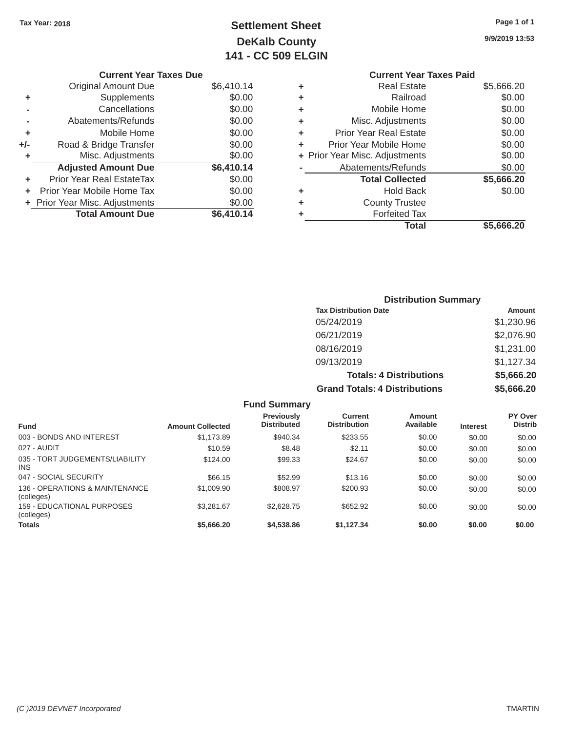## Tax Year: 2018 **Page 1 of 1 Settlement Sheet Page 1 of 1 Page 1 of 1 9/9/2019 13:53 DeKalb County 141 - CC 509 ELGIN**

|     | <b>Current Year Taxes Due</b>    |            |   | <b>Current Year Taxes Paid</b> |            |
|-----|----------------------------------|------------|---|--------------------------------|------------|
|     | <b>Original Amount Due</b>       | \$6,410.14 | ٠ | <b>Real Estate</b>             | \$5,666.20 |
| ٠   | Supplements                      | \$0.00     | ٠ | Railroad                       | \$0.00     |
|     | Cancellations                    | \$0.00     | ٠ | Mobile Home                    | \$0.00     |
|     | Abatements/Refunds               | \$0.00     | ٠ | Misc. Adjustments              | \$0.00     |
| ÷   | Mobile Home                      | \$0.00     | ٠ | <b>Prior Year Real Estate</b>  | \$0.00     |
| +/- | Road & Bridge Transfer           | \$0.00     | ٠ | Prior Year Mobile Home         | \$0.00     |
|     | Misc. Adjustments                | \$0.00     |   | + Prior Year Misc. Adjustments | \$0.00     |
|     | <b>Adjusted Amount Due</b>       | \$6,410.14 |   | Abatements/Refunds             | \$0.00     |
|     | <b>Prior Year Real EstateTax</b> | \$0.00     |   | <b>Total Collected</b>         | \$5,666.20 |
|     | Prior Year Mobile Home Tax       | \$0.00     | ٠ | <b>Hold Back</b>               | \$0.00     |
|     | + Prior Year Misc. Adjustments   | \$0.00     | ٠ | <b>County Trustee</b>          |            |
|     | <b>Total Amount Due</b>          | \$6,410.14 |   | <b>Forfeited Tax</b>           |            |

### **Current Year Taxes Paid +**<br>Real Estate \$5,666.20<br>Railroad \$0.00 **-** Cancellations \$0.00 **+** Mobile Home \$0.00 **+** Misc. Adjustments \$0.00 **+** Prior Year Real Estate \$0.00 **+** Prior Year Mobile Home  $\overline{0.00}$

|                            |            |   | Total                          | \$5,666.20 |
|----------------------------|------------|---|--------------------------------|------------|
| <b>Total Amount Due</b>    | \$6,410.14 | ٠ | <b>Forfeited Tax</b>           |            |
| Year Misc. Adjustments     | \$0.00     | ٠ | <b>County Trustee</b>          |            |
| r Year Mobile Home Tax     | \$0.00     | ٠ | <b>Hold Back</b>               | \$0.00     |
| ior Year Real EstateTax    | \$0.00     |   | <b>Total Collected</b>         | \$5,666.20 |
| <b>Adjusted Amount Due</b> | \$6,410.14 |   | Abatements/Refunds             | \$0.00     |
| Misc. Adjustments          | \$0.00     |   | + Prior Year Misc. Adjustments | \$0.00     |
|                            |            |   |                                | .          |

| <b>Distribution Summary</b>          |            |  |  |  |  |
|--------------------------------------|------------|--|--|--|--|
| <b>Tax Distribution Date</b>         | Amount     |  |  |  |  |
| 05/24/2019                           | \$1,230.96 |  |  |  |  |
| 06/21/2019                           | \$2,076.90 |  |  |  |  |
| 08/16/2019                           | \$1,231.00 |  |  |  |  |
| 09/13/2019                           | \$1,127.34 |  |  |  |  |
| <b>Totals: 4 Distributions</b>       | \$5,666.20 |  |  |  |  |
| <b>Grand Totals: 4 Distributions</b> | \$5,666.20 |  |  |  |  |

| <b>Fund Summary</b>                           |                         |                                  |                                |                     |                 |                           |
|-----------------------------------------------|-------------------------|----------------------------------|--------------------------------|---------------------|-----------------|---------------------------|
| <b>Fund</b>                                   | <b>Amount Collected</b> | Previously<br><b>Distributed</b> | Current<br><b>Distribution</b> | Amount<br>Available | <b>Interest</b> | PY Over<br><b>Distrib</b> |
| 003 - BONDS AND INTEREST                      | \$1.173.89              | \$940.34                         | \$233.55                       | \$0.00              | \$0.00          | \$0.00                    |
| 027 - AUDIT                                   | \$10.59                 | \$8.48                           | \$2.11                         | \$0.00              | \$0.00          | \$0.00                    |
| 035 - TORT JUDGEMENTS/LIABILITY<br><b>INS</b> | \$124.00                | \$99.33                          | \$24.67                        | \$0.00              | \$0.00          | \$0.00                    |
| 047 - SOCIAL SECURITY                         | \$66.15                 | \$52.99                          | \$13.16                        | \$0.00              | \$0.00          | \$0.00                    |
| 136 - OPERATIONS & MAINTENANCE<br>(colleges)  | \$1,009.90              | \$808.97                         | \$200.93                       | \$0.00              | \$0.00          | \$0.00                    |
| 159 - EDUCATIONAL PURPOSES<br>(colleges)      | \$3,281.67              | \$2,628.75                       | \$652.92                       | \$0.00              | \$0.00          | \$0.00                    |
| <b>Totals</b>                                 | \$5,666,20              | \$4,538,86                       | \$1.127.34                     | \$0.00              | \$0.00          | \$0.00                    |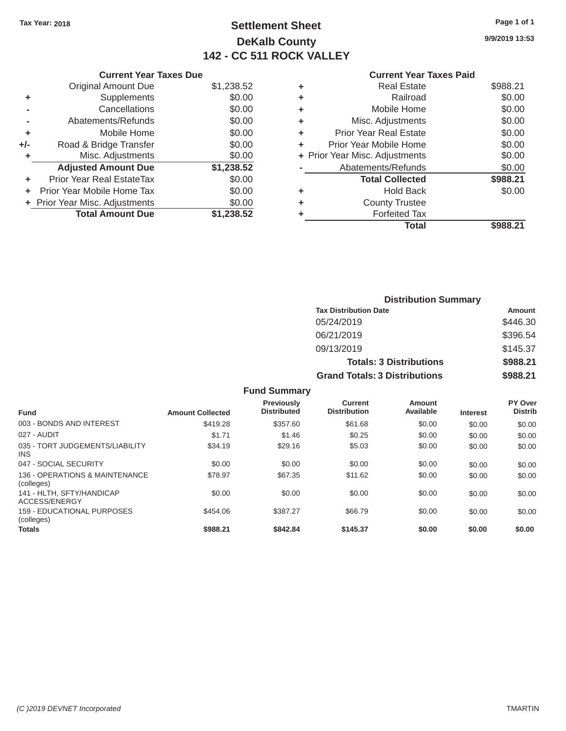## Tax Year: 2018 **Page 1 of 1 Settlement Sheet Page 1 of 1 Page 1 of 1 9/9/2019 13:53 DeKalb County 142 - CC 511 ROCK VALLEY**

| <b>Current Year Taxes Due</b> |            |  | <b>Current Year Taxes Paid</b> |          |
|-------------------------------|------------|--|--------------------------------|----------|
| Original Amount Due           | \$1,238,52 |  | Real Estate                    | \$988.21 |
| Supplements                   | \$0.00     |  | Railroad                       | \$0.00   |
| Cancellations                 | \$0.00     |  | Mobile Home                    | \$0.00   |

| <b>Current Year Taxes Due</b> |                                  |            |    | <b>Current Year Taxes Paid</b> |          |
|-------------------------------|----------------------------------|------------|----|--------------------------------|----------|
|                               | <b>Original Amount Due</b>       | \$1,238.52 |    | <b>Real Estate</b>             | \$988.21 |
|                               | Supplements                      | \$0.00     | ٠  | Railroad                       | \$0.00   |
|                               | Cancellations                    | \$0.00     | ٠  | Mobile Home                    | \$0.00   |
|                               | Abatements/Refunds               | \$0.00     |    | Misc. Adjustments              | \$0.00   |
|                               | Mobile Home                      | \$0.00     | ÷. | <b>Prior Year Real Estate</b>  | \$0.00   |
| $+/-$                         | Road & Bridge Transfer           | \$0.00     |    | Prior Year Mobile Home         | \$0.00   |
|                               | Misc. Adjustments                | \$0.00     |    | + Prior Year Misc. Adjustments | \$0.00   |
|                               | <b>Adjusted Amount Due</b>       | \$1,238.52 |    | Abatements/Refunds             | \$0.00   |
| ÷.                            | <b>Prior Year Real EstateTax</b> | \$0.00     |    | <b>Total Collected</b>         | \$988.21 |
| ÷.                            | Prior Year Mobile Home Tax       | \$0.00     | ٠  | <b>Hold Back</b>               | \$0.00   |
|                               | + Prior Year Misc. Adjustments   | \$0.00     |    | <b>County Trustee</b>          |          |
|                               | <b>Total Amount Due</b>          | \$1,238.52 |    | <b>Forfeited Tax</b>           |          |
|                               |                                  |            |    |                                |          |

| Supplements                | \$0.00     | ٠ | Railroad                       | \$0.00   |
|----------------------------|------------|---|--------------------------------|----------|
| Cancellations              | \$0.00     | ÷ | Mobile Home                    | \$0.00   |
| Abatements/Refunds         | \$0.00     | ٠ | Misc. Adjustments              | \$0.00   |
| Mobile Home                | \$0.00     | ٠ | <b>Prior Year Real Estate</b>  | \$0.00   |
| Road & Bridge Transfer     | \$0.00     | ٠ | Prior Year Mobile Home         | \$0.00   |
| Misc. Adjustments          | \$0.00     |   | + Prior Year Misc. Adjustments | \$0.00   |
| <b>Adjusted Amount Due</b> | \$1,238.52 |   | Abatements/Refunds             | \$0.00   |
| ior Year Real EstateTax    | \$0.00     |   | <b>Total Collected</b>         | \$988.21 |
| r Year Mobile Home Tax     | \$0.00     | ٠ | <b>Hold Back</b>               | \$0.00   |
| Year Misc. Adjustments     | \$0.00     | ٠ | <b>County Trustee</b>          |          |
| <b>Total Amount Due</b>    | \$1,238.52 | ٠ | <b>Forfeited Tax</b>           |          |
|                            |            |   | <b>Total</b>                   | \$988.21 |
|                            |            |   |                                |          |

|                                         |                         |                                         |                                      | <b>Distribution Summary</b>    |                 |                           |
|-----------------------------------------|-------------------------|-----------------------------------------|--------------------------------------|--------------------------------|-----------------|---------------------------|
|                                         |                         |                                         | <b>Tax Distribution Date</b>         |                                |                 | <b>Amount</b>             |
|                                         |                         |                                         | 05/24/2019                           |                                |                 | \$446.30                  |
|                                         |                         |                                         | 06/21/2019                           |                                |                 | \$396.54                  |
|                                         |                         |                                         | 09/13/2019                           |                                |                 | \$145.37                  |
|                                         |                         |                                         |                                      | <b>Totals: 3 Distributions</b> |                 | \$988.21                  |
|                                         |                         |                                         | <b>Grand Totals: 3 Distributions</b> |                                |                 | \$988.21                  |
|                                         |                         | <b>Fund Summary</b>                     |                                      |                                |                 |                           |
| <b>Fund</b>                             | <b>Amount Collected</b> | <b>Previously</b><br><b>Distributed</b> | Current<br><b>Distribution</b>       | <b>Amount</b><br>Available     | <b>Interest</b> | PY Over<br><b>Distrib</b> |
| 003 - BONDS AND INTEREST                | \$419.28                | \$357.60                                | \$61.68                              | \$0.00                         | \$0.00          | \$0.00                    |
| 027 - AUDIT                             | \$1.71                  | \$1.46                                  | \$0.25                               | \$0.00                         | \$0.00          | \$0.00                    |
| 035 - TORT JUDGEMENTS/LIABILITY<br>INS. | \$34.19                 | \$29.16                                 | \$5.03                               | \$0.00                         | \$0.00          | \$0.00                    |
| 047 - SOCIAL SECURITY                   | \$0.00                  | \$0.00                                  | \$0.00                               | \$0.00                         | AN UP           | ደበ በበ                     |

| 003 - BONDS AND INTEREST                      | \$419.28 | \$357.60 | \$61.68  | \$0.00 | \$0.00 | \$0.00 |
|-----------------------------------------------|----------|----------|----------|--------|--------|--------|
| 027 - AUDIT                                   | \$1.71   | \$1.46   | \$0.25   | \$0.00 | \$0.00 | \$0.00 |
| 035 - TORT JUDGEMENTS/LIABILITY<br><b>INS</b> | \$34.19  | \$29.16  | \$5.03   | \$0.00 | \$0.00 | \$0.00 |
| 047 - SOCIAL SECURITY                         | \$0.00   | \$0.00   | \$0.00   | \$0.00 | \$0.00 | \$0.00 |
| 136 - OPERATIONS & MAINTENANCE<br>(colleges)  | \$78.97  | \$67.35  | \$11.62  | \$0.00 | \$0.00 | \$0.00 |
| 141 - HLTH, SFTY/HANDICAP<br>ACCESS/ENERGY    | \$0.00   | \$0.00   | \$0.00   | \$0.00 | \$0.00 | \$0.00 |
| 159 - EDUCATIONAL PURPOSES<br>(colleges)      | \$454.06 | \$387.27 | \$66.79  | \$0.00 | \$0.00 | \$0.00 |
| <b>Totals</b>                                 | \$988.21 | \$842.84 | \$145.37 | \$0.00 | \$0.00 | \$0.00 |
|                                               |          |          |          |        |        |        |
|                                               |          |          |          |        |        |        |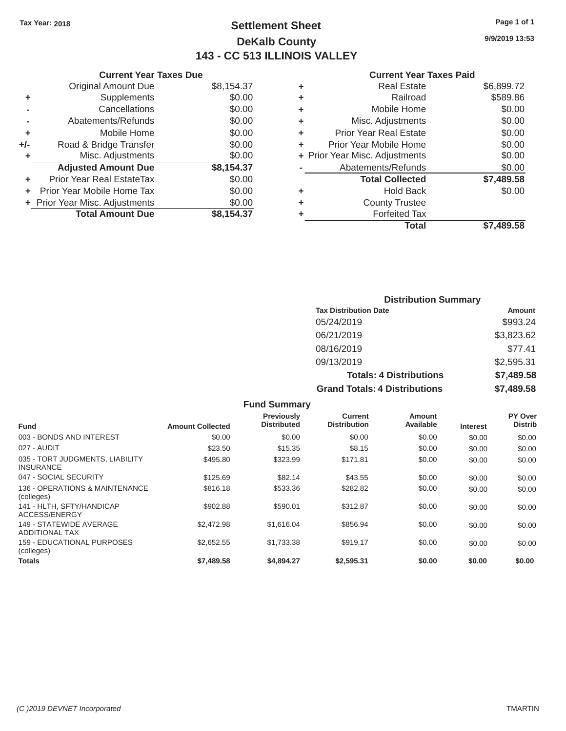### Tax Year: 2018 **Page 1 of 1 Settlement Sheet Page 1 of 1 Page 1 of 1 9/9/2019 13:53 DeKalb County 143 - CC 513 ILLINOIS VALLEY**

### **Current Year Taxes Due Current Year Taxes Paid Current Year Taxes Paid**

|     | GUITELL TEAL TAAES DUE           |            |   | Gulltill Ital Taxts Falu       |            |
|-----|----------------------------------|------------|---|--------------------------------|------------|
|     | <b>Original Amount Due</b>       | \$8,154.37 | ٠ | <b>Real Estate</b>             | \$6,899.72 |
| ٠   | Supplements                      | \$0.00     |   | Railroad                       | \$589.86   |
|     | Cancellations                    | \$0.00     | ٠ | Mobile Home                    | \$0.00     |
|     | Abatements/Refunds               | \$0.00     | ٠ | Misc. Adjustments              | \$0.00     |
|     | Mobile Home                      | \$0.00     | ٠ | <b>Prior Year Real Estate</b>  | \$0.00     |
| +/- | Road & Bridge Transfer           | \$0.00     |   | Prior Year Mobile Home         | \$0.00     |
|     | Misc. Adjustments                | \$0.00     |   | + Prior Year Misc. Adjustments | \$0.00     |
|     | <b>Adjusted Amount Due</b>       | \$8,154.37 |   | Abatements/Refunds             | \$0.00     |
|     | <b>Prior Year Real EstateTax</b> | \$0.00     |   | <b>Total Collected</b>         | \$7,489.58 |
|     | + Prior Year Mobile Home Tax     | \$0.00     | ٠ | <b>Hold Back</b>               | \$0.00     |
|     | + Prior Year Misc. Adjustments   | \$0.00     |   | <b>County Trustee</b>          |            |
|     | <b>Total Amount Due</b>          | \$8,154.37 |   | <b>Forfeited Tax</b>           |            |
|     |                                  |            |   |                                |            |

| <b>Original Amount Due</b> | \$8,154.37 | ÷ | <b>Real Estate</b>             | \$6,899.72 |
|----------------------------|------------|---|--------------------------------|------------|
| Supplements                | \$0.00     | ٠ | Railroad                       | \$589.86   |
| Cancellations              | \$0.00     | ٠ | Mobile Home                    | \$0.00     |
| Abatements/Refunds         | \$0.00     | ٠ | Misc. Adjustments              | \$0.00     |
| Mobile Home                | \$0.00     | ÷ | <b>Prior Year Real Estate</b>  | \$0.00     |
| Road & Bridge Transfer     | \$0.00     | ÷ | Prior Year Mobile Home         | \$0.00     |
| Misc. Adjustments          | \$0.00     |   | + Prior Year Misc. Adjustments | \$0.00     |
| <b>Adjusted Amount Due</b> | \$8,154.37 |   | Abatements/Refunds             | \$0.00     |
| ior Year Real EstateTax    | \$0.00     |   | <b>Total Collected</b>         | \$7,489.58 |
| r Year Mobile Home Tax     | \$0.00     | ٠ | <b>Hold Back</b>               | \$0.00     |
| Year Misc. Adjustments     | \$0.00     | ٠ | <b>County Trustee</b>          |            |
| <b>Total Amount Due</b>    | \$8,154.37 | ٠ | <b>Forfeited Tax</b>           |            |
|                            |            |   | <b>Total</b>                   | \$7,489.58 |

| <b>Distribution Summary</b>          |            |  |  |  |  |
|--------------------------------------|------------|--|--|--|--|
| <b>Tax Distribution Date</b>         | Amount     |  |  |  |  |
| 05/24/2019                           | \$993.24   |  |  |  |  |
| 06/21/2019                           | \$3,823.62 |  |  |  |  |
| 08/16/2019                           | \$77.41    |  |  |  |  |
| 09/13/2019                           | \$2,595.31 |  |  |  |  |
| <b>Totals: 4 Distributions</b>       | \$7,489.58 |  |  |  |  |
| <b>Grand Totals: 4 Distributions</b> | \$7,489.58 |  |  |  |  |

|                                                     |                         | <b>Fund Summary</b>              |                                       |                            |                 |                           |
|-----------------------------------------------------|-------------------------|----------------------------------|---------------------------------------|----------------------------|-----------------|---------------------------|
| <b>Fund</b>                                         | <b>Amount Collected</b> | Previously<br><b>Distributed</b> | <b>Current</b><br><b>Distribution</b> | <b>Amount</b><br>Available | <b>Interest</b> | PY Over<br><b>Distrib</b> |
| 003 - BONDS AND INTEREST                            | \$0.00                  | \$0.00                           | \$0.00                                | \$0.00                     | \$0.00          | \$0.00                    |
| 027 - AUDIT                                         | \$23.50                 | \$15.35                          | \$8.15                                | \$0.00                     | \$0.00          | \$0.00                    |
| 035 - TORT JUDGMENTS, LIABILITY<br><b>INSURANCE</b> | \$495.80                | \$323.99                         | \$171.81                              | \$0.00                     | \$0.00          | \$0.00                    |
| 047 - SOCIAL SECURITY                               | \$125.69                | \$82.14                          | \$43.55                               | \$0.00                     | \$0.00          | \$0.00                    |
| 136 - OPERATIONS & MAINTENANCE<br>(colleges)        | \$816.18                | \$533.36                         | \$282.82                              | \$0.00                     | \$0.00          | \$0.00                    |
| 141 - HLTH, SFTY/HANDICAP<br><b>ACCESS/ENERGY</b>   | \$902.88                | \$590.01                         | \$312.87                              | \$0.00                     | \$0.00          | \$0.00                    |
| 149 - STATEWIDE AVERAGE<br><b>ADDITIONAL TAX</b>    | \$2,472.98              | \$1,616,04                       | \$856.94                              | \$0.00                     | \$0.00          | \$0.00                    |
| 159 - EDUCATIONAL PURPOSES<br>(colleges)            | \$2,652.55              | \$1,733.38                       | \$919.17                              | \$0.00                     | \$0.00          | \$0.00                    |
| Totals                                              | \$7,489.58              | \$4,894.27                       | \$2,595.31                            | \$0.00                     | \$0.00          | \$0.00                    |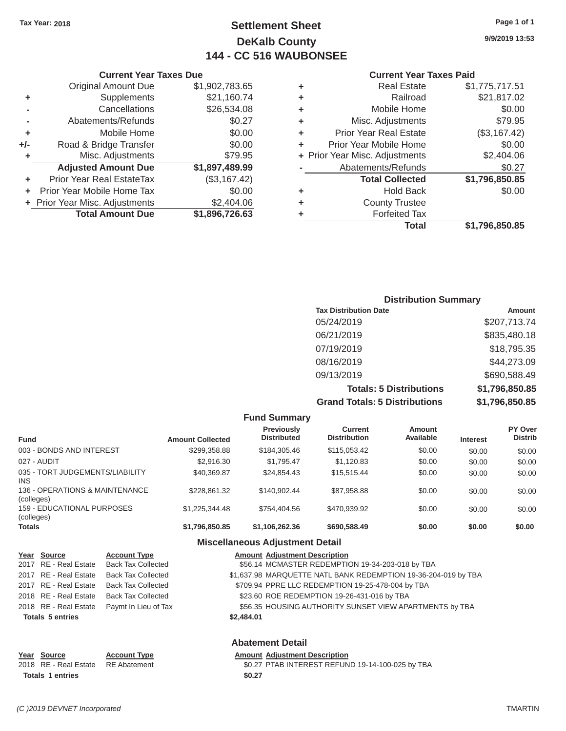### Tax Year: 2018 **Page 1 of 1 Settlement Sheet Page 1 of 1 Page 1 of 1 9/9/2019 13:53 DeKalb County 144 - CC 516 WAUBONSEE**

#### **Current Year Taxes Paid**

| <b>Original Amount Due</b> | \$1,902,783.65                                                 | ٠ | <b>Real Estate</b>            | \$1,775,717.51                 |
|----------------------------|----------------------------------------------------------------|---|-------------------------------|--------------------------------|
| Supplements                | \$21,160.74                                                    | ٠ | Railroad                      | \$21,817.02                    |
| Cancellations              | \$26,534.08                                                    | ٠ | Mobile Home                   | \$0.00                         |
| Abatements/Refunds         | \$0.27                                                         | ٠ | Misc. Adjustments             | \$79.95                        |
| Mobile Home                | \$0.00                                                         | ٠ | <b>Prior Year Real Estate</b> | (\$3,167.42)                   |
| Road & Bridge Transfer     | \$0.00                                                         | ٠ | Prior Year Mobile Home        | \$0.00                         |
| Misc. Adjustments          | \$79.95                                                        |   |                               | \$2,404.06                     |
| <b>Adjusted Amount Due</b> | \$1,897,489.99                                                 |   | Abatements/Refunds            | \$0.27                         |
| Prior Year Real EstateTax  | (\$3,167.42)                                                   |   | <b>Total Collected</b>        | \$1,796,850.85                 |
|                            | \$0.00                                                         | ٠ | <b>Hold Back</b>              | \$0.00                         |
|                            | \$2,404.06                                                     | ٠ | <b>County Trustee</b>         |                                |
| <b>Total Amount Due</b>    | \$1,896,726.63                                                 |   | <b>Forfeited Tax</b>          |                                |
|                            |                                                                |   | <b>Total</b>                  | \$1,796,850.85                 |
|                            | + Prior Year Mobile Home Tax<br>+ Prior Year Misc. Adjustments |   |                               | + Prior Year Misc. Adjustments |

|                | <b>Current Year Taxes Due</b>  |                |   | <b>Current Year</b>            |
|----------------|--------------------------------|----------------|---|--------------------------------|
|                | <b>Original Amount Due</b>     | \$1,902,783.65 | ٠ | <b>Real Estate</b>             |
| ÷              | Supplements                    | \$21,160.74    | ٠ | Railroad                       |
| $\blacksquare$ | Cancellations                  | \$26,534.08    | ٠ | Mobile Home                    |
|                | Abatements/Refunds             | \$0.27         | ٠ | Misc. Adjustments              |
| ÷              | Mobile Home                    | \$0.00         | ٠ | <b>Prior Year Real Estate</b>  |
| /-             | Road & Bridge Transfer         | \$0.00         |   | Prior Year Mobile Home         |
| ٠              | Misc. Adjustments              | \$79.95        |   | + Prior Year Misc. Adjustments |
|                | <b>Adjusted Amount Due</b>     | \$1,897,489.99 |   | Abatements/Refunds             |
| ÷              | Prior Year Real EstateTax      | (\$3,167.42)   |   | <b>Total Collected</b>         |
| $+$ $-$        | Prior Year Mobile Home Tax     | \$0.00         | ٠ | <b>Hold Back</b>               |
|                | + Prior Year Misc. Adjustments | \$2,404.06     | ٠ | <b>County Trustee</b>          |
|                | <b>Total Amount Due</b>        | \$1,896,726.63 |   | Forfeited Tax                  |

| <b>Distribution Summary</b>          |                |
|--------------------------------------|----------------|
| <b>Tax Distribution Date</b>         | Amount         |
| 05/24/2019                           | \$207,713.74   |
| 06/21/2019                           | \$835,480.18   |
| 07/19/2019                           | \$18,795.35    |
| 08/16/2019                           | \$44,273.09    |
| 09/13/2019                           | \$690,588.49   |
| <b>Totals: 5 Distributions</b>       | \$1,796,850.85 |
| <b>Grand Totals: 5 Distributions</b> | \$1,796,850.85 |

|                                              |                         | <b>Fund Summary</b>                     |                                |                     |                 |                           |
|----------------------------------------------|-------------------------|-----------------------------------------|--------------------------------|---------------------|-----------------|---------------------------|
| <b>Fund</b>                                  | <b>Amount Collected</b> | <b>Previously</b><br><b>Distributed</b> | Current<br><b>Distribution</b> | Amount<br>Available | <b>Interest</b> | PY Over<br><b>Distrib</b> |
| 003 - BONDS AND INTEREST                     | \$299,358.88            | \$184,305.46                            | \$115,053.42                   | \$0.00              | \$0.00          | \$0.00                    |
| 027 - AUDIT                                  | \$2,916,30              | \$1.795.47                              | \$1.120.83                     | \$0.00              | \$0.00          | \$0.00                    |
| 035 - TORT JUDGEMENTS/LIABILITY<br>INS.      | \$40,369.87             | \$24.854.43                             | \$15,515.44                    | \$0.00              | \$0.00          | \$0.00                    |
| 136 - OPERATIONS & MAINTENANCE<br>(colleges) | \$228.861.32            | \$140.902.44                            | \$87.958.88                    | \$0.00              | \$0.00          | \$0.00                    |
| 159 - EDUCATIONAL PURPOSES<br>(colleges)     | \$1.225.344.48          | \$754,404.56                            | \$470.939.92                   | \$0.00              | \$0.00          | \$0.00                    |
| <b>Totals</b>                                | \$1,796,850.85          | \$1,106,262.36                          | \$690,588.49                   | \$0.00              | \$0.00          | \$0.00                    |

### **Miscellaneous Adjustment Detail**

| Year Source             | <b>Account Type</b>       | <b>Amount Adjustment Description</b>                           |  |
|-------------------------|---------------------------|----------------------------------------------------------------|--|
| 2017 RE - Real Estate   | <b>Back Tax Collected</b> | \$56.14 MCMASTER REDEMPTION 19-34-203-018 by TBA               |  |
| 2017 RE - Real Estate   | <b>Back Tax Collected</b> | \$1,637.98 MARQUETTE NATL BANK REDEMPTION 19-36-204-019 by TBA |  |
| 2017 RE - Real Estate   | <b>Back Tax Collected</b> | \$709.94 PPRE LLC REDEMPTION 19-25-478-004 by TBA              |  |
| 2018 RE - Real Estate   | <b>Back Tax Collected</b> | \$23.60 ROE REDEMPTION 19-26-431-016 by TBA                    |  |
| 2018 RE - Real Estate   | Paymt In Lieu of Tax      | \$56.35 HOUSING AUTHORITY SUNSET VIEW APARTMENTS by TBA        |  |
| <b>Totals 5 entries</b> |                           | \$2,484.01                                                     |  |
|                         |                           | <b>Abatement Detail</b>                                        |  |
| Year Source             | <b>Account Type</b>       | <b>Amount Adjustment Description</b>                           |  |
| 2018 RE - Real Estate   | <b>RE</b> Abatement       | \$0.27 PTAB INTEREST REFUND 19-14-100-025 by TBA               |  |

Totals 1 entries \$0.27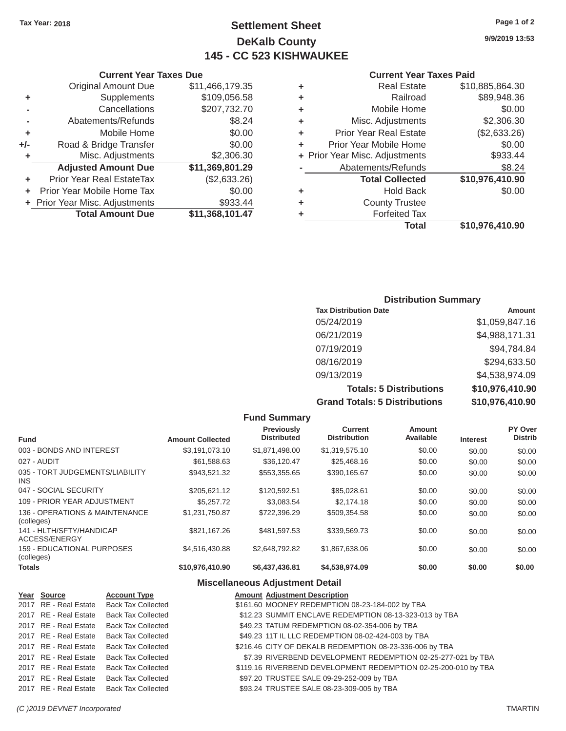### **Tax Year: 2018 Page 1 of 2 Settlement Sheet 9/9/2019 13:53 DeKalb County 145 - CC 523 KISHWAUKEE**

|   | <b>Real Estate</b>             | \$10,885,864.30 |
|---|--------------------------------|-----------------|
| ٠ | Railroad                       | \$89,948.36     |
| ٠ | Mobile Home                    | \$0.00          |
| ٠ | Misc. Adjustments              | \$2,306.30      |
| ٠ | <b>Prior Year Real Estate</b>  | (\$2,633.26)    |
| ٠ | Prior Year Mobile Home         | \$0.00          |
|   | + Prior Year Misc. Adjustments | \$933.44        |
|   | Abatements/Refunds             | \$8.24          |
|   | <b>Total Collected</b>         | \$10,976,410.90 |
| ٠ | <b>Hold Back</b>               | \$0.00          |
| ٠ | <b>County Trustee</b>          |                 |
|   | <b>Forfeited Tax</b>           |                 |
|   | Total                          | \$10,976,410.90 |

### **Current Year Taxes Due Current Year Taxes Paid Original Amount Due \$11,466,179.35 +** Supplements \$109,056.58 **-** Cancellations \$207,732.70 **-** Abatements/Refunds **\$8.24 +** Mobile Home  $$0.00$ **+/-** Road & Bridge Transfer \$0.00 **+** Misc. Adjustments \$2,306.30 **Adjusted Amount Due \$11,369,801.29 +** Prior Year Real EstateTax (\$2,633.26) **+** Prior Year Mobile Home Tax  $$0.00$ **+** Prior Year Misc. Adjustments \$933.44 **Total Amount Due \$11,368,101.47**

### **Distribution Summary**

| <b>Tax Distribution Date</b>         | Amount          |
|--------------------------------------|-----------------|
| 05/24/2019                           | \$1,059,847.16  |
| 06/21/2019                           | \$4,988,171.31  |
| 07/19/2019                           | \$94,784.84     |
| 08/16/2019                           | \$294,633.50    |
| 09/13/2019                           | \$4,538,974.09  |
| <b>Totals: 5 Distributions</b>       | \$10,976,410.90 |
| <b>Grand Totals: 5 Distributions</b> | \$10,976,410.90 |

|                                              |                         | <b>Fund Summary</b>              |                                       |                            |                 |                           |
|----------------------------------------------|-------------------------|----------------------------------|---------------------------------------|----------------------------|-----------------|---------------------------|
| <b>Fund</b>                                  | <b>Amount Collected</b> | Previously<br><b>Distributed</b> | <b>Current</b><br><b>Distribution</b> | <b>Amount</b><br>Available | <b>Interest</b> | PY Over<br><b>Distrib</b> |
| 003 - BONDS AND INTEREST                     | \$3,191,073.10          | \$1,871,498.00                   | \$1,319,575.10                        | \$0.00                     | \$0.00          | \$0.00                    |
| 027 - AUDIT                                  | \$61,588.63             | \$36,120.47                      | \$25,468.16                           | \$0.00                     | \$0.00          | \$0.00                    |
| 035 - TORT JUDGEMENTS/LIABILITY<br>INS.      | \$943,521.32            | \$553,355.65                     | \$390,165.67                          | \$0.00                     | \$0.00          | \$0.00                    |
| 047 - SOCIAL SECURITY                        | \$205,621.12            | \$120,592.51                     | \$85,028.61                           | \$0.00                     | \$0.00          | \$0.00                    |
| 109 - PRIOR YEAR ADJUSTMENT                  | \$5,257,72              | \$3.083.54                       | \$2.174.18                            | \$0.00                     | \$0.00          | \$0.00                    |
| 136 - OPERATIONS & MAINTENANCE<br>(colleges) | \$1.231.750.87          | \$722,396.29                     | \$509.354.58                          | \$0.00                     | \$0.00          | \$0.00                    |
| 141 - HLTH/SFTY/HANDICAP<br>ACCESS/ENERGY    | \$821.167.26            | \$481.597.53                     | \$339,569.73                          | \$0.00                     | \$0.00          | \$0.00                    |
| 159 - EDUCATIONAL PURPOSES<br>(colleges)     | \$4,516,430.88          | \$2.648.792.82                   | \$1,867,638.06                        | \$0.00                     | \$0.00          | \$0.00                    |
| <b>Totals</b>                                | \$10,976,410.90         | \$6,437,436.81                   | \$4,538,974.09                        | \$0.00                     | \$0.00          | \$0.00                    |

#### **Miscellaneous Adjustment Detail**

| Year Source           | <b>Account Type</b>       | <b>Amount Adjustment Description</b>                           |
|-----------------------|---------------------------|----------------------------------------------------------------|
| 2017 RE - Real Estate | Back Tax Collected        | \$161.60 MOONEY REDEMPTION 08-23-184-002 by TBA                |
| 2017 RE - Real Estate | <b>Back Tax Collected</b> | \$12.23 SUMMIT ENCLAVE REDEMPTION 08-13-323-013 by TBA         |
| 2017 RE - Real Estate | <b>Back Tax Collected</b> | \$49.23 TATUM REDEMPTION 08-02-354-006 by TBA                  |
| 2017 RE - Real Estate | <b>Back Tax Collected</b> | \$49.23 11T IL LLC REDEMPTION 08-02-424-003 by TBA             |
| 2017 RE - Real Estate | <b>Back Tax Collected</b> | \$216.46 CITY OF DEKALB REDEMPTION 08-23-336-006 by TBA        |
| 2017 RE - Real Estate | <b>Back Tax Collected</b> | \$7.39 RIVERBEND DEVELOPMENT REDEMPTION 02-25-277-021 by TBA   |
| 2017 RE - Real Estate | <b>Back Tax Collected</b> | \$119.16 RIVERBEND DEVELOPMENT REDEMPTION 02-25-200-010 by TBA |
| 2017 RE - Real Estate | <b>Back Tax Collected</b> | \$97.20 TRUSTEE SALE 09-29-252-009 by TBA                      |
| 2017 RE - Real Estate | Back Tax Collected        | \$93.24 TRUSTEE SALE 08-23-309-005 by TBA                      |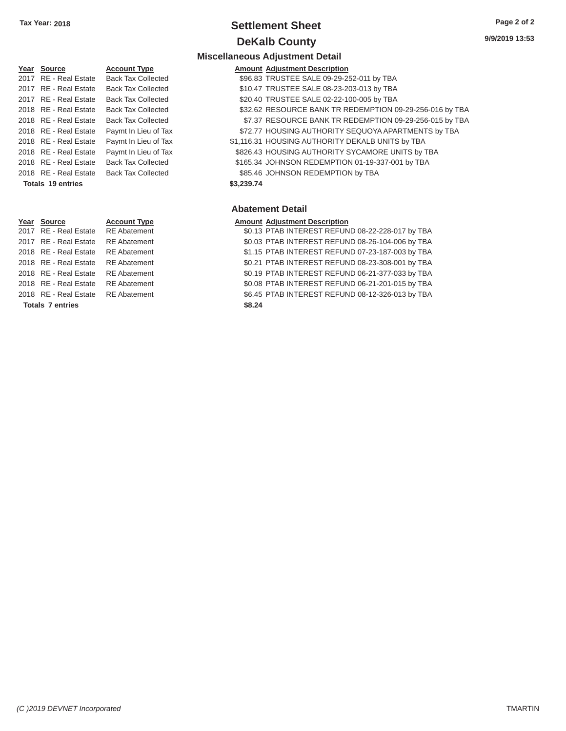### **Tax Year: 2018 Settlement Sheet Page 2 of 2 DeKalb County** 9/9/2019 13:53

**Miscellaneous Adjustment Detail** 

### Year Source **Account Type Aggle Amount Adjustment Description** 2017 RE - Real Estate Back Tax Collected \$96.83 TRUSTEE SALE 09-29-252-011 by TBA 2017 RE - Real Estate Back Tax Collected 2017 RE - Real Estate Back Tax Collected 2018 RE - Real Estate Paymt In Lieu of Tax 2018 RE - Real Estate Paymt In Lieu of Tax 2018 RE - Real Estate Paymt In Lieu of Tax 2018 RE - Real Estate Back Tax Collected 2018 RE - Real Estate Back Tax Collected **Totals 19 entries \$3,239.74**

Totals 7 entries \$8.24

| 2017 RE-Real Estate   | Back Tax Collected        | \$96.83 IRUSTEE SALE 09-29-252-011 BY TBA                |
|-----------------------|---------------------------|----------------------------------------------------------|
| 2017 RE - Real Estate | <b>Back Tax Collected</b> | \$10.47 TRUSTEE SALE 08-23-203-013 by TBA                |
| 2017 RE - Real Estate | <b>Back Tax Collected</b> | \$20.40 TRUSTEE SALE 02-22-100-005 by TBA                |
| 2018 RE - Real Estate | <b>Back Tax Collected</b> | \$32.62 RESOURCE BANK TR REDEMPTION 09-29-256-016 by TBA |
| 2018 RE - Real Estate | <b>Back Tax Collected</b> | \$7.37 RESOURCE BANK TR REDEMPTION 09-29-256-015 by TBA  |
| 2018 RE - Real Estate | Paymt In Lieu of Tax      | \$72.77 HOUSING AUTHORITY SEQUOYA APARTMENTS by TBA      |
| 2018 RE - Real Estate | Paymt In Lieu of Tax      | \$1,116.31 HOUSING AUTHORITY DEKALB UNITS by TBA         |
| 2018 RE - Real Estate | Paymt In Lieu of Tax      | \$826.43 HOUSING AUTHORITY SYCAMORE UNITS by TBA         |
| 2018 RE - Real Estate | <b>Back Tax Collected</b> | \$165.34 JOHNSON REDEMPTION 01-19-337-001 by TBA         |
| 2018 RE - Real Estate | <b>Back Tax Collected</b> | \$85.46 JOHNSON REDEMPTION by TBA                        |

### **Abatement Detail**

#### **Year Source Account Type Amount Adjustment Description**

2017 RE - Real Estate RE Abatement \$0.13 PTAB INTEREST REFUND 08-22-228-017 by TBA 2017 RE - Real Estate RE Abatement \$0.03 PTAB INTEREST REFUND 08-26-104-006 by TBA 2018 RE - Real Estate RE Abatement \$1.15 PTAB INTEREST REFUND 07-23-187-003 by TBA 2018 RE - Real Estate RE Abatement \$0.21 PTAB INTEREST REFUND 08-23-308-001 by TBA 2018 RE - Real Estate RE Abatement \$0.19 PTAB INTEREST REFUND 06-21-377-033 by TBA 2018 RE - Real Estate RE Abatement \$0.08 PTAB INTEREST REFUND 06-21-201-015 by TBA 2018 RE - Real Estate RE Abatement \$6.45 PTAB INTEREST REFUND 08-12-326-013 by TBA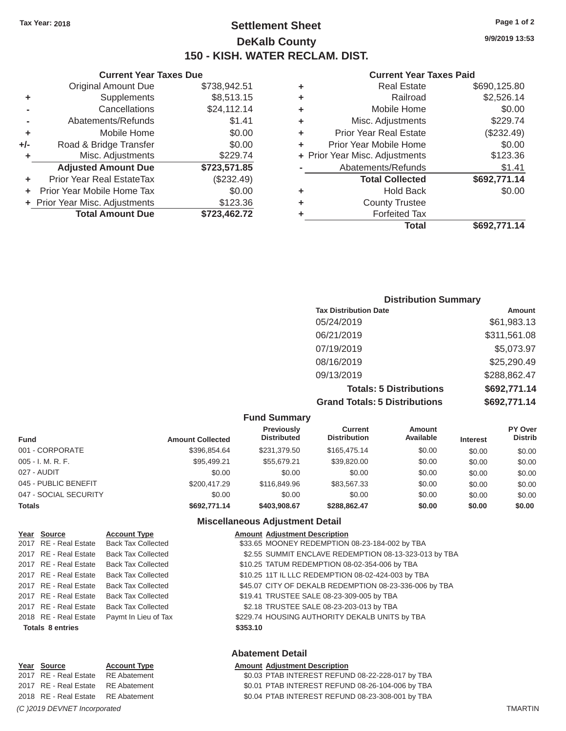### **Tax Year: 2018 Page 1 of 2 Settlement Sheet 9/9/2019 13:53 DeKalb County 150 - KISH. WATER RECLAM. DIST.**

| <b>Total Amount Due</b>    | \$723,462.72                   |   | <b>Forfeited Tax</b><br><b>Total</b> | \$692,771.14                   |
|----------------------------|--------------------------------|---|--------------------------------------|--------------------------------|
|                            |                                |   |                                      |                                |
|                            | \$123.36                       | ٠ | <b>County Trustee</b>                |                                |
| Prior Year Mobile Home Tax | \$0.00                         | ٠ | <b>Hold Back</b>                     | \$0.00                         |
| Prior Year Real EstateTax  | (\$232.49)                     |   | <b>Total Collected</b>               | \$692,771.14                   |
| <b>Adjusted Amount Due</b> | \$723,571.85                   |   | Abatements/Refunds                   | \$1.41                         |
| Misc. Adjustments          | \$229.74                       |   |                                      | \$123.36                       |
| Road & Bridge Transfer     | \$0.00                         |   | Prior Year Mobile Home               | \$0.00                         |
| Mobile Home                | \$0.00                         |   | <b>Prior Year Real Estate</b>        | (\$232.49)                     |
| Abatements/Refunds         | \$1.41                         | ٠ | Misc. Adjustments                    | \$229.74                       |
| Cancellations              | \$24,112.14                    | ٠ | Mobile Home                          | \$0.00                         |
| Supplements                | \$8,513.15                     | ٠ | Railroad                             | \$2,526.14                     |
| <b>Original Amount Due</b> | \$738,942.51                   | ٠ | <b>Real Estate</b>                   | \$690,125.80                   |
|                            | + Prior Year Misc. Adjustments |   |                                      | + Prior Year Misc. Adjustments |

# **Current Year Taxes Due Current Year Taxes Paid Current Year Taxes Paid +** Mobile Home  $$0.00$ Adjusted Amount Due \$723,571.85 + Prior Year Misc. Adjustments \$123.36 **Total Amount Due \$723,462.72**

### **Distribution Summary Tax Distribution Date Amount Amount** 05/24/2019 \$61,983.13 06/21/2019 \$311,561.08 07/19/2019 \$5,073.97 08/16/2019 \$25,290.49 09/13/2019 \$288,862.47 **Totals: 5 Distributions \$692,771.14 Grand Totals: 5 Distributions \$692,771.14**

|                       | <b>Fund Summary</b>     |                                         |                                |                     |                 |                           |  |  |  |
|-----------------------|-------------------------|-----------------------------------------|--------------------------------|---------------------|-----------------|---------------------------|--|--|--|
| <b>Fund</b>           | <b>Amount Collected</b> | <b>Previously</b><br><b>Distributed</b> | Current<br><b>Distribution</b> | Amount<br>Available | <b>Interest</b> | PY Over<br><b>Distrib</b> |  |  |  |
| 001 - CORPORATE       | \$396,854.64            | \$231,379.50                            | \$165,475.14                   | \$0.00              | \$0.00          | \$0.00                    |  |  |  |
| $005 - I. M. R. F.$   | \$95,499.21             | \$55,679.21                             | \$39,820.00                    | \$0.00              | \$0.00          | \$0.00                    |  |  |  |
| 027 - AUDIT           | \$0.00                  | \$0.00                                  | \$0.00                         | \$0.00              | \$0.00          | \$0.00                    |  |  |  |
| 045 - PUBLIC BENEFIT  | \$200.417.29            | \$116,849.96                            | \$83,567.33                    | \$0.00              | \$0.00          | \$0.00                    |  |  |  |
| 047 - SOCIAL SECURITY | \$0.00                  | \$0.00                                  | \$0.00                         | \$0.00              | \$0.00          | \$0.00                    |  |  |  |
| <b>Totals</b>         | \$692,771.14            | \$403,908.67                            | \$288,862.47                   | \$0.00              | \$0.00          | \$0.00                    |  |  |  |

### **Miscellaneous Adjustment Detail**

| Year Source             | <b>Account Type</b>       |          | <b>Amount Adjustment Description</b>                   |
|-------------------------|---------------------------|----------|--------------------------------------------------------|
| 2017 RE - Real Estate   | <b>Back Tax Collected</b> |          | \$33.65 MOONEY REDEMPTION 08-23-184-002 by TBA         |
| 2017 RE - Real Estate   | <b>Back Tax Collected</b> |          | \$2.55 SUMMIT ENCLAVE REDEMPTION 08-13-323-013 by TBA  |
| 2017 RE - Real Estate   | <b>Back Tax Collected</b> |          | \$10.25 TATUM REDEMPTION 08-02-354-006 by TBA          |
| 2017 RE - Real Estate   | <b>Back Tax Collected</b> |          | \$10.25 11T IL LLC REDEMPTION 08-02-424-003 by TBA     |
| 2017 RE - Real Estate   | <b>Back Tax Collected</b> |          | \$45.07 CITY OF DEKALB REDEMPTION 08-23-336-006 by TBA |
| 2017 RE - Real Estate   | <b>Back Tax Collected</b> |          | \$19.41 TRUSTEE SALE 08-23-309-005 by TBA              |
| 2017 RE - Real Estate   | <b>Back Tax Collected</b> |          | \$2.18 TRUSTEE SALE 08-23-203-013 by TBA               |
| 2018 RE - Real Estate   | Paymt In Lieu of Tax      |          | \$229.74 HOUSING AUTHORITY DEKALB UNITS by TBA         |
| <b>Totals 8 entries</b> |                           | \$353.10 |                                                        |
|                         |                           |          |                                                        |

### **Abatement Detail**

| <b>Amount Adjustment Description</b>             |
|--------------------------------------------------|
| \$0.03 PTAB INTEREST REFUND 08-22-228-017 by TBA |
| \$0.01 PTAB INTEREST REFUND 08-26-104-006 by TBA |
| \$0.04 PTAB INTEREST REFUND 08-23-308-001 by TBA |
|                                                  |

Year Source **Account Type** 2017 RE - Real Estate RE Abatement 2017 RE - Real Estate RE Abatement 2018 RE - Real Estate RE Abatement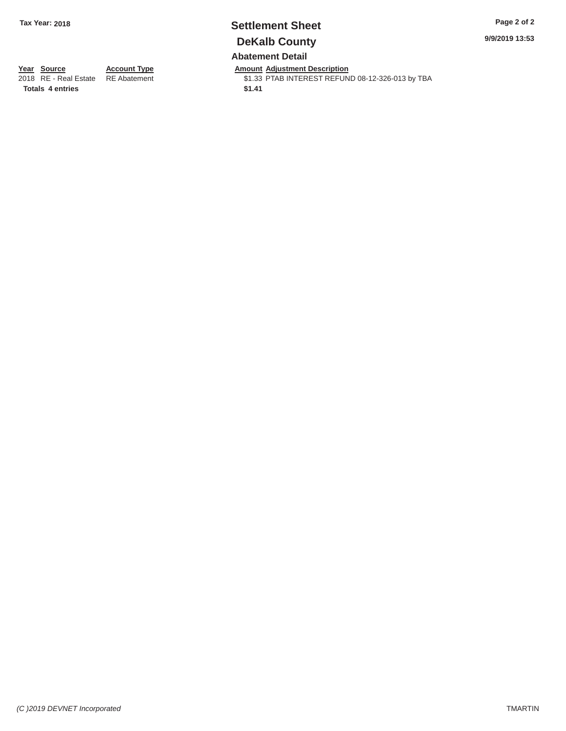### **Tax Year: 2018 Settlement Sheet Page 2 of 2 DeKalb County Abatement Detail**

**9/9/2019 13:53** 

### **Year Source**

2018 RE - Real Estate **Totals 4 entries** 

**Account Type**  RE Abatement

**Amount Adjustment Description**  \$1.33 PTAB INTEREST REFUND 08-12-326-013 by TBA

**\$1.41**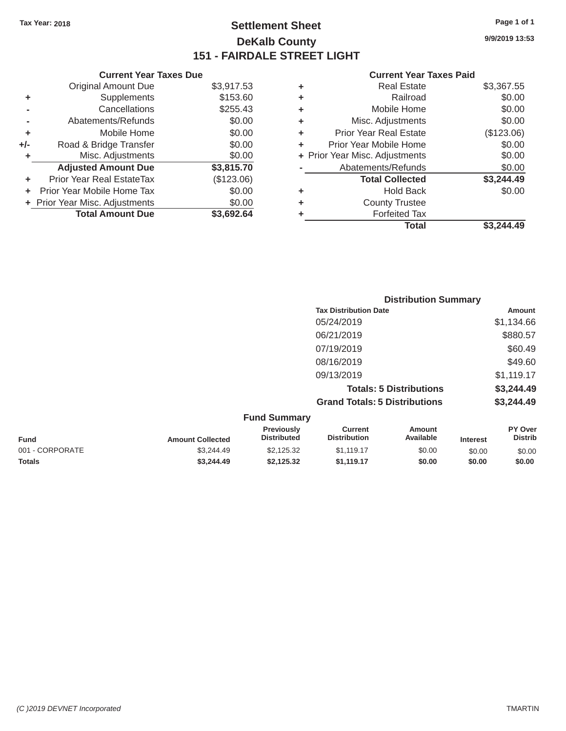### Tax Year: 2018 **Page 1 of 1 Page 1 of 1 Settlement Sheet Page 1 of 1 Page 1 of 1 9/9/2019 13:53 DeKalb County 151 - FAIRDALE STREET LIGHT**

|    | <b>Current Year Taxes Due</b>    |            |    | <b>Current Year Taxes Paid</b> |            |
|----|----------------------------------|------------|----|--------------------------------|------------|
|    | <b>Original Amount Due</b>       | \$3,917.53 | ٠  | <b>Real Estate</b>             | \$3,367.55 |
| ÷  | Supplements                      | \$153.60   | ٠  | Railroad                       | \$0.00     |
|    | Cancellations                    | \$255.43   | ٠  | Mobile Home                    | \$0.00     |
|    | Abatements/Refunds               | \$0.00     | ÷. | Misc. Adjustments              | \$0.00     |
| ٠  | Mobile Home                      | \$0.00     | ÷. | <b>Prior Year Real Estate</b>  | (\$123.06) |
| J- | Road & Bridge Transfer           | \$0.00     | ٠  | Prior Year Mobile Home         | \$0.00     |
| ÷. | Misc. Adjustments                | \$0.00     |    | + Prior Year Misc. Adjustments | \$0.00     |
|    | <b>Adjusted Amount Due</b>       | \$3,815.70 |    | Abatements/Refunds             | \$0.00     |
| ÷. | <b>Prior Year Real EstateTax</b> | (\$123.06) |    | <b>Total Collected</b>         | \$3,244.49 |
|    | + Prior Year Mobile Home Tax     | \$0.00     | ٠  | <b>Hold Back</b>               | \$0.00     |
|    | + Prior Year Misc. Adjustments   | \$0.00     | ٠  | <b>County Trustee</b>          |            |
|    | <b>Total Amount Due</b>          | \$3,692.64 |    | <b>Forfeited Tax</b>           |            |
|    |                                  |            |    | Total                          | \$3,244.49 |

|                     |                                      | <b>Distribution Summary</b>    |               |
|---------------------|--------------------------------------|--------------------------------|---------------|
|                     | <b>Tax Distribution Date</b>         |                                | <b>Amount</b> |
|                     | 05/24/2019                           |                                | \$1,134.66    |
|                     | 06/21/2019                           |                                | \$880.57      |
|                     | 07/19/2019                           |                                | \$60.49       |
|                     | 08/16/2019                           |                                | \$49.60       |
|                     | 09/13/2019                           |                                | \$1,119.17    |
|                     |                                      | <b>Totals: 5 Distributions</b> | \$3,244.49    |
|                     | <b>Grand Totals: 5 Distributions</b> |                                | \$3,244.49    |
| <b>Fund Summary</b> |                                      |                                |               |
| Previously          | <b>Current</b>                       | <b>Amount</b>                  | PY Over       |

|                 |                         | <b>Previously</b>  | Current             | Amount    |                 | <b>PY Over</b> |
|-----------------|-------------------------|--------------------|---------------------|-----------|-----------------|----------------|
| <b>Fund</b>     | <b>Amount Collected</b> | <b>Distributed</b> | <b>Distribution</b> | Available | <b>Interest</b> | <b>Distrib</b> |
| 001 - CORPORATE | \$3.244.49              | \$2.125.32         | \$1.119.17          | \$0.00    | \$0.00          | \$0.00         |
| <b>Totals</b>   | \$3,244.49              | \$2.125.32         | \$1.119.17          | \$0.00    | \$0.00          | \$0.00         |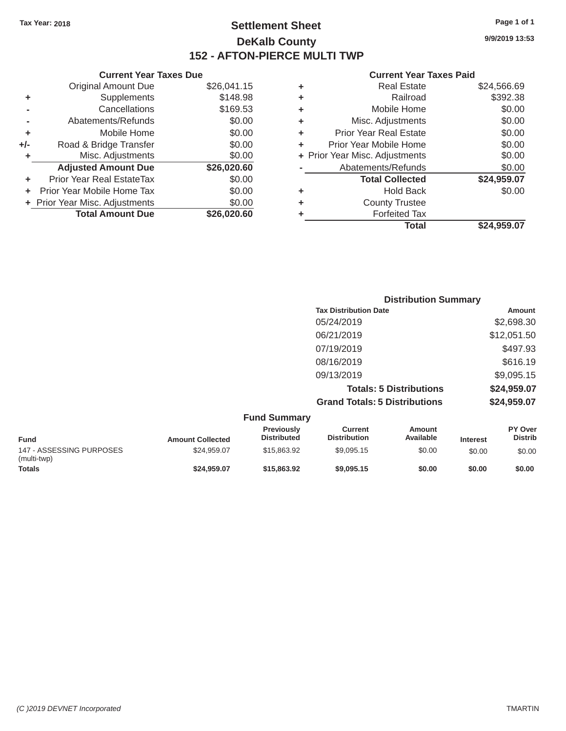Original Amount Due

**Total Amount Due** 

Adjusted Amount Due \$26,020.60

**+** Prior Year Real EstateTax \$0.00 **+** Prior Year Mobile Home Tax  $$0.00$ **+** Prior Year Misc. Adjustments  $$0.00$ 

**+** Supplements **-** Cancellations **-** Abatements/Refunds **+** Mobile Home **+/-** Road & Bridge Transfer **+** Misc. Adjustments

### Tax Year: 2018 **Page 1 of 1 Page 1 of 1 Settlement Sheet Page 1 of 1 Page 1 of 1 9/9/2019 13:53 DeKalb County 152 - AFTON-PIERCE MULTI TWP**

 $$26,041.15$ 

 $\overline{$}26,020.60$ 

#### **Current Year Taxes Due Current Year Taxes Paid Current Year Taxes Paid Current Year Taxes Paid**

|          |   | Total                          | \$24,959.07 |
|----------|---|--------------------------------|-------------|
| 6,020.60 |   | <b>Forfeited Tax</b>           |             |
| \$0.00   | ٠ | <b>County Trustee</b>          |             |
| \$0.00   | ٠ | <b>Hold Back</b>               | \$0.00      |
| \$0.00   |   | <b>Total Collected</b>         | \$24,959.07 |
| 6,020.60 |   | Abatements/Refunds             | \$0.00      |
| \$0.00   |   | + Prior Year Misc. Adjustments | \$0.00      |
| \$0.00   | ÷ | Prior Year Mobile Home         | \$0.00      |
| \$0.00   | ÷ | <b>Prior Year Real Estate</b>  | \$0.00      |
| \$0.00   | ٠ | Misc. Adjustments              | \$0.00      |
| \$169.53 | ٠ | Mobile Home                    | \$0.00      |
| \$148.98 | ٠ | Railroad                       | \$392.38    |
| 6,041.15 | ٠ | <b>Real Estate</b>             | \$24,566.69 |
|          |   |                                |             |

|                     |                                      | <b>Distribution Summary</b>    |                |
|---------------------|--------------------------------------|--------------------------------|----------------|
|                     | <b>Tax Distribution Date</b>         |                                | <b>Amount</b>  |
|                     | 05/24/2019                           |                                | \$2,698.30     |
|                     | 06/21/2019                           |                                | \$12,051.50    |
|                     | 07/19/2019                           |                                | \$497.93       |
|                     | 08/16/2019                           |                                | \$616.19       |
|                     | 09/13/2019                           |                                | \$9,095.15     |
|                     |                                      | <b>Totals: 5 Distributions</b> | \$24,959.07    |
|                     | <b>Grand Totals: 5 Distributions</b> |                                | \$24,959.07    |
| <b>Fund Summary</b> |                                      |                                |                |
| Previously          | <b>Current</b>                       | Amount                         | <b>PY Over</b> |

| <b>Fund</b>                             | <b>Amount Collected</b> | <b>Previously</b><br><b>Distributed</b> | Current<br><b>Distribution</b> | Amount<br>Available | <b>Interest</b> | <b>PY Over</b><br>Distrib |
|-----------------------------------------|-------------------------|-----------------------------------------|--------------------------------|---------------------|-----------------|---------------------------|
| 147 - ASSESSING PURPOSES<br>(multi-twp) | \$24.959.07             | \$15,863,92                             | \$9.095.15                     | \$0.00              | \$0.00          | \$0.00                    |
| <b>Totals</b>                           | \$24.959.07             | \$15,863,92                             | \$9,095.15                     | \$0.00              | \$0.00          | \$0.00                    |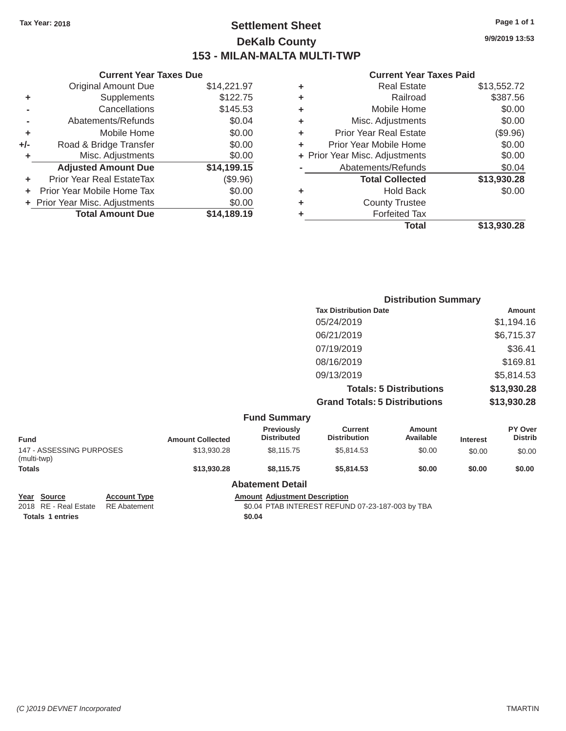### Tax Year: 2018 **Page 1 of 1 Page 1 of 1 Settlement Sheet Page 1 of 1 Page 1 of 1 9/9/2019 13:53 DeKalb County 153 - MILAN-MALTA MULTI-TWP**

#### **Current Year Taxes Due Current Year Taxes Paid**

|         | OUITUIR TUUT TUAGU DUG         |             |    | OUIIVIIL IVUI IUAVJI UIU       |             |
|---------|--------------------------------|-------------|----|--------------------------------|-------------|
|         | Original Amount Due            | \$14,221.97 |    | <b>Real Estate</b>             | \$13,552.72 |
| ٠       | Supplements                    | \$122.75    | ÷. | Railroad                       | \$387.56    |
|         | Cancellations                  | \$145.53    | ÷. | Mobile Home                    | \$0.00      |
|         | Abatements/Refunds             | \$0.04      | ÷. | Misc. Adjustments              | \$0.00      |
| ٠       | Mobile Home                    | \$0.00      | ÷. | <b>Prior Year Real Estate</b>  | (\$9.96)    |
| $+/-$   | Road & Bridge Transfer         | \$0.00      |    | Prior Year Mobile Home         | \$0.00      |
|         | Misc. Adjustments              | \$0.00      |    | + Prior Year Misc. Adjustments | \$0.00      |
|         | <b>Adjusted Amount Due</b>     | \$14,199.15 |    | Abatements/Refunds             | \$0.04      |
| ٠       | Prior Year Real EstateTax      | (\$9.96)    |    | <b>Total Collected</b>         | \$13,930.28 |
| $+$ $-$ | Prior Year Mobile Home Tax     | \$0.00      | ٠  | <b>Hold Back</b>               | \$0.00      |
|         | + Prior Year Misc. Adjustments | \$0.00      | ٠  | <b>County Trustee</b>          |             |
|         | <b>Total Amount Due</b>        | \$14,189.19 |    | <b>Forfeited Tax</b>           |             |
|         |                                |             |    |                                | <b>.</b>    |

| <b>Original Amount Due</b> | \$14,221.97 | ÷ | <b>Real Estate</b>             | \$13,552.72 |
|----------------------------|-------------|---|--------------------------------|-------------|
| Supplements                | \$122.75    | ÷ | Railroad                       | \$387.56    |
| Cancellations              | \$145.53    | ÷ | Mobile Home                    | \$0.00      |
| Abatements/Refunds         | \$0.04      | ÷ | Misc. Adjustments              | \$0.00      |
| Mobile Home                | \$0.00      | ÷ | <b>Prior Year Real Estate</b>  | (\$9.96)    |
| Road & Bridge Transfer     | \$0.00      | ٠ | Prior Year Mobile Home         | \$0.00      |
| Misc. Adjustments          | \$0.00      |   | + Prior Year Misc. Adjustments | \$0.00      |
| <b>Adjusted Amount Due</b> | \$14,199.15 |   | Abatements/Refunds             | \$0.04      |
| ior Year Real EstateTax    | (\$9.96)    |   | <b>Total Collected</b>         | \$13,930.28 |
| r Year Mobile Home Tax     | \$0.00      | ٠ | <b>Hold Back</b>               | \$0.00      |
| Year Misc. Adjustments     | \$0.00      | ٠ | <b>County Trustee</b>          |             |
| <b>Total Amount Due</b>    | \$14,189.19 | ٠ | <b>Forfeited Tax</b>           |             |
|                            |             |   | <b>Total</b>                   | \$13,930.28 |
|                            |             |   |                                |             |

|                                         |                         |                                         |                                       | <b>Distribution Summary</b>    |                 |                           |
|-----------------------------------------|-------------------------|-----------------------------------------|---------------------------------------|--------------------------------|-----------------|---------------------------|
|                                         |                         |                                         | <b>Tax Distribution Date</b>          |                                |                 | Amount                    |
|                                         |                         |                                         | 05/24/2019                            |                                |                 | \$1,194.16                |
|                                         |                         |                                         | 06/21/2019                            |                                |                 | \$6,715.37                |
|                                         |                         |                                         | 07/19/2019                            |                                |                 | \$36.41                   |
|                                         |                         |                                         | 08/16/2019                            |                                |                 | \$169.81                  |
|                                         |                         |                                         | 09/13/2019                            |                                |                 | \$5,814.53                |
|                                         |                         |                                         |                                       | <b>Totals: 5 Distributions</b> |                 | \$13,930.28               |
|                                         |                         |                                         | <b>Grand Totals: 5 Distributions</b>  |                                |                 | \$13,930.28               |
|                                         |                         | <b>Fund Summary</b>                     |                                       |                                |                 |                           |
| <b>Fund</b>                             | <b>Amount Collected</b> | <b>Previously</b><br><b>Distributed</b> | <b>Current</b><br><b>Distribution</b> | <b>Amount</b><br>Available     | <b>Interest</b> | PY Over<br><b>Distrib</b> |
| 147 - ASSESSING PURPOSES<br>(multi-twp) | \$13,930.28             | \$8,115.75                              | \$5,814.53                            | \$0.00                         | \$0.00          | \$0.00                    |
| <b>Totals</b>                           | \$13,930.28             | \$8,115.75                              | \$5,814.53                            | \$0.00                         | \$0.00          | \$0.00                    |

**Abatement Detail** 

**Year Source Account Type Amount Adjustment Description**<br>2018 RE - Real Estate RE Abatement **Amount 1998** 60.04 PTAB INTEREST REFUN \$0.04 PTAB INTEREST REFUND 07-23-187-003 by TBA

Totals 1 entries \$0.04

*(C )2019 DEVNET Incorporated* TMARTIN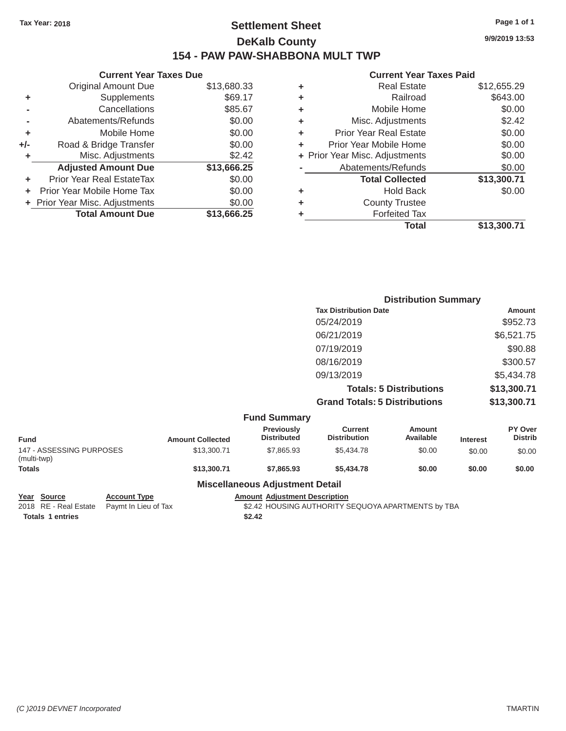### Tax Year: 2018 **Page 1 of 1 Page 1 of 1 Settlement Sheet Page 1 of 1 Page 1 of 1 9/9/2019 13:53 DeKalb County 154 - PAW PAW-SHABBONA MULT TWP**

|     | <b>Current Year Taxes Due</b>  |             |
|-----|--------------------------------|-------------|
|     | <b>Original Amount Due</b>     | \$13,680.33 |
| ٠   | Supplements                    | \$69.17     |
|     | Cancellations                  | \$85.67     |
|     | Abatements/Refunds             | \$0.00      |
| ٠   | Mobile Home                    | \$0.00      |
| +/- | Road & Bridge Transfer         | \$0.00      |
| ٠   | Misc. Adjustments              | \$2.42      |
|     | <b>Adjusted Amount Due</b>     | \$13,666.25 |
| ٠   | Prior Year Real EstateTax      | \$0.00      |
| ٠   | Prior Year Mobile Home Tax     | \$0.00      |
|     | + Prior Year Misc. Adjustments | \$0.00      |
|     | <b>Total Amount Due</b>        | \$13,666.25 |

|   | <b>Current Year Taxes Paid</b> |             |
|---|--------------------------------|-------------|
| ٠ | <b>Real Estate</b>             | \$12,655.29 |
| ٠ | Railroad                       | \$643.00    |
| ٠ | Mobile Home                    | \$0.00      |
| ٠ | Misc. Adjustments              | \$2.42      |
| ٠ | Prior Year Real Estate         | \$0.00      |
| ٠ | Prior Year Mobile Home         | \$0.00      |
|   | + Prior Year Misc. Adjustments | \$0.00      |
|   | Abatements/Refunds             | \$0.00      |
|   | <b>Total Collected</b>         | \$13,300.71 |
| ٠ | <b>Hold Back</b>               | \$0.00      |
| ٠ | <b>County Trustee</b>          |             |
| ٠ | <b>Forfeited Tax</b>           |             |
|   | Total                          | \$13.300.71 |

|                     | <b>Distribution Summary</b>          |               |
|---------------------|--------------------------------------|---------------|
|                     | <b>Tax Distribution Date</b>         | <b>Amount</b> |
|                     | 05/24/2019                           | \$952.73      |
|                     | 06/21/2019                           | \$6,521.75    |
|                     | 07/19/2019                           | \$90.88       |
|                     | 08/16/2019                           | \$300.57      |
|                     | 09/13/2019                           | \$5,434.78    |
|                     | <b>Totals: 5 Distributions</b>       | \$13,300.71   |
|                     | <b>Grand Totals: 5 Distributions</b> | \$13,300.71   |
| <b>Fund Summary</b> |                                      |               |

|                                         |                         | י שווש טשווווועו ו                      |                                |                     |                 |                           |
|-----------------------------------------|-------------------------|-----------------------------------------|--------------------------------|---------------------|-----------------|---------------------------|
| <b>Fund</b>                             | <b>Amount Collected</b> | <b>Previously</b><br><b>Distributed</b> | Current<br><b>Distribution</b> | Amount<br>Available | <b>Interest</b> | PY Over<br><b>Distrib</b> |
| 147 - ASSESSING PURPOSES<br>(multi-twp) | \$13,300.71             | \$7,865.93                              | \$5.434.78                     | \$0.00              | \$0.00          | \$0.00                    |
| <b>Totals</b>                           | \$13,300,71             | \$7,865,93                              | \$5,434,78                     | \$0.00              | \$0.00          | \$0.00                    |

### **Miscellaneous Adjustment Detail**

**Year Source Account Type** Account **Type** Amount Adjustment Description **Amount Adjustment Description Account Type Amount Adjustment Description Adjustment Description ADJUSING AUTHORITY S** 

Totals 1 entries \$2.42

\$2.42 HOUSING AUTHORITY SEQUOYA APARTMENTS by TBA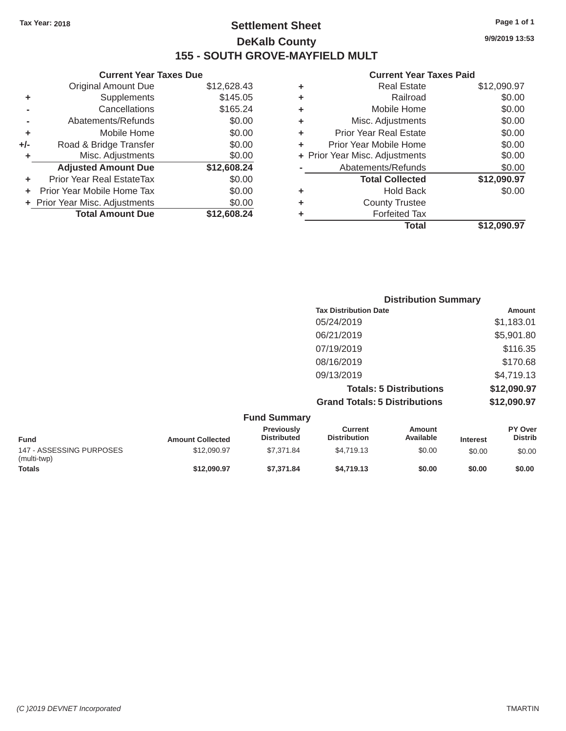### Tax Year: 2018 **Page 1 of 1 Settlement Sheet Page 1 of 1 Page 1 of 1 9/9/2019 13:53 DeKalb County 155 - SOUTH GROVE-MAYFIELD MULT**

### **Current Year Taxes Paid**

|                            |                                                                |    | <b>Total</b>                  | \$12,090.97                    |
|----------------------------|----------------------------------------------------------------|----|-------------------------------|--------------------------------|
| <b>Total Amount Due</b>    | \$12,608.24                                                    |    | <b>Forfeited Tax</b>          |                                |
|                            | \$0.00                                                         | ٠  | <b>County Trustee</b>         |                                |
|                            | \$0.00                                                         | ٠  | <b>Hold Back</b>              | \$0.00                         |
| Prior Year Real EstateTax  | \$0.00                                                         |    | <b>Total Collected</b>        | \$12,090.97                    |
| <b>Adjusted Amount Due</b> | \$12,608.24                                                    |    | Abatements/Refunds            | \$0.00                         |
| Misc. Adjustments          | \$0.00                                                         |    |                               | \$0.00                         |
| Road & Bridge Transfer     | \$0.00                                                         |    | Prior Year Mobile Home        | \$0.00                         |
| Mobile Home                | \$0.00                                                         | ٠  | <b>Prior Year Real Estate</b> | \$0.00                         |
| Abatements/Refunds         | \$0.00                                                         | ÷  | Misc. Adjustments             | \$0.00                         |
| Cancellations              | \$165.24                                                       | ÷. | Mobile Home                   | \$0.00                         |
| Supplements                | \$145.05                                                       | ٠  | Railroad                      | \$0.00                         |
| <b>Original Amount Due</b> | \$12,628.43                                                    | ٠  | <b>Real Estate</b>            | \$12,090.97                    |
| ٠<br>I-                    | + Prior Year Mobile Home Tax<br>+ Prior Year Misc. Adjustments |    |                               | + Prior Year Misc. Adjustments |

| <b>Current Year</b>            |   |             | <b>Current Year Taxes Due</b>    |     |
|--------------------------------|---|-------------|----------------------------------|-----|
| <b>Real Estate</b>             | ٠ | \$12,628.43 | Original Amount Due              |     |
| Railroad                       | ٠ | \$145.05    | <b>Supplements</b>               | ٠   |
| Mobile Home                    | ٠ | \$165.24    | Cancellations                    |     |
| Misc. Adjustments              | ٠ | \$0.00      | Abatements/Refunds               |     |
| Prior Year Real Estate         | ÷ | \$0.00      | Mobile Home                      | ٠   |
| Prior Year Mobile Home         | ٠ | \$0.00      | Road & Bridge Transfer           | +/- |
| + Prior Year Misc. Adjustments |   | \$0.00      | Misc. Adjustments                | ٠   |
| Abatements/Refunds             |   | \$12,608.24 | <b>Adjusted Amount Due</b>       |     |
| <b>Total Collected</b>         |   | \$0.00      | <b>Prior Year Real EstateTax</b> | ٠   |
| <b>Hold Back</b>               | ٠ | \$0.00      | Prior Year Mobile Home Tax       | ÷.  |
| <b>County Trustee</b>          | ٠ | \$0.00      | + Prior Year Misc. Adjustments   |     |
| <b>Forfeited Tax</b>           |   | \$12,608.24 | <b>Total Amount Due</b>          |     |
|                                |   |             |                                  |     |

| <b>Distribution Summary</b>          |             |
|--------------------------------------|-------------|
| <b>Tax Distribution Date</b>         | Amount      |
| 05/24/2019                           | \$1,183.01  |
| 06/21/2019                           | \$5,901.80  |
| 07/19/2019                           | \$116.35    |
| 08/16/2019                           | \$170.68    |
| 09/13/2019                           | \$4,719.13  |
| <b>Totals: 5 Distributions</b>       | \$12,090.97 |
| <b>Grand Totals: 5 Distributions</b> | \$12,090.97 |

|                                         |                         | <b>Fund Summary</b>                     |                                |                     |                 |                                  |
|-----------------------------------------|-------------------------|-----------------------------------------|--------------------------------|---------------------|-----------------|----------------------------------|
| <b>Fund</b>                             | <b>Amount Collected</b> | <b>Previously</b><br><b>Distributed</b> | Current<br><b>Distribution</b> | Amount<br>Available | <b>Interest</b> | <b>PY Over</b><br><b>Distrib</b> |
| 147 - ASSESSING PURPOSES<br>(multi-twp) | \$12,090.97             | \$7.371.84                              | \$4.719.13                     | \$0.00              | \$0.00          | \$0.00                           |
| <b>Totals</b>                           | \$12,090.97             | \$7.371.84                              | \$4,719.13                     | \$0.00              | \$0.00          | \$0.00                           |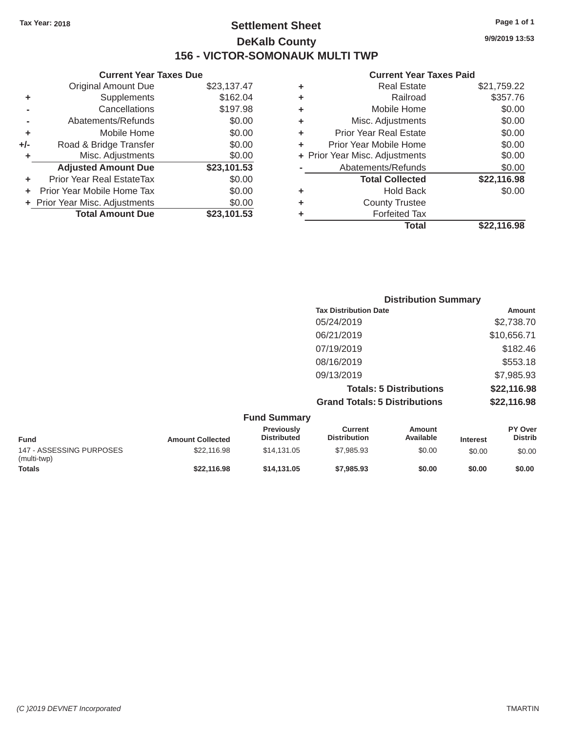### Tax Year: 2018 **Page 1 of 1 Settlement Sheet Page 1 of 1 Page 1 of 1 9/9/2019 13:53 DeKalb County 156 - VICTOR-SOMONAUK MULTI TWP**

### **Current Year Taxes Due Current Year Taxes Paid**

|         | Gurrent rear laxes Due         |             |   | Current rear Taxes Pald        |                  |
|---------|--------------------------------|-------------|---|--------------------------------|------------------|
|         | <b>Original Amount Due</b>     | \$23,137.47 | ٠ | <b>Real Estate</b>             | \$21,759.22      |
| ٠       | Supplements                    | \$162.04    | ٠ | Railroad                       | \$357.76         |
|         | Cancellations                  | \$197.98    | ٠ | Mobile Home                    | \$0.00           |
|         | Abatements/Refunds             | \$0.00      | ٠ | Misc. Adjustments              | \$0.00           |
| ٠       | Mobile Home                    | \$0.00      | ٠ | <b>Prior Year Real Estate</b>  | \$0.00           |
| $+/-$   | Road & Bridge Transfer         | \$0.00      | ٠ | Prior Year Mobile Home         | \$0.00           |
|         | Misc. Adjustments              | \$0.00      |   | + Prior Year Misc. Adjustments | \$0.00           |
|         | <b>Adjusted Amount Due</b>     | \$23,101.53 |   | Abatements/Refunds             | \$0.00           |
| ٠       | Prior Year Real EstateTax      | \$0.00      |   | <b>Total Collected</b>         | \$22,116.98      |
| $+$ $-$ | Prior Year Mobile Home Tax     | \$0.00      | ٠ | <b>Hold Back</b>               | \$0.00           |
|         | + Prior Year Misc. Adjustments | \$0.00      | ٠ | <b>County Trustee</b>          |                  |
|         | <b>Total Amount Due</b>        | \$23,101.53 |   | <b>Forfeited Tax</b>           |                  |
|         |                                |             |   |                                | *** <i>***</i> * |

| <b>Original Amount Due</b> | \$23,137.47 | ÷ | <b>Real Estate</b>             | \$21,759.22 |
|----------------------------|-------------|---|--------------------------------|-------------|
| Supplements                | \$162.04    | ٠ | Railroad                       | \$357.76    |
| Cancellations              | \$197.98    | ÷ | Mobile Home                    | \$0.00      |
| Abatements/Refunds         | \$0.00      | ٠ | Misc. Adjustments              | \$0.00      |
| Mobile Home                | \$0.00      | ٠ | <b>Prior Year Real Estate</b>  | \$0.00      |
| Road & Bridge Transfer     | \$0.00      | ÷ | Prior Year Mobile Home         | \$0.00      |
| Misc. Adjustments          | \$0.00      |   | + Prior Year Misc. Adjustments | \$0.00      |
| <b>Adjusted Amount Due</b> | \$23,101.53 |   | Abatements/Refunds             | \$0.00      |
| ior Year Real EstateTax    | \$0.00      |   | <b>Total Collected</b>         | \$22,116.98 |
| r Year Mobile Home Tax     | \$0.00      | ٠ | <b>Hold Back</b>               | \$0.00      |
| Year Misc. Adjustments     | \$0.00      | ٠ | <b>County Trustee</b>          |             |
| <b>Total Amount Due</b>    | \$23,101.53 | ٠ | <b>Forfeited Tax</b>           |             |
|                            |             |   | <b>Total</b>                   | \$22,116.98 |

| <b>Distribution Summary</b>          |             |  |  |  |
|--------------------------------------|-------------|--|--|--|
| <b>Tax Distribution Date</b>         | Amount      |  |  |  |
| 05/24/2019                           | \$2,738.70  |  |  |  |
| 06/21/2019                           | \$10,656.71 |  |  |  |
| 07/19/2019                           | \$182.46    |  |  |  |
| 08/16/2019                           | \$553.18    |  |  |  |
| 09/13/2019                           | \$7,985.93  |  |  |  |
| <b>Totals: 5 Distributions</b>       | \$22,116.98 |  |  |  |
| <b>Grand Totals: 5 Distributions</b> | \$22,116.98 |  |  |  |

|                                         |                         | <b>Fund Summary</b>                     |                                |                     |                 |                                  |
|-----------------------------------------|-------------------------|-----------------------------------------|--------------------------------|---------------------|-----------------|----------------------------------|
| <b>Fund</b>                             | <b>Amount Collected</b> | <b>Previously</b><br><b>Distributed</b> | Current<br><b>Distribution</b> | Amount<br>Available | <b>Interest</b> | <b>PY Over</b><br><b>Distrib</b> |
| 147 - ASSESSING PURPOSES<br>(multi-twp) | \$22,116.98             | \$14,131,05                             | \$7,985.93                     | \$0.00              | \$0.00          | \$0.00                           |
| <b>Totals</b>                           | \$22,116.98             | \$14,131,05                             | \$7,985.93                     | \$0.00              | \$0.00          | \$0.00                           |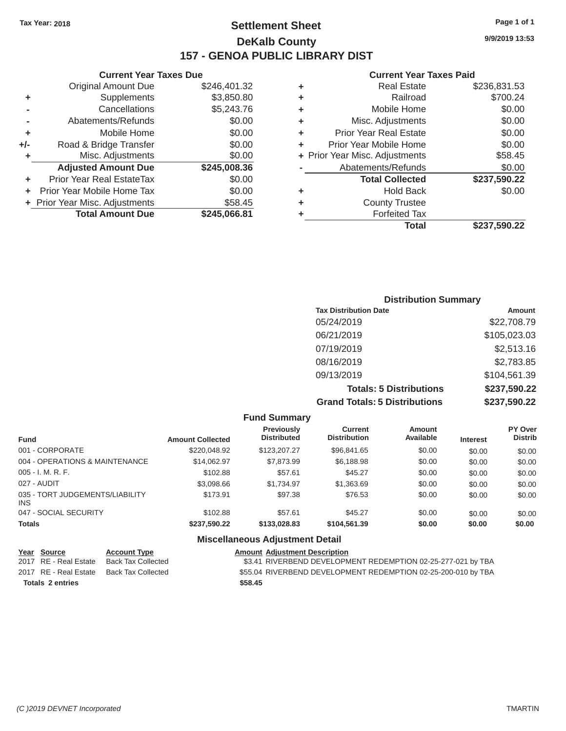### Tax Year: 2018 **Page 1 of 1 Page 1 of 1 Settlement Sheet Page 1 of 1 Page 1 of 1 9/9/2019 13:53 DeKalb County 157 - GENOA PUBLIC LIBRARY DIST**

|       | <b>Original Amount Due</b>     | \$246,401.32 | ٠ | <b>Real Estate</b>             | \$236,831.53 |
|-------|--------------------------------|--------------|---|--------------------------------|--------------|
| ٠     | Supplements                    | \$3,850.80   | ٠ | Railroad                       | \$700.24     |
|       | Cancellations                  | \$5,243.76   | ٠ | Mobile Home                    | \$0.00       |
|       | Abatements/Refunds             | \$0.00       | ٠ | Misc. Adjustments              | \$0.00       |
| ٠     | Mobile Home                    | \$0.00       |   | <b>Prior Year Real Estate</b>  | \$0.00       |
| $+/-$ | Road & Bridge Transfer         | \$0.00       |   | Prior Year Mobile Home         | \$0.00       |
|       | Misc. Adjustments              | \$0.00       |   | + Prior Year Misc. Adjustments | \$58.45      |
|       | <b>Adjusted Amount Due</b>     | \$245,008.36 |   | Abatements/Refunds             | \$0.00       |
| ٠     | Prior Year Real EstateTax      | \$0.00       |   | <b>Total Collected</b>         | \$237,590.22 |
| ÷.    | Prior Year Mobile Home Tax     | \$0.00       |   | <b>Hold Back</b>               | \$0.00       |
|       | + Prior Year Misc. Adjustments | \$58.45      |   | <b>County Trustee</b>          |              |
|       | <b>Total Amount Due</b>        | \$245,066.81 |   | <b>Forfeited Tax</b>           |              |

#### **Current Year Taxes Due Current Year Taxes Paid Current Year Taxes Paid Current Year Taxes Paid**

| <b>Original Amount Due</b> | \$246,401.32 | ÷ | <b>Real Estate</b>             | \$236,831.53 |
|----------------------------|--------------|---|--------------------------------|--------------|
| Supplements                | \$3,850.80   | ÷ | Railroad                       | \$700.24     |
| Cancellations              | \$5,243.76   | ÷ | Mobile Home                    | \$0.00       |
| Abatements/Refunds         | \$0.00       | ÷ | Misc. Adjustments              | \$0.00       |
| Mobile Home                | \$0.00       | ÷ | <b>Prior Year Real Estate</b>  | \$0.00       |
| Road & Bridge Transfer     | \$0.00       | ÷ | Prior Year Mobile Home         | \$0.00       |
| Misc. Adjustments          | \$0.00       |   | + Prior Year Misc. Adjustments | \$58.45      |
| <b>Adjusted Amount Due</b> | \$245,008.36 |   | Abatements/Refunds             | \$0.00       |
| ior Year Real EstateTax    | \$0.00       |   | <b>Total Collected</b>         | \$237,590.22 |
| r Year Mobile Home Tax     | \$0.00       | ÷ | <b>Hold Back</b>               | \$0.00       |
| Year Misc. Adjustments     | \$58.45      | ÷ | <b>County Trustee</b>          |              |
| <b>Total Amount Due</b>    | \$245,066.81 | ٠ | <b>Forfeited Tax</b>           |              |
|                            |              |   | <b>Total</b>                   | \$237,590.22 |

### **Distribution Summary Tax Distribution Date Amount Amount** 05/24/2019 \$22,708.79 06/21/2019 \$105,023.03 07/19/2019 \$2,513.16 08/16/2019 \$2,783.85 09/13/2019 \$104,561.39 **Totals: 5 Distributions \$237,590.22 Grand Totals: 5 Distributions \$237,590.22**

|                                               |                         | <b>Fund Summary</b>                     |                                       |                            |                 |                           |
|-----------------------------------------------|-------------------------|-----------------------------------------|---------------------------------------|----------------------------|-----------------|---------------------------|
| <b>Fund</b>                                   | <b>Amount Collected</b> | <b>Previously</b><br><b>Distributed</b> | <b>Current</b><br><b>Distribution</b> | <b>Amount</b><br>Available | <b>Interest</b> | PY Over<br><b>Distrib</b> |
| 001 - CORPORATE                               | \$220,048.92            | \$123,207.27                            | \$96,841,65                           | \$0.00                     | \$0.00          | \$0.00                    |
| 004 - OPERATIONS & MAINTENANCE                | \$14.062.97             | \$7.873.99                              | \$6,188.98                            | \$0.00                     | \$0.00          | \$0.00                    |
| $005 - I. M. R. F.$                           | \$102.88                | \$57.61                                 | \$45.27                               | \$0.00                     | \$0.00          | \$0.00                    |
| 027 - AUDIT                                   | \$3,098.66              | \$1,734.97                              | \$1,363.69                            | \$0.00                     | \$0.00          | \$0.00                    |
| 035 - TORT JUDGEMENTS/LIABILITY<br><b>INS</b> | \$173.91                | \$97.38                                 | \$76.53                               | \$0.00                     | \$0.00          | \$0.00                    |
| 047 - SOCIAL SECURITY                         | \$102.88                | \$57.61                                 | \$45.27                               | \$0.00                     | \$0.00          | \$0.00                    |
| <b>Totals</b>                                 | \$237,590.22            | \$133,028,83                            | \$104,561.39                          | \$0.00                     | \$0.00          | \$0.00                    |
|                                               | --- --                  |                                         |                                       |                            |                 |                           |

#### **Miscellaneous Adjustment Detail**

| Year Source           | <b>Account Type</b>                      |         | <b>Amount Adjustment Description</b>                          |
|-----------------------|------------------------------------------|---------|---------------------------------------------------------------|
| 2017 RE - Real Estate | Back Tax Collected                       |         | \$3.41 RIVERBEND DEVELOPMENT REDEMPTION 02-25-277-021 by TBA  |
|                       | 2017 RE - Real Estate Back Tax Collected |         | \$55.04 RIVERBEND DEVELOPMENT REDEMPTION 02-25-200-010 by TBA |
| Totals 2 entries      |                                          | \$58.45 |                                                               |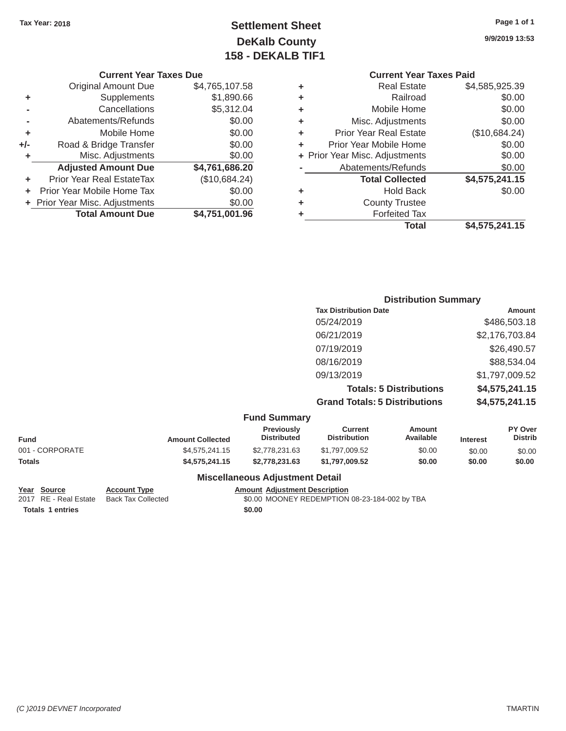## **Tax Year: 2018 Settlement Sheet DeKalb County 158 - DEKALB TIF1**

**9/9/2019 13:53** 

**Page 1 of 1** 

### **Current Year Taxes Due**

|       | <b>Total Amount Due</b>          | \$4,751,001.96 |
|-------|----------------------------------|----------------|
|       | + Prior Year Misc. Adjustments   | \$0.00         |
| ÷     | Prior Year Mobile Home Tax       | \$0.00         |
| ÷     | <b>Prior Year Real EstateTax</b> | (\$10,684.24)  |
|       | <b>Adjusted Amount Due</b>       | \$4,761,686.20 |
| ٠     | Misc. Adjustments                | \$0.00         |
| $+/-$ | Road & Bridge Transfer           | \$0.00         |
| ÷     | Mobile Home                      | \$0.00         |
|       | Abatements/Refunds               | \$0.00         |
|       | Cancellations                    | \$5,312.04     |
| ٠     | Supplements                      | \$1,890.66     |
|       | <b>Original Amount Due</b>       | \$4,765,107.58 |
|       |                                  |                |

| <b>Current Year Taxes Paid</b>                      |                                |  |  |  |  |
|-----------------------------------------------------|--------------------------------|--|--|--|--|
| <b>Real Estate</b>                                  | \$4,585,925.39                 |  |  |  |  |
| \$0.00<br>Railroad                                  |                                |  |  |  |  |
| Mobile Home                                         | \$0.00                         |  |  |  |  |
| Misc. Adjustments                                   | \$0.00                         |  |  |  |  |
| (\$10,684.24)<br><b>Prior Year Real Estate</b><br>٠ |                                |  |  |  |  |
| Prior Year Mobile Home                              | \$0.00                         |  |  |  |  |
|                                                     | \$0.00                         |  |  |  |  |
| Abatements/Refunds                                  | \$0.00                         |  |  |  |  |
| <b>Total Collected</b>                              | \$4,575,241.15                 |  |  |  |  |
| <b>Hold Back</b>                                    | \$0.00                         |  |  |  |  |
| <b>County Trustee</b>                               |                                |  |  |  |  |
| <b>Forfeited Tax</b>                                |                                |  |  |  |  |
| <b>Total</b>                                        | \$4,575,241.15                 |  |  |  |  |
|                                                     | + Prior Year Misc. Adjustments |  |  |  |  |

### **Distribution Summary Tax Distribution Date Amount** 05/24/2019 \$486,503.18 06/21/2019 \$2,176,703.84 07/19/2019 \$26,490.57 08/16/2019 \$88,534.04 09/13/2019 \$1,797,009.52 **Totals: 5 Distributions \$4,575,241.15 Grand Totals: 5 Distributions \$4,575,241.15**

### **Fund Summary**

|                | <b>Previously</b>       | Current            | Amount              |           | <b>PY Over</b><br><b>Distrib</b> |
|----------------|-------------------------|--------------------|---------------------|-----------|----------------------------------|
|                |                         |                    |                     |           |                                  |
| \$4,575,241,15 | \$2,778,231,63          | \$1,797,009.52     | \$0.00              | \$0.00    | \$0.00                           |
| \$4,575,241,15 | \$2,778,231,63          | \$1,797,009.52     | \$0.00              | \$0.00    | \$0.00                           |
|                | <b>Amount Collected</b> | <b>Distributed</b> | <b>Distribution</b> | Available | <b>Interest</b>                  |

#### **Miscellaneous Adjustment Detail**

**Year** Source **Account Type** Account Adjustment Description

2017 RE - Real Estate Back Tax Collected \$0.00 MOONEY REDEMPTION 08-23-184-002 by TBA

**Totals 1 entries \$0.00** 

*(C )2019 DEVNET Incorporated* TMARTIN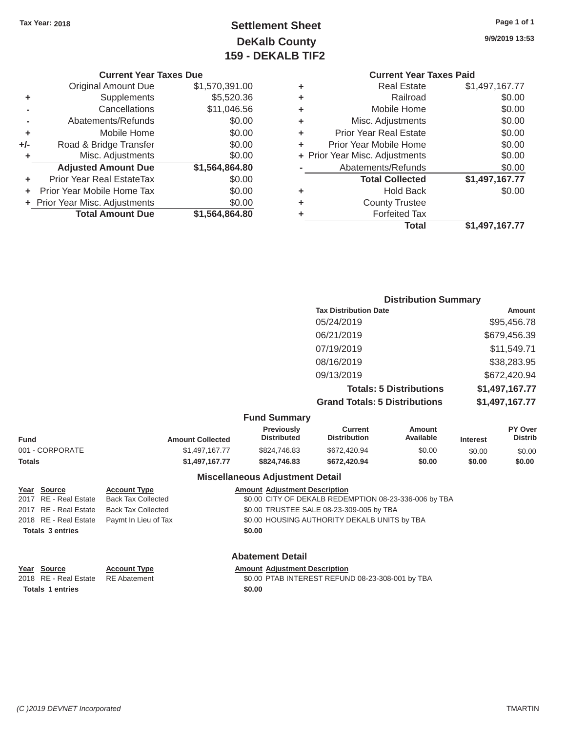## Tax Year: 2018 **Page 1 of 1 Page 1 of 1 Settlement Sheet Page 1 of 1 Page 1 of 1 9/9/2019 13:53 DeKalb County 159 - DEKALB TIF2**

|       | <b>Original Amount Due</b>       | \$1,570,391.00 |
|-------|----------------------------------|----------------|
| ٠     | Supplements                      | \$5,520.36     |
|       | Cancellations                    | \$11,046.56    |
|       | Abatements/Refunds               | \$0.00         |
| ÷     | Mobile Home                      | \$0.00         |
| $+/-$ | Road & Bridge Transfer           | \$0.00         |
| ٠     | Misc. Adjustments                | \$0.00         |
|       | <b>Adjusted Amount Due</b>       | \$1,564,864.80 |
| ٠     | <b>Prior Year Real EstateTax</b> | \$0.00         |
|       | Prior Year Mobile Home Tax       | \$0.00         |
|       | + Prior Year Misc. Adjustments   | \$0.00         |
|       | <b>Total Amount Due</b>          | \$1,564,864.80 |

### **Current Year Taxes Due Current Year Taxes Paid <b>Current Year Taxes Paid Current Year Taxes Paid +** Real Estate \$1,497,167.77

|   | <b>Total</b>                   | \$1,497,167.77 |
|---|--------------------------------|----------------|
| ٠ | <b>Forfeited Tax</b>           |                |
| ÷ | <b>County Trustee</b>          |                |
| ٠ | <b>Hold Back</b>               | \$0.00         |
|   | <b>Total Collected</b>         | \$1,497,167.77 |
|   | Abatements/Refunds             | \$0.00         |
|   | + Prior Year Misc. Adjustments | \$0.00         |
| ٠ | Prior Year Mobile Home         | \$0.00         |
| ٠ | <b>Prior Year Real Estate</b>  | \$0.00         |
| ٠ | Misc. Adjustments              | \$0.00         |
| ٠ | Mobile Home                    | \$0.00         |
| ÷ | Railroad                       | \$0.00         |
| ٠ | Real Estate                    | 31,491,101.11  |

### **Distribution Summary Tax Distribution Date Amount Amount** 05/24/2019 \$95,456.78 06/21/2019 \$679,456.39 07/19/2019 \$11,549.71 08/16/2019 \$38,283.95 09/13/2019 \$672,420.94 **Totals: 5 Distributions \$1,497,167.77 Grand Totals: 5 Distributions \$1,497,167.77**

### **Fund Summary**

| <b>Fund</b>     | <b>Amount Collected</b> | ------------------<br><b>Previously</b><br><b>Distributed</b> | Current<br><b>Distribution</b> | Amount<br>Available | <b>Interest</b> | <b>PY Over</b><br><b>Distrib</b> |
|-----------------|-------------------------|---------------------------------------------------------------|--------------------------------|---------------------|-----------------|----------------------------------|
| 001 - CORPORATE | \$1,497,167,77          | \$824,746.83                                                  | \$672,420.94                   | \$0.00              | \$0.00          | \$0.00                           |
| Totals          | \$1,497,167,77          | \$824.746.83                                                  | \$672,420.94                   | \$0.00              | \$0.00          | \$0.00                           |

#### **Miscellaneous Adjustment Detail**

| Year Source             | <b>Account Type</b>                        |        | <b>Amount Adjustment Description</b>                  |
|-------------------------|--------------------------------------------|--------|-------------------------------------------------------|
| 2017 RE - Real Estate   | <b>Back Tax Collected</b>                  |        | \$0.00 CITY OF DEKALB REDEMPTION 08-23-336-006 by TBA |
| 2017 RE - Real Estate   | <b>Back Tax Collected</b>                  |        | \$0.00 TRUSTEE SALE 08-23-309-005 by TBA              |
|                         | 2018 RE - Real Estate Paymt In Lieu of Tax |        | \$0.00 HOUSING AUTHORITY DEKALB UNITS by TBA          |
| <b>Totals 3 entries</b> |                                            | \$0.00 |                                                       |
|                         |                                            |        |                                                       |

### **Abatement Detail**

| Year Source             | <b>Account Type</b> | <b>Amount Adjustment Description</b>             |
|-------------------------|---------------------|--------------------------------------------------|
| 2018 RE - Real Estate   | RE Abatement        | \$0.00 PTAB INTEREST REFUND 08-23-308-001 by TBA |
| <b>Totals 1 entries</b> |                     | \$0.00                                           |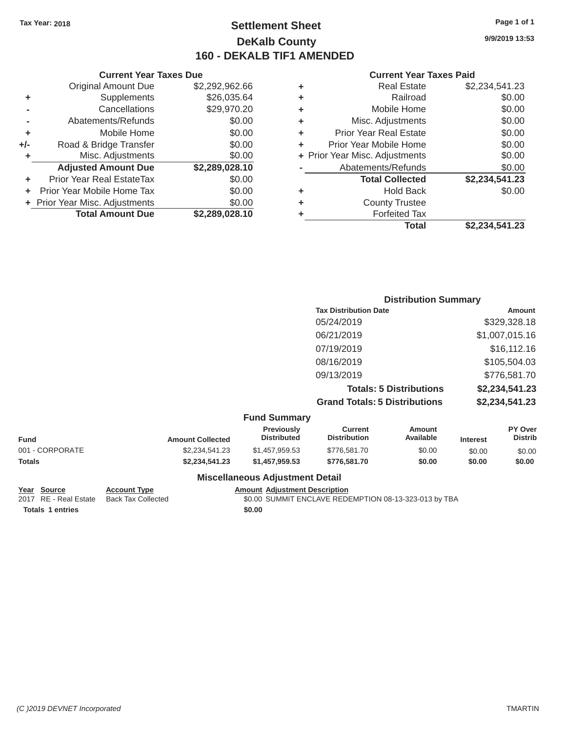### Tax Year: 2018 **Page 1 of 1 Page 1 of 1 Settlement Sheet Page 1 of 1 Page 1 of 1 9/9/2019 13:53 DeKalb County 160 - DEKALB TIF1 AMENDED**

#### **Current Year Taxes Paid**

|     | <b>Current Year Taxes Due</b>    |                |
|-----|----------------------------------|----------------|
|     | <b>Original Amount Due</b>       | \$2,292,962.66 |
| ٠   | Supplements                      | \$26,035.64    |
|     | Cancellations                    | \$29,970.20    |
|     | Abatements/Refunds               | \$0.00         |
| ٠   | Mobile Home                      | \$0.00         |
| +/- | Road & Bridge Transfer           | \$0.00         |
| ٠   | Misc. Adjustments                | \$0.00         |
|     | <b>Adjusted Amount Due</b>       | \$2,289,028.10 |
| ٠   | <b>Prior Year Real EstateTax</b> | \$0.00         |
| ٠   | Prior Year Mobile Home Tax       | \$0.00         |
|     | + Prior Year Misc. Adjustments   | \$0.00         |
|     | <b>Total Amount Due</b>          | \$2,289,028.10 |

| <b>Distribution Summary</b>          |                |
|--------------------------------------|----------------|
| <b>Tax Distribution Date</b>         | Amount         |
| 05/24/2019                           | \$329,328.18   |
| 06/21/2019                           | \$1,007,015.16 |
| 07/19/2019                           | \$16,112.16    |
| 08/16/2019                           | \$105,504.03   |
| 09/13/2019                           | \$776,581.70   |
| <b>Totals: 5 Distributions</b>       | \$2,234,541.23 |
| <b>Grand Totals: 5 Distributions</b> | \$2,234,541.23 |

|  | <b>Fund Summary</b> |
|--|---------------------|
|--|---------------------|

| <b>Amount Collected</b> | <b>Previously</b><br><b>Distributed</b> | Current<br><b>Distribution</b> | Amount<br>Available | <b>Interest</b> | PY Over<br><b>Distrib</b> |
|-------------------------|-----------------------------------------|--------------------------------|---------------------|-----------------|---------------------------|
| \$2.234.541.23          | \$1.457.959.53                          | \$776,581.70                   | \$0.00              | \$0.00          | \$0.00                    |
| \$2.234.541.23          | \$1.457.959.53                          | \$776,581.70                   | \$0.00              | \$0.00          | \$0.00                    |
|                         |                                         |                                |                     |                 |                           |

### **Miscellaneous Adjustment Detail**

**Totals 1 entries \$0.00** 

**Year Source Account Type Account Adjustment Description**<br>2017 RE - Real Estate Back Tax Collected \$0.00 SUMMIT ENCLAVE REDI  $$0.00$  SUMMIT ENCLAVE REDEMPTION 08-13-323-013 by TBA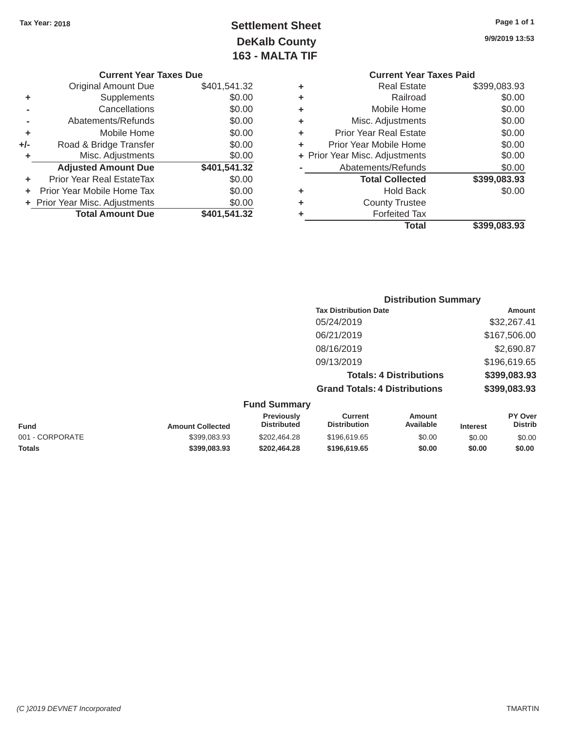# Tax Year: 2018 **Page 1 of 1 Page 1 of 1 Settlement Sheet Page 1 of 1 Page 1 of 1 9/9/2019 13:53 DeKalb County 163 - MALTA TIF**

|     | <b>Current Year Taxes Due</b>  |              |   | <b>Current Year Taxes Paid</b> |              |  |
|-----|--------------------------------|--------------|---|--------------------------------|--------------|--|
|     | Original Amount Due            | \$401,541.32 | ٠ | <b>Real Estate</b>             | \$399,083.93 |  |
| ٠   | Supplements                    | \$0.00       | ٠ | Railroad                       | \$0.00       |  |
|     | Cancellations                  | \$0.00       | ٠ | Mobile Home                    | \$0.00       |  |
|     | Abatements/Refunds             | \$0.00       | ٠ | Misc. Adjustments              | \$0.00       |  |
|     | Mobile Home                    | \$0.00       | ٠ | <b>Prior Year Real Estate</b>  | \$0.00       |  |
| +/- | Road & Bridge Transfer         | \$0.00       | ٠ | Prior Year Mobile Home         | \$0.00       |  |
|     | Misc. Adjustments              | \$0.00       |   | + Prior Year Misc. Adjustments | \$0.00       |  |
|     | <b>Adjusted Amount Due</b>     | \$401,541.32 |   | Abatements/Refunds             | \$0.00       |  |
|     | Prior Year Real EstateTax      | \$0.00       |   | <b>Total Collected</b>         | \$399,083.93 |  |
|     | + Prior Year Mobile Home Tax   | \$0.00       | ٠ | <b>Hold Back</b>               | \$0.00       |  |
|     | + Prior Year Misc. Adjustments | \$0.00       | ٠ | <b>County Trustee</b>          |              |  |
|     | <b>Total Amount Due</b>        | \$401,541.32 |   | <b>Forfeited Tax</b>           |              |  |
|     |                                |              |   |                                |              |  |

### **Current Year Taxes Paid** \$401,541.32 **+** Real Estate \$399,083.93 \$0.00 **+** Railroad \$0.00 \$0.00 **+** Mobile Home \$0.00 \$0.00 **+** Misc. Adjustments \$0.00 \$0.00 **+** Prior Year Real Estate \$0.00 \$0.00 **+** Prior Year Mobile Home \$0.00 \$0.00 **+** Prior Year Misc. Adjustments \$0.00 **Abatements/Refunds** \$0.00 **+** Prior Year Real EstateTax \$0.00 **Total Collected \$399,083.93 +** Prior Year Misc. Adjustments \$0.00 **+** County Trustee **\$401,541.32 +** Forfeited Tax **Total \$399,083.93**

### **Distribution Summary Tax Distribution Date Amount** 05/24/2019 \$32,267.41 06/21/2019 \$167,506.00 08/16/2019 \$2,690.87 09/13/2019 \$196,619.65 **Totals: 4 Distributions \$399,083.93 Grand Totals: 4 Distributions \$399,083.93 Fund Summary Previously Current Amount PY Over**

| Fund            | <b>Amount Collected</b> | Previously<br><b>Distributed</b> | Current<br>Distribution | Amount<br>Available | <b>Interest</b> | <b>PY Over</b><br><b>Distrib</b> |
|-----------------|-------------------------|----------------------------------|-------------------------|---------------------|-----------------|----------------------------------|
| 001 - CORPORATE | \$399,083.93            | \$202.464.28                     | \$196,619.65            | \$0.00              | \$0.00          | \$0.00                           |
| <b>Totals</b>   | \$399,083.93            | \$202,464.28                     | \$196,619.65            | \$0.00              | \$0.00          | \$0.00                           |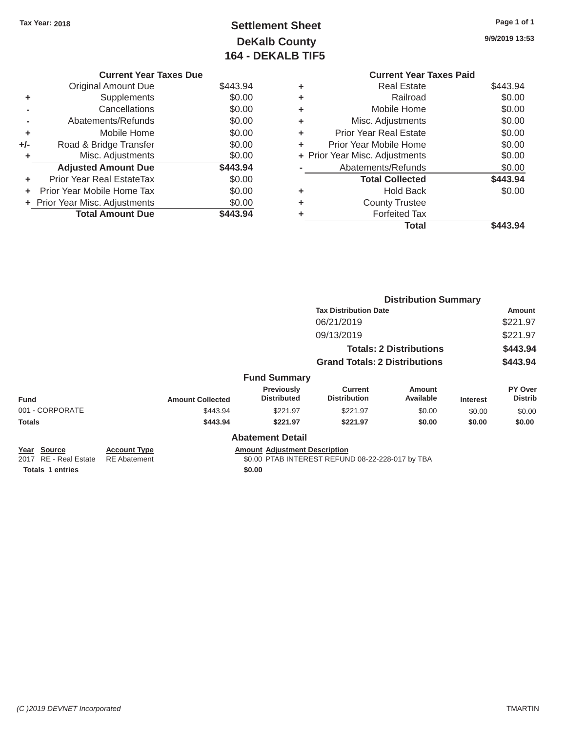# Tax Year: 2018 **Page 1 of 1 Settlement Sheet Page 1 of 1 Page 1 of 1 9/9/2019 13:53 DeKalb County 164 - DEKALB TIF5**

| <b>Current Year Taxes Due</b> |          |   | <b>Current Year Taxes Paid</b> |          |
|-------------------------------|----------|---|--------------------------------|----------|
| Original Amount Due           | \$443.94 | ٠ | <b>Real Estate</b>             | \$443.94 |
| <b>Supplements</b>            | \$0.00   | ٠ | Railroad                       | \$0.00   |
| Cancellations                 | \$0.00   | ٠ | Mobile Home                    | \$0.00   |
| Abatements/Refunds            | \$0.00   | ٠ | Misc. Adjustments              | \$0.00   |
| Mobile Home                   | \$0.00   | ٠ | <b>Prior Year Real Estate</b>  | \$0.00   |
| Road & Bridge Transfer        | \$0.00   | ٠ | Prior Year Mobile Home         | \$0.00   |
| Misc. Adjustments             | \$0.00   |   | + Prior Year Misc. Adjustments | \$0.00   |
| <b>Adjusted Amount Due</b>    | \$443.94 |   | Abatements/Refunds             | \$0.00   |
| ior Year Real EstateTax       | \$0.00   |   | <b>Total Collected</b>         | \$443.94 |
| r Year Mobile Home Tax        | \$0.00   | ٠ | <b>Hold Back</b>               | \$0.00   |
| Year Misc. Adjustments        | \$0.00   | ٠ | <b>County Trustee</b>          |          |
| <b>Total Amount Due</b>       | \$443.94 | ٠ | <b>Forfeited Tax</b>           |          |
|                               |          |   | <b>Total</b>                   | \$443.94 |

|     | <b>Current Year Taxes Due</b>    |          |   | <b>Current Year Taxes Paid</b> |          |
|-----|----------------------------------|----------|---|--------------------------------|----------|
|     | Original Amount Due              | \$443.94 | ٠ | <b>Real Estate</b>             | \$443.94 |
| ٠   | <b>Supplements</b>               | \$0.00   | ٠ | Railroad                       | \$0.00   |
|     | Cancellations                    | \$0.00   | ٠ | Mobile Home                    | \$0.00   |
|     | Abatements/Refunds               | \$0.00   | ٠ | Misc. Adjustments              | \$0.00   |
| ٠   | Mobile Home                      | \$0.00   | ٠ | <b>Prior Year Real Estate</b>  | \$0.00   |
| +/- | Road & Bridge Transfer           | \$0.00   | ٠ | Prior Year Mobile Home         | \$0.00   |
|     | Misc. Adjustments                | \$0.00   |   | + Prior Year Misc. Adjustments | \$0.00   |
|     | <b>Adjusted Amount Due</b>       | \$443.94 |   | Abatements/Refunds             | \$0.00   |
| ÷.  | <b>Prior Year Real EstateTax</b> | \$0.00   |   | <b>Total Collected</b>         | \$443.94 |
|     | Prior Year Mobile Home Tax       | \$0.00   | ٠ | <b>Hold Back</b>               | \$0.00   |
|     | + Prior Year Misc. Adjustments   | \$0.00   | ٠ | <b>County Trustee</b>          |          |
|     | <b>Total Amount Due</b>          | \$443.94 |   | <b>Forfeited Tax</b>           |          |

|                                      |                                            |                                                                                          |                                         |                                       | <b>Distribution Summary</b>    |                 |                           |  |
|--------------------------------------|--------------------------------------------|------------------------------------------------------------------------------------------|-----------------------------------------|---------------------------------------|--------------------------------|-----------------|---------------------------|--|
|                                      |                                            |                                                                                          |                                         | <b>Tax Distribution Date</b>          |                                |                 | Amount                    |  |
|                                      |                                            |                                                                                          |                                         | 06/21/2019                            |                                |                 | \$221.97                  |  |
|                                      |                                            |                                                                                          |                                         | 09/13/2019                            |                                |                 | \$221.97                  |  |
|                                      |                                            |                                                                                          |                                         |                                       | <b>Totals: 2 Distributions</b> |                 | \$443.94                  |  |
|                                      |                                            |                                                                                          |                                         | <b>Grand Totals: 2 Distributions</b>  |                                | \$443.94        |                           |  |
|                                      |                                            |                                                                                          | <b>Fund Summary</b>                     |                                       |                                |                 |                           |  |
| <b>Fund</b>                          |                                            | <b>Amount Collected</b>                                                                  | <b>Previously</b><br><b>Distributed</b> | <b>Current</b><br><b>Distribution</b> | <b>Amount</b><br>Available     | <b>Interest</b> | PY Over<br><b>Distrib</b> |  |
| 001 - CORPORATE                      |                                            | \$443.94                                                                                 | \$221.97                                | \$221.97                              | \$0.00                         | \$0.00          | \$0.00                    |  |
| <b>Totals</b>                        |                                            | \$443.94                                                                                 | \$221.97                                | \$221.97                              | \$0.00                         | \$0.00          | \$0.00                    |  |
|                                      |                                            |                                                                                          | <b>Abatement Detail</b>                 |                                       |                                |                 |                           |  |
| Year Source<br>2017 RE - Real Estate | <b>Account Type</b><br><b>RE</b> Abatement | <b>Amount Adjustment Description</b><br>\$0.00 PTAB INTEREST REFUND 08-22-228-017 by TBA |                                         |                                       |                                |                 |                           |  |
| <b>Totals 1 entries</b><br>\$0.00    |                                            |                                                                                          |                                         |                                       |                                |                 |                           |  |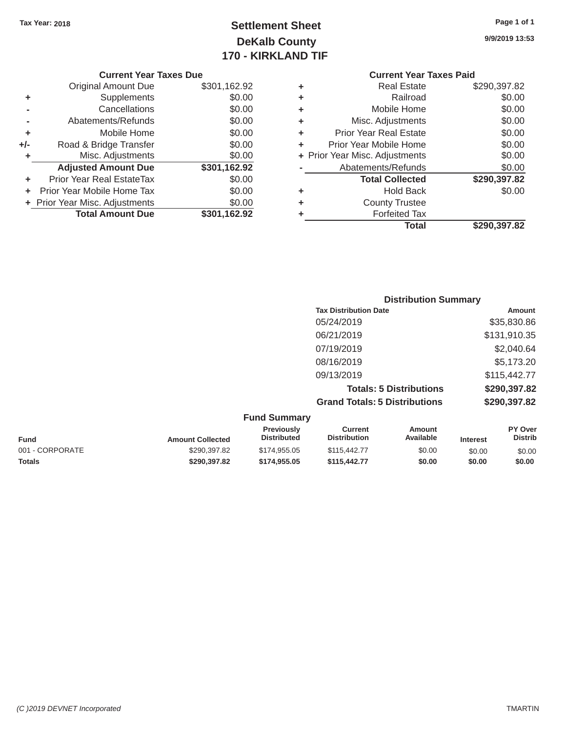# Tax Year: 2018 **Page 1 of 1 Settlement Sheet Page 1 of 1 Page 1 of 1 9/9/2019 13:53 DeKalb County 170 - KIRKLAND TIF**

|    | <b>Current Year Taxes Due</b>    |              |                                          | <b>Current Year Taxes Paid</b> |              |  |        |
|----|----------------------------------|--------------|------------------------------------------|--------------------------------|--------------|--|--------|
|    | <b>Original Amount Due</b>       | \$301,162.92 | ٠                                        | <b>Real Estate</b>             | \$290,397.82 |  |        |
| ٠  | Supplements                      | \$0.00       | Railroad<br>٠                            |                                |              |  |        |
| -  | Cancellations                    | \$0.00       | ٠                                        | Mobile Home                    | \$0.00       |  |        |
|    | Abatements/Refunds               | \$0.00       | ٠                                        | Misc. Adjustments              |              |  |        |
| ٠  | Mobile Home                      | \$0.00       | <b>Prior Year Real Estate</b><br>÷       |                                |              |  | \$0.00 |
| I- | Road & Bridge Transfer           | \$0.00       | ÷                                        | \$0.00                         |              |  |        |
| ٠  | Misc. Adjustments                | \$0.00       | + Prior Year Misc. Adjustments<br>\$0.00 |                                |              |  |        |
|    | <b>Adjusted Amount Due</b>       | \$301,162.92 |                                          | Abatements/Refunds             | \$0.00       |  |        |
| ٠  | <b>Prior Year Real EstateTax</b> | \$0.00       |                                          | <b>Total Collected</b>         | \$290,397.82 |  |        |
| ÷. | Prior Year Mobile Home Tax       | \$0.00       | ٠                                        | <b>Hold Back</b>               | \$0.00       |  |        |
|    | + Prior Year Misc. Adjustments   | \$0.00       | ٠                                        | <b>County Trustee</b>          |              |  |        |
|    | <b>Total Amount Due</b>          | \$301,162.92 |                                          | <b>Forfeited Tax</b>           |              |  |        |
|    |                                  |              |                                          | <b>Total</b>                   | \$290,397.82 |  |        |

| <b>Current Year</b>            |   |              | <b>Current Year Taxes Due</b>    |     |
|--------------------------------|---|--------------|----------------------------------|-----|
| <b>Real Estate</b>             | ٠ | \$301,162.92 | Original Amount Due              |     |
| Railroad                       | ٠ | \$0.00       | Supplements                      | ٠   |
| Mobile Home                    | ٠ | \$0.00       | Cancellations                    |     |
| Misc. Adjustments              | ÷ | \$0.00       | Abatements/Refunds               |     |
| <b>Prior Year Real Estate</b>  | ٠ | \$0.00       | Mobile Home                      | ٠   |
| Prior Year Mobile Home         | ٠ | \$0.00       | Road & Bridge Transfer           | +/- |
| + Prior Year Misc. Adjustments |   | \$0.00       | Misc. Adjustments                |     |
| Abatements/Refunds             |   | \$301,162.92 | <b>Adjusted Amount Due</b>       |     |
| <b>Total Collected</b>         |   | \$0.00       | <b>Prior Year Real EstateTax</b> | ÷   |
| <b>Hold Back</b>               | ٠ | \$0.00       | Prior Year Mobile Home Tax       | ÷   |
| <b>County Trustee</b>          | ٠ | \$0.00       | + Prior Year Misc. Adjustments   |     |
| <b>Forfeited Tax</b>           |   | \$301,162.92 | <b>Total Amount Due</b>          |     |
| <b>Tatal</b>                   |   |              |                                  |     |

| <b>Distribution Summary</b>          |              |
|--------------------------------------|--------------|
| <b>Tax Distribution Date</b>         | Amount       |
| 05/24/2019                           | \$35,830.86  |
| 06/21/2019                           | \$131,910.35 |
| 07/19/2019                           | \$2,040.64   |
| 08/16/2019                           | \$5,173.20   |
| 09/13/2019                           | \$115,442.77 |
| <b>Totals: 5 Distributions</b>       | \$290,397.82 |
| <b>Grand Totals: 5 Distributions</b> | \$290,397.82 |

| <b>Fund Summary</b> |                         |                                         |                                |                     |                 |                           |
|---------------------|-------------------------|-----------------------------------------|--------------------------------|---------------------|-----------------|---------------------------|
| <b>Fund</b>         | <b>Amount Collected</b> | <b>Previously</b><br><b>Distributed</b> | Current<br><b>Distribution</b> | Amount<br>Available | <b>Interest</b> | PY Over<br><b>Distrib</b> |
| 001 - CORPORATE     | \$290,397.82            | \$174,955,05                            | \$115,442.77                   | \$0.00              | \$0.00          | \$0.00                    |
| <b>Totals</b>       | \$290,397.82            | \$174.955.05                            | \$115,442.77                   | \$0.00              | \$0.00          | \$0.00                    |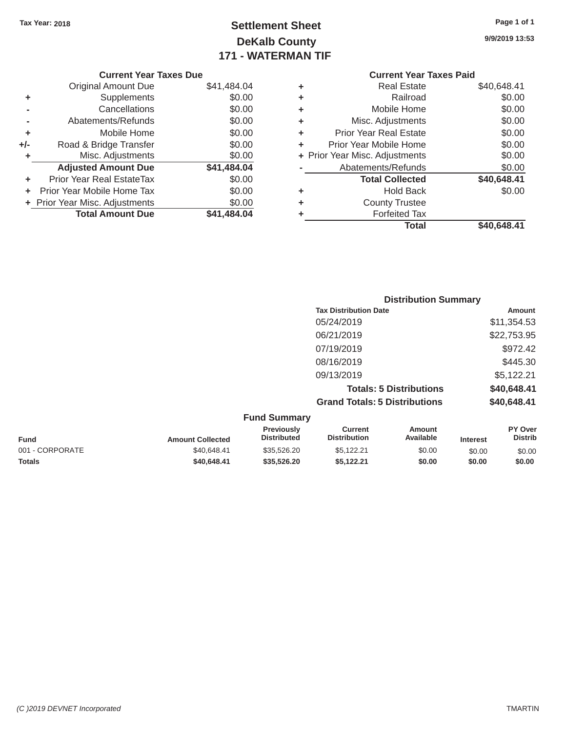Original Amount Due

**Total Amount Due** 

**+** Supplements **-** Cancellations **-** Abatements/Refunds **+** Mobile Home **+/-** Road & Bridge Transfer **+** Misc. Adjustments

# Tax Year: 2018 **Page 1 of 1 Page 1 of 1 Settlement Sheet Page 1 of 1 Page 1 of 1 9/9/2019 13:53 DeKalb County 171 - WATERMAN TIF**

| Page 1 of |  |  |
|-----------|--|--|
|           |  |  |

### **Current Year Taxes Due Current Year Taxes Paid Current Year Taxes Paid Current Year Taxes Paid** \$41,484.04 **+** Real Estate \$40,648.41 \$0.00 **+** Railroad \$0.00 \$0.00 **+** Mobile Home \$0.00 \$0.00 **+** Misc. Adjustments \$0.00 \$0.00 **+** Prior Year Real Estate \$0.00 \$0.00 **+** Prior Year Mobile Home \$0.00 \$0.00 **+ Prior Year Misc. Adjustments** \$0.00 Adjusted Amount Due  $$41,484.04$  - Abatements/Refunds \$0.00 **+** Prior Year Real EstateTax \$0.00 **Total Collected \$40,648.41 +** Prior Year Mobile Home Tax \$0.00 **+** Hold Back \$0.00 **+** Prior Year Misc. Adjustments \$0.00 **+** County Trustee **\$41,484.04 +** Forfeited Tax **Total \$40,648.41**

| <b>Distribution Summary</b>          |             |
|--------------------------------------|-------------|
| <b>Tax Distribution Date</b>         | Amount      |
| 05/24/2019                           | \$11,354.53 |
| 06/21/2019                           | \$22,753.95 |
| 07/19/2019                           | \$972.42    |
| 08/16/2019                           | \$445.30    |
| 09/13/2019                           | \$5,122.21  |
| <b>Totals: 5 Distributions</b>       | \$40,648.41 |
| <b>Grand Totals: 5 Distributions</b> | \$40,648.41 |
|                                      |             |

| <b>Fund Summary</b> |                         |                                         |                                       |                     |                 |                           |
|---------------------|-------------------------|-----------------------------------------|---------------------------------------|---------------------|-----------------|---------------------------|
| <b>Fund</b>         | <b>Amount Collected</b> | <b>Previously</b><br><b>Distributed</b> | <b>Current</b><br><b>Distribution</b> | Amount<br>Available | <b>Interest</b> | PY Over<br><b>Distrib</b> |
| 001 - CORPORATE     | \$40,648.41             | \$35,526,20                             | \$5.122.21                            | \$0.00              | \$0.00          | \$0.00                    |
| <b>Totals</b>       | \$40,648,41             | \$35,526,20                             | \$5.122.21                            | \$0.00              | \$0.00          | \$0.00                    |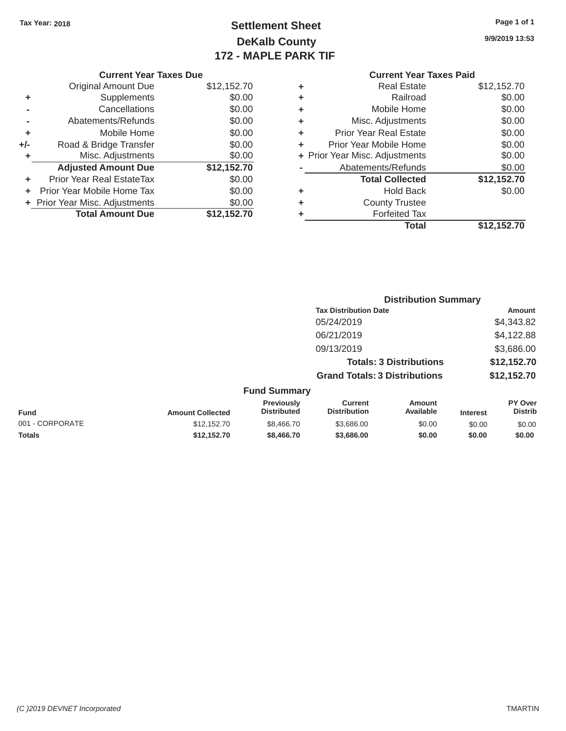# Tax Year: 2018 **Page 1 of 1 Settlement Sheet Page 1 of 1 Page 1 of 1 9/9/2019 13:53 DeKalb County 172 - MAPLE PARK TIF**

| <b>Current Year Taxes Due</b><br><b>Current Year Taxes Paid</b> |             |   |                                |             |
|-----------------------------------------------------------------|-------------|---|--------------------------------|-------------|
| l Amount Due                                                    | \$12,152.70 | ٠ | <b>Real Estate</b>             | \$12,152.70 |
| <b>Supplements</b>                                              | \$0.00      | ٠ | Railroad                       | \$0.00      |
| Cancellations                                                   | \$0.00      | ٠ | Mobile Home                    | \$0.00      |
| ents/Refunds                                                    | \$0.00      | ٠ | Misc. Adjustments              | \$0.00      |
| Mobile Home                                                     | \$0.00      | ٠ | <b>Prior Year Real Estate</b>  | \$0.00      |
| idge Transfer                                                   | \$0.00      | ٠ | Prior Year Mobile Home         | \$0.00      |
| . Adjustments                                                   | \$0.00      |   | + Prior Year Misc. Adjustments | \$0.00      |
| <b>Amount Due</b>                                               | \$12,152.70 |   | Abatements/Refunds             | \$0.00      |
| eal EstateTax                                                   | \$0.00      |   | <b>Total Collected</b>         | \$12,152.70 |
| vile Home Tax                                                   | \$0.00      | ٠ | <b>Hold Back</b>               | \$0.00      |
| . Adjustments                                                   | \$0.00      | ٠ | <b>County Trustee</b>          |             |
| <b>Amount Due</b>                                               | \$12,152.70 |   | <b>Forfeited Tax</b>           |             |
|                                                                 |             |   | <b>Total</b>                   | \$12,152.70 |
|                                                                 |             |   |                                |             |

**Distribution Summary** 

|     | <b>Current Year Taxes Due</b>    |             |  |  |  |  |
|-----|----------------------------------|-------------|--|--|--|--|
|     | Original Amount Due              | \$12,152.70 |  |  |  |  |
| ٠   | Supplements                      | \$0.00      |  |  |  |  |
|     | Cancellations                    | \$0.00      |  |  |  |  |
|     | Abatements/Refunds               | \$0.00      |  |  |  |  |
| ٠   | Mobile Home                      | \$0.00      |  |  |  |  |
| +/- | Road & Bridge Transfer           | \$0.00      |  |  |  |  |
| ٠   | Misc. Adjustments                | \$0.00      |  |  |  |  |
|     | <b>Adjusted Amount Due</b>       | \$12,152.70 |  |  |  |  |
| ٠   | <b>Prior Year Real EstateTax</b> | \$0.00      |  |  |  |  |
|     | Prior Year Mobile Home Tax       | \$0.00      |  |  |  |  |
|     | + Prior Year Misc. Adjustments   | \$0.00      |  |  |  |  |
|     | <b>Total Amount Due</b>          | \$12,152.70 |  |  |  |  |

| <b>Tax Distribution Date</b>                                                                                                                                         | <b>Amount</b>                    |
|----------------------------------------------------------------------------------------------------------------------------------------------------------------------|----------------------------------|
|                                                                                                                                                                      |                                  |
| 05/24/2019                                                                                                                                                           | \$4,343.82                       |
| 06/21/2019                                                                                                                                                           | \$4,122.88                       |
| 09/13/2019                                                                                                                                                           | \$3,686.00                       |
| <b>Totals: 3 Distributions</b>                                                                                                                                       | \$12,152.70                      |
| <b>Grand Totals: 3 Distributions</b>                                                                                                                                 | \$12,152.70                      |
| <b>Fund Summary</b>                                                                                                                                                  |                                  |
| <b>Previously</b><br><b>Current</b><br>Amount<br><b>Distributed</b><br><b>Distribution</b><br>Available<br><b>Fund</b><br><b>Amount Collected</b><br><b>Interest</b> | <b>PY Over</b><br><b>Distrib</b> |
| 001 - CORPORATE<br>\$12,152.70<br>\$8,466,70<br>\$3,686.00<br>\$0.00<br>\$0.00                                                                                       | \$0.00                           |
| \$12.152.70<br><b>Totals</b><br>\$8,466,70<br>\$3,686,00<br>\$0.00<br>\$0.00                                                                                         | \$0.00                           |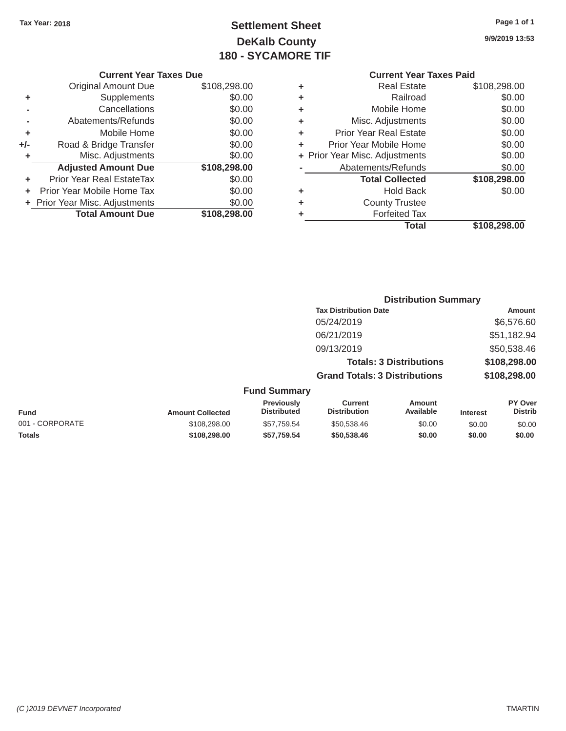# Tax Year: 2018 **Page 1 of 1 Settlement Sheet 9/9/2019 13:53 DeKalb County 180 - SYCAMORE TIF**

| Page 1 of 1 |  |  |  |
|-------------|--|--|--|
|-------------|--|--|--|

| <b>Current Year Taxes Due</b> | <b>Current Year Taxes Paid</b> |
|-------------------------------|--------------------------------|
|                               |                                |

|       | Original Amount Due            | \$108,298.00 | ٠ | <b>Real Estate</b>             | \$108,298.00 |
|-------|--------------------------------|--------------|---|--------------------------------|--------------|
| ٠     | Supplements                    | \$0.00       | ٠ | Railroad                       | \$0.00       |
|       | Cancellations                  | \$0.00       | ٠ | Mobile Home                    | \$0.00       |
|       | Abatements/Refunds             | \$0.00       | ٠ | Misc. Adjustments              | \$0.00       |
| ٠     | Mobile Home                    | \$0.00       | ٠ | <b>Prior Year Real Estate</b>  | \$0.00       |
| $+/-$ | Road & Bridge Transfer         | \$0.00       |   | Prior Year Mobile Home         | \$0.00       |
|       | Misc. Adjustments              | \$0.00       |   | + Prior Year Misc. Adjustments | \$0.00       |
|       | <b>Adjusted Amount Due</b>     | \$108,298.00 |   | Abatements/Refunds             | \$0.00       |
| ٠     | Prior Year Real EstateTax      | \$0.00       |   | <b>Total Collected</b>         | \$108,298.00 |
| ÷.    | Prior Year Mobile Home Tax     | \$0.00       | ٠ | <b>Hold Back</b>               | \$0.00       |
|       | + Prior Year Misc. Adjustments | \$0.00       | ٠ | <b>County Trustee</b>          |              |
|       | <b>Total Amount Due</b>        | \$108,298.00 |   | <b>Forfeited Tax</b>           |              |
|       |                                |              |   |                                |              |

| \$108,298.00 | ÷ | <b>Real Estate</b>            | \$108,298.00                   |
|--------------|---|-------------------------------|--------------------------------|
| \$0.00       | ÷ | Railroad                      | \$0.00                         |
| \$0.00       | ٠ | Mobile Home                   | \$0.00                         |
| \$0.00       | ÷ | Misc. Adjustments             | \$0.00                         |
| \$0.00       | ÷ | <b>Prior Year Real Estate</b> | \$0.00                         |
| \$0.00       | ÷ | Prior Year Mobile Home        | \$0.00                         |
| \$0.00       |   |                               | \$0.00                         |
| \$108,298.00 |   | Abatements/Refunds            | \$0.00                         |
| \$0.00       |   | <b>Total Collected</b>        | \$108,298.00                   |
| \$0.00       | ÷ | Hold Back                     | \$0.00                         |
| \$0.00       | ÷ | <b>County Trustee</b>         |                                |
| \$108,298.00 | ٠ | <b>Forfeited Tax</b>          |                                |
|              |   | <b>Total</b>                  | \$108,298.00                   |
|              |   |                               | + Prior Year Misc. Adjustments |

|               |                                         | <b>Distribution Summary</b>          |                                |                 |                                  |  |
|---------------|-----------------------------------------|--------------------------------------|--------------------------------|-----------------|----------------------------------|--|
|               |                                         | <b>Tax Distribution Date</b>         |                                |                 | Amount                           |  |
|               |                                         | 05/24/2019                           |                                |                 | \$6,576.60                       |  |
|               |                                         | 06/21/2019                           |                                |                 | \$51,182.94                      |  |
|               |                                         | 09/13/2019                           |                                |                 | \$50,538.46                      |  |
|               |                                         |                                      | <b>Totals: 3 Distributions</b> |                 | \$108,298.00                     |  |
|               |                                         | <b>Grand Totals: 3 Distributions</b> |                                |                 | \$108,298.00                     |  |
|               | <b>Fund Summary</b>                     |                                      |                                |                 |                                  |  |
| unt Collected | <b>Previously</b><br><b>Distributed</b> | Current<br><b>Distribution</b>       | Amount<br>Available            | <b>Interest</b> | <b>PY Over</b><br><b>Distrib</b> |  |

| <b>Fund</b>     | <b>Amount Collected</b> | <b>Previously</b><br><b>Distributed</b> | Current<br><b>Distribution</b> | Amount<br>Available | <b>Interest</b> | <b>PY Over</b><br><b>Distrib</b> |
|-----------------|-------------------------|-----------------------------------------|--------------------------------|---------------------|-----------------|----------------------------------|
| 001 - CORPORATE | \$108.298.00            | \$57.759.54                             | \$50.538.46                    | \$0.00              | \$0.00          | \$0.00                           |
| <b>Totals</b>   | \$108.298.00            | \$57.759.54                             | \$50,538,46                    | \$0.00              | \$0.00          | \$0.00                           |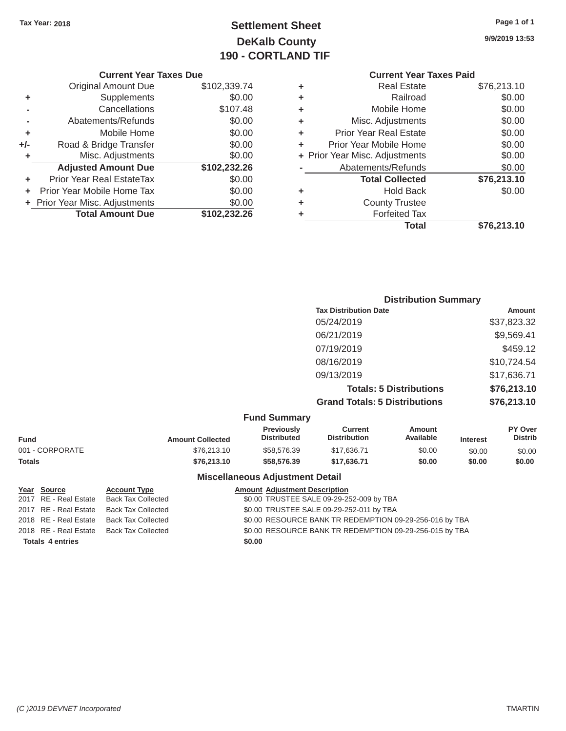# Tax Year: 2018 **Page 1 of 1 Settlement Sheet Page 1 of 1 Page 1 of 1 9/9/2019 13:53 DeKalb County 190 - CORTLAND TIF**

| <b>Current Year Taxes Due</b> |  |  |  |  |
|-------------------------------|--|--|--|--|
|-------------------------------|--|--|--|--|

|       | <b>Original Amount Due</b>     | \$102,339.74 |
|-------|--------------------------------|--------------|
| ٠     | Supplements                    | \$0.00       |
|       | Cancellations                  | \$107.48     |
|       | Abatements/Refunds             | \$0.00       |
| ٠     | Mobile Home                    | \$0.00       |
| $+/-$ | Road & Bridge Transfer         | \$0.00       |
| ٠     | Misc. Adjustments              | \$0.00       |
|       | <b>Adjusted Amount Due</b>     | \$102,232.26 |
| ٠     | Prior Year Real EstateTax      | \$0.00       |
|       | Prior Year Mobile Home Tax     | \$0.00       |
|       | + Prior Year Misc. Adjustments | \$0.00       |
|       | <b>Total Amount Due</b>        | \$102,232.26 |
|       |                                |              |

| <b>Current Year Taxes Due</b> |              |   | <b>Current Year Taxes Paid</b> |             |
|-------------------------------|--------------|---|--------------------------------|-------------|
| l Amount Due                  | \$102,339.74 | ÷ | <b>Real Estate</b>             | \$76,213.10 |
| <b>Supplements</b>            | \$0.00       | ÷ | Railroad                       | \$0.00      |
| Cancellations                 | \$107.48     | ÷ | Mobile Home                    | \$0.00      |
| ents/Refunds                  | \$0.00       | ÷ | Misc. Adjustments              | \$0.00      |
| Mobile Home                   | \$0.00       | ÷ | <b>Prior Year Real Estate</b>  | \$0.00      |
| idge Transfer                 | \$0.00       | ÷ | Prior Year Mobile Home         | \$0.00      |
| . Adjustments                 | \$0.00       |   | + Prior Year Misc. Adjustments | \$0.00      |
| <b>Amount Due</b>             | \$102,232.26 |   | Abatements/Refunds             | \$0.00      |
| eal EstateTax                 | \$0.00       |   | <b>Total Collected</b>         | \$76,213.10 |
| vile Home Tax                 | \$0.00       | ÷ | <b>Hold Back</b>               | \$0.00      |
| . Adjustments                 | \$0.00       | ÷ | <b>County Trustee</b>          |             |
| <b>Amount Due</b>             | \$102,232.26 | ٠ | <b>Forfeited Tax</b>           |             |
|                               |              |   | <b>Total</b>                   | \$76,213.10 |

| <b>Distribution Summary</b>          |             |
|--------------------------------------|-------------|
| <b>Tax Distribution Date</b>         | Amount      |
| 05/24/2019                           | \$37,823.32 |
| 06/21/2019                           | \$9,569.41  |
| 07/19/2019                           | \$459.12    |
| 08/16/2019                           | \$10,724.54 |
| 09/13/2019                           | \$17,636.71 |
| <b>Totals: 5 Distributions</b>       | \$76,213.10 |
| <b>Grand Totals: 5 Distributions</b> | \$76,213.10 |

|  | <b>Fund Summary</b> |  |
|--|---------------------|--|
|--|---------------------|--|

|             | <b>Previously</b><br><b>Distributed</b> | Current<br><b>Distribution</b> | Amount<br>Available | <b>Interest</b> | <b>PY Over</b><br><b>Distrib</b> |
|-------------|-----------------------------------------|--------------------------------|---------------------|-----------------|----------------------------------|
| \$76,213.10 | \$58,576.39                             | \$17,636.71                    | \$0.00              | \$0.00          | \$0.00                           |
| \$76,213,10 | \$58,576.39                             | \$17.636.71                    | \$0.00              | \$0.00          | \$0.00                           |
|             | <b>Amount Collected</b>                 |                                |                     |                 |                                  |

### **Miscellaneous Adjustment Detail**

| Year Source             | <b>Account Type</b>       |        | <b>Amount Adjustment Description</b>                    |
|-------------------------|---------------------------|--------|---------------------------------------------------------|
| 2017 RE - Real Estate   | <b>Back Tax Collected</b> |        | \$0.00 TRUSTEE SALE 09-29-252-009 by TBA                |
| 2017 RE - Real Estate   | <b>Back Tax Collected</b> |        | \$0.00 TRUSTEE SALE 09-29-252-011 by TBA                |
| 2018 RE - Real Estate   | <b>Back Tax Collected</b> |        | \$0.00 RESOURCE BANK TR REDEMPTION 09-29-256-016 by TBA |
| 2018 RE - Real Estate   | <b>Back Tax Collected</b> |        | \$0.00 RESOURCE BANK TR REDEMPTION 09-29-256-015 by TBA |
| <b>Totals 4 entries</b> |                           | \$0.00 |                                                         |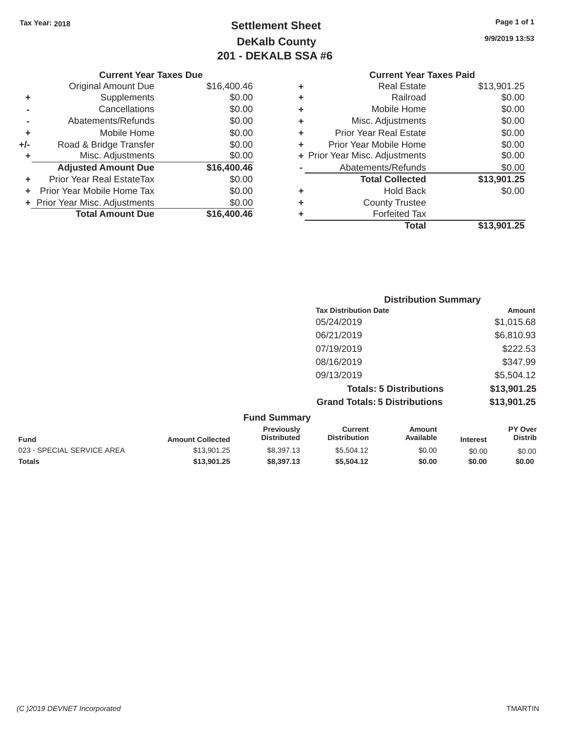# Tax Year: 2018 **Page 1 of 1 Page 1 of 1 Settlement Sheet Page 1 of 1 Page 1 of 1 9/9/2019 13:53 DeKalb County 201 - DEKALB SSA #6**

|       |                               | ZUI " DENALD JJA #0 |   |                                |  |
|-------|-------------------------------|---------------------|---|--------------------------------|--|
|       | <b>Current Year Taxes Due</b> |                     |   | <b>Current Year Taxes Paid</b> |  |
|       | <b>Original Amount Due</b>    | \$16,400.46         | ٠ | <b>Real Estate</b>             |  |
|       | Supplements                   | \$0.00              | ٠ | Railroad                       |  |
|       | Cancellations                 | \$0.00              | ٠ | Mobile Home                    |  |
|       | Abatements/Refunds            | \$0.00              | ٠ | Misc. Adjustments              |  |
|       | Mobile Home                   | \$0.00              | ٠ | <b>Prior Year Real Estate</b>  |  |
| $+/-$ | Road & Bridge Transfer        | \$0.00              |   | Prior Year Mobile Home         |  |
|       | Misc. Adjustments             | \$0.00              |   | + Prior Year Misc. Adjustments |  |
|       |                               |                     |   |                                |  |

**Total \$13,901.25**

### **Real Estate** \$13,901.25 **Railroad** \$0.00 **Mobile Home**  $$0.00$ **Misc. Adjustments** \$0.00 **Prior Year Real Estate \$0.00 Frior Year Mobile Home** \$0.00 **Par Misc. Adjustments** \$0.00 Adjusted Amount Due  $$16,400.46$  - Abatements/Refunds  $$0.00$ **+** Prior Year Real EstateTax \$0.00 **Total Collected \$13,901.25 +** Prior Year Mobile Home Tax \$0.00 **+** Hold Back \$0.00

| + Prior Year Misc. Adjustments | \$0.00      | <b>County Trustee</b> |
|--------------------------------|-------------|-----------------------|
| <b>Total Amount Due</b>        | \$16,400.46 | <b>Forfeited Tax</b>  |
|                                |             | Total                 |

| <b>Trustee</b> |  |
|----------------|--|
| ted Tax        |  |
| Total          |  |

| ited Tax |  |
|----------|--|
| Total    |  |

|       | енео тах |  |
|-------|----------|--|
| Total |          |  |

\$13,901.25 \$8,397.13 \$5,504.12 \$0.00 \$0.00 \$0.00 **\$13,901.25 \$8,397.13 \$5,504.12 \$0.00 \$0.00 \$0.00** 

|             |                         |                                  | <b>Distribution Summary</b>           |                                |                 |                           |
|-------------|-------------------------|----------------------------------|---------------------------------------|--------------------------------|-----------------|---------------------------|
|             |                         |                                  | <b>Tax Distribution Date</b>          |                                |                 | Amount                    |
|             |                         |                                  | 05/24/2019                            |                                |                 | \$1,015.68                |
|             |                         |                                  | 06/21/2019                            |                                |                 | \$6,810.93                |
|             |                         |                                  | 07/19/2019                            |                                |                 | \$222.53                  |
|             |                         |                                  | 08/16/2019                            |                                |                 | \$347.99                  |
|             |                         |                                  | 09/13/2019                            |                                |                 | \$5,504.12                |
|             |                         |                                  |                                       | <b>Totals: 5 Distributions</b> |                 | \$13,901.25               |
|             |                         |                                  | <b>Grand Totals: 5 Distributions</b>  |                                |                 | \$13,901.25               |
|             |                         | <b>Fund Summary</b>              |                                       |                                |                 |                           |
| <b>Fund</b> | <b>Amount Collected</b> | Previously<br><b>Distributed</b> | <b>Current</b><br><b>Distribution</b> | <b>Amount</b><br>Available     | <b>Interest</b> | PY Over<br><b>Distrib</b> |

023 - SPECIAL SERVICE AREA

**Totals**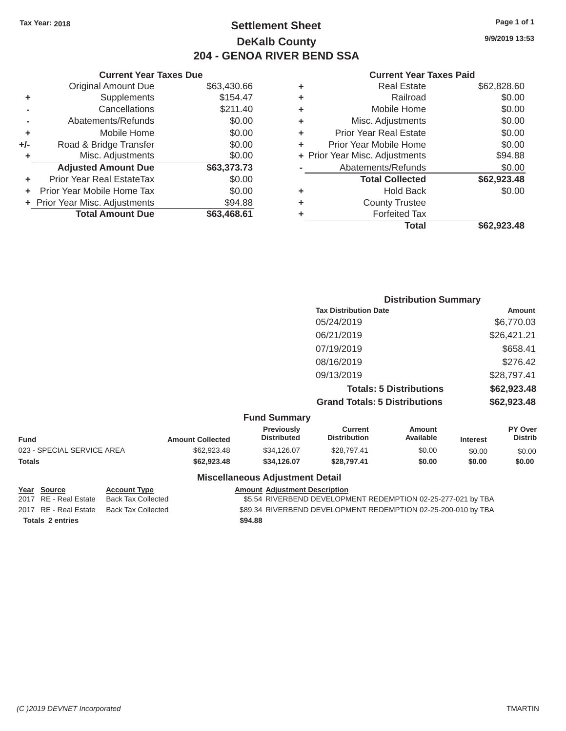### Tax Year: 2018 **Page 1 of 1 Page 1 of 1 Settlement Sheet Page 1 of 1 Page 1 of 1 9/9/2019 13:53 DeKalb County 204 - GENOA RIVER BEND SSA**

### **Current Year Taxes Due Current Year Taxes Paid Current Year Taxes Paid**

|     | <b>Original Amount Due</b>       | \$63,430.66 | ٠ | <b>Real Estate</b>             | \$62,828.60 |
|-----|----------------------------------|-------------|---|--------------------------------|-------------|
| ٠   | Supplements                      | \$154.47    | ٠ | Railroad                       | \$0.00      |
|     | Cancellations                    | \$211.40    | ٠ | Mobile Home                    | \$0.00      |
|     | Abatements/Refunds               | \$0.00      | ٠ | Misc. Adjustments              | \$0.00      |
|     | Mobile Home                      | \$0.00      | ٠ | <b>Prior Year Real Estate</b>  | \$0.00      |
| +/- | Road & Bridge Transfer           | \$0.00      | ٠ | Prior Year Mobile Home         | \$0.00      |
|     | Misc. Adjustments                | \$0.00      |   | + Prior Year Misc. Adjustments | \$94.88     |
|     | <b>Adjusted Amount Due</b>       | \$63,373.73 |   | Abatements/Refunds             | \$0.00      |
|     | <b>Prior Year Real EstateTax</b> | \$0.00      |   | <b>Total Collected</b>         | \$62,923.48 |
|     | Prior Year Mobile Home Tax       | \$0.00      | ٠ | <b>Hold Back</b>               | \$0.00      |
|     | + Prior Year Misc. Adjustments   | \$94.88     | ٠ | <b>County Trustee</b>          |             |
|     | <b>Total Amount Due</b>          | \$63,468.61 |   | <b>Forfeited Tax</b>           |             |
|     |                                  |             |   |                                |             |

| Original Amount Due     | \$63,430.66 | ٠ | <b>Real Estate</b>             | \$62,828.60 |
|-------------------------|-------------|---|--------------------------------|-------------|
| Supplements             | \$154.47    | ٠ | Railroad                       | \$0.00      |
| Cancellations           | \$211.40    | ٠ | Mobile Home                    | \$0.00      |
| Abatements/Refunds      | \$0.00      | ٠ | Misc. Adjustments              | \$0.00      |
| Mobile Home             | \$0.00      | ÷ | <b>Prior Year Real Estate</b>  | \$0.00      |
| ad & Bridge Transfer    | \$0.00      | ٠ | Prior Year Mobile Home         | \$0.00      |
| Misc. Adjustments       | \$0.00      |   | + Prior Year Misc. Adjustments | \$94.88     |
| justed Amount Due       | \$63,373.73 |   | Abatements/Refunds             | \$0.00      |
| Year Real EstateTax     | \$0.00      |   | <b>Total Collected</b>         | \$62,923.48 |
| ear Mobile Home Tax     | \$0.00      | ٠ | <b>Hold Back</b>               | \$0.00      |
| ar Misc. Adjustments    | \$94.88     | ٠ | <b>County Trustee</b>          |             |
| <b>Total Amount Due</b> | \$63,468.61 |   | <b>Forfeited Tax</b>           |             |
|                         |             |   | <b>Total</b>                   | \$62,923.48 |

|                     | <b>Distribution Summary</b>          |             |
|---------------------|--------------------------------------|-------------|
|                     | <b>Tax Distribution Date</b>         | Amount      |
|                     | 05/24/2019                           | \$6,770.03  |
|                     | 06/21/2019                           | \$26,421.21 |
|                     | 07/19/2019                           | \$658.41    |
|                     | 08/16/2019                           | \$276.42    |
|                     | 09/13/2019                           | \$28,797.41 |
|                     | <b>Totals: 5 Distributions</b>       | \$62,923.48 |
|                     | <b>Grand Totals: 5 Distributions</b> | \$62,923.48 |
| <b>Fund Summary</b> |                                      |             |

|                            |                         | .                                       |                                |                     |                 |                                  |
|----------------------------|-------------------------|-----------------------------------------|--------------------------------|---------------------|-----------------|----------------------------------|
| Fund                       | <b>Amount Collected</b> | <b>Previously</b><br><b>Distributed</b> | Current<br><b>Distribution</b> | Amount<br>Available | <b>Interest</b> | <b>PY Over</b><br><b>Distrib</b> |
| 023 - SPECIAL SERVICE AREA | \$62,923,48             | \$34,126,07                             | \$28,797.41                    | \$0.00              | \$0.00          | \$0.00                           |
| Totals                     | \$62,923,48             | \$34.126.07                             | \$28,797.41                    | \$0.00              | \$0.00          | \$0.00                           |
|                            |                         | <b>Miscellaneous Adjustment Detail</b>  |                                |                     |                 |                                  |

Totals 2 entries \$94.88

### Year Source **Account Type** Account Adjustment Description

2017 RE - Real Estate Back Tax Collected \$5.54 RIVERBEND DEVELOPMENT REDEMPTION 02-25-277-021 by TBA 2017 RE - Real Estate Back Tax Collected \$89.34 RIVERBEND DEVELOPMENT REDEMPTION 02-25-200-010 by TBA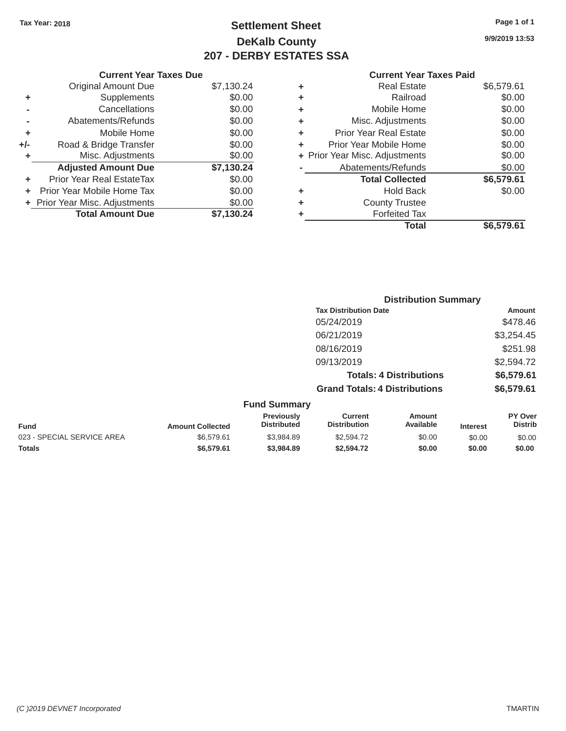# Tax Year: 2018 **Page 1 of 1 Settlement Sheet Page 1 of 1 Page 1 of 1 9/9/2019 13:53 DeKalb County 207 - DERBY ESTATES SSA**

|       | <b>Original Amount Due</b>       | \$7,130.24 |
|-------|----------------------------------|------------|
| ٠     | Supplements                      | \$0.00     |
|       | Cancellations                    | \$0.00     |
|       | Abatements/Refunds               | \$0.00     |
| ÷     | Mobile Home                      | \$0.00     |
| $+/-$ | Road & Bridge Transfer           | \$0.00     |
|       | Misc. Adjustments                | \$0.00     |
|       | <b>Adjusted Amount Due</b>       | \$7,130.24 |
|       | <b>Prior Year Real EstateTax</b> | \$0.00     |
| ÷     | Prior Year Mobile Home Tax       | \$0.00     |
|       | + Prior Year Misc. Adjustments   | \$0.00     |
|       | <b>Total Amount Due</b>          | \$7,130.24 |
|       |                                  |            |

| ٠ | <b>Real Estate</b>             | \$6,579.61 |
|---|--------------------------------|------------|
| ٠ | Railroad                       | \$0.00     |
| ٠ | Mobile Home                    | \$0.00     |
| ٠ | Misc. Adjustments              | \$0.00     |
| ٠ | <b>Prior Year Real Estate</b>  | \$0.00     |
| ÷ | Prior Year Mobile Home         | \$0.00     |
|   | + Prior Year Misc. Adjustments | \$0.00     |
|   | Abatements/Refunds             | \$0.00     |
|   | <b>Total Collected</b>         | \$6,579.61 |
| ٠ | <b>Hold Back</b>               | \$0.00     |
| ٠ | <b>County Trustee</b>          |            |
| ٠ | <b>Forfeited Tax</b>           |            |
|   | Total                          | \$6.579.61 |
|   |                                |            |

|                        |                                         |                                      | <b>Distribution Summary</b>    |                 |                                  |  |
|------------------------|-----------------------------------------|--------------------------------------|--------------------------------|-----------------|----------------------------------|--|
|                        |                                         | <b>Tax Distribution Date</b>         |                                |                 | Amount                           |  |
|                        |                                         | 05/24/2019                           |                                |                 | \$478.46                         |  |
|                        |                                         | 06/21/2019                           |                                |                 | \$3,254.45                       |  |
|                        |                                         | 08/16/2019                           |                                |                 | \$251.98                         |  |
|                        |                                         | 09/13/2019                           |                                |                 | \$2,594.72                       |  |
|                        |                                         |                                      | <b>Totals: 4 Distributions</b> |                 | \$6,579.61                       |  |
|                        |                                         | <b>Grand Totals: 4 Distributions</b> |                                |                 | \$6,579.61                       |  |
|                        | <b>Fund Summary</b>                     |                                      |                                |                 |                                  |  |
| <b>mount Collected</b> | <b>Previously</b><br><b>Distributed</b> | Current<br><b>Distribution</b>       | Amount<br>Available            | <b>Interest</b> | <b>PY Over</b><br><b>Distrib</b> |  |

| <b>Fund</b>                | <b>Amount Collected</b> | <b>Previously</b><br><b>Distributed</b> | Current<br><b>Distribution</b> | Amount<br>Available | <b>Interest</b> | <b>PY Over</b><br><b>Distrib</b> |
|----------------------------|-------------------------|-----------------------------------------|--------------------------------|---------------------|-----------------|----------------------------------|
| 023 - SPECIAL SERVICE AREA | \$6,579.61              | \$3.984.89                              | \$2,594.72                     | \$0.00              | \$0.00          | \$0.00                           |
| <b>Totals</b>              | \$6.579.61              | \$3,984.89                              | \$2,594.72                     | \$0.00              | \$0.00          | \$0.00                           |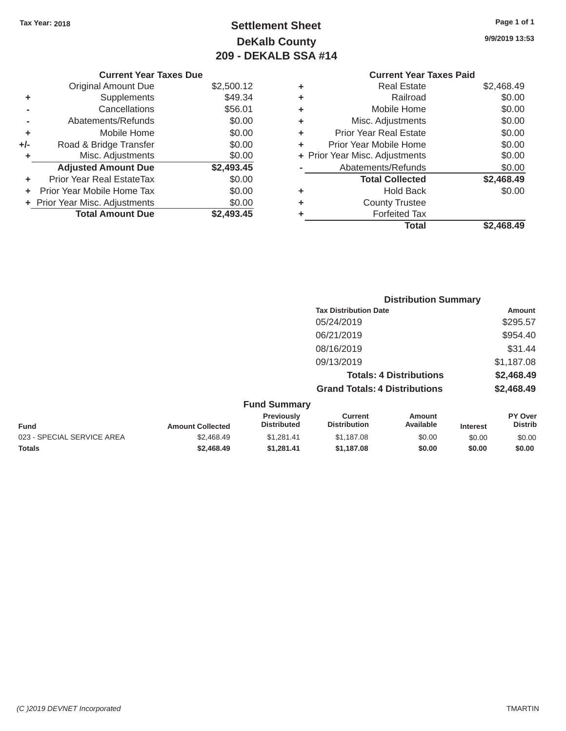# Tax Year: 2018 **Page 1 of 1 Page 1 of 1 Settlement Sheet Page 1 of 1 Page 1 of 1 9/9/2019 13:53 DeKalb County 209 - DEKALB SSA #14**

| \$2,500.12 | ٠                             | <b>Real Estate</b>            | \$2,468.49                                                       |
|------------|-------------------------------|-------------------------------|------------------------------------------------------------------|
| \$49.34    | ٠                             | Railroad                      | \$0.00                                                           |
| \$56.01    | ٠                             | Mobile Home                   | \$0.00                                                           |
| \$0.00     | ٠                             | Misc. Adjustments             | \$0.00                                                           |
| \$0.00     | ÷                             | <b>Prior Year Real Estate</b> | \$0.00                                                           |
| \$0.00     | ٠                             | Prior Year Mobile Home        | \$0.00                                                           |
| \$0.00     |                               |                               | \$0.00                                                           |
| \$2,493.45 |                               | Abatements/Refunds            | \$0.00                                                           |
| \$0.00     |                               | <b>Total Collected</b>        | \$2,468.49                                                       |
| \$0.00     | ٠                             | <b>Hold Back</b>              | \$0.00                                                           |
| \$0.00     | ٠                             | <b>County Trustee</b>         |                                                                  |
| \$2,493.45 |                               | <b>Forfeited Tax</b>          |                                                                  |
|            |                               | <b>Total</b>                  | \$2,468.49                                                       |
|            | <b>Current Year Taxes Due</b> |                               | <b>Current Year Taxes Paid</b><br>+ Prior Year Misc. Adjustments |

**\$1,187.08 \$0.00 \$0.00 \$0.00**

|     | <b>Current Year Taxes Due</b>  |            |
|-----|--------------------------------|------------|
|     | <b>Original Amount Due</b>     | \$2,500.12 |
| ٠   | Supplements                    | \$49.34    |
|     | Cancellations                  | \$56.01    |
|     | Abatements/Refunds             | \$0.00     |
| ٠   | Mobile Home                    | \$0.00     |
| +/- | Road & Bridge Transfer         | \$0.00     |
| ٠   | Misc. Adjustments              | \$0.00     |
|     | <b>Adjusted Amount Due</b>     | \$2,493.45 |
|     | Prior Year Real EstateTax      | \$0.00     |
|     | Prior Year Mobile Home Tax     | \$0.00     |
|     | + Prior Year Misc. Adjustments | \$0.00     |
|     | <b>Total Amount Due</b>        | \$2,493.45 |

**Totals** \$2,468.49 \$1,281.41

|                            |                         |                                  | <b>Distribution Summary</b>           |                                |                 |                                  |
|----------------------------|-------------------------|----------------------------------|---------------------------------------|--------------------------------|-----------------|----------------------------------|
|                            |                         |                                  | <b>Tax Distribution Date</b>          |                                |                 | <b>Amount</b>                    |
|                            |                         |                                  | 05/24/2019                            |                                |                 | \$295.57                         |
|                            |                         |                                  | 06/21/2019                            |                                |                 | \$954.40                         |
|                            |                         |                                  | 08/16/2019                            |                                |                 | \$31.44                          |
|                            |                         |                                  | 09/13/2019                            |                                |                 | \$1,187.08                       |
|                            |                         |                                  |                                       | <b>Totals: 4 Distributions</b> |                 | \$2,468.49                       |
|                            |                         |                                  | <b>Grand Totals: 4 Distributions</b>  |                                |                 | \$2,468.49                       |
|                            |                         | <b>Fund Summary</b>              |                                       |                                |                 |                                  |
| <b>Fund</b>                | <b>Amount Collected</b> | Previously<br><b>Distributed</b> | <b>Current</b><br><b>Distribution</b> | <b>Amount</b><br>Available     | <b>Interest</b> | <b>PY Over</b><br><b>Distrib</b> |
| 023 - SPECIAL SERVICE AREA | \$2.468.49              | \$1,281.41                       | \$1,187.08                            | \$0.00                         | \$0.00          | \$0.00                           |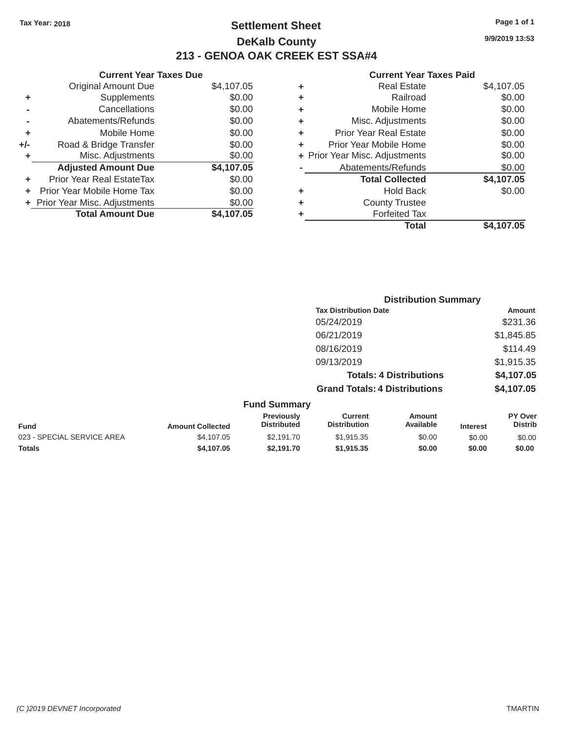### Tax Year: 2018 **Page 1 of 1 Page 1 of 1 Settlement Sheet Page 1 of 1 Page 1 of 1 9/9/2019 13:53 DeKalb County 213 - GENOA OAK CREEK EST SSA#4**

### Original Amount Due \$4,107.05 **+** Supplements \$0.00 **-** Cancellations \$0.00 **-** Abatements/Refunds \$0.00 **+** Mobile Home \$0.00 **+/-** Road & Bridge Transfer \$0.00 **+** Misc. Adjustments \$0.00 **Adjusted Amount Due \$4,107.05 +** Prior Year Real EstateTax \$0.00 **+** Prior Year Mobile Home Tax \$0.00 **+ Prior Year Misc. Adjustments \$0.00 Total Amount Due \$4,107.05**

#### **Current Year Taxes Due Current Year Taxes Paid Current Year Taxes Paid Current Year Taxes Paid**

| ٠ | <b>Real Estate</b>             | \$4,107.05 |
|---|--------------------------------|------------|
| ٠ | Railroad                       | \$0.00     |
| ٠ | Mobile Home                    | \$0.00     |
| ٠ | Misc. Adjustments              | \$0.00     |
| ٠ | Prior Year Real Estate         | \$0.00     |
| ٠ | Prior Year Mobile Home         | \$0.00     |
|   | + Prior Year Misc. Adjustments | \$0.00     |
|   | Abatements/Refunds             | \$0.00     |
|   | <b>Total Collected</b>         | \$4,107.05 |
| ٠ | <b>Hold Back</b>               | \$0.00     |
| ٠ | <b>County Trustee</b>          |            |
| ٠ | <b>Forfeited Tax</b>           |            |
|   | Total                          | \$4,107.05 |
|   |                                |            |

|                            |                         | <b>Distribution Summary</b>      |                                       |                     |                 |                           |  |
|----------------------------|-------------------------|----------------------------------|---------------------------------------|---------------------|-----------------|---------------------------|--|
|                            |                         |                                  | <b>Tax Distribution Date</b>          |                     |                 | Amount                    |  |
|                            |                         |                                  | 05/24/2019                            |                     |                 | \$231.36                  |  |
|                            |                         |                                  | 06/21/2019                            |                     |                 | \$1,845.85                |  |
|                            |                         |                                  | 08/16/2019                            |                     |                 | \$114.49                  |  |
|                            |                         |                                  | 09/13/2019                            |                     |                 | \$1,915.35                |  |
|                            |                         |                                  | <b>Totals: 4 Distributions</b>        |                     |                 | \$4,107.05                |  |
|                            |                         |                                  | <b>Grand Totals: 4 Distributions</b>  |                     |                 | \$4,107.05                |  |
|                            |                         | <b>Fund Summary</b>              |                                       |                     |                 |                           |  |
| <b>Fund</b>                | <b>Amount Collected</b> | Previously<br><b>Distributed</b> | <b>Current</b><br><b>Distribution</b> | Amount<br>Available | <b>Interest</b> | PY Over<br><b>Distrib</b> |  |
| 023 - SPECIAL SERVICE AREA | \$4,107.05              | \$2,191.70                       | \$1,915.35                            | \$0.00              | \$0.00          | \$0.00                    |  |
| <b>Totals</b>              | \$4,107.05              | \$2,191.70                       | \$1,915.35                            | \$0.00              | \$0.00          | \$0.00                    |  |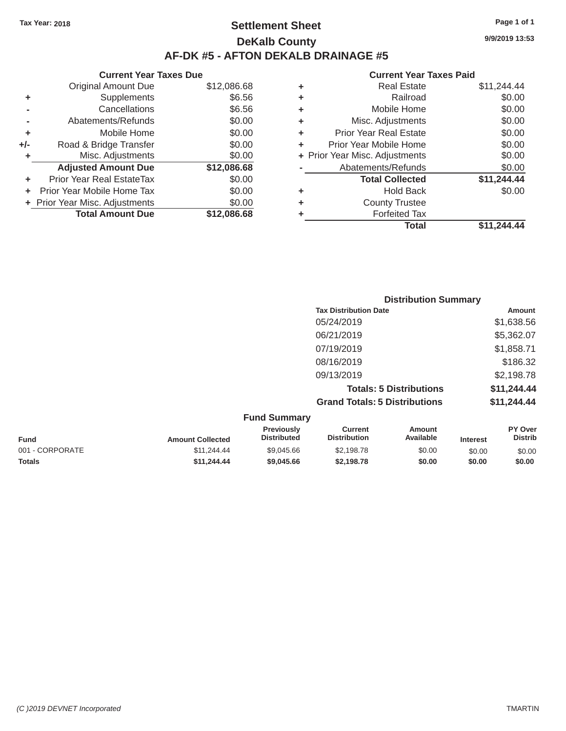### Tax Year: 2018 **Page 1 of 1 Page 1 of 1 Settlement Sheet Page 1 of 1 Page 1 of 1 9/9/2019 13:53 DeKalb County AF-DK #5 - AFTON DEKALB DRAINAGE #5**

### Original Amount Due **+** Supplements **-** Cancellations **-** Abatements/Refunds **+** Mobile Home **+/-** Road & Bridge Transfer **+** Misc. Adjustments **+** Prior Year Real EstateTax \$0.00 **Total Collected \$11,244.44 +** Prior Year Mobile Home Tax \$0.00 **+** Hold Back \$0.00 **+** Prior Year Misc. Adjustments \$0.00 **+** County Trustee **Total Amount Due**

# **Current Year Taxes Due Current Year Taxes Paid Current Year Taxes Paid Current Year Taxes Paid** \$12,086.68 **+** Real Estate \$11,244.44 \$6.56 **+** Railroad \$0.00 \$6.56 **+** Mobile Home \$0.00 \$0.00 **+** Misc. Adjustments \$0.00 \$0.00 **+** Prior Year Real Estate \$0.00 \$0.00 **+** Prior Year Mobile Home \$0.00 \$0.00 **+ Prior Year Misc. Adjustments** \$0.00 Adjusted Amount Due  $$12,086.68$  - Abatements/Refunds \$0.00 **\$12,086.68 +** Forfeited Tax **Total \$11,244.44**

| <b>Distribution Summary</b>          |             |
|--------------------------------------|-------------|
| <b>Tax Distribution Date</b>         | Amount      |
| 05/24/2019                           | \$1,638.56  |
| 06/21/2019                           | \$5,362.07  |
| 07/19/2019                           | \$1,858.71  |
| 08/16/2019                           | \$186.32    |
| 09/13/2019                           | \$2,198.78  |
| <b>Totals: 5 Distributions</b>       | \$11,244.44 |
| <b>Grand Totals: 5 Distributions</b> | \$11,244.44 |

|                 |                         | <b>Fund Summary</b>                     |                                |                     |                 |                           |
|-----------------|-------------------------|-----------------------------------------|--------------------------------|---------------------|-----------------|---------------------------|
| <b>Fund</b>     | <b>Amount Collected</b> | <b>Previously</b><br><b>Distributed</b> | Current<br><b>Distribution</b> | Amount<br>Available | <b>Interest</b> | PY Over<br><b>Distrib</b> |
| 001 - CORPORATE | \$11,244,44             | \$9,045.66                              | \$2,198.78                     | \$0.00              | \$0.00          | \$0.00                    |
| <b>Totals</b>   | \$11,244,44             | \$9,045.66                              | \$2,198.78                     | \$0.00              | \$0.00          | \$0.00                    |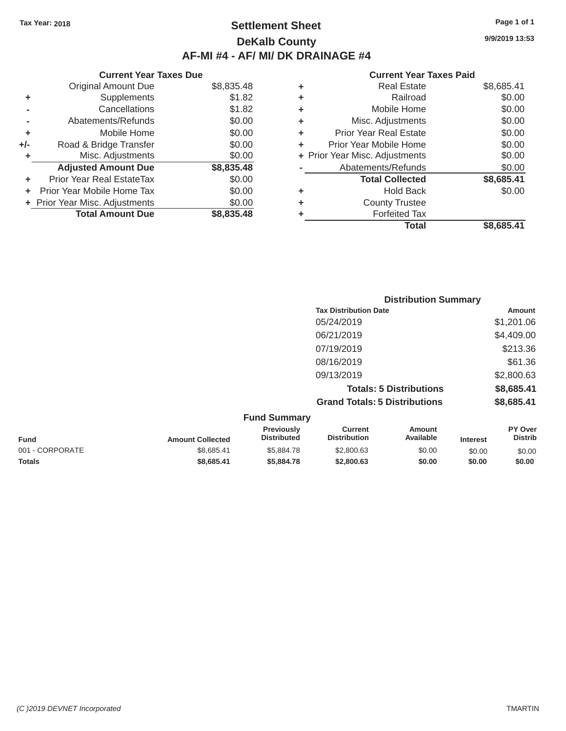# Tax Year: 2018 **Page 1 of 1 Settlement Sheet Page 1 of 1 Page 1 of 1 9/9/2019 13:53 DeKalb County AF-MI #4 - AF/ MI/ DK DRAINAGE #4**

|     | <b>Current Year Taxes Due</b>  |            |   | <b>Current Year Taxes Paid</b> |            |
|-----|--------------------------------|------------|---|--------------------------------|------------|
|     | Original Amount Due            | \$8,835.48 | ٠ | <b>Real Estate</b>             | \$8,685.41 |
| ٠   | <b>Supplements</b>             | \$1.82     |   | Railroad                       | \$0.00     |
|     | Cancellations                  | \$1.82     |   | Mobile Home                    | \$0.00     |
|     | Abatements/Refunds             | \$0.00     |   | Misc. Adjustments              | \$0.00     |
| ٠   | Mobile Home                    | \$0.00     |   | <b>Prior Year Real Estate</b>  | \$0.00     |
| +/- | Road & Bridge Transfer         | \$0.00     |   | Prior Year Mobile Home         | \$0.00     |
|     | Misc. Adjustments              | \$0.00     |   | + Prior Year Misc. Adjustments | \$0.00     |
|     | <b>Adjusted Amount Due</b>     | \$8,835.48 |   | Abatements/Refunds             | \$0.00     |
| ÷.  | Prior Year Real EstateTax      | \$0.00     |   | <b>Total Collected</b>         | \$8,685.41 |
|     | Prior Year Mobile Home Tax     | \$0.00     | ٠ | <b>Hold Back</b>               | \$0.00     |
|     | + Prior Year Misc. Adjustments | \$0.00     | ٠ | <b>County Trustee</b>          |            |
|     | <b>Total Amount Due</b>        | \$8,835.48 |   | <b>Forfeited Tax</b>           |            |

### **Current Year Taxes Paid**

| <b>Original Amount Due</b> | \$8,835.48 | ÷ | <b>Real Estate</b>             | \$8,685.41 |
|----------------------------|------------|---|--------------------------------|------------|
| Supplements                | \$1.82     | ÷ | Railroad                       | \$0.00     |
| Cancellations              | \$1.82     | ÷ | Mobile Home                    | \$0.00     |
| Abatements/Refunds         | \$0.00     | ÷ | Misc. Adjustments              | \$0.00     |
| Mobile Home                | \$0.00     | ÷ | <b>Prior Year Real Estate</b>  | \$0.00     |
| Road & Bridge Transfer     | \$0.00     | ÷ | Prior Year Mobile Home         | \$0.00     |
| Misc. Adjustments          | \$0.00     |   | + Prior Year Misc. Adjustments | \$0.00     |
| <b>Adjusted Amount Due</b> | \$8,835.48 |   | Abatements/Refunds             | \$0.00     |
| ior Year Real EstateTax    | \$0.00     |   | <b>Total Collected</b>         | \$8,685.41 |
| r Year Mobile Home Tax     | \$0.00     | ÷ | <b>Hold Back</b>               | \$0.00     |
| Year Misc. Adjustments     | \$0.00     | ÷ | <b>County Trustee</b>          |            |
| <b>Total Amount Due</b>    | \$8,835.48 | ٠ | <b>Forfeited Tax</b>           |            |
|                            |            |   | <b>Total</b>                   | \$8,685.41 |

|                                      | <b>Distribution Summary</b> |  |  |  |  |
|--------------------------------------|-----------------------------|--|--|--|--|
| <b>Tax Distribution Date</b>         | Amount                      |  |  |  |  |
| 05/24/2019                           | \$1,201.06                  |  |  |  |  |
| 06/21/2019                           | \$4,409.00                  |  |  |  |  |
| 07/19/2019                           | \$213.36                    |  |  |  |  |
| 08/16/2019                           | \$61.36                     |  |  |  |  |
| 09/13/2019                           | \$2,800.63                  |  |  |  |  |
| <b>Totals: 5 Distributions</b>       | \$8,685.41                  |  |  |  |  |
| <b>Grand Totals: 5 Distributions</b> | \$8,685.41                  |  |  |  |  |
| <b>Fund Summarv</b>                  |                             |  |  |  |  |

| <b>Amount Collected</b> | Previously<br><b>Distributed</b> | Current<br><b>Distribution</b> | Amount<br>Available | <b>Interest</b> | PY Over<br><b>Distrib</b> |
|-------------------------|----------------------------------|--------------------------------|---------------------|-----------------|---------------------------|
| \$8.685.41              | \$5,884.78                       | \$2,800.63                     | \$0.00              | \$0.00          | \$0.00                    |
| \$8,685.41              | \$5,884,78                       | \$2,800.63                     | \$0.00              | \$0.00          | \$0.00                    |
|                         |                                  |                                |                     |                 |                           |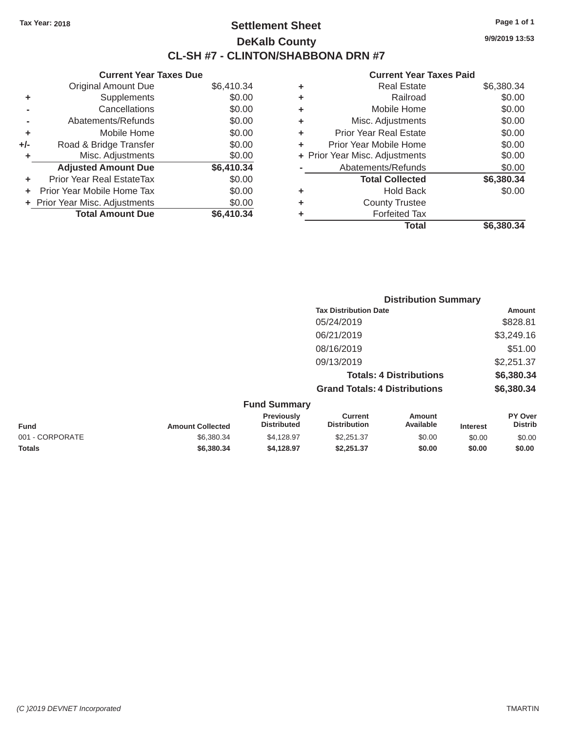# Tax Year: 2018 **Page 1 of 1 Settlement Sheet Page 1 of 1 Page 1 of 1 9/9/2019 13:53 DeKalb County CL-SH #7 - CLINTON/SHABBONA DRN #7**

| <b>Current Year Taxes Due</b> |            |   | <b>Current Year Taxes Paid</b> |            |
|-------------------------------|------------|---|--------------------------------|------------|
| al Amount Due                 | \$6,410.34 | ÷ | <b>Real Estate</b>             | \$6,380.34 |
| <b>Supplements</b>            | \$0.00     | ٠ | Railroad                       | \$0.00     |
| Cancellations                 | \$0.00     | ÷ | Mobile Home                    | \$0.00     |
| ments/Refunds                 | \$0.00     | ÷ | Misc. Adjustments              | \$0.00     |
| Mobile Home                   | \$0.00     | ÷ | <b>Prior Year Real Estate</b>  | \$0.00     |
| Bridge Transfer               | \$0.00     | ÷ | Prior Year Mobile Home         | \$0.00     |
| c. Adjustments                | \$0.00     |   | + Prior Year Misc. Adjustments | \$0.00     |
| d Amount Due                  | \$6,410.34 |   | Abatements/Refunds             | \$0.00     |
| Real EstateTax                | \$0.00     |   | <b>Total Collected</b>         | \$6,380.34 |
| bbile Home Tax                | \$0.00     | ÷ | <b>Hold Back</b>               | \$0.00     |
| c. Adjustments                | \$0.00     | ÷ | <b>County Trustee</b>          |            |
| I Amount Due                  | \$6,410.34 |   | <b>Forfeited Tax</b>           |            |
|                               |            |   | <b>Total</b>                   | \$6,380.34 |

|                | <b>Original Amount Due</b>     | \$6,410.34 |
|----------------|--------------------------------|------------|
| ٠              | Supplements                    | \$0.00     |
|                | Cancellations                  | \$0.00     |
| $\blacksquare$ | Abatements/Refunds             | \$0.00     |
| ÷              | Mobile Home                    | \$0.00     |
| +/-            | Road & Bridge Transfer         | \$0.00     |
| ٠              | Misc. Adjustments              | \$0.00     |
|                | <b>Adjusted Amount Due</b>     | \$6,410.34 |
| ٠              | Prior Year Real EstateTax      | \$0.00     |
| ٠              | Prior Year Mobile Home Tax     | \$0.00     |
|                | + Prior Year Misc. Adjustments | \$0.00     |
|                | <b>Total Amount Due</b>        | \$6,410.34 |

|                                     |                                      | <b>Distribution Summary</b>    |            |
|-------------------------------------|--------------------------------------|--------------------------------|------------|
|                                     | <b>Tax Distribution Date</b>         |                                | Amount     |
|                                     | 05/24/2019                           |                                | \$828.81   |
|                                     | 06/21/2019                           |                                | \$3,249.16 |
|                                     | 08/16/2019                           |                                | \$51.00    |
|                                     | 09/13/2019                           |                                | \$2,251.37 |
|                                     |                                      | <b>Totals: 4 Distributions</b> | \$6,380.34 |
|                                     | <b>Grand Totals: 4 Distributions</b> |                                | \$6,380.34 |
| <b>Fund Summary</b>                 |                                      |                                |            |
| Designed and a factor of the second |                                      |                                | <b>DIA</b> |

| <b>Fund</b>     | <b>Amount Collected</b> | <b>Previously</b><br><b>Distributed</b> | Current<br><b>Distribution</b> | Amount<br>Available | <b>Interest</b> | <b>PY Over</b><br>Distrib |
|-----------------|-------------------------|-----------------------------------------|--------------------------------|---------------------|-----------------|---------------------------|
| 001 - CORPORATE | \$6,380,34              | \$4.128.97                              | \$2,251,37                     | \$0.00              | \$0.00          | \$0.00                    |
| <b>Totals</b>   | \$6,380,34              | \$4.128.97                              | \$2.251.37                     | \$0.00              | \$0.00          | \$0.00                    |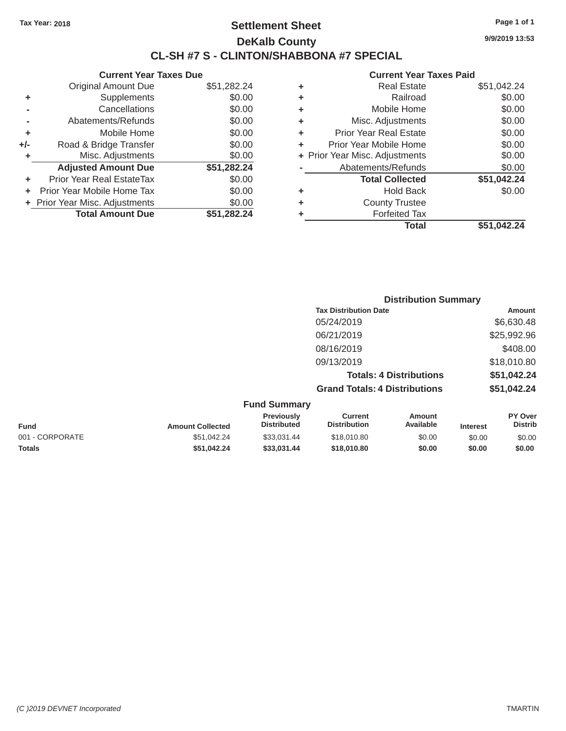# Tax Year: 2018 **Page 1 of 1 Settlement Sheet Page 1 of 1 Page 1 of 1 9/9/2019 13:53 DeKalb County CL-SH #7 S - CLINTON/SHABBONA #7 SPECIAL**

|       | <b>Current Year Taxes Due</b>  |             |
|-------|--------------------------------|-------------|
|       | <b>Original Amount Due</b>     | \$51,282.24 |
| ٠     | Supplements                    | \$0.00      |
|       | Cancellations                  | \$0.00      |
|       | Abatements/Refunds             | \$0.00      |
| ٠     | Mobile Home                    | \$0.00      |
| $+/-$ | Road & Bridge Transfer         | \$0.00      |
| ٠     | Misc. Adjustments              | \$0.00      |
|       | <b>Adjusted Amount Due</b>     | \$51,282.24 |
| ÷     | Prior Year Real EstateTax      | \$0.00      |
|       | Prior Year Mobile Home Tax     | \$0.00      |
|       | + Prior Year Misc. Adjustments | \$0.00      |
|       | <b>Total Amount Due</b>        | \$51.282.24 |
|       |                                |             |

|   | <b>Current Year Taxes Paid</b> |             |
|---|--------------------------------|-------------|
| ٠ | <b>Real Estate</b>             | \$51,042.24 |
| ٠ | Railroad                       | \$0.00      |
| ٠ | Mobile Home                    | \$0.00      |
| ٠ | Misc. Adjustments              | \$0.00      |
| ٠ | <b>Prior Year Real Estate</b>  | \$0.00      |
| ٠ | Prior Year Mobile Home         | \$0.00      |
|   | + Prior Year Misc. Adjustments | \$0.00      |
|   | Abatements/Refunds             | \$0.00      |
|   | <b>Total Collected</b>         | \$51,042.24 |
| ٠ | <b>Hold Back</b>               | \$0.00      |
|   | <b>County Trustee</b>          |             |
|   | <b>Forfeited Tax</b>           |             |
|   | Total                          | \$51,042.24 |
|   |                                |             |

|                         |                                         |                                       | <b>Distribution Summary</b>    |                 |                                  |
|-------------------------|-----------------------------------------|---------------------------------------|--------------------------------|-----------------|----------------------------------|
|                         |                                         | <b>Tax Distribution Date</b>          |                                |                 | Amount                           |
|                         |                                         | 05/24/2019                            |                                |                 | \$6,630.48                       |
|                         |                                         | 06/21/2019                            |                                |                 | \$25,992.96                      |
|                         |                                         | 08/16/2019                            |                                |                 | \$408.00                         |
|                         |                                         | 09/13/2019                            |                                |                 | \$18,010.80                      |
|                         |                                         |                                       | <b>Totals: 4 Distributions</b> |                 | \$51,042.24                      |
|                         |                                         | <b>Grand Totals: 4 Distributions</b>  |                                |                 | \$51,042.24                      |
|                         | <b>Fund Summary</b>                     |                                       |                                |                 |                                  |
| <b>Amount Collected</b> | <b>Previously</b><br><b>Distributed</b> | <b>Current</b><br><b>Distribution</b> | Amount<br>Available            | <b>Interest</b> | <b>PY Over</b><br><b>Distrib</b> |
|                         |                                         |                                       |                                |                 |                                  |

| <b>Fund</b>     | <b>Amount Collected</b> | .<br><b>Distributed</b> | -------<br><b>Distribution</b> | , ,,,, ,,,,,<br>Available | <b>Interest</b> | .<br>Distrib |
|-----------------|-------------------------|-------------------------|--------------------------------|---------------------------|-----------------|--------------|
| 001 - CORPORATE | \$51.042.24             | \$33.031.44             | \$18,010.80                    | \$0.00                    | \$0.00          | \$0.00       |
| <b>Totals</b>   | \$51.042.24             | \$33.031.44             | \$18,010.80                    | \$0.00                    | \$0.00          | \$0.00       |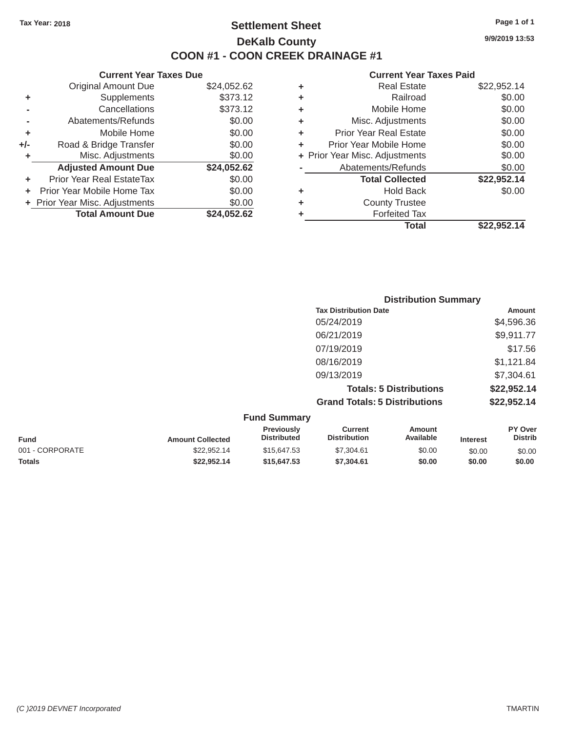### Tax Year: 2018 **Page 1 of 1 Page 1 of 1 Settlement Sheet Page 1 of 1 Page 1 of 1 9/9/2019 13:53 DeKalb County COON #1 - COON CREEK DRAINAGE #1**

#### **Current Year Taxes Due Current Year Taxes Paid**

|                |                                  |             |   | <b>Total</b>                   | \$22,952.14 |
|----------------|----------------------------------|-------------|---|--------------------------------|-------------|
|                | <b>Total Amount Due</b>          | \$24,052.62 |   | <b>Forfeited Tax</b>           |             |
|                | + Prior Year Misc. Adjustments   | \$0.00      | ٠ | <b>County Trustee</b>          |             |
|                | + Prior Year Mobile Home Tax     | \$0.00      | ٠ | <b>Hold Back</b>               | \$0.00      |
| ÷.             | <b>Prior Year Real EstateTax</b> | \$0.00      |   | <b>Total Collected</b>         | \$22,952.14 |
|                | <b>Adjusted Amount Due</b>       | \$24,052.62 |   | Abatements/Refunds             | \$0.00      |
| ÷.             | Misc. Adjustments                | \$0.00      |   | + Prior Year Misc. Adjustments | \$0.00      |
| J-             | Road & Bridge Transfer           | \$0.00      |   | Prior Year Mobile Home         | \$0.00      |
| ÷              | Mobile Home                      | \$0.00      | ٠ | <b>Prior Year Real Estate</b>  | \$0.00      |
|                | Abatements/Refunds               | \$0.00      | ٠ | Misc. Adjustments              | \$0.00      |
| $\blacksquare$ | Cancellations                    | \$373.12    |   | Mobile Home                    | \$0.00      |
| ÷              | Supplements                      | \$373.12    | ٠ | Railroad                       | \$0.00      |
|                | <b>Original Amount Due</b>       | \$24,052.62 | ٠ | <b>Real Estate</b>             | \$22,952.14 |
|                |                                  |             |   |                                |             |

|                     | <b>Distribution Summary</b>          |               |  |
|---------------------|--------------------------------------|---------------|--|
|                     | <b>Tax Distribution Date</b>         | <b>Amount</b> |  |
|                     | 05/24/2019                           | \$4,596.36    |  |
|                     | 06/21/2019                           | \$9,911.77    |  |
|                     | 07/19/2019                           | \$17.56       |  |
|                     | 08/16/2019                           | \$1,121.84    |  |
|                     | 09/13/2019                           | \$7,304.61    |  |
|                     | <b>Totals: 5 Distributions</b>       | \$22,952.14   |  |
|                     | <b>Grand Totals: 5 Distributions</b> | \$22,952.14   |  |
| <b>Fund Summary</b> |                                      |               |  |

| $\mathsf{u}$ nu Jummary |                         |                                         |                                |                     |                 |                           |
|-------------------------|-------------------------|-----------------------------------------|--------------------------------|---------------------|-----------------|---------------------------|
| <b>Fund</b>             | <b>Amount Collected</b> | <b>Previously</b><br><b>Distributed</b> | Current<br><b>Distribution</b> | Amount<br>Available | <b>Interest</b> | PY Over<br><b>Distrib</b> |
| 001 - CORPORATE         | \$22.952.14             | \$15,647.53                             | \$7,304.61                     | \$0.00              | \$0.00          | \$0.00                    |
| <b>Totals</b>           | \$22.952.14             | \$15,647.53                             | \$7,304,61                     | \$0.00              | \$0.00          | \$0.00                    |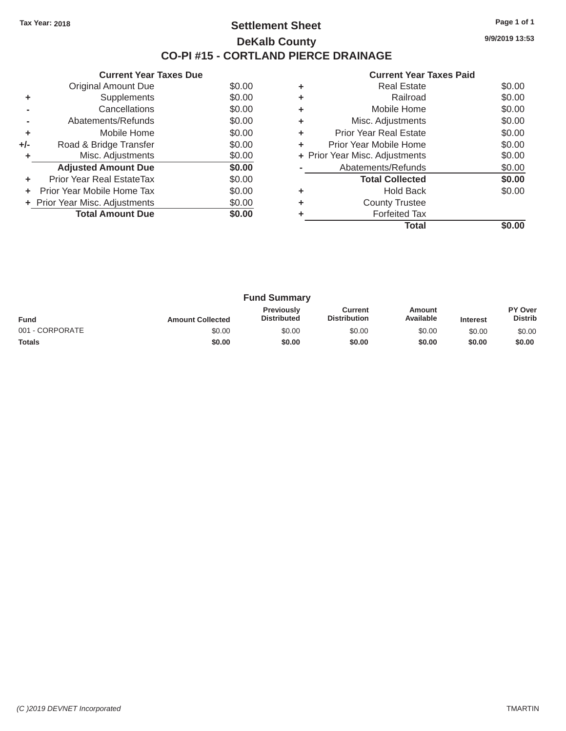## Tax Year: 2018 **Page 1 of 1 Settlement Sheet Page 1 of 1 Page 1 of 1 9/9/2019 13:53 DeKalb County CO-PI #15 - CORTLAND PIERCE DRAINAGE**

| GUITENT I GAL TAAGS DUG |                                |        | Gulltill Ital Taxts Falu |                                |                |  |
|-------------------------|--------------------------------|--------|--------------------------|--------------------------------|----------------|--|
|                         | Original Amount Due            | \$0.00 | ٠                        | <b>Real Estate</b>             | \$0.00         |  |
|                         | <b>Supplements</b>             | \$0.00 |                          | Railroad                       | \$0.00         |  |
|                         | Cancellations                  | \$0.00 | ٠                        | Mobile Home                    | \$0.00         |  |
|                         | Abatements/Refunds             | \$0.00 | ٠                        | Misc. Adjustments              | \$0.00         |  |
| ÷                       | Mobile Home                    | \$0.00 | ٠                        | <b>Prior Year Real Estate</b>  | \$0.00         |  |
| $+/-$                   | Road & Bridge Transfer         | \$0.00 | ٠                        | Prior Year Mobile Home         | \$0.00         |  |
|                         | Misc. Adjustments              | \$0.00 |                          | + Prior Year Misc. Adjustments | \$0.00         |  |
|                         | <b>Adjusted Amount Due</b>     | \$0.00 |                          | Abatements/Refunds             | \$0.00         |  |
| ÷                       | Prior Year Real EstateTax      | \$0.00 |                          | <b>Total Collected</b>         | \$0.00         |  |
|                         | Prior Year Mobile Home Tax     | \$0.00 | ٠                        | <b>Hold Back</b>               | \$0.00         |  |
|                         | + Prior Year Misc. Adjustments | \$0.00 | ٠                        | <b>County Trustee</b>          |                |  |
|                         | <b>Total Amount Due</b>        | \$0.00 |                          | <b>Forfeited Tax</b>           |                |  |
|                         |                                |        |                          | エー・エー                          | 0 <sub>0</sub> |  |

|                            |        |   | <b>Total</b>                   | \$0.00 |
|----------------------------|--------|---|--------------------------------|--------|
| <b>Total Amount Due</b>    | \$0.00 | ٠ | <b>Forfeited Tax</b>           |        |
| Year Misc. Adjustments     | \$0.00 | ÷ | <b>County Trustee</b>          |        |
| r Year Mobile Home Tax     | \$0.00 | ÷ | <b>Hold Back</b>               | \$0.00 |
| ior Year Real EstateTax    | \$0.00 |   | <b>Total Collected</b>         | \$0.00 |
| <b>Adjusted Amount Due</b> | \$0.00 |   | Abatements/Refunds             | \$0.00 |
| Misc. Adjustments          | \$0.00 |   | + Prior Year Misc. Adjustments | \$0.00 |
| Road & Bridge Transfer     | \$0.00 | ÷ | Prior Year Mobile Home         | \$0.00 |
| Mobile Home                | \$0.00 | ÷ | <b>Prior Year Real Estate</b>  | \$0.00 |
| Abatements/Refunds         | \$0.00 | ÷ | Misc. Adjustments              | \$0.00 |
| Cancellations              | \$0.00 | ÷ | Mobile Home                    | \$0.00 |
| Supplements                | \$0.00 | ٠ | Railroad                       | \$0.00 |
| <b>Original Amount Due</b> | \$0.00 | ÷ | <b>Real Estate</b>             | \$0.00 |
|                            |        |   |                                |        |

|                 |                         | <b>Fund Summary</b>                     |                                |                     |                 |                           |
|-----------------|-------------------------|-----------------------------------------|--------------------------------|---------------------|-----------------|---------------------------|
| <b>Fund</b>     | <b>Amount Collected</b> | <b>Previously</b><br><b>Distributed</b> | Current<br><b>Distribution</b> | Amount<br>Available | <b>Interest</b> | PY Over<br><b>Distrib</b> |
| 001 - CORPORATE | \$0.00                  | \$0.00                                  | \$0.00                         | \$0.00              | \$0.00          | \$0.00                    |
| Totals          | \$0.00                  | \$0.00                                  | \$0.00                         | \$0.00              | \$0.00          | \$0.00                    |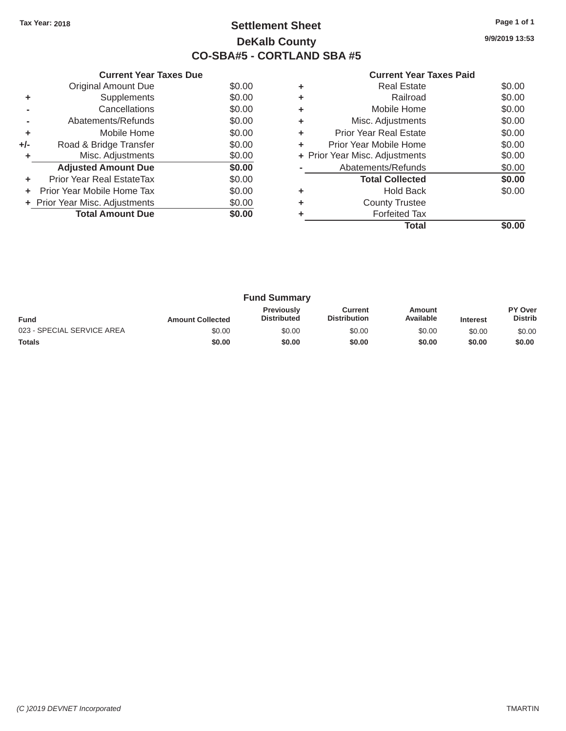# Tax Year: 2018 **Page 1 of 1 Settlement Sheet Page 1 of 1 Page 1 of 1 9/9/2019 13:53 DeKalb County CO-SBA#5 - CORTLAND SBA #5**

| <b>Current Year Taxes Paid</b> |  |  |
|--------------------------------|--|--|
|                                |  |  |

| <b>Current Year Taxes Due</b> |                                  |        | <b>Current Year Taxes Paid</b> |                                |        |  |
|-------------------------------|----------------------------------|--------|--------------------------------|--------------------------------|--------|--|
|                               | Original Amount Due              | \$0.00 | ٠                              | <b>Real Estate</b>             | \$0.00 |  |
|                               | <b>Supplements</b>               | \$0.00 | ٠                              | Railroad                       | \$0.00 |  |
|                               | Cancellations                    | \$0.00 | ٠                              | Mobile Home                    | \$0.00 |  |
|                               | Abatements/Refunds               | \$0.00 | ÷.                             | Misc. Adjustments              | \$0.00 |  |
|                               | Mobile Home                      | \$0.00 | ÷.                             | <b>Prior Year Real Estate</b>  | \$0.00 |  |
| $+/-$                         | Road & Bridge Transfer           | \$0.00 | ÷.                             | Prior Year Mobile Home         | \$0.00 |  |
|                               | Misc. Adjustments                | \$0.00 |                                | + Prior Year Misc. Adjustments | \$0.00 |  |
|                               | <b>Adjusted Amount Due</b>       | \$0.00 |                                | Abatements/Refunds             | \$0.00 |  |
|                               | <b>Prior Year Real EstateTax</b> | \$0.00 |                                | <b>Total Collected</b>         | \$0.00 |  |
|                               | Prior Year Mobile Home Tax       | \$0.00 | ٠                              | <b>Hold Back</b>               | \$0.00 |  |
|                               | + Prior Year Misc. Adjustments   | \$0.00 | ٠                              | <b>County Trustee</b>          |        |  |
|                               | <b>Total Amount Due</b>          | \$0.00 |                                | <b>Forfeited Tax</b>           |        |  |
|                               |                                  |        |                                | $T - 1 - 1$                    | 0000   |  |

|                            |        |   | <b>Total</b>                   | \$0.00 |
|----------------------------|--------|---|--------------------------------|--------|
| <b>Total Amount Due</b>    | \$0.00 | ٠ | <b>Forfeited Tax</b>           |        |
| Year Misc. Adjustments     | \$0.00 | ٠ | <b>County Trustee</b>          |        |
| r Year Mobile Home Tax     | \$0.00 | ٠ | <b>Hold Back</b>               | \$0.00 |
| ior Year Real EstateTax    | \$0.00 |   | <b>Total Collected</b>         | \$0.00 |
| <b>Adjusted Amount Due</b> | \$0.00 |   | Abatements/Refunds             | \$0.00 |
| Misc. Adjustments          | \$0.00 |   | + Prior Year Misc. Adjustments | \$0.00 |
| Road & Bridge Transfer     | \$0.00 | ٠ | Prior Year Mobile Home         | \$0.00 |
| Mobile Home                | \$0.00 | ٠ | <b>Prior Year Real Estate</b>  | \$0.00 |
| Abatements/Refunds         | \$0.00 | ٠ | Misc. Adjustments              | \$0.00 |
| Cancellations              | \$0.00 | ٠ | Mobile Home                    | \$0.00 |
| Supplements                | \$0.00 | ÷ | Railroad                       | \$0.00 |
| <b>Original Amount Due</b> | \$0.00 | ٠ | <b>Real Estate</b>             | \$0.00 |
|                            |        |   |                                |        |

|                            |                         | <b>Fund Summary</b>                     |                                |                     |                 |                           |
|----------------------------|-------------------------|-----------------------------------------|--------------------------------|---------------------|-----------------|---------------------------|
| <b>Fund</b>                | <b>Amount Collected</b> | <b>Previously</b><br><b>Distributed</b> | Current<br><b>Distribution</b> | Amount<br>Available | <b>Interest</b> | PY Over<br><b>Distrib</b> |
| 023 - SPECIAL SERVICE AREA | \$0.00                  | \$0.00                                  | \$0.00                         | \$0.00              | \$0.00          | \$0.00                    |
| <b>Totals</b>              | \$0.00                  | \$0.00                                  | \$0.00                         | \$0.00              | \$0.00          | \$0.00                    |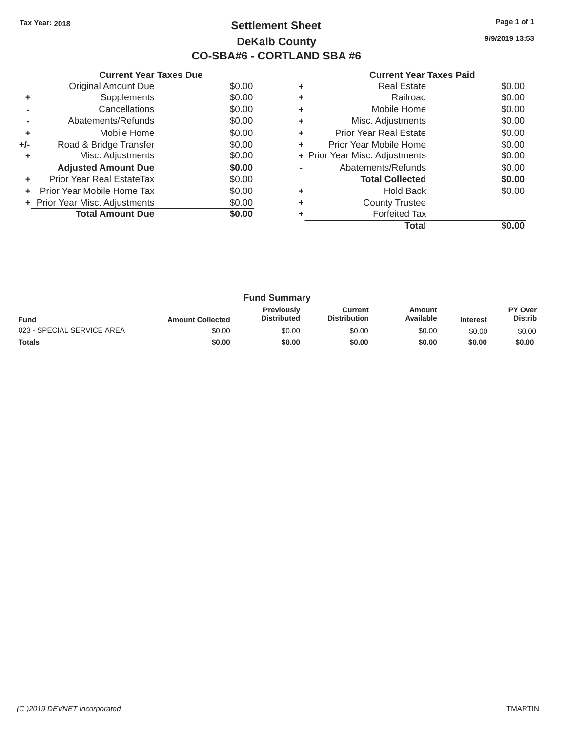# Tax Year: 2018 **Page 1 of 1 Settlement Sheet Page 1 of 1 Page 1 of 1 9/9/2019 13:53 DeKalb County CO-SBA#6 - CORTLAND SBA #6**

| <b>Current Year Taxes Paid</b> |  |  |  |  |
|--------------------------------|--|--|--|--|
|--------------------------------|--|--|--|--|

| <b>Current Year Taxes Due</b> |                                  |        | <b>Current Year Taxes Paid</b> |                                |        |  |
|-------------------------------|----------------------------------|--------|--------------------------------|--------------------------------|--------|--|
|                               | Original Amount Due              | \$0.00 | ٠                              | <b>Real Estate</b>             | \$0.00 |  |
|                               | Supplements                      | \$0.00 | ٠                              | Railroad                       | \$0.00 |  |
|                               | Cancellations                    | \$0.00 |                                | Mobile Home                    | \$0.00 |  |
|                               | Abatements/Refunds               | \$0.00 | ٠                              | Misc. Adjustments              | \$0.00 |  |
| ÷                             | Mobile Home                      | \$0.00 | ٠                              | <b>Prior Year Real Estate</b>  | \$0.00 |  |
| $+/-$                         | Road & Bridge Transfer           | \$0.00 | ÷.                             | Prior Year Mobile Home         | \$0.00 |  |
|                               | Misc. Adjustments                | \$0.00 |                                | + Prior Year Misc. Adjustments | \$0.00 |  |
|                               | <b>Adjusted Amount Due</b>       | \$0.00 |                                | Abatements/Refunds             | \$0.00 |  |
|                               | <b>Prior Year Real EstateTax</b> | \$0.00 |                                | <b>Total Collected</b>         | \$0.00 |  |
| ÷.                            | Prior Year Mobile Home Tax       | \$0.00 | ٠                              | <b>Hold Back</b>               | \$0.00 |  |
|                               | + Prior Year Misc. Adjustments   | \$0.00 | ٠                              | <b>County Trustee</b>          |        |  |
|                               | <b>Total Amount Due</b>          | \$0.00 |                                | <b>Forfeited Tax</b>           |        |  |
|                               |                                  |        |                                | Tatal                          | 0000   |  |

|                            |        |   | Total                          | \$0.00 |
|----------------------------|--------|---|--------------------------------|--------|
| <b>Total Amount Due</b>    | \$0.00 | ٠ | <b>Forfeited Tax</b>           |        |
| Year Misc. Adjustments     | \$0.00 | ٠ | <b>County Trustee</b>          |        |
| r Year Mobile Home Tax     | \$0.00 | ÷ | <b>Hold Back</b>               | \$0.00 |
| ior Year Real EstateTax    | \$0.00 |   | <b>Total Collected</b>         | \$0.00 |
| <b>Adjusted Amount Due</b> | \$0.00 |   | Abatements/Refunds             | \$0.00 |
| Misc. Adjustments          | \$0.00 |   | + Prior Year Misc. Adjustments | \$0.00 |
| Road & Bridge Transfer     | \$0.00 | ÷ | Prior Year Mobile Home         | \$0.00 |
| Mobile Home                | \$0.00 | ÷ | <b>Prior Year Real Estate</b>  | \$0.00 |
| Abatements/Refunds         | \$0.00 | ÷ | Misc. Adjustments              | \$0.00 |
| Cancellations              | \$0.00 | ÷ | Mobile Home                    | \$0.00 |
| Supplements                | \$0.00 | ٠ | Railroad                       | \$0.00 |
| <b>Original Amount Due</b> | \$0.00 | ÷ | <b>Real Estate</b>             | \$0.00 |
|                            |        |   |                                |        |

|                            |                         | <b>Fund Summary</b>                     |                                |                     |                 |                           |
|----------------------------|-------------------------|-----------------------------------------|--------------------------------|---------------------|-----------------|---------------------------|
| <b>Fund</b>                | <b>Amount Collected</b> | <b>Previously</b><br><b>Distributed</b> | Current<br><b>Distribution</b> | Amount<br>Available | <b>Interest</b> | PY Over<br><b>Distrib</b> |
| 023 - SPECIAL SERVICE AREA | \$0.00                  | \$0.00                                  | \$0.00                         | \$0.00              | \$0.00          | \$0.00                    |
| <b>Totals</b>              | \$0.00                  | \$0.00                                  | \$0.00                         | \$0.00              | \$0.00          | \$0.00                    |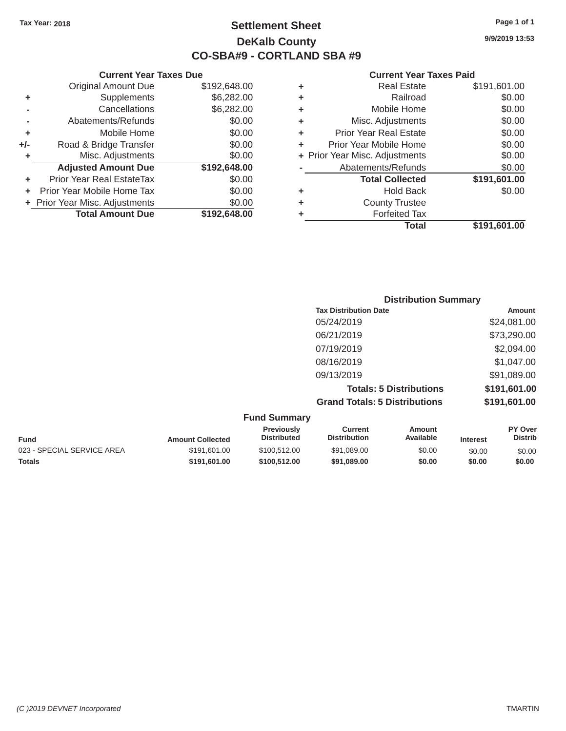# Tax Year: 2018 **Page 1 of 1 Settlement Sheet Page 1 of 1 Page 1 of 1 9/9/2019 13:53 DeKalb County CO-SBA#9 - CORTLAND SBA #9**

### **Current Year Taxes Paid**

|                            |                                                                |   | Total                         | \$191,601.00                   |
|----------------------------|----------------------------------------------------------------|---|-------------------------------|--------------------------------|
| <b>Total Amount Due</b>    | \$192,648.00                                                   |   | <b>Forfeited Tax</b>          |                                |
|                            | \$0.00                                                         | ٠ | <b>County Trustee</b>         |                                |
|                            | \$0.00                                                         | ٠ | <b>Hold Back</b>              | \$0.00                         |
| Prior Year Real EstateTax  | \$0.00                                                         |   | <b>Total Collected</b>        | \$191,601.00                   |
| <b>Adjusted Amount Due</b> | \$192,648.00                                                   |   | Abatements/Refunds            | \$0.00                         |
| Misc. Adjustments          | \$0.00                                                         |   |                               | \$0.00                         |
| Road & Bridge Transfer     | \$0.00                                                         | ٠ | Prior Year Mobile Home        | \$0.00                         |
| Mobile Home                | \$0.00                                                         | ٠ | <b>Prior Year Real Estate</b> | \$0.00                         |
| Abatements/Refunds         | \$0.00                                                         | ٠ | Misc. Adjustments             | \$0.00                         |
| Cancellations              | \$6,282.00                                                     | ٠ | Mobile Home                   | \$0.00                         |
| Supplements                | \$6,282.00                                                     | ٠ | Railroad                      | \$0.00                         |
| <b>Original Amount Due</b> | \$192,648.00                                                   | ٠ | <b>Real Estate</b>            | \$191,601.00                   |
| ٠<br>I-                    | + Prior Year Mobile Home Tax<br>+ Prior Year Misc. Adjustments |   |                               | + Prior Year Misc. Adjustments |

|     | <b>Current Year Taxes Due</b>  |              |   | <b>Current Year</b>            |
|-----|--------------------------------|--------------|---|--------------------------------|
|     | <b>Original Amount Due</b>     | \$192,648.00 | ٠ | <b>Real Estate</b>             |
| ٠   | Supplements                    | \$6,282.00   | ٠ | Railroad                       |
|     | Cancellations                  | \$6,282.00   | ٠ | Mobile Home                    |
|     | Abatements/Refunds             | \$0.00       | ٠ | Misc. Adjustments              |
| ٠   | Mobile Home                    | \$0.00       | ٠ | <b>Prior Year Real Estate</b>  |
| +/- | Road & Bridge Transfer         | \$0.00       | ٠ | Prior Year Mobile Home         |
|     | Misc. Adjustments              | \$0.00       |   | + Prior Year Misc. Adjustments |
|     | <b>Adjusted Amount Due</b>     | \$192,648.00 |   | Abatements/Refunds             |
| ٠   | Prior Year Real EstateTax      | \$0.00       |   | <b>Total Collected</b>         |
| ٠   | Prior Year Mobile Home Tax     | \$0.00       | ٠ | Hold Back                      |
|     | + Prior Year Misc. Adjustments | \$0.00       | ÷ | <b>County Trustee</b>          |
|     | <b>Total Amount Due</b>        | \$192,648.00 | ٠ | <b>Forfeited Tax</b>           |

| <b>Distribution Summary</b>          |              |
|--------------------------------------|--------------|
| <b>Tax Distribution Date</b>         | Amount       |
| 05/24/2019                           | \$24,081.00  |
| 06/21/2019                           | \$73,290.00  |
| 07/19/2019                           | \$2,094.00   |
| 08/16/2019                           | \$1,047.00   |
| 09/13/2019                           | \$91,089.00  |
| <b>Totals: 5 Distributions</b>       | \$191,601.00 |
| <b>Grand Totals: 5 Distributions</b> | \$191,601.00 |

|                            |                         | <b>Fund Summary</b>                     |                                |                     |                 |                                  |
|----------------------------|-------------------------|-----------------------------------------|--------------------------------|---------------------|-----------------|----------------------------------|
| Fund                       | <b>Amount Collected</b> | <b>Previously</b><br><b>Distributed</b> | Current<br><b>Distribution</b> | Amount<br>Available | <b>Interest</b> | <b>PY Over</b><br><b>Distrib</b> |
| 023 - SPECIAL SERVICE AREA | \$191.601.00            | \$100,512,00                            | \$91,089.00                    | \$0.00              | \$0.00          | \$0.00                           |
| Totals                     | \$191.601.00            | \$100,512,00                            | \$91,089,00                    | \$0.00              | \$0.00          | \$0.00                           |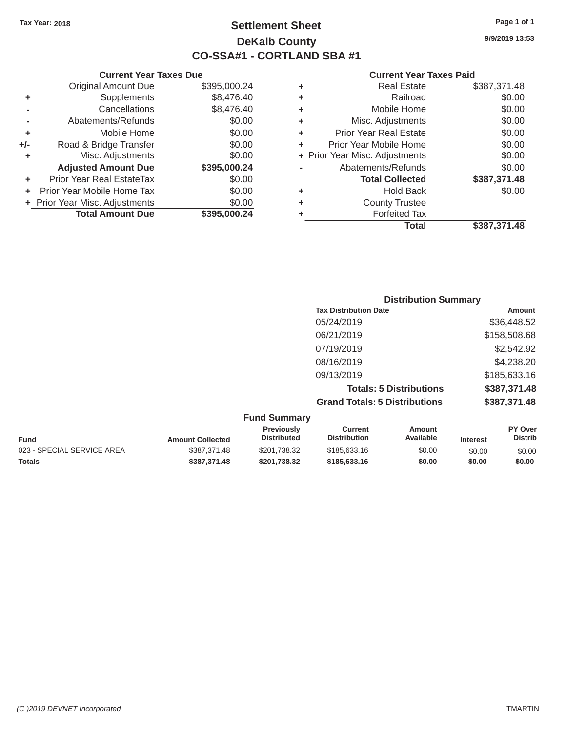# Tax Year: 2018 **Page 1 of 1 Settlement Sheet Page 1 of 1 Page 1 of 1 9/9/2019 13:53 DeKalb County CO-SSA#1 - CORTLAND SBA #1**

|                |                                |              |   | Total                          | \$387,371.48 |
|----------------|--------------------------------|--------------|---|--------------------------------|--------------|
|                | <b>Total Amount Due</b>        | \$395,000.24 |   | <b>Forfeited Tax</b>           |              |
|                | + Prior Year Misc. Adjustments | \$0.00       | ٠ | <b>County Trustee</b>          |              |
|                | + Prior Year Mobile Home Tax   | \$0.00       | ÷ | <b>Hold Back</b>               | \$0.00       |
| ٠              | Prior Year Real EstateTax      | \$0.00       |   | <b>Total Collected</b>         | \$387,371.48 |
|                | <b>Adjusted Amount Due</b>     | \$395,000.24 |   | Abatements/Refunds             | \$0.00       |
| ٠              | Misc. Adjustments              | \$0.00       |   | + Prior Year Misc. Adjustments | \$0.00       |
| I-             | Road & Bridge Transfer         | \$0.00       | ٠ | Prior Year Mobile Home         | \$0.00       |
| ٠              | Mobile Home                    | \$0.00       | ٠ | <b>Prior Year Real Estate</b>  | \$0.00       |
|                | Abatements/Refunds             | \$0.00       | ٠ | Misc. Adjustments              | \$0.00       |
| $\blacksquare$ | Cancellations                  | \$8,476.40   | ٠ | Mobile Home                    | \$0.00       |
| ٠              | <b>Supplements</b>             | \$8,476.40   | ٠ | Railroad                       | \$0.00       |
|                | <b>Original Amount Due</b>     | \$395,000.24 | ٠ | <b>Real Estate</b>             | \$387,371.48 |

| <b>UUITEIIL IEAI</b>           |   |              | GUITENT I GAL TAAGS DUG          |     |
|--------------------------------|---|--------------|----------------------------------|-----|
| <b>Real Estate</b>             | ٠ | \$395,000.24 | Original Amount Due              |     |
| Railroad                       | ٠ | \$8,476.40   | Supplements                      | ٠   |
| Mobile Home                    | ÷ | \$8,476.40   | Cancellations                    |     |
| Misc. Adjustments              | ٠ | \$0.00       | Abatements/Refunds               |     |
| <b>Prior Year Real Estate</b>  | ٠ | \$0.00       | Mobile Home                      | ÷   |
| Prior Year Mobile Home         | ٠ | \$0.00       | Road & Bridge Transfer           | +/- |
| + Prior Year Misc. Adjustments |   | \$0.00       | Misc. Adjustments                | ٠   |
| Abatements/Refunds             |   | \$395,000.24 | <b>Adjusted Amount Due</b>       |     |
| <b>Total Collected</b>         |   | \$0.00       | <b>Prior Year Real EstateTax</b> | ٠   |
| <b>Hold Back</b>               | ٠ | \$0.00       | Prior Year Mobile Home Tax       | ÷.  |
| <b>County Trustee</b>          | ٠ | \$0.00       | + Prior Year Misc. Adjustments   |     |
| <b>Forfeited Tax</b>           | ٠ | \$395,000.24 | <b>Total Amount Due</b>          |     |

| <b>Distribution Summary</b>          |              |
|--------------------------------------|--------------|
| <b>Tax Distribution Date</b>         | Amount       |
| 05/24/2019                           | \$36,448.52  |
| 06/21/2019                           | \$158,508.68 |
| 07/19/2019                           | \$2,542.92   |
| 08/16/2019                           | \$4,238.20   |
| 09/13/2019                           | \$185,633.16 |
| <b>Totals: 5 Distributions</b>       | \$387,371.48 |
| <b>Grand Totals: 5 Distributions</b> | \$387,371.48 |

| <b>Fund Summary</b> |
|---------------------|
|---------------------|

| <b>Fund</b>                | <b>Amount Collected</b> | <b>Previously</b><br><b>Distributed</b> | Current<br><b>Distribution</b> | Amount<br>Available | <b>Interest</b> | <b>PY Over</b><br><b>Distrib</b> |
|----------------------------|-------------------------|-----------------------------------------|--------------------------------|---------------------|-----------------|----------------------------------|
| 023 - SPECIAL SERVICE AREA | \$387.371.48            | \$201.738.32                            | \$185,633,16                   | \$0.00              | \$0.00          | \$0.00                           |
| <b>Totals</b>              | \$387.371.48            | \$201.738.32                            | \$185,633,16                   | \$0.00              | \$0.00          | \$0.00                           |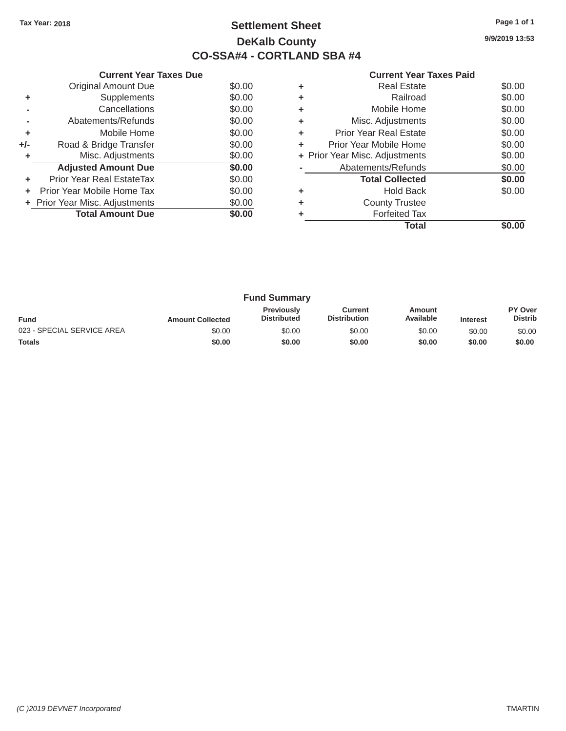# Tax Year: 2018 **Page 1 of 1 Settlement Sheet Page 1 of 1 Page 1 of 1 9/9/2019 13:53 DeKalb County CO-SSA#4 - CORTLAND SBA #4**

| <b>Current Year Taxes Paid</b> |  |  |
|--------------------------------|--|--|
|                                |  |  |

|       | <b>Current Year Taxes Due</b>    |        |    | <b>Current Year Taxes Paid</b> |                                               |
|-------|----------------------------------|--------|----|--------------------------------|-----------------------------------------------|
|       | Original Amount Due              | \$0.00 | ٠  | <b>Real Estate</b>             | \$0.00                                        |
|       | Supplements                      | \$0.00 | ٠  | Railroad                       | \$0.00                                        |
|       | Cancellations                    | \$0.00 | ٠  | Mobile Home                    | \$0.00                                        |
|       | Abatements/Refunds               | \$0.00 | ٠  | Misc. Adjustments              | \$0.00                                        |
| ٠     | Mobile Home                      | \$0.00 | ٠  | <b>Prior Year Real Estate</b>  | \$0.00                                        |
| $+/-$ | Road & Bridge Transfer           | \$0.00 | ÷. | Prior Year Mobile Home         | \$0.00                                        |
|       | Misc. Adjustments                | \$0.00 |    | + Prior Year Misc. Adjustments | \$0.00                                        |
|       | <b>Adjusted Amount Due</b>       | \$0.00 |    | Abatements/Refunds             | \$0.00                                        |
| ٠     | <b>Prior Year Real EstateTax</b> | \$0.00 |    | <b>Total Collected</b>         | \$0.00                                        |
|       | Prior Year Mobile Home Tax       | \$0.00 | ٠  | <b>Hold Back</b>               | \$0.00                                        |
|       | + Prior Year Misc. Adjustments   | \$0.00 | ٠  | <b>County Trustee</b>          |                                               |
|       | <b>Total Amount Due</b>          | \$0.00 |    | <b>Forfeited Tax</b>           |                                               |
|       |                                  |        |    |                                | $\mathbf{A} \mathbf{A} \mathbf{A} \mathbf{A}$ |

|                            |        |   | <b>Total</b>                   | \$0.00 |
|----------------------------|--------|---|--------------------------------|--------|
| <b>Total Amount Due</b>    | \$0.00 | ٠ | <b>Forfeited Tax</b>           |        |
| Year Misc. Adjustments     | \$0.00 | ٠ | <b>County Trustee</b>          |        |
| r Year Mobile Home Tax     | \$0.00 | ٠ | <b>Hold Back</b>               | \$0.00 |
| ior Year Real EstateTax    | \$0.00 |   | <b>Total Collected</b>         | \$0.00 |
| <b>Adjusted Amount Due</b> | \$0.00 |   | Abatements/Refunds             | \$0.00 |
| Misc. Adjustments          | \$0.00 |   | + Prior Year Misc. Adjustments | \$0.00 |
| Road & Bridge Transfer     | \$0.00 | ÷ | Prior Year Mobile Home         | \$0.00 |
| Mobile Home                | \$0.00 | ٠ | <b>Prior Year Real Estate</b>  | \$0.00 |
| Abatements/Refunds         | \$0.00 | ٠ | Misc. Adjustments              | \$0.00 |
| Cancellations              | \$0.00 | ٠ | Mobile Home                    | \$0.00 |
| <b>Supplements</b>         | \$0.00 | ٠ | Railroad                       | \$0.00 |
| <b>Original Amount Due</b> | \$0.00 | ÷ | <b>Real Estate</b>             | \$0.00 |
|                            |        |   |                                |        |

| <b>Fund Summary</b>        |                         |                                         |                                |                     |                 |                           |
|----------------------------|-------------------------|-----------------------------------------|--------------------------------|---------------------|-----------------|---------------------------|
| <b>Fund</b>                | <b>Amount Collected</b> | <b>Previously</b><br><b>Distributed</b> | Current<br><b>Distribution</b> | Amount<br>Available | <b>Interest</b> | PY Over<br><b>Distrib</b> |
| 023 - SPECIAL SERVICE AREA | \$0.00                  | \$0.00                                  | \$0.00                         | \$0.00              | \$0.00          | \$0.00                    |
| <b>Totals</b>              | \$0.00                  | \$0.00                                  | \$0.00                         | \$0.00              | \$0.00          | \$0.00                    |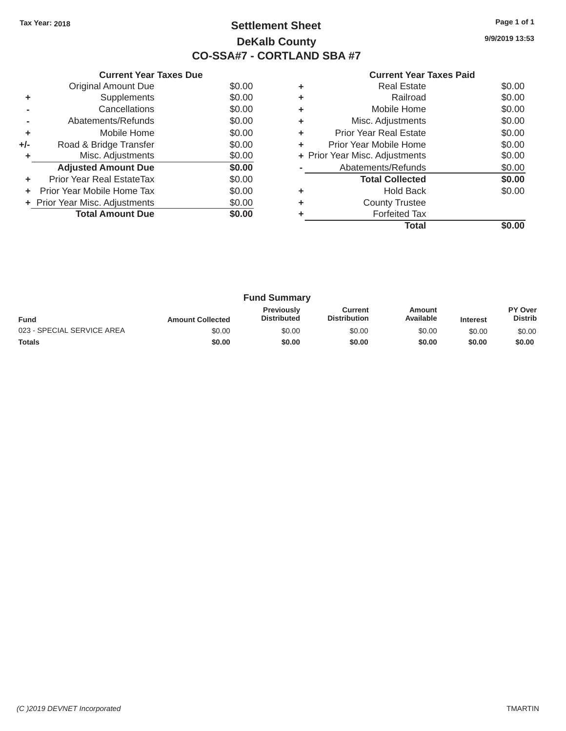# Tax Year: 2018 **Page 1 of 1 Settlement Sheet Page 1 of 1 Page 1 of 1 9/9/2019 13:53 DeKalb County CO-SSA#7 - CORTLAND SBA #7**

|       | <b>Original Amount Due</b>       | \$0.00 | ٠  | <b>Real Estate</b>             | \$0.00       |
|-------|----------------------------------|--------|----|--------------------------------|--------------|
|       | <b>Supplements</b>               | \$0.00 | ٠  | Railroad                       | \$0.00       |
|       | Cancellations                    | \$0.00 | ٠  | Mobile Home                    | \$0.00       |
|       | Abatements/Refunds               | \$0.00 | ÷. | Misc. Adjustments              | \$0.00       |
| ٠     | Mobile Home                      | \$0.00 | ÷. | <b>Prior Year Real Estate</b>  | \$0.00       |
| $+/-$ | Road & Bridge Transfer           | \$0.00 | ÷. | Prior Year Mobile Home         | \$0.00       |
|       | Misc. Adjustments                | \$0.00 |    | + Prior Year Misc. Adjustments | \$0.00       |
|       | <b>Adjusted Amount Due</b>       | \$0.00 |    | Abatements/Refunds             | \$0.00       |
|       | <b>Prior Year Real EstateTax</b> | \$0.00 |    | <b>Total Collected</b>         | \$0.00       |
|       | + Prior Year Mobile Home Tax     | \$0.00 | ٠  | <b>Hold Back</b>               | \$0.00       |
|       | + Prior Year Misc. Adjustments   | \$0.00 |    | <b>County Trustee</b>          |              |
|       | <b>Total Amount Due</b>          | \$0.00 |    | <b>Forfeited Tax</b>           |              |
|       |                                  |        |    | <b>Total</b>                   | <b>¢ስ ሰሰ</b> |

| Supplements                |        |   |                                | \$0.00 |
|----------------------------|--------|---|--------------------------------|--------|
| Cancellations              | \$0.00 | ÷ | Mobile Home                    | \$0.00 |
| Abatements/Refunds         | \$0.00 | ÷ | Misc. Adjustments              | \$0.00 |
| Mobile Home                | \$0.00 | ٠ | <b>Prior Year Real Estate</b>  | \$0.00 |
| Road & Bridge Transfer     | \$0.00 | ÷ | Prior Year Mobile Home         | \$0.00 |
| Misc. Adjustments          | \$0.00 |   | + Prior Year Misc. Adjustments | \$0.00 |
| <b>Adjusted Amount Due</b> | \$0.00 |   | Abatements/Refunds             | \$0.00 |
| ior Year Real EstateTax    | \$0.00 |   | <b>Total Collected</b>         | \$0.00 |
| r Year Mobile Home Tax     | \$0.00 | ÷ | <b>Hold Back</b>               | \$0.00 |
| Year Misc. Adjustments     | \$0.00 | ٠ | <b>County Trustee</b>          |        |
| <b>Total Amount Due</b>    | \$0.00 | ٠ | <b>Forfeited Tax</b>           |        |
|                            |        |   | <b>Total</b>                   | \$0.00 |
|                            |        |   |                                |        |

|                            |                         | <b>Fund Summary</b>                     |                                |                     |                 |                           |
|----------------------------|-------------------------|-----------------------------------------|--------------------------------|---------------------|-----------------|---------------------------|
| <b>Fund</b>                | <b>Amount Collected</b> | <b>Previously</b><br><b>Distributed</b> | Current<br><b>Distribution</b> | Amount<br>Available | <b>Interest</b> | PY Over<br><b>Distrib</b> |
| 023 - SPECIAL SERVICE AREA | \$0.00                  | \$0.00                                  | \$0.00                         | \$0.00              | \$0.00          | \$0.00                    |
| <b>Totals</b>              | \$0.00                  | \$0.00                                  | \$0.00                         | \$0.00              | \$0.00          | \$0.00                    |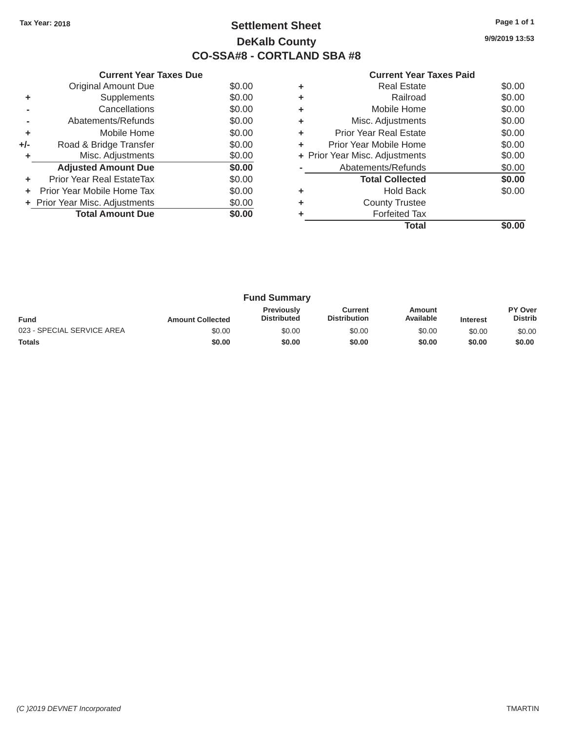# Tax Year: 2018 **Page 1 of 1 Settlement Sheet Page 1 of 1 Page 1 of 1 9/9/2019 13:53 DeKalb County CO-SSA#8 - CORTLAND SBA #8**

| <b>Current Year Taxes Paid</b> |  |  |
|--------------------------------|--|--|
|                                |  |  |

|       | <b>Current Year Taxes Due</b>    |        |    | <b>Current Year Taxes Paid</b> |                                               |
|-------|----------------------------------|--------|----|--------------------------------|-----------------------------------------------|
|       | Original Amount Due              | \$0.00 | ٠  | <b>Real Estate</b>             | \$0.00                                        |
|       | Supplements                      | \$0.00 | ٠  | Railroad                       | \$0.00                                        |
|       | Cancellations                    | \$0.00 | ٠  | Mobile Home                    | \$0.00                                        |
|       | Abatements/Refunds               | \$0.00 | ٠  | Misc. Adjustments              | \$0.00                                        |
|       | Mobile Home                      | \$0.00 | ÷. | <b>Prior Year Real Estate</b>  | \$0.00                                        |
| $+/-$ | Road & Bridge Transfer           | \$0.00 |    | Prior Year Mobile Home         | \$0.00                                        |
|       | Misc. Adjustments                | \$0.00 |    | + Prior Year Misc. Adjustments | \$0.00                                        |
|       | <b>Adjusted Amount Due</b>       | \$0.00 |    | Abatements/Refunds             | \$0.00                                        |
| ÷     | <b>Prior Year Real EstateTax</b> | \$0.00 |    | <b>Total Collected</b>         | \$0.00                                        |
|       | Prior Year Mobile Home Tax       | \$0.00 | ÷. | <b>Hold Back</b>               | \$0.00                                        |
|       | + Prior Year Misc. Adjustments   | \$0.00 | ٠  | <b>County Trustee</b>          |                                               |
|       | <b>Total Amount Due</b>          | \$0.00 |    | <b>Forfeited Tax</b>           |                                               |
|       |                                  |        |    | アーチール                          | $\mathbf{A} \mathbf{A} \mathbf{A} \mathbf{A}$ |

|                            |        |   | <b>Total</b>                   | \$0.00 |
|----------------------------|--------|---|--------------------------------|--------|
| <b>Total Amount Due</b>    | \$0.00 | ٠ | <b>Forfeited Tax</b>           |        |
| Year Misc. Adjustments     | \$0.00 | ÷ | <b>County Trustee</b>          |        |
| r Year Mobile Home Tax     | \$0.00 | ٠ | <b>Hold Back</b>               | \$0.00 |
| ior Year Real EstateTax    | \$0.00 |   | <b>Total Collected</b>         | \$0.00 |
| <b>Adjusted Amount Due</b> | \$0.00 |   | Abatements/Refunds             | \$0.00 |
| Misc. Adjustments          | \$0.00 |   | + Prior Year Misc. Adjustments | \$0.00 |
| Road & Bridge Transfer     | \$0.00 | ÷ | Prior Year Mobile Home         | \$0.00 |
| Mobile Home                | \$0.00 | ÷ | <b>Prior Year Real Estate</b>  | \$0.00 |
| Abatements/Refunds         | \$0.00 | ÷ | Misc. Adjustments              | \$0.00 |
| Cancellations              | \$0.00 | ÷ | Mobile Home                    | \$0.00 |
| Supplements                | \$0.00 | ÷ | Railroad                       | \$0.00 |
| Original Amount Due        | \$0.00 | ÷ | <b>Real Estate</b>             | \$0.00 |
|                            |        |   |                                |        |

|                            |                         | <b>Fund Summary</b>                     |                                |                     |                 |                           |
|----------------------------|-------------------------|-----------------------------------------|--------------------------------|---------------------|-----------------|---------------------------|
| <b>Fund</b>                | <b>Amount Collected</b> | <b>Previously</b><br><b>Distributed</b> | Current<br><b>Distribution</b> | Amount<br>Available | <b>Interest</b> | PY Over<br><b>Distrib</b> |
| 023 - SPECIAL SERVICE AREA | \$0.00                  | \$0.00                                  | \$0.00                         | \$0.00              | \$0.00          | \$0.00                    |
| <b>Totals</b>              | \$0.00                  | \$0.00                                  | \$0.00                         | \$0.00              | \$0.00          | \$0.00                    |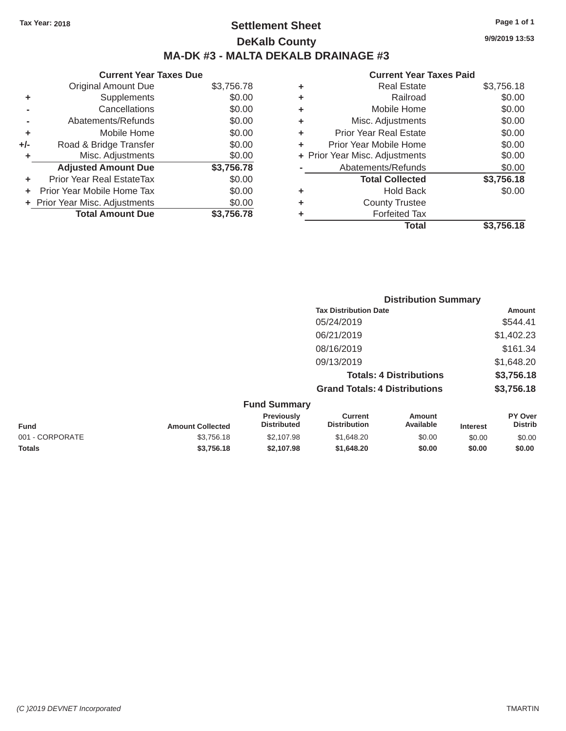# Tax Year: 2018 **Page 1 of 1 Settlement Sheet Page 1 of 1 Page 1 of 1 9/9/2019 13:53 DeKalb County MA-DK #3 - MALTA DEKALB DRAINAGE #3**

| <b>Original Amount Due</b>       | \$3,756.78                     |
|----------------------------------|--------------------------------|
| Supplements                      | \$0.00                         |
| Cancellations                    | \$0.00                         |
| Abatements/Refunds               | \$0.00                         |
| Mobile Home                      | \$0.00                         |
| Road & Bridge Transfer           | \$0.00                         |
| Misc. Adjustments                | \$0.00                         |
| <b>Adjusted Amount Due</b>       | \$3,756.78                     |
| <b>Prior Year Real EstateTax</b> | \$0.00                         |
| Prior Year Mobile Home Tax       | \$0.00                         |
|                                  | \$0.00                         |
| <b>Total Amount Due</b>          | \$3,756.78                     |
|                                  | + Prior Year Misc. Adjustments |

| ٠ | <b>Real Estate</b>             | \$3,756.18 |
|---|--------------------------------|------------|
| ٠ | Railroad                       | \$0.00     |
| ٠ | Mobile Home                    | \$0.00     |
| ٠ | Misc. Adjustments              | \$0.00     |
| ٠ | Prior Year Real Estate         | \$0.00     |
| ٠ | Prior Year Mobile Home         | \$0.00     |
|   | + Prior Year Misc. Adjustments | \$0.00     |
|   | Abatements/Refunds             | \$0.00     |
|   | <b>Total Collected</b>         | \$3,756.18 |
| ٠ | <b>Hold Back</b>               | \$0.00     |
| ٠ | <b>County Trustee</b>          |            |
| ٠ | <b>Forfeited Tax</b>           |            |
|   | <b>Total</b>                   | \$3,756.18 |
|   |                                |            |

|                  |                                         |                                       | <b>Distribution Summary</b>    |         |                                  |
|------------------|-----------------------------------------|---------------------------------------|--------------------------------|---------|----------------------------------|
|                  |                                         | <b>Tax Distribution Date</b>          |                                |         | Amount                           |
|                  |                                         | 05/24/2019                            |                                |         | \$544.41                         |
|                  |                                         | 06/21/2019                            |                                |         | \$1,402.23                       |
|                  |                                         | 08/16/2019                            |                                |         | \$161.34                         |
|                  |                                         | 09/13/2019                            |                                |         | \$1,648.20                       |
|                  |                                         |                                       | <b>Totals: 4 Distributions</b> |         | \$3,756.18                       |
|                  |                                         | <b>Grand Totals: 4 Distributions</b>  |                                |         | \$3,756.18                       |
|                  | <b>Fund Summary</b>                     |                                       |                                |         |                                  |
| Amount Colloctod | <b>Previously</b><br><b>Distributed</b> | <b>Current</b><br><b>Distribution</b> | Amount<br>Available            | Intract | <b>PY Over</b><br><b>Distrib</b> |

| <b>Fund</b>     | <b>Amount Collected</b> | <b>Previously</b><br><b>Distributed</b> | Current<br><b>Distribution</b> | Amount<br>Available | <b>Interest</b> | <b>PY OVER</b><br>Distrib |
|-----------------|-------------------------|-----------------------------------------|--------------------------------|---------------------|-----------------|---------------------------|
| 001 - CORPORATE | \$3,756.18              | \$2,107.98                              | \$1,648,20                     | \$0.00              | \$0.00          | \$0.00                    |
| <b>Totals</b>   | \$3,756,18              | \$2.107.98                              | \$1,648,20                     | \$0.00              | \$0.00          | \$0.00                    |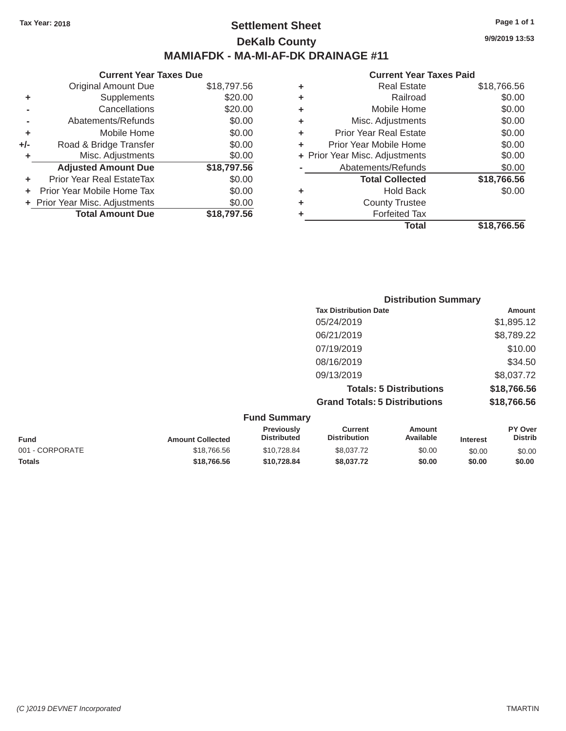### Tax Year: 2018 **Page 1 of 1 Page 1 of 1 Settlement Sheet Page 1 of 1 Page 1 of 1 9/9/2019 13:53 DeKalb County MAMIAFDK - MA-MI-AF-DK DRAINAGE #11**

**Current Year Taxes Due Current Year Taxes Paid Current Year Taxes Paid** Original Amount Due **+** Supplements **-** Cancellations **-** Abatements/Refunds **+** Mobile Home **+/-** Road & Bridge Transfer **+** Misc. Adjustments  $$18,797.56$ Adjusted Amount Due \$18,797.56 **+** Prior Year Real EstateTax \$0.00 **+** Prior Year Mobile Home Tax  $$0.00$ **+** Prior Year Misc. Adjustments  $$0.00$ **Total Amount Due**  \$18,797.56

| 797.56  | ٠ | <b>Real Estate</b>             | \$18,766.56 |
|---------|---|--------------------------------|-------------|
| \$20.00 | ÷ | Railroad                       | \$0.00      |
| \$20.00 | ÷ | Mobile Home                    | \$0.00      |
| \$0.00  | ÷ | Misc. Adjustments              | \$0.00      |
| \$0.00  | ÷ | <b>Prior Year Real Estate</b>  | \$0.00      |
| \$0.00  | ٠ | Prior Year Mobile Home         | \$0.00      |
| \$0.00  |   | + Prior Year Misc. Adjustments | \$0.00      |
| 797.56  |   | Abatements/Refunds             | \$0.00      |
| \$0.00  |   | <b>Total Collected</b>         | \$18,766.56 |
| \$0.00  | ٠ | <b>Hold Back</b>               | \$0.00      |
| \$0.00  | ÷ | <b>County Trustee</b>          |             |
| 797.56  | ٠ | <b>Forfeited Tax</b>           |             |
|         |   | <b>Total</b>                   | \$18,766.56 |

| <b>Distribution Summary</b>          |             |
|--------------------------------------|-------------|
| <b>Tax Distribution Date</b>         | Amount      |
| 05/24/2019                           | \$1,895.12  |
| 06/21/2019                           | \$8,789.22  |
| 07/19/2019                           | \$10.00     |
| 08/16/2019                           | \$34.50     |
| 09/13/2019                           | \$8,037.72  |
| <b>Totals: 5 Distributions</b>       | \$18,766.56 |
| <b>Grand Totals: 5 Distributions</b> | \$18,766.56 |

|                 |                         | <b>Fund Summary</b>                     |                                |                     |                 |                           |
|-----------------|-------------------------|-----------------------------------------|--------------------------------|---------------------|-----------------|---------------------------|
| Fund            | <b>Amount Collected</b> | <b>Previously</b><br><b>Distributed</b> | Current<br><b>Distribution</b> | Amount<br>Available | <b>Interest</b> | PY Over<br><b>Distrib</b> |
| 001 - CORPORATE | \$18,766,56             | \$10,728.84                             | \$8,037.72                     | \$0.00              | \$0.00          | \$0.00                    |
| <b>Totals</b>   | \$18,766,56             | \$10.728.84                             | \$8,037.72                     | \$0.00              | \$0.00          | \$0.00                    |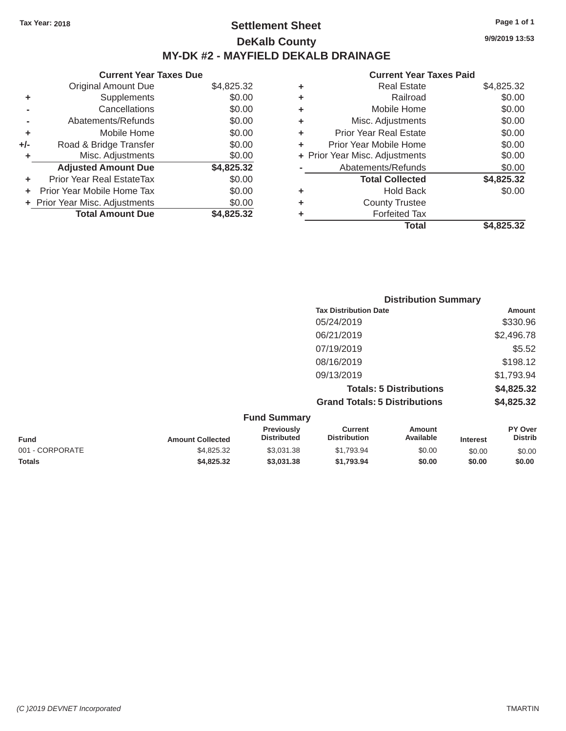### Tax Year: 2018 **Page 1 of 1 Page 1 of 1 Settlement Sheet Page 1 of 1 Page 1 of 1 9/9/2019 13:53 DeKalb County MY-DK #2 - MAYFIELD DEKALB DRAINAGE**

**Current Year Taxes Due Current Year Taxes Paid Current Year Taxes Paid Current Year Taxes Paid** Original Amount Due **+** Supplements **-** Cancellations **-** Abatements/Refunds **+** Mobile Home **+/-** Road & Bridge Transfer **+** Misc. Adjustments  $$4,825.32$ Adjusted Amount Due **\$4,825.32 +** Prior Year Real EstateTax \$0.00 **+** Prior Year Mobile Home Tax  $$0.00$ **+** Prior Year Misc. Adjustments  $$0.00$ **Total Amount Due**  \$4,825.32

| 25.32  | ٠ | <b>Real Estate</b>             | \$4,825.32 |
|--------|---|--------------------------------|------------|
| \$0.00 | ٠ | Railroad                       | \$0.00     |
| \$0.00 | ٠ | Mobile Home                    | \$0.00     |
| \$0.00 | ٠ | Misc. Adjustments              | \$0.00     |
| \$0.00 | ٠ | <b>Prior Year Real Estate</b>  | \$0.00     |
| \$0.00 | ٠ | Prior Year Mobile Home         | \$0.00     |
| \$0.00 |   | + Prior Year Misc. Adjustments | \$0.00     |
| 25.32  |   | Abatements/Refunds             | \$0.00     |
| \$0.00 |   | <b>Total Collected</b>         | \$4,825.32 |
| \$0.00 | ٠ | <b>Hold Back</b>               | \$0.00     |
| \$0.00 | ٠ | <b>County Trustee</b>          |            |
| 25.32  |   | <b>Forfeited Tax</b>           |            |
|        |   | <b>Total</b>                   | \$4,825,32 |

|                                      | <b>Distribution Summary</b> |  |  |  |
|--------------------------------------|-----------------------------|--|--|--|
| <b>Tax Distribution Date</b>         | Amount                      |  |  |  |
| 05/24/2019                           | \$330.96                    |  |  |  |
| 06/21/2019                           | \$2,496.78                  |  |  |  |
| 07/19/2019                           | \$5.52                      |  |  |  |
| 08/16/2019                           | \$198.12                    |  |  |  |
| 09/13/2019                           | \$1,793.94                  |  |  |  |
| <b>Totals: 5 Distributions</b>       | \$4,825.32                  |  |  |  |
| <b>Grand Totals: 5 Distributions</b> | \$4,825.32                  |  |  |  |
| <b>Fund Summary</b>                  |                             |  |  |  |

| <b>Amount Collected</b> | <b>Previously</b><br><b>Distributed</b> | Current<br><b>Distribution</b> | Amount<br>Available | <b>Interest</b> | <b>PY Over</b><br><b>Distrib</b> |
|-------------------------|-----------------------------------------|--------------------------------|---------------------|-----------------|----------------------------------|
| \$4.825.32              | \$3.031.38                              | \$1.793.94                     | \$0.00              | \$0.00          | \$0.00                           |
| \$4.825.32              | \$3,031.38                              | \$1.793.94                     | \$0.00              | \$0.00          | \$0.00                           |
|                         |                                         |                                |                     |                 |                                  |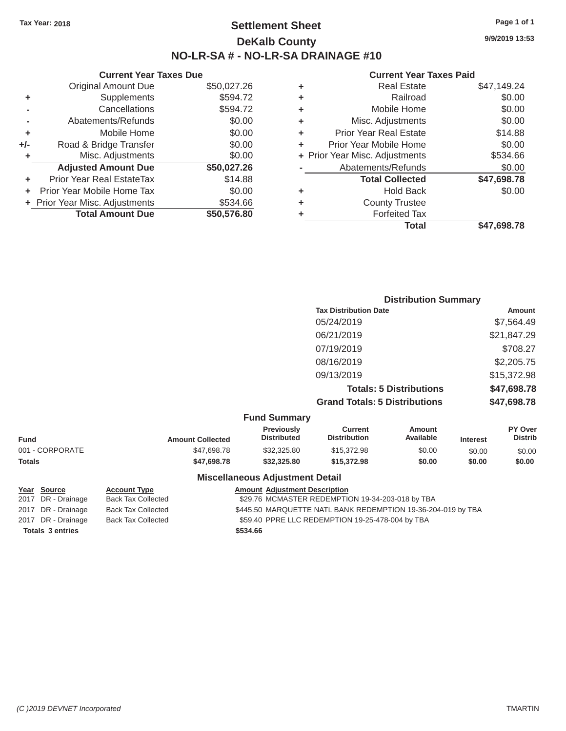## Tax Year: 2018 **Page 1 of 1 Settlement Sheet Page 1 of 1 Page 1 of 1 9/9/2019 13:53 DeKalb County NO-LR-SA # - NO-LR-SA DRAINAGE #10**

### **Current Year Taxes Paid**

|     |                                |             |   | Total                          | \$47,698.78 |
|-----|--------------------------------|-------------|---|--------------------------------|-------------|
|     | <b>Total Amount Due</b>        | \$50,576.80 |   | <b>Forfeited Tax</b>           |             |
|     | + Prior Year Misc. Adjustments | \$534.66    | ٠ | <b>County Trustee</b>          |             |
|     | Prior Year Mobile Home Tax     | \$0.00      | ٠ | <b>Hold Back</b>               | \$0.00      |
|     | Prior Year Real EstateTax      | \$14.88     |   | <b>Total Collected</b>         | \$47,698.78 |
|     | <b>Adjusted Amount Due</b>     | \$50,027.26 |   | Abatements/Refunds             | \$0.00      |
|     | Misc. Adjustments              | \$0.00      |   | + Prior Year Misc. Adjustments | \$534.66    |
| +/- | Road & Bridge Transfer         | \$0.00      |   | Prior Year Mobile Home         | \$0.00      |
| ٠   | Mobile Home                    | \$0.00      | ٠ | <b>Prior Year Real Estate</b>  | \$14.88     |
|     | Abatements/Refunds             | \$0.00      | ٠ | Misc. Adjustments              | \$0.00      |
|     | Cancellations                  | \$594.72    | ٠ | Mobile Home                    | \$0.00      |
| ٠   | Supplements                    | \$594.72    | ٠ | Railroad                       | \$0.00      |
|     | <b>Original Amount Due</b>     | \$50,027.26 | ٠ | <b>Real Estate</b>             | \$47,149.24 |
|     |                                |             |   |                                |             |

|     | <b>Current Year Taxes Due</b>  |             |   | <b>Current Year</b>            |
|-----|--------------------------------|-------------|---|--------------------------------|
|     | Original Amount Due            | \$50,027.26 | ٠ | <b>Real Estate</b>             |
| ٠   | <b>Supplements</b>             | \$594.72    | ٠ | Railroad                       |
|     | Cancellations                  | \$594.72    | ٠ | Mobile Home                    |
|     | Abatements/Refunds             | \$0.00      | ٠ | Misc. Adjustments              |
| ٠   | Mobile Home                    | \$0.00      | ÷ | <b>Prior Year Real Estate</b>  |
| +/- | Road & Bridge Transfer         | \$0.00      | ÷ | Prior Year Mobile Home         |
| ٠   | Misc. Adjustments              | \$0.00      |   | + Prior Year Misc. Adjustments |
|     | <b>Adjusted Amount Due</b>     | \$50,027.26 |   | Abatements/Refunds             |
| ÷   | Prior Year Real EstateTax      | \$14.88     |   | <b>Total Collected</b>         |
|     | Prior Year Mobile Home Tax     | \$0.00      | ٠ | Hold Back                      |
|     | + Prior Year Misc. Adjustments | \$534.66    | ٠ | <b>County Trustee</b>          |
|     | <b>Total Amount Due</b>        | \$50,576.80 |   | <b>Forfeited Tax</b>           |
|     |                                |             |   |                                |

| <b>Distribution Summary</b>          |             |
|--------------------------------------|-------------|
| <b>Tax Distribution Date</b>         | Amount      |
| 05/24/2019                           | \$7,564.49  |
| 06/21/2019                           | \$21,847.29 |
| 07/19/2019                           | \$708.27    |
| 08/16/2019                           | \$2,205.75  |
| 09/13/2019                           | \$15,372.98 |
| <b>Totals: 5 Distributions</b>       | \$47,698.78 |
| <b>Grand Totals: 5 Distributions</b> | \$47,698.78 |

|  | <b>Fund Summary</b> |  |
|--|---------------------|--|
|--|---------------------|--|

| <b>Interest</b>               | <b>Distrib</b> |
|-------------------------------|----------------|
| \$0.00                        | \$0.00         |
| \$0.00                        | \$0.00         |
| Available<br>\$0.00<br>\$0.00 |                |

### **Miscellaneous Adjustment Detail**

| <u>Year Source</u>      | <b>Account Type</b>       |          | <b>Amount Adjustment Description</b>                         |
|-------------------------|---------------------------|----------|--------------------------------------------------------------|
| 2017 DR - Drainage      | <b>Back Tax Collected</b> |          | \$29.76 MCMASTER REDEMPTION 19-34-203-018 by TBA             |
| 2017 DR - Drainage      | <b>Back Tax Collected</b> |          | \$445.50 MARQUETTE NATL BANK REDEMPTION 19-36-204-019 by TBA |
| 2017 DR - Drainage      | <b>Back Tax Collected</b> |          | \$59.40 PPRE LLC REDEMPTION 19-25-478-004 by TBA             |
| <b>Totals 3 entries</b> |                           | \$534.66 |                                                              |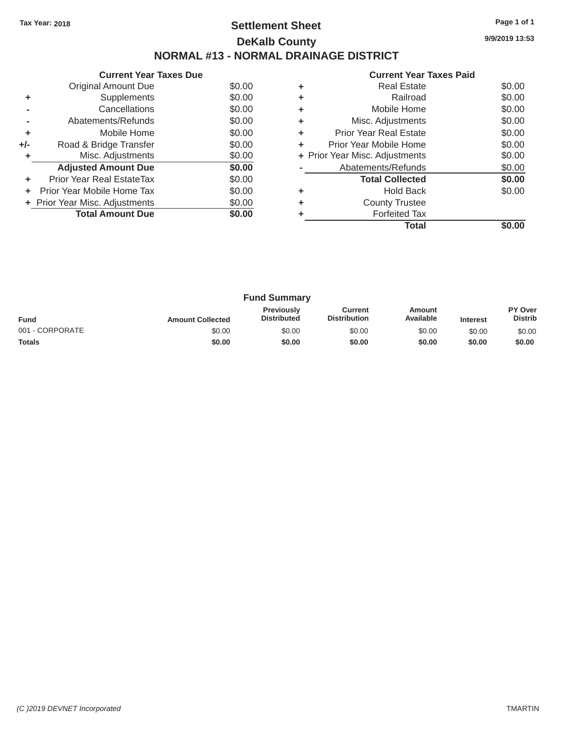# Tax Year: 2018 **Page 1 of 1 Page 1 of 1 Settlement Sheet Page 1 of 1 Page 1 of 1 9/9/2019 13:53 DeKalb County NORMAL #13 - NORMAL DRAINAGE DISTRICT**

**Current Year Taxes Due** Original Amount Due  $$0.00$ <br>Supplements  $$0.00$  $+$  Supplements **-** Cancellations \$0.00 **-** Abatements/Refunds \$0.00 **+** Mobile Home \$0.00 **+/-** Road & Bridge Transfer \$0.00<br> **+** Misc. Adjustments \$0.00 **+** Misc. Adjustments Adjusted Amount Due **\$0.00 +** Prior Year Real EstateTax \$0.00 **+** Prior Year Mobile Home Tax  $$0.00$ **+** Prior Year Misc. Adjustments  $$0.00$ **Total Amount Due**  $\begin{array}{r} \hline \text{Total} & 0.00 \\ \hline \end{array}$ 

|   | <b>Current Year Taxes Paid</b> |        |
|---|--------------------------------|--------|
| ٠ | Real Estate                    | \$0.00 |
| ٠ | Railroad                       | \$0.00 |
| ٠ | Mobile Home                    | \$0.00 |
| ٠ | Misc. Adjustments              | \$0.00 |
| ÷ | <b>Prior Year Real Estate</b>  | \$0.00 |
| ٠ | Prior Year Mobile Home         | \$0.00 |
|   | + Prior Year Misc. Adjustments | \$0.00 |
|   | Abatements/Refunds             | \$0.00 |
|   | <b>Total Collected</b>         | \$0.00 |
|   | <b>Hold Back</b>               | \$0.00 |
|   | <b>County Trustee</b>          |        |
|   | <b>Forfeited Tax</b>           |        |
|   | Total                          | SO.OU  |

| <b>Fund Summary</b> |                         |                                         |                                |                     |                 |                           |
|---------------------|-------------------------|-----------------------------------------|--------------------------------|---------------------|-----------------|---------------------------|
| <b>Fund</b>         | <b>Amount Collected</b> | <b>Previously</b><br><b>Distributed</b> | Current<br><b>Distribution</b> | Amount<br>Available | <b>Interest</b> | PY Over<br><b>Distrib</b> |
| 001 - CORPORATE     | \$0.00                  | \$0.00                                  | \$0.00                         | \$0.00              | \$0.00          | \$0.00                    |
| <b>Totals</b>       | \$0.00                  | \$0.00                                  | \$0.00                         | \$0.00              | \$0.00          | \$0.00                    |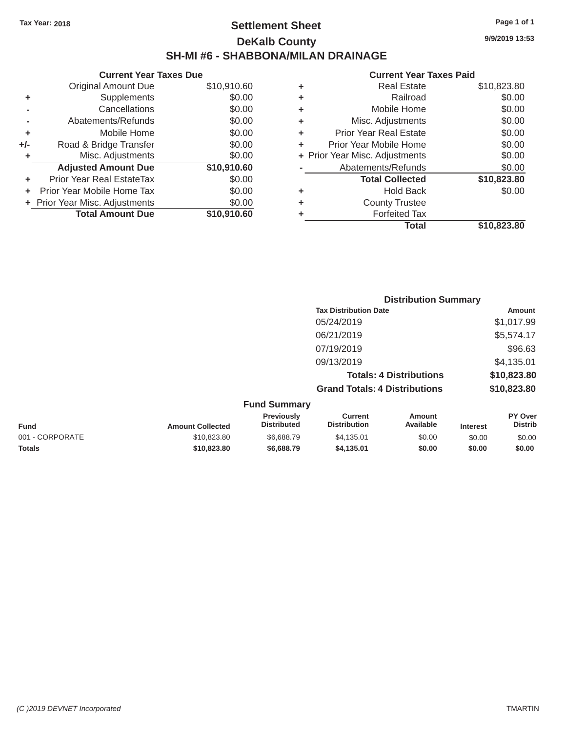# Tax Year: 2018 **Page 1 of 1 Settlement Sheet Page 1 of 1 Page 1 of 1 9/9/2019 13:53 DeKalb County SH-MI #6 - SHABBONA/MILAN DRAINAGE**

|       | OUTIVIII TUUT TUAUS DUU        |             |
|-------|--------------------------------|-------------|
|       | <b>Original Amount Due</b>     | \$10,910.60 |
| ٠     | Supplements                    | \$0.00      |
|       | Cancellations                  | \$0.00      |
|       | Abatements/Refunds             | \$0.00      |
| ÷     | Mobile Home                    | \$0.00      |
| $+/-$ | Road & Bridge Transfer         | \$0.00      |
| ٠     | Misc. Adjustments              | \$0.00      |
|       | <b>Adjusted Amount Due</b>     | \$10,910.60 |
| ٠     | Prior Year Real EstateTax      | \$0.00      |
| ٠     | Prior Year Mobile Home Tax     | \$0.00      |
|       | + Prior Year Misc. Adjustments | \$0.00      |
|       | <b>Total Amount Due</b>        | \$10,910.60 |
|       |                                |             |

|   | <b>Real Estate</b>             | \$10,823.80 |
|---|--------------------------------|-------------|
| ٠ | Railroad                       | \$0.00      |
| ٠ | Mobile Home                    | \$0.00      |
| ٠ | Misc. Adjustments              | \$0.00      |
| ٠ | <b>Prior Year Real Estate</b>  | \$0.00      |
| ٠ | Prior Year Mobile Home         | \$0.00      |
|   | + Prior Year Misc. Adjustments | \$0.00      |
|   | Abatements/Refunds             | \$0.00      |
|   | <b>Total Collected</b>         | \$10,823.80 |
| ٠ | <b>Hold Back</b>               | \$0.00      |
| ٠ | <b>County Trustee</b>          |             |
| ٠ | <b>Forfeited Tax</b>           |             |
|   | Total                          | \$10,823,80 |
|   |                                |             |

|                     |                                      | <b>Distribution Summary</b>    |                |
|---------------------|--------------------------------------|--------------------------------|----------------|
|                     | <b>Tax Distribution Date</b>         |                                | Amount         |
|                     | 05/24/2019                           |                                | \$1,017.99     |
|                     | 06/21/2019                           |                                | \$5,574.17     |
|                     | 07/19/2019                           |                                | \$96.63        |
|                     | 09/13/2019                           |                                | \$4,135.01     |
|                     |                                      | <b>Totals: 4 Distributions</b> | \$10,823.80    |
|                     | <b>Grand Totals: 4 Distributions</b> |                                | \$10,823.80    |
| <b>Fund Summary</b> |                                      |                                |                |
| Previously          | Current                              | Amount                         | <b>PY Over</b> |

| <b>Fund</b>     | <b>Amount Collected</b> | <b>Previously</b><br><b>Distributed</b> | Current<br><b>Distribution</b> | Amount<br>Available | <b>Interest</b> | PY Over<br>Distrib |
|-----------------|-------------------------|-----------------------------------------|--------------------------------|---------------------|-----------------|--------------------|
| 001 - CORPORATE | \$10,823.80             | \$6,688.79                              | \$4.135.01                     | \$0.00              | \$0.00          | \$0.00             |
| <b>Totals</b>   | \$10,823,80             | \$6,688.79                              | \$4.135.01                     | \$0.00              | \$0.00          | \$0.00             |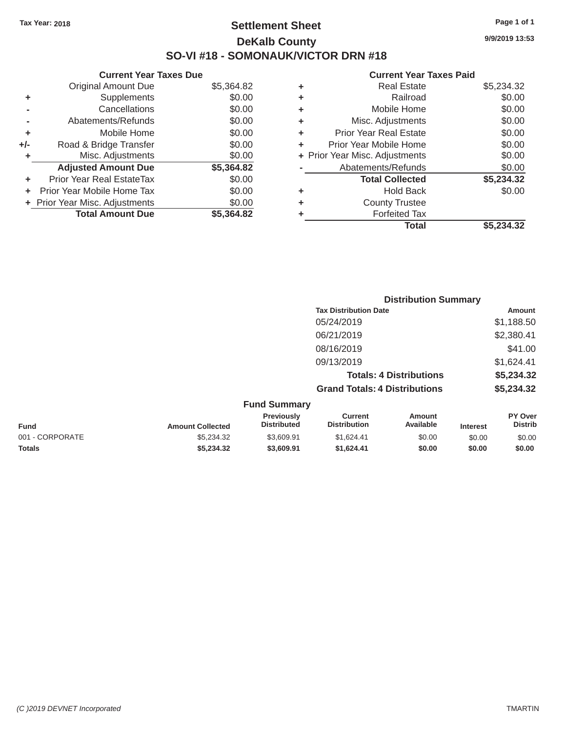# Tax Year: 2018 **Page 1 of 1 Page 1 of 1 Settlement Sheet Page 1 of 1 Page 1 of 1 9/9/2019 13:53 DeKalb County SO-VI #18 - SOMONAUK/VICTOR DRN #18**

|       | <b>Original Amount Due</b>     | \$5,364.82 |
|-------|--------------------------------|------------|
| ٠     | Supplements                    | \$0.00     |
|       | Cancellations                  | \$0.00     |
|       | Abatements/Refunds             | \$0.00     |
| ÷     | Mobile Home                    | \$0.00     |
| $+/-$ | Road & Bridge Transfer         | \$0.00     |
| ٠     | Misc. Adjustments              | \$0.00     |
|       | <b>Adjusted Amount Due</b>     | \$5,364.82 |
| ٠     | Prior Year Real EstateTax      | \$0.00     |
|       | Prior Year Mobile Home Tax     | \$0.00     |
|       | + Prior Year Misc. Adjustments | \$0.00     |
|       | <b>Total Amount Due</b>        | \$5.364.82 |

#### **Current Year Taxes Due Current Year Taxes Paid Current Year Taxes Paid Current Year Taxes Paid**

| ٠ | <b>Real Estate</b>             | \$5,234.32 |
|---|--------------------------------|------------|
| ٠ | Railroad                       | \$0.00     |
| ٠ | Mobile Home                    | \$0.00     |
| ٠ | Misc. Adjustments              | \$0.00     |
| ٠ | <b>Prior Year Real Estate</b>  | \$0.00     |
| ٠ | Prior Year Mobile Home         | \$0.00     |
|   | + Prior Year Misc. Adjustments | \$0.00     |
|   | Abatements/Refunds             | \$0.00     |
|   | <b>Total Collected</b>         | \$5,234.32 |
| ٠ | <b>Hold Back</b>               | \$0.00     |
| ٠ | <b>County Trustee</b>          |            |
| ٠ | <b>Forfeited Tax</b>           |            |
|   | Total                          | \$5.234.32 |
|   |                                |            |

|                 |                         |                                  | <b>Distribution Summary</b>           |                                |                 |                           |
|-----------------|-------------------------|----------------------------------|---------------------------------------|--------------------------------|-----------------|---------------------------|
|                 |                         |                                  | <b>Tax Distribution Date</b>          |                                |                 | <b>Amount</b>             |
|                 |                         |                                  | 05/24/2019                            |                                |                 | \$1,188.50                |
|                 |                         |                                  | 06/21/2019                            |                                |                 | \$2,380.41                |
|                 |                         |                                  | 08/16/2019                            |                                |                 | \$41.00                   |
|                 |                         |                                  | 09/13/2019                            |                                |                 | \$1,624.41                |
|                 |                         |                                  |                                       | <b>Totals: 4 Distributions</b> |                 | \$5,234.32                |
|                 |                         |                                  | <b>Grand Totals: 4 Distributions</b>  |                                |                 | \$5,234.32                |
|                 |                         | <b>Fund Summary</b>              |                                       |                                |                 |                           |
| <b>Fund</b>     | <b>Amount Collected</b> | Previously<br><b>Distributed</b> | <b>Current</b><br><b>Distribution</b> | <b>Amount</b><br>Available     | <b>Interest</b> | PY Over<br><b>Distrib</b> |
| 001 - CORPORATE | \$5,234.32              | \$3,609.91                       | \$1,624.41                            | \$0.00                         | \$0.00          | \$0.00                    |
| <b>Totals</b>   | \$5,234.32              | \$3,609.91                       | \$1,624.41                            | \$0.00                         | \$0.00          | \$0.00                    |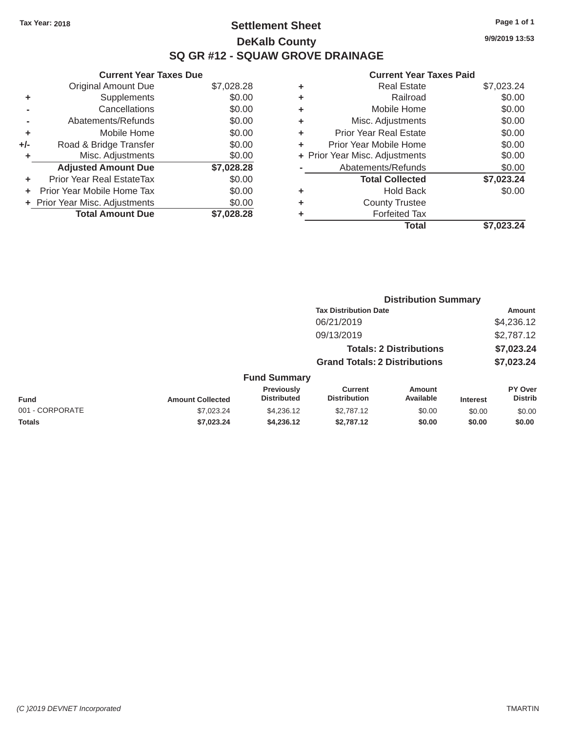# Tax Year: 2018 **Page 1 of 1 Settlement Sheet Page 1 of 1 Page 1 of 1 9/9/2019 13:53 DeKalb County SQ GR #12 - SQUAW GROVE DRAINAGE**

|       | Gurrent rear raxes Due         |            |
|-------|--------------------------------|------------|
|       | <b>Original Amount Due</b>     | \$7,028.28 |
| ٠     | Supplements                    | \$0.00     |
|       | Cancellations                  | \$0.00     |
|       | Abatements/Refunds             | \$0.00     |
| ٠     | Mobile Home                    | \$0.00     |
| $+/-$ | Road & Bridge Transfer         | \$0.00     |
| ٠     | Misc. Adjustments              | \$0.00     |
|       | <b>Adjusted Amount Due</b>     | \$7,028.28 |
| ٠     | Prior Year Real EstateTax      | \$0.00     |
| ÷     | Prior Year Mobile Home Tax     | \$0.00     |
|       | + Prior Year Misc. Adjustments | \$0.00     |
|       | <b>Total Amount Due</b>        | \$7,028.28 |
|       |                                |            |

| ٠ | <b>Real Estate</b>             | \$7,023.24 |
|---|--------------------------------|------------|
| ٠ | Railroad                       | \$0.00     |
| ٠ | Mobile Home                    | \$0.00     |
| ٠ | Misc. Adjustments              | \$0.00     |
| ٠ | Prior Year Real Estate         | \$0.00     |
| ٠ | Prior Year Mobile Home         | \$0.00     |
|   | + Prior Year Misc. Adjustments | \$0.00     |
|   | Abatements/Refunds             | \$0.00     |
|   | <b>Total Collected</b>         | \$7,023.24 |
| ٠ | Hold Back                      | \$0.00     |
|   | <b>County Trustee</b>          |            |
| ٠ | <b>Forfeited Tax</b>           |            |
|   | Total                          | \$7.023.24 |
|   |                                |            |

|                 |                         |                                  | <b>Distribution Summary</b>           |                                |                 |                                  |
|-----------------|-------------------------|----------------------------------|---------------------------------------|--------------------------------|-----------------|----------------------------------|
|                 |                         |                                  | <b>Tax Distribution Date</b>          |                                |                 | <b>Amount</b>                    |
|                 |                         |                                  | 06/21/2019                            |                                |                 | \$4,236.12                       |
|                 |                         |                                  | 09/13/2019                            |                                |                 | \$2,787.12                       |
|                 |                         |                                  |                                       | <b>Totals: 2 Distributions</b> |                 | \$7,023.24                       |
|                 |                         |                                  | <b>Grand Totals: 2 Distributions</b>  |                                |                 | \$7,023.24                       |
|                 |                         | <b>Fund Summary</b>              |                                       |                                |                 |                                  |
| <b>Fund</b>     | <b>Amount Collected</b> | Previously<br><b>Distributed</b> | <b>Current</b><br><b>Distribution</b> | Amount<br>Available            | <b>Interest</b> | <b>PY Over</b><br><b>Distrib</b> |
| 001 - CORPORATE | \$7,023.24              | \$4,236.12                       | \$2,787.12                            | \$0.00                         | \$0.00          | \$0.00                           |
| <b>Totals</b>   | \$7,023.24              | \$4,236.12                       | \$2,787.12                            | \$0.00                         | \$0.00          | \$0.00                           |
|                 |                         |                                  |                                       |                                |                 |                                  |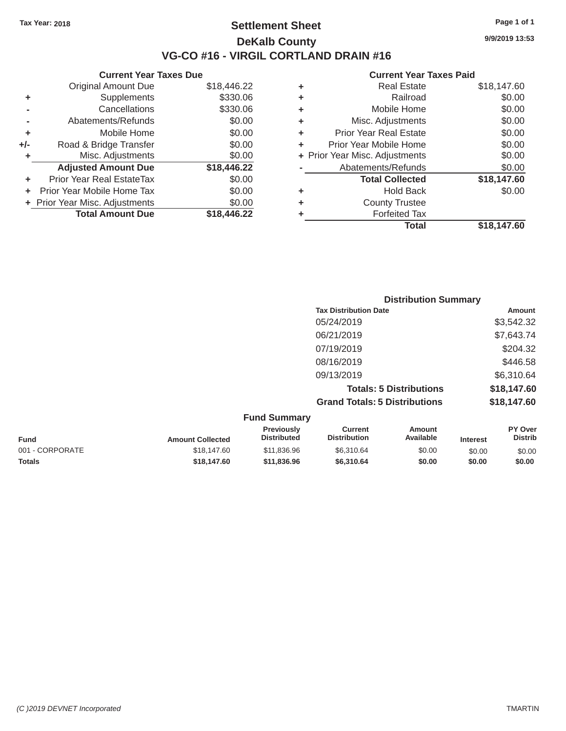### Tax Year: 2018 **Page 1 of 1 Settlement Sheet Page 1 of 1 Page 1 of 1 9/9/2019 13:53 DeKalb County VG-CO #16 - VIRGIL CORTLAND DRAIN #16**

|         | Gurrent rear Taxes Due         |             |   | Gurrent rear Taxes Palu        |             |
|---------|--------------------------------|-------------|---|--------------------------------|-------------|
|         | <b>Original Amount Due</b>     | \$18,446.22 | ٠ | <b>Real Estate</b>             | \$18,147.60 |
| ٠       | Supplements                    | \$330.06    | ٠ | Railroad                       | \$0.00      |
|         | Cancellations                  | \$330.06    | ٠ | Mobile Home                    | \$0.00      |
|         | Abatements/Refunds             | \$0.00      | ٠ | Misc. Adjustments              | \$0.00      |
| ٠       | Mobile Home                    | \$0.00      | ٠ | <b>Prior Year Real Estate</b>  | \$0.00      |
| +/-     | Road & Bridge Transfer         | \$0.00      |   | Prior Year Mobile Home         | \$0.00      |
|         | Misc. Adjustments              | \$0.00      |   | + Prior Year Misc. Adjustments | \$0.00      |
|         | <b>Adjusted Amount Due</b>     | \$18,446.22 |   | Abatements/Refunds             | \$0.00      |
| ÷.      | Prior Year Real EstateTax      | \$0.00      |   | <b>Total Collected</b>         | \$18,147.60 |
| $+$ $-$ | Prior Year Mobile Home Tax     | \$0.00      | ٠ | <b>Hold Back</b>               | \$0.00      |
|         | + Prior Year Misc. Adjustments | \$0.00      | ٠ | <b>County Trustee</b>          |             |
|         | <b>Total Amount Due</b>        | \$18,446.22 |   | <b>Forfeited Tax</b>           |             |
|         |                                |             |   |                                |             |

| <b>Original Amount Due</b> | \$18,446.22 | ÷ | <b>Real Estate</b>             | \$18,147.60 |
|----------------------------|-------------|---|--------------------------------|-------------|
| <b>Supplements</b>         | \$330.06    | ÷ | Railroad                       | \$0.00      |
| Cancellations              | \$330.06    | ÷ | Mobile Home                    | \$0.00      |
| Abatements/Refunds         | \$0.00      | ÷ | Misc. Adjustments              | \$0.00      |
| Mobile Home                | \$0.00      | ÷ | <b>Prior Year Real Estate</b>  | \$0.00      |
| Road & Bridge Transfer     | \$0.00      | ÷ | Prior Year Mobile Home         | \$0.00      |
| Misc. Adjustments          | \$0.00      |   | + Prior Year Misc. Adjustments | \$0.00      |
| <b>Adjusted Amount Due</b> | \$18,446.22 |   | Abatements/Refunds             | \$0.00      |
| ior Year Real EstateTax    | \$0.00      |   | <b>Total Collected</b>         | \$18,147.60 |
| r Year Mobile Home Tax     | \$0.00      | ÷ | <b>Hold Back</b>               | \$0.00      |
| Year Misc. Adjustments     | \$0.00      | ÷ | <b>County Trustee</b>          |             |
| <b>Total Amount Due</b>    | \$18,446.22 | ٠ | <b>Forfeited Tax</b>           |             |
|                            |             |   | <b>Total</b>                   | \$18,147.60 |
|                            |             |   |                                |             |

| <b>Distribution Summary</b>          |             |
|--------------------------------------|-------------|
| <b>Tax Distribution Date</b>         | Amount      |
| 05/24/2019                           | \$3,542.32  |
| 06/21/2019                           | \$7,643.74  |
| 07/19/2019                           | \$204.32    |
| 08/16/2019                           | \$446.58    |
| 09/13/2019                           | \$6,310.64  |
| <b>Totals: 5 Distributions</b>       | \$18,147.60 |
| <b>Grand Totals: 5 Distributions</b> | \$18,147.60 |

| <b>Fund Summary</b> |                         |                                         |                         |                     |                 |                                  |
|---------------------|-------------------------|-----------------------------------------|-------------------------|---------------------|-----------------|----------------------------------|
| <b>Fund</b>         | <b>Amount Collected</b> | <b>Previously</b><br><b>Distributed</b> | Current<br>Distribution | Amount<br>Available | <b>Interest</b> | <b>PY Over</b><br><b>Distrib</b> |
| 001 - CORPORATE     | \$18,147.60             | \$11,836.96                             | \$6.310.64              | \$0.00              | \$0.00          | \$0.00                           |
| <b>Totals</b>       | \$18,147.60             | \$11,836.96                             | \$6.310.64              | \$0.00              | \$0.00          | \$0.00                           |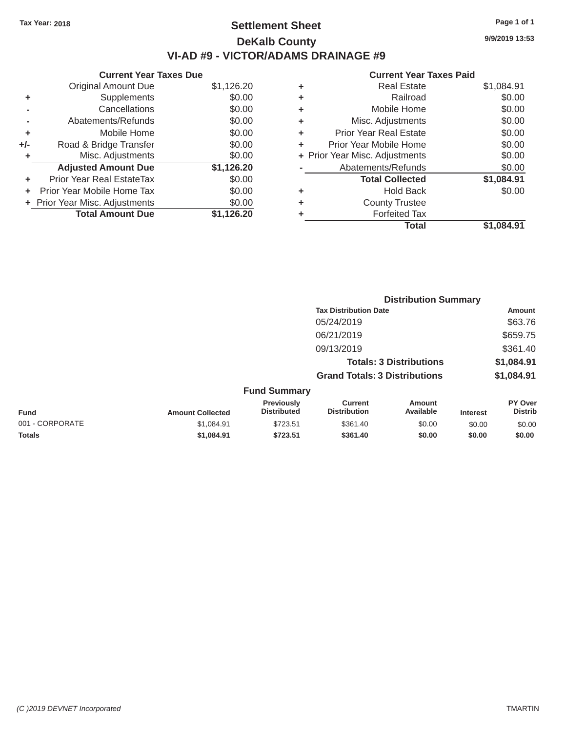# Tax Year: 2018 **Page 1 of 1 Settlement Sheet Page 1 of 1 Page 1 of 1 9/9/2019 13:53 DeKalb County VI-AD #9 - VICTOR/ADAMS DRAINAGE #9**

|       | Current Year Taxes Due         |            |
|-------|--------------------------------|------------|
|       | <b>Original Amount Due</b>     | \$1,126.20 |
| ٠     | Supplements                    | \$0.00     |
|       | Cancellations                  | \$0.00     |
|       | Abatements/Refunds             | \$0.00     |
| ÷     | Mobile Home                    | \$0.00     |
| $+/-$ | Road & Bridge Transfer         | \$0.00     |
| ٠     | Misc. Adjustments              | \$0.00     |
|       | <b>Adjusted Amount Due</b>     | \$1,126.20 |
| ٠     | Prior Year Real EstateTax      | \$0.00     |
|       | Prior Year Mobile Home Tax     | \$0.00     |
|       | + Prior Year Misc. Adjustments | \$0.00     |
|       | <b>Total Amount Due</b>        | \$1,126.20 |

| ٠ | <b>Real Estate</b>             | \$1,084.91 |
|---|--------------------------------|------------|
| ٠ | Railroad                       | \$0.00     |
| ٠ | Mobile Home                    | \$0.00     |
| ٠ | Misc. Adjustments              | \$0.00     |
| ٠ | Prior Year Real Estate         | \$0.00     |
| ٠ | Prior Year Mobile Home         | \$0.00     |
|   | + Prior Year Misc. Adjustments | \$0.00     |
|   | Abatements/Refunds             | \$0.00     |
|   | <b>Total Collected</b>         | \$1,084.91 |
| ٠ | <b>Hold Back</b>               | \$0.00     |
| ٠ | <b>County Trustee</b>          |            |
| ٠ | <b>Forfeited Tax</b>           |            |
|   | <b>Total</b>                   | \$1,084.91 |
|   |                                |            |

|                 |                         |                                         |                                                                                                    |                            | <b>Distribution Summary</b> |                                                  |  |
|-----------------|-------------------------|-----------------------------------------|----------------------------------------------------------------------------------------------------|----------------------------|-----------------------------|--------------------------------------------------|--|
|                 |                         |                                         | <b>Tax Distribution Date</b><br>05/24/2019                                                         |                            |                             | <b>Amount</b>                                    |  |
|                 |                         |                                         |                                                                                                    |                            |                             | \$63.76                                          |  |
|                 |                         |                                         | 06/21/2019<br>09/13/2019<br><b>Totals: 3 Distributions</b><br><b>Grand Totals: 3 Distributions</b> |                            |                             | \$659.75<br>\$361.40<br>\$1,084.91<br>\$1,084.91 |  |
|                 |                         |                                         |                                                                                                    |                            |                             |                                                  |  |
|                 |                         |                                         |                                                                                                    |                            |                             |                                                  |  |
|                 |                         |                                         |                                                                                                    |                            |                             |                                                  |  |
|                 |                         | <b>Fund Summary</b>                     |                                                                                                    |                            |                             |                                                  |  |
| <b>Fund</b>     | <b>Amount Collected</b> | <b>Previously</b><br><b>Distributed</b> | <b>Current</b><br><b>Distribution</b>                                                              | <b>Amount</b><br>Available | <b>Interest</b>             | <b>PY Over</b><br><b>Distrib</b>                 |  |
| 001 - CORPORATE | \$1,084.91              | \$723.51                                | \$361.40                                                                                           | \$0.00                     | \$0.00                      | \$0.00                                           |  |
| <b>Totals</b>   | \$1.084.91              | \$723.51                                | \$361.40                                                                                           | \$0.00                     | \$0.00                      | \$0.00                                           |  |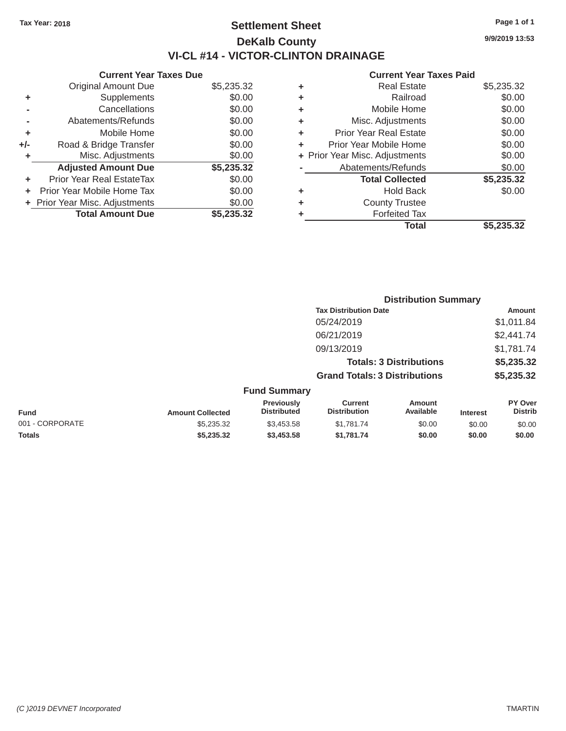## Tax Year: 2018 **Page 1 of 1 Page 1 of 1 Settlement Sheet Page 1 of 1 Page 1 of 1 9/9/2019 13:53 DeKalb County VI-CL #14 - VICTOR-CLINTON DRAINAGE**

## **Current Year Taxes Due Current Year Taxes Paid Current Year Taxes Paid**

|       | Gurrent rear raxes Due           |            |
|-------|----------------------------------|------------|
|       | <b>Original Amount Due</b>       | \$5,235.32 |
| ٠     | Supplements                      | \$0.00     |
|       | Cancellations                    | \$0.00     |
|       | Abatements/Refunds               | \$0.00     |
| ٠     | Mobile Home                      | \$0.00     |
| $+/-$ | Road & Bridge Transfer           | \$0.00     |
| ٠     | Misc. Adjustments                | \$0.00     |
|       | <b>Adjusted Amount Due</b>       | \$5,235.32 |
| ÷     | <b>Prior Year Real EstateTax</b> | \$0.00     |
| ÷     | Prior Year Mobile Home Tax       | \$0.00     |
|       | + Prior Year Misc. Adjustments   | \$0.00     |
|       | <b>Total Amount Due</b>          | \$5,235.32 |
|       |                                  |            |

|   | <b>Real Estate</b>             | \$5,235.32 |
|---|--------------------------------|------------|
| ٠ | Railroad                       | \$0.00     |
| ٠ | Mobile Home                    | \$0.00     |
| ٠ | Misc. Adjustments              | \$0.00     |
| ٠ | Prior Year Real Estate         | \$0.00     |
| ٠ | Prior Year Mobile Home         | \$0.00     |
|   | + Prior Year Misc. Adjustments | \$0.00     |
|   | Abatements/Refunds             | \$0.00     |
|   | <b>Total Collected</b>         | \$5,235.32 |
| ٠ | <b>Hold Back</b>               | \$0.00     |
| ٠ | <b>County Trustee</b>          |            |
| ٠ | <b>Forfeited Tax</b>           |            |
|   | <b>Total</b>                   | \$5,235.32 |
|   |                                |            |

|                 |                         |                                  | <b>Distribution Summary</b>                                            |                     |                 |                                  |  |
|-----------------|-------------------------|----------------------------------|------------------------------------------------------------------------|---------------------|-----------------|----------------------------------|--|
|                 |                         |                                  | <b>Tax Distribution Date</b>                                           |                     |                 | <b>Amount</b>                    |  |
|                 |                         |                                  | 05/24/2019                                                             |                     |                 | \$1,011.84                       |  |
|                 |                         |                                  | 06/21/2019                                                             |                     |                 | \$2,441.74                       |  |
|                 |                         |                                  | 09/13/2019                                                             |                     |                 | \$1,781.74                       |  |
|                 |                         |                                  | <b>Totals: 3 Distributions</b><br><b>Grand Totals: 3 Distributions</b> |                     |                 | \$5,235.32                       |  |
|                 |                         |                                  |                                                                        |                     |                 | \$5,235.32                       |  |
|                 |                         | <b>Fund Summary</b>              |                                                                        |                     |                 |                                  |  |
| Fund            | <b>Amount Collected</b> | Previously<br><b>Distributed</b> | <b>Current</b><br><b>Distribution</b>                                  | Amount<br>Available | <b>Interest</b> | <b>PY Over</b><br><b>Distrib</b> |  |
| 001 - CORPORATE | \$5,235.32              | \$3,453.58                       | \$1,781.74                                                             | \$0.00              | \$0.00          | \$0.00                           |  |
| <b>Totals</b>   | \$5,235.32              | \$3,453.58                       | \$1,781.74                                                             | \$0.00              | \$0.00          | \$0.00                           |  |